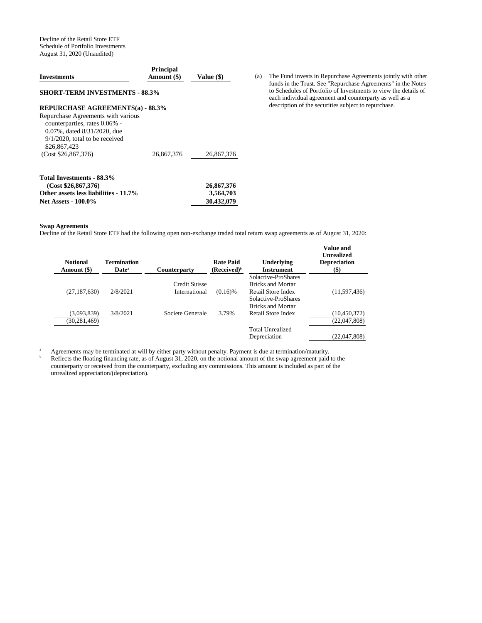Decline of the Retail Store ETF Schedule of Portfolio Investments August 31, 2020 (Unaudited)

| <b>Investments</b>                                                                                                                                      | <b>Principal</b><br>Amount (\$) | Value (\$) |
|---------------------------------------------------------------------------------------------------------------------------------------------------------|---------------------------------|------------|
| <b>SHORT-TERM INVESTMENTS - 88.3%</b>                                                                                                                   |                                 |            |
| <b>REPURCHASE AGREEMENTS(a) - 88.3%</b>                                                                                                                 |                                 |            |
| Repurchase Agreements with various<br>counterparties, rates 0.06% -<br>0.07%, dated 8/31/2020, due<br>$9/1/2020$ , total to be received<br>\$26,867,423 |                                 |            |
| (Cost \$26,867,376)                                                                                                                                     | 26,867,376                      | 26,867,376 |
| Total Investments - 88.3%                                                                                                                               |                                 |            |
| (Cost \$26,867,376)                                                                                                                                     |                                 | 26,867,376 |
| Other assets less liabilities - 11.7%                                                                                                                   |                                 | 3,564,703  |
| <b>Net Assets - 100.0%</b>                                                                                                                              |                                 | 30,432,079 |

**Swap Agreements** 

Decline of the Retail Store ETF had the following open non-exchange traded total return swap agreements as of August 31, 2020:

| <b>Notional</b><br>Amount (\$) | <b>Termination</b><br>Date <sup>a</sup> | <b>Counterparty</b>  | <b>Rate Paid</b><br>(Received) <sup>b</sup> | Underlying<br><b>Instrument</b>                 | Value and<br><b>Unrealized</b><br><b>Depreciation</b><br>$($ \$) |
|--------------------------------|-----------------------------------------|----------------------|---------------------------------------------|-------------------------------------------------|------------------------------------------------------------------|
|                                |                                         | <b>Credit Suisse</b> |                                             | Solactive-ProShares<br><b>Bricks and Mortar</b> |                                                                  |
| (27, 187, 630)                 | 2/8/2021                                | International        | $(0.16)$ %                                  | Retail Store Index                              | (11, 597, 436)                                                   |
|                                |                                         |                      |                                             | Solactive-ProShares                             |                                                                  |
|                                |                                         |                      |                                             | <b>Bricks and Mortar</b>                        |                                                                  |
| (3,093,839)                    | 3/8/2021                                | Societe Generale     | 3.79%                                       | Retail Store Index                              | (10,450,372)                                                     |
| (30, 281, 469)                 |                                         |                      |                                             |                                                 | (22,047,808)                                                     |
|                                |                                         |                      |                                             | Total Unrealized                                |                                                                  |
|                                |                                         |                      |                                             | Depreciation                                    | (22,047,808)                                                     |

<sup>a</sup> Agreements may be terminated at will by either party without penalty. Payment is due at termination/maturity.

<sup>b</sup> Reflects the floating financing rate, as of August 31, 2020, on the notional amount of the swap agreement paid to the counterparty or received from the counterparty, excluding any commissions. This amount is included as part of the unrealized appreciation/(depreciation).

(a) The Fund invests in Repurchase Agreements jointly with other funds in the Trust. See "Repurchase Agreements" in the Notes to Schedules of Portfolio of Investments to view the details of each individual agreement and counterparty as well as a description of the securities subject to repurchase.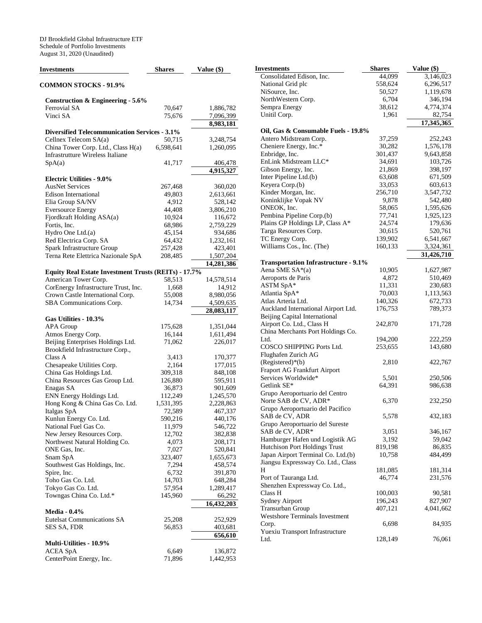DJ Brookfield Global Infrastructure ETF Schedule of Portfolio Investments August 31, 2020 (Unaudited)

| Investments                                                                   | <b>Shares</b>     | Value (\$)             |
|-------------------------------------------------------------------------------|-------------------|------------------------|
| <b>COMMON STOCKS - 91.9%</b>                                                  |                   |                        |
| <b>Construction &amp; Engineering - 5.6%</b>                                  |                   |                        |
| Ferrovial SA                                                                  | 70,647            | 1,886,782              |
| Vinci SA                                                                      | 75,676            | 7,096,399              |
|                                                                               |                   | 8,983,181              |
| <b>Diversified Telecommunication Services - 3.1%</b>                          |                   |                        |
| Cellnex Telecom SA(a)                                                         | 50,715            | 3,248,754              |
| China Tower Corp. Ltd., Class H(a)<br><b>Infrastrutture Wireless Italiane</b> | 6,598,641         | 1,260,095              |
|                                                                               |                   |                        |
| SpA(a)                                                                        | 41,717            | 406,478<br>4,915,327   |
| <b>Electric Utilities - 9.0%</b>                                              |                   |                        |
| <b>AusNet Services</b>                                                        | 267,468           | 360,020                |
| <b>Edison International</b>                                                   | 49,803            | 2,613,661              |
| Elia Group SA/NV                                                              | 4,912             | 528,142                |
| <b>Eversource Energy</b>                                                      | 44,408            | 3,806,210              |
| Fjordkraft Holding ASA(a)                                                     | 10,924            | 116,672                |
| Fortis, Inc.                                                                  | 68,986            | 2,759,229              |
| Hydro One Ltd.(a)                                                             | 45,154            | 934,686                |
| Red Electrica Corp. SA                                                        | 64,432            | 1,232,161              |
| Spark Infrastructure Group                                                    | 257,428           | 423,401                |
| Terna Rete Elettrica Nazionale SpA                                            | 208,485           | 1,507,204              |
|                                                                               |                   | 14,281,386             |
| <b>Equity Real Estate Investment Trusts (REITs) - 17.7%</b>                   |                   |                        |
| American Tower Corp.                                                          | 58,513            | 14,578,514             |
| CorEnergy Infrastructure Trust, Inc.                                          | 1,668             | 14,912                 |
| Crown Castle International Corp.                                              | 55,008            | 8,980,056              |
| SBA Communications Corp.                                                      | 14,734            | 4,509,635              |
|                                                                               |                   | 28,083,117             |
| Gas Utilities - 10.3%                                                         |                   |                        |
| <b>APA Group</b><br>Atmos Energy Corp.                                        | 175,628<br>16,144 | 1,351,044<br>1,611,494 |
| Beijing Enterprises Holdings Ltd.                                             | 71,062            | 226,017                |
| Brookfield Infrastructure Corp.,                                              |                   |                        |
| Class A                                                                       | 3,413             | 170,377                |
| Chesapeake Utilities Corp.                                                    | 2,164             | 177,015                |
| China Gas Holdings Ltd.                                                       | 309,318           | 848,108                |
| China Resources Gas Group Ltd.<br>Enagas SA                                   | 126,880<br>36,873 | 595,911<br>901,609     |
| ENN Energy Holdings Ltd.                                                      | 112,249           | 1,245,570              |
| Hong Kong & China Gas Co. Ltd.                                                | 1,531,395         | 2,228,863              |
| Italgas SpA                                                                   | 72,589            | 467,337                |
| Kunlun Energy Co. Ltd.                                                        | 590,216           | 440,176                |
| National Fuel Gas Co.                                                         | 11,979            | 546,722                |
| New Jersey Resources Corp.                                                    | 12,702            | 382,838                |
| Northwest Natural Holding Co.                                                 | 4,073             | 208,171                |
| ONE Gas, Inc.                                                                 | 7,027             | 520,841                |
| Snam SpA                                                                      | 323,407           | 1,655,673              |
| Southwest Gas Holdings, Inc.                                                  | 7,294             | 458,574                |
| Spire, Inc.                                                                   | 6,732             | 391,870                |
| Toho Gas Co. Ltd.                                                             | 14,703            | 648,284                |
| Tokyo Gas Co. Ltd.                                                            | 57,954            | 1,289,417              |
| Towngas China Co. Ltd.*                                                       | 145,960           | 66,292                 |
|                                                                               |                   | 16,432,203             |
| <b>Media - 0.4%</b>                                                           |                   |                        |
| <b>Eutelsat Communications SA</b>                                             | 25,208            | 252,929                |
| SES SA, FDR                                                                   | 56,853            | 403,681                |
|                                                                               |                   | 656,610                |
| Multi-Utilities - 10.9%<br><b>ACEA SpA</b>                                    | 6,649             | 136,872                |
| CenterPoint Energy, Inc.                                                      | 71,896            | 1,442,953              |
|                                                                               |                   |                        |

| Investments                                                              | <b>Shares</b>    | Value (\$)             |
|--------------------------------------------------------------------------|------------------|------------------------|
| Consolidated Edison, Inc.                                                | 44,099           | $\overline{3,}146,023$ |
| National Grid plc                                                        | 558,624          | 6,296,517              |
| NiSource, Inc.                                                           | 50,527           | 1,119,678              |
| NorthWestern Corp.                                                       | 6,704            | 346,194                |
| Sempra Energy                                                            | 38,612           | 4,774,374              |
| Unitil Corp.                                                             | 1,961            | 82,754                 |
|                                                                          |                  | 17,345,365             |
| Oil, Gas & Consumable Fuels - 19.8%                                      |                  |                        |
| Antero Midstream Corp.                                                   | 37,259           | 252,243                |
| Cheniere Energy, Inc.*                                                   | 30,282           | 1,576,178              |
| Enbridge, Inc.                                                           | 301,437          | 9,643,858              |
| EnLink Midstream LLC*                                                    | 34,691           | 103,726                |
| Gibson Energy, Inc.                                                      | 21,869           | 398,197                |
| Inter Pipeline Ltd.(b)                                                   | 63,608           | 671,509                |
| Keyera Corp.(b)                                                          | 33,053           | 603,613                |
| Kinder Morgan, Inc.                                                      | 256,710          | 3,547,732              |
| Koninklijke Vopak NV                                                     | 9,878            | 542,480                |
| ONEOK, Inc.                                                              | 58,065           | 1,595,626              |
| Pembina Pipeline Corp.(b)                                                | 77,741           | 1,925,123              |
| Plains GP Holdings LP, Class A*                                          | 24,574           | 179,636                |
| Targa Resources Corp.                                                    | 30,615           | 520,761                |
| TC Energy Corp.                                                          | 139,902          | 6,541,667              |
| Williams Cos., Inc. (The)                                                | 160,133          | 3,324,361              |
|                                                                          |                  | 31,426,710             |
| <b>Transportation Infrastructure - 9.1%</b>                              |                  |                        |
| Aena SME SA*(a)                                                          | 10,905           | 1,627,987              |
| Aeroports de Paris                                                       | 4,872            | 510,469                |
| ASTM SpA*                                                                | 11,331           | 230,683                |
| Atlantia SpA*                                                            | 70,003           | 1,113,563              |
| Atlas Arteria Ltd.                                                       | 140,326          | 672,733                |
| Auckland International Airport Ltd.<br>Beijing Capital International     | 176,753          | 789,373                |
| Airport Co. Ltd., Class H                                                | 242,870          | 171,728                |
| China Merchants Port Holdings Co.                                        |                  |                        |
| Ltd.                                                                     | 194,200          | 222,259                |
| COSCO SHIPPING Ports Ltd.                                                | 253,655          | 143,680                |
| Flughafen Zurich AG                                                      |                  |                        |
| (Registered)*(b)                                                         | 2,810            | 422,767                |
| Fraport AG Frankfurt Airport                                             |                  |                        |
| Services Worldwide*                                                      | 5,501            | 250,506                |
| Getlink SE*                                                              | 64,391           | 986,638                |
| Grupo Aeroportuario del Centro                                           |                  |                        |
| Norte SAB de CV, ADR*                                                    | 6,370            | 232,250                |
| Grupo Aeroportuario del Pacifico                                         |                  |                        |
| SAB de CV, ADR                                                           |                  | 432,183                |
|                                                                          | 5,578            |                        |
| Grupo Aeroportuario del Sureste<br>SAB de CV, ADR*                       |                  |                        |
|                                                                          | 3,051            | 346,167                |
| Hamburger Hafen und Logistik AG<br>Hutchison Port Holdings Trust         | 3,192<br>819,198 | 59,042                 |
|                                                                          |                  | 86,835                 |
| Japan Airport Terminal Co. Ltd.(b)<br>Jiangsu Expressway Co. Ltd., Class | 10,758           | 484,499                |
| Н                                                                        | 181,085          | 181,314                |
| Port of Tauranga Ltd.                                                    | 46,774           | 231,576                |
| Shenzhen Expressway Co. Ltd.,                                            |                  |                        |
| Class H                                                                  | 100,003          | 90,581                 |
| Sydney Airport                                                           | 196,243          | 827,907                |
| Transurban Group                                                         | 407,121          | 4,041,662              |
| <b>Westshore Terminals Investment</b>                                    |                  |                        |
| Corp.                                                                    | 6,698            | 84,935                 |
| Yuexiu Transport Infrastructure                                          |                  |                        |
| Ltd.                                                                     | 128,149          | 76,061                 |
|                                                                          |                  |                        |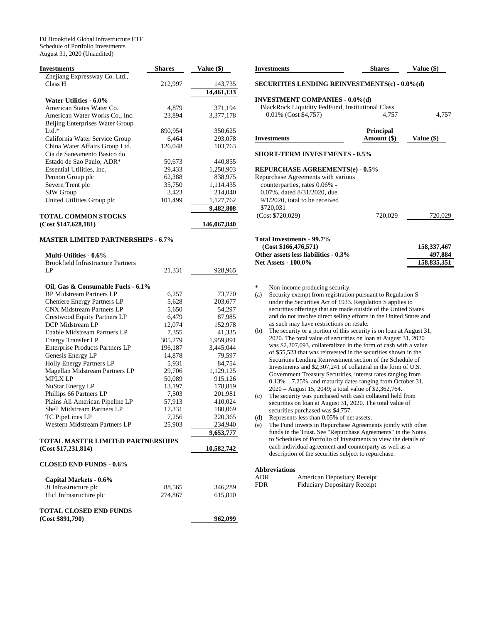DJ Brookfield Global Infrastructure ETF Schedule of Portfolio Investments August 31, 2020 (Unaudited)

| <b>Investments</b>                               | <b>Shares</b> | Value (\$)  |
|--------------------------------------------------|---------------|-------------|
| Zhejiang Expressway Co. Ltd.,                    |               |             |
| Class H                                          | 212,997       | 143,735     |
|                                                  |               | 14,461,133  |
| Water Utilities - 6.0%                           |               |             |
| American States Water Co.                        | 4,879         | 371,194     |
| American Water Works Co., Inc.                   | 23,894        | 3,377,178   |
| Beijing Enterprises Water Group                  |               |             |
| Ltd. $*$                                         | 890,954       | 350,625     |
| California Water Service Group                   | 6,464         | 293,078     |
| China Water Affairs Group Ltd.                   | 126,048       | 103,763     |
| Cia de Saneamento Basico do                      |               |             |
| Estado de Sao Paulo, ADR*                        | 50,673        | 440,855     |
| Essential Utilities, Inc.                        | 29,433        | 1,250,903   |
| Pennon Group plc                                 | 62,388        | 838,975     |
| Severn Trent plc                                 | 35,750        | 1,114,435   |
| SJW Group                                        | 3,423         | 214,040     |
| United Utilities Group plc                       | 101,499       | 1,127,762   |
|                                                  |               | 9,482,808   |
| <b>TOTAL COMMON STOCKS</b>                       |               |             |
| (Cost \$147,628,181)                             |               | 146,067,840 |
|                                                  |               |             |
| <b>MASTER LIMITED PARTNERSHIPS - 6.7%</b>        |               |             |
| <b>Multi-Utilities - 0.6%</b>                    |               |             |
| <b>Brookfield Infrastructure Partners</b>        |               |             |
| LP                                               | 21,331        | 928,965     |
|                                                  |               |             |
| Oil, Gas & Consumable Fuels - 6.1%               |               |             |
| <b>BP Midstream Partners LP</b>                  | 6,257         | 73,770      |
| Cheniere Energy Partners LP                      | 5,628         | 203,677     |
| <b>CNX Midstream Partners LP</b>                 | 5,650         | 54,297      |
| Crestwood Equity Partners LP                     | 6,479         | 87,985      |
| DCP Midstream LP                                 | 12,074        | 152,978     |
| Enable Midstream Partners LP                     | 7,355         | 41,335      |
| <b>Energy Transfer LP</b>                        | 305,279       | 1,959,891   |
| <b>Enterprise Products Partners LP</b>           | 196,187       | 3,445,044   |
| Genesis Energy LP                                | 14,878        | 79,597      |
|                                                  |               |             |
| Holly Energy Partners LP                         | 5,931         | 84,754      |
| Magellan Midstream Partners LP<br><b>MPLX LP</b> | 29,706        | 1,129,125   |
|                                                  | 50,089        | 915,126     |
| NuStar Energy LP                                 | 13,197        | 178,819     |
| Phillips 66 Partners LP                          | 7,503         | 201,981     |
| Plains All American Pipeline LP                  | 57,913        | 410,024     |
| Shell Midstream Partners LP                      | 17,331        | 180,069     |
| TC PipeLines LP                                  | 7,256         | 220,365     |
| Western Midstream Partners LP                    | 25,903        | 234,940     |
|                                                  |               | 9,653,777   |
| TOTAL MASTER LIMITED PARTNERSHIPS                |               |             |
| (Cost \$17,231,814)                              |               | 10,582,742  |
| <b>CLOSED END FUNDS - 0.6%</b>                   |               |             |
| Capital Markets - 0.6%                           |               |             |
| 3i Infrastructure plc                            | 88,565        | 346,289     |
| Hicl Infrastructure plc                          | 274,867       | 615,810     |
|                                                  |               |             |
| <b>TOTAL CLOSED END FUNDS</b>                    |               |             |
| (Cost \$891,790)                                 |               | 962,099     |

| <b>Investments</b>                                                                                                                                                                             | <b>Shares</b>                   | Value (\$)               |
|------------------------------------------------------------------------------------------------------------------------------------------------------------------------------------------------|---------------------------------|--------------------------|
| <b>SECURITIES LENDING REINVESTMENTS(c) - 0.0%(d)</b>                                                                                                                                           |                                 |                          |
| <b>INVESTMENT COMPANIES - 0.0%(d)</b>                                                                                                                                                          |                                 |                          |
| BlackRock Liquidity FedFund, Institutional Class                                                                                                                                               |                                 |                          |
| 0.01% (Cost \$4,757)                                                                                                                                                                           | 4.757                           | 4,757                    |
| <b>Investments</b>                                                                                                                                                                             | <b>Principal</b><br>Amount (\$) | Value (\$)               |
| <b>REPURCHASE AGREEMENTS(e) - 0.5%</b><br>Repurchase Agreements with various<br>counterparties, rates 0.06% -<br>0.07%, dated 8/31/2020, due<br>$9/1/2020$ , total to be received<br>\$720,031 |                                 |                          |
| (Cost \$720,029)<br>Total Investments - 99.7%<br>(Cost \$166, 476, 571)                                                                                                                        | 720,029                         | 720,029<br>158, 337, 467 |
|                                                                                                                                                                                                |                                 |                          |
| Other assets less liabilities - 0.3%                                                                                                                                                           |                                 | 497,884                  |

Non-income producing security.

- (a) Security exempt from registration pursuant to Regulation S under the Securities Act of 1933. Regulation S applies to securities offerings that are made outside of the United States and do not involve direct selling efforts in the United States and as such may have restrictions on resale.
- (b) The security or a portion of this security is on loan at August 31, 2020. The total value of securities on loan at August 31, 2020 was \$2,207,093, collateralized in the form of cash with a value of \$55,523 that was reinvested in the securities shown in the Securities Lending Reinvestment section of the Schedule of Investments and \$2,307,241 of collateral in the form of U.S. Government Treasury Securities, interest rates ranging from 0.13% – 7.25%, and maturity dates ranging from October 31, 2020 – August 15, 2049; a total value of \$2,362,764.
- (c) The security was purchased with cash collateral held from securities on loan at August 31, 2020. The total value of securities purchased was \$4,757.
- (d) Represents less than 0.05% of net assets.
- (e) The Fund invests in Repurchase Agreements jointly with other funds in the Trust. See "Repurchase Agreements" in the Notes to Schedules of Portfolio of Investments to view the details of each individual agreement and counterparty as well as a description of the securities subject to repurchase.

## **Abbreviations**

| ADR  | American Depositary Receipt         |
|------|-------------------------------------|
| FDR. | <b>Fiduciary Depositary Receipt</b> |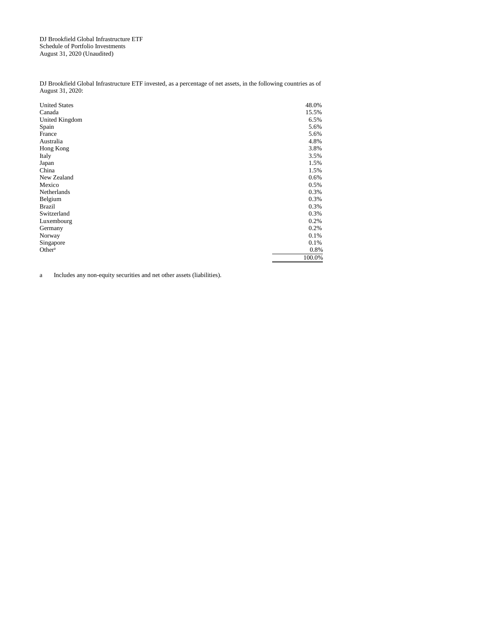DJ Brookfield Global Infrastructure ETF Schedule of Portfolio Investments August 31, 2020 (Unaudited)

DJ Brookfield Global Infrastructure ETF invested, as a percentage of net assets, in the following countries as of August 31, 2020:

| <b>United States</b> | 48.0%  |
|----------------------|--------|
| Canada               | 15.5%  |
| United Kingdom       | 6.5%   |
| Spain                | 5.6%   |
| France               | 5.6%   |
| Australia            | 4.8%   |
| Hong Kong            | 3.8%   |
| Italy                | 3.5%   |
| Japan                | 1.5%   |
| China                | 1.5%   |
| New Zealand          | 0.6%   |
| Mexico               | 0.5%   |
| Netherlands          | 0.3%   |
| Belgium              | 0.3%   |
| <b>Brazil</b>        | 0.3%   |
| Switzerland          | 0.3%   |
| Luxembourg           | 0.2%   |
| Germany              | 0.2%   |
| Norway               | 0.1%   |
| Singapore            | 0.1%   |
| Other <sup>a</sup>   | 0.8%   |
|                      | 100.0% |

a Includes any non-equity securities and net other assets (liabilities).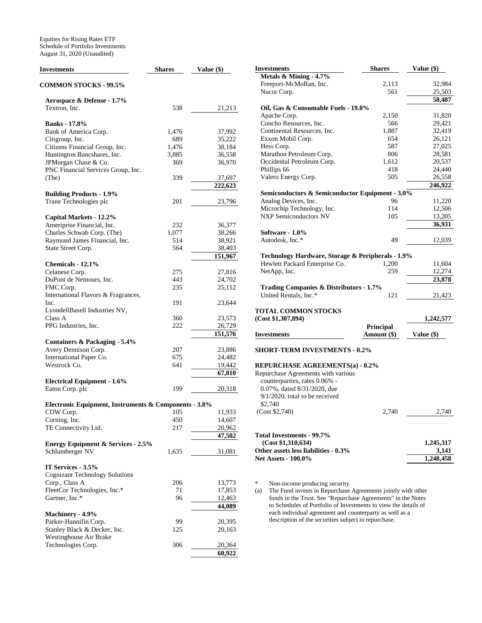Equities for Rising Rates ETF Schedule of Portfolio Investments August 31, 2020 (Unaudited)

| <b>Investments</b>                                          | Shares | Value (\$)        |
|-------------------------------------------------------------|--------|-------------------|
| <b>COMMON STOCKS - 99.5%</b>                                |        |                   |
| Aerospace & Defense - 1.7%                                  |        |                   |
| Textron. Inc.                                               | 538    | 21,213            |
| <b>Banks</b> - 17.8%                                        |        |                   |
| Bank of America Corp.                                       | 1,476  | 37,992            |
| Citigroup, Inc.                                             | 689    | 35,222            |
| Citizens Financial Group, Inc.                              | 1,476  | 38,184            |
| Huntington Bancshares, Inc.                                 | 3,885  | 36,558            |
| JPMorgan Chase & Co.<br>PNC Financial Services Group, Inc.  | 369    | 36,970            |
| (The)                                                       | 339    | 37,697            |
|                                                             |        | 222,623           |
| <b>Building Products - 1.9%</b><br>Trane Technologies plc   | 201    | 23,796            |
|                                                             |        |                   |
| Capital Markets - 12.2%                                     |        |                   |
| Ameriprise Financial, Inc.                                  | 232    | 36,377            |
| Charles Schwab Corp. (The)                                  | 1,077  | 38,266            |
| Raymond James Financial, Inc.                               | 514    | 38,921            |
| State Street Corp.                                          | 564    | 38,403<br>151,967 |
| Chemicals - 12.1%                                           |        |                   |
| Celanese Corp.                                              | 275    | 27,816            |
| DuPont de Nemours, Inc.                                     | 443    | 24,702            |
| FMC Corp.                                                   | 235    | 25,112            |
| International Flavors & Fragrances,                         |        |                   |
| Inc.                                                        | 191    | 23,644            |
| LyondellBasell Industries NV,                               |        |                   |
| Class A                                                     | 360    | 23,573            |
| PPG Industries, Inc.                                        | 222    | 26,729            |
| Containers & Packaging - 5.4%                               |        | 151,576           |
| Avery Dennison Corp.                                        | 207    | 23,886            |
| International Paper Co.                                     | 675    | 24,482            |
| Westrock Co.                                                | 641    | 19,442            |
|                                                             |        | 67,810            |
| <b>Electrical Equipment - 1.6%</b><br>Eaton Corp. plc       | 199    | 20,318            |
|                                                             |        |                   |
| Electronic Equipment, Instruments & Components - 3.8%       |        |                   |
| CDW Corp.                                                   | 105    | 11,933            |
| Corning, Inc.                                               | 450    | 14,607            |
| TE Connectivity Ltd.                                        | 217    | 20,962<br>47,502  |
| <b>Energy Equipment &amp; Services - 2.5%</b>               |        |                   |
| Schlumberger NV                                             | 1,635  | 31,081            |
|                                                             |        |                   |
| IT Services - 3.5%<br><b>Cognizant Technology Solutions</b> |        |                   |
| Corp., Class A                                              | 206    | 13,773            |
| FleetCor Technologies, Inc.*                                | 71     | 17,853            |
| Gartner, Inc.*                                              | 96     | 12,463            |
|                                                             |        | 44,089            |
| Machinery - 4.9%                                            |        |                   |
| Parker-Hannifin Corp.                                       | 99     | 20,395            |
| Stanley Black & Decker, Inc.                                | 125    | 20,163            |
| Westinghouse Air Brake                                      |        |                   |
| Technologies Corp.                                          | 306    | 20,364            |
|                                                             |        | 60,922            |

| <b>Investments</b>                                                                                         | <b>Shares</b>    | Value (\$) |
|------------------------------------------------------------------------------------------------------------|------------------|------------|
| Metals & Mining - 4.7%                                                                                     |                  |            |
| Freeport-McMoRan, Inc.                                                                                     | 2,113            | 32,984     |
| Nucor Corp.                                                                                                | 561              | 25,503     |
|                                                                                                            |                  | 58,487     |
| Oil, Gas & Consumable Fuels - 19.8%                                                                        |                  |            |
| Apache Corp.                                                                                               | 2,150            | 31,820     |
| Concho Resources, Inc.                                                                                     | 566              | 29,421     |
| Continental Resources, Inc.                                                                                | 1,887            | 32,419     |
| Exxon Mobil Corp.                                                                                          | 654              | 26,121     |
| Hess Corp.                                                                                                 | 587              | 27,025     |
| Marathon Petroleum Corp.                                                                                   | 806              | 28,581     |
| Occidental Petroleum Corp.                                                                                 | 1,612            | 20,537     |
| Phillips 66                                                                                                | 418              | 24,440     |
| Valero Energy Corp.                                                                                        | 505              | 26,558     |
|                                                                                                            |                  | 246,922    |
| Semiconductors & Semiconductor Equipment - 3.0%                                                            |                  |            |
| Analog Devices, Inc.                                                                                       | 96               | 11,220     |
| Microchip Technology, Inc.                                                                                 | 114              | 12,506     |
| <b>NXP Semiconductors NV</b>                                                                               | 105              | 13,205     |
|                                                                                                            |                  | 36,931     |
| Software - 1.0%                                                                                            |                  |            |
| Autodesk, Inc.*                                                                                            | 49               | 12,039     |
|                                                                                                            |                  |            |
| Technology Hardware, Storage & Peripherals - 1.9%                                                          |                  |            |
| Hewlett Packard Enterprise Co.                                                                             | 1,200            | 11,604     |
| NetApp, Inc.                                                                                               | 259              | 12,274     |
|                                                                                                            |                  | 23,878     |
| <b>Trading Companies &amp; Distributors - 1.7%</b>                                                         |                  |            |
| United Rentals, Inc.*                                                                                      | 121              | 21,423     |
|                                                                                                            |                  |            |
| <b>TOTAL COMMON STOCKS</b>                                                                                 |                  |            |
| (Cost \$1,307,894)                                                                                         |                  | 1,242,577  |
|                                                                                                            | <b>Principal</b> |            |
| <b>Investments</b>                                                                                         | Amount (\$)      | Value (\$) |
|                                                                                                            |                  |            |
| <b>SHORT-TERM INVESTMENTS - 0.2%</b>                                                                       |                  |            |
| <b>REPURCHASE AGREEMENTS(a) - 0.2%</b>                                                                     |                  |            |
| Repurchase Agreements with various                                                                         |                  |            |
| counterparties, rates 0.06% -                                                                              |                  |            |
| 0.07%, dated 8/31/2020, due                                                                                |                  |            |
| $9/1/2020$ , total to be received                                                                          |                  |            |
| \$2,740                                                                                                    |                  |            |
| (Cost \$2,740)                                                                                             | 2,740            | 2,740      |
|                                                                                                            |                  |            |
|                                                                                                            |                  |            |
| Total Investments - 99.7%                                                                                  |                  |            |
| (Cost \$1,310,634)                                                                                         |                  | 1,245,317  |
| Other assets less liabilities - 0.3%                                                                       |                  | 3,141      |
| <b>Net Assets - 100.0%</b>                                                                                 |                  | 1,248,458  |
|                                                                                                            |                  |            |
|                                                                                                            |                  |            |
| *<br>Non-income producing security.<br>The Fund invests in Repurchase Agreements jointly with other<br>(a) |                  |            |

funds in the Trust. See "Repurchase Agreements" in the Notes to Schedules of Portfolio of Investments to view the details of each individual agreement and counterparty as well as a description of the securities subject to repurchase.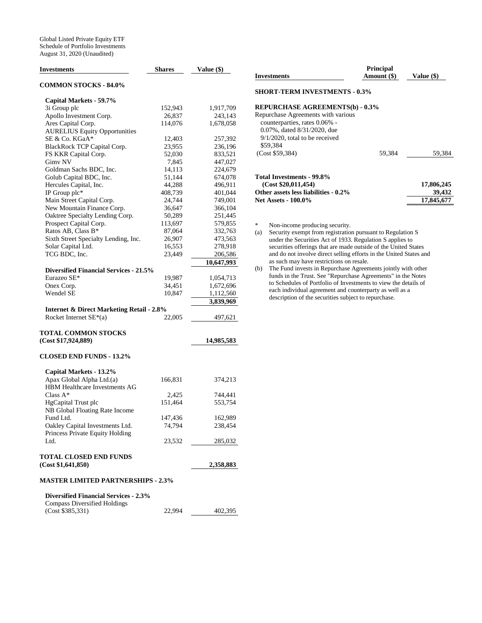| <b>Investments</b>                                                                  | <b>Shares</b> | Value (\$) |
|-------------------------------------------------------------------------------------|---------------|------------|
| <b>COMMON STOCKS - 84.0%</b>                                                        |               |            |
| Capital Markets - 59.7%                                                             |               |            |
| 3i Group plc                                                                        | 152,943       | 1,917,709  |
| Apollo Investment Corp.                                                             | 26,837        | 243,143    |
| Ares Capital Corp.                                                                  | 114,076       | 1,678,058  |
| <b>AURELIUS Equity Opportunities</b>                                                |               |            |
| SE & Co. KGaA*                                                                      | 12,403        | 257,392    |
| BlackRock TCP Capital Corp.                                                         | 23,955        | 236,196    |
| FS KKR Capital Corp.                                                                | 52,030        | 833,521    |
| Gimv NV                                                                             | 7,845         | 447,027    |
| Goldman Sachs BDC, Inc.                                                             | 14,113        | 224,679    |
| Golub Capital BDC, Inc.                                                             | 51,144        | 674,078    |
| Hercules Capital, Inc.                                                              | 44,288        | 496,911    |
| IP Group plc*                                                                       | 408,739       | 401,044    |
| Main Street Capital Corp.                                                           | 24,744        | 749,001    |
| New Mountain Finance Corp.                                                          | 36,647        | 366,104    |
| Oaktree Specialty Lending Corp.                                                     | 50,289        | 251,445    |
| Prospect Capital Corp.                                                              | 113,697       | 579,855    |
| Ratos AB, Class B*                                                                  | 87,064        | 332,763    |
| Sixth Street Specialty Lending, Inc.                                                | 26,907        | 473,563    |
| Solar Capital Ltd.                                                                  | 16,553        | 278,918    |
| TCG BDC, Inc.                                                                       | 23,449        | 206,586    |
|                                                                                     |               | 10,647,993 |
| <b>Diversified Financial Services - 21.5%</b>                                       |               |            |
| Eurazeo SE*                                                                         | 19,987        | 1,054,713  |
| Onex Corp.                                                                          | 34,451        | 1,672,696  |
| Wendel SE                                                                           | 10,847        | 1,112,560  |
|                                                                                     |               | 3,839,969  |
| <b>Internet &amp; Direct Marketing Retail - 2.8%</b><br>Rocket Internet $SE*(a)$    | 22,005        | 497,621    |
|                                                                                     |               |            |
| <b>TOTAL COMMON STOCKS</b>                                                          |               |            |
| (Cost \$17,924,889)                                                                 |               | 14,985,583 |
| <b>CLOSED END FUNDS - 13.2%</b>                                                     |               |            |
| Capital Markets - 13.2%                                                             |               |            |
| Apax Global Alpha Ltd.(a)                                                           | 166,831       | 374,213    |
| HBM Healthcare Investments AG                                                       |               |            |
| Class $A^*$                                                                         | 2,425         | 744,441    |
| HgCapital Trust plc                                                                 | 151,464       | 553,754    |
| NB Global Floating Rate Income                                                      |               |            |
| Fund Ltd.                                                                           | 147,436       | 162,989    |
| Oakley Capital Investments Ltd.                                                     | 74,794        | 238,454    |
| Princess Private Equity Holding                                                     |               |            |
| Ltd.                                                                                | 23,532        | 285,032    |
|                                                                                     |               |            |
| TOTAL CLOSED END FUNDS<br>(Cost \$1,641,850)                                        |               | 2,358,883  |
|                                                                                     |               |            |
| <b>MASTER LIMITED PARTNERSHIPS - 2.3%</b>                                           |               |            |
| <b>Diversified Financial Services - 2.3%</b><br><b>Compass Diversified Holdings</b> |               |            |
|                                                                                     |               |            |

| (Cost \$385,331) | 22,994 | 402,395 |
|------------------|--------|---------|
|                  |        |         |

| <b>Investments</b>                     | <b>Principal</b><br>Amount (\$) | Value (\$) |
|----------------------------------------|---------------------------------|------------|
| <b>SHORT-TERM INVESTMENTS - 0.3%</b>   |                                 |            |
| <b>REPURCHASE AGREEMENTS(b) - 0.3%</b> |                                 |            |
| Repurchase Agreements with various     |                                 |            |
| counterparties, rates 0.06% -          |                                 |            |
| 0.07%, dated 8/31/2020, due            |                                 |            |
| $9/1/2020$ , total to be received      |                                 |            |
| \$59.384                               |                                 |            |
| (Cost \$59.384)                        | 59.384                          | 59.384     |
| Total Investments - 99.8%              |                                 |            |
| (Cost \$20,011,454)                    |                                 | 17,806,245 |
| Other assets less liabilities - 0.2%   |                                 | 39,432     |
| <b>Net Assets - 100.0%</b>             |                                 | 17,845,677 |

\* Non-income producing security.<br>
(a) Security exempt from registration

Security exempt from registration pursuant to Regulation S under the Securities Act of 1933. Regulation S applies to securities offerings that are made outside of the United States and do not involve direct selling efforts in the United States and as such may have restrictions on resale.

<sup>(</sup>b) The Fund invests in Repurchase Agreements jointly with other funds in the Trust. See "Repurchase Agreements" in the Notes to Schedules of Portfolio of Investments to view the details of each individual agreement and counterparty as well as a description of the securities subject to repurchase.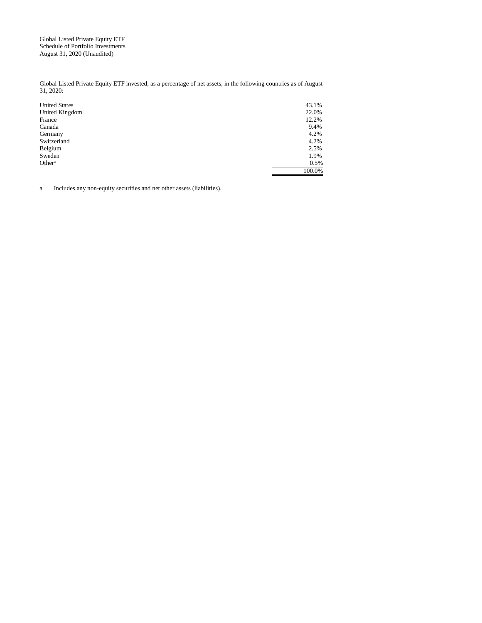Global Listed Private Equity ETF Schedule of Portfolio Investments August 31, 2020 (Unaudited)

Global Listed Private Equity ETF invested, as a percentage of net assets, in the following countries as of August 31, 2020:

| <b>United States</b> | 43.1%  |
|----------------------|--------|
| United Kingdom       | 22.0%  |
| France               | 12.2%  |
| Canada               | 9.4%   |
| Germany              | 4.2%   |
| Switzerland          | 4.2%   |
| Belgium              | 2.5%   |
| Sweden               | 1.9%   |
| Other <sup>a</sup>   | 0.5%   |
|                      | 100.0% |

a Includes any non-equity securities and net other assets (liabilities).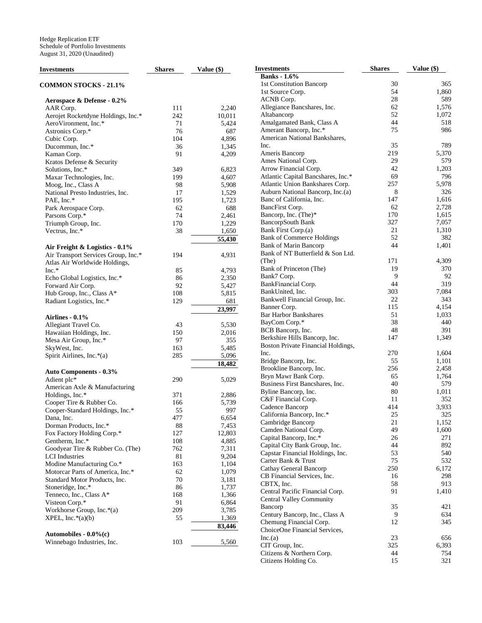| <b>Investments</b>                                        | <b>Shares</b> | Value (\$)     | <b>Investments</b>                 | <b>Shares</b> | Value (\$) |
|-----------------------------------------------------------|---------------|----------------|------------------------------------|---------------|------------|
|                                                           |               |                | <b>Banks</b> - 1.6%                |               |            |
| <b>COMMON STOCKS - 21.1%</b>                              |               |                | 1st Constitution Bancorp           | 30            | 365        |
|                                                           |               |                | 1st Source Corp.                   | 54            | 1,860      |
| Aerospace & Defense - 0.2%                                |               |                | ACNB Corp.                         | 28            | 589        |
| AAR Corp.                                                 | 111           | 2,240          | Allegiance Bancshares, Inc.        | 62            | 1,576      |
| Aerojet Rocketdyne Holdings, Inc.*                        | 242           | 10,011         | Altabancorp                        | 52            | 1,072      |
| AeroVironment, Inc.*                                      | 71            | 5,424          | Amalgamated Bank, Class A          | 44            | 518        |
| Astronics Corp.*                                          | 76            | 687            | Amerant Bancorp, Inc.*             | 75            | 986        |
| Cubic Corp.                                               | 104           | 4,896          | American National Bankshares,      |               |            |
| Ducommun, Inc.*                                           | 36            | 1,345          | Inc.                               | 35            | 789        |
| Kaman Corp.                                               | 91            | 4,209          | Ameris Bancorp                     | 219           | 5,370      |
| Kratos Defense & Security                                 |               |                | Ames National Corp.                | 29            | 579        |
| Solutions, Inc.*                                          | 349           | 6,823          | Arrow Financial Corp.              | 42            | 1,203      |
| Maxar Technologies, Inc.                                  | 199           | 4,607          | Atlantic Capital Bancshares, Inc.* | 69            | 796        |
| Moog, Inc., Class A                                       | 98            | 5,908          | Atlantic Union Bankshares Corp.    | 257           | 5,978      |
| National Presto Industries, Inc.                          | 17            | 1,529          | Auburn National Bancorp, Inc.(a)   | 8             | 326        |
| PAE, Inc.*                                                | 195           | 1,723          | Banc of California, Inc.           | 147           | 1,616      |
| Park Aerospace Corp.                                      | 62            | 688            | BancFirst Corp.                    | 62            | 2,728      |
| Parsons Corp.*                                            | 74            | 2,461          | Bancorp, Inc. (The)*               | 170           | 1,615      |
| Triumph Group, Inc.                                       | 170           | 1,229          | BancorpSouth Bank                  | 327           | 7,057      |
| Vectrus, Inc.*                                            | 38            | 1,650          | Bank First Corp.(a)                | 21            | 1,310      |
|                                                           |               | 55,430         | <b>Bank of Commerce Holdings</b>   | 52            | 382        |
| Air Freight & Logistics - 0.1%                            |               |                | <b>Bank of Marin Bancorp</b>       | 44            | 1,401      |
| Air Transport Services Group, Inc.*                       | 194           | 4,931          | Bank of NT Butterfield & Son Ltd.  |               |            |
| Atlas Air Worldwide Holdings,                             |               |                | (The)                              | 171           | 4,309      |
| $Inc.*$                                                   | 85            | 4,793          | Bank of Princeton (The)            | 19            | 370        |
| Echo Global Logistics, Inc.*                              | 86            | 2,350          | Bank7 Corp.                        | 9             | 92         |
| Forward Air Corp.                                         | 92            | 5,427          | BankFinancial Corp.                | 44            | 319        |
| Hub Group, Inc., Class A*                                 | 108           | 5,815          | BankUnited, Inc.                   | 303           | 7,084      |
| Radiant Logistics, Inc.*                                  | 129           | 681            | Bankwell Financial Group, Inc.     | 22            | 343        |
|                                                           |               | 23,997         | Banner Corp.                       | 115           | 4,154      |
| Airlines - 0.1%                                           |               |                | <b>Bar Harbor Bankshares</b>       | 51            | 1,033      |
| Allegiant Travel Co.                                      | 43            | 5,530          | BayCom Corp.*                      | 38            | 440        |
| Hawaiian Holdings, Inc.                                   | 150           | 2,016          | BCB Bancorp, Inc.                  | 48            | 391        |
| Mesa Air Group, Inc.*                                     | 97            | 355            | Berkshire Hills Bancorp, Inc.      | 147           | 1,349      |
| SkyWest, Inc.                                             | 163           | 5,485          | Boston Private Financial Holdings, |               |            |
| Spirit Airlines, Inc.*(a)                                 | 285           | 5,096          | Inc.                               | 270           | 1,604      |
|                                                           |               | 18,482         | Bridge Bancorp, Inc.               | 55            | 1,101      |
|                                                           |               |                | Brookline Bancorp, Inc.            | 256           | 2,458      |
| <b>Auto Components - 0.3%</b><br>Adient plc*              | 290           |                | Bryn Mawr Bank Corp.               | 65            | 1,764      |
|                                                           |               | 5,029          | Business First Bancshares, Inc.    | 40            | 579        |
| American Axle & Manufacturing                             |               |                | Byline Bancorp, Inc.               | 80            | 1,011      |
| Holdings, Inc.*                                           | 371           | 2,886          | C&F Financial Corp.                | 11            | 352        |
| Cooper Tire & Rubber Co.                                  | 166           | 5,739          | Cadence Bancorp                    | 414           | 3,933      |
| Cooper-Standard Holdings, Inc.*                           | 55            | 997            | California Bancorp, Inc.*          | 25            | 325        |
| Dana, Inc.                                                | 477           | 6,654          | Cambridge Bancorp                  | 21            | 1,152      |
| Dorman Products, Inc.*                                    | 88            | 7,453          | Camden National Corp.              | 49            | 1,600      |
| Fox Factory Holding Corp.*                                | 127           | 12,803         | Capital Bancorp, Inc.*             | 26            | 271        |
| Gentherm, Inc.*                                           | 108<br>762    | 4,885          | Capital City Bank Group, Inc.      | 44            | 892        |
| Goodyear Tire & Rubber Co. (The)<br><b>LCI</b> Industries | 81            | 7,311          | Capstar Financial Holdings, Inc.   | 53            | 540        |
| Modine Manufacturing Co.*                                 | 163           | 9,204          | Carter Bank & Trust                | 75            | 532        |
| Motorcar Parts of America, Inc.*                          | 62            | 1,104          | Cathay General Bancorp             | 250           | 6,172      |
| Standard Motor Products, Inc.                             | 70            | 1,079<br>3,181 | CB Financial Services, Inc.        | 16            | 298        |
|                                                           | 86            |                | CBTX, Inc.                         | 58            | 913        |
| Stoneridge, Inc.*<br>Tenneco, Inc., Class A*              | 168           | 1,737<br>1,366 | Central Pacific Financial Corp.    | 91            | 1,410      |
|                                                           | 91            |                | Central Valley Community           |               |            |
| Visteon Corp.*<br>Workhorse Group, Inc. $*(a)$            | 209           | 6,864          | Bancorp                            | 35            | 421        |
|                                                           |               | 3,785          | Century Bancorp, Inc., Class A     | 9             | 634        |
| $XPEL, Inc.*(a)(b)$                                       | 55            | 1,369          | Chemung Financial Corp.            | 12            | 345        |
|                                                           |               | 83,446         | ChoiceOne Financial Services,      |               |            |
| Automobiles - $0.0\%$ (c)                                 |               |                | Inc.(a)                            | 23            | 656        |
| Winnebago Industries, Inc.                                | 103           | 5,560          | CIT Group, Inc.                    | 325           | 6,393      |
|                                                           |               |                | Citizens & Northern Corp.          | 44            | 754        |
|                                                           |               |                | Citizens Holding Co.               | 15            | 321        |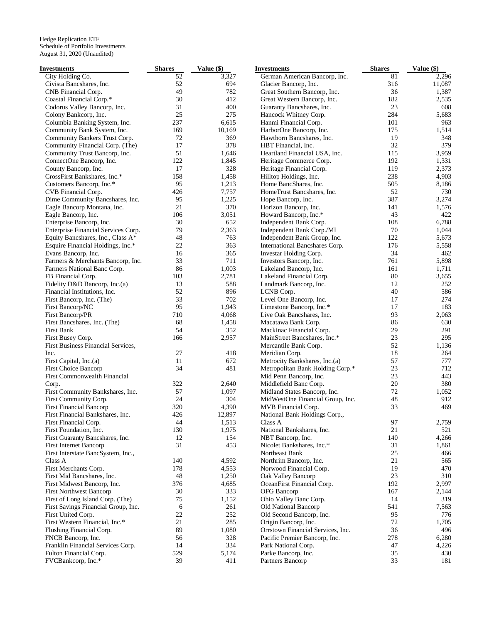| Investments                         | <b>Shares</b> | Value (\$)         | <b>Investments</b>                | <b>Shares</b> | Value (\$)   |
|-------------------------------------|---------------|--------------------|-----------------------------------|---------------|--------------|
| City Holding Co.                    | 52            | $\overline{3,327}$ | German American Bancorp, Inc.     | 81            | 2,296        |
| Civista Bancshares, Inc.            | 52            | 694                | Glacier Bancorp, Inc.             | 316           | 11,087       |
| CNB Financial Corp.                 | 49            | 782                | Great Southern Bancorp, Inc.      | 36            | 1,387        |
| Coastal Financial Corp.*            | 30            | 412                | Great Western Bancorp, Inc.       | 182           | 2,535        |
| Codorus Valley Bancorp, Inc.        | 31            | 400                | Guaranty Bancshares, Inc.         | 23            | 608          |
| Colony Bankcorp, Inc.               | 25            | 275                | Hancock Whitney Corp.             | 284           | 5,683        |
| Columbia Banking System, Inc.       | 237           | 6,615              | Hanmi Financial Corp.             | 101           | 963          |
| Community Bank System, Inc.         | 169           | 10,169             | HarborOne Bancorp, Inc.           | 175           | 1,514        |
| Community Bankers Trust Corp.       | 72            | 369                | Hawthorn Bancshares, Inc.         | 19            | 348          |
| Community Financial Corp. (The)     | 17            | 378                | HBT Financial, Inc.               | 32            | 379          |
| Community Trust Bancorp, Inc.       | 51            | 1,646              | Heartland Financial USA, Inc.     | 115           | 3,959        |
|                                     | 122           |                    |                                   |               |              |
| ConnectOne Bancorp, Inc.            |               | 1,845              | Heritage Commerce Corp.           | 192           | 1,331        |
| County Bancorp, Inc.                | 17            | 328                | Heritage Financial Corp.          | 119           | 2,373        |
| CrossFirst Bankshares, Inc.*        | 158           | 1,458              | Hilltop Holdings, Inc.            | 238           | 4,903        |
| Customers Bancorp, Inc.*            | 95            | 1,213              | Home BancShares, Inc.             | 505           | 8,186        |
| CVB Financial Corp.                 | 426           | 7,757              | HomeTrust Bancshares, Inc.        | 52            | 730          |
| Dime Community Bancshares, Inc.     | 95            | 1,225              | Hope Bancorp, Inc.                | 387           | 3,274        |
| Eagle Bancorp Montana, Inc.         | 21            | 370                | Horizon Bancorp, Inc.             | 141           | 1,576        |
| Eagle Bancorp, Inc.                 | 106           | 3,051              | Howard Bancorp, Inc.*             | 43            | 422          |
| Enterprise Bancorp, Inc.            | 30            | 652                | Independent Bank Corp.            | 108           | 6,788        |
| Enterprise Financial Services Corp. | 79            | 2,363              | Independent Bank Corp./MI         | 70            | 1,044        |
| Equity Bancshares, Inc., Class A*   | 48            | 763                | Independent Bank Group, Inc.      | 122           | 5,673        |
| Esquire Financial Holdings, Inc.*   | 22            | 363                | International Bancshares Corp.    | 176           | 5,558        |
| Evans Bancorp, Inc.                 | 16            | 365                | Investar Holding Corp.            | 34            | 462          |
| Farmers & Merchants Bancorp, Inc.   | 33            | 711                | Investors Bancorp, Inc.           | 761           | 5,898        |
| Farmers National Banc Corp.         | 86            | 1,003              | Lakeland Bancorp, Inc.            | 161           | 1,711        |
| FB Financial Corp.                  | 103           | 2,781              | Lakeland Financial Corp.          | 80            | 3,655        |
| Fidelity D&D Bancorp, Inc.(a)       | 13            | 588                | Landmark Bancorp, Inc.            | 12            | 252          |
| Financial Institutions, Inc.        | 52            | 896                | LCNB Corp.                        | 40            | 586          |
| First Bancorp, Inc. (The)           | 33            | 702                | Level One Bancorp, Inc.           | 17            | 274          |
| First Bancorp/NC                    | 95            | 1,943              | Limestone Bancorp, Inc.*          | 17            | 183          |
|                                     |               |                    |                                   |               |              |
| First Bancorp/PR                    | 710<br>68     | 4,068              | Live Oak Bancshares, Inc.         | 93<br>86      | 2,063<br>630 |
| First Bancshares, Inc. (The)        |               | 1,458              | Macatawa Bank Corp.               |               |              |
| <b>First Bank</b>                   | 54            | 352                | Mackinac Financial Corp.          | 29            | 291          |
| First Busey Corp.                   | 166           | 2,957              | MainStreet Bancshares, Inc.*      | 23            | 295          |
| First Business Financial Services,  |               |                    | Mercantile Bank Corp.             | 52            | 1,136        |
| Inc.                                | 27            | 418                | Meridian Corp.                    | 18            | 264          |
| First Capital, Inc.(a)              | 11            | 672                | Metrocity Bankshares, Inc.(a)     | 57            | 777          |
| <b>First Choice Bancorp</b>         | 34            | 481                | Metropolitan Bank Holding Corp.*  | 23            | 712          |
| First Commonwealth Financial        |               |                    | Mid Penn Bancorp, Inc.            | 23            | 443          |
| Corp.                               | 322           | 2,640              | Middlefield Banc Corp.            | 20            | 380          |
| First Community Bankshares, Inc.    | 57            | 1,097              | Midland States Bancorp, Inc.      | 72            | 1,052        |
| First Community Corp.               | 24            | 304                | MidWestOne Financial Group, Inc.  | 48            | 912          |
| <b>First Financial Bancorp</b>      | 320           | 4,390              | MVB Financial Corp.               | 33            | 469          |
| First Financial Bankshares, Inc.    | 426           | 12,897             | National Bank Holdings Corp.,     |               |              |
| First Financial Corp.               | 44            | 1,513              | Class A                           | 97            | 2,759        |
| First Foundation, Inc.              | 130           | 1,975              | National Bankshares, Inc.         | 21            | 521          |
| First Guaranty Bancshares, Inc.     | 12            | 154                | NBT Bancorp, Inc.                 | 140           | 4,266        |
| First Internet Bancorp              | 31            | 453                | Nicolet Bankshares, Inc.*         | 31            | 1,861        |
| First Interstate BancSystem, Inc.,  |               |                    | Northeast Bank                    | 25            | 466          |
| Class A                             | 140           | 4,592              | Northrim Bancorp, Inc.            | 21            | 565          |
| First Merchants Corp.               | 178           | 4,553              | Norwood Financial Corp.           | 19            | 470          |
| First Mid Bancshares, Inc.          | 48            |                    |                                   | 23            | 310          |
|                                     |               | 1,250              | Oak Valley Bancorp                |               |              |
| First Midwest Bancorp, Inc.         | 376           | 4,685              | OceanFirst Financial Corp.        | 192           | 2,997        |
| <b>First Northwest Bancorp</b>      | 30            | 333                | OFG Bancorp                       | 167           | 2,144        |
| First of Long Island Corp. (The)    | 75            | 1,152              | Ohio Valley Banc Corp.            | 14            | 319          |
| First Savings Financial Group, Inc. | 6             | 261                | Old National Bancorp              | 541           | 7,563        |
| First United Corp.                  | 22            | 252                | Old Second Bancorp, Inc.          | 95            | 776          |
| First Western Financial, Inc.*      | 21            | 285                | Origin Bancorp, Inc.              | 72            | 1,705        |
| Flushing Financial Corp.            | 89            | 1,080              | Orrstown Financial Services, Inc. | 36            | 496          |
| FNCB Bancorp, Inc.                  | 56            | 328                | Pacific Premier Bancorp, Inc.     | 278           | 6,280        |
| Franklin Financial Services Corp.   | 14            | 334                | Park National Corp.               | 47            | 4,226        |
| Fulton Financial Corp.              | 529           | 5,174              | Parke Bancorp, Inc.               | 35            | 430          |
| FVCBankcorp, Inc.*                  | 39            | 411                | Partners Bancorp                  | 33            | 181          |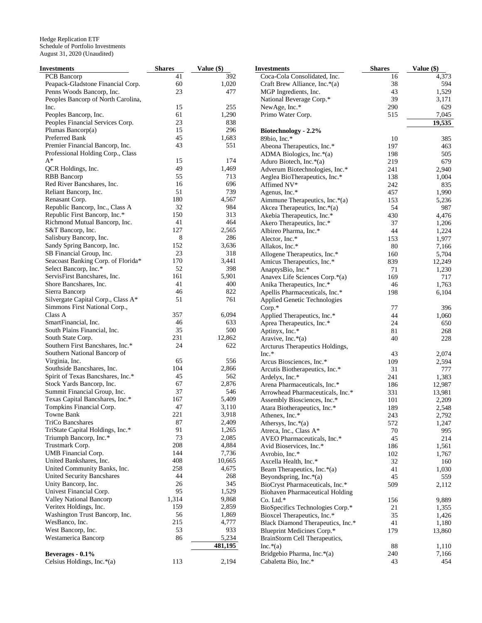| Investments                                           | <b>Shares</b> | Value (\$)   | <b>Investments</b>                     | <b>Shares</b> | Value (\$)   |
|-------------------------------------------------------|---------------|--------------|----------------------------------------|---------------|--------------|
| <b>PCB</b> Bancorp                                    | 41            | 392          | Coca-Cola Consolidated, Inc.           | 16            | 4,373        |
| Peapack-Gladstone Financial Corp.                     | 60            | 1,020        | Craft Brew Alliance, Inc.*(a)          | 38            | 594          |
| Penns Woods Bancorp, Inc.                             | 23            | 477          | MGP Ingredients, Inc.                  | 43            | 1,529        |
| Peoples Bancorp of North Carolina,                    |               |              | National Beverage Corp.*               | 39            | 3,171        |
| Inc.                                                  | 15            | 255          | NewAge, Inc.*                          | 290           | 629          |
| Peoples Bancorp, Inc.                                 | 61            | 1,290        | Primo Water Corp.                      | 515           | 7,045        |
| Peoples Financial Services Corp.                      | 23            | 838          |                                        |               | 19,535       |
| Plumas Bancorp(a)                                     | 15            | 296          | Biotechnology - 2.2%                   |               |              |
| Preferred Bank                                        | 45            | 1,683        | 89bio, Inc.*                           | 10            | 385          |
| Premier Financial Bancorp, Inc.                       | 43            | 551          | Abeona Therapeutics, Inc.*             | 197           | 463          |
| Professional Holding Corp., Class                     |               |              | ADMA Biologics, Inc.*(a)               | 198           | 505          |
| $A^*$                                                 | 15            | 174          | Aduro Biotech, Inc.*(a)                | 219           | 679          |
| QCR Holdings, Inc.                                    | 49            | 1,469        | Adverum Biotechnologies, Inc.*         | 241           | 2,940        |
| <b>RBB</b> Bancorp                                    | 55            | 713          | Aeglea BioTherapeutics, Inc.*          | 138           | 1,004        |
| Red River Bancshares, Inc.                            | 16            | 696          | Affimed NV*                            | 242           | 835          |
| Reliant Bancorp, Inc.                                 | 51            | 739          | Agenus, Inc.*                          | 457           | 1,990        |
| Renasant Corp.                                        | 180           | 4,567        | Aimmune Therapeutics, Inc.*(a)         | 153           | 5,236        |
| Republic Bancorp, Inc., Class A                       | 32            | 984          | Akcea Therapeutics, Inc.*(a)           | 54            | 987          |
| Republic First Bancorp, Inc.*                         | 150           | 313          | Akebia Therapeutics, Inc.*             | 430           | 4,476        |
| Richmond Mutual Bancorp, Inc.                         | 41            | 464          | Akero Therapeutics, Inc.*              | 37            | 1,206        |
| S&T Bancorp, Inc.                                     | 127           | 2,565        | Albireo Pharma, Inc.*                  | 44            | 1,224        |
| Salisbury Bancorp, Inc.                               | 8             | 286          | Alector, Inc.*                         | 153           | 1,977        |
| Sandy Spring Bancorp, Inc.                            | 152           | 3,636        | Allakos, Inc.*                         | 80            | 7,166        |
| SB Financial Group, Inc.                              | 23            | 318          | Allogene Therapeutics, Inc.*           | 160           | 5,704        |
| Seacoast Banking Corp. of Florida*                    | 170           | 3,441        |                                        | 839           |              |
| Select Bancorp, Inc.*                                 | 52            | 398          | Amicus Therapeutics, Inc.*             |               | 12,249       |
| ServisFirst Bancshares, Inc.                          | 161           | 5,901        | AnaptysBio, Inc.*                      | 71<br>169     | 1,230<br>717 |
| Shore Bancshares, Inc.                                | 41            | 400          | Anavex Life Sciences Corp.*(a)         | 46            |              |
| Sierra Bancorp                                        | 46            | 822          | Anika Therapeutics, Inc.*              |               | 1,763        |
| Silvergate Capital Corp., Class A*                    | 51            | 761          | Apellis Pharmaceuticals, Inc.*         | 198           | 6,104        |
| Simmons First National Corp.,                         |               |              | Applied Genetic Technologies           |               |              |
| Class A                                               | 357           |              | $Corp.*$                               | 77            | 396          |
| SmartFinancial, Inc.                                  | 46            | 6,094<br>633 | Applied Therapeutics, Inc.*            | 44<br>24      | 1,060        |
| South Plains Financial, Inc.                          | 35            | 500          | Aprea Therapeutics, Inc.*              |               | 650          |
|                                                       | 231           | 12,862       | Aptinyx, Inc.*                         | 81            | 268          |
| South State Corp.<br>Southern First Bancshares, Inc.* | 24            | 622          | Aravive, Inc.*(a)                      | 40            | 228          |
|                                                       |               |              | Arcturus Therapeutics Holdings,        |               |              |
| Southern National Bancorp of                          | 65            | 556          | $Inc.*$                                | 43            | 2,074        |
| Virginia, Inc.<br>Southside Bancshares, Inc.          | 104           |              | Arcus Biosciences, Inc.*               | 109           | 2,594        |
|                                                       | 45            | 2,866<br>562 | Arcutis Biotherapeutics, Inc.*         | 31            | 777          |
| Spirit of Texas Bancshares, Inc.*                     | 67            | 2,876        | Ardelyx, Inc.*                         | 241           | 1,383        |
| Stock Yards Bancorp, Inc.                             | 37            |              | Arena Pharmaceuticals, Inc.*           | 186           | 12,987       |
| Summit Financial Group, Inc.                          |               | 546          | Arrowhead Pharmaceuticals, Inc.*       | 331           | 13,981       |
| Texas Capital Bancshares, Inc.*                       | 167           | 5,409        | Assembly Biosciences, Inc.*            | 101           | 2,209        |
| Tompkins Financial Corp.                              | 47<br>221     | 3,110        | Atara Biotherapeutics, Inc.*           | 189           | 2,548        |
| Towne Bank                                            |               | 3,918        | Athenex, Inc.*                         | 243           | 2,792        |
| TriCo Bancshares                                      | 87            | 2,409        | Athersys, Inc.*(a)                     | 572           | 1,247        |
| TriState Capital Holdings, Inc.*                      | 91            | 1,265        | Atreca, Inc., Class A*                 | 70            | 995          |
| Triumph Bancorp, Inc.*                                | 73            | 2,085        | AVEO Pharmaceuticals, Inc.*            | 45            | 214          |
| Trustmark Corp.                                       | 208           | 4,884        | Avid Bioservices, Inc.*                | 186           | 1,561        |
| UMB Financial Corp.                                   | 144           | 7,736        | Avrobio, Inc.*                         | 102           | 1,767        |
| United Bankshares, Inc.                               | 408           | 10,665       | Axcella Health, Inc.*                  | 32            | 160          |
| United Community Banks, Inc.                          | 258           | 4,675        | Beam Therapeutics, Inc.*(a)            | 41            | 1,030        |
| United Security Bancshares                            | 44            | 268          | Beyondspring, Inc.*(a)                 | 45            | 559          |
| Unity Bancorp, Inc.                                   | 26            | 345          | BioCryst Pharmaceuticals, Inc.*        | 509           | 2,112        |
| Univest Financial Corp.                               | 95            | 1,529        | <b>Biohaven Pharmaceutical Holding</b> |               |              |
| <b>Valley National Bancorp</b>                        | 1,314         | 9,868        | Co. Ltd.*                              | 156           | 9,889        |
| Veritex Holdings, Inc.                                | 159           | 2,859        | BioSpecifics Technologies Corp.*       | 21            | 1,355        |
| Washington Trust Bancorp, Inc.                        | 56            | 1,869        | Bioxcel Therapeutics, Inc.*            | 35            | 1,426        |
| WesBanco, Inc.                                        | 215           | 4,777        | Black Diamond Therapeutics, Inc.*      | 41            | 1,180        |
| West Bancorp, Inc.                                    | 53            | 933          | Blueprint Medicines Corp.*             | 179           | 13,860       |
| Westamerica Bancorp                                   | 86            | 5,234        | BrainStorm Cell Therapeutics,          |               |              |
|                                                       |               | 481,195      | $Inc.*(a)$                             | 88            | 1,110        |
| Beverages - 0.1%                                      |               |              | Bridgebio Pharma, Inc.*(a)             | 240           | 7,166        |
| Celsius Holdings, Inc.*(a)                            | 113           | 2,194        | Cabaletta Bio, Inc.*                   | 43            | 454          |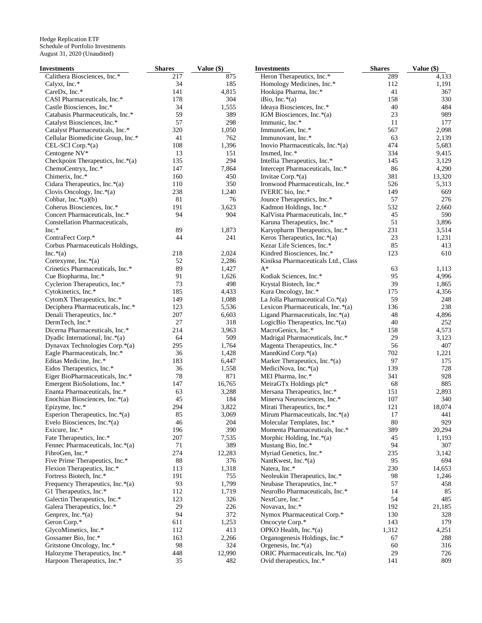| Investments                         | <b>Shares</b> | Value (\$) | <b>Investments</b>                  | <b>Shares</b> | Value (\$) |
|-------------------------------------|---------------|------------|-------------------------------------|---------------|------------|
| Calithera Biosciences, Inc.*        | 217           | 875        | Heron Therapeutics, Inc.*           | 289           | 4,133      |
| Calyxt, Inc.*                       | 34            | 185        | Homology Medicines, Inc.*           | 112           | 1,191      |
| CareDx, Inc.*                       | 141           | 4,815      | Hookipa Pharma, Inc.*               | 41            | 367        |
| CASI Pharmaceuticals, Inc.*         | 178           | 304        | iBio, Inc. $*(a)$                   | 158           | 330        |
| Castle Biosciences, Inc.*           | 34            | 1,555      | Ideaya Biosciences, Inc.*           | 40            | 484        |
| Catabasis Pharmaceuticals, Inc.*    | 59            | 389        | IGM Biosciences, Inc.*(a)           | 23            | 989        |
| Catalyst Biosciences, Inc.*         | 57            | 298        | Immunic, Inc.*                      | 11            | 177        |
| Catalyst Pharmaceuticals, Inc.*     | 320           | 1,050      | ImmunoGen, Inc.*                    | 567           | 2,098      |
| Cellular Biomedicine Group, Inc.*   | 41            | 762        | Immunovant, Inc.*                   | 63            | 2,139      |
| CEL-SCI Corp.*(a)                   | 108           | 1,396      | Inovio Pharmaceuticals, Inc.*(a)    | 474           | 5,683      |
| Centogene NV*                       | 13            | 151        | Insmed, Inc.*                       | 334           | 9,415      |
| Checkpoint Therapeutics, Inc.*(a)   | 135           | 294        | Intellia Therapeutics, Inc.*        | 145           | 3,129      |
| ChemoCentryx, Inc.*                 | 147           | 7,864      | Intercept Pharmaceuticals, Inc.*    | 86            | 4,290      |
| Chimerix, Inc.*                     | 160           | 450        | Invitae Corp.*(a)                   | 381           | 13,320     |
| Cidara Therapeutics, Inc.*(a)       | 110           | 350        | Ironwood Pharmaceuticals, Inc.*     | 526           | 5,313      |
|                                     |               |            |                                     | 149           | 669        |
| Clovis Oncology, Inc.*(a)           | 238           | 1,240      | IVERIC bio, Inc.*                   |               |            |
| Cohbar, Inc. $*(a)(b)$              | 81            | 76         | Jounce Therapeutics, Inc.*          | 57            | 276        |
| Coherus Biosciences, Inc.*          | 191           | 3,623      | Kadmon Holdings, Inc.*              | 532           | 2,660      |
| Concert Pharmaceuticals, Inc.*      | 94            | 904        | KalVista Pharmaceuticals, Inc.*     | 45            | 590        |
| Constellation Pharmaceuticals,      |               |            | Karuna Therapeutics, Inc.*          | 51            | 3,896      |
| Inc.*                               | 89            | 1,873      | Karyopharm Therapeutics, Inc.*      | 231           | 3,514      |
| ContraFect Corp.*                   | 44            | 241        | Keros Therapeutics, Inc.*(a)        | 23            | 1,231      |
| Corbus Pharmaceuticals Holdings,    |               |            | Kezar Life Sciences, Inc.*          | 85            | 413        |
| $Inc.*(a)$                          | 218           | 2,024      | Kindred Biosciences, Inc.*          | 123           | 610        |
| Cortexyme, Inc.*(a)                 | 52            | 2,286      | Kiniksa Pharmaceuticals Ltd., Class |               |            |
| Crinetics Pharmaceuticals, Inc.*    | 89            | 1,427      | $A^*$                               | 63            | 1,113      |
| Cue Biopharma, Inc.*                | 91            | 1,626      | Kodiak Sciences, Inc.*              | 95            | 4,996      |
| Cyclerion Therapeutics, Inc.*       | 73            | 498        | Krystal Biotech, Inc.*              | 39            | 1,865      |
| Cytokinetics, Inc.*                 | 185           | 4,433      | Kura Oncology, Inc.*                | 175           | 4,356      |
| CytomX Therapeutics, Inc.*          | 149           | 1,088      | La Jolla Pharmaceutical Co.*(a)     | 59            | 248        |
| Deciphera Pharmaceuticals, Inc.*    | 123           | 5,536      | Lexicon Pharmaceuticals, Inc.*(a)   | 136           | 238        |
| Denali Therapeutics, Inc.*          | 207           | 6,603      | Ligand Pharmaceuticals, Inc. $*(a)$ | 48            | 4,896      |
| DermTech, Inc.*                     | 27            | 318        | LogicBio Therapeutics, Inc. $*(a)$  | 40            | 252        |
| Dicerna Pharmaceuticals, Inc.*      | 214           | 3,963      | MacroGenics, Inc.*                  | 158           | 4,573      |
| Dyadic International, Inc.*(a)      | 64            | 509        | Madrigal Pharmaceuticals, Inc.*     | 29            | 3,123      |
| Dynavax Technologies Corp.*(a)      | 295           | 1,764      | Magenta Therapeutics, Inc.*         | 56            | 407        |
| Eagle Pharmaceuticals, Inc.*        | 36            | 1,428      | MannKind Corp.*(a)                  | 702           | 1,221      |
| Editas Medicine, Inc.*              | 183           | 6,447      | Marker Therapeutics, Inc.*(a)       | 97            | 175        |
| Eidos Therapeutics, Inc.*           | 36            | 1,558      | MediciNova, Inc.*(a)                | 139           | 728        |
| Eiger BioPharmaceuticals, Inc.*     | 78            | 871        | MEI Pharma, Inc.*                   | 341           | 928        |
|                                     | 147           | 16,765     |                                     | 68            | 885        |
| Emergent BioSolutions, Inc.*        |               |            | MeiraGTx Holdings plc*              |               |            |
| Enanta Pharmaceuticals, Inc.*       | 63            | 3,288      | Mersana Therapeutics, Inc.*         | 151           | 2,893      |
| Enochian Biosciences, Inc.*(a)      | 45            | 184        | Minerva Neurosciences, Inc.*        | 107           | 340        |
| Epizyme, Inc.*                      | 294           | 3,822      | Mirati Therapeutics, Inc.*          | 121           | 18,074     |
| Esperion Therapeutics, Inc.*(a)     | 85            | 3,069      | Mirum Pharmaceuticals, Inc.*(a)     | 17            | 441        |
| Evelo Biosciences, Inc. $*(a)$      | 46            | 204        | Molecular Templates, Inc.*          | 80            | 929        |
| Exicure, Inc.*                      | 196           | 390        | Momenta Pharmaceuticals, Inc.*      | 389           | 20,294     |
| Fate Therapeutics, Inc.*            | 207           | 7,535      | Morphic Holding, Inc.*(a)           | 45            | 1,193      |
| Fennec Pharmaceuticals, Inc.*(a)    | 71            | 389        | Mustang Bio, Inc.*                  | 94            | 307        |
| FibroGen, Inc.*                     | 274           | 12,283     | Myriad Genetics, Inc.*              | 235           | 3,142      |
| Five Prime Therapeutics, Inc.*      | 88            | 376        | NantKwest, Inc.*(a)                 | 95            | 694        |
| Flexion Therapeutics, Inc.*         | 113           | 1,318      | Natera, Inc.*                       | 230           | 14,653     |
| Fortress Biotech, Inc.*             | 191           | 755        | Neoleukin Therapeutics, Inc.*       | 98            | 1,246      |
| Frequency Therapeutics, Inc. $*(a)$ | 93            | 1,799      | Neubase Therapeutics, Inc.*         | 57            | 458        |
| G1 Therapeutics, Inc.*              | 112           | 1,719      | NeuroBo Pharmaceuticals, Inc.*      | 14            | 85         |
| Galectin Therapeutics, Inc.*        | 123           | 326        | NextCure, Inc.*                     | 54            | 485        |
| Galera Therapeutics, Inc.*          | 29            | 226        | Novavax, Inc.*                      | 192           | 21,185     |
| Genprex, Inc. $*(a)$                | 94            | 372        | Nymox Pharmaceutical Corp.*         | 130           | 328        |
| Geron Corp.*                        | 611           | 1,253      | Oncocyte Corp.*                     | 143           | 179        |
| GlycoMimetics, Inc.*                | 112           | 413        | OPKO Health, Inc.*(a)               | 1,312         | 4,251      |
| Gossamer Bio, Inc.*                 | 163           | 2,266      | Organogenesis Holdings, Inc.*       | 67            | 288        |
| Gritstone Oncology, Inc.*           | 98            | 324        | Orgenesis, Inc. $*(a)$              | 60            | 316        |
| Halozyme Therapeutics, Inc.*        | 448           | 12,990     | ORIC Pharmaceuticals, Inc.*(a)      | 29            | 726        |
| Harpoon Therapeutics, Inc.*         | 35            | 482        | Ovid therapeutics, Inc.*            | 141           | 809        |
|                                     |               |            |                                     |               |            |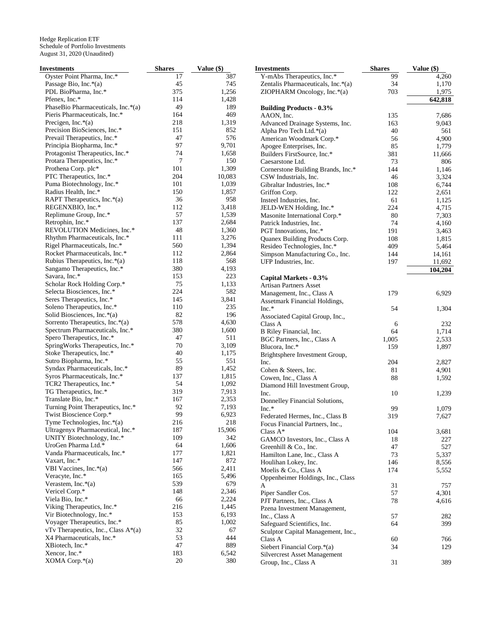| <b>Investments</b>                                            | <b>Shares</b> | Value (\$)   | <b>Investments</b>                         | <b>Shares</b> | Value (\$) |
|---------------------------------------------------------------|---------------|--------------|--------------------------------------------|---------------|------------|
| Oyster Point Pharma, Inc.*                                    | 17            | 387          | Y-mAbs Therapeutics, Inc.*                 | 99            | 4,260      |
| Passage Bio, Inc.*(a)                                         | 45            | 745          | Zentalis Pharmaceuticals, Inc.*(a)         | 34            | 1,170      |
| PDL BioPharma, Inc.*                                          | 375           | 1,256        | ZIOPHARM Oncology, Inc.*(a)                | 703           | 1,975      |
| Pfenex, Inc.*                                                 | 114           | 1,428        |                                            |               | 642,818    |
| PhaseBio Pharmaceuticals, Inc.*(a)                            | 49            | 189          | <b>Building Products - 0.3%</b>            |               |            |
| Pieris Pharmaceuticals, Inc.*                                 | 164           | 469          | AAON, Inc.                                 | 135           | 7,686      |
| Precigen, Inc. $*(a)$                                         | 218           | 1,319        | Advanced Drainage Systems, Inc.            | 163           | 9,043      |
| Precision BioSciences, Inc.*                                  | 151           | 852          | Alpha Pro Tech Ltd.*(a)                    | 40            | 561        |
| Prevail Therapeutics, Inc.*                                   | 47            | 576          | American Woodmark Corp.*                   | 56            | 4,900      |
| Principia Biopharma, Inc.*                                    | 97            | 9,701        | Apogee Enterprises, Inc.                   | 85            | 1,779      |
| Protagonist Therapeutics, Inc.*                               | 74            | 1,658        | Builders FirstSource, Inc.*                | 381           | 11,666     |
| Protara Therapeutics, Inc.*                                   | 7             | 150          | Caesarstone Ltd.                           | 73            | 806        |
| Prothena Corp. plc*                                           | 101           | 1,309        | Cornerstone Building Brands, Inc.*         | 144           | 1,146      |
| PTC Therapeutics, Inc.*                                       | 204           | 10,083       | CSW Industrials, Inc.                      | 46            | 3,324      |
| Puma Biotechnology, Inc.*                                     | 101           | 1,039        | Gibraltar Industries, Inc.*                | 108           | 6,744      |
| Radius Health, Inc.*                                          | 150           | 1,857        | Griffon Corp.                              | 122           | 2,651      |
| RAPT Therapeutics, Inc. $*(a)$                                | 36            | 958          | Insteel Industries, Inc.                   | 61            | 1,125      |
| REGENXBIO, Inc.*                                              | 112           | 3,418        | JELD-WEN Holding, Inc.*                    | 224           | 4,715      |
| Replimune Group, Inc.*                                        | 57            | 1,539        | Masonite International Corp.*              | 80            | 7,303      |
| Retrophin, Inc.*                                              | 137           | 2,684        | Patrick Industries, Inc.                   | 74            | 4,160      |
| REVOLUTION Medicines, Inc.*                                   | 48            | 1,360        | PGT Innovations, Inc.*                     | 191           | 3,463      |
| Rhythm Pharmaceuticals, Inc.*                                 | 111<br>560    | 3,276        | Quanex Building Products Corp.             | 108           | 1,815      |
| Rigel Pharmaceuticals, Inc.*<br>Rocket Pharmaceuticals, Inc.* | 112           | 1,394        | Resideo Technologies, Inc.*                | 409           | 5,464      |
|                                                               | 118           | 2,864<br>568 | Simpson Manufacturing Co., Inc.            | 144           | 14,161     |
| Rubius Therapeutics, Inc.*(a)<br>Sangamo Therapeutics, Inc.*  | 380           | 4,193        | UFP Industries, Inc.                       | 197           | 11,692     |
| Savara, Inc.*                                                 | 153           | 223          |                                            |               | 104,204    |
| Scholar Rock Holding Corp.*                                   | 75            | 1,133        | Capital Markets - 0.3%                     |               |            |
| Selecta Biosciences, Inc.*                                    | 224           | 582          | <b>Artisan Partners Asset</b>              |               |            |
| Seres Therapeutics, Inc.*                                     | 145           | 3,841        | Management, Inc., Class A                  | 179           | 6,929      |
| Soleno Therapeutics, Inc.*                                    | 110           | 235          | Assetmark Financial Holdings,              |               |            |
| Solid Biosciences, Inc.*(a)                                   | 82            | 196          | Inc.*                                      | 54            | 1,304      |
| Sorrento Therapeutics, Inc.*(a)                               | 578           | 4,630        | Associated Capital Group, Inc.,<br>Class A | 6             | 232        |
| Spectrum Pharmaceuticals, Inc.*                               | 380           | 1,600        | B Riley Financial, Inc.                    | 64            | 1,714      |
| Spero Therapeutics, Inc.*                                     | 47            | 511          | BGC Partners, Inc., Class A                | 1,005         | 2,533      |
| SpringWorks Therapeutics, Inc.*                               | 70            | 3,109        | Blucora, Inc.*                             | 159           | 1,897      |
| Stoke Therapeutics, Inc.*                                     | 40            | 1,175        | Brightsphere Investment Group,             |               |            |
| Sutro Biopharma, Inc.*                                        | 55            | 551          | Inc.                                       | 204           | 2,827      |
| Syndax Pharmaceuticals, Inc.*                                 | 89            | 1,452        | Cohen & Steers, Inc.                       | 81            | 4,901      |
| Syros Pharmaceuticals, Inc.*                                  | 137           | 1,815        | Cowen, Inc., Class A                       | 88            | 1,592      |
| TCR2 Therapeutics, Inc.*                                      | 54            | 1,092        | Diamond Hill Investment Group,             |               |            |
| TG Therapeutics, Inc.*                                        | 319           | 7,913        | Inc.                                       | 10            | 1,239      |
| Translate Bio, Inc.*                                          | 167           | 2,353        | Donnelley Financial Solutions,             |               |            |
| Turning Point Therapeutics, Inc.*                             | 92            | 7,193        | Inc.*                                      | 99            | 1,079      |
| Twist Bioscience Corp.*                                       | 99            | 6,923        | Federated Hermes, Inc., Class B            | 319           | 7,627      |
| Tyme Technologies, Inc.*(a)                                   | 216           | 218          | Focus Financial Partners, Inc.,            |               |            |
| Ultragenyx Pharmaceutical, Inc.*                              | 187           | 15,906       | Class $A^*$                                | 104           | 3,681      |
| UNITY Biotechnology, Inc.*                                    | 109           | 342          | GAMCO Investors, Inc., Class A             | 18            | 227        |
| UroGen Pharma Ltd.*                                           | 64            | 1,606        | Greenhill & Co., Inc.                      | 47            | 527        |
| Vanda Pharmaceuticals, Inc.*                                  | 177           | 1,821        | Hamilton Lane, Inc., Class A               | 73            | 5,337      |
| Vaxart, Inc.*                                                 | 147           | 872          | Houlihan Lokey, Inc.                       | 146           | 8,556      |
| VBI Vaccines, Inc.*(a)                                        | 566           | 2,411        | Moelis & Co., Class A                      | 174           | 5,552      |
| Veracyte, Inc.*                                               | 165           | 5,496        | Oppenheimer Holdings, Inc., Class          |               |            |
| Verastem, Inc. $*(a)$                                         | 539           | 679          | A                                          | 31            | 757        |
| Vericel Corp.*                                                | 148           | 2,346        | Piper Sandler Cos.                         | 57            | 4,301      |
| Viela Bio, Inc.*                                              | 66            | 2,224        | PJT Partners, Inc., Class A                | 78            | 4,616      |
| Viking Therapeutics, Inc.*                                    | 216           | 1,445        | Pzena Investment Management,               |               |            |
| Vir Biotechnology, Inc.*                                      | 153           | 6,193        | Inc., Class A                              | 57            | 282        |
| Voyager Therapeutics, Inc.*                                   | 85            | 1,002        | Safeguard Scientifics, Inc.                | 64            | 399        |
| vTv Therapeutics, Inc., Class $A^*(a)$                        | 32            | 67           | Sculptor Capital Management, Inc.,         |               |            |
| X4 Pharmaceuticals, Inc.*                                     | 53            | 444          | Class A                                    | 60            | 766        |
| XBiotech, Inc.*                                               | 47            | 889          | Siebert Financial Corp.*(a)                | 34            | 129        |
| Xencor, Inc.*                                                 | 183           | 6,542        | <b>Silvercrest Asset Management</b>        |               |            |
| XOMA Corp.*(a)                                                | 20            | 380          | Group, Inc., Class A                       | $31\,$        | 389        |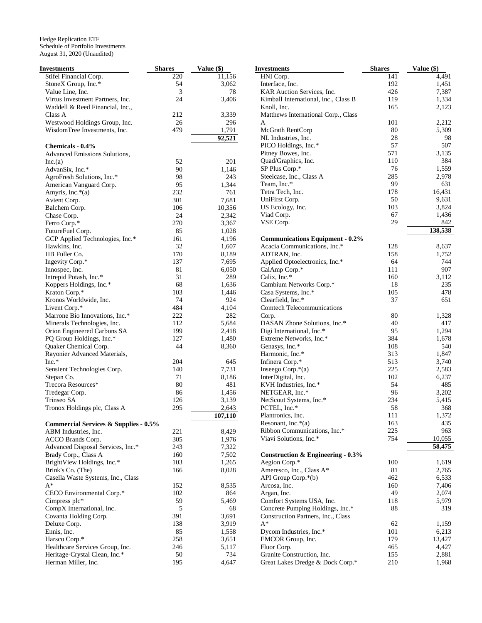| Investments                                      | <b>Shares</b> | Value (\$)     | <b>Investments</b>                                     | <b>Shares</b> | Value (\$)      |
|--------------------------------------------------|---------------|----------------|--------------------------------------------------------|---------------|-----------------|
| Stifel Financial Corp.                           | 220           | 11,156         | HNI Corp.                                              | 141           | 4,491           |
| StoneX Group, Inc.*                              | 54            | 3,062          | Interface, Inc.                                        | 192           | 1,451           |
| Value Line, Inc.                                 | 3             | 78             | KAR Auction Services, Inc.                             | 426           | 7,387           |
| Virtus Investment Partners, Inc.                 | 24            | 3,406          | Kimball International, Inc., Class B                   | 119           | 1,334           |
| Waddell & Reed Financial, Inc.,                  |               |                | Knoll, Inc.                                            | 165           | 2,123           |
| Class A                                          | 212           | 3,339          | Matthews International Corp., Class                    |               |                 |
| Westwood Holdings Group, Inc.                    | 26            | 296            | A                                                      | 101           | 2,212           |
| WisdomTree Investments, Inc.                     | 479           | 1,791          | McGrath RentCorp                                       | 80            | 5,309           |
|                                                  |               | 92,521         | NL Industries, Inc.                                    | 28            | 98              |
| Chemicals - 0.4%                                 |               |                | PICO Holdings, Inc.*                                   | 57            | 507             |
| Advanced Emissions Solutions,                    |               |                | Pitney Bowes, Inc.                                     | 571           | 3,135           |
| Inc.(a)                                          | 52            | 201            | Quad/Graphics, Inc.                                    | 110           | 384             |
| AdvanSix, Inc.*                                  | 90            | 1,146          | SP Plus Corp.*                                         | 76            | 1,559           |
| AgroFresh Solutions, Inc.*                       | 98            | 243            | Steelcase, Inc., Class A                               | 285           | 2,978           |
| American Vanguard Corp.                          | 95            | 1,344          | Team, Inc.*                                            | 99            | 631             |
| Amyris, Inc.*(a)                                 | 232           | 761            | Tetra Tech, Inc.                                       | 178           | 16,431          |
| Avient Corp.                                     | 301           | 7,681          | UniFirst Corp.                                         | 50            | 9,631           |
| Balchem Corp.                                    | 106           | 10,356         | US Ecology, Inc.                                       | 103           | 3,824           |
| Chase Corp.                                      | 24            | 2,342          | Viad Corp.                                             | 67            | 1,436           |
| Ferro Corp.*                                     | 270           | 3,367          | VSE Corp.                                              | 29            | 842             |
| FutureFuel Corp.                                 | 85            | 1,028          |                                                        |               | 138,538         |
| GCP Applied Technologies, Inc.*                  | 161           | 4,196          | <b>Communications Equipment - 0.2%</b>                 |               |                 |
| Hawkins, Inc.                                    | 32            | 1,607          | Acacia Communications, Inc.*                           | 128           | 8,637           |
| HB Fuller Co.                                    | 170           | 8,189          | ADTRAN, Inc.                                           | 158           | 1,752           |
| Ingevity Corp.*                                  | 137           | 7,695          | Applied Optoelectronics, Inc.*                         | 64            | 744             |
| Innospec, Inc.                                   | 81            | 6,050          | CalAmp Corp.*                                          | 111           | 907             |
| Intrepid Potash, Inc.*                           | 31            | 289            | Calix, Inc.*                                           | 160           | 3,112           |
| Koppers Holdings, Inc.*                          | 68            | 1,636          | Cambium Networks Corp.*                                | 18            | 235             |
| Kraton Corp.*                                    | 103<br>74     | 1,446<br>924   | Casa Systems, Inc.*                                    | 105<br>37     | 478             |
| Kronos Worldwide, Inc.                           | 484           | 4,104          | Clearfield, Inc.*<br><b>Comtech Telecommunications</b> |               | 651             |
| Livent Corp.*<br>Marrone Bio Innovations, Inc.*  | 222           | 282            | Corp.                                                  | 80            | 1,328           |
| Minerals Technologies, Inc.                      | 112           | 5,684          | DASAN Zhone Solutions, Inc.*                           | 40            | 417             |
| Orion Engineered Carbons SA                      | 199           | 2,418          | Digi International, Inc.*                              | 95            | 1,294           |
| PQ Group Holdings, Inc.*                         | 127           | 1,480          | Extreme Networks, Inc.*                                | 384           | 1,678           |
| Quaker Chemical Corp.                            | 44            | 8,360          | Genasys, Inc.*                                         | 108           | 540             |
| Rayonier Advanced Materials,                     |               |                | Harmonic, Inc.*                                        | 313           | 1,847           |
| $Inc.*$                                          | 204           | 645            | Infinera Corp.*                                        | 513           | 3,740           |
| Sensient Technologies Corp.                      | 140           | 7,731          | Inseego Corp. $*(a)$                                   | 225           | 2,583           |
| Stepan Co.                                       | 71            | 8,186          | InterDigital, Inc.                                     | 102           | 6,237           |
| Trecora Resources*                               | 80            | 481            | KVH Industries, Inc.*                                  | 54            | 485             |
| Tredegar Corp.                                   | 86            | 1,456          | NETGEAR, Inc.*                                         | 96            | 3,202           |
| Trinseo SA                                       | 126           | 3,139          | NetScout Systems, Inc.*                                | 234           | 5,415           |
| Tronox Holdings plc, Class A                     | 295           | 2,643          | PCTEL, Inc.*                                           | 58            | 368             |
|                                                  |               | 107,110        | Plantronics, Inc.                                      | 111           | 1,372           |
| <b>Commercial Services &amp; Supplies - 0.5%</b> |               |                | Resonant, Inc.*(a)                                     | 163           | 435             |
| ABM Industries, Inc.                             | 221           | 8,429          | Ribbon Communications, Inc.*                           | 225           | 963             |
| ACCO Brands Corp.                                | 305           | 1,976          | Viavi Solutions, Inc.*                                 | 754           | 10,055          |
| Advanced Disposal Services, Inc.*                | 243           | 7,322          |                                                        |               | 58,475          |
| Brady Corp., Class A                             | 160           | 7,502          | <b>Construction &amp; Engineering - 0.3%</b>           |               |                 |
| BrightView Holdings, Inc.*                       | 103           | 1,265          | Aegion Corp.*                                          | 100           | 1,619           |
| Brink's Co. (The)                                | 166           | 8,028          | Ameresco, Inc., Class A*                               | 81            | 2,765           |
| Casella Waste Systems, Inc., Class               |               |                | API Group Corp.*(b)                                    | 462           | 6,533           |
| $A^*$                                            | 152           | 8,535          | Arcosa, Inc.                                           | 160           | 7,406           |
| CECO Environmental Corp.*                        | 102           | 864            | Argan, Inc.                                            | 49            | 2,074           |
| Cimpress plc*                                    | 59            | 5,469          | Comfort Systems USA, Inc.                              | 118           | 5,979           |
| CompX International, Inc.                        | 5             | 68             | Concrete Pumping Holdings, Inc.*                       | 88            | 319             |
| Covanta Holding Corp.                            | 391           | 3,691          | Construction Partners, Inc., Class                     |               |                 |
| Deluxe Corp.                                     | 138           | 3,919          | $A^*$                                                  | 62            | 1,159           |
| Ennis, Inc.                                      | 85<br>258     | 1,558          | Dycom Industries, Inc.*                                | 101<br>179    | 6,213<br>13,427 |
| Harsco Corp.*<br>Healthcare Services Group, Inc. | 246           | 3,651<br>5,117 | EMCOR Group, Inc.<br>Fluor Corp.                       | 465           | 4,427           |
| Heritage-Crystal Clean, Inc.*                    | 50            | 734            | Granite Construction, Inc.                             | 155           | 2,881           |
| Herman Miller, Inc.                              | 195           | 4,647          | Great Lakes Dredge & Dock Corp.*                       | 210           | 1,968           |
|                                                  |               |                |                                                        |               |                 |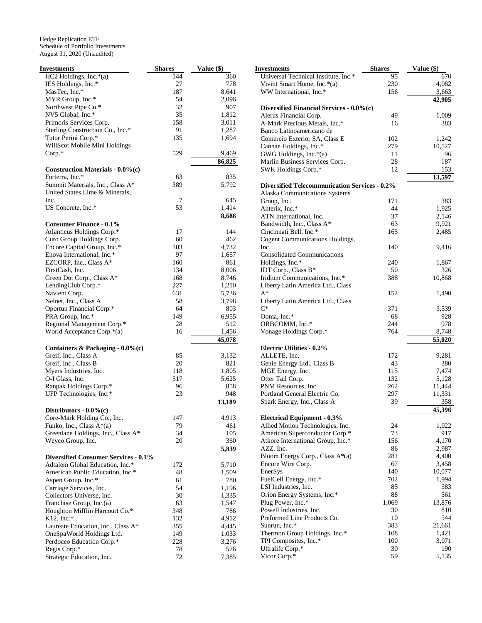| <b>Investments</b>                          | <b>Shares</b> | Value (\$) |
|---------------------------------------------|---------------|------------|
| $HC2$ Holdings, Inc. $*(a)$                 | 144           | 360        |
| IES Holdings, Inc.*                         | 27            | 778        |
| MasTec, Inc.*                               | 187           | 8,641      |
| MYR Group, Inc.*                            | 54            | 2,096      |
| Northwest Pipe Co.*                         | 32            | 907        |
| NV5 Global, Inc.*                           | 35            | 1,812      |
| Primoris Services Corp.                     | 158           | 3,011      |
| Sterling Construction Co., Inc.*            | 91            | 1,287      |
| Tutor Perini Corp.*                         | 135           | 1,694      |
| WillScot Mobile Mini Holdings               |               |            |
| $Corp.*$                                    | 529           | 9,469      |
|                                             |               | 86,825     |
| <b>Construction Materials - 0.0%(c)</b>     |               |            |
| Forterra, Inc.*                             | 63            | 835        |
| Summit Materials, Inc., Class A*            | 389           | 5,792      |
| United States Lime & Minerals,              |               |            |
| Inc.                                        | 7             | 645        |
| US Concrete, Inc.*                          | 53            | 1,414      |
|                                             |               | 8,686      |
| <b>Consumer Finance - 0.1%</b>              |               |            |
| Atlanticus Holdings Corp.*                  | 17            | 144        |
| Curo Group Holdings Corp.                   | 60            | 462        |
| Encore Capital Group, Inc.*                 | 103           | 4,732      |
| Enova International, Inc.*                  | 97            | 1,657      |
| EZCORP, Inc., Class A*                      | 160           | 861        |
| FirstCash, Inc.                             | 134           | 8,006      |
| Green Dot Corp., Class A*                   | 168           | 8,746      |
| LendingClub Corp.*                          | 227           | 1,210      |
| Navient Corp.                               | 631           | 5,736      |
| Nelnet, Inc., Class A                       | 58            | 3,798      |
| Oportun Financial Corp.*                    | 64            | 803        |
| PRA Group, Inc.*                            | 149           | 6,955      |
| Regional Management Corp.*                  | 28            | 512        |
| World Acceptance Corp.*(a)                  | 16            | 1,456      |
|                                             |               | 45,078     |
| Containers & Packaging - 0.0%(c)            |               |            |
| Greif, Inc., Class A                        | 85            | 3,132      |
| Greif, Inc., Class B                        | 20            | 821        |
| Myers Industries, Inc.                      | 118           | 1,805      |
| O-I Glass, Inc.                             | 517           | 5,625      |
| Ranpak Holdings Corp.*                      | 96            | 858        |
| UFP Technologies, Inc.*                     | 23            | 948        |
|                                             |               | 13,189     |
| Distributors - $0.0\%$ (c)                  |               |            |
| Core-Mark Holding Co., Inc.                 | 147           | 4,913      |
| Funko, Inc., Class A*(a)                    | 79            | 461        |
| Greenlane Holdings, Inc., Class A*          | 34            | 105        |
| Weyco Group, Inc.                           | 20            | 360        |
|                                             |               | 5,839      |
| <b>Diversified Consumer Services - 0.1%</b> |               |            |
| Adtalem Global Education, Inc.*             | 172           | 5,710      |
| American Public Education, Inc.*            | 48            | 1,509      |
| Aspen Group, Inc.*                          | 61            | 780        |
| Carriage Services, Inc.                     | 54            | 1,196      |
| Collectors Universe, Inc.                   | 30            | 1,335      |
| Franchise Group, Inc.(a)                    | 63            | 1,547      |
| Houghton Mifflin Harcourt Co.*              | 348           | 786        |
| $K12$ , Inc.*                               | 132           | 4,912      |
| Laureate Education, Inc., Class A*          | 355           | 4,445      |
| OneSpaWorld Holdings Ltd.                   | 149           | 1,033      |
| Perdoceo Education Corp.*                   | 228           | 3,276      |
| Regis Corp.*                                | 78            | 576        |
| Strategic Education, Inc.                   | 72            | 7,385      |

| Investments                                             | <b>Shares</b> | Value (\$)      |
|---------------------------------------------------------|---------------|-----------------|
| Universal Technical Institute, Inc.*                    | 95            | 670             |
| Vivint Smart Home, Inc.*(a)                             | 230           | 4,082           |
| WW International, Inc.*                                 | 156           | 3,663           |
|                                                         |               | 42,905          |
| Diversified Financial Services - 0.0%(c)                |               |                 |
| Alerus Financial Corp.                                  | 49            | 1,009           |
| A-Mark Precious Metals, Inc.*                           | 16            | 383             |
| Banco Latinoamericano de                                |               |                 |
| Comercio Exterior SA, Class E<br>Cannae Holdings, Inc.* | 102<br>279    | 1,242<br>10,527 |
| GWG Holdings, Inc.*(a)                                  | 11            | 96              |
| Marlin Business Services Corp.                          | 28            | 187             |
| SWK Holdings Corp.*                                     | 12            | 153             |
|                                                         |               | 13,597          |
| <b>Diversified Telecommunication Services - 0.2%</b>    |               |                 |
| Alaska Communications Systems                           |               |                 |
| Group, Inc.                                             | 171           | 383             |
| Anterix, Inc.*                                          | 44            | 1,925           |
| ATN International, Inc.                                 | 37            | 2,146           |
| Bandwidth, Inc., Class A*                               | 63            | 9,921           |
| Cincinnati Bell, Inc.*                                  | 165           | 2,485           |
| Cogent Communications Holdings,                         |               |                 |
| Inc.                                                    | 140           | 9,416           |
| <b>Consolidated Communications</b>                      |               |                 |
| Holdings, Inc.*                                         | 240           | 1,867           |
| IDT Corp., Class B*                                     | 50            | 326             |
| Iridium Communications, Inc.*                           | 388           | 10,868          |
| Liberty Latin America Ltd., Class<br>$A^*$              | 152           |                 |
| Liberty Latin America Ltd., Class                       |               | 1,490           |
| $C^*$                                                   | 371           | 3,539           |
| Ooma, Inc.*                                             | 68            | 928             |
| ORBCOMM, Inc.*                                          | 244           | 978             |
| Vonage Holdings Corp.*                                  | 764           | 8,748           |
|                                                         |               | 55,020          |
| <b>Electric Utilities - 0.2%</b>                        |               |                 |
| ALLETE, Inc.                                            | 172           | 9,281           |
| Genie Energy Ltd., Class B                              | 43            | 380             |
| MGE Energy, Inc.                                        | 115           | 7,474           |
| Otter Tail Corp.                                        | 132           | 5,128           |
| PNM Resources, Inc.                                     | 262           | 11,444          |
| Portland General Electric Co.                           | 297           | 11,331          |
| Spark Energy, Inc., Class A                             | 39            | 358<br>45,396   |
| <b>Electrical Equipment - 0.3%</b>                      |               |                 |
| Allied Motion Technologies, Inc.                        | 24            | 1,022           |
| American Superconductor Corp.*                          | 73            | 917             |
| Atkore International Group, Inc.*                       | 156           | 4,170           |
| AZZ, Inc.                                               | 86            | 2,987           |
| Bloom Energy Corp., Class $A^*(a)$                      | 281           | 4,400           |
| Encore Wire Corp.                                       | 67            | 3,458           |
| EnerSys                                                 | 140           | 10,077          |
| FuelCell Energy, Inc.*                                  | 702           | 1,994           |
| LSI Industries, Inc.                                    | 85            | 583             |
| Orion Energy Systems, Inc.*                             | 88            | 561             |
| Plug Power, Inc.*                                       | 1,069         | 13,876          |
| Powell Industries, Inc.                                 | 30            | 810             |
| Preformed Line Products Co.                             | 10            | 544             |
| Sunrun, Inc.*                                           | 383           | 21,661          |
| Thermon Group Holdings, Inc.*                           | 108           | 1,421           |
| TPI Composites, Inc.*                                   | 100           | 3,071           |
| Ultralife Corp.*                                        | 30            | 190             |
| Vicor Corp.*                                            | 59            | 5,135           |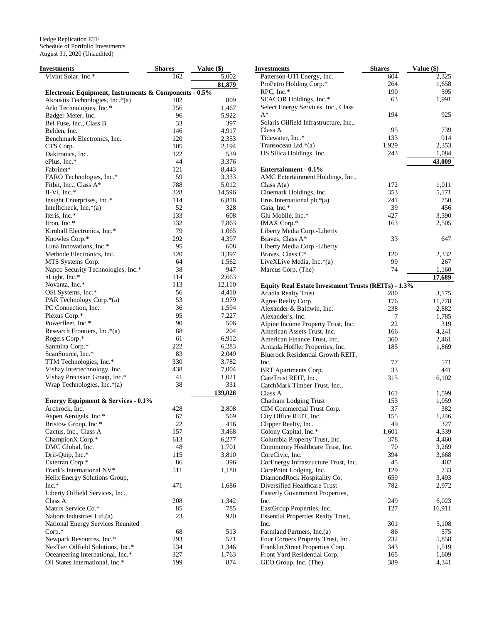| Investments                                           | <b>Shares</b> | Value (\$)     |  |
|-------------------------------------------------------|---------------|----------------|--|
| Vivint Solar, Inc.*                                   | 162           | 5,002          |  |
|                                                       |               | 81,879         |  |
| Electronic Equipment, Instruments & Components - 0.5% |               |                |  |
| Akoustis Technologies, Inc.*(a)                       | 102           | 809            |  |
| Arlo Technologies, Inc.*                              | 256           | 1,467          |  |
| Badger Meter, Inc.                                    | 96            | 5,922          |  |
| Bel Fuse, Inc., Class B                               | 33            | 397            |  |
| Belden, Inc.                                          | 146           | 4,917          |  |
| Benchmark Electronics, Inc.                           | 120           | 2,353          |  |
| CTS Corp.                                             | 105           | 2,194          |  |
| Daktronics, Inc.                                      | 122           | 539            |  |
| ePlus, Inc.*                                          | 44            | 3,376          |  |
| Fabrinet*                                             | 121           | 8,443          |  |
| FARO Technologies, Inc.*                              | 59            | 3,333          |  |
| Fitbit, Inc., Class A*                                | 788           | 5,012          |  |
| II-VI, Inc.*                                          | 328           | 14,596         |  |
| Insight Enterprises, Inc.*                            | 114           | 6,818          |  |
| Intellicheck, Inc. $*(a)$                             | 52            | 328            |  |
| Iteris, Inc.*                                         | 133           | 608            |  |
| Itron, Inc.*                                          | 132           | 7,863          |  |
| Kimball Electronics, Inc.*                            | 79            | 1,065          |  |
| Knowles Corp.*                                        | 292           | 4,397          |  |
| Luna Innovations, Inc.*                               | 95            | 608            |  |
| Methode Electronics, Inc.                             | 120           | 3,397          |  |
| MTS Systems Corp.                                     | 64            | 1,562          |  |
| Napco Security Technologies, Inc.*                    | 38            | 947            |  |
| nLight, Inc.*                                         | 114           | 2,663          |  |
| Novanta, Inc.*                                        | 113           | 12,110         |  |
| OSI Systems, Inc.*                                    | 56            | 4,410          |  |
| PAR Technology Corp.*(a)                              | 53            | 1,979          |  |
| PC Connection, Inc.                                   | 36            | 1,594<br>7,227 |  |
| Plexus Corp.*                                         | 95<br>90      | 506            |  |
| Powerfleet, Inc.*<br>Research Frontiers, Inc.*(a)     | 88            | 204            |  |
| Rogers Corp.*                                         | 61            | 6,912          |  |
| Sanmina Corp.*                                        | 222           | 6,283          |  |
| ScanSource, Inc.*                                     | 83            | 2,049          |  |
| TTM Technologies, Inc.*                               | 330           | 3,782          |  |
| Vishay Intertechnology, Inc.                          | 438           | 7,004          |  |
| Vishay Precision Group, Inc.*                         | 41            | 1,021          |  |
| Wrap Technologies, Inc.*(a)                           | 38            | 331            |  |
|                                                       |               | 139,026        |  |
| <b>Energy Equipment &amp; Services - 0.1%</b>         |               |                |  |
| Archrock, Inc.                                        | 428           | 2,808          |  |
| Aspen Aerogels, Inc.*                                 | 67            | 569            |  |
| Bristow Group, Inc.*                                  | 22            | 416            |  |
| Cactus, Inc., Class A                                 | 157           | 3,468          |  |
| ChampionX Corp.*                                      | 613           | 6,277          |  |
| DMC Global, Inc.                                      | 48            | 1,701          |  |
| Dril-Quip, Inc.*                                      | 115           | 3,810          |  |
| Exterran Corp.*                                       | 86            | 396            |  |
| Frank's International NV*                             | 511           | 1,180          |  |
| Helix Energy Solutions Group,                         |               |                |  |
| Inc.*                                                 | 471           | 1,686          |  |
| Liberty Oilfield Services, Inc.,                      |               |                |  |
| Class A                                               | 208           | 1,342          |  |
| Matrix Service Co.*                                   | 85            | 785            |  |
| Nabors Industries Ltd.(a)                             | 23            | 920            |  |
| National Energy Services Reunited                     |               |                |  |
| $Corp.*$                                              | 68            | 513            |  |
| Newpark Resources, Inc.*                              | 293           | 571            |  |
| NexTier Oilfield Solutions, Inc.*                     | 534           | 1,346          |  |
| Oceaneering International, Inc.*                      | 327           | 1,763          |  |
| Oil States International, Inc.*                       | 199           | 874            |  |

| <b>Investments</b>                                  | <b>Shares</b> | Value (\$) |
|-----------------------------------------------------|---------------|------------|
| Patterson-UTI Energy, Inc.                          | 604           | 2,325      |
| ProPetro Holding Corp.*                             | 264           | 1,658      |
| RPC, Inc.*                                          | 190           | 595        |
| SEACOR Holdings, Inc.*                              | 63            | 1,991      |
| Select Energy Services, Inc., Class                 |               |            |
| $A^*$                                               | 194           | 925        |
| Solaris Oilfield Infrastructure, Inc.,              |               |            |
| Class A                                             | 95            | 739        |
| Tidewater, Inc.*                                    | 133           | 914        |
| Transocean Ltd.*(a)                                 | 1,929         | 2,353      |
| US Silica Holdings, Inc.                            | 243           | 1,084      |
|                                                     |               | 43,009     |
| <b>Entertainment - 0.1%</b>                         |               |            |
| AMC Entertainment Holdings, Inc.,                   |               |            |
| Class $A(a)$                                        | 172           | 1,011      |
| Cinemark Holdings, Inc.                             | 353           | 5,171      |
| Eros International plc $*(a)$                       | 241           | 750        |
| Gaia, Inc.*                                         | 39            | 456        |
| Glu Mobile, Inc.*                                   | 427           | 3,390      |
| IMAX Corp.*                                         | 163           | 2,505      |
| Liberty Media Corp.-Liberty                         |               |            |
| Braves, Class A*                                    | 33            | 647        |
| Liberty Media Corp.-Liberty                         |               |            |
| Braves, Class C*                                    | 120           | 2,332      |
| LiveXLive Media, Inc.*(a)                           | 99            | 267        |
| Marcus Corp. (The)                                  | 74            | 1,160      |
|                                                     |               | 17,689     |
| Equity Real Estate Investment Trusts (REITs) - 1.3% |               |            |
| <b>Acadia Realty Trust</b>                          | 280           | 3,175      |
| Agree Realty Corp.                                  | 176           | 11,778     |
| Alexander & Baldwin, Inc.                           | 238           | 2,882      |
| Alexander's, Inc.                                   | 7             | 1,785      |
| Alpine Income Property Trust, Inc.                  | 22            | 319        |
| American Assets Trust, Inc.                         | 166           | 4,241      |
| American Finance Trust, Inc.                        | 360           | 2,461      |
| Armada Hoffler Properties, Inc.                     | 185           | 1,869      |
| Bluerock Residential Growth REIT,                   |               |            |
| Inc.                                                | 77            | 571        |
| BRT Apartments Corp.                                | 33            | 441        |
| CareTrust REIT, Inc.                                | 315           | 6,102      |
| CatchMark Timber Trust, Inc.,                       |               |            |
| Class A                                             | 161           | 1,599      |
| Chatham Lodging Trust                               | 153           | 1,059      |
| CIM Commercial Trust Corp.                          | 37            | 382        |
| City Office REIT, Inc.                              | 155           | 1,246      |
| Clipper Realty, Inc.                                | 49            | 327        |
| Colony Capital, Inc.*                               | 1,601         | 4,339      |
| Columbia Property Trust, Inc.                       | 378           | 4,460      |
| Community Healthcare Trust, Inc.                    | 70            | 3,269      |
| CoreCivic, Inc.                                     | 394           | 3,668      |
| CorEnergy Infrastructure Trust, Inc.                | 45            | 402        |
| CorePoint Lodging, Inc.                             | 129           | 733        |
| DiamondRock Hospitality Co.                         | 659           | 3,493      |
| Diversified Healthcare Trust                        | 782           | 2,972      |
| Easterly Government Properties,                     |               |            |
| Inc.                                                | 249           | 6,023      |
| EastGroup Properties, Inc.                          | 127           | 16,911     |
| <b>Essential Properties Realty Trust,</b>           |               |            |
| Inc.                                                | 301           | 5,108      |
| Farmland Partners, Inc.(a)                          | 86            | 575        |
| Four Corners Property Trust, Inc.                   | 232           | 5,858      |
| Franklin Street Properties Corp.                    | 343           | 1,519      |
| Front Yard Residential Corp.                        | 165           | 1,609      |
| GEO Group, Inc. (The)                               | 389           | 4,341      |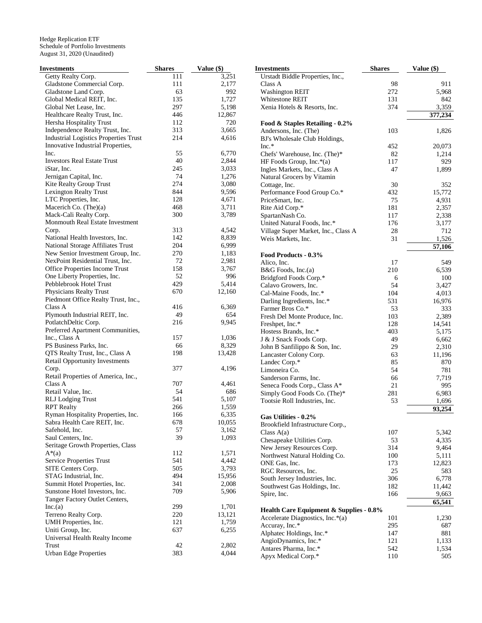| <b>Investments</b>                           | <b>Shares</b> | Value (\$) | <b>Investments</b>                                           | <b>Shares</b> | Value $(\$)$    |
|----------------------------------------------|---------------|------------|--------------------------------------------------------------|---------------|-----------------|
| Getty Realty Corp.                           | 111           | 3,251      | Urstadt Biddle Properties, Inc.,                             |               |                 |
| Gladstone Commercial Corp.                   | 111           | 2,177      | Class A                                                      | 98            | 911             |
| Gladstone Land Corp.                         | 63            | 992        | <b>Washington REIT</b>                                       | 272           | 5,968           |
| Global Medical REIT, Inc.                    | 135           | 1,727      | Whitestone REIT                                              | 131           | 842             |
| Global Net Lease, Inc.                       | 297           | 5,198      | Xenia Hotels & Resorts, Inc.                                 | 374           | 3,359           |
| Healthcare Realty Trust, Inc.                | 446           | 12,867     |                                                              |               | 377,234         |
| Hersha Hospitality Trust                     | 112           | 720        | Food & Staples Retailing - 0.2%                              |               |                 |
| Independence Realty Trust, Inc.              | 313           | 3,665      | Andersons, Inc. (The)                                        | 103           | 1,826           |
| <b>Industrial Logistics Properties Trust</b> | 214           | 4,616      | BJ's Wholesale Club Holdings,                                |               |                 |
| Innovative Industrial Properties,            |               |            | $Inc.*$                                                      | 452           | 20,073          |
| Inc.                                         | 55            | 6,770      | Chefs' Warehouse, Inc. (The)*                                | 82            | 1,214           |
| <b>Investors Real Estate Trust</b>           | 40            | 2,844      | HF Foods Group, Inc.*(a)                                     | 117           | 929             |
| iStar, Inc.                                  | 245           | 3,033      | Ingles Markets, Inc., Class A                                | 47            | 1,899           |
| Jernigan Capital, Inc.                       | 74            | 1,276      |                                                              |               |                 |
| Kite Realty Group Trust                      | 274           | 3,080      | Natural Grocers by Vitamin                                   |               |                 |
|                                              | 844           | 9,596      | Cottage, Inc.                                                | 30            | 352             |
| Lexington Realty Trust                       | 128           |            | Performance Food Group Co.*                                  | 432           | 15,772          |
| LTC Properties, Inc.                         |               | 4,671      | PriceSmart, Inc.                                             | 75            | 4,931           |
| Macerich Co. (The)(a)                        | 468           | 3,711      | Rite Aid Corp.*                                              | 181           | 2,357           |
| Mack-Cali Realty Corp.                       | 300           | 3,789      | SpartanNash Co.                                              | 117           | 2,338           |
| Monmouth Real Estate Investment              |               |            | United Natural Foods, Inc.*                                  | 176           | 3,177           |
| Corp.                                        | 313           | 4,542      | Village Super Market, Inc., Class A                          | 28            | 712             |
| National Health Investors, Inc.              | 142           | 8,839      | Weis Markets, Inc.                                           | 31            | 1,526           |
| National Storage Affiliates Trust            | 204           | 6,999      |                                                              |               | 57,106          |
| New Senior Investment Group, Inc.            | 270           | 1,183      | Food Products - 0.3%                                         |               |                 |
| NexPoint Residential Trust, Inc.             | 72            | 2,981      | Alico, Inc.                                                  | 17            | 549             |
| Office Properties Income Trust               | 158           | 3,767      | $B&G$ Foods, Inc.(a)                                         | 210           | 6,539           |
| One Liberty Properties, Inc.                 | 52            | 996        | Bridgford Foods Corp.*                                       | 6             | 100             |
| Pebblebrook Hotel Trust                      | 429           | 5,414      | Calavo Growers, Inc.                                         | 54            | 3,427           |
| Physicians Realty Trust                      | 670           | 12,160     | Cal-Maine Foods, Inc.*                                       | 104           | 4,013           |
| Piedmont Office Realty Trust, Inc.,          |               |            | Darling Ingredients, Inc.*                                   | 531           | 16,976          |
| Class A                                      | 416           | 6,369      | Farmer Bros Co.*                                             | 53            | 333             |
| Plymouth Industrial REIT, Inc.               | 49            | 654        | Fresh Del Monte Produce, Inc.                                | 103           | 2,389           |
| PotlatchDeltic Corp.                         | 216           | 9,945      | Freshpet, Inc.*                                              | 128           | 14,541          |
| Preferred Apartment Communities,             |               |            | Hostess Brands, Inc.*                                        | 403           | 5,175           |
| Inc., Class A                                | 157           | 1,036      | J & J Snack Foods Corp.                                      | 49            | 6,662           |
| PS Business Parks, Inc.                      | 66            | 8,329      | John B Sanfilippo & Son, Inc.                                | 29            | 2,310           |
| QTS Realty Trust, Inc., Class A              | 198           | 13,428     | Lancaster Colony Corp.                                       | 63            | 11,196          |
| <b>Retail Opportunity Investments</b>        |               |            | Landec Corp.*                                                | 85            | 870             |
| Corp.                                        | 377           | 4,196      | Limoneira Co.                                                | 54            | 781             |
| Retail Properties of America, Inc.,          |               |            | Sanderson Farms, Inc.                                        | 66            | 7,719           |
| Class A                                      | 707           | 4,461      |                                                              | 21            | 995             |
| Retail Value, Inc.                           | 54            | 686        | Seneca Foods Corp., Class A*<br>Simply Good Foods Co. (The)* | 281           | 6,983           |
| <b>RLJ</b> Lodging Trust                     | 541           | 5,107      |                                                              | 53            |                 |
| <b>RPT</b> Realty                            | 266           | 1,559      | Tootsie Roll Industries, Inc.                                |               | 1,696<br>93,254 |
| Ryman Hospitality Properties, Inc.           | 166           | 6,335      |                                                              |               |                 |
| Sabra Health Care REIT, Inc.                 | 678           | 10,055     | Gas Utilities - 0.2%                                         |               |                 |
| Safehold, Inc.                               | 57            | 3,162      | Brookfield Infrastructure Corp.,                             |               |                 |
| Saul Centers, Inc.                           | 39            | 1,093      | Class $A(a)$                                                 | 107           | 5,342           |
|                                              |               |            | Chesapeake Utilities Corp.                                   | 53            | 4,335           |
| Seritage Growth Properties, Class            | 112           | 1,571      | New Jersey Resources Corp.                                   | 314           | 9,464           |
| $A^*(a)$                                     |               |            | Northwest Natural Holding Co.                                | 100           | 5,111           |
| <b>Service Properties Trust</b>              | 541           | 4,442      | ONE Gas, Inc.                                                | 173           | 12,823          |
| SITE Centers Corp.                           | 505           | 3,793      | RGC Resources, Inc.                                          | 25            | 583             |
| STAG Industrial, Inc.                        | 494           | 15,956     | South Jersey Industries, Inc.                                | 306           | 6,778           |
| Summit Hotel Properties, Inc.                | 341           | 2,008      | Southwest Gas Holdings, Inc.                                 | 182           | 11,442          |
| Sunstone Hotel Investors, Inc.               | 709           | 5,906      | Spire, Inc.                                                  | 166           | 9,663           |
| Tanger Factory Outlet Centers,               |               |            |                                                              |               | 65,541          |
| Inc.(a)                                      | 299           | 1,701      | Health Care Equipment & Supplies - 0.8%                      |               |                 |
| Terreno Realty Corp.                         | 220           | 13,121     | Accelerate Diagnostics, Inc.*(a)                             | 101           | 1,230           |
| UMH Properties, Inc.                         | 121           | 1,759      | Accuray, Inc.*                                               | 295           | 687             |
| Uniti Group, Inc.                            | 637           | 6,255      | Alphatec Holdings, Inc.*                                     | 147           | 881             |
| Universal Health Realty Income               |               |            | AngioDynamics, Inc.*                                         | 121           | 1,133           |
| Trust                                        | 42            | 2,802      | Antares Pharma, Inc.*                                        | 542           | 1,534           |
| <b>Urban Edge Properties</b>                 | 383           | 4,044      | Apyx Medical Corp.*                                          | 110           | 505             |
|                                              |               |            |                                                              |               |                 |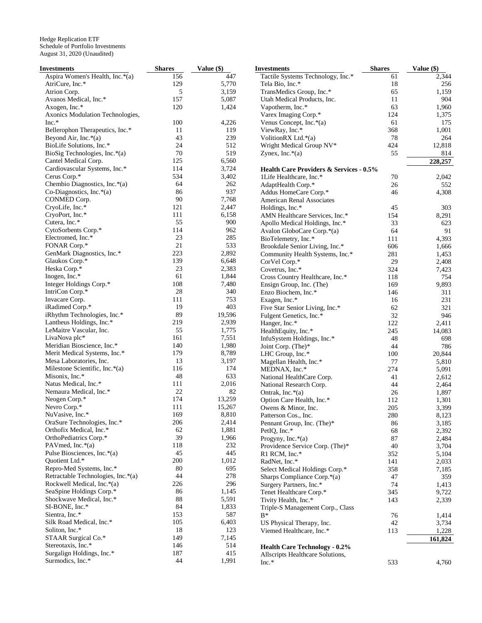| Investments                        | <b>Shares</b> | Value (\$) | <b>Investments</b>                                 | <b>Shares</b> | Value (\$) |
|------------------------------------|---------------|------------|----------------------------------------------------|---------------|------------|
| Aspira Women's Health, Inc.*(a)    | 156           | 447        | Tactile Systems Technology, Inc.*                  | 61            | 2,344      |
| AtriCure, Inc.*                    | 129           | 5,770      | Tela Bio, Inc.*                                    | 18            | 256        |
| Atrion Corp.                       | 5             | 3,159      | TransMedics Group, Inc.*                           | 65            | 1,159      |
| Avanos Medical, Inc.*              | 157           | 5,087      | Utah Medical Products, Inc.                        | 11            | 904        |
| Axogen, Inc.*                      | 120           | 1,424      | Vapotherm, Inc.*                                   | 63            | 1,960      |
| Axonics Modulation Technologies,   |               |            | Varex Imaging Corp.*                               | 124           | 1,375      |
| Inc.*                              | 100           | 4,226      | Venus Concept, Inc.*(a)                            | 61            | 175        |
| Bellerophon Therapeutics, Inc.*    | 11            | 119        | ViewRay, Inc.*                                     | 368           | 1,001      |
| Beyond Air, Inc.*(a)               | 43            | 239        | Volition RX Ltd. $*(a)$                            | 78            | 264        |
| BioLife Solutions, Inc.*           | 24            | 512        | Wright Medical Group NV*                           | 424           | 12,818     |
| BioSig Technologies, Inc. $*(a)$   | 70            | 519        | Zynex, Inc. $*(a)$                                 | 55            | 814        |
| Cantel Medical Corp.               | 125           | 6,560      |                                                    |               | 228,257    |
| Cardiovascular Systems, Inc.*      | 114           | 3,724      |                                                    |               |            |
| Cerus Corp.*                       | 534           | 3,402      | <b>Health Care Providers &amp; Services - 0.5%</b> |               |            |
|                                    | 64            | 262        | 1Life Healthcare, Inc.*                            | 70            | 2,042      |
| Chembio Diagnostics, Inc.*(a)      |               |            | AdaptHealth Corp.*                                 | 26            | 552        |
| Co-Diagnostics, Inc. $*(a)$        | 86            | 937        | Addus HomeCare Corp.*                              | 46            | 4,308      |
| CONMED Corp.                       | 90            | 7,768      | American Renal Associates                          |               |            |
| CryoLife, Inc.*                    | 121           | 2,447      | Holdings, Inc.*                                    | 45            | 303        |
| CryoPort, Inc.*                    | 111           | 6,158      | AMN Healthcare Services, Inc.*                     | 154           | 8,291      |
| Cutera, Inc.*                      | 55            | 900        | Apollo Medical Holdings, Inc.*                     | 33            | 623        |
| CytoSorbents Corp.*                | 114           | 962        | Avalon GloboCare Corp.*(a)                         | 64            | 91         |
| Electromed, Inc.*                  | 23            | 285        | BioTelemetry, Inc.*                                | 111           | 4,393      |
| FONAR Corp.*                       | 21            | 533        | Brookdale Senior Living, Inc.*                     | 606           | 1,666      |
| GenMark Diagnostics, Inc.*         | 223           | 2,892      | Community Health Systems, Inc.*                    | 281           | 1,453      |
| Glaukos Corp.*                     | 139           | 6,648      | CorVel Corp.*                                      | 29            | 2,408      |
| Heska Corp.*                       | 23            | 2,383      | Covetrus, Inc.*                                    | 324           | 7,423      |
| Inogen, Inc.*                      | 61            | 1,844      | Cross Country Healthcare, Inc.*                    | 118           | 754        |
| Integer Holdings Corp.*            | 108           | 7,480      | Ensign Group, Inc. (The)                           | 169           | 9,893      |
| IntriCon Corp.*                    | 28            | 340        | Enzo Biochem, Inc.*                                | 146           | 311        |
| Invacare Corp.                     | 111           | 753        | Exagen, Inc.*                                      | 16            | 231        |
| iRadimed Corp.*                    | 19            | 403        | Five Star Senior Living, Inc.*                     | 62            | 321        |
| iRhythm Technologies, Inc.*        | 89            | 19,596     | Fulgent Genetics, Inc.*                            | 32            | 946        |
| Lantheus Holdings, Inc.*           | 219           | 2,939      | Hanger, Inc.*                                      | 122           | 2,411      |
| LeMaitre Vascular, Inc.            | 55            | 1,775      |                                                    |               |            |
|                                    | 161           |            | HealthEquity, Inc.*                                | 245           | 14,083     |
| LivaNova plc*                      |               | 7,551      | InfuSystem Holdings, Inc.*                         | 48            | 698        |
| Meridian Bioscience, Inc.*         | 140           | 1,980      | Joint Corp. (The)*                                 | 44            | 786        |
| Merit Medical Systems, Inc.*       | 179           | 8,789      | LHC Group, Inc.*                                   | 100           | 20,844     |
| Mesa Laboratories, Inc.            | 13            | 3,197      | Magellan Health, Inc.*                             | 77            | 5,810      |
| Milestone Scientific, Inc.*(a)     | 116           | 174        | MEDNAX, Inc.*                                      | 274           | 5,091      |
| Misonix, Inc.*                     | 48            | 633        | National HealthCare Corp.                          | 41            | 2,612      |
| Natus Medical, Inc.*               | 111           | 2,016      | National Research Corp.                            | 44            | 2,464      |
| Nemaura Medical, Inc.*             | 22            | 82         | Ontrak, Inc.*(a)                                   | 26            | 1,897      |
| Neogen Corp.*                      | 174           | 13,259     | Option Care Health, Inc.*                          | 112           | 1,301      |
| Nevro Corp.*                       | 111           | 15,267     | Owens & Minor, Inc.                                | 205           | 3,399      |
| NuVasive, Inc.*                    | 169           | 8,810      | Patterson Cos., Inc.                               | 280           | 8,123      |
| OraSure Technologies, Inc.*        | 206           | 2,414      | Pennant Group, Inc. (The)*                         | 86            | 3,185      |
| Orthofix Medical, Inc.*            | 62            | 1,881      | PetIQ, Inc.*                                       | 68            | 2,392      |
| OrthoPediatrics Corp.*             | 39            | 1,966      | Progyny, Inc. $*(a)$                               | 87            | 2,484      |
| PAV med, Inc. $*(a)$               | 118           | 232        | Providence Service Corp. (The)*                    | 40            | 3,704      |
| Pulse Biosciences, Inc.*(a)        | 45            | 445        | R1 RCM, Inc.*                                      | 352           | 5,104      |
| Quotient Ltd.*                     | 200           | 1,012      | RadNet, Inc.*                                      | 141           | 2,033      |
| Repro-Med Systems, Inc.*           | 80            | 695        | Select Medical Holdings Corp.*                     | 358           | 7,185      |
| Retractable Technologies, Inc.*(a) | 44            | 278        | Sharps Compliance Corp.*(a)                        | 47            | 359        |
| Rockwell Medical, Inc.*(a)         | 226           | 296        |                                                    | 74            |            |
| SeaSpine Holdings Corp.*           | 86            | 1,145      | Surgery Partners, Inc.*                            |               | 1,413      |
| Shockwave Medical, Inc.*           | 88            | 5,591      | Tenet Healthcare Corp.*                            | 345           | 9,722      |
|                                    |               |            | Tivity Health, Inc.*                               | 143           | 2,339      |
| SI-BONE, Inc.*                     | 84            | 1,833      | Triple-S Management Corp., Class                   |               |            |
| Sientra, Inc.*                     | 153           | 587        | $B^*$                                              | 76            | 1,414      |
| Silk Road Medical, Inc.*           | 105           | 6,403      | US Physical Therapy, Inc.                          | 42            | 3,734      |
| Soliton, Inc.*                     | 18            | 123        | Viemed Healthcare, Inc.*                           | 113           | 1,228      |
| STAAR Surgical Co.*                | 149           | 7,145      |                                                    |               | 161,824    |
| Stereotaxis, Inc.*                 | 146           | 514        | <b>Health Care Technology - 0.2%</b>               |               |            |
| Surgalign Holdings, Inc.*          | 187           | 415        | Allscripts Healthcare Solutions,                   |               |            |
| Surmodics, Inc.*                   | 44            | 1,991      | Inc.*                                              | 533           | 4,760      |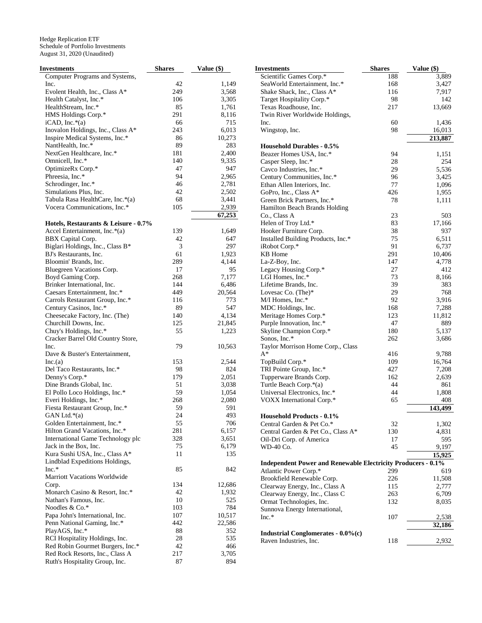| Investments                          | <b>Shares</b> | Value (\$) | <b>Investments</b>                                                  | <b>Shares</b> | Value $(\$)$ |
|--------------------------------------|---------------|------------|---------------------------------------------------------------------|---------------|--------------|
| Computer Programs and Systems,       |               |            | Scientific Games Corp.*                                             | 188           | 3,889        |
| Inc.                                 | 42            | 1,149      | SeaWorld Entertainment, Inc.*                                       | 168           | 3,427        |
| Evolent Health, Inc., Class A*       | 249           | 3,568      | Shake Shack, Inc., Class A*                                         | 116           | 7,917        |
| Health Catalyst, Inc.*               | 106           | 3,305      | Target Hospitality Corp.*                                           | 98            | 142          |
| HealthStream, Inc.*                  | 85            | 1,761      | Texas Roadhouse, Inc.                                               | 217           | 13,669       |
| HMS Holdings Corp.*                  | 291           | 8,116      | Twin River Worldwide Holdings,                                      |               |              |
| $iCAD, Inc.*(a)$                     | 66            | 715        | Inc.                                                                | 60            | 1,436        |
| Inovalon Holdings, Inc., Class A*    | 243           | 6,013      | Wingstop, Inc.                                                      | 98            | 16,013       |
| Inspire Medical Systems, Inc.*       | 86            | 10,273     |                                                                     |               | 213,887      |
| NantHealth, Inc.*                    | 89            | 283        | <b>Household Durables - 0.5%</b>                                    |               |              |
| NextGen Healthcare, Inc.*            | 181           | 2,400      | Beazer Homes USA, Inc.*                                             | 94            | 1,151        |
| Omnicell, Inc.*                      | 140           | 9,335      |                                                                     | 28            | 254          |
| OptimizeRx Corp.*                    | 47            | 947        | Casper Sleep, Inc.*                                                 |               |              |
|                                      | 94            |            | Cavco Industries, Inc.*                                             | 29            | 5,536        |
| Phreesia, Inc.*                      |               | 2,965      | Century Communities, Inc.*                                          | 96            | 3,425        |
| Schrodinger, Inc.*                   | 46            | 2,781      | Ethan Allen Interiors, Inc.                                         | 77            | 1,096        |
| Simulations Plus, Inc.               | 42            | 2,502      | GoPro, Inc., Class A*                                               | 426           | 1,955        |
| Tabula Rasa HealthCare, Inc.*(a)     | 68            | 3,441      | Green Brick Partners, Inc.*                                         | 78            | 1,111        |
| Vocera Communications, Inc.*         | 105           | 2,939      | Hamilton Beach Brands Holding                                       |               |              |
|                                      |               | 67,253     | Co., Class A                                                        | 23            | 503          |
| Hotels, Restaurants & Leisure - 0.7% |               |            | Helen of Troy Ltd.*                                                 | 83            | 17,166       |
| Accel Entertainment, Inc.*(a)        | 139           | 1,649      | Hooker Furniture Corp.                                              | 38            | 937          |
| BBX Capital Corp.                    | 42            | 647        | Installed Building Products, Inc.*                                  | 75            | 6,511        |
| Biglari Holdings, Inc., Class B*     | 3             | 297        | iRobot Corp.*                                                       | 91            | 6,737        |
| BJ's Restaurants, Inc.               | 61            | 1,923      | KB Home                                                             | 291           | 10,406       |
| Bloomin' Brands, Inc.                | 289           | 4,144      | La-Z-Boy, Inc.                                                      | 147           | 4,778        |
| Bluegreen Vacations Corp.            | 17            | 95         | Legacy Housing Corp.*                                               | 27            | 412          |
| Boyd Gaming Corp.                    | 268           | 7,177      | LGI Homes, Inc.*                                                    | 73            | 8,166        |
| Brinker International, Inc.          | 144           | 6,486      | Lifetime Brands, Inc.                                               | 39            | 383          |
| Caesars Entertainment, Inc.*         | 449           | 20,564     | Lovesac Co. (The)*                                                  | 29            | 768          |
| Carrols Restaurant Group, Inc.*      | 116           | 773        | M/I Homes, Inc.*                                                    | 92            | 3,916        |
| Century Casinos, Inc.*               | 89            | 547        | MDC Holdings, Inc.                                                  | 168           | 7,288        |
| Cheesecake Factory, Inc. (The)       | 140           | 4,134      | Meritage Homes Corp.*                                               | 123           | 11,812       |
|                                      | 125           | 21,845     | Purple Innovation, Inc.*                                            | 47            | 889          |
| Churchill Downs, Inc.                |               |            |                                                                     | 180           |              |
| Chuy's Holdings, Inc.*               | 55            | 1,223      | Skyline Champion Corp.*                                             |               | 5,137        |
| Cracker Barrel Old Country Store,    |               |            | Sonos, Inc.*                                                        | 262           | 3,686        |
| Inc.                                 | 79            | 10,563     | Taylor Morrison Home Corp., Class                                   |               |              |
| Dave & Buster's Entertainment,       |               |            | $A^*$                                                               | 416           | 9,788        |
| Inc.(a)                              | 153           | 2,544      | TopBuild Corp.*                                                     | 109           | 16,764       |
| Del Taco Restaurants, Inc.*          | 98            | 824        | TRI Pointe Group, Inc.*                                             | 427           | 7,208        |
| Denny's Corp.*                       | 179           | 2,051      | Tupperware Brands Corp.                                             | 162           | 2,639        |
| Dine Brands Global, Inc.             | 51            | 3,038      | Turtle Beach Corp.*(a)                                              | 44            | 861          |
| El Pollo Loco Holdings, Inc.*        | 59            | 1,054      | Universal Electronics, Inc.*                                        | 44            | 1,808        |
| Everi Holdings, Inc.*                | 268           | 2,080      | VOXX International Corp.*                                           | 65            | 408          |
| Fiesta Restaurant Group, Inc.*       | 59            | 591        |                                                                     |               | 143,499      |
| GAN Ltd. $*(a)$                      | 24            | 493        | Household Products - 0.1%                                           |               |              |
| Golden Entertainment, Inc.*          | 55            | 706        | Central Garden & Pet Co.*                                           | 32            | 1,302        |
| Hilton Grand Vacations, Inc.*        | 281           | 6,157      | Central Garden & Pet Co., Class A*                                  | 130           | 4,831        |
| International Game Technology plc    | 328           | 3,651      | Oil-Dri Corp. of America                                            | 17            | 595          |
| Jack in the Box, Inc.                | 75            | 6,179      | WD-40 Co.                                                           | 45            | 9,197        |
| Kura Sushi USA, Inc., Class A*       | 11            | 135        |                                                                     |               | 15,925       |
| Lindblad Expeditions Holdings,       |               |            | <b>Independent Power and Renewable Electricity Producers - 0.1%</b> |               |              |
| Inc.*                                | 85            | 842        | Atlantic Power Corp.*                                               | 299           | 619          |
| Marriott Vacations Worldwide         |               |            |                                                                     |               |              |
| Corp.                                | 134           | 12,686     | Brookfield Renewable Corp.                                          | 226           | 11,508       |
| Monarch Casino & Resort, Inc.*       | 42            | 1,932      | Clearway Energy, Inc., Class A                                      | 115           | 2,777        |
| Nathan's Famous, Inc.                | 10            | 525        | Clearway Energy, Inc., Class C                                      | 263           | 6,709        |
|                                      |               |            | Ormat Technologies, Inc.                                            | 132           | 8,035        |
| Noodles & Co.*                       | 103           | 784        | Sunnova Energy International,                                       |               |              |
| Papa John's International, Inc.      | 107           | 10,517     | $Inc.*$                                                             | 107           | 2,538        |
| Penn National Gaming, Inc.*          | 442           | 22,586     |                                                                     |               | 32,186       |
| PlayAGS, Inc.*                       | 88            | 352        | Industrial Conglomerates - 0.0%(c)                                  |               |              |
| RCI Hospitality Holdings, Inc.       | 28            | 535        | Raven Industries, Inc.                                              | 118           | 2,932        |
| Red Robin Gourmet Burgers, Inc.*     | 42            | 466        |                                                                     |               |              |
| Red Rock Resorts, Inc., Class A      | 217           | 3,705      |                                                                     |               |              |
| Ruth's Hospitality Group, Inc.       | 87            | 894        |                                                                     |               |              |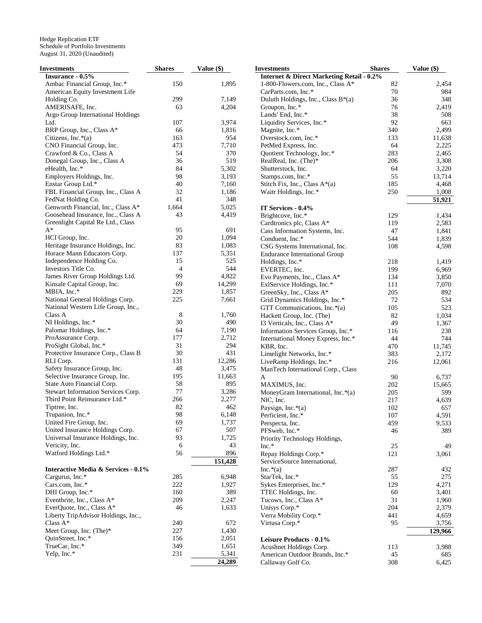| Investments                         | <b>Shares</b>  | Value $(\$)$ | <b>Investments</b>                                   | <b>Shares</b> | Value (\$) |
|-------------------------------------|----------------|--------------|------------------------------------------------------|---------------|------------|
| Insurance - 0.5%                    |                |              | <b>Internet &amp; Direct Marketing Retail - 0.2%</b> |               |            |
| Ambac Financial Group, Inc.*        | 150            | 1,895        | 1-800-Flowers.com, Inc., Class A*                    | 82            | 2,454      |
| American Equity Investment Life     |                |              | CarParts.com, Inc.*                                  | 70            | 984        |
| Holding Co.                         | 299            | 7,149        | Duluth Holdings, Inc., Class $B^*(a)$                | 36            | 348        |
| AMERISAFE, Inc.                     | 63             | 4,204        | Groupon, Inc.*                                       | 76            | 2,419      |
| Argo Group International Holdings   |                |              | Lands' End, Inc.*                                    | 38            | 508        |
| Ltd.                                | 107            | 3,974        | Liquidity Services, Inc.*                            | 92            | 663        |
| BRP Group, Inc., Class A*           | 66             | 1,816        | Magnite, Inc.*                                       | 340           | 2,499      |
| Citizens, Inc. $*(a)$               | 163            | 954          | Overstock.com, Inc.*                                 | 133           | 11,638     |
| CNO Financial Group, Inc.           | 473            | 7,710        | PetMed Express, Inc.                                 | 64            | 2,225      |
| Crawford & Co., Class A             | 54             | 370          | Quotient Technology, Inc.*                           | 283           | 2,465      |
| Donegal Group, Inc., Class A        | 36             | 519          | RealReal, Inc. (The)*                                | 206           | 3,308      |
| eHealth, Inc.*                      | 84             | 5,302        | Shutterstock, Inc.                                   | 64            | 3,220      |
| Employers Holdings, Inc.            | 98             | 3,193        | Stamps.com, Inc.*                                    | 55            | 13,714     |
| Enstar Group Ltd.*                  | 40             | 7,160        | Stitch Fix, Inc., Class A*(a)                        | 185           | 4,468      |
|                                     | 32             |              |                                                      | 250           | 1,008      |
| FBL Financial Group, Inc., Class A  | 41             | 1,186        | Waitr Holdings, Inc.*                                |               |            |
| FedNat Holding Co.                  |                | 348          |                                                      |               | 51,921     |
| Genworth Financial, Inc., Class A*  | 1,664          | 5,025        | IT Services - 0.4%                                   |               |            |
| Goosehead Insurance, Inc., Class A  | 43             | 4,419        | Brightcove, Inc.*                                    | 129           | 1,434      |
| Greenlight Capital Re Ltd., Class   |                |              | Cardtronics plc, Class A*                            | 119           | 2,583      |
| $A^*$                               | 95             | 691          | Cass Information Systems, Inc.                       | 47            | 1,841      |
| HCI Group, Inc.                     | 20             | 1,094        | Conduent, Inc.*                                      | 544           | 1,839      |
| Heritage Insurance Holdings, Inc.   | 83             | 1,083        | CSG Systems International, Inc.                      | 108           | 4,598      |
| Horace Mann Educators Corp.         | 137            | 5,351        | <b>Endurance International Group</b>                 |               |            |
| Independence Holding Co.            | 15             | 525          | Holdings, Inc.*                                      | 218           | 1,419      |
| Investors Title Co.                 | $\overline{4}$ | 544          | EVERTEC, Inc.                                        | 199           | 6,969      |
| James River Group Holdings Ltd.     | 99             | 4,822        | Evo Payments, Inc., Class A*                         | 134           | 3,850      |
| Kinsale Capital Group, Inc.         | 69             | 14,299       | ExlService Holdings, Inc.*                           | 111           | 7,070      |
| MBIA, Inc.*                         | 229            | 1,857        | GreenSky, Inc., Class A*                             | 205           | 892        |
| National General Holdings Corp.     | 225            | 7,661        | Grid Dynamics Holdings, Inc.*                        | 72            | 534        |
| National Western Life Group, Inc.,  |                |              | GTT Communications, Inc.*(a)                         | 105           | 523        |
| Class A                             | 8              | 1,760        | Hackett Group, Inc. (The)                            | 82            | 1,034      |
| NI Holdings, Inc.*                  | 30             | 490          | 13 Verticals, Inc., Class A*                         | 49            | 1,367      |
| Palomar Holdings, Inc.*             | 64             | 7,190        | Information Services Group, Inc.*                    | 116           | 238        |
| ProAssurance Corp.                  | 177            | 2,712        | International Money Express, Inc.*                   | 44            | 744        |
| ProSight Global, Inc.*              | 31             | 294          | KBR, Inc.                                            | 470           | 11,745     |
| Protective Insurance Corp., Class B | 30             | 431          | Limelight Networks, Inc.*                            | 383           | 2,172      |
| RLI Corp.                           | 131            | 12,286       | LiveRamp Holdings, Inc.*                             | 216           | 12,061     |
| Safety Insurance Group, Inc.        | 48             | 3,475        |                                                      |               |            |
| Selective Insurance Group, Inc.     | 195            | 11,663       | ManTech International Corp., Class                   |               |            |
| State Auto Financial Corp.          | 58             | 895          | A                                                    | 90            | 6,737      |
|                                     | 77             |              | MAXIMUS, Inc.                                        | 202           | 15,665     |
| Stewart Information Services Corp.  |                | 3,286        | MoneyGram International, Inc.*(a)                    | 205           | 599        |
| Third Point Reinsurance Ltd.*       | 266            | 2,277        | NIC, Inc.                                            | 217           | 4,639      |
| Tiptree, Inc.                       | 82             | 462          | Paysign, Inc.*(a)                                    | 102           | 657        |
| Trupanion, Inc.*                    | 98             | 6,148        | Perficient, Inc.*                                    | 107           | 4,591      |
| United Fire Group, Inc.             | 69             | 1,737        | Perspecta, Inc.                                      | 459           | 9,533      |
| United Insurance Holdings Corp.     | 67             | 507          | PFSweb, Inc.*                                        | 46            | 389        |
| Universal Insurance Holdings, Inc.  | 93             | 1,725        | Priority Technology Holdings,                        |               |            |
| Vericity, Inc.                      | 6              | 43           | $Inc.*$                                              | 25            | 49         |
| Watford Holdings Ltd.*              | 56             | 896          | Repay Holdings Corp.*                                | 121           | 3,061      |
|                                     |                | 151,428      | ServiceSource International,                         |               |            |
| Interactive Media & Services - 0.1% |                |              | $Inc.*(a)$                                           | 287           | 432        |
| Cargurus, Inc.*                     | 285            | 6,948        | StarTek, Inc.*                                       | 55            | 275        |
| Cars.com, Inc.*                     | 222            | 1,927        | Sykes Enterprises, Inc.*                             | 129           | 4,271      |
| DHI Group, Inc.*                    | 160            | 389          | TTEC Holdings, Inc.                                  | 60            | 3,401      |
| Eventbrite, Inc., Class A*          | 209            | 2,247        | Tucows, Inc., Class A*                               | 31            | 1,960      |
| EverQuote, Inc., Class A*           | 46             | 1,633        | Unisys Corp.*                                        | 204           | 2,379      |
| Liberty TripAdvisor Holdings, Inc., |                |              | Verra Mobility Corp.*                                | 441           | 4,659      |
| Class $A^*$                         | 240            | 672          | Virtusa Corp.*                                       | 95            | 3,756      |
| Meet Group, Inc. (The)*             | 227            | 1,430        |                                                      |               | 129,966    |
| QuinStreet, Inc.*                   | 156            | 2,051        |                                                      |               |            |
| TrueCar, Inc.*                      | 349            | 1,651        | Leisure Products - 0.1%                              |               |            |
|                                     | 231            |              | Acushnet Holdings Corp.                              | 113           | 3,988      |
| Yelp, Inc.*                         |                | 5,341        | American Outdoor Brands, Inc.*                       | 45            | 685        |
|                                     |                | 24,289       | Callaway Golf Co.                                    | 308           | 6,425      |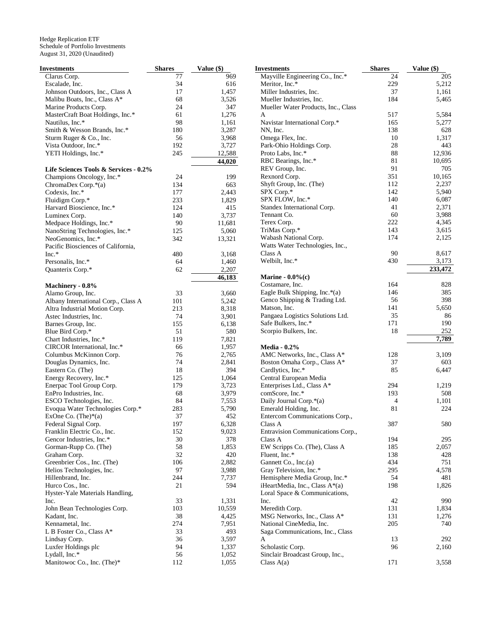| Investments                           | <b>Shares</b> | Value (\$) | <b>Investments</b>                  | <b>Shares</b> | Value (\$) |
|---------------------------------------|---------------|------------|-------------------------------------|---------------|------------|
| Clarus Corp.                          | 77            | 969        | Mayville Engineering Co., Inc.*     | 24            | 205        |
| Escalade, Inc.                        | 34            | 616        | Meritor, Inc.*                      | 229           | 5,212      |
| Johnson Outdoors, Inc., Class A       | 17            | 1,457      | Miller Industries, Inc.             | 37            | 1,161      |
| Malibu Boats, Inc., Class A*          | 68            | 3,526      | Mueller Industries, Inc.            | 184           | 5,465      |
| Marine Products Corp.                 | 24            | 347        | Mueller Water Products, Inc., Class |               |            |
| MasterCraft Boat Holdings, Inc.*      | 61            | 1,276      | A                                   | 517           | 5,584      |
| Nautilus, Inc.*                       | 98            | 1,161      | Navistar International Corp.*       | 165           | 5,277      |
| Smith & Wesson Brands, Inc.*          | 180           | 3,287      | NN, Inc.                            | 138           | 628        |
| Sturm Ruger & Co., Inc.               | 56            | 3,968      | Omega Flex, Inc.                    | 10            | 1,317      |
| Vista Outdoor, Inc.*                  | 192           | 3,727      | Park-Ohio Holdings Corp.            | 28            | 443        |
| YETI Holdings, Inc.*                  | 245           | 12,588     | Proto Labs, Inc.*                   | 88            | 12,936     |
|                                       |               | 44,020     | RBC Bearings, Inc.*                 | 81            | 10,695     |
|                                       |               |            | REV Group, Inc.                     | 91            | 705        |
| Life Sciences Tools & Services - 0.2% |               |            |                                     | 351           | 10,165     |
| Champions Oncology, Inc.*             | 24            | 199        | Rexnord Corp.                       | 112           |            |
| ChromaDex Corp.*(a)                   | 134           | 663        | Shyft Group, Inc. (The)             |               | 2,237      |
| Codexis, Inc.*                        | 177           | 2,443      | SPX Corp.*                          | 142           | 5,940      |
| Fluidigm Corp.*                       | 233           | 1,829      | SPX FLOW, Inc.*                     | 140           | 6,087      |
| Harvard Bioscience, Inc.*             | 124           | 415        | Standex International Corp.         | 41            | 2,371      |
| Luminex Corp.                         | 140           | 3,737      | Tennant Co.                         | 60            | 3,988      |
| Medpace Holdings, Inc.*               | 90            | 11,681     | Terex Corp.                         | 222           | 4,345      |
| NanoString Technologies, Inc.*        | 125           | 5,060      | TriMas Corp.*                       | 143           | 3,615      |
| NeoGenomics, Inc.*                    | 342           | 13,321     | Wabash National Corp.               | 174           | 2,125      |
| Pacific Biosciences of California,    |               |            | Watts Water Technologies, Inc.,     |               |            |
| Inc.*                                 | 480           | 3,168      | Class A                             | 90            | 8,617      |
| Personalis, Inc.*                     | 64            | 1,460      | Welbilt, Inc.*                      | 430           | 3,173      |
| Quanterix Corp.*                      | 62            | 2,207      |                                     |               | 233,472    |
|                                       |               | 46,183     | Marine - $0.0\%$ (c)                |               |            |
| Machinery - 0.8%                      |               |            | Costamare, Inc.                     | 164           | 828        |
| Alamo Group, Inc.                     | 33            | 3,660      | Eagle Bulk Shipping, Inc. $*(a)$    | 146           | 385        |
|                                       | 101           | 5,242      | Genco Shipping & Trading Ltd.       | 56            | 398        |
| Albany International Corp., Class A   | 213           |            | Matson, Inc.                        | 141           | 5,650      |
| Altra Industrial Motion Corp.         |               | 8,318      | Pangaea Logistics Solutions Ltd.    | 35            | 86         |
| Astec Industries, Inc.                | 74            | 3,901      | Safe Bulkers, Inc.*                 | 171           | 190        |
| Barnes Group, Inc.                    | 155           | 6,138      | Scorpio Bulkers, Inc.               | 18            | 252        |
| Blue Bird Corp.*                      | 51            | 580        |                                     |               | 7,789      |
| Chart Industries, Inc.*               | 119           | 7,821      |                                     |               |            |
| CIRCOR International, Inc.*           | 66            | 1,957      | <b>Media - 0.2%</b>                 |               |            |
| Columbus McKinnon Corp.               | 76            | 2,765      | AMC Networks, Inc., Class A*        | 128           | 3,109      |
| Douglas Dynamics, Inc.                | 74            | 2,841      | Boston Omaha Corp., Class A*        | 37            | 603        |
| Eastern Co. (The)                     | 18            | 394        | Cardlytics, Inc.*                   | 85            | 6,447      |
| Energy Recovery, Inc.*                | 125           | 1,064      | Central European Media              |               |            |
| Enerpac Tool Group Corp.              | 179           | 3,723      | Enterprises Ltd., Class A*          | 294           | 1,219      |
| EnPro Industries, Inc.                | 68            | 3,979      | comScore, Inc.*                     | 193           | 508        |
| ESCO Technologies, Inc.               | 84            | 7,553      | Daily Journal Corp.*(a)             | 4             | 1,101      |
| Evoqua Water Technologies Corp.*      | 283           | 5,790      | Emerald Holding, Inc.               | 81            | 224        |
| ExOne Co. $(The)*(a)$                 | 37            | 452        | Entercom Communications Corp.,      |               |            |
| Federal Signal Corp.                  | 197           | 6,328      | Class A                             | 387           | 580        |
| Franklin Electric Co., Inc.           | 152           | 9,023      | Entravision Communications Corp.,   |               |            |
| Gencor Industries, Inc.*              | 30            | 378        | Class A                             | 194           | 295        |
| Gorman-Rupp Co. (The)                 | 58            | 1,853      | EW Scripps Co. (The), Class A       | 185           | 2,057      |
| Graham Corp.                          | 32            | 420        | Fluent, Inc.*                       | 138           | 428        |
| Greenbrier Cos., Inc. (The)           | 106           | 2,882      | Gannett Co., Inc.(a)                | 434           | 751        |
| Helios Technologies, Inc.             | 97            | 3,988      | Gray Television, Inc.*              | 295           | 4,578      |
| Hillenbrand, Inc.                     | 244           | 7,737      | Hemisphere Media Group, Inc.*       | 54            | 481        |
| Hurco Cos., Inc.                      | 21            | 594        | iHeartMedia, Inc., Class A*(a)      | 198           | 1,826      |
|                                       |               |            |                                     |               |            |
| Hyster-Yale Materials Handling,       |               |            | Loral Space & Communications,       | 42            | 990        |
| Inc.                                  | 33            | 1,331      | Inc.                                |               |            |
| John Bean Technologies Corp.          | 103           | 10,559     | Meredith Corp.                      | 131           | 1,834      |
| Kadant, Inc.                          | 38            | 4,425      | MSG Networks, Inc., Class A*        | 131           | 1,276      |
| Kennametal, Inc.                      | 274           | 7,951      | National CineMedia, Inc.            | 205           | 740        |
| L B Foster Co., Class $A^*$           | 33            | 493        | Saga Communications, Inc., Class    |               |            |
| Lindsay Corp.                         | 36            | 3,597      | A                                   | 13            | 292        |
| Luxfer Holdings plc                   | 94            | 1,337      | Scholastic Corp.                    | 96            | 2,160      |
| Lydall, Inc.*                         | 56            | 1,052      | Sinclair Broadcast Group, Inc.,     |               |            |
| Manitowoc Co., Inc. (The)*            | 112           | 1,055      | Class $A(a)$                        | 171           | 3,558      |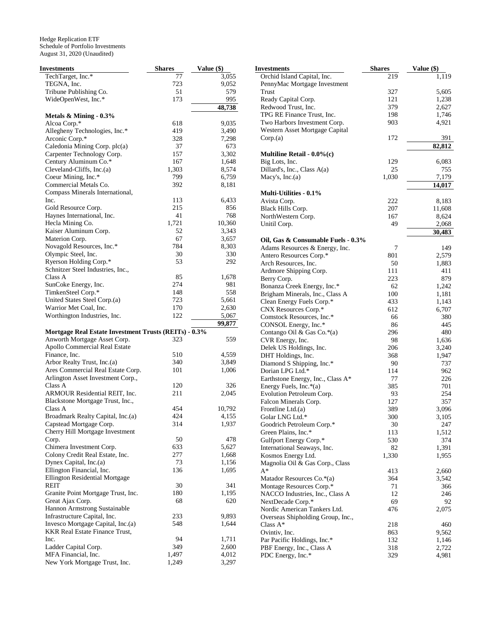| <b>Investments</b>                                           | <b>Shares</b> | Value (\$) |
|--------------------------------------------------------------|---------------|------------|
| TechTarget, Inc.*                                            | 77            | 3,055      |
| TEGNA, Inc.                                                  | 723           | 9,052      |
| Tribune Publishing Co.                                       | 51            | 579        |
| WideOpenWest, Inc.*                                          | 173           | 995        |
|                                                              |               | 48,738     |
| Metals $\&$ Mining - 0.3%                                    |               |            |
| Alcoa Corp.*                                                 | 618           | 9,035      |
| Allegheny Technologies, Inc.*                                | 419           | 3,490      |
| Arconic Corp.*                                               | 328           | 7,298      |
| Caledonia Mining Corp. plc(a)                                | 37            | 673        |
| Carpenter Technology Corp.                                   | 157           | 3,302      |
| Century Aluminum Co.*                                        | 167           | 1,648      |
| Cleveland-Cliffs, $Inc.(a)$                                  | 1,303         | 8,574      |
| Coeur Mining, Inc.*                                          | 799           | 6,759      |
| Commercial Metals Co.                                        | 392           | 8,181      |
| Compass Minerals International,                              |               |            |
| Inc.                                                         | 113           | 6,433      |
| Gold Resource Corp.                                          | 215           | 856        |
| Haynes International, Inc.                                   | 41            | 768        |
| Hecla Mining Co.                                             | 1,721         | 10,360     |
| Kaiser Aluminum Corp.                                        | 52            | 3,343      |
| Materion Corp.                                               | 67            | 3,657      |
| Novagold Resources, Inc.*                                    | 784           | 8,303      |
| Olympic Steel, Inc.                                          | 30            | 330        |
| Ryerson Holding Corp.*                                       | 53            | 292        |
| Schnitzer Steel Industries, Inc.,                            |               |            |
| Class A                                                      | 85            | 1,678      |
| SunCoke Energy, Inc.                                         | 274           | 981        |
| TimkenSteel Corp.*                                           | 148           | 558        |
| United States Steel Corp.(a)                                 | 723           | 5,661      |
| Warrior Met Coal, Inc.                                       | 170           | 2,630      |
| Worthington Industries, Inc.                                 | 122           | 5,067      |
|                                                              |               | 99,877     |
| <b>Mortgage Real Estate Investment Trusts (REITs) - 0.3%</b> |               |            |
| Anworth Mortgage Asset Corp.                                 | 323           | 559        |
| Apollo Commercial Real Estate                                |               |            |
| Finance, Inc.                                                | 510           | 4,559      |
| Arbor Realty Trust, Inc.(a)                                  | 340           | 3,849      |
| Ares Commercial Real Estate Corp.                            | 101           | 1,006      |
| Arlington Asset Investment Corp.,                            |               |            |
| Class A                                                      | 120           | 326        |
| ARMOUR Residential REIT, Inc.                                | 211           | 2,045      |
| Blackstone Mortgage Trust, Inc.,                             |               |            |
| Class A                                                      | 454           | 10,792     |
| Broadmark Realty Capital, Inc.(a)                            | 424           | 4,155      |
| Capstead Mortgage Corp.                                      | 314           | 1,937      |
| Cherry Hill Mortgage Investment                              |               |            |
| Corp.                                                        | 50            |            |
|                                                              |               | 478        |
| Chimera Investment Corp.                                     | 633           | 5,627      |
| Colony Credit Real Estate, Inc.                              | 277           | 1,668      |
| Dynex Capital, Inc.(a)                                       | 73            | 1,156      |
| Ellington Financial, Inc.                                    | 136           | 1,695      |
| Ellington Residential Mortgage                               |               |            |
| REIT                                                         | 30            | 341        |
| Granite Point Mortgage Trust, Inc.                           | 180           | 1,195      |
| Great Ajax Corp.                                             | 68            | 620        |
| Hannon Armstrong Sustainable                                 |               |            |
| Infrastructure Capital, Inc.                                 | 233           | 9,893      |
| Invesco Mortgage Capital, Inc.(a)                            | 548           | 1,644      |
| <b>KKR Real Estate Finance Trust,</b>                        |               |            |
| Inc.                                                         | 94            | 1,711      |
| Ladder Capital Corp.                                         | 349           | 2,600      |
| MFA Financial, Inc.                                          | 1,497         | 4,012      |
| New York Mortgage Trust, Inc.                                | 1,249         | 3,297      |

| <b>Investments</b>                                | <b>Shares</b> | Value (\$) |
|---------------------------------------------------|---------------|------------|
| Orchid Island Capital, Inc.                       | 219           | 1,119      |
| PennyMac Mortgage Investment                      |               |            |
| Trust                                             | 327           | 5,605      |
| Ready Capital Corp.                               | 121           | 1,238      |
| Redwood Trust, Inc.                               | 379           | 2,627      |
| TPG RE Finance Trust, Inc.                        | 198           | 1,746      |
| Two Harbors Investment Corp.                      | 903           | 4,921      |
| Western Asset Mortgage Capital                    |               |            |
| Corp(a)                                           | 172           | 391        |
|                                                   |               | 82,812     |
| Multiline Retail - $0.0\%$ (c)<br>Big Lots, Inc.  | 129           | 6,083      |
| Dillard's, Inc., Class A(a)                       | 25            | 755        |
| Macy's, Inc.(a)                                   | 1,030         | 7,179      |
|                                                   |               | 14,017     |
| <b>Multi-Utilities - 0.1%</b>                     |               |            |
| Avista Corp.                                      | 222           | 8,183      |
| Black Hills Corp.                                 | 207           | 11,608     |
| NorthWestern Corp.                                | 167           | 8,624      |
| Unitil Corp.                                      | 49            | 2,068      |
|                                                   |               | 30,483     |
| Oil, Gas & Consumable Fuels - 0.3%                |               |            |
| Adams Resources & Energy, Inc.                    | 7             | 149        |
| Antero Resources Corp.*                           | 801           | 2,579      |
| Arch Resources, Inc.                              | 50            | 1,883      |
| Ardmore Shipping Corp.                            | 111           | 411        |
| Berry Corp.                                       | 223           | 879        |
| Bonanza Creek Energy, Inc.*                       | 62            | 1,242      |
| Brigham Minerals, Inc., Class A                   | 100           | 1,181      |
| Clean Energy Fuels Corp.*                         | 433           | 1,143      |
| CNX Resources Corp.*                              | 612           | 6,707      |
| Comstock Resources, Inc.*<br>CONSOL Energy, Inc.* | 66<br>86      | 380<br>445 |
| Contango Oil & Gas Co.*(a)                        | 296           | 480        |
| CVR Energy, Inc.                                  | 98            | 1,636      |
| Delek US Holdings, Inc.                           | 206           | 3,240      |
| DHT Holdings, Inc.                                | 368           | 1,947      |
| Diamond S Shipping, Inc.*                         | 90            | 737        |
| Dorian LPG Ltd.*                                  | 114           | 962        |
| Earthstone Energy, Inc., Class A*                 | 77            | 226        |
| Energy Fuels, Inc.*(a)                            | 385           | 701        |
| Evolution Petroleum Corp.                         | 93            | 254        |
| Falcon Minerals Corp.                             | 127           | 357        |
| Frontline Ltd.(a)                                 | 389           | 3,096      |
| Golar LNG Ltd.*                                   | 300           | 3,105      |
| Goodrich Petroleum Corp.*                         | 30            | 247        |
| Green Plains, Inc.*                               | 113           | 1,512      |
| Gulfport Energy Corp.*                            | 530           | 374        |
| International Seaways, Inc.                       | 82            | 1,391      |
| Kosmos Energy Ltd.                                | 1,330         | 1,955      |
| Magnolia Oil & Gas Corp., Class                   |               |            |
| $A^*$                                             | 413           | 2,660      |
| Matador Resources Co.*(a)                         | 364           | 3,542      |
| Montage Resources Corp.*                          | 71            | 366        |
| NACCO Industries, Inc., Class A                   | 12            | 246        |
| NextDecade Corp.*<br>Nordic American Tankers Ltd. | 69<br>476     | 92         |
| Overseas Shipholding Group, Inc.,                 |               | 2,075      |
| Class $A^*$                                       | 218           | 460        |
| Ovintiv, Inc.                                     | 863           | 9,562      |
| Par Pacific Holdings, Inc.*                       | 132           | 1,146      |
| PBF Energy, Inc., Class A                         | 318           | 2,722      |
| PDC Energy, Inc.*                                 | 329           | 4,981      |
|                                                   |               |            |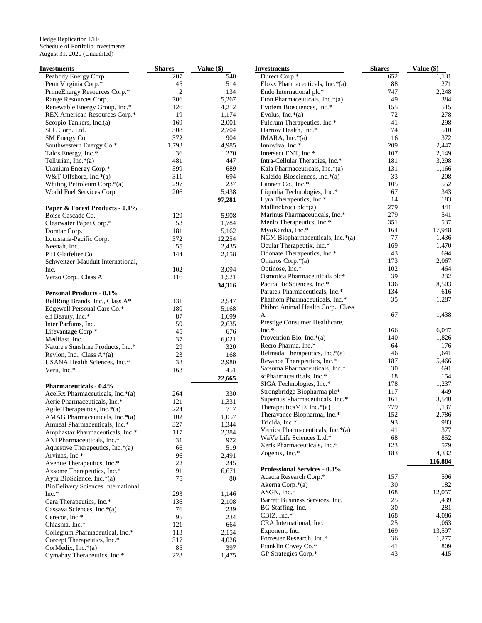| Investments                                                        | <b>Shares</b> | Value (\$)     | <b>Investments</b>                         |
|--------------------------------------------------------------------|---------------|----------------|--------------------------------------------|
| Peabody Energy Corp.                                               | 207           | 540            | Durect Corp.*                              |
| Penn Virginia Corp.*                                               | 45            | 514            | Eloxx Pharmaceutica                        |
| PrimeEnergy Resources Corp.*                                       | 2             | 134            | Endo International pl                      |
| Range Resources Corp.                                              | 706           | 5,267          | Eton Pharmaceuticals                       |
| Renewable Energy Group, Inc.*                                      | 126           | 4,212          | Evofem Biosciences,                        |
| REX American Resources Corp.*<br>Scorpio Tankers, Inc.(a)          | 19<br>169     | 1,174          | Evolus, Inc. $*(a)$<br>Fulcrum Therapeutic |
| SFL Corp. Ltd.                                                     | 308           | 2,001<br>2,704 | Harrow Health, Inc.*                       |
| SM Energy Co.                                                      | 372           | 904            | IMARA, Inc. $*(a)$                         |
| Southwestern Energy Co.*                                           | 1,793         | 4,985          | Innoviva, Inc.*                            |
| Talos Energy, Inc.*                                                | 36            | 270            | Intersect ENT, Inc.*                       |
| Tellurian, Inc. $*(a)$                                             | 481           | 447            | Intra-Cellular Therap                      |
| Uranium Energy Corp.*                                              | 599           | 689            | Kala Pharmaceuticals                       |
| W&T Offshore, Inc. $*(a)$                                          | 311           | 694            | Kaleido Biosciences,                       |
| Whiting Petroleum Corp.*(a)                                        | 297           | 237            | Lannett Co., Inc.*                         |
| World Fuel Services Corp.                                          | 206           | 5,438          | Liquidia Technologie                       |
|                                                                    |               | 97,281         | Lyra Therapeutics, In                      |
| Paper & Forest Products - 0.1%                                     |               |                | Mallinckrodt plc $*(a)$                    |
| Boise Cascade Co.                                                  | 129           | 5,908          | Marinus Pharmaceuti                        |
| Clearwater Paper Corp.*                                            | 53            | 1,784          | Menlo Therapeutics,                        |
| Domtar Corp.                                                       | 181           | 5,162          | MyoKardia, Inc.*                           |
| Louisiana-Pacific Corp.                                            | 372           | 12,254         | NGM Biopharmaceu                           |
| Neenah, Inc.                                                       | 55            | 2,435          | Ocular Therapeutix, 1                      |
| P H Glatfelter Co.                                                 | 144           | 2,158          | Odonate Therapeutic                        |
| Schweitzer-Mauduit International,                                  |               |                | Omeros Corp. $*(a)$                        |
| Inc.                                                               | 102           | 3,094          | Optinose, Inc.*<br>Osmotica Pharmaceu      |
| Verso Corp., Class A                                               | 116           | 1,521          | Pacira BioSciences, I                      |
|                                                                    |               | 34,316         | Paratek Pharmaceutic                       |
| <b>Personal Products - 0.1%</b><br>BellRing Brands, Inc., Class A* | 131           | 2,547          | <b>Phathom Pharmaceut</b>                  |
| Edgewell Personal Care Co.*                                        | 180           | 5,168          | Phibro Animal Health                       |
| elf Beauty, Inc.*                                                  | 87            | 1,699          | A                                          |
| Inter Parfums, Inc.                                                | 59            | 2,635          | Prestige Consumer H                        |
| Lifevantage Corp.*                                                 | 45            | 676            | $Inc.*$                                    |
| Medifast, Inc.                                                     | 37            | 6,021          | Provention Bio, Inc.*                      |
| Nature's Sunshine Products, Inc.*                                  | 29            | 320            | Recro Pharma, Inc.*                        |
| Revlon, Inc., Class $A^*(a)$                                       | 23            | 168            | Relmada Therapeutic                        |
| USANA Health Sciences, Inc.*                                       | 38            | 2,980          | Revance Therapeutic                        |
| Veru, Inc.*                                                        | 163           | 451            | Satsuma Pharmaceuti                        |
|                                                                    |               | 22,665         | scPharmaceuticals, In                      |
| <b>Pharmaceuticals - 0.4%</b>                                      |               |                | SIGA Technologies,<br>Strongbridge Biopha  |
| AcelRx Pharmaceuticals, Inc.*(a)                                   | 264           | 330            | Supernus Pharmaceu                         |
| Aerie Pharmaceuticals, Inc.*                                       | 121           | 1,331          | TherapeuticsMD, Inc                        |
| Agile Therapeutics, Inc.*(a)                                       | 224           | 717            | Theravance Biopharr                        |
| AMAG Pharmaceuticals, Inc.*(a)                                     | 102           | 1,057          | Tricida, Inc.*                             |
| Amneal Pharmaceuticals, Inc.*<br>Amphastar Pharmaceuticals, Inc.*  | 327           | 1,344          | Verrica Pharmaceutic                       |
| ANI Pharmaceuticals, Inc.*                                         | 117<br>31     | 2,384<br>972   | WaVe Life Sciences                         |
| Aquestive Therapeutics, Inc.*(a)                                   | 66            | 519            | Xeris Pharmaceutical                       |
| Arvinas, Inc.*                                                     | 96            | 2,491          | Zogenix, Inc.*                             |
| Avenue Therapeutics, Inc.*                                         | 22            | 245            |                                            |
| Axsome Therapeutics, Inc.*                                         | 91            | 6,671          | <b>Professional Service</b>                |
| Aytu BioScience, Inc.*(a)                                          | 75            | 80             | Acacia Research Cor                        |
| BioDelivery Sciences International,                                |               |                | Akerna Corp.*(a)                           |
| Inc.*                                                              | 293           | 1,146          | ASGN, Inc.*                                |
| Cara Therapeutics, Inc.*                                           | 136           | 2,108          | <b>Barrett Business Serv</b>               |
| Cassava Sciences, Inc.*(a)                                         | 76            | 239            | BG Staffing, Inc.                          |
| Cerecor, Inc.*                                                     | 95            | 234            | CBIZ, Inc.*                                |
| Chiasma, Inc.*                                                     | 121           | 664            | CRA International, In                      |
| Collegium Pharmaceutical, Inc.*                                    | 113           | 2,154          | Exponent, Inc.<br>Forrester Research, In   |
| Corcept Therapeutics, Inc.*                                        | 317           | 4,026          | Franklin Covey Co.*                        |
| CorMedix, Inc.*(a)                                                 | 85            | 397            | GP Strategies Corp.*                       |
| Cymabay Therapeutics, Inc.*                                        | 228           | 1,475          |                                            |

| Investments                              | <b>Shares</b> | Value (\$)     |
|------------------------------------------|---------------|----------------|
| Durect Corp. <sup>*</sup>                | 652           | 1,131          |
| Eloxx Pharmaceuticals, Inc. $*(a)$       | 88            | 271            |
| Endo International plc*                  | 747           | 2,248          |
| Eton Pharmaceuticals, Inc.*(a)           | 49            | 384            |
| Evofem Biosciences, Inc.*                | 155           | 515            |
| Evolus, Inc. $*(a)$                      | 72            | 278            |
| Fulcrum Therapeutics, Inc.*              | 41            | 298            |
| Harrow Health, Inc.*                     | 74            | 510            |
| IMARA, Inc. $*(a)$                       | 16            | 372            |
| Innoviva, Inc.*                          | 209           | 2,447          |
| Intersect ENT, Inc.*                     | 107           | 2,149          |
| Intra-Cellular Therapies, Inc.*          | 181           | 3,298          |
| Kala Pharmaceuticals, Inc.*(a)           | 131           | 1,166          |
| Kaleido Biosciences, Inc.*(a)            | 33            | 208            |
| Lannett Co., Inc.*                       | 105           | 552            |
| Liquidia Technologies, Inc.*             | 67            | 343            |
| Lyra Therapeutics, Inc.*                 | 14            | 183            |
| Mallinckrodt plc*(a)                     | 279           | 441            |
| Marinus Pharmaceuticals, Inc.*           | 279           | 541            |
| Menlo Therapeutics, Inc.*                | 351           | 537            |
| MyoKardia, Inc.*                         | 164           | 17,948         |
| NGM Biopharmaceuticals, Inc. $*(a)$      | 77            | 1,436          |
| Ocular Therapeutix, Inc.*                | 169           | 1,470          |
| Odonate Therapeutics, Inc.*              | 43            | 694            |
| Omeros Corp.*(a)                         | 173           | 2,067          |
| Optinose, Inc.*                          | 102           | 464            |
| Osmotica Pharmaceuticals plc*            | 39            | 232            |
| Pacira BioSciences, Inc.*                | 136           | 8,503          |
| Paratek Pharmaceuticals, Inc.*           | 134           | 616            |
| Phathom Pharmaceuticals, Inc.*           | 35            | 1,287          |
| Phibro Animal Health Corp., Class        |               |                |
| A                                        | 67            | 1,438          |
| Prestige Consumer Healthcare,<br>$Inc.*$ | 166           |                |
| Provention Bio, Inc.*(a)                 | 140           | 6,047<br>1,826 |
| Recro Pharma, Inc.*                      | 64            | 176            |
| Relmada Therapeutics, Inc.*(a)           | 46            | 1,641          |
| Revance Therapeutics, Inc.*              | 187           | 5,466          |
| Satsuma Pharmaceuticals, Inc.*           | 30            | 691            |
| scPharmaceuticals, Inc.*                 | 18            | 154            |
| SIGA Technologies, Inc.*                 | 178           | 1,237          |
| Strongbridge Biopharma plc*              | 117           | 449            |
| Supernus Pharmaceuticals, Inc.*          | 161           | 3,540          |
| Therapeutics MD, Inc. $*(a)$             | 779           | 1,137          |
| Theravance Biopharma, Inc.*              | 152           | 2,786          |
| Tricida, Inc.*                           | 93            | 983            |
| Verrica Pharmaceuticals, Inc.*(a)        | 41            | 377            |
| WaVe Life Sciences Ltd.*                 | 68            | 852            |
| Xeris Pharmaceuticals, Inc.*             | 123           | 579            |
| Zogenix, Inc.*                           | 183           | 4,332          |
|                                          |               | 116,884        |
| <b>Professional Services - 0.3%</b>      |               |                |
| Acacia Research Corp.*                   | 157           | 596            |
| Akerna Corp.*(a)                         | 30            | 182            |
| ASGN, Inc.*                              | 168           | 12,057         |
| Barrett Business Services, Inc.          | 25            | 1,439          |
| BG Staffing, Inc.                        | 30            | 281            |
| CBIZ, Inc.*                              | 168           | 4,086          |
| CRA International, Inc.                  | 25            | 1,063          |
| Exponent, Inc.                           | 169           | 13,597         |
| Forrester Research, Inc.*                | 36            | 1,277          |
| Franklin Covey Co.*                      | 41            | 809            |
| GP Strategies Corp.*                     | 43            | 415            |
|                                          |               |                |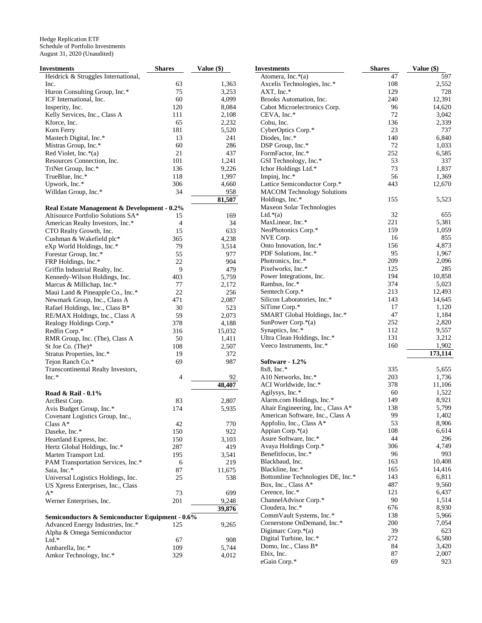| Investments                                     | <b>Shares</b>  | <b>Value</b> (\$) |
|-------------------------------------------------|----------------|-------------------|
| Heidrick & Struggles International,             |                |                   |
| Inc.                                            | 63             | 1,363             |
| Huron Consulting Group, Inc.*                   | 75             | 3,253             |
| ICF International, Inc.                         | 60             | 4,099             |
| Insperity, Inc.                                 | 120            | 8,084             |
| Kelly Services, Inc., Class A                   | 111            | 2,108             |
| Kforce, Inc.                                    | 65             | 2,232             |
| Korn Ferry                                      | 181            | 5,520             |
| Mastech Digital, Inc.*                          | 13             | 241               |
| Mistras Group, Inc.*                            | 60             | 286               |
| Red Violet, Inc.*(a)                            | 21             | 437               |
| Resources Connection, Inc.                      | 101            | 1,241             |
| TriNet Group, Inc.*                             | 136            | 9,226             |
| TrueBlue, Inc.*                                 | 118            | 1,997             |
| Upwork, Inc.*                                   | 306            | 4,660             |
|                                                 |                |                   |
| Willdan Group, Inc.*                            | 34             | 958               |
|                                                 |                | 81,507            |
| Real Estate Management & Development - 0.2%     |                |                   |
| Altisource Portfolio Solutions SA*              | 15             | 169               |
| American Realty Investors, Inc.*                | 4              | 34                |
| CTO Realty Growth, Inc.                         | 15             | 633               |
| Cushman & Wakefield plc*                        | 365            | 4,238             |
| eXp World Holdings, Inc.*                       | 79             | 3,514             |
| Forestar Group, Inc.*                           | 55             | 977               |
| FRP Holdings, Inc.*                             | 22             | 904               |
| Griffin Industrial Realty, Inc.                 | 9              | 479               |
| Kennedy-Wilson Holdings, Inc.                   | 403            | 5,759             |
| Marcus & Millichap, Inc.*                       | 77             | 2,172             |
| Maui Land & Pineapple Co., Inc.*                | 22             | 256               |
| Newmark Group, Inc., Class A                    | 471            | 2,087             |
| Rafael Holdings, Inc., Class B*                 | 30             | 523               |
| RE/MAX Holdings, Inc., Class A                  | 59             | 2,073             |
| Realogy Holdings Corp.*                         | 378            | 4,188             |
| Redfin Corp.*                                   | 316            | 15,032            |
| RMR Group, Inc. (The), Class A                  | 50             | 1,411             |
| St Joe Co. (The)*                               | 108            | 2,507             |
| Stratus Properties, Inc.*                       | 19             | 372               |
| Tejon Ranch Co.*                                | 69             |                   |
|                                                 |                | 987               |
| Transcontinental Realty Investors,              |                |                   |
| $Inc.*$                                         | $\overline{4}$ | 92                |
|                                                 |                | 48,407            |
| Road & Rail - 0.1%                              |                |                   |
| ArcBest Corp.                                   | 83             | 2,807             |
| Avis Budget Group, Inc.*                        | 174            | 5,935             |
| Covenant Logistics Group, Inc.,                 |                |                   |
| Class $A^*$                                     | 42             | 770               |
| Daseke, Inc.*                                   | 150            | 922               |
| Heartland Express, Inc.                         | 150            | 3,103             |
| Hertz Global Holdings, Inc.*                    | 287            | 419               |
| Marten Transport Ltd.                           | 195            | 3,541             |
| PAM Transportation Services, Inc.*              | 6              | 219               |
| Saia, Inc.*                                     | 87             | 11,675            |
| Universal Logistics Holdings, Inc.              | 25             | 538               |
| US Xpress Enterprises, Inc., Class              |                |                   |
| A*                                              | 73             | 699               |
| Werner Enterprises, Inc.                        |                |                   |
|                                                 | 201            | 9,248             |
|                                                 |                | 39,876            |
| Semiconductors & Semiconductor Equipment - 0.6% |                |                   |
| Advanced Energy Industries, Inc.*               | 125            | 9,265             |
| Alpha & Omega Semiconductor                     |                |                   |
| $Ltd.*$                                         | 67             | 908               |
| Ambarella, Inc.*                                | 109            | 5,744             |
| Amkor Technology, Inc.*                         | 329            | 4,012             |

|                         | <b>Investments</b>                      | <b>Shares</b> | Value (\$)     |
|-------------------------|-----------------------------------------|---------------|----------------|
|                         | Atomera, Inc.*(a)                       | 47            | 597            |
| 53                      | Axcelis Technologies, Inc.*             | 108           | 2,552          |
| 53                      | $AXT$ , Inc. $*$                        | 129           | 728            |
| 99                      | Brooks Automation, Inc.                 | 240           | 12,391         |
| 34                      | Cabot Microelectronics Corp.            | 96            | 14,620         |
| 18                      | CEVA, Inc.*                             | 72            | 3,042          |
| 32                      | Cohu, Inc.                              | 136           | 2,339          |
| 20                      | CyberOptics Corp.*                      | 23            | 737            |
| 1                       | Diodes, Inc.*                           | 140           | 6,840          |
| 36                      | DSP Group, Inc.*                        | 72            | 1,033          |
| 37                      | FormFactor, Inc.*                       | 252           | 6,585          |
| 1                       | GSI Technology, Inc.*                   | 53            | 337            |
| 26                      | Ichor Holdings Ltd.*                    | 73            | 1,837          |
| 17                      | Impinj, Inc.*                           | 56            | 1,369          |
| 5O                      | Lattice Semiconductor Corp.*            | 443           | 12,670         |
| $\boldsymbol{8}$        | <b>MACOM Technology Solutions</b>       |               |                |
| 17                      | Holdings, Inc.*                         | 155           | 5,523          |
|                         | Maxeon Solar Technologies               | 32            |                |
| 59                      | Ltd. $*(a)$                             | 221           | 655            |
| 34                      | MaxLinear, Inc.*<br>NeoPhotonics Corp.* | 159           | 5,381<br>1,059 |
| 33                      | NVE Corp.                               | 16            | 855            |
| 38                      | Onto Innovation, Inc.*                  | 156           | 4,873          |
| $\overline{A}$<br>17    | PDF Solutions, Inc.*                    | 95            | 1,967          |
| )4                      | Photronics, Inc.*                       | 209           | 2,096          |
| 79                      | Pixelworks, Inc.*                       | 125           | 285            |
| 59                      | Power Integrations, Inc.                | 194           | 10,858         |
| '2                      | Rambus, Inc.*                           | 374           | 5,023          |
| 56                      | Semtech Corp.*                          | 213           | 12,493         |
| 37                      | Silicon Laboratories, Inc.*             | 143           | 14,645         |
| 23                      | SiTime Corp.*                           | 17            | 1,120          |
| '3                      | SMART Global Holdings, Inc.*            | 47            | 1,184          |
| 38                      | SunPower Corp.*(a)                      | 252           | 2,820          |
| 32                      | Synaptics, Inc.*                        | 112           | 9,557          |
| $\cdot$                 | Ultra Clean Holdings, Inc.*             | 131           | 3,212          |
| 17                      | Veeco Instruments, Inc.*                | 160           | 1,902          |
| '2                      |                                         |               | 173,114        |
| 37                      | Software - 1.2%                         |               |                |
|                         | 8x8, Inc.*                              | 335           | 5,655          |
| $\frac{2}{2}$           | A10 Networks, Inc.*                     | 203           | 1,736          |
| $\overline{7}$          | ACI Worldwide, Inc.*                    | 378           | 11,106         |
|                         | Agilysys, Inc.*                         | 60            | 1,522          |
| 17                      | Alarm.com Holdings, Inc.*               | 149           | 8,921          |
| 15                      | Altair Engineering, Inc., Class A*      | 138           | 5,799          |
|                         | American Software, Inc., Class A        | 99            | 1,402          |
| 70                      | Appfolio, Inc., Class A*                | 53            | 8,906          |
| $^{22}$                 | Appian Corp.*(a)                        | 108           | 6,614          |
| $\overline{\mathbf{3}}$ | Asure Software, Inc.*                   | 44            | 296            |
| 9                       | Avaya Holdings Corp.*                   | 306           | 4,749          |
| $\mathsf{I}$            | Benefitfocus, Inc.*                     | 96            | 993            |
| 9                       | Blackbaud, Inc.                         | 163           | 10,408         |
| '5                      | Blackline, Inc.*                        | 165           | 14,416         |
| 38                      | Bottomline Technologies DE, Inc.*       | 143           | 6,811          |
|                         | Box, Inc., Class A*                     | 487<br>121    | 9,560          |
| $\overline{9}$          | Cerence, Inc.*<br>ChannelAdvisor Corp.* | 90            | 6,437<br>1,514 |
| $\frac{18}{6}$          | Cloudera, Inc.*                         | 676           | 8,930          |
|                         | CommVault Systems, Inc.*                |               |                |
|                         | Cornerstone OnDemand, Inc.*             | 138<br>200    | 5,966<br>7,054 |
| 55                      | Digimarc Corp. $*(a)$                   | 39            | 623            |
|                         | Digital Turbine, Inc.*                  | 272           | 6,580          |
| 18                      | Domo, Inc., Class B*                    | 84            | 3,420          |
| 14                      | Ebix, Inc.                              | 87            | 2,007          |
| 2                       | eGain Corp.*                            | 69            | 923            |
|                         |                                         |               |                |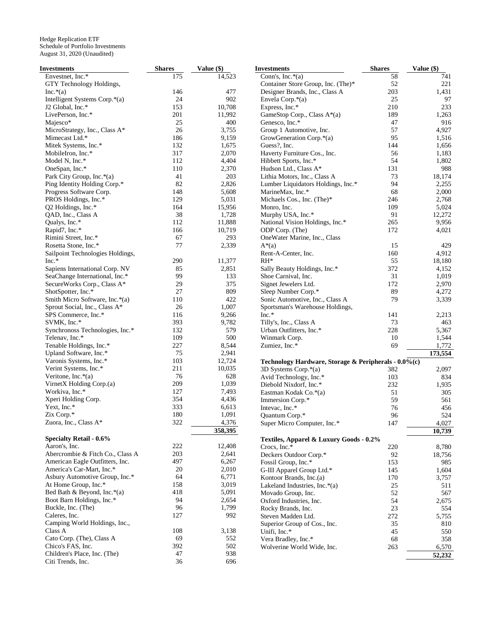| Envestnet, Inc.*<br>175<br>14,523<br>Conn's, Inc. $*(a)$<br>58<br>Container Store Group, Inc. (The)*<br>52<br>GTY Technology Holdings,<br>203<br>146<br>477<br>Designer Brands, Inc., Class A<br>Inc. $*(a)$<br>25<br>Intelligent Systems Corp.*(a)<br>24<br>902<br>Envela Corp. $*(a)$<br>10,708<br>210<br>J2 Global, Inc.*<br>153<br>Express, Inc.*<br>201<br>GameStop Corp., Class A*(a)<br>189<br>LivePerson, Inc.*<br>11,992<br>25<br>Genesco, Inc.*<br>47<br>Majesco*<br>400<br>57<br>MicroStrategy, Inc., Class A*<br>26<br>3,755<br>Group 1 Automotive, Inc.<br>95<br>Mimecast Ltd.*<br>186<br>9,159<br>GrowGeneration Corp.*(a)<br>144<br>Mitek Systems, Inc.*<br>132<br>1,675<br>Guess?, Inc.<br>317<br>2,070<br>56<br>Haverty Furniture Cos., Inc.<br>MobileIron, Inc.*<br>54<br>Model N, Inc.*<br>112<br>4,404<br>Hibbett Sports, Inc.*<br>2,370<br>131<br>OneSpan, Inc.*<br>110<br>Hudson Ltd., Class A*<br>203<br>73<br>Park City Group, Inc.*(a)<br>41<br>Lithia Motors, Inc., Class A<br>94<br>82<br>2,826<br>Ping Identity Holding Corp.*<br>Lumber Liquidators Holdings, Inc.*<br>68<br>148<br>5,608<br>MarineMax, Inc.*<br>Progress Software Corp.<br>5,031<br>PROS Holdings, Inc.*<br>129<br>Michaels Cos., Inc. (The)*<br>246<br>109<br>Q2 Holdings, Inc.*<br>164<br>15,956<br>Monro, Inc.<br>38<br>91<br>1,728<br>Murphy USA, Inc.*<br>QAD, Inc., Class A<br>112<br>11,888<br>National Vision Holdings, Inc.*<br>265<br>Qualys, Inc.*<br>172<br>166<br>10,719<br>Rapid7, Inc.*<br>ODP Corp. (The)<br>67<br>293<br>Rimini Street, Inc.*<br>OneWater Marine, Inc., Class | 741<br>221<br>1,431<br>97<br>233<br>1,263<br>916<br>4,927<br>1,516<br>1,656<br>1,183<br>1,802<br>988<br>18,174<br>2,255<br>2,000<br>2,768<br>5,024<br>12,272<br>9,956<br>4,021<br>429<br>4,912 |
|----------------------------------------------------------------------------------------------------------------------------------------------------------------------------------------------------------------------------------------------------------------------------------------------------------------------------------------------------------------------------------------------------------------------------------------------------------------------------------------------------------------------------------------------------------------------------------------------------------------------------------------------------------------------------------------------------------------------------------------------------------------------------------------------------------------------------------------------------------------------------------------------------------------------------------------------------------------------------------------------------------------------------------------------------------------------------------------------------------------------------------------------------------------------------------------------------------------------------------------------------------------------------------------------------------------------------------------------------------------------------------------------------------------------------------------------------------------------------------------------------------------------------------------------------------------------------------------------|------------------------------------------------------------------------------------------------------------------------------------------------------------------------------------------------|
|                                                                                                                                                                                                                                                                                                                                                                                                                                                                                                                                                                                                                                                                                                                                                                                                                                                                                                                                                                                                                                                                                                                                                                                                                                                                                                                                                                                                                                                                                                                                                                                              |                                                                                                                                                                                                |
|                                                                                                                                                                                                                                                                                                                                                                                                                                                                                                                                                                                                                                                                                                                                                                                                                                                                                                                                                                                                                                                                                                                                                                                                                                                                                                                                                                                                                                                                                                                                                                                              |                                                                                                                                                                                                |
|                                                                                                                                                                                                                                                                                                                                                                                                                                                                                                                                                                                                                                                                                                                                                                                                                                                                                                                                                                                                                                                                                                                                                                                                                                                                                                                                                                                                                                                                                                                                                                                              |                                                                                                                                                                                                |
|                                                                                                                                                                                                                                                                                                                                                                                                                                                                                                                                                                                                                                                                                                                                                                                                                                                                                                                                                                                                                                                                                                                                                                                                                                                                                                                                                                                                                                                                                                                                                                                              |                                                                                                                                                                                                |
|                                                                                                                                                                                                                                                                                                                                                                                                                                                                                                                                                                                                                                                                                                                                                                                                                                                                                                                                                                                                                                                                                                                                                                                                                                                                                                                                                                                                                                                                                                                                                                                              |                                                                                                                                                                                                |
|                                                                                                                                                                                                                                                                                                                                                                                                                                                                                                                                                                                                                                                                                                                                                                                                                                                                                                                                                                                                                                                                                                                                                                                                                                                                                                                                                                                                                                                                                                                                                                                              |                                                                                                                                                                                                |
|                                                                                                                                                                                                                                                                                                                                                                                                                                                                                                                                                                                                                                                                                                                                                                                                                                                                                                                                                                                                                                                                                                                                                                                                                                                                                                                                                                                                                                                                                                                                                                                              |                                                                                                                                                                                                |
|                                                                                                                                                                                                                                                                                                                                                                                                                                                                                                                                                                                                                                                                                                                                                                                                                                                                                                                                                                                                                                                                                                                                                                                                                                                                                                                                                                                                                                                                                                                                                                                              |                                                                                                                                                                                                |
|                                                                                                                                                                                                                                                                                                                                                                                                                                                                                                                                                                                                                                                                                                                                                                                                                                                                                                                                                                                                                                                                                                                                                                                                                                                                                                                                                                                                                                                                                                                                                                                              |                                                                                                                                                                                                |
|                                                                                                                                                                                                                                                                                                                                                                                                                                                                                                                                                                                                                                                                                                                                                                                                                                                                                                                                                                                                                                                                                                                                                                                                                                                                                                                                                                                                                                                                                                                                                                                              |                                                                                                                                                                                                |
|                                                                                                                                                                                                                                                                                                                                                                                                                                                                                                                                                                                                                                                                                                                                                                                                                                                                                                                                                                                                                                                                                                                                                                                                                                                                                                                                                                                                                                                                                                                                                                                              |                                                                                                                                                                                                |
|                                                                                                                                                                                                                                                                                                                                                                                                                                                                                                                                                                                                                                                                                                                                                                                                                                                                                                                                                                                                                                                                                                                                                                                                                                                                                                                                                                                                                                                                                                                                                                                              |                                                                                                                                                                                                |
|                                                                                                                                                                                                                                                                                                                                                                                                                                                                                                                                                                                                                                                                                                                                                                                                                                                                                                                                                                                                                                                                                                                                                                                                                                                                                                                                                                                                                                                                                                                                                                                              |                                                                                                                                                                                                |
|                                                                                                                                                                                                                                                                                                                                                                                                                                                                                                                                                                                                                                                                                                                                                                                                                                                                                                                                                                                                                                                                                                                                                                                                                                                                                                                                                                                                                                                                                                                                                                                              |                                                                                                                                                                                                |
|                                                                                                                                                                                                                                                                                                                                                                                                                                                                                                                                                                                                                                                                                                                                                                                                                                                                                                                                                                                                                                                                                                                                                                                                                                                                                                                                                                                                                                                                                                                                                                                              |                                                                                                                                                                                                |
|                                                                                                                                                                                                                                                                                                                                                                                                                                                                                                                                                                                                                                                                                                                                                                                                                                                                                                                                                                                                                                                                                                                                                                                                                                                                                                                                                                                                                                                                                                                                                                                              |                                                                                                                                                                                                |
|                                                                                                                                                                                                                                                                                                                                                                                                                                                                                                                                                                                                                                                                                                                                                                                                                                                                                                                                                                                                                                                                                                                                                                                                                                                                                                                                                                                                                                                                                                                                                                                              |                                                                                                                                                                                                |
|                                                                                                                                                                                                                                                                                                                                                                                                                                                                                                                                                                                                                                                                                                                                                                                                                                                                                                                                                                                                                                                                                                                                                                                                                                                                                                                                                                                                                                                                                                                                                                                              |                                                                                                                                                                                                |
|                                                                                                                                                                                                                                                                                                                                                                                                                                                                                                                                                                                                                                                                                                                                                                                                                                                                                                                                                                                                                                                                                                                                                                                                                                                                                                                                                                                                                                                                                                                                                                                              |                                                                                                                                                                                                |
|                                                                                                                                                                                                                                                                                                                                                                                                                                                                                                                                                                                                                                                                                                                                                                                                                                                                                                                                                                                                                                                                                                                                                                                                                                                                                                                                                                                                                                                                                                                                                                                              |                                                                                                                                                                                                |
|                                                                                                                                                                                                                                                                                                                                                                                                                                                                                                                                                                                                                                                                                                                                                                                                                                                                                                                                                                                                                                                                                                                                                                                                                                                                                                                                                                                                                                                                                                                                                                                              |                                                                                                                                                                                                |
|                                                                                                                                                                                                                                                                                                                                                                                                                                                                                                                                                                                                                                                                                                                                                                                                                                                                                                                                                                                                                                                                                                                                                                                                                                                                                                                                                                                                                                                                                                                                                                                              |                                                                                                                                                                                                |
|                                                                                                                                                                                                                                                                                                                                                                                                                                                                                                                                                                                                                                                                                                                                                                                                                                                                                                                                                                                                                                                                                                                                                                                                                                                                                                                                                                                                                                                                                                                                                                                              |                                                                                                                                                                                                |
| 77<br>2,339<br>Rosetta Stone, Inc.*<br>15<br>$A^*(a)$                                                                                                                                                                                                                                                                                                                                                                                                                                                                                                                                                                                                                                                                                                                                                                                                                                                                                                                                                                                                                                                                                                                                                                                                                                                                                                                                                                                                                                                                                                                                        |                                                                                                                                                                                                |
| 160<br>Sailpoint Technologies Holdings,<br>Rent-A-Center, Inc.                                                                                                                                                                                                                                                                                                                                                                                                                                                                                                                                                                                                                                                                                                                                                                                                                                                                                                                                                                                                                                                                                                                                                                                                                                                                                                                                                                                                                                                                                                                               |                                                                                                                                                                                                |
| $RH^*$<br>55<br>$Inc.*$<br>290<br>11,377                                                                                                                                                                                                                                                                                                                                                                                                                                                                                                                                                                                                                                                                                                                                                                                                                                                                                                                                                                                                                                                                                                                                                                                                                                                                                                                                                                                                                                                                                                                                                     | 18,180                                                                                                                                                                                         |
| 85<br>2,851<br>372<br>Sapiens International Corp. NV<br>Sally Beauty Holdings, Inc.*                                                                                                                                                                                                                                                                                                                                                                                                                                                                                                                                                                                                                                                                                                                                                                                                                                                                                                                                                                                                                                                                                                                                                                                                                                                                                                                                                                                                                                                                                                         | 4,152                                                                                                                                                                                          |
| 99<br>133<br>31<br>SeaChange International, Inc.*<br>Shoe Carnival, Inc.                                                                                                                                                                                                                                                                                                                                                                                                                                                                                                                                                                                                                                                                                                                                                                                                                                                                                                                                                                                                                                                                                                                                                                                                                                                                                                                                                                                                                                                                                                                     | 1,019                                                                                                                                                                                          |
| 29<br>172<br>SecureWorks Corp., Class A*<br>375<br>Signet Jewelers Ltd.                                                                                                                                                                                                                                                                                                                                                                                                                                                                                                                                                                                                                                                                                                                                                                                                                                                                                                                                                                                                                                                                                                                                                                                                                                                                                                                                                                                                                                                                                                                      | 2,970                                                                                                                                                                                          |
| 89<br>27<br>809<br>Sleep Number Corp.*<br>ShotSpotter, Inc.*                                                                                                                                                                                                                                                                                                                                                                                                                                                                                                                                                                                                                                                                                                                                                                                                                                                                                                                                                                                                                                                                                                                                                                                                                                                                                                                                                                                                                                                                                                                                 | 4,272                                                                                                                                                                                          |
| 422<br>79<br>Smith Micro Software, Inc.*(a)<br>110<br>Sonic Automotive, Inc., Class A                                                                                                                                                                                                                                                                                                                                                                                                                                                                                                                                                                                                                                                                                                                                                                                                                                                                                                                                                                                                                                                                                                                                                                                                                                                                                                                                                                                                                                                                                                        | 3,339                                                                                                                                                                                          |
| 26<br>1,007<br>Sprout Social, Inc., Class A*<br>Sportsman's Warehouse Holdings,                                                                                                                                                                                                                                                                                                                                                                                                                                                                                                                                                                                                                                                                                                                                                                                                                                                                                                                                                                                                                                                                                                                                                                                                                                                                                                                                                                                                                                                                                                              |                                                                                                                                                                                                |
| 9,266<br>Inc.*<br>SPS Commerce, Inc.*<br>116<br>141                                                                                                                                                                                                                                                                                                                                                                                                                                                                                                                                                                                                                                                                                                                                                                                                                                                                                                                                                                                                                                                                                                                                                                                                                                                                                                                                                                                                                                                                                                                                          | 2,213                                                                                                                                                                                          |
| 393<br>SVMK, Inc.*<br>9,782<br>73<br>Tilly's, Inc., Class A                                                                                                                                                                                                                                                                                                                                                                                                                                                                                                                                                                                                                                                                                                                                                                                                                                                                                                                                                                                                                                                                                                                                                                                                                                                                                                                                                                                                                                                                                                                                  | 463                                                                                                                                                                                            |
| 579<br>228<br>132<br>Urban Outfitters, Inc.*<br>Synchronoss Technologies, Inc.*                                                                                                                                                                                                                                                                                                                                                                                                                                                                                                                                                                                                                                                                                                                                                                                                                                                                                                                                                                                                                                                                                                                                                                                                                                                                                                                                                                                                                                                                                                              | 5,367                                                                                                                                                                                          |
| 109<br>500<br>Telenav, Inc.*<br>Winmark Corp.<br>10                                                                                                                                                                                                                                                                                                                                                                                                                                                                                                                                                                                                                                                                                                                                                                                                                                                                                                                                                                                                                                                                                                                                                                                                                                                                                                                                                                                                                                                                                                                                          | 1,544                                                                                                                                                                                          |
| 69<br>227<br>8,544<br>Tenable Holdings, Inc.*<br>Zumiez, Inc.*                                                                                                                                                                                                                                                                                                                                                                                                                                                                                                                                                                                                                                                                                                                                                                                                                                                                                                                                                                                                                                                                                                                                                                                                                                                                                                                                                                                                                                                                                                                               | 1,772                                                                                                                                                                                          |
| 75<br>Upland Software, Inc.*<br>2,941                                                                                                                                                                                                                                                                                                                                                                                                                                                                                                                                                                                                                                                                                                                                                                                                                                                                                                                                                                                                                                                                                                                                                                                                                                                                                                                                                                                                                                                                                                                                                        | 173,554                                                                                                                                                                                        |
| 103<br>12,724<br>Varonis Systems, Inc.*<br>Technology Hardware, Storage & Peripherals - 0.0%(c)                                                                                                                                                                                                                                                                                                                                                                                                                                                                                                                                                                                                                                                                                                                                                                                                                                                                                                                                                                                                                                                                                                                                                                                                                                                                                                                                                                                                                                                                                              |                                                                                                                                                                                                |
| Verint Systems, Inc.*<br>211<br>10,035<br>3D Systems Corp.*(a)<br>382                                                                                                                                                                                                                                                                                                                                                                                                                                                                                                                                                                                                                                                                                                                                                                                                                                                                                                                                                                                                                                                                                                                                                                                                                                                                                                                                                                                                                                                                                                                        | 2,097                                                                                                                                                                                          |
| 76<br>628<br>Veritone, Inc. $*(a)$<br>103<br>Avid Technology, Inc.*                                                                                                                                                                                                                                                                                                                                                                                                                                                                                                                                                                                                                                                                                                                                                                                                                                                                                                                                                                                                                                                                                                                                                                                                                                                                                                                                                                                                                                                                                                                          | 834                                                                                                                                                                                            |
| 209<br>1,039<br>VirnetX Holding Corp.(a)<br>232<br>Diebold Nixdorf, Inc.*                                                                                                                                                                                                                                                                                                                                                                                                                                                                                                                                                                                                                                                                                                                                                                                                                                                                                                                                                                                                                                                                                                                                                                                                                                                                                                                                                                                                                                                                                                                    | 1,935                                                                                                                                                                                          |
| 127<br>7,493<br>Workiva, Inc.*<br>Eastman Kodak Co.*(a)<br>51                                                                                                                                                                                                                                                                                                                                                                                                                                                                                                                                                                                                                                                                                                                                                                                                                                                                                                                                                                                                                                                                                                                                                                                                                                                                                                                                                                                                                                                                                                                                | 305                                                                                                                                                                                            |
| 354<br>4,436<br>Xperi Holding Corp.<br>59                                                                                                                                                                                                                                                                                                                                                                                                                                                                                                                                                                                                                                                                                                                                                                                                                                                                                                                                                                                                                                                                                                                                                                                                                                                                                                                                                                                                                                                                                                                                                    | 561                                                                                                                                                                                            |
| Immersion Corp.*<br>Yext, Inc.*<br>333<br>6,613                                                                                                                                                                                                                                                                                                                                                                                                                                                                                                                                                                                                                                                                                                                                                                                                                                                                                                                                                                                                                                                                                                                                                                                                                                                                                                                                                                                                                                                                                                                                              |                                                                                                                                                                                                |
| 76<br>Intevac, Inc.*<br>1,091<br>Zix Corp.*<br>180<br>96                                                                                                                                                                                                                                                                                                                                                                                                                                                                                                                                                                                                                                                                                                                                                                                                                                                                                                                                                                                                                                                                                                                                                                                                                                                                                                                                                                                                                                                                                                                                     | 456                                                                                                                                                                                            |
| Quantum Corp.*<br>322<br>4,376<br>Zuora, Inc., Class A*                                                                                                                                                                                                                                                                                                                                                                                                                                                                                                                                                                                                                                                                                                                                                                                                                                                                                                                                                                                                                                                                                                                                                                                                                                                                                                                                                                                                                                                                                                                                      | 524                                                                                                                                                                                            |
| Super Micro Computer, Inc.*<br>147<br>358,395                                                                                                                                                                                                                                                                                                                                                                                                                                                                                                                                                                                                                                                                                                                                                                                                                                                                                                                                                                                                                                                                                                                                                                                                                                                                                                                                                                                                                                                                                                                                                | 4,027                                                                                                                                                                                          |
|                                                                                                                                                                                                                                                                                                                                                                                                                                                                                                                                                                                                                                                                                                                                                                                                                                                                                                                                                                                                                                                                                                                                                                                                                                                                                                                                                                                                                                                                                                                                                                                              | 10,739                                                                                                                                                                                         |
| <b>Specialty Retail - 0.6%</b><br>Textiles, Apparel & Luxury Goods - 0.2%                                                                                                                                                                                                                                                                                                                                                                                                                                                                                                                                                                                                                                                                                                                                                                                                                                                                                                                                                                                                                                                                                                                                                                                                                                                                                                                                                                                                                                                                                                                    |                                                                                                                                                                                                |
| 222<br>12,408<br>Aaron's, Inc.<br>Crocs, Inc.*<br>220                                                                                                                                                                                                                                                                                                                                                                                                                                                                                                                                                                                                                                                                                                                                                                                                                                                                                                                                                                                                                                                                                                                                                                                                                                                                                                                                                                                                                                                                                                                                        | 8,780                                                                                                                                                                                          |
| Abercrombie & Fitch Co., Class A<br>203<br>2,641<br>Deckers Outdoor Corp.*<br>92                                                                                                                                                                                                                                                                                                                                                                                                                                                                                                                                                                                                                                                                                                                                                                                                                                                                                                                                                                                                                                                                                                                                                                                                                                                                                                                                                                                                                                                                                                             | 18,756                                                                                                                                                                                         |
| 497<br>6,267<br>American Eagle Outfitters, Inc.<br>Fossil Group, Inc.*<br>153                                                                                                                                                                                                                                                                                                                                                                                                                                                                                                                                                                                                                                                                                                                                                                                                                                                                                                                                                                                                                                                                                                                                                                                                                                                                                                                                                                                                                                                                                                                | 985                                                                                                                                                                                            |
| 2,010<br>America's Car-Mart, Inc.*<br>20<br>G-III Apparel Group Ltd.*<br>145                                                                                                                                                                                                                                                                                                                                                                                                                                                                                                                                                                                                                                                                                                                                                                                                                                                                                                                                                                                                                                                                                                                                                                                                                                                                                                                                                                                                                                                                                                                 | 1,604                                                                                                                                                                                          |
| Asbury Automotive Group, Inc.*<br>64<br>6,771<br>170<br>Kontoor Brands, Inc.(a)                                                                                                                                                                                                                                                                                                                                                                                                                                                                                                                                                                                                                                                                                                                                                                                                                                                                                                                                                                                                                                                                                                                                                                                                                                                                                                                                                                                                                                                                                                              | 3,757                                                                                                                                                                                          |
| 3,019<br>At Home Group, Inc.*<br>158<br>25<br>Lakeland Industries, Inc.*(a)                                                                                                                                                                                                                                                                                                                                                                                                                                                                                                                                                                                                                                                                                                                                                                                                                                                                                                                                                                                                                                                                                                                                                                                                                                                                                                                                                                                                                                                                                                                  | 511                                                                                                                                                                                            |
| Bed Bath & Beyond, Inc.*(a)<br>418<br>5,091<br>52<br>Movado Group, Inc.                                                                                                                                                                                                                                                                                                                                                                                                                                                                                                                                                                                                                                                                                                                                                                                                                                                                                                                                                                                                                                                                                                                                                                                                                                                                                                                                                                                                                                                                                                                      | 567                                                                                                                                                                                            |
| Boot Barn Holdings, Inc.*<br>94<br>2,654<br>Oxford Industries, Inc.<br>54                                                                                                                                                                                                                                                                                                                                                                                                                                                                                                                                                                                                                                                                                                                                                                                                                                                                                                                                                                                                                                                                                                                                                                                                                                                                                                                                                                                                                                                                                                                    | 2,675                                                                                                                                                                                          |
| Buckle, Inc. (The)<br>96<br>1,799<br>23<br>Rocky Brands, Inc.                                                                                                                                                                                                                                                                                                                                                                                                                                                                                                                                                                                                                                                                                                                                                                                                                                                                                                                                                                                                                                                                                                                                                                                                                                                                                                                                                                                                                                                                                                                                | 554                                                                                                                                                                                            |
| 992<br>Caleres, Inc.<br>127<br>272<br>Steven Madden Ltd.                                                                                                                                                                                                                                                                                                                                                                                                                                                                                                                                                                                                                                                                                                                                                                                                                                                                                                                                                                                                                                                                                                                                                                                                                                                                                                                                                                                                                                                                                                                                     | 5,755                                                                                                                                                                                          |
| Camping World Holdings, Inc.,<br>35<br>Superior Group of Cos., Inc.                                                                                                                                                                                                                                                                                                                                                                                                                                                                                                                                                                                                                                                                                                                                                                                                                                                                                                                                                                                                                                                                                                                                                                                                                                                                                                                                                                                                                                                                                                                          | 810                                                                                                                                                                                            |
| 108<br>3,138<br>Class A<br>45<br>Unifi, Inc.*                                                                                                                                                                                                                                                                                                                                                                                                                                                                                                                                                                                                                                                                                                                                                                                                                                                                                                                                                                                                                                                                                                                                                                                                                                                                                                                                                                                                                                                                                                                                                | 550                                                                                                                                                                                            |
| Cato Corp. (The), Class A<br>69<br>552<br>68<br>Vera Bradley, Inc.*                                                                                                                                                                                                                                                                                                                                                                                                                                                                                                                                                                                                                                                                                                                                                                                                                                                                                                                                                                                                                                                                                                                                                                                                                                                                                                                                                                                                                                                                                                                          | 358                                                                                                                                                                                            |
| 392<br>502<br>Chico's FAS, Inc.<br>Wolverine World Wide, Inc.<br>263                                                                                                                                                                                                                                                                                                                                                                                                                                                                                                                                                                                                                                                                                                                                                                                                                                                                                                                                                                                                                                                                                                                                                                                                                                                                                                                                                                                                                                                                                                                         | 6,570                                                                                                                                                                                          |
| 938<br>Children's Place, Inc. (The)<br>47                                                                                                                                                                                                                                                                                                                                                                                                                                                                                                                                                                                                                                                                                                                                                                                                                                                                                                                                                                                                                                                                                                                                                                                                                                                                                                                                                                                                                                                                                                                                                    | 52,232                                                                                                                                                                                         |
| Citi Trends, Inc.<br>36<br>696                                                                                                                                                                                                                                                                                                                                                                                                                                                                                                                                                                                                                                                                                                                                                                                                                                                                                                                                                                                                                                                                                                                                                                                                                                                                                                                                                                                                                                                                                                                                                               |                                                                                                                                                                                                |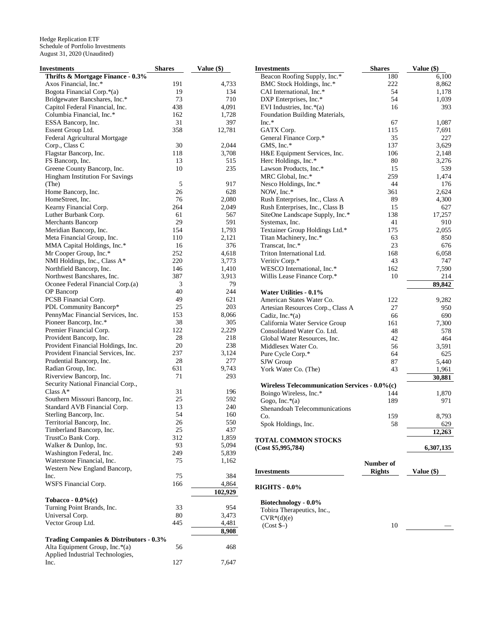| Investments                                        | <b>Shares</b> | Value (\$) | <b>Investments</b>                                 | <b>Shares</b> | Value (\$) |
|----------------------------------------------------|---------------|------------|----------------------------------------------------|---------------|------------|
| Thrifts & Mortgage Finance - 0.3%                  |               |            | Beacon Roofing Supply, Inc.*                       | 180           | 6,100      |
| Axos Financial, Inc.*                              | 191           | 4,733      | BMC Stock Holdings, Inc.*                          | 222           | 8,862      |
| Bogota Financial Corp.*(a)                         | 19            | 134        | CAI International, Inc.*                           | 54            | 1,178      |
| Bridgewater Bancshares, Inc.*                      | 73            | 710        | DXP Enterprises, Inc.*                             | 54            | 1,039      |
| Capitol Federal Financial, Inc.                    | 438           | 4,091      | EVI Industries, Inc. $*(a)$                        | 16            | 393        |
| Columbia Financial, Inc.*                          | 162           | 1,728      | Foundation Building Materials,                     |               |            |
| ESSA Bancorp, Inc.                                 | 31            | 397        | $Inc.*$                                            | 67            | 1,087      |
| Essent Group Ltd.                                  | 358           | 12,781     | GATX Corp.                                         | 115           | 7,691      |
| Federal Agricultural Mortgage                      |               |            | General Finance Corp.*                             | 35            | 227        |
| Corp., Class C                                     | 30            | 2.044      | GMS, Inc.*                                         | 137           | 3,629      |
| Flagstar Bancorp, Inc.                             | 118           | 3,708      | H&E Equipment Services, Inc.                       | 106           | 2,148      |
| FS Bancorp, Inc.                                   | 13            | 515        | Herc Holdings, Inc.*                               | 80            | 3,276      |
| Greene County Bancorp, Inc.                        | 10            | 235        | Lawson Products, Inc.*                             | 15            | 539        |
| Hingham Institution For Savings                    |               |            | MRC Global, Inc.*                                  | 259           | 1,474      |
| (The)                                              | 5             | 917        | Nesco Holdings, Inc.*                              | 44            | 176        |
| Home Bancorp, Inc.                                 | 26            | 628        | NOW, Inc.*                                         | 361           | 2,624      |
| HomeStreet, Inc.                                   | 76            | 2,080      |                                                    | 89            | 4,300      |
|                                                    |               |            | Rush Enterprises, Inc., Class A                    | 15            | 627        |
| Kearny Financial Corp.                             | 264           | 2,049      | Rush Enterprises, Inc., Class B                    |               |            |
| Luther Burbank Corp.                               | 61            | 567        | SiteOne Landscape Supply, Inc.*                    | 138           | 17,257     |
| Merchants Bancorp                                  | 29            | 591        | Systemax, Inc.                                     | 41            | 910        |
| Meridian Bancorp, Inc.                             | 154           | 1,793      | Textainer Group Holdings Ltd.*                     | 175           | 2,055      |
| Meta Financial Group, Inc.                         | 110           | 2,121      | Titan Machinery, Inc.*                             | 63            | 850        |
| MMA Capital Holdings, Inc.*                        | 16            | 376        | Transcat, Inc.*                                    | 23            | 676        |
| Mr Cooper Group, Inc.*                             | 252           | 4,618      | Triton International Ltd.                          | 168           | 6,058      |
| NMI Holdings, Inc., Class A*                       | 220           | 3,773      | Veritiv Corp.*                                     | 43            | 747        |
| Northfield Bancorp, Inc.                           | 146           | 1,410      | WESCO International, Inc.*                         | 162           | 7,590      |
| Northwest Bancshares, Inc.                         | 387           | 3,913      | Willis Lease Finance Corp.*                        | 10            | 214        |
| Oconee Federal Financial Corp.(a)                  | 3             | 79         |                                                    |               | 89,842     |
| OP Bancorp                                         | 40            | 244        | Water Utilities - 0.1%                             |               |            |
| PCSB Financial Corp.                               | 49            | 621        | American States Water Co.                          | 122           | 9,282      |
| PDL Community Bancorp*                             | 25            | 203        | Artesian Resources Corp., Class A                  | 27            | 950        |
| PennyMac Financial Services, Inc.                  | 153           | 8,066      | Cadiz, Inc. $*(a)$                                 | 66            | 690        |
| Pioneer Bancorp, Inc.*                             | 38            | 305        | California Water Service Group                     | 161           | 7,300      |
| Premier Financial Corp.                            | 122           | 2,229      | Consolidated Water Co. Ltd.                        | 48            | 578        |
| Provident Bancorp, Inc.                            | 28            | 218        | Global Water Resources, Inc.                       | 42            | 464        |
| Provident Financial Holdings, Inc.                 | 20            | 238        | Middlesex Water Co.                                | 56            | 3,591      |
| Provident Financial Services, Inc.                 | 237           | 3,124      | Pure Cycle Corp.*                                  | 64            | 625        |
| Prudential Bancorp, Inc.                           | 28            | 277        | SJW Group                                          | 87            | 5,440      |
| Radian Group, Inc.                                 | 631           | 9,743      | York Water Co. (The)                               | 43            | 1,961      |
| Riverview Bancorp, Inc.                            | 71            | 293        |                                                    |               | 30,881     |
| Security National Financial Corp.,                 |               |            | Wireless Telecommunication Services - 0.0%(c)      |               |            |
| Class $A^*$                                        | 31            | 196        | Boingo Wireless, Inc.*                             | 144           | 1,870      |
| Southern Missouri Bancorp, Inc.                    | 25            | 592        | Gogo, Inc. $*(a)$                                  | 189           | 971        |
| Standard AVB Financial Corp.                       | 13            | 240        | Shenandoah Telecommunications                      |               |            |
| Sterling Bancorp, Inc.                             | 54            | 160        | Co.                                                | 159           | 8,793      |
| Territorial Bancorp, Inc.                          | 26            | 550        | Spok Holdings, Inc.                                | 58            | 629        |
| Timberland Bancorp, Inc.                           | 25            | 437        |                                                    |               | 12,263     |
| TrustCo Bank Corp.                                 | 312           | 1,859      | <b>TOTAL COMMON STOCKS</b>                         |               |            |
| Walker & Dunlop, Inc.                              | 93            | 5,094      | (Cost \$5,995,784)                                 |               | 6,307,135  |
| Washington Federal, Inc.                           | 249           | 5,839      |                                                    |               |            |
| Waterstone Financial, Inc.                         | 75            | 1,162      |                                                    | Number of     |            |
| Western New England Bancorp,                       |               |            |                                                    | <b>Rights</b> | Value (\$) |
| Inc.                                               | 75            | 384        | <b>Investments</b>                                 |               |            |
| WSFS Financial Corp.                               | 166           | 4,864      |                                                    |               |            |
|                                                    |               | 102,929    | <b>RIGHTS - 0.0%</b>                               |               |            |
| Tobacco - $0.0\%$ (c)                              |               |            |                                                    |               |            |
| Turning Point Brands, Inc.                         | 33            | 954        | Biotechnology - 0.0%<br>Tobira Therapeutics, Inc., |               |            |
| Universal Corp.                                    | 80            | 3,473      |                                                    |               |            |
| Vector Group Ltd.                                  | 445           | 4,481      | $CVR*(d)(e)$                                       | 10            |            |
|                                                    |               | 8,908      | $(Cost$ \$–)                                       |               |            |
| <b>Trading Companies &amp; Distributors - 0.3%</b> |               |            |                                                    |               |            |
| Alta Equipment Group, Inc.*(a)                     | 56            | 468        |                                                    |               |            |
| Applied Industrial Technologies,                   |               |            |                                                    |               |            |
| Inc.                                               | 127           | 7,647      |                                                    |               |            |
|                                                    |               |            |                                                    |               |            |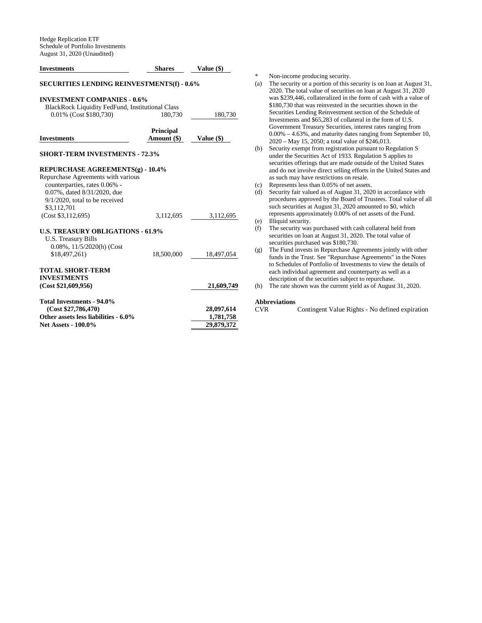| <b>Investments</b>                                                                                                                                     | <b>Shares</b>                   | Value (\$)   |
|--------------------------------------------------------------------------------------------------------------------------------------------------------|---------------------------------|--------------|
| <b>SECURITIES LENDING REINVESTMENTS(f) - 0.6%</b>                                                                                                      |                                 |              |
| <b>INVESTMENT COMPANIES - 0.6%</b><br><b>BlackRock Liquidity FedFund, Institutional Class</b>                                                          |                                 |              |
| 0.01% (Cost \$180,730)                                                                                                                                 | 180,730                         | 180,730      |
| <b>Investments</b>                                                                                                                                     | <b>Principal</b><br>Amount (\$) | Value $(\$)$ |
| <b>SHORT-TERM INVESTMENTS - 72.3%</b>                                                                                                                  |                                 |              |
| REPURCHASE AGREEMENTS(g) - 10.4%                                                                                                                       |                                 |              |
| Repurchase Agreements with various<br>counterparties, rates 0.06% -<br>0.07%, dated 8/31/2020, due<br>$9/1/2020$ , total to be received<br>\$3,112,701 |                                 |              |
| (Cost \$3,112,695)                                                                                                                                     | 3,112,695                       | 3,112,695    |
| <b>U.S. TREASURY OBLIGATIONS - 61.9%</b><br><b>U.S. Treasury Bills</b><br>0.08%, 11/5/2020(h) (Cost                                                    |                                 |              |
| \$18,497,261)                                                                                                                                          | 18,500,000                      | 18,497,054   |
| <b>TOTAL SHORT-TERM</b><br><b>INVESTMENTS</b>                                                                                                          |                                 |              |
| (Cost \$21,609,956)                                                                                                                                    |                                 | 21,609,749   |
| <b>Total Investments - 94.0%</b><br>(Cost \$27,786,470)                                                                                                |                                 | 28,097,614   |
| Other assets less liabilities - 6.0%                                                                                                                   |                                 | 1,781,758    |
| <b>Net Assets - 100.0%</b>                                                                                                                             |                                 | 29,879,372   |

\* Non-income producing security.

- (a) The security or a portion of this security is on loan at August 31, 2020. The total value of securities on loan at August 31, 2020 was \$239,446, collateralized in the form of cash with a value of \$180,730 that was reinvested in the securities shown in the Securities Lending Reinvestment section of the Schedule of Investments and \$65,283 of collateral in the form of U.S. Government Treasury Securities, interest rates ranging from 0.00% – 4.63%, and maturity dates ranging from September 10, 2020 – May 15, 2050; a total value of \$246,013.
- (b) Security exempt from registration pursuant to Regulation S under the Securities Act of 1933. Regulation S applies to securities offerings that are made outside of the United States and do not involve direct selling efforts in the United States and as such may have restrictions on resale.
- (c) Represents less than 0.05% of net assets.
- (d) Security fair valued as of August 31, 2020 in accordance with procedures approved by the Board of Trustees. Total value of all such securities at August 31, 2020 amounted to \$0, which represents approximately 0.00% of net assets of the Fund.
- (e) Illiquid security.<br>(f) The security was
- The security was purchased with cash collateral held from securities on loan at August 31, 2020. The total value of securities purchased was \$180,730.
- (g) The Fund invests in Repurchase Agreements jointly with other funds in the Trust. See "Repurchase Agreements" in the Notes to Schedules of Portfolio of Investments to view the details of each individual agreement and counterparty as well as a description of the securities subject to repurchase.
- (h) The rate shown was the current yield as of August 31, 2020.

# **Abbreviations**

Contingent Value Rights - No defined expiration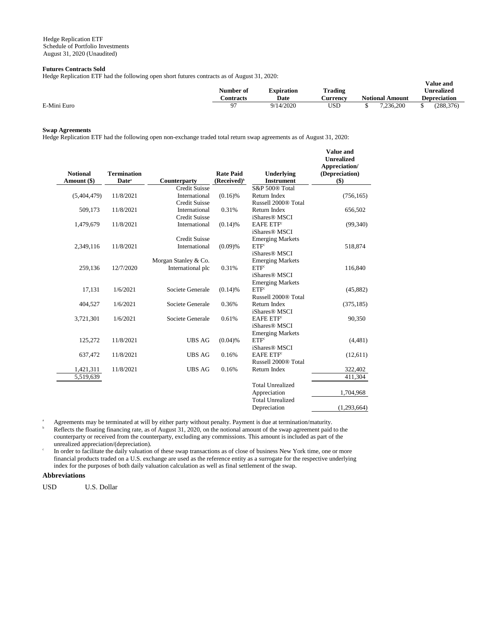# **Futures Contracts Sold**

Hedge Replication ETF had the following open short futures contracts as of August 31, 2020:

| Treage Repheation ETT had the following open short futures contracts as of Fugust 91, 2020. | Number of | <b>Expiration</b> | Trading  |                        | Value and<br>Unrealized |
|---------------------------------------------------------------------------------------------|-----------|-------------------|----------|------------------------|-------------------------|
|                                                                                             | Contracts | Date              | Aurrency | <b>Notional Amount</b> | Depreciation            |
|                                                                                             |           |                   |          |                        |                         |
| E-Mini Euro                                                                                 |           | 9/14/2020         | USD      | 7.236.200              | (288.376)               |

**Value and** 

## **Swap Agreements**

Hedge Replication ETF had the following open non-exchange traded total return swap agreements as of August 31, 2020:

| <b>Notional</b><br>Amount (\$) | <b>Termination</b><br>Date <sup>a</sup> | Counterparty         | <b>Rate Paid</b><br>(Received) <sup>b</sup> | Underlying<br><b>Instrument</b> | value allu<br><b>Unrealized</b><br>Appreciation/<br>(Depreciation)<br>\$) |
|--------------------------------|-----------------------------------------|----------------------|---------------------------------------------|---------------------------------|---------------------------------------------------------------------------|
|                                |                                         | <b>Credit Suisse</b> |                                             | S&P 500® Total                  |                                                                           |
| (5,404,479)                    | 11/8/2021                               | International        | $(0.16)$ %                                  | Return Index                    | (756, 165)                                                                |
|                                |                                         | <b>Credit Suisse</b> |                                             | Russell 2000 <sup>®</sup> Total |                                                                           |
| 509,173                        | 11/8/2021                               | International        | 0.31%                                       | Return Index                    | 656,502                                                                   |
|                                |                                         | <b>Credit Suisse</b> |                                             | iShares <sup>®</sup> MSCI       |                                                                           |
| 1,479,679                      | 11/8/2021                               | International        | $(0.14)$ %                                  | <b>EAFE ETF</b> <sup>c</sup>    | (99,340)                                                                  |
|                                |                                         |                      |                                             | iShares <sup>®</sup> MSCI       |                                                                           |
|                                |                                         | <b>Credit Suisse</b> |                                             | <b>Emerging Markets</b>         |                                                                           |
| 2,349,116                      | 11/8/2021                               | International        | (0.09)%                                     | ETF <sup>c</sup>                | 518,874                                                                   |
|                                |                                         |                      |                                             | iShares <sup>®</sup> MSCI       |                                                                           |
|                                |                                         | Morgan Stanley & Co. |                                             | <b>Emerging Markets</b>         |                                                                           |
| 259,136                        | 12/7/2020                               | International plc    | 0.31%                                       | ETF <sup>c</sup>                | 116,840                                                                   |
|                                |                                         |                      |                                             | iShares <sup>®</sup> MSCI       |                                                                           |
|                                |                                         |                      |                                             | <b>Emerging Markets</b>         |                                                                           |
| 17.131                         | 1/6/2021                                | Societe Generale     | $(0.14)$ %                                  | ETF <sup>c</sup>                | (45,882)                                                                  |
|                                |                                         |                      |                                             | Russell 2000 <sup>®</sup> Total |                                                                           |
| 404,527                        | 1/6/2021                                | Societe Generale     | 0.36%                                       | Return Index                    | (375, 185)                                                                |
|                                |                                         |                      |                                             | iShares <sup>®</sup> MSCI       |                                                                           |
| 3,721,301                      | 1/6/2021                                | Societe Generale     | 0.61%                                       | <b>EAFE ETF</b> <sup>c</sup>    | 90,350                                                                    |
|                                |                                         |                      |                                             | iShares <sup>®</sup> MSCI       |                                                                           |
|                                |                                         |                      |                                             | <b>Emerging Markets</b>         |                                                                           |
| 125,272                        | 11/8/2021                               | <b>UBS AG</b>        | (0.04)%                                     | ETF <sup>c</sup>                | (4,481)                                                                   |
|                                |                                         |                      |                                             | iShares <sup>®</sup> MSCI       |                                                                           |
| 637,472                        | 11/8/2021                               | <b>UBS AG</b>        | 0.16%                                       | <b>EAFE ETF</b>                 | (12,611)                                                                  |
|                                |                                         |                      |                                             | Russell 2000 <sup>®</sup> Total |                                                                           |
| 1,421,311                      | 11/8/2021                               | <b>UBS AG</b>        | 0.16%                                       | Return Index                    | 322,402                                                                   |
| 5,519,639                      |                                         |                      |                                             |                                 | 411,304                                                                   |
|                                |                                         |                      |                                             | <b>Total Unrealized</b>         |                                                                           |
|                                |                                         |                      |                                             | Appreciation                    | 1,704,968                                                                 |
|                                |                                         |                      |                                             | <b>Total Unrealized</b>         |                                                                           |
|                                |                                         |                      |                                             | Depreciation                    | (1,293,664)                                                               |
|                                |                                         |                      |                                             |                                 |                                                                           |

<sup>a</sup> Agreements may be terminated at will by either party without penalty. Payment is due at termination/maturity.

Reflects the floating financing rate, as of August 31, 2020, on the notional amount of the swap agreement paid to the counterparty or received from the counterparty, excluding any commissions. This amount is included as part of the unrealized appreciation/(depreciation).

c In order to facilitate the daily valuation of these swap transactions as of close of business New York time, one or more financial products traded on a U.S. exchange are used as the reference entity as a surrogate for the respective underlying index for the purposes of both daily valuation calculation as well as final settlement of the swap.

# **Abbreviations**

USD U.S. Dollar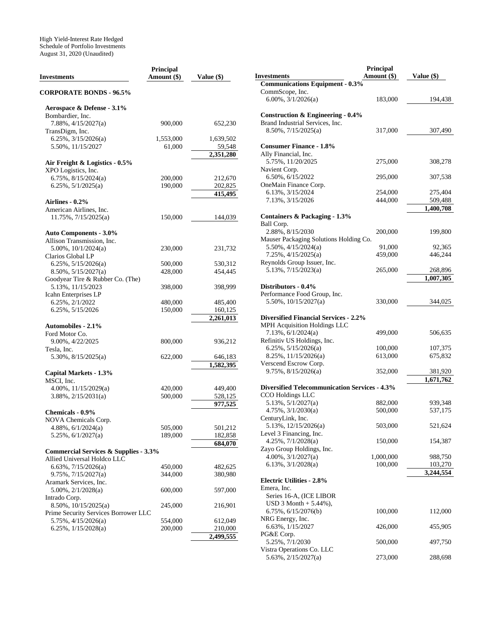| <b>Investments</b>                               | <b>Principal</b><br>Amount (\$) | Value (\$)         |
|--------------------------------------------------|---------------------------------|--------------------|
| <b>CORPORATE BONDS - 96.5%</b>                   |                                 |                    |
| Aerospace & Defense - 3.1%                       |                                 |                    |
| Bombardier, Inc.                                 |                                 |                    |
| $7.88\%, \frac{4}{15}{2027(a)}$                  | 900,000                         | 652,230            |
| TransDigm, Inc.                                  |                                 |                    |
| $6.25\%, \frac{3}{15}/2026(a)$                   | 1,553,000                       | 1,639,502          |
| 5.50%, 11/15/2027                                | 61,000                          | 59,548             |
|                                                  |                                 | 2,351,280          |
| Air Freight & Logistics - 0.5%                   |                                 |                    |
| XPO Logistics, Inc.<br>$6.75\%, 8/15/2024(a)$    |                                 |                    |
| $6.25\%, 5/1/2025(a)$                            | 200,000<br>190,000              | 212,670<br>202,825 |
|                                                  |                                 | 415,495            |
| <b>Airlines - 0.2%</b>                           |                                 |                    |
| American Airlines, Inc.                          |                                 |                    |
| 11.75%, 7/15/2025(a)                             | 150,000                         | 144,039            |
|                                                  |                                 |                    |
| <b>Auto Components - 3.0%</b>                    |                                 |                    |
| Allison Transmission, Inc.                       |                                 |                    |
| $5.00\%$ , $10/1/2024(a)$                        | 230,000                         | 231,732            |
| Clarios Global LP                                |                                 |                    |
| $6.25\%, 5/15/2026(a)$                           | 500,000                         | 530,312            |
| 8.50%, 5/15/2027(a)                              | 428,000                         | 454,445            |
| Goodyear Tire & Rubber Co. (The)                 |                                 |                    |
| 5.13%, 11/15/2023                                | 398,000                         | 398,999            |
| Icahn Enterprises LP                             |                                 |                    |
| 6.25%, 2/1/2022                                  | 480,000                         | 485,400            |
| 6.25%, 5/15/2026                                 | 150,000                         | 160,125            |
|                                                  |                                 | 2,261,013          |
| <b>Automobiles - 2.1%</b>                        |                                 |                    |
| Ford Motor Co.                                   |                                 |                    |
| 9.00%, 4/22/2025                                 | 800,000                         | 936,212            |
| Tesla, Inc.                                      |                                 |                    |
| $5.30\%$ , $8/15/2025(a)$                        | 622,000                         | 646,183            |
|                                                  |                                 | 1,582,395          |
| Capital Markets - 1.3%<br>MSCI, Inc.             |                                 |                    |
| $4.00\%$ , $11/15/2029(a)$                       | 420,000                         | 449,400            |
| $3.88\%, 2/15/2031(a)$                           | 500,000                         | 528,125            |
|                                                  |                                 | 977,525            |
| <b>Chemicals - 0.9%</b>                          |                                 |                    |
| NOVA Chemicals Corp.                             |                                 |                    |
| $4.88\%, 6/1/2024(a)$                            | 505,000                         | 501,212            |
| $5.25\%, 6/1/2027(a)$                            | 189,000                         | 182,858            |
|                                                  |                                 | 684,070            |
| <b>Commercial Services &amp; Supplies - 3.3%</b> |                                 |                    |
| Allied Universal Holdco LLC                      |                                 |                    |
| $6.63\%, 7/15/2026(a)$                           | 450,000                         | 482,625            |
| 9.75%, 7/15/2027(a)                              | 344,000                         | 380,980            |
| Aramark Services, Inc.                           |                                 |                    |
| $5.00\%, 2/1/2028(a)$                            | 600,000                         | 597,000            |
| Intrado Corp.                                    |                                 |                    |
| 8.50%, 10/15/2025(a)                             | 245,000                         | 216,901            |
| Prime Security Services Borrower LLC             |                                 |                    |
| $5.75\%, \frac{4}{15}{2026(a)}$                  | 554,000                         | 612,049            |
| 6.25%, $1/15/2028(a)$                            | 200,000                         | 210,000            |
|                                                  |                                 | 2,499,555          |

|                                                                      | Principal            |                      |
|----------------------------------------------------------------------|----------------------|----------------------|
| <b>Investments</b>                                                   | Amount (\$)          | Value $(\$)$         |
| <b>Communications Equipment - 0.3%</b><br>CommScope, Inc.            |                      |                      |
| $6.00\%, \frac{3}{1/2026(a)}$                                        | 183,000              | 194,438              |
| Construction & Engineering - 0.4%<br>Brand Industrial Services, Inc. |                      |                      |
| $8.50\%, \frac{7}{15}{2025(a)}$                                      | 317,000              | 307,490              |
| <b>Consumer Finance - 1.8%</b><br>Ally Financial, Inc.               |                      |                      |
| 5.75%, 11/20/2025                                                    | 275,000              | 308,278              |
| Navient Corp.<br>6.50%, 6/15/2022                                    | 295,000              | 307,538              |
| OneMain Finance Corp.<br>6.13%, 3/15/2024                            | 254,000              | 275,404              |
| 7.13%, 3/15/2026                                                     | 444,000              | 509,488              |
|                                                                      |                      | 1,400,708            |
| <b>Containers &amp; Packaging - 1.3%</b><br>Ball Corp.               |                      |                      |
| 2.88%, 8/15/2030                                                     | 200,000              | 199,800              |
| Mauser Packaging Solutions Holding Co.                               |                      |                      |
| $5.50\%$ , $4/15/2024(a)$                                            | 91,000               | 92,365               |
| $7.25\%, \frac{4}{15}{2025(a)}$                                      | 459,000              | 446,244              |
| Reynolds Group Issuer, Inc.<br>$5.13\%, \frac{7}{15}/2023(a)$        | 265,000              | 268,896              |
|                                                                      |                      | 1,007,305            |
| Distributors - 0.4%                                                  |                      |                      |
| Performance Food Group, Inc.                                         |                      |                      |
| $5.50\%$ , $10/15/2027(a)$                                           | 330,000              | 344,025              |
|                                                                      |                      |                      |
| <b>Diversified Financial Services - 2.2%</b>                         |                      |                      |
| MPH Acquisition Holdings LLC<br>$7.13\%, 6/1/2024(a)$                | 499,000              | 506,635              |
| Refinitiv US Holdings, Inc.                                          |                      |                      |
| $6.25\%, 5/15/2026(a)$                                               | 100,000              | 107,375              |
| $8.25\%, 11/15/2026(a)$                                              | 613,000              | 675,832              |
| Verscend Escrow Corp.                                                |                      |                      |
| 9.75%, 8/15/2026(a)                                                  | 352,000              | 381,920              |
|                                                                      |                      | 1,671,762            |
| <b>Diversified Telecommunication Services - 4.3%</b>                 |                      |                      |
| CCO Holdings LLC<br>5.13%, 5/1/2027(a)                               | 882,000              | 939,348              |
| 4.75%, 3/1/2030(a)                                                   | 500,000              | 537,175              |
| CenturyLink, Inc.                                                    |                      |                      |
| 5.13%, 12/15/2026(a)                                                 | 503,000              | 521,624              |
| Level 3 Financing, Inc.                                              |                      |                      |
| 4.25%, 7/1/2028(a)                                                   | 150,000              | 154,387              |
| Zayo Group Holdings, Inc.                                            |                      |                      |
| $4.00\%, 3/1/2027(a)$                                                | 1,000,000<br>100,000 | 988,750              |
| 6.13%, $3/1/2028(a)$                                                 |                      | 103,270<br>3,244,554 |
| <b>Electric Utilities - 2.8%</b>                                     |                      |                      |
| Emera, Inc.                                                          |                      |                      |
| Series 16-A, (ICE LIBOR                                              |                      |                      |
| $USD 3 Month + 5.44%$ ,                                              |                      |                      |
| 6.75%, 6/15/2076(b)                                                  | 100,000              | 112,000              |
| NRG Energy, Inc.                                                     |                      |                      |
| 6.63%, 1/15/2027                                                     | 426,000              | 455,905              |
| PG&E Corp.<br>5.25%, 7/1/2030                                        | 500,000              | 497,750              |
| Vistra Operations Co. LLC                                            |                      |                      |
| 5.63%, 2/15/2027(a)                                                  | 273,000              | 288,698              |
|                                                                      |                      |                      |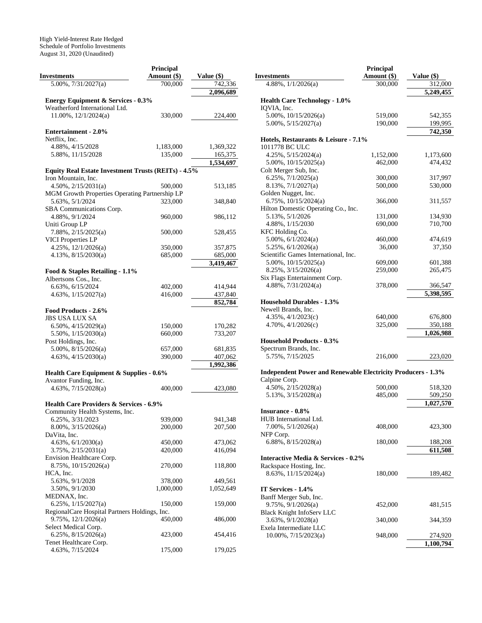|                                                            | Principal            |                        |
|------------------------------------------------------------|----------------------|------------------------|
| <b>Investments</b>                                         | Amount (\$)          | Value (\$)             |
| $5.00\%, 7/31/2027(a)$                                     | 700,000              | 742,336                |
|                                                            |                      | 2,096,689              |
| <b>Energy Equipment &amp; Services - 0.3%</b>              |                      |                        |
| Weatherford International Ltd.                             |                      |                        |
| 11.00%, 12/1/2024(a)                                       | 330,000              | 224,400                |
|                                                            |                      |                        |
| <b>Entertainment - 2.0%</b>                                |                      |                        |
| Netflix, Inc.                                              |                      |                        |
| 4.88%, 4/15/2028<br>5.88%, 11/15/2028                      | 1,183,000<br>135,000 | 1,369,322              |
|                                                            |                      | 165,375<br>1,534,697   |
| <b>Equity Real Estate Investment Trusts (REITs) - 4.5%</b> |                      |                        |
| Iron Mountain, Inc.                                        |                      |                        |
| $4.50\%, 2/15/2031(a)$                                     | 500,000              | 513,185                |
| MGM Growth Properties Operating Partnership LP             |                      |                        |
| 5.63%, 5/1/2024                                            | 323,000              | 348,840                |
| SBA Communications Corp.                                   |                      |                        |
| 4.88%, 9/1/2024                                            | 960,000              | 986,112                |
| Uniti Group LP                                             |                      |                        |
| 7.88%, 2/15/2025(a)                                        | 500,000              | 528,455                |
| <b>VICI Properties LP</b>                                  |                      |                        |
| $4.25\%, 12/1/2026(a)$                                     | 350,000              | 357,875                |
| $4.13\%, 8/15/2030(a)$                                     | 685,000              | 685,000                |
|                                                            |                      | 3,419,467              |
| Food & Staples Retailing - 1.1%                            |                      |                        |
| Albertsons Cos., Inc.                                      |                      |                        |
| 6.63%, 6/15/2024                                           | 402,000              | 414,944                |
| $4.63\%, \frac{1}{15/2027(a)}$                             | 416,000              | 437,840                |
|                                                            |                      | 852,784                |
| Food Products - 2.6%                                       |                      |                        |
| JBS USA LUX SA                                             |                      |                        |
| $6.50\%$ , $4/15/2029(a)$                                  | 150,000              | 170,282                |
| $5.50\%$ , $1/15/2030(a)$                                  | 660,000              | 733,207                |
| Post Holdings, Inc.                                        |                      |                        |
| $5.00\%$ , $8/15/2026(a)$                                  | 657,000              | 681,835                |
| $4.63\%, \frac{4}{15/2030(a)}$                             | 390,000              | 407,062                |
|                                                            |                      | $\overline{1,}992,386$ |
| <b>Health Care Equipment &amp; Supplies - 0.6%</b>         |                      |                        |
| Avantor Funding, Inc.                                      |                      |                        |
| $4.63\%, 7/15/2028(a)$                                     | 400,000              | 423,080                |
| <b>Health Care Providers &amp; Services - 6.9%</b>         |                      |                        |
| Community Health Systems, Inc.                             |                      |                        |
| 6.25%, 3/31/2023                                           | 939,000              | 941,348                |
| 8.00%, 3/15/2026(a)                                        | 200,000              | 207,500                |
| DaVita, Inc.                                               |                      |                        |
| 4.63%, 6/1/2030(a)                                         | 450,000              | 473,062                |
| $3.75\%, 2/15/2031(a)$                                     | 420,000              | 416,094                |
| Envision Healthcare Corp.                                  |                      |                        |
| 8.75%, 10/15/2026(a)                                       | 270,000              | 118,800                |
| HCA, Inc.                                                  |                      |                        |
| 5.63%, 9/1/2028                                            | 378,000              | 449,561                |
| 3.50%, 9/1/2030                                            | 1,000,000            | 1,052,649              |
| MEDNAX, Inc.                                               |                      |                        |
| 6.25%, 1/15/2027(a)                                        | 150,000              | 159,000                |
| RegionalCare Hospital Partners Holdings, Inc.              |                      |                        |
| 9.75%, 12/1/2026(a)                                        | 450,000              | 486,000                |
| Select Medical Corp.                                       |                      |                        |
| $6.25\%, 8/15/2026(a)$                                     | 423,000              | 454,416                |
| Tenet Healthcare Corp.                                     |                      |                        |
| 4.63%, 7/15/2024                                           | 175,000              | 179,025                |

|                                                                     | <b>Principal</b> |                        |
|---------------------------------------------------------------------|------------------|------------------------|
| Investments                                                         | Amount (\$)      | Value (\$)             |
| 4.88%, $1/1/2026(a)$                                                | 300,000          | 312,000                |
|                                                                     |                  | 5,249,455              |
| <b>Health Care Technology - 1.0%</b>                                |                  |                        |
| IQVIA, Inc.                                                         |                  |                        |
| 5.00%, 10/15/2026(a)                                                | 519,000          | 542,355                |
| $5.00\%$ , $5/15/2027(a)$                                           | 190,000          | 199,995                |
|                                                                     |                  | 742,350                |
| Hotels, Restaurants & Leisure - 7.1%                                |                  |                        |
| 1011778 BC ULC                                                      |                  |                        |
| 4.25%, 5/15/2024(a)                                                 | 1,152,000        | 1,173,600              |
| $5.00\%$ , $10/15/2025(a)$                                          | 462,000          | 474,432                |
| Colt Merger Sub, Inc.                                               |                  |                        |
| $6.25\%, \frac{7}{1/2025(a)}$                                       | 300,000          | 317,997                |
| 8.13%, 7/1/2027(a)                                                  | 500,000          | 530,000                |
| Golden Nugget, Inc.                                                 |                  |                        |
| 6.75%, $10/15/2024(a)$                                              | 366,000          | 311,557                |
| Hilton Domestic Operating Co., Inc.                                 |                  |                        |
| 5.13%, 5/1/2026                                                     | 131,000          | 134,930                |
| 4.88%, 1/15/2030                                                    | 690,000          | 710,700                |
| KFC Holding Co.                                                     |                  |                        |
| $5.00\%$ , $6/1/2024(a)$                                            | 460,000          | 474,619                |
| 5.25%, 6/1/2026(a)                                                  | 36,000           | 37,350                 |
| Scientific Games International, Inc.                                |                  |                        |
| $5.00\%$ , $10/15/2025(a)$                                          | 609,000          | 601,388                |
| 8.25%, 3/15/2026(a)                                                 | 259,000          | 265,475                |
| Six Flags Entertainment Corp.                                       |                  |                        |
| $4.88\%, 7/31/2024(a)$                                              |                  |                        |
|                                                                     | 378,000          | 366,547<br>5.398.595   |
|                                                                     |                  |                        |
| <b>Household Durables - 1.3%</b>                                    |                  |                        |
| Newell Brands, Inc.                                                 |                  |                        |
| $4.35\%, \frac{4}{1/2023(c)}$                                       | 640,000          | 676,800                |
| $4.70\%, \frac{4}{1}{2026(c)}$                                      | 325,000          | 350,188                |
|                                                                     |                  | 1,026,988              |
| <b>Household Products - 0.3%</b>                                    |                  |                        |
| Spectrum Brands, Inc.                                               |                  |                        |
| 5.75%, 7/15/2025                                                    | 216,000          | 223,020                |
|                                                                     |                  |                        |
| <b>Independent Power and Renewable Electricity Producers - 1.3%</b> |                  |                        |
| Calpine Corp.                                                       |                  |                        |
| 4.50%, 2/15/2028(a)                                                 | 500,000          | 518,320                |
| $5.13\%, \frac{3}{15}/2028(a)$                                      | 485,000          | 509,250                |
|                                                                     |                  | $\overline{1,}027,570$ |
| <b>Insurance - 0.8%</b>                                             |                  |                        |
| HUB International Ltd.                                              |                  |                        |
| $7.00\%, 5/1/2026(a)$                                               | 408,000          | 423,300                |
| NFP Corp.                                                           |                  |                        |
| 6.88%, 8/15/2028(a)                                                 | 180,000          | 188,208                |
|                                                                     |                  | 611,508                |
| <b>Interactive Media &amp; Services - 0.2%</b>                      |                  |                        |
| Rackspace Hosting, Inc.                                             |                  |                        |
| 8.63%, 11/15/2024(a)                                                | 180,000          | 189,482                |
|                                                                     |                  |                        |
| IT Services - 1.4%                                                  |                  |                        |
| Banff Merger Sub, Inc.                                              |                  |                        |
| 9.75%, 9/1/2026(a)                                                  | 452,000          | 481,515                |
| Black Knight InfoServ LLC                                           |                  |                        |
| 3.63%, 9/1/2028(a)                                                  | 340,000          | 344,359                |
| Exela Intermediate LLC                                              |                  |                        |
| $10.00\%$ , $7/15/2023(a)$                                          | 948,000          | 274,920                |
|                                                                     |                  | 1,100,794              |
|                                                                     |                  |                        |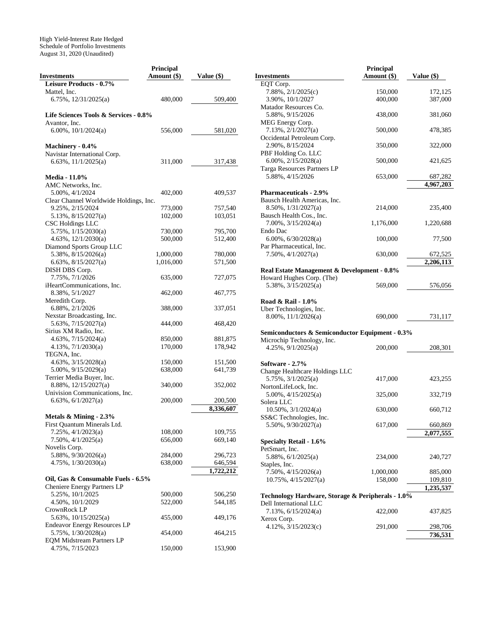|                                        | Principal   |              |
|----------------------------------------|-------------|--------------|
| <b>Investments</b>                     | Amount (\$) | Value $(\$)$ |
| <b>Leisure Products - 0.7%</b>         |             |              |
| Mattel, Inc.                           |             |              |
| 6.75%, 12/31/2025(a)                   | 480,000     | 509,400      |
|                                        |             |              |
| Life Sciences Tools & Services - 0.8%  |             |              |
| Avantor, Inc.                          |             |              |
|                                        |             |              |
| 6.00%, $10/1/2024(a)$                  | 556,000     | 581,020      |
|                                        |             |              |
| Machinery - 0.4%                       |             |              |
| Navistar International Corp.           |             |              |
| 6.63%, 11/1/2025(a)                    | 311,000     | 317,438      |
|                                        |             |              |
| <b>Media - 11.0%</b>                   |             |              |
| AMC Networks, Inc.                     |             |              |
| 5.00%, 4/1/2024                        | 402,000     | 409,537      |
| Clear Channel Worldwide Holdings, Inc. |             |              |
| 9.25%, 2/15/2024                       |             | 757,540      |
|                                        | 773,000     |              |
| 5.13%, 8/15/2027(a)                    | 102,000     | 103,051      |
| <b>CSC Holdings LLC</b>                |             |              |
| 5.75%, 1/15/2030(a)                    | 730,000     | 795,700      |
| 4.63%, 12/1/2030(a)                    | 500,000     | 512,400      |
| Diamond Sports Group LLC               |             |              |
| 5.38%, 8/15/2026(a)                    | 1,000,000   | 780,000      |
| 6.63%, 8/15/2027(a)                    | 1,016,000   | 571,500      |
| DISH DBS Corp.                         |             |              |
| 7.75%, 7/1/2026                        | 635,000     | 727,075      |
|                                        |             |              |
| iHeartCommunications, Inc.             |             |              |
| 8.38%, 5/1/2027                        | 462,000     | 467,775      |
| Meredith Corp.                         |             |              |
| 6.88%, 2/1/2026                        | 388,000     | 337,051      |
| Nexstar Broadcasting, Inc.             |             |              |
| $5.63\%, 7/15/2027(a)$                 | 444,000     | 468,420      |
| Sirius XM Radio, Inc.                  |             |              |
| 4.63%, 7/15/2024(a)                    | 850,000     | 881,875      |
| $4.13\%, \frac{7}{1/2030(a)}$          | 170,000     | 178,942      |
| TEGNA, Inc.                            |             |              |
|                                        |             |              |
| 4.63%, 3/15/2028(a)                    | 150,000     | 151,500      |
| $5.00\%$ , $9/15/2029(a)$              | 638,000     | 641,739      |
| Terrier Media Buyer, Inc.              |             |              |
| 8.88%, 12/15/2027(a)                   | 340,000     | 352,002      |
| Univision Communications, Inc.         |             |              |
| 6.63%, $6/1/2027(a)$                   | 200,000     | 200,500      |
|                                        |             | 8,336,607    |
| Metals & Mining - 2.3%                 |             |              |
|                                        |             |              |
| First Quantum Minerals Ltd.            |             |              |
| 7.25%, 4/1/2023(a)                     | 108,000     | 109,755      |
| $7.50\%, \frac{4}{1/2025(a)}$          | 656,000     | 669,140      |
| Novelis Corp.                          |             |              |
| 5.88%, 9/30/2026(a)                    | 284,000     | 296,723      |
| $4.75\%, \frac{1}{30}/2030(a)$         | 638,000     | 646,594      |
|                                        |             | 1,722,212    |
| Oil, Gas & Consumable Fuels - 6.5%     |             |              |
| Cheniere Energy Partners LP            |             |              |
|                                        | 500,000     |              |
| 5.25%, 10/1/2025                       |             | 506,250      |
| 4.50%, 10/1/2029                       | 522,000     | 544,185      |
| CrownRock LP                           |             |              |
| 5.63%, 10/15/2025(a)                   | 455,000     | 449,176      |
| <b>Endeavor Energy Resources LP</b>    |             |              |
| 5.75%, 1/30/2028(a)                    | 454,000     | 464,215      |
| <b>EQM Midstream Partners LP</b>       |             |              |
| 4.75%, 7/15/2023                       | 150,000     | 153,900      |
|                                        |             |              |

|                                                   | Principal   |            |
|---------------------------------------------------|-------------|------------|
| <b>Investments</b>                                | Amount (\$) | Value (\$) |
| EQT Corp.                                         |             |            |
| $7.88\%, \frac{2}{1/2025(c)}$                     | 150,000     | 172,125    |
| 3.90%, 10/1/2027                                  | 400,000     | 387,000    |
| Matador Resources Co.                             |             |            |
| 5.88%, 9/15/2026                                  | 438,000     | 381,060    |
| MEG Energy Corp.                                  |             |            |
| 7.13%, 2/1/2027(a)                                | 500,000     | 478,385    |
| Occidental Petroleum Corp.                        |             |            |
| 2.90%, 8/15/2024                                  | 350,000     | 322,000    |
| PBF Holding Co. LLC                               |             |            |
| $6.00\%, 2/15/2028(a)$                            | 500,000     | 421,625    |
| Targa Resources Partners LP                       |             |            |
| 5.88%, 4/15/2026                                  | 653,000     | 687,282    |
|                                                   |             | 4,967,203  |
| <b>Pharmaceuticals - 2.9%</b>                     |             |            |
| Bausch Health Americas, Inc.                      |             |            |
| 8.50%, 1/31/2027(a)                               | 214,000     | 235,400    |
| Bausch Health Cos., Inc.                          |             |            |
| $7.00\%$ , $3/15/2024(a)$                         | 1,176,000   | 1,220,688  |
| Endo Dac                                          |             |            |
| 6.00%, $6/30/2028(a)$                             | 100,000     | 77,500     |
| Par Pharmaceutical, Inc.                          |             |            |
| 7.50%, 4/1/2027(a)                                | 630,000     | 672,525    |
|                                                   |             | 2,206,113  |
|                                                   |             |            |
| Real Estate Management & Development - 0.8%       |             |            |
| Howard Hughes Corp. (The)                         |             |            |
| $5.38\%, \frac{3}{15}/2025(a)$                    | 569,000     | 576,056    |
|                                                   |             |            |
| Road & Rail - 1.0%                                |             |            |
| Uber Technologies, Inc.                           |             |            |
| $8.00\%$ , $11/1/2026(a)$                         | 690,000     | 731,117    |
|                                                   |             |            |
| Semiconductors & Semiconductor Equipment - 0.3%   |             |            |
| Microchip Technology, Inc.                        |             |            |
| $4.25\%, 9/1/2025(a)$                             | 200,000     | 208,301    |
|                                                   |             |            |
| Software - 2.7%                                   |             |            |
| Change Healthcare Holdings LLC                    |             |            |
| $5.75\%, \frac{3}{1/2025(a)}$                     | 417,000     | 423,255    |
| NortonLifeLock, Inc.                              |             |            |
| 5.00%, 4/15/2025(a)                               | 325,000     | 332,719    |
| Solera LLC                                        |             |            |
| 10.50%, 3/1/2024(a)                               | 630,000     | 660,712    |
| SS&C Technologies, Inc.                           |             |            |
| $5.50\%$ , $9/30/2027(a)$                         | 617,000     | 660,869    |
|                                                   |             | 2,077,555  |
| <b>Specialty Retail - 1.6%</b>                    |             |            |
| PetSmart, Inc.                                    |             |            |
| 5.88%, 6/1/2025(a)                                | 234,000     | 240,727    |
| Staples, Inc.                                     |             |            |
| $7.50\%, \frac{4}{15}{2026(a)}$                   | 1,000,000   | 885,000    |
| 10.75%, 4/15/2027(a)                              | 158,000     | 109,810    |
|                                                   |             | 1,235,537  |
| Technology Hardware, Storage & Peripherals - 1.0% |             |            |
| Dell International LLC                            |             |            |
| 7.13%, 6/15/2024(a)                               | 422,000     | 437,825    |
| Xerox Corp.                                       |             |            |
| 4.12%, 3/15/2023(c)                               | 291,000     | 298,706    |
|                                                   |             | 736,531    |
|                                                   |             |            |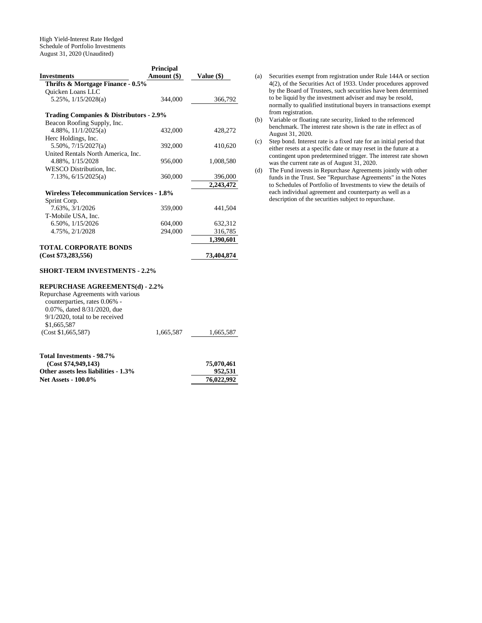|                                                   | <b>Principal</b> |            |
|---------------------------------------------------|------------------|------------|
| Investments                                       | Amount (\$)      | Value (\$) |
| Thrifts & Mortgage Finance - 0.5%                 |                  |            |
| <b>Ouicken Loans LLC</b>                          |                  |            |
| $5.25\%$ , $1/15/2028(a)$                         | 344,000          | 366,792    |
| Trading Companies & Distributors - 2.9%           |                  |            |
| Beacon Roofing Supply, Inc.                       |                  |            |
| 4.88%, $11/1/2025(a)$                             | 432,000          | 428,272    |
| Herc Holdings, Inc.                               |                  |            |
| $5.50\%$ , $7/15/2027(a)$                         | 392,000          | 410,620    |
| United Rentals North America, Inc.                |                  |            |
| 4.88%, 1/15/2028                                  | 956,000          | 1,008,580  |
| WESCO Distribution. Inc.                          |                  |            |
| $7.13\%$ , $6/15/2025(a)$                         | 360,000          | 396,000    |
|                                                   |                  | 2,243,472  |
| <b>Wireless Telecommunication Services - 1.8%</b> |                  |            |
| Sprint Corp.                                      |                  |            |
| 7.63%, 3/1/2026                                   | 359,000          | 441.504    |
| T-Mobile USA, Inc.                                |                  |            |
| 6.50%, $1/15/2026$                                | 604,000          | 632,312    |
| 4.75%, 2/1/2028                                   | 294,000          | 316,785    |
|                                                   |                  | 1,390,601  |
| <b>TOTAL CORPORATE BONDS</b>                      |                  |            |
|                                                   |                  | 73,404,874 |
| (Cost \$73,283,556)                               |                  |            |

## **REPURCHASE AGREEMENTS(d) - 2.2%**

| Repurchase Agreements with various |           |           |
|------------------------------------|-----------|-----------|
| counterparties, rates 0.06% -      |           |           |
| $0.07\%$ , dated $8/31/2020$ , due |           |           |
| $9/1/2020$ , total to be received  |           |           |
| \$1,665,587                        |           |           |
| (Cost \$1,665,587)                 | 1.665.587 | 1,665,587 |
|                                    |           |           |
|                                    |           |           |

| 75,070,461 |
|------------|
| 952.531    |
| 76,022,992 |
|            |

- (a) Securities exempt from registration under Rule 144A or section 4(2), of the Securities Act of 1933. Under procedures approved by the Board of Trustees, such securities have been determined to be liquid by the investment adviser and may be resold, normally to qualified institutional buyers in transactions exempt from registration.
- (b) Variable or floating rate security, linked to the referenced benchmark. The interest rate shown is the rate in effect as of August 31, 2020.
- (c) Step bond. Interest rate is a fixed rate for an initial period that either resets at a specific date or may reset in the future at a contingent upon predetermined trigger. The interest rate shown was the current rate as of August 31, 2020.
- (d) The Fund invests in Repurchase Agreements jointly with other funds in the Trust. See "Repurchase Agreements" in the Notes to Schedules of Portfolio of Investments to view the details of each individual agreement and counterparty as well as a description of the securities subject to repurchase.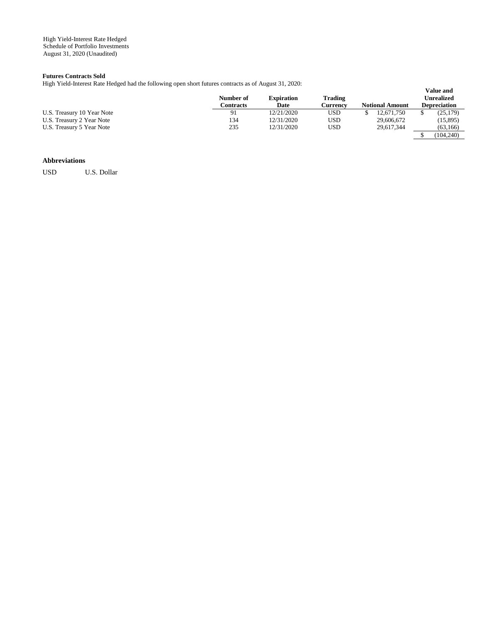### **Futures Contracts Sold**

High Yield-Interest Rate Hedged had the following open short futures contracts as of August 31, 2020:

|                            | Number of<br>Contracts | <b>Expiration</b><br>Date | <b>Trading</b><br>Currencv | <b>Notional Amount</b> | <b>Value and</b><br>Unrealized<br><b>Depreciation</b> |
|----------------------------|------------------------|---------------------------|----------------------------|------------------------|-------------------------------------------------------|
| U.S. Treasury 10 Year Note | -91                    | 12/21/2020                | USD                        | 12.671.750             | (25.179)                                              |
| U.S. Treasury 2 Year Note  | 134                    | 12/31/2020                | USD                        | 29,606,672             | (15, 895)                                             |
| U.S. Treasury 5 Year Note  | 235                    | 12/31/2020                | USD                        | 29.617.344             | (63, 166)                                             |
|                            |                        |                           |                            |                        | (104.240)                                             |

# **Abbreviations**

USD U.S. Dollar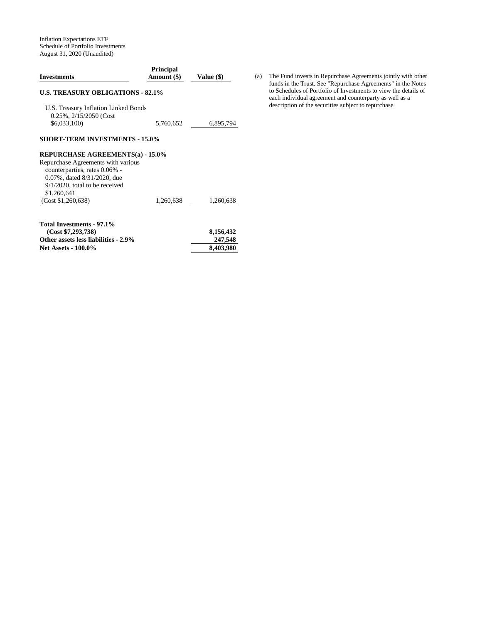Inflation Expectations ETF Schedule of Portfolio Investments August 31, 2020 (Unaudited)

| <b>Investments</b>                                                  | <b>Principal</b><br>Amount (\$) | Value (\$)           |
|---------------------------------------------------------------------|---------------------------------|----------------------|
| <b>U.S. TREASURY OBLIGATIONS - 82.1%</b>                            |                                 |                      |
| U.S. Treasury Inflation Linked Bonds<br>0.25%, 2/15/2050 (Cost      |                                 |                      |
| \$6,033,100)                                                        | 5,760,652                       | 6,895,794            |
| <b>SHORT-TERM INVESTMENTS - 15.0%</b>                               |                                 |                      |
| <b>REPURCHASE AGREEMENTS(a) - 15.0%</b>                             |                                 |                      |
| Repurchase Agreements with various<br>counterparties, rates 0.06% - |                                 |                      |
| 0.07%, dated 8/31/2020, due<br>$9/1/2020$ , total to be received    |                                 |                      |
| \$1,260,641<br>(Cost \$1,260,638)                                   | 1,260,638                       | 1,260,638            |
| Total Investments - 97.1%                                           |                                 |                      |
| (Cost \$7,293,738)                                                  |                                 | 8,156,432            |
| Other assets less liabilities - 2.9%<br><b>Net Assets - 100.0%</b>  |                                 | 247,548<br>8,403,980 |
|                                                                     |                                 |                      |

(a) The Fund invests in Repurchase Agreements jointly with other funds in the Trust. See "Repurchase Agreements" in the Notes to Schedules of Portfolio of Investments to view the details of each individual agreement and counterparty as well as a description of the securities subject to repurchase.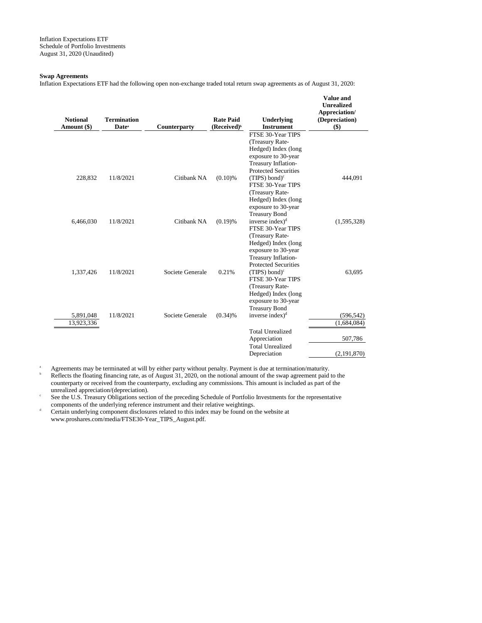### **Swap Agreements**

Inflation Expectations ETF had the following open non-exchange traded total return swap agreements as of August 31, 2020:

| <b>Notional</b><br>Amount (\$) | <b>Termination</b><br>Date <sup>a</sup> | Counterparty     | <b>Rate Paid</b><br>(Received) <sup>b</sup> | Underlying<br><b>Instrument</b>                    | <b>Value and</b><br><b>Unrealized</b><br>Appreciation/<br>(Depreciation)<br>$($)$ |
|--------------------------------|-----------------------------------------|------------------|---------------------------------------------|----------------------------------------------------|-----------------------------------------------------------------------------------|
|                                |                                         |                  |                                             | FTSE 30-Year TIPS                                  |                                                                                   |
|                                |                                         |                  |                                             | (Treasury Rate-                                    |                                                                                   |
|                                |                                         |                  |                                             | Hedged) Index (long                                |                                                                                   |
|                                |                                         |                  |                                             | exposure to 30-year                                |                                                                                   |
|                                |                                         |                  |                                             | Treasury Inflation-                                |                                                                                   |
|                                |                                         |                  |                                             | <b>Protected Securities</b>                        |                                                                                   |
| 228,832                        | 11/8/2021                               | Citibank NA      | $(0.10)$ %                                  | (TIPS) bond) $c$                                   | 444,091                                                                           |
|                                |                                         |                  |                                             | FTSE 30-Year TIPS                                  |                                                                                   |
|                                |                                         |                  |                                             | (Treasury Rate-<br>Hedged) Index (long             |                                                                                   |
|                                |                                         |                  |                                             | exposure to 30-year                                |                                                                                   |
|                                |                                         |                  |                                             | <b>Treasury Bond</b>                               |                                                                                   |
| 6,466,030                      | 11/8/2021                               | Citibank NA      | (0.19)%                                     | inverse index) <sup>d</sup>                        | (1,595,328)                                                                       |
|                                |                                         |                  |                                             | FTSE 30-Year TIPS                                  |                                                                                   |
|                                |                                         |                  |                                             | (Treasury Rate-                                    |                                                                                   |
|                                |                                         |                  |                                             | Hedged) Index (long                                |                                                                                   |
|                                |                                         |                  |                                             | exposure to 30-year                                |                                                                                   |
|                                |                                         |                  |                                             | Treasury Inflation-<br><b>Protected Securities</b> |                                                                                   |
| 1,337,426                      | 11/8/2021                               | Societe Generale | 0.21%                                       | $(TIPS) bond)^c$                                   | 63,695                                                                            |
|                                |                                         |                  |                                             | FTSE 30-Year TIPS                                  |                                                                                   |
|                                |                                         |                  |                                             | (Treasury Rate-                                    |                                                                                   |
|                                |                                         |                  |                                             | Hedged) Index (long                                |                                                                                   |
|                                |                                         |                  |                                             | exposure to 30-year                                |                                                                                   |
|                                |                                         |                  |                                             | <b>Treasury Bond</b>                               |                                                                                   |
| 5,891,048                      | 11/8/2021                               | Societe Generale | (0.34)%                                     | inverse index $)^d$                                | (596, 542)                                                                        |
| 13,923,336                     |                                         |                  |                                             |                                                    | (1,684,084)                                                                       |
|                                |                                         |                  |                                             | <b>Total Unrealized</b>                            |                                                                                   |
|                                |                                         |                  |                                             | Appreciation                                       | 507,786                                                                           |
|                                |                                         |                  |                                             | <b>Total Unrealized</b>                            |                                                                                   |
|                                |                                         |                  |                                             | Depreciation                                       | (2, 191, 870)                                                                     |

<sup>a</sup> Agreements may be terminated at will by either party without penalty. Payment is due at termination/maturity.

Reflects the floating financing rate, as of August 31, 2020, on the notional amount of the swap agreement paid to the counterparty or received from the counterparty, excluding any commissions. This amount is included as part of the unrealized appreciation/(depreciation).

c See the U.S. Treasury Obligations section of the preceding Schedule of Portfolio Investments for the representative components of the underlying reference instrument and their relative weightings.

<sup>d</sup> Certain underlying component disclosures related to this index may be found on the website at www.proshares.com/media/FTSE30-Year\_TIPS\_August.pdf.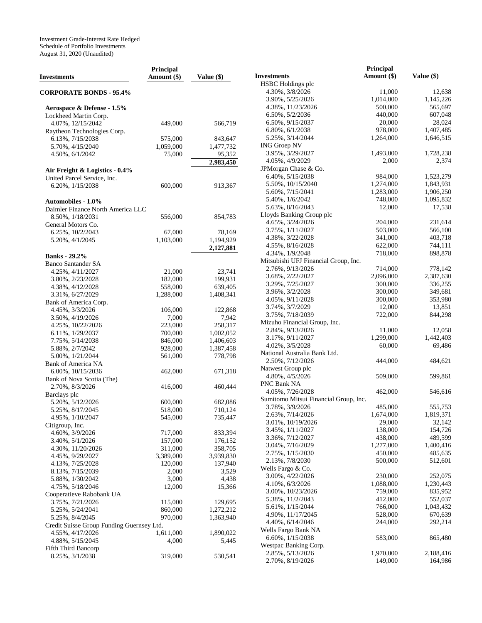Investment Grade-Interest Rate Hedged Schedule of Portfolio Investments August 31, 2020 (Unaudited)

| <b>Investments</b>                        | <b>Principal</b><br>Amount (\$) | Value (\$) | <b>Investments</b>                    | Principal<br>Amount (\$) | Value (\$) |
|-------------------------------------------|---------------------------------|------------|---------------------------------------|--------------------------|------------|
|                                           |                                 |            | HSBC Holdings plc                     |                          |            |
| <b>CORPORATE BONDS - 95.4%</b>            |                                 |            | 4.30%, 3/8/2026                       | 11,000                   | 12,638     |
|                                           |                                 |            | 3.90%, 5/25/2026                      | 1,014,000                | 1,145,226  |
| Aerospace & Defense - 1.5%                |                                 |            | 4.38%, 11/23/2026                     | 500,000                  | 565,697    |
| Lockheed Martin Corp.                     |                                 |            | 6.50%, 5/2/2036                       | 440,000                  | 607,048    |
| 4.07%, 12/15/2042                         | 449,000                         | 566,719    | 6.50%, 9/15/2037                      | 20,000                   | 28,024     |
| Raytheon Technologies Corp.               |                                 |            | $6.80\%, 6/1/2038$                    | 978,000                  | 1,407,485  |
| 6.13%, 7/15/2038                          | 575,000                         | 843,647    | 5.25%, 3/14/2044                      | 1,264,000                | 1,646,515  |
| 5.70%, 4/15/2040                          | 1,059,000                       | 1,477,732  | <b>ING Groep NV</b>                   |                          |            |
|                                           | 75,000                          | 95,352     | 3.95%, 3/29/2027                      | 1,493,000                | 1,728,238  |
| 4.50%, 6/1/2042                           |                                 |            | 4.05%, 4/9/2029                       | 2,000                    | 2,374      |
|                                           |                                 | 2,983,450  | JPMorgan Chase & Co.                  |                          |            |
| Air Freight & Logistics - 0.4%            |                                 |            | 6.40%, 5/15/2038                      | 984,000                  | 1,523,279  |
| United Parcel Service, Inc.               |                                 |            |                                       |                          | 1,843,931  |
| 6.20%, $1/15/2038$                        | 600,000                         | 913,367    | 5.50%, 10/15/2040                     | 1,274,000                |            |
|                                           |                                 |            | 5.60%, 7/15/2041                      | 1,283,000                | 1,906,250  |
| <b>Automobiles - 1.0%</b>                 |                                 |            | 5.40%, 1/6/2042                       | 748,000                  | 1,095,832  |
| Daimler Finance North America LLC         |                                 |            | 5.63%, 8/16/2043                      | 12,000                   | 17,538     |
| 8.50%, 1/18/2031                          | 556,000                         | 854,783    | Lloyds Banking Group plc              |                          |            |
| General Motors Co.                        |                                 |            | 4.65%, 3/24/2026                      | 204,000                  | 231,614    |
| 6.25%, 10/2/2043                          | 67,000                          | 78,169     | 3.75%, $1/11/2027$                    | 503,000                  | 566,100    |
| 5.20%, 4/1/2045                           | 1,103,000                       | 1,194,929  | 4.38%, 3/22/2028                      | 341,000                  | 403,718    |
|                                           |                                 | 2,127,881  | 4.55%, 8/16/2028                      | 622,000                  | 744,111    |
| <b>Banks</b> - 29.2%                      |                                 |            | 4.34%, $1/9/2048$                     | 718,000                  | 898,878    |
| <b>Banco Santander SA</b>                 |                                 |            | Mitsubishi UFJ Financial Group, Inc.  |                          |            |
| 4.25%, 4/11/2027                          | 21,000                          | 23,741     | 2.76%, 9/13/2026                      | 714,000                  | 778,142    |
|                                           |                                 |            | 3.68%, 2/22/2027                      | 2,096,000                | 2,387,630  |
| 3.80%, 2/23/2028                          | 182,000                         | 199,931    | 3.29%, 7/25/2027                      | 300,000                  | 336,255    |
| 4.38%, 4/12/2028                          | 558,000                         | 639,405    | 3.96%, 3/2/2028                       | 300,000                  | 349,681    |
| 3.31%, 6/27/2029                          | 1,288,000                       | 1,408,341  | 4.05%, 9/11/2028                      | 300,000                  | 353,980    |
| Bank of America Corp.                     |                                 |            | 3.74%, 3/7/2029                       | 12,000                   | 13,851     |
| 4.45%, 3/3/2026                           | 106,000                         | 122,868    | 3.75%, 7/18/2039                      | 722,000                  | 844,298    |
| 3.50%, 4/19/2026                          | 7,000                           | 7,942      | Mizuho Financial Group, Inc.          |                          |            |
| 4.25%, 10/22/2026                         | 223,000                         | 258,317    | 2.84%, 9/13/2026                      |                          | 12,058     |
| 6.11%, 1/29/2037                          | 700,000                         | 1,002,052  |                                       | 11,000                   |            |
| 7.75%, 5/14/2038                          | 846,000                         | 1,406,603  | 3.17%, 9/11/2027                      | 1,299,000                | 1,442,403  |
| 5.88%, 2/7/2042                           | 928,000                         | 1,387,458  | 4.02%, $3/5/2028$                     | 60,000                   | 69,486     |
| 5.00%, $1/21/2044$                        | 561,000                         | 778,798    | National Australia Bank Ltd.          |                          |            |
| Bank of America NA                        |                                 |            | 2.50%, 7/12/2026                      | 444,000                  | 484,621    |
| 6.00%, 10/15/2036                         | 462,000                         | 671,318    | Natwest Group plc                     |                          |            |
| Bank of Nova Scotia (The)                 |                                 |            | 4.80%, 4/5/2026                       | 509,000                  | 599,861    |
| 2.70%, 8/3/2026                           | 416,000                         | 460,444    | PNC Bank NA                           |                          |            |
| Barclays plc                              |                                 |            | 4.05%, 7/26/2028                      | 462,000                  | 546,616    |
| 5.20%, 5/12/2026                          | 600,000                         | 682,086    | Sumitomo Mitsui Financial Group, Inc. |                          |            |
| 5.25%, 8/17/2045                          | 518,000                         | 710,124    | 3.78%, 3/9/2026                       | 485,000                  | 555,753    |
| 4.95%, $1/10/2047$                        | 545,000                         | 735,447    | 2.63%, 7/14/2026                      | 1,674,000                | 1,819,371  |
| Citigroup, Inc.                           |                                 |            | 3.01%, 10/19/2026                     | 29,000                   | 32,142     |
| 4.60%, 3/9/2026                           | 717,000                         | 833,394    | 3.45%, $1/11/2027$                    | 138,000                  | 154,726    |
|                                           |                                 |            | 3.36%, 7/12/2027                      | 438,000                  | 489,599    |
| 3.40%, 5/1/2026                           | 157,000                         | 176,152    | 3.04%, 7/16/2029                      | 1,277,000                | 1,400,416  |
| 4.30%, 11/20/2026                         | 311,000                         | 358,705    | 2.75%, 1/15/2030                      | 450,000                  | 485,635    |
| 4.45%, 9/29/2027                          | 3,389,000                       | 3,939,830  | 2.13%, 7/8/2030                       | 500,000                  | 512,601    |
| 4.13%, 7/25/2028                          | 120,000                         | 137,940    | Wells Fargo & Co.                     |                          |            |
| 8.13%, 7/15/2039                          | 2,000                           | 3,529      | 3.00%, 4/22/2026                      | 230,000                  | 252,075    |
| 5.88%, 1/30/2042                          | 3,000                           | 4,438      |                                       |                          |            |
| 4.75%, 5/18/2046                          | 12,000                          | 15,366     | 4.10%, 6/3/2026                       | 1,088,000                | 1,230,443  |
| Cooperatieve Rabobank UA                  |                                 |            | 3.00%, 10/23/2026                     | 759,000                  | 835,952    |
| 3.75%, 7/21/2026                          | 115,000                         | 129,695    | 5.38%, 11/2/2043                      | 412,000                  | 552,037    |
| 5.25%, 5/24/2041                          | 860,000                         | 1,272,212  | 5.61%, $1/15/2044$                    | 766,000                  | 1,043,432  |
| 5.25%, 8/4/2045                           | 970,000                         | 1,363,940  | 4.90%, 11/17/2045                     | 528,000                  | 670,639    |
| Credit Suisse Group Funding Guernsey Ltd. |                                 |            | 4.40%, 6/14/2046                      | 244,000                  | 292,214    |
| 4.55%, 4/17/2026                          | 1,611,000                       | 1,890,022  | Wells Fargo Bank NA                   |                          |            |
| 4.88%, 5/15/2045                          | 4,000                           | 5,445      | 6.60%, $1/15/2038$                    | 583,000                  | 865,480    |
| Fifth Third Bancorp                       |                                 |            | Westpac Banking Corp.                 |                          |            |
| 8.25%, 3/1/2038                           | 319,000                         | 530,541    | 2.85%, 5/13/2026                      | 1,970,000                | 2,188,416  |
|                                           |                                 |            | 2.70%, 8/19/2026                      | 149,000                  | 164,986    |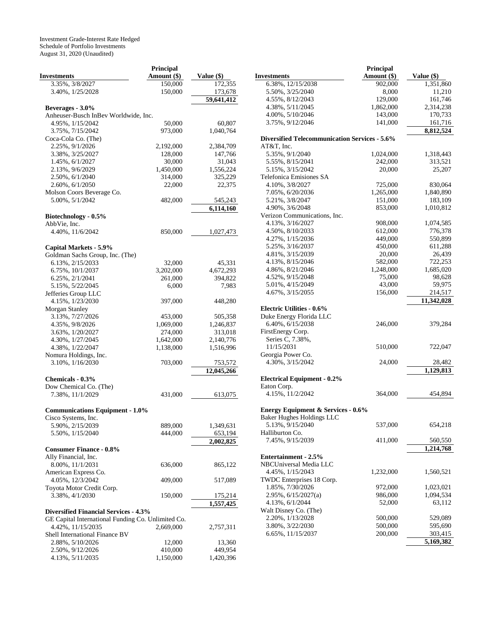Investment Grade-Interest Rate Hedged Schedule of Portfolio Investments August 31, 2020 (Unaudited)

|                                                    | Principal   |            |
|----------------------------------------------------|-------------|------------|
| <b>Investments</b>                                 | Amount (\$) | Value (\$) |
| 3.35%, 3/8/2027                                    | 150,000     | 172,355    |
| 3.40%, 1/25/2028                                   | 150,000     | 173,678    |
|                                                    |             | 59,641,412 |
| Beverages - 3.0%                                   |             |            |
| Anheuser-Busch InBev Worldwide, Inc.               |             |            |
| 4.95%, 1/15/2042                                   | 50,000      | 60,807     |
| 3.75%, 7/15/2042                                   | 973,000     | 1,040,764  |
| Coca-Cola Co. (The)                                |             |            |
| 2.25%, 9/1/2026                                    | 2,192,000   | 2,384,709  |
| 3.38%, 3/25/2027                                   | 128,000     | 147,766    |
| 1.45%, 6/1/2027                                    | 30,000      | 31,043     |
| 2.13%, 9/6/2029                                    | 1,450,000   | 1,556,224  |
|                                                    | 314,000     | 325,229    |
| 2.50%, 6/1/2040                                    |             |            |
| 2.60%, 6/1/2050                                    | 22,000      | 22,375     |
| Molson Coors Beverage Co.                          |             |            |
| 5.00%, 5/1/2042                                    | 482,000     | 545,243    |
|                                                    |             | 6,114,160  |
| Biotechnology - 0.5%                               |             |            |
| AbbVie, Inc.                                       |             |            |
| 4.40%, 11/6/2042                                   | 850,000     | 1,027,473  |
|                                                    |             |            |
| Capital Markets - 5.9%                             |             |            |
| Goldman Sachs Group, Inc. (The)                    |             |            |
| 6.13%, 2/15/2033                                   | 32,000      | 45,331     |
| 6.75%, 10/1/2037                                   | 3,202,000   | 4,672,293  |
| 6.25%, 2/1/2041                                    | 261,000     | 394,822    |
| 5.15%, 5/22/2045                                   | 6,000       | 7,983      |
| Jefferies Group LLC                                |             |            |
| 4.15%, 1/23/2030                                   | 397,000     | 448,280    |
| Morgan Stanley                                     |             |            |
| 3.13%, 7/27/2026                                   | 453,000     | 505,358    |
|                                                    |             |            |
| 4.35%, 9/8/2026                                    | 1,069,000   | 1,246,837  |
| 3.63%, 1/20/2027                                   | 274,000     | 313,018    |
| 4.30%, 1/27/2045                                   | 1,642,000   | 2,140,776  |
| 4.38%, 1/22/2047                                   | 1,138,000   | 1,516,996  |
| Nomura Holdings, Inc.                              |             |            |
| 3.10%, 1/16/2030                                   | 703,000     | 753,572    |
|                                                    |             | 12,045,266 |
| Chemicals - 0.3%                                   |             |            |
| Dow Chemical Co. (The)                             |             |            |
| 7.38%, 11/1/2029                                   | 431,000     | 613,075    |
|                                                    |             |            |
| <b>Communications Equipment - 1.0%</b>             |             |            |
| Cisco Systems, Inc.                                |             |            |
| 5.90%, 2/15/2039                                   | 889,000     | 1,349,631  |
| 5.50%, 1/15/2040                                   | 444,000     | 653,194    |
|                                                    |             | 2.002.825  |
| <b>Consumer Finance - 0.8%</b>                     |             |            |
| Ally Financial, Inc.                               |             |            |
| 8.00%, 11/1/2031                                   | 636,000     | 865,122    |
| American Express Co.                               |             |            |
|                                                    |             |            |
| 4.05%, 12/3/2042                                   | 409,000     | 517,089    |
| Toyota Motor Credit Corp.                          |             |            |
| 3.38%, 4/1/2030                                    | 150,000     | 175,214    |
|                                                    |             | 1,557,425  |
| <b>Diversified Financial Services - 4.3%</b>       |             |            |
| GE Capital International Funding Co. Unlimited Co. |             |            |
| 4.42%, 11/15/2035                                  | 2,669,000   | 2,757,311  |
| Shell International Finance BV                     |             |            |
| 2.88%, 5/10/2026                                   | 12,000      | 13,360     |
| 2.50%, 9/12/2026                                   | 410,000     | 449,954    |
| 4.13%, 5/11/2035                                   | 1,150,000   | 1,420,396  |

|                                                      | Principal   |                    |
|------------------------------------------------------|-------------|--------------------|
| <b>Investments</b>                                   | Amount (\$) | Value (\$)         |
| 6.38%, 12/15/2038                                    | 902,000     | 1,351,860          |
| 5.50%, 3/25/2040                                     | 8,000       | 11,210             |
| 4.55%, 8/12/2043                                     | 129,000     | 161,746            |
| 4.38%, 5/11/2045                                     | 1,862,000   | 2,314,238          |
| 4.00%, 5/10/2046                                     | 143,000     | 170,733            |
| 3.75%, 9/12/2046                                     | 141,000     | 161,716            |
|                                                      |             | 8,812,524          |
| <b>Diversified Telecommunication Services - 5.6%</b> |             |                    |
| AT&T, Inc.                                           |             |                    |
| 5.35%, 9/1/2040                                      | 1,024,000   | 1,318,443          |
| 5.55%, 8/15/2041                                     | 242,000     | 313,521            |
| 5.15%, 3/15/2042                                     | 20,000      | 25,207             |
| Telefonica Emisiones SA                              |             |                    |
| 4.10%, 3/8/2027                                      | 725,000     | 830,064            |
| 7.05%, 6/20/2036                                     | 1,265,000   | 1,840,890          |
| 5.21%, 3/8/2047                                      | 151,000     | 183,109            |
| 4.90%, 3/6/2048                                      | 853,000     | 1,010,812          |
| Verizon Communications, Inc.                         |             |                    |
| 4.13%, 3/16/2027                                     |             | 1,074,585          |
| 4.50%, 8/10/2033                                     | 908,000     |                    |
|                                                      | 612,000     | 776,378            |
| 4.27%, 1/15/2036                                     | 449,000     | 550,899            |
| 5.25%, 3/16/2037                                     | 450,000     | 611,288            |
| 4.81%, 3/15/2039                                     | 20,000      | 26,439             |
| 4.13%, 8/15/2046                                     | 582,000     | 722,253            |
| 4.86%, 8/21/2046                                     | 1,248,000   | 1,685,020          |
| 4.52%, 9/15/2048                                     | 75,000      | 98,628             |
| 5.01%, 4/15/2049                                     | 43,000      | 59,975             |
| 4.67%, 3/15/2055                                     | 156,000     | 214,517            |
|                                                      |             | 11,342,028         |
| Electric Utilities - 0.6%                            |             |                    |
| Duke Energy Florida LLC                              |             |                    |
| 6.40%, 6/15/2038                                     | 246,000     | 379,284            |
| FirstEnergy Corp.                                    |             |                    |
| Series C, 7.38%,                                     |             |                    |
| 11/15/2031                                           | 510,000     | 722,047            |
| Georgia Power Co.                                    |             |                    |
| 4.30%, 3/15/2042                                     | 24,000      | 28,482             |
|                                                      |             | 1,129,813          |
| <b>Electrical Equipment - 0.2%</b>                   |             |                    |
| Eaton Corp.                                          |             |                    |
| 4.15%, 11/2/2042                                     | 364,000     | 454,894            |
| <b>Energy Equipment &amp; Services - 0.6%</b>        |             |                    |
|                                                      |             |                    |
| <b>Baker Hughes Holdings LLC</b><br>5.13%, 9/15/2040 | 537,000     | 654,218            |
| Halliburton Co.                                      |             |                    |
| 7.45%, 9/15/2039                                     | 411,000     | 560,550            |
|                                                      |             | 1,214,768          |
| Entertainment - 2.5%                                 |             |                    |
| NBCUniversal Media LLC                               |             |                    |
| 4.45%, 1/15/2043                                     | 1,232,000   | 1,560,521          |
|                                                      |             |                    |
| TWDC Enterprises 18 Corp.<br>1.85%, 7/30/2026        | 972,000     | 1,023,021          |
| 2.95%, 6/15/2027(a)                                  | 986,000     |                    |
| 4.13%, 6/1/2044                                      | 52,000      | 1,094,534          |
|                                                      |             | 63,112             |
| Walt Disney Co. (The)<br>2.20%, 1/13/2028            | 500,000     |                    |
| 3.80%, 3/22/2030                                     | 500,000     | 529,089<br>595,690 |
| 6.65%, 11/15/2037                                    | 200,000     | 303,415            |
|                                                      |             |                    |
|                                                      |             | 5,169,382          |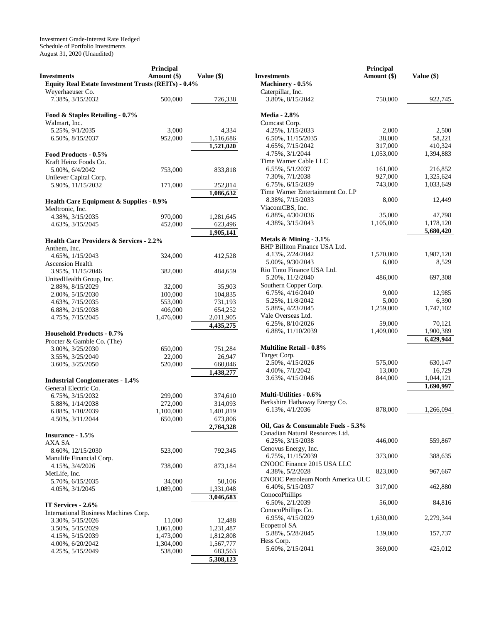Investment Grade-Interest Rate Hedged Schedule of Portfolio Investments August 31, 2020 (Unaudited)

|                                                     | Principal   |            |
|-----------------------------------------------------|-------------|------------|
| <b>Investments</b>                                  | Amount (\$) | Value (\$) |
| Equity Real Estate Investment Trusts (REITs) - 0.4% |             |            |
| Weverhaeuser Co.                                    |             |            |
|                                                     |             |            |
| 7.38%, 3/15/2032                                    | 500,000     | 726,338    |
|                                                     |             |            |
| Food & Staples Retailing - 0.7%                     |             |            |
| Walmart, Inc.                                       |             |            |
| 5.25%, 9/1/2035                                     | 3,000       | 4,334      |
| 6.50%, 8/15/2037                                    | 952,000     | 1,516,686  |
|                                                     |             | 1,521,020  |
| Food Products - 0.5%                                |             |            |
| Kraft Heinz Foods Co.                               |             |            |
|                                                     |             |            |
| 5.00%, 6/4/2042                                     | 753,000     | 833,818    |
| Unilever Capital Corp.                              |             |            |
| 5.90%, 11/15/2032                                   | 171,000     | 252,814    |
|                                                     |             | 1,086,632  |
| <b>Health Care Equipment &amp; Supplies - 0.9%</b>  |             |            |
| Medtronic, Inc.                                     |             |            |
| 4.38%, 3/15/2035                                    | 970,000     | 1,281,645  |
| 4.63%, 3/15/2045                                    | 452,000     | 623,496    |
|                                                     |             | 1,905,141  |
|                                                     |             |            |
| <b>Health Care Providers &amp; Services - 2.2%</b>  |             |            |
| Anthem, Inc.                                        |             |            |
| 4.65%, 1/15/2043                                    | 324,000     | 412,528    |
| <b>Ascension Health</b>                             |             |            |
| 3.95%, 11/15/2046                                   | 382,000     | 484,659    |
| UnitedHealth Group, Inc.                            |             |            |
| 2.88%, 8/15/2029                                    | 32,000      | 35,903     |
| 2.00%, 5/15/2030                                    | 100,000     | 104,835    |
| 4.63%, 7/15/2035                                    | 553,000     | 731,193    |
| 6.88%, 2/15/2038                                    | 406,000     | 654,252    |
|                                                     |             |            |
| 4.75%, 7/15/2045                                    | 1,476,000   | 2,011,905  |
|                                                     |             | 4,435,275  |
| <b>Household Products - 0.7%</b>                    |             |            |
| Procter & Gamble Co. (The)                          |             |            |
| 3.00%, 3/25/2030                                    | 650,000     | 751,284    |
| 3.55%, 3/25/2040                                    | 22,000      | 26,947     |
| 3.60%, 3/25/2050                                    | 520,000     | 660,046    |
|                                                     |             | 1,438,277  |
| <b>Industrial Conglomerates - 1.4%</b>              |             |            |
|                                                     |             |            |
| General Electric Co.                                |             |            |
| 6.75%, 3/15/2032                                    | 299,000     | 374,610    |
| 5.88%, 1/14/2038                                    | 272,000     | 314,093    |
| 6.88%, 1/10/2039                                    | 1,100,000   | 1,401,819  |
| 4.50%, 3/11/2044                                    | 650,000     | 673,806    |
|                                                     |             | 2,764,328  |
| <b>Insurance - 1.5%</b>                             |             |            |
| AXA SA                                              |             |            |
| 8.60%, 12/15/2030                                   | 523,000     | 792,345    |
| Manulife Financial Corp.                            |             |            |
|                                                     |             |            |
| 4.15%, 3/4/2026                                     | 738,000     | 873,184    |
| MetLife, Inc.                                       |             |            |
| 5.70%, 6/15/2035                                    | 34,000      | 50,106     |
| 4.05%, 3/1/2045                                     | 1,089,000   | 1,331,048  |
|                                                     |             | 3,046,683  |
| IT Services - 2.6%                                  |             |            |
| International Business Machines Corp.               |             |            |
| 3.30%, 5/15/2026                                    | 11,000      | 12,488     |
|                                                     |             |            |
| 3.50%, 5/15/2029                                    | 1,061,000   | 1,231,487  |
| 4.15%, 5/15/2039                                    | 1,473,000   | 1,812,808  |
| 4.00%, 6/20/2042                                    | 1,304,000   | 1,567,777  |
| 4.25%, 5/15/2049                                    | 538,000     | 683,563    |
|                                                     |             | 5,308,123  |

|                                       | <b>Principal</b> |            |
|---------------------------------------|------------------|------------|
| <b>Investments</b>                    | Amount (\$)      | Value (\$) |
| Machinery - 0.5%                      |                  |            |
| Caterpillar, Inc.<br>3.80%, 8/15/2042 | 750,000          | 922,745    |
| <b>Media - 2.8%</b>                   |                  |            |
| Comcast Corp.                         |                  |            |
| 4.25%, 1/15/2033                      | 2,000            | 2,500      |
| 6.50%, 11/15/2035                     | 38,000           | 58,221     |
| 4.65%, 7/15/2042                      | 317,000          | 410,324    |
| 4.75%, 3/1/2044                       | 1,053,000        | 1,394,883  |
| Time Warner Cable LLC                 |                  |            |
| 6.55%, 5/1/2037                       | 161,000          | 216,852    |
| 7.30%, 7/1/2038                       | 927,000          | 1,325,624  |
| 6.75%, 6/15/2039                      | 743,000          | 1,033,649  |
| Time Warner Entertainment Co. LP      |                  |            |
| 8.38%, 7/15/2033                      | 8,000            | 12,449     |
| ViacomCBS, Inc.                       |                  |            |
| 6.88%, 4/30/2036                      | 35,000           | 47,798     |
| 4.38%, 3/15/2043                      | 1,105,000        | 1,178,120  |
|                                       |                  | 5,680,420  |
| Metals & Mining - 3.1%                |                  |            |
| BHP Billiton Finance USA Ltd.         |                  |            |
| 4.13%, 2/24/2042                      | 1,570,000        | 1,987,120  |
| 5.00%, 9/30/2043                      | 6,000            | 8,529      |
| Rio Tinto Finance USA Ltd.            |                  |            |
| 5.20%, 11/2/2040                      | 486,000          |            |
|                                       |                  | 697,308    |
| Southern Copper Corp.                 |                  |            |
| 6.75%, 4/16/2040                      | 9,000            | 12,985     |
| 5.25%, 11/8/2042                      | 5,000            | 6,390      |
| 5.88%, 4/23/2045                      | 1,259,000        | 1,747,102  |
| Vale Overseas Ltd.                    |                  |            |
| 6.25%, 8/10/2026                      | 59,000           | 70,121     |
| 6.88%, 11/10/2039                     | 1,409,000        | 1,900,389  |
|                                       |                  | 6,429,944  |
| <b>Multiline Retail - 0.8%</b>        |                  |            |
| Target Corp.                          |                  |            |
| 2.50%, 4/15/2026                      | 575,000          | 630,147    |
| 4.00%, 7/1/2042                       | 13,000           | 16,729     |
| 3.63%, 4/15/2046                      | 844,000          | 1,044,121  |
|                                       |                  | 1,690,997  |
| <b>Multi-Utilities - 0.6%</b>         |                  |            |
| Berkshire Hathaway Energy Co.         |                  |            |
| 6.13%, 4/1/2036                       | 878,000          | 1,266,094  |
| Oil, Gas & Consumable Fuels - 5.3%    |                  |            |
| Canadian Natural Resources Ltd.       |                  |            |
| 6.25%, 3/15/2038                      | 446,000          | 559,867    |
| Cenovus Energy, Inc.                  |                  |            |
| 6.75%, 11/15/2039                     | 373,000          | 388,635    |
| CNOOC Finance 2015 USA LLC            |                  |            |
| 4.38%, 5/2/2028                       | 823,000          | 967,667    |
| CNOOC Petroleum North America ULC     |                  |            |
| 6.40%, 5/15/2037                      | 317,000          | 462,880    |
| ConocoPhillips                        |                  |            |
| 6.50%, 2/1/2039                       | 56,000           | 84,816     |
| ConocoPhillips Co.                    |                  |            |
| 6.95%, 4/15/2029                      | 1,630,000        | 2,279,344  |
| Ecopetrol SA                          |                  |            |
| 5.88%, 5/28/2045                      | 139,000          | 157,737    |
| Hess Corp.                            |                  |            |
| 5.60%, 2/15/2041                      | 369,000          | 425,012    |
|                                       |                  |            |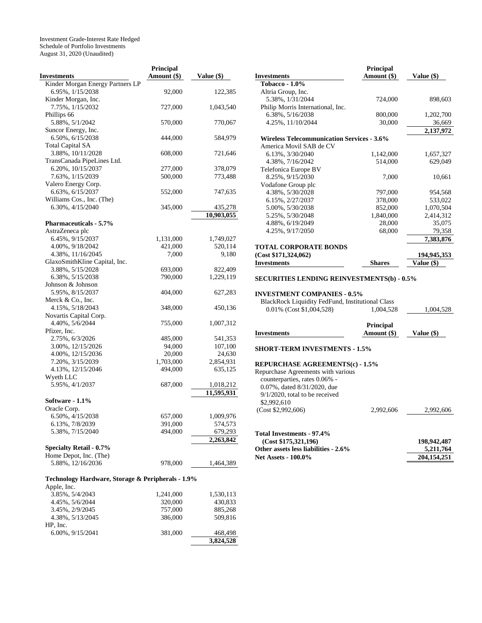Investment Grade-Interest Rate Hedged Schedule of Portfolio Investments August 31, 2020 (Unaudited)

|                                                   | Principal   |              |
|---------------------------------------------------|-------------|--------------|
| <b>Investments</b>                                | Amount (\$) | Value $(\$)$ |
| Kinder Morgan Energy Partners LP                  |             |              |
| 6.95%, 1/15/2038                                  | 92,000      | 122,385      |
| Kinder Morgan, Inc.                               |             |              |
| 7.75%, 1/15/2032                                  | 727,000     | 1,043,540    |
| Phillips 66                                       |             |              |
| 5.88%, 5/1/2042                                   |             |              |
|                                                   | 570,000     | 770,067      |
| Suncor Energy, Inc.                               |             |              |
| 6.50%, 6/15/2038                                  | 444,000     | 584,979      |
| <b>Total Capital SA</b>                           |             |              |
| 3.88%, 10/11/2028                                 | 608,000     | 721,646      |
| TransCanada PipeLines Ltd.                        |             |              |
| 6.20%, 10/15/2037                                 | 277,000     | 378,079      |
| 7.63%, 1/15/2039                                  | 500,000     | 773,488      |
| Valero Energy Corp.                               |             |              |
| 6.63%, 6/15/2037                                  | 552,000     | 747,635      |
| Williams Cos., Inc. (The)                         |             |              |
| 6.30%, 4/15/2040                                  | 345,000     | 435,278      |
|                                                   |             | 10,903,055   |
| <b>Pharmaceuticals - 5.7%</b>                     |             |              |
| AstraZeneca plc                                   |             |              |
|                                                   |             |              |
| 6.45%, 9/15/2037                                  | 1,131,000   | 1,749,027    |
| 4.00%, 9/18/2042                                  | 421,000     | 520,114      |
| 4.38%, 11/16/2045                                 | 7,000       | 9,180        |
| GlaxoSmithKline Capital, Inc.                     |             |              |
| 3.88%, 5/15/2028                                  | 693,000     | 822,409      |
| 6.38%, 5/15/2038                                  | 790,000     | 1,229,119    |
| Johnson & Johnson                                 |             |              |
| 5.95%, 8/15/2037                                  | 404,000     | 627,283      |
| Merck & Co., Inc.                                 |             |              |
| 4.15%, 5/18/2043                                  | 348,000     | 450,136      |
| Novartis Capital Corp.                            |             |              |
| 4.40%, 5/6/2044                                   | 755,000     | 1,007,312    |
| Pfizer, Inc.                                      |             |              |
| 2.75%, 6/3/2026                                   | 485,000     | 541,353      |
| 3.00%, 12/15/2026                                 | 94,000      | 107,100      |
| 4.00%, 12/15/2036                                 | 20,000      | 24,630       |
| 7.20%, 3/15/2039                                  | 1,703,000   | 2,854,931    |
| 4.13%, 12/15/2046                                 | 494,000     | 635,125      |
| Wyeth LLC                                         |             |              |
| 5.95%, 4/1/2037                                   | 687,000     | 1,018,212    |
|                                                   |             |              |
|                                                   |             | 11,595,931   |
| Software - 1.1%                                   |             |              |
| Oracle Corp.                                      |             |              |
| 6.50%, 4/15/2038                                  | 657,000     | 1,009,976    |
| 6.13%, 7/8/2039                                   | 391,000     | 574,573      |
| 5.38%, 7/15/2040                                  | 494,000     | 679,293      |
|                                                   |             | 2,263,842    |
| <b>Specialty Retail - 0.7%</b>                    |             |              |
| Home Depot, Inc. (The)                            |             |              |
| 5.88%, 12/16/2036                                 | 978,000     | 1,464,389    |
|                                                   |             |              |
| Technology Hardware, Storage & Peripherals - 1.9% |             |              |
| Apple, Inc.                                       |             |              |
| 3.85%, 5/4/2043                                   | 1,241,000   | 1,530,113    |
| 4.45%, 5/6/2044                                   | 320,000     | 430,833      |
| 3.45%, 2/9/2045                                   | 757,000     | 885,268      |
| 4.38%, 5/13/2045                                  |             |              |
|                                                   | 386,000     | 509,816      |
| HP, Inc.                                          |             |              |
| 6.00%, 9/15/2041                                  | 381,000     | 468,498      |

**3,824,528**

|                                                                                                                                                                                                  | Principal                       |                          |
|--------------------------------------------------------------------------------------------------------------------------------------------------------------------------------------------------|---------------------------------|--------------------------|
| <b>Investments</b>                                                                                                                                                                               | Amount (\$)                     | Value $(\$)$             |
| <b>Tobacco - 1.0%</b>                                                                                                                                                                            |                                 |                          |
| Altria Group, Inc.                                                                                                                                                                               |                                 |                          |
| 5.38%, 1/31/2044                                                                                                                                                                                 | 724,000                         | 898,603                  |
| Philip Morris International, Inc.                                                                                                                                                                |                                 |                          |
| 6.38%, 5/16/2038                                                                                                                                                                                 | 800,000                         | 1,202,700                |
| 4.25%, 11/10/2044                                                                                                                                                                                | 30,000                          | 36,669                   |
|                                                                                                                                                                                                  |                                 | 2,137,972                |
| <b>Wireless Telecommunication Services - 3.6%</b>                                                                                                                                                |                                 |                          |
| America Movil SAB de CV                                                                                                                                                                          |                                 |                          |
| 6.13%, 3/30/2040                                                                                                                                                                                 | 1,142,000                       | 1,657,327                |
| 4.38%, 7/16/2042                                                                                                                                                                                 | 514,000                         | 629,049                  |
| Telefonica Europe BV                                                                                                                                                                             |                                 |                          |
| 8.25%, 9/15/2030                                                                                                                                                                                 | 7,000                           | 10,661                   |
| Vodafone Group plc                                                                                                                                                                               |                                 |                          |
| 4.38%, 5/30/2028                                                                                                                                                                                 | 797,000                         | 954,568                  |
| 6.15%, 2/27/2037                                                                                                                                                                                 | 378,000                         | 533,022                  |
|                                                                                                                                                                                                  |                                 |                          |
| 5.00%, 5/30/2038                                                                                                                                                                                 | 852,000                         | 1,070,504                |
| 5.25%, 5/30/2048                                                                                                                                                                                 | 1,840,000                       | 2,414,312                |
| 4.88%, 6/19/2049                                                                                                                                                                                 | 28,000                          | 35,075                   |
| 4.25%, 9/17/2050                                                                                                                                                                                 | 68,000                          | 79,358                   |
|                                                                                                                                                                                                  |                                 | 7,383,876                |
| <b>TOTAL CORPORATE BONDS</b>                                                                                                                                                                     |                                 |                          |
| (Cost \$171,324,062)                                                                                                                                                                             |                                 | <u>194,945,353 </u>      |
| <b>Investments</b>                                                                                                                                                                               | <b>Shares</b>                   | Value (\$)               |
| <b>SECURITIES LENDING REINVESTMENTS(b) - 0.5%</b><br><b>INVESTMENT COMPANIES - 0.5%</b><br>BlackRock Liquidity FedFund, Institutional Class                                                      |                                 |                          |
| 0.01% (Cost \$1,004,528)                                                                                                                                                                         | 1,004,528                       | 1,004,528                |
|                                                                                                                                                                                                  |                                 |                          |
| <b>Investments</b>                                                                                                                                                                               | <b>Principal</b><br>Amount (\$) | Value (\$)               |
| <b>SHORT-TERM INVESTMENTS - 1.5%</b>                                                                                                                                                             |                                 |                          |
| <b>REPURCHASE AGREEMENTS(c) - 1.5%</b><br>Repurchase Agreements with various<br>counterparties, rates 0.06% -<br>0.07%, dated 8/31/2020, due<br>$9/1/2020$ , total to be received<br>\$2,992,610 |                                 |                          |
| (Cost \$2,992,606)                                                                                                                                                                               | 2,992,606                       | 2,992,606                |
| Total Investments - 97.4%                                                                                                                                                                        |                                 |                          |
| (Cost \$175,321,196)                                                                                                                                                                             |                                 | 198,942,487              |
| Other assets less liabilities - 2.6%<br><b>Net Assets - 100.0%</b>                                                                                                                               |                                 | 5,211,764<br>204,154,251 |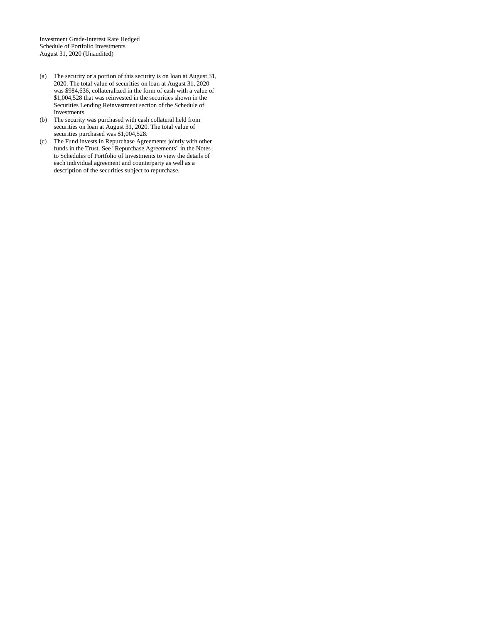Investment Grade-Interest Rate Hedged Schedule of Portfolio Investments August 31, 2020 (Unaudited)

- (a) The security or a portion of this security is on loan at August 31, 2020. The total value of securities on loan at August 31, 2020 was \$984,636, collateralized in the form of cash with a value of \$1,004,528 that was reinvested in the securities shown in the Securities Lending Reinvestment section of the Schedule of Investments.
- (b) The security was purchased with cash collateral held from securities on loan at August 31, 2020. The total value of securities purchased was \$1,004,528.
- (c) The Fund invests in Repurchase Agreements jointly with other funds in the Trust. See "Repurchase Agreements" in the Notes to Schedules of Portfolio of Investments to view the details of each individual agreement and counterparty as well as a description of the securities subject to repurchase.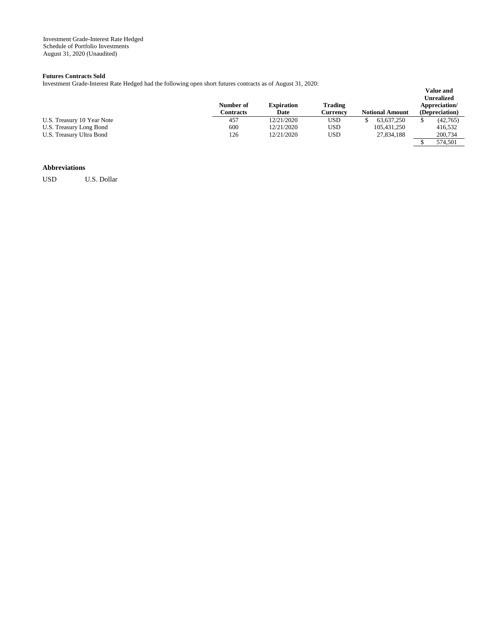## **Futures Contracts Sold**

Investment Grade-Interest Rate Hedged had the following open short futures contracts as of August 31, 2020:

|                            | Number of<br>Contracts | <b>Expiration</b><br>Date | Trading<br>Currencv | <b>Notional Amount</b> | Unrealized<br>Appreciation/<br>(Depreciation) |
|----------------------------|------------------------|---------------------------|---------------------|------------------------|-----------------------------------------------|
| U.S. Treasury 10 Year Note | 457                    | 12/21/2020                | USD                 | 63.637.250             | (42,765)                                      |
| U.S. Treasury Long Bond    | 600                    | 12/21/2020                | USD                 | 105,431,250            | 416.532                                       |
| U.S. Treasury Ultra Bond   | 126                    | 12/21/2020                | USD                 | 27,834,188             | 200,734                                       |
|                            |                        |                           |                     |                        | 574.501                                       |

**Value and** 

### **Abbreviations**

USD U.S. Dollar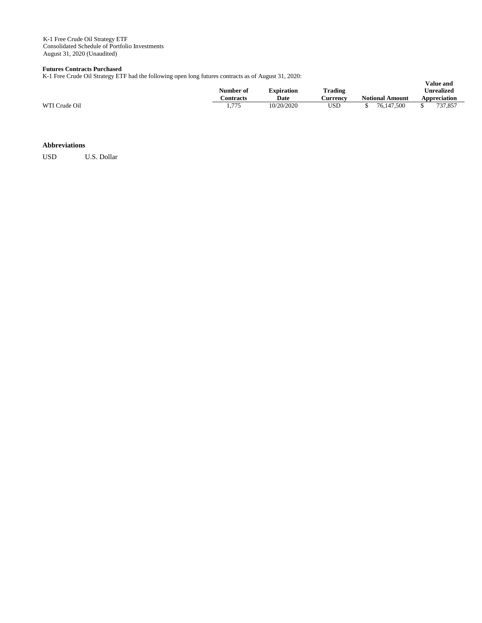K-1 Free Crude Oil Strategy ETF Consolidated Schedule of Portfolio Investments August 31, 2020 (Unaudited)

### **Futures Contracts Purchased**

K-1 Free Crude Oil Strategy ETF had the following open long futures contracts as of August 31, 2020:

|               | $\tilde{}$ | . . | -- |                        |                           |                            |                        | <b>Value and</b>                  |
|---------------|------------|-----|----|------------------------|---------------------------|----------------------------|------------------------|-----------------------------------|
|               |            |     |    | Number of<br>Contracts | <b>Expiration</b><br>Date | <b>Trading</b><br>∠urrencv | <b>Notional Amount</b> | <b>Unrealized</b><br>Appreciation |
| WTI Crude Oil |            |     |    | 1.775                  | 10/20/2020                | USD                        | 76,147,500             | 737.857                           |

### **Abbreviations**

USD U.S. Dollar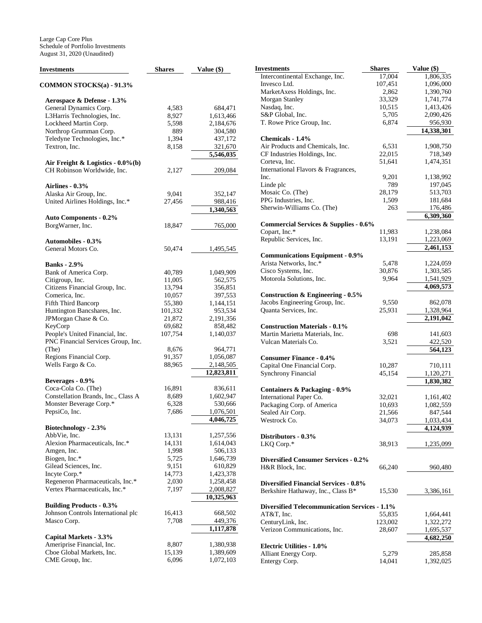| <b>Investments</b>                               | <b>Shares</b>    | Value $(\$)$       | <b>Investments</b>            |
|--------------------------------------------------|------------------|--------------------|-------------------------------|
| COMMON STOCKS(a) - 91.3%                         |                  |                    | Intercontinen<br>Invesco Ltd. |
|                                                  |                  |                    | MarketAxess                   |
| Aerospace & Defense - 1.3%                       |                  |                    | Morgan Stanl                  |
| General Dynamics Corp.                           | 4,583            | 684,471            | Nasdaq, Inc.                  |
| L3Harris Technologies, Inc.                      | 8,927            | 1,613,466          | S&P Global,                   |
| Lockheed Martin Corp.                            | 5,598            | 2,184,676          | T. Rowe Pric                  |
| Northrop Grumman Corp.                           | 889              | 304,580            |                               |
| Teledyne Technologies, Inc.*                     | 1,394            | 437,172            | <b>Chemicals -</b>            |
| Textron. Inc.                                    | 8,158            | 321,670            | Air Products                  |
|                                                  |                  | 5,546,035          | <b>CF</b> Industries          |
| Air Freight & Logistics - $0.0\%$ (b)            |                  |                    | Corteva, Inc.                 |
| CH Robinson Worldwide, Inc.                      | 2,127            | 209,084            | International                 |
|                                                  |                  |                    | Inc.<br>Linde plc             |
| Airlines - 0.3%                                  |                  |                    | Mosaic Co. (                  |
| Alaska Air Group, Inc.                           | 9,041            | 352,147            | PPG Industrie                 |
| United Airlines Holdings, Inc.*                  | 27,456           | 988,416            | Sherwin-Will                  |
|                                                  |                  | 1,340,563          |                               |
| <b>Auto Components - 0.2%</b>                    |                  |                    | Commercial                    |
| BorgWarner, Inc.                                 | 18,847           | 765,000            | Copart, Inc.*                 |
|                                                  |                  |                    | Republic Ser                  |
| <b>Automobiles - 0.3%</b>                        |                  |                    |                               |
| General Motors Co.                               | 50,474           | 1,495,545          | Communica                     |
|                                                  |                  |                    | Arista Netwo                  |
| <b>Banks</b> - 2.9%                              |                  |                    | Cisco System                  |
| Bank of America Corp.                            | 40,789           | 1,049,909          | Motorola Sol                  |
| Citigroup, Inc.                                  | 11,005<br>13,794 | 562,575            |                               |
| Citizens Financial Group, Inc.<br>Comerica, Inc. | 10,057           | 356,851<br>397,553 | <b>Construction</b>           |
| Fifth Third Bancorp                              | 55,380           | 1,144,151          | Jacobs Engin                  |
| Huntington Bancshares, Inc.                      | 101,332          | 953,534            | Quanta Servi                  |
| JPMorgan Chase & Co.                             | 21,872           | 2,191,356          |                               |
| KeyCorp                                          | 69,682           | 858,482            | Construction                  |
| People's United Financial, Inc.                  | 107,754          | 1,140,037          | Martin Marie                  |
| PNC Financial Services Group, Inc.               |                  |                    | <b>Vulcan Mater</b>           |
| (The)                                            | 8,676            | 964,771            |                               |
| Regions Financial Corp.                          | 91,357           | 1,056,087          | <b>Consumer F</b>             |
| Wells Fargo & Co.                                | 88,965           | 2,148,505          | Capital One I                 |
|                                                  |                  | 12,823,811         | Synchrony Fi                  |
| Beverages - 0.9%                                 |                  |                    |                               |
| Coca-Cola Co. (The)                              | 16,891           | 836,611            | <b>Containers &amp;</b>       |
| Constellation Brands, Inc., Class A              | 8,689            | 1,602,947          | International                 |
| Monster Beverage Corp.*                          | 6,328            | 530,666            | Packaging Co                  |
| PepsiCo, Inc.                                    | 7,686            | 1,076,501          | Sealed Air Co                 |
|                                                  |                  | 4,046,725          | Westrock Co                   |
| Biotechnology - 2.3%                             |                  |                    |                               |
| AbbVie, Inc.                                     | 13,131           | 1,257,556          | <b>Distributors</b>           |
| Alexion Pharmaceuticals, Inc.*                   | 14,131           | 1,614,043          | LKQ Corp.*                    |
| Amgen, Inc.                                      | 1,998            | 506,133            |                               |
| Biogen, Inc.*                                    | 5,725            | 1,646,739          | Diversified (                 |
| Gilead Sciences, Inc.                            | 9,151            | 610,829            | H&R Block,                    |
| Incyte Corp.*                                    | 14,773           | 1,423,378          |                               |
| Regeneron Pharmaceuticals, Inc.*                 | 2,030            | 1,258,458          | <b>Diversified F</b>          |
| Vertex Pharmaceuticals, Inc.*                    | 7,197            | 2,008,827          | Berkshire Ha                  |
|                                                  |                  | 10,325,963         |                               |
| <b>Building Products - 0.3%</b>                  |                  |                    | <b>Diversified 7</b>          |
| Johnson Controls International plc               | 16,413           | 668,502            | AT&T, Inc.                    |
| Masco Corp.                                      | 7,708            | 449,376            | CenturyLink,                  |
|                                                  |                  | 1,117,878          | Verizon Com                   |
| Capital Markets - 3.3%                           |                  |                    |                               |
| Ameriprise Financial, Inc.                       | 8,807            | 1,380,938          | Electric Utili                |
| Cboe Global Markets, Inc.                        | 15,139           | 1,389,609          | <b>Alliant Energ</b>          |
| CME Group, Inc.                                  | 6,096            | 1,072,103          | <b>Entergy Corp</b>           |

| Investments                                                                    | <b>Shares</b>   | Value (\$)             |
|--------------------------------------------------------------------------------|-----------------|------------------------|
| Intercontinental Exchange, Inc.                                                | 17,004          | 1,806,335              |
| Invesco Ltd.                                                                   | 107,451         | 1,096,000              |
| MarketAxess Holdings, Inc.                                                     | 2,862           | 1,390,760              |
| <b>Morgan Stanley</b>                                                          | 33,329          | 1,741,774              |
| Nasdaq, Inc.                                                                   | 10,515          | 1,413,426              |
| S&P Global, Inc.                                                               | 5,705           | 2,090,426              |
| T. Rowe Price Group, Inc.                                                      | 6,874           | 956,930                |
|                                                                                |                 | 14,338,301             |
| Chemicals - 1.4%                                                               |                 |                        |
| Air Products and Chemicals, Inc.<br>CF Industries Holdings, Inc.               | 6,531<br>22,015 | 1,908,750<br>718,349   |
| Corteva, Inc.                                                                  | 51,641          | 1,474,351              |
| International Flavors & Fragrances,                                            |                 |                        |
| Inc.                                                                           | 9,201           | 1,138,992              |
| Linde plc                                                                      | 789             | 197,045                |
| Mosaic Co. (The)                                                               | 28,179          | 513,703                |
| PPG Industries, Inc.                                                           | 1,509           | 181,684                |
| Sherwin-Williams Co. (The)                                                     | 263             | 176,486                |
|                                                                                |                 | 6,309,360              |
| Commercial Services & Supplies - 0.6%                                          |                 |                        |
| Copart, Inc.*                                                                  | 11,983          | 1,238,084              |
| Republic Services, Inc.                                                        | 13,191          | 1,223,069              |
|                                                                                |                 | 2,461,153              |
| <b>Communications Equipment - 0.9%</b>                                         |                 |                        |
| Arista Networks, Inc.*                                                         | 5,478           | 1,224,059              |
| Cisco Systems, Inc.                                                            | 30,876          | 1,303,585              |
| Motorola Solutions, Inc.                                                       | 9,964           | 1,541,929              |
|                                                                                |                 | 4,069,573              |
| <b>Construction &amp; Engineering - 0.5%</b><br>Jacobs Engineering Group, Inc. | 9,550           | 862,078                |
| Quanta Services, Inc.                                                          | 25,931          | 1,328,964              |
|                                                                                |                 | 2,191,042              |
| <b>Construction Materials - 0.1%</b>                                           |                 |                        |
| Martin Marietta Materials, Inc.                                                | 698             | 141,603                |
| Vulcan Materials Co.                                                           | 3,521           | 422,520                |
|                                                                                |                 | 564,123                |
| <b>Consumer Finance - 0.4%</b>                                                 |                 |                        |
| Capital One Financial Corp.                                                    | 10,287          | 710,111                |
| <b>Synchrony Financial</b>                                                     | 45,154          | 1,120,271              |
|                                                                                |                 | 1,830,382              |
| <b>Containers &amp; Packaging - 0.9%</b>                                       |                 |                        |
| International Paper Co.                                                        | 32,021          | 1,161,402              |
| Packaging Corp. of America                                                     | 10,693          | 1,082,559              |
| Sealed Air Corp.                                                               | 21,566          | 847,544                |
| Westrock Co.                                                                   | 34,073          | 1,033,434<br>4,124,939 |
| Distributors - 0.3%                                                            |                 |                        |
| LKQ Corp.*                                                                     | 38,913          | 1,235,099              |
|                                                                                |                 |                        |
| <b>Diversified Consumer Services - 0.2%</b>                                    |                 |                        |
| H&R Block, Inc.                                                                | 66,240          | 960,480                |
|                                                                                |                 |                        |
| <b>Diversified Financial Services - 0.8%</b>                                   |                 |                        |
| Berkshire Hathaway, Inc., Class B*                                             | 15,530          | 3,386,161              |
|                                                                                |                 |                        |
| <b>Diversified Telecommunication Services - 1.1%</b>                           |                 |                        |
| AT&T, Inc.                                                                     | 55,835          | 1,664,441              |
| CenturyLink, Inc.                                                              | 123,002         | 1,322,272              |
| Verizon Communications, Inc.                                                   | 28,607          | 1,695,537              |
| <b>Electric Utilities - 1.0%</b>                                               |                 | 4,682,250              |
| Alliant Energy Corp.                                                           | 5,279           | 285,858                |
| Entergy Corp.                                                                  | 14,041          | 1,392,025              |
|                                                                                |                 |                        |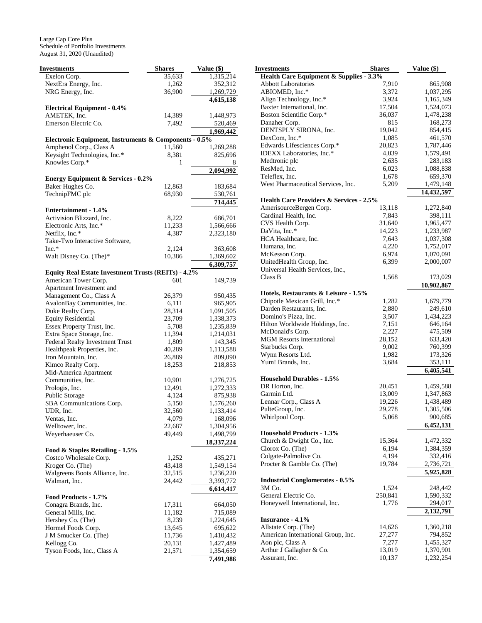| Investments                                                | <b>Shares</b> | Value (\$) |
|------------------------------------------------------------|---------------|------------|
| Exelon Corp.                                               | 35,633        | 1,315,214  |
| NextEra Energy, Inc.                                       | 1,262         | 352,312    |
| NRG Energy, Inc.                                           | 36,900        | 1,269,729  |
|                                                            |               | 4,615,138  |
| <b>Electrical Equipment - 0.4%</b>                         |               |            |
| AMETEK, Inc.                                               | 14,389        | 1,448,973  |
| Emerson Electric Co.                                       | 7,492         | 520,469    |
|                                                            |               | 1,969,442  |
| Electronic Equipment, Instruments & Components - 0.5%      |               |            |
| Amphenol Corp., Class A                                    | 11,560        | 1,269,288  |
| Keysight Technologies, Inc.*                               | 8,381         | 825,696    |
| Knowles Corp.*                                             | 1             | 8          |
|                                                            |               | 2,094,992  |
| <b>Energy Equipment &amp; Services - 0.2%</b>              |               |            |
| Baker Hughes Co.                                           | 12,863        | 183,684    |
| TechnipFMC plc                                             | 68,930        | 530,761    |
|                                                            |               | 714,445    |
| Entertainment - 1.4%                                       |               |            |
| Activision Blizzard, Inc.                                  | 8,222         | 686,701    |
| Electronic Arts, Inc.*                                     | 11,233        | 1,566,666  |
| Netflix, Inc.*                                             | 4,387         | 2,323,180  |
| Take-Two Interactive Software,                             |               |            |
| $Inc.*$                                                    | 2,124         | 363,608    |
| Walt Disney Co. (The)*                                     | 10,386        | 1,369,602  |
|                                                            |               | 6,309,757  |
| <b>Equity Real Estate Investment Trusts (REITs) - 4.2%</b> |               |            |
| American Tower Corp.                                       | 601           | 149,739    |
| Apartment Investment and                                   |               |            |
| Management Co., Class A                                    | 26,379        | 950,435    |
| AvalonBay Communities, Inc.                                | 6,111         | 965,905    |
| Duke Realty Corp.                                          | 28,314        | 1,091,505  |
| <b>Equity Residential</b>                                  | 23,709        | 1,338,373  |
| Essex Property Trust, Inc.                                 | 5,708         | 1,235,839  |
| Extra Space Storage, Inc.                                  | 11,394        | 1,214,031  |
| Federal Realty Investment Trust                            | 1,809         | 143,345    |
| Healthpeak Properties, Inc.                                | 40,289        | 1,113,588  |
| Iron Mountain, Inc.                                        | 26,889        | 809,090    |
| Kimco Realty Corp.                                         | 18,253        | 218,853    |
| Mid-America Apartment                                      |               |            |
| Communities, Inc.                                          | 10,901        | 1,276,725  |
| Prologis, Inc.                                             | 12,491        | 1,272,333  |
| Public Storage                                             | 4,124         | 875,938    |
| SBA Communications Corp.                                   | 5,150         | 1,576,260  |
| UDR, Inc.                                                  | 32,560        | 1,133,414  |
| Ventas, Inc.                                               | 4,079         | 168,096    |
| Welltower, Inc.                                            | 22,687        | 1,304,956  |
| Weyerhaeuser Co.                                           | 49,449        | 1,498,799  |
|                                                            |               | 18,337,224 |
| Food & Staples Retailing - 1.5%                            |               |            |
| Costco Wholesale Corp.                                     | 1,252         | 435,271    |
| Kroger Co. (The)                                           | 43,418        | 1,549,154  |
| Walgreens Boots Alliance, Inc.                             | 32,515        | 1,236,220  |
| Walmart, Inc.                                              | 24,442        | 3,393,772  |
|                                                            |               | 6,614,417  |
| Food Products - 1.7%                                       |               |            |
| Conagra Brands, Inc.                                       | 17,311        | 664,050    |
| General Mills, Inc.                                        | 11,182        | 715,089    |
| Hershey Co. (The)                                          | 8,239         | 1,224,645  |
| Hormel Foods Corp.                                         | 13,645        | 695,622    |
| J M Smucker Co. (The)                                      | 11,736        | 1,410,432  |
| Kellogg Co.                                                | 20,131        | 1,427,489  |
| Tyson Foods, Inc., Class A                                 | 21,571        | 1,354,659  |
|                                                            |               | 7,491,986  |

| Investments                             | <b>Shares</b> | Value (\$) |
|-----------------------------------------|---------------|------------|
| Health Care Equipment & Supplies - 3.3% |               |            |
| <b>Abbott Laboratories</b>              | 7,910         | 865,908    |
| ABIOMED, Inc.*                          | 3,372         | 1,037,295  |
| Align Technology, Inc.*                 | 3,924         | 1,165,349  |
| Baxter International, Inc.              | 17,504        | 1,524,073  |
| Boston Scientific Corp.*                | 36,037        | 1,478,238  |
| Danaher Corp.                           | 815           | 168,273    |
| DENTSPLY SIRONA, Inc.                   | 19,042        | 854,415    |
| DexCom, Inc.*                           | 1,085         | 461,570    |
| Edwards Lifesciences Corp.*             | 20,823        | 1,787,446  |
| IDEXX Laboratories, Inc.*               | 4,039         | 1,579,491  |
| Medtronic plc                           | 2,635         | 283,183    |
| ResMed, Inc.                            | 6,023         | 1,088,838  |
| Teleflex, Inc.                          | 1,678         | 659,370    |
| West Pharmaceutical Services, Inc.      | 5,209         | 1,479,148  |
|                                         |               | 14,432,597 |
| Health Care Providers & Services - 2.5% |               |            |
| AmerisourceBergen Corp.                 | 13,118        | 1,272,840  |
| Cardinal Health, Inc.                   | 7,843         | 398,111    |
| CVS Health Corp.                        | 31,640        | 1,965,477  |
| DaVita, Inc.*                           | 14,223        | 1,233,987  |
| HCA Healthcare, Inc.                    | 7,643         | 1,037,308  |
| Humana, Inc.                            | 4,220         | 1,752,017  |
| McKesson Corp.                          | 6,974         | 1,070,091  |
| UnitedHealth Group, Inc.                | 6,399         | 2,000,007  |
| Universal Health Services, Inc.,        |               |            |
| Class B                                 | 1,568         | 173,029    |
|                                         |               | 10,902,867 |
| Hotels, Restaurants & Leisure - 1.5%    |               |            |
| Chipotle Mexican Grill, Inc.*           | 1,282         | 1,679,779  |
| Darden Restaurants, Inc.                | 2,880         | 249,610    |
| Domino's Pizza, Inc.                    | 3,507         | 1,434,223  |
| Hilton Worldwide Holdings, Inc.         | 7,151         | 646,164    |
| McDonald's Corp.                        | 2,227         | 475,509    |
| <b>MGM Resorts International</b>        | 28,152        | 633,420    |
| Starbucks Corp.                         | 9,002         | 760,399    |
| Wynn Resorts Ltd.                       | 1,982         | 173,326    |
| Yum! Brands, Inc.                       | 3,684         | 353,111    |
|                                         |               | 6,405,541  |
| <b>Household Durables - 1.5%</b>        |               |            |
| DR Horton, Inc.                         | 20,451        | 1,459,588  |
| Garmin Ltd.                             | 13,009        | 1,347,863  |
| Lennar Corp., Class A                   | 19,226        | 1,438,489  |
| PulteGroup, Inc.                        | 29,278        | 1,305,506  |
| Whirlpool Corp.                         | 5,068         | 900,685    |
|                                         |               | 6,452,131  |
| <b>Household Products - 1.3%</b>        |               |            |
| Church & Dwight Co., Inc.               | 15,364        | 1,472,332  |
| Clorox Co. (The)                        | 6,194         | 1,384,359  |
| Colgate-Palmolive Co.                   | 4,194         | 332,416    |
| Procter & Gamble Co. (The)              | 19,784        | 2,736,721  |
|                                         |               | 5,925,828  |
| <b>Industrial Conglomerates - 0.5%</b>  |               |            |
| 3M Co.                                  | 1,524         | 248,442    |
| General Electric Co.                    | 250,841       | 1,590,332  |
| Honeywell International, Inc.           | 1,776         | 294,017    |
|                                         |               | 2,132,791  |
| Insurance - 4.1%                        |               |            |
| Allstate Corp. (The)                    | 14,626        | 1,360,218  |
| American International Group, Inc.      | 27,277        | 794,852    |
| Aon plc, Class A                        | 7,277         | 1,455,327  |
| Arthur J Gallagher & Co.                | 13,019        | 1,370,901  |
| Assurant, Inc.                          | 10,137        | 1,232,254  |
|                                         |               |            |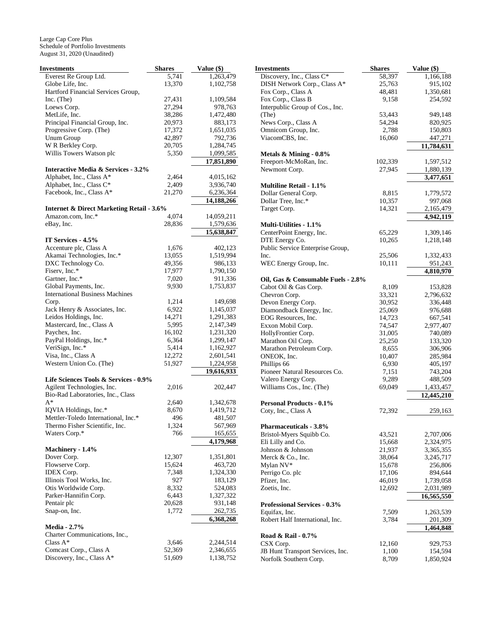| Investments                                          | <b>Shares</b>   | Value (\$)             |
|------------------------------------------------------|-----------------|------------------------|
| Everest Re Group Ltd.                                | 5,741           | 1,263,479              |
| Globe Life, Inc.                                     | 13,370          | 1,102,758              |
| Hartford Financial Services Group,                   |                 |                        |
| Inc. (The)                                           | 27,431          | 1,109,584              |
| Loews Corp.                                          | 27,294          | 978,763                |
| MetLife, Inc.                                        | 38,286          | 1,472,480              |
| Principal Financial Group, Inc.                      | 20,973          | 883,173                |
| Progressive Corp. (The)                              | 17,372          | 1,651,035              |
| Unum Group                                           | 42,897          | 792,736                |
| W R Berkley Corp.                                    | 20,705          | 1,284,745              |
| Willis Towers Watson plc                             | 5,350           | 1,099,585              |
| <b>Interactive Media &amp; Services - 3.2%</b>       |                 | 17,851,890             |
| Alphabet, Inc., Class A*                             | 2,464           | 4,015,162              |
| Alphabet, Inc., Class C*                             | 2,409           | 3,936,740              |
| Facebook, Inc., Class A*                             | 21,270          | 6,236,364              |
|                                                      |                 | 14,188,266             |
| <b>Internet &amp; Direct Marketing Retail - 3.6%</b> |                 |                        |
| Amazon.com, Inc.*                                    | 4,074           | 14,059,211             |
| eBay, Inc.                                           | 28,836          | 1,579,636              |
|                                                      |                 | 15,638,847             |
| IT Services - 4.5%                                   |                 |                        |
| Accenture plc, Class A                               | 1,676           | 402,123                |
| Akamai Technologies, Inc.*                           | 13,055          | 1,519,994              |
| DXC Technology Co.                                   | 49,356          | 986,133                |
| Fiserv, Inc.*                                        | 17,977          | 1,790,150              |
| Gartner, Inc.*                                       | 7,020           | 911,336                |
| Global Payments, Inc.                                | 9,930           | 1,753,837              |
| <b>International Business Machines</b>               |                 |                        |
| Corp.                                                | 1,214           | 149,698                |
| Jack Henry & Associates, Inc.                        | 6,922           | 1,145,037              |
| Leidos Holdings, Inc.                                | 14,271          | 1,291,383              |
| Mastercard, Inc., Class A                            | 5,995           | 2,147,349              |
| Paychex, Inc.<br>PayPal Holdings, Inc.*              | 16,102<br>6,364 | 1,231,320<br>1,299,147 |
| VeriSign, Inc.*                                      | 5,414           | 1,162,927              |
| Visa, Inc., Class A                                  | 12,272          | 2,601,541              |
| Western Union Co. (The)                              | 51,927          | 1,224,958              |
|                                                      |                 | 19,616,933             |
| Life Sciences Tools & Services - 0.9%                |                 |                        |
| Agilent Technologies, Inc.                           | 2,016           | 202,447                |
| Bio-Rad Laboratories, Inc., Class                    |                 |                        |
| $A^*$                                                | 2,640           | 1,342,678              |
| IQVIA Holdings, Inc.*                                | 8,670           | 1,419,712              |
| Mettler-Toledo International, Inc.*                  | 496             | 481,507                |
| Thermo Fisher Scientific, Inc.                       | 1,324           | 567,969                |
| Waters Corp.*                                        | 766             | 165,655                |
|                                                      |                 | 4,179,968              |
| Machinery - 1.4%                                     |                 |                        |
| Dover Corp.                                          | 12,307          | 1,351,801              |
| Flowserve Corp.                                      | 15,624          | 463,720                |
| <b>IDEX</b> Corp.                                    | 7,348           | 1,324,330              |
| Illinois Tool Works, Inc.                            | 927             | 183,129                |
| Otis Worldwide Corp.<br>Parker-Hannifin Corp.        | 8,332<br>6,443  | 524,083<br>1,327,322   |
| Pentair plc                                          |                 | 931,148                |
|                                                      | 20,628          | 262,735                |
| Snap-on, Inc.                                        | 1,772           | 6,368,268              |
| <b>Media - 2.7%</b>                                  |                 |                        |
| Charter Communications, Inc.,                        |                 |                        |
| Class A*                                             | 3,646           | 2,244,514              |
| Comcast Corp., Class A                               | 52,369          | 2,346,655              |
| Discovery, Inc., Class A*                            | 51,609          | 1,138,752              |

| Investments                                  | <b>Shares</b>    | Value (\$)             |
|----------------------------------------------|------------------|------------------------|
| Discovery, Inc., Class C*                    | 58,397           | 1,166,188              |
| DISH Network Corp., Class A*                 | 25,763           | 915,102                |
| Fox Corp., Class A                           | 48,481           | 1,350,681              |
| Fox Corp., Class B                           | 9,158            | 254,592                |
| Interpublic Group of Cos., Inc.              |                  |                        |
| (The)                                        | 53,443           | 949,148                |
| News Corp., Class A                          | 54,294           | 820,925                |
| Omnicom Group, Inc.<br>ViacomCBS, Inc.       | 2,788            | 150,803                |
|                                              | 16,060           | 447,271<br>11,784,631  |
| Metals & Mining - 0.8%                       |                  |                        |
| Freeport-McMoRan, Inc.                       | 102,339          | 1,597,512              |
| Newmont Corp.                                | 27,945           | 1,880,139              |
|                                              |                  | 3,477,651              |
| <b>Multiline Retail - 1.1%</b>               |                  |                        |
| Dollar General Corp.                         | 8,815            | 1,779,572              |
| Dollar Tree, Inc.*                           | 10,357           | 997,068                |
| Target Corp.                                 | 14,321           | 2,165,479              |
|                                              |                  | 4,942,119              |
| Multi-Utilities - 1.1%                       |                  |                        |
| CenterPoint Energy, Inc.<br>DTE Energy Co.   | 65,229           | 1,309,146              |
| Public Service Enterprise Group,             | 10,265           | 1,218,148              |
| Inc.                                         | 25,506           | 1,332,433              |
| WEC Energy Group, Inc.                       | 10,111           | 951,243                |
|                                              |                  | 4,810,970              |
| Oil, Gas & Consumable Fuels - 2.8%           |                  |                        |
| Cabot Oil & Gas Corp.                        | 8,109            | 153,828                |
| Chevron Corp.                                | 33,321           | 2,796,632              |
| Devon Energy Corp.                           | 30,952           | 336,448                |
| Diamondback Energy, Inc.                     | 25,069           | 976,688                |
| EOG Resources, Inc.                          | 14,723           | 667,541                |
| Exxon Mobil Corp.                            | 74,547           | 2,977,407              |
| HollyFrontier Corp.                          | 31,005           | 740,089                |
| Marathon Oil Corp.                           | 25,250           | 133,320                |
| Marathon Petroleum Corp.                     | 8,655            | 306,906                |
| ONEOK, Inc.                                  | 10,407           | 285,984                |
| Phillips 66<br>Pioneer Natural Resources Co. | 6,930            | 405,197                |
| Valero Energy Corp.                          | 7,151<br>9,289   | 743,204<br>488,509     |
| Williams Cos., Inc. (The)                    | 69,049           | 1,433,457              |
|                                              |                  | 12,445,210             |
| <b>Personal Products - 0.1%</b>              |                  |                        |
| Coty, Inc., Class A                          | 72,392           | 259,163                |
|                                              |                  |                        |
| <b>Pharmaceuticals - 3.8%</b>                |                  |                        |
| Bristol-Myers Squibb Co.                     | 43,521           | 2,707,006              |
| Eli Lilly and Co.<br>Johnson & Johnson       | 15,668           | 2,324,975              |
| Merck & Co., Inc.                            | 21,937<br>38,064 | 3,365,355<br>3,245,717 |
| Mylan NV*                                    | 15,678           | 256,806                |
| Perrigo Co. plc                              | 17,106           | 894,644                |
| Pfizer, Inc.                                 | 46,019           | 1,739,058              |
| Zoetis, Inc.                                 | 12,692           | 2,031,989              |
|                                              |                  | 16,565,550             |
| <b>Professional Services - 0.3%</b>          |                  |                        |
| Equifax, Inc.                                | 7,509            | 1,263,539              |
| Robert Half International, Inc.              | 3,784            | 201,309                |
|                                              |                  | 1,464,848              |
| Road & Rail - 0.7%                           |                  |                        |
| CSX Corp.                                    | 12,160           | 929,753                |
| JB Hunt Transport Services, Inc.             | 1,100            | 154,594                |
| Norfolk Southern Corp.                       | 8,709            | 1,850,924              |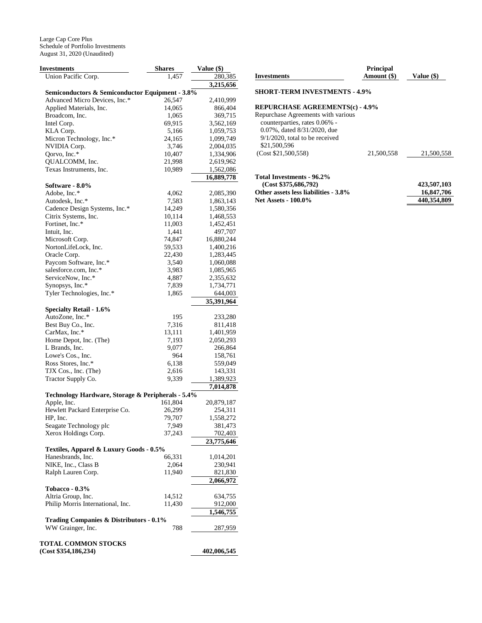| <b>Investments</b>                                               | <b>Shares</b>  | Value (\$)           |
|------------------------------------------------------------------|----------------|----------------------|
| Union Pacific Corp.                                              | 1,457          | 280,385              |
|                                                                  |                | 3,215,656            |
| Semiconductors & Semiconductor Equipment - 3.8%                  |                |                      |
| Advanced Micro Devices, Inc.*                                    | 26,547         | 2,410,999            |
| Applied Materials, Inc.                                          | 14,065         | 866,404              |
| Broadcom, Inc.                                                   | 1,065          | 369,715              |
| Intel Corp.                                                      | 69,915         | 3,562,169            |
| KLA Corp.                                                        | 5,166          | 1,059,753            |
| Micron Technology, Inc.*                                         | 24,165         | 1,099,749            |
| NVIDIA Corp.                                                     | 3,746          | 2,004,035            |
| Qorvo, Inc.*                                                     | 10,407         | 1,334,906            |
| QUALCOMM, Inc.                                                   | 21,998         | 2,619,962            |
| Texas Instruments, Inc.                                          | 10,989         | 1,562,086            |
|                                                                  |                | 16,889,778           |
| Software - 8.0%                                                  |                |                      |
| Adobe, Inc.*                                                     | 4,062          | 2,085,390            |
| Autodesk, Inc.*                                                  | 7,583          | 1,863,143            |
| Cadence Design Systems, Inc.*                                    | 14,249         | 1,580,356            |
| Citrix Systems, Inc.                                             | 10,114         | 1,468,553            |
| Fortinet, Inc.*                                                  | 11,003         | 1,452,451            |
| Intuit, Inc.                                                     | 1,441          | 497,707              |
| Microsoft Corp.                                                  | 74,847         | 16,880,244           |
| NortonLifeLock, Inc.                                             | 59,533         | 1,400,216            |
| Oracle Corp.                                                     | 22,430         | 1,283,445            |
| Paycom Software, Inc.*                                           | 3,540          | 1,060,088            |
| salesforce.com, Inc.*                                            | 3,983          | 1,085,965            |
| ServiceNow, Inc.*                                                | 4,887          | 2,355,632            |
| Synopsys, Inc.*<br>Tyler Technologies, Inc.*                     | 7,839<br>1,865 | 1,734,771<br>644,003 |
|                                                                  |                | 35,391,964           |
| <b>Specialty Retail - 1.6%</b>                                   |                |                      |
| AutoZone, Inc.*                                                  | 195            | 233,280              |
| Best Buy Co., Inc.                                               | 7,316          | 811,418              |
| CarMax, Inc.*                                                    | 13,111         | 1,401,959            |
| Home Depot, Inc. (The)                                           | 7,193          | 2,050,293            |
| L Brands, Inc.                                                   | 9,077          | 266,864              |
| Lowe's Cos., Inc.                                                | 964            | 158,761              |
| Ross Stores, Inc.*                                               | 6,138          | 559,049              |
| TJX Cos., Inc. (The)                                             | 2,616          | 143,331              |
| Tractor Supply Co.                                               | 9,339          | 1,389,923            |
|                                                                  |                | 7,014,878            |
| Technology Hardware, Storage & Peripherals - 5.4%<br>Apple, Inc. | 161,804        | 20,879,187           |
| Hewlett Packard Enterprise Co.                                   | 26,299         | 254,311              |
| HP, Inc.                                                         | 79,707         | 1,558,272            |
| Seagate Technology plc                                           | 7,949          | 381,473              |
| Xerox Holdings Corp.                                             | 37,243         | 702,403              |
|                                                                  |                | 23,775,646           |
| Textiles, Apparel & Luxury Goods - 0.5%                          |                |                      |
| Hanesbrands, Inc.                                                | 66,331         | 1,014,201            |
| NIKE, Inc., Class B                                              | 2,064          | 230,941              |
| Ralph Lauren Corp.                                               | 11,940         | 821,830              |
|                                                                  |                | 2,066,972            |
| Tobacco - $0.3\%$                                                |                |                      |
| Altria Group, Inc.                                               | 14,512         | 634,755              |
| Philip Morris International, Inc.                                | 11,430         | 912,000              |
|                                                                  |                | 1,546,755            |
| Trading Companies & Distributors - 0.1%                          |                |                      |
| WW Grainger, Inc.                                                | 788            | 287,959              |
|                                                                  |                |                      |
| <b>TOTAL COMMON STOCKS</b><br>(Cost \$354,186,234)               |                | 402,006,545          |
|                                                                  |                |                      |

| 21,500,558 |
|------------|
|            |

**Total Investments - 96.2%** 

| (Cost \$375,686,792)                 | 423,507,103 |
|--------------------------------------|-------------|
| Other assets less liabilities - 3.8% | 16,847,706  |
| <b>Net Assets - 100.0%</b>           | 440.354.809 |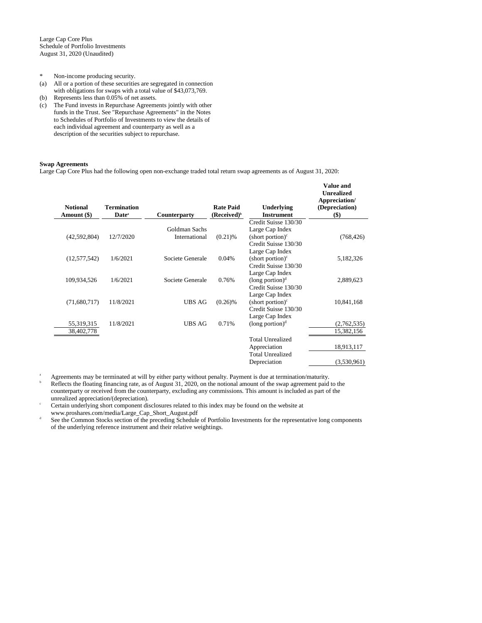- \* Non-income producing security.
- (a) All or a portion of these securities are segregated in connection with obligations for swaps with a total value of \$43,073,769.
- (b) Represents less than 0.05% of net assets.
- (c) The Fund invests in Repurchase Agreements jointly with other funds in the Trust. See "Repurchase Agreements" in the Notes to Schedules of Portfolio of Investments to view the details of each individual agreement and counterparty as well as a description of the securities subject to repurchase.

### **Swap Agreements**

Large Cap Core Plus had the following open non-exchange traded total return swap agreements as of August 31, 2020:

| <b>Notional</b><br>Amount (\$) | <b>Termination</b><br>Date <sup>a</sup> | Counterparty     | <b>Rate Paid</b><br>(Received) <sup>b</sup> | <b>Underlying</b><br><b>Instrument</b> | Value and<br><b>Unrealized</b><br>Appreciation/<br>(Depreciation)<br>$($ \$ |
|--------------------------------|-----------------------------------------|------------------|---------------------------------------------|----------------------------------------|-----------------------------------------------------------------------------|
|                                |                                         |                  |                                             | Credit Suisse 130/30                   |                                                                             |
|                                |                                         | Goldman Sachs    |                                             | Large Cap Index                        |                                                                             |
| (42,592,804)                   | 12/7/2020                               | International    | $(0.21)$ %                                  | $(\text{short portion})^c$             | (768, 426)                                                                  |
|                                |                                         |                  |                                             | Credit Suisse 130/30                   |                                                                             |
|                                |                                         |                  |                                             | Large Cap Index                        |                                                                             |
| (12,577,542)                   | 1/6/2021                                | Societe Generale | 0.04%                                       | (short portion) $\epsilon$             | 5,182,326                                                                   |
|                                |                                         |                  |                                             | Credit Suisse 130/30                   |                                                                             |
|                                |                                         |                  |                                             | Large Cap Index                        |                                                                             |
| 109,934,526                    | 1/6/2021                                | Societe Generale | 0.76%                                       | (long portion) <sup>d</sup>            | 2,889,623                                                                   |
|                                |                                         |                  |                                             | Credit Suisse 130/30                   |                                                                             |
|                                |                                         |                  |                                             | Large Cap Index                        |                                                                             |
| (71,680,717)                   | 11/8/2021                               | <b>UBS AG</b>    | $(0.26)$ %                                  | (short portion) $\epsilon$             | 10,841,168                                                                  |
|                                |                                         |                  |                                             | Credit Suisse 130/30                   |                                                                             |
|                                |                                         |                  |                                             | Large Cap Index                        |                                                                             |
| 55,319,315                     | 11/8/2021                               | <b>UBS AG</b>    | 0.71%                                       | $(long$ portion) $d$                   | (2,762,535)                                                                 |
| 38,402,778                     |                                         |                  |                                             |                                        | 15,382,156                                                                  |
|                                |                                         |                  |                                             | <b>Total Unrealized</b>                |                                                                             |
|                                |                                         |                  |                                             | Appreciation                           | 18,913,117                                                                  |
|                                |                                         |                  |                                             | <b>Total Unrealized</b>                |                                                                             |
|                                |                                         |                  |                                             | Depreciation                           | (3,530,961)                                                                 |

<sup>a</sup> Agreements may be terminated at will by either party without penalty. Payment is due at termination/maturity.

<sup>b</sup> Reflects the floating financing rate, as of August 31, 2020, on the notional amount of the swap agreement paid to the counterparty or received from the counterparty, excluding any commissions. This amount is included as part of the unrealized appreciation/(depreciation).

- <sup>c</sup> Certain underlying short component disclosures related to this index may be found on the website at www.proshares.com/media/Large\_Cap\_Short\_August.pdf
- d See the Common Stocks section of the preceding Schedule of Portfolio Investments for the representative long components of the underlying reference instrument and their relative weightings.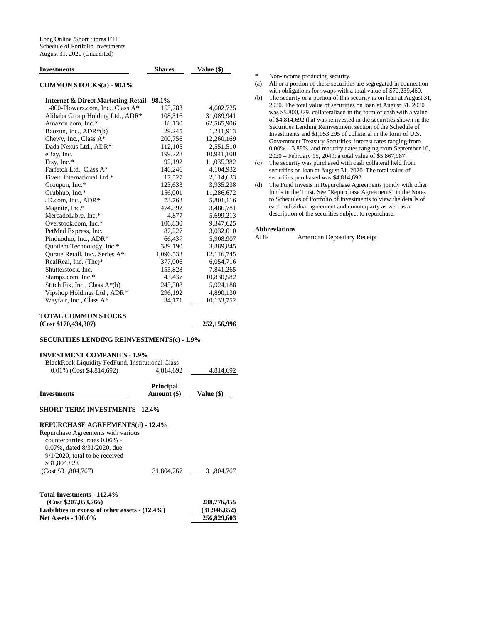| <b>Investments</b>                                    | <b>Shares</b> | Value (\$)  |  |
|-------------------------------------------------------|---------------|-------------|--|
| <b>COMMON STOCKS(a) - 98.1%</b>                       |               |             |  |
| <b>Internet &amp; Direct Marketing Retail - 98.1%</b> |               |             |  |
| 1-800-Flowers.com, Inc., Class A*                     | 153,783       | 4,602,725   |  |
| Alibaba Group Holding Ltd., ADR*                      | 108,316       | 31,089,941  |  |
| Amazon.com, Inc.*                                     | 18,130        | 62,565,906  |  |
| Baozun, Inc., $ADR*(b)$                               | 29,245        | 1,211,913   |  |
| Chewy, Inc., Class $A^*$                              | 200,756       | 12,260,169  |  |
| Dada Nexus Ltd., ADR*                                 | 112,105       | 2,551,510   |  |
| eBay, Inc.                                            | 199,728       | 10,941,100  |  |
| Etsy, Inc.*                                           | 92,192        | 11,035,382  |  |
| Farfetch Ltd., Class A*                               | 148,246       | 4,104,932   |  |
| Fiverr International Ltd.*                            | 17,527        | 2,114,633   |  |
| Groupon, Inc.*                                        | 123,633       | 3,935,238   |  |
| Grubhub, Inc.*                                        | 156,001       | 11,286,672  |  |
| JD.com, Inc., ADR*                                    | 73,768        | 5,801,116   |  |
| Magnite, Inc.*                                        | 474,392       | 3,486,781   |  |
| MercadoLibre, Inc.*                                   | 4,877         | 5,699,213   |  |
| Overstock.com, Inc.*                                  | 106,830       | 9,347,625   |  |
| PetMed Express, Inc.                                  | 87,227        | 3,032,010   |  |
| Pinduoduo, Inc., ADR*                                 | 66,437        | 5,908,907   |  |
| Quotient Technology, Inc.*                            | 389,190       | 3,389,845   |  |
| Ourate Retail, Inc., Series A*                        | 1,096,538     | 12,116,745  |  |
| RealReal, Inc. (The)*                                 | 377,006       | 6,054,716   |  |
| Shutterstock, Inc.                                    | 155,828       | 7,841,265   |  |
| Stamps.com, Inc.*                                     | 43,437        | 10,830,582  |  |
| Stitch Fix, Inc., Class $A^*(b)$                      | 245,308       | 5,924,188   |  |
| Vipshop Holdings Ltd., ADR*                           | 296,192       | 4,890,130   |  |
| Wayfair, Inc., Class A*                               | 34,171        | 10,133,752  |  |
| <b>TOTAL COMMON STOCKS</b>                            |               |             |  |
| (Cost \$170, 434, 307)                                |               | 252,156,996 |  |

### **SECURITIES LENDING REINVESTMENTS(c) - 1.9%**

#### **INVESTMENT COMPANIES - 1.9%**

| BlackRock Liquidity FedFund, Institutional Class |           |           |
|--------------------------------------------------|-----------|-----------|
| $0.01\%$ (Cost \$4,814,692)                      | 4.814.692 | 4.814.692 |

| <b>Investments</b>                                                                                                                      | <b>Principal</b><br>Amount (\$) | Value (\$) |
|-----------------------------------------------------------------------------------------------------------------------------------------|---------------------------------|------------|
| <b>SHORT-TERM INVESTMENTS - 12.4%</b>                                                                                                   |                                 |            |
| <b>REPURCHASE AGREEMENTS(d) - 12.4%</b>                                                                                                 |                                 |            |
| Repurchase Agreements with various<br>counterparties, rates 0.06% -<br>0.07%, dated 8/31/2020, due<br>$9/1/2020$ , total to be received |                                 |            |
| \$31,804,823                                                                                                                            |                                 |            |

| (Cost \$31,804,767) | 31,804,767 | 31,804,767 |
|---------------------|------------|------------|
|                     |            |            |

| 288,776,455  |
|--------------|
| (31.946.852) |
| 256,829,603  |
|              |

\* Non-income producing security.

- (a) All or a portion of these securities are segregated in connection with obligations for swaps with a total value of \$70,239,460.
- (b) The security or a portion of this security is on loan at August 31, 2020. The total value of securities on loan at August 31, 2020 was \$5,800,379, collateralized in the form of cash with a value of \$4,814,692 that was reinvested in the securities shown in the Securities Lending Reinvestment section of the Schedule of Investments and \$1,053,295 of collateral in the form of U.S. Government Treasury Securities, interest rates ranging from 0.00% – 3.88%, and maturity dates ranging from September 10, 2020 – February 15, 2049; a total value of \$5,867,987.
- (c) The security was purchased with cash collateral held from securities on loan at August 31, 2020. The total value of securities purchased was \$4,814,692.
- (d) The Fund invests in Repurchase Agreements jointly with other funds in the Trust. See "Repurchase Agreements" in the Notes to Schedules of Portfolio of Investments to view the details of each individual agreement and counterparty as well as a description of the securities subject to repurchase.

# **Abbreviations**

American Depositary Receipt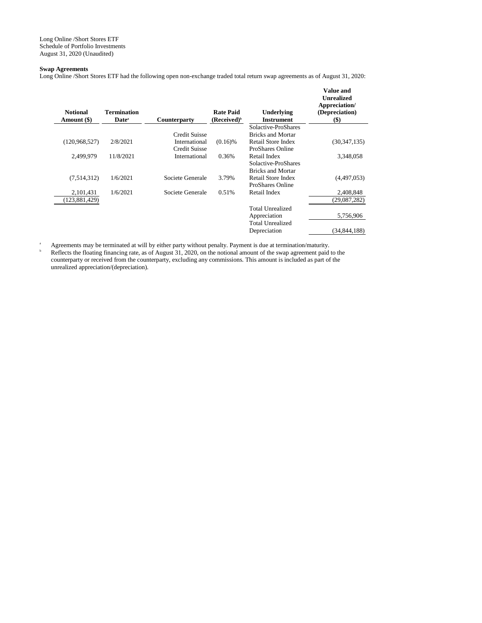Long Online /Short Stores ETF Schedule of Portfolio Investments August 31, 2020 (Unaudited)

### **Swap Agreements**

Long Online /Short Stores ETF had the following open non-exchange traded total return swap agreements as of August 31, 2020:

| <b>Notional</b><br>Amount (\$) | <b>Termination</b><br>Date <sup>a</sup> | <b>Counterparty</b> | <b>Rate Paid</b><br>$(Received)^b$ | Underlying<br><b>Instrument</b> | <b>Value and</b><br><b>Unrealized</b><br>Appreciation/<br>(Depreciation)<br>$(\$)$ |
|--------------------------------|-----------------------------------------|---------------------|------------------------------------|---------------------------------|------------------------------------------------------------------------------------|
|                                |                                         |                     |                                    | Solactive-ProShares             |                                                                                    |
|                                |                                         | Credit Suisse       |                                    | <b>Bricks and Mortar</b>        |                                                                                    |
| (120,968,527)                  | 2/8/2021                                | International       | $(0.16)$ %                         | Retail Store Index              | (30, 347, 135)                                                                     |
|                                |                                         | Credit Suisse       |                                    | ProShares Online                |                                                                                    |
| 2.499.979                      | 11/8/2021                               | International       | 0.36%                              | Retail Index                    | 3,348,058                                                                          |
|                                |                                         |                     |                                    | Solactive-ProShares             |                                                                                    |
|                                |                                         |                     |                                    | <b>Bricks and Mortar</b>        |                                                                                    |
| (7,514,312)                    | 1/6/2021                                | Societe Generale    | 3.79%                              | Retail Store Index              | (4,497,053)                                                                        |
|                                |                                         |                     |                                    | ProShares Online                |                                                                                    |
| 2,101,431                      | 1/6/2021                                | Societe Generale    | 0.51%                              | Retail Index                    | 2,408,848                                                                          |
| 123,881,429)                   |                                         |                     |                                    |                                 | (29,087,282)                                                                       |
|                                |                                         |                     |                                    | <b>Total Unrealized</b>         |                                                                                    |
|                                |                                         |                     |                                    | Appreciation                    | 5,756,906                                                                          |
|                                |                                         |                     |                                    | Total Unrealized                |                                                                                    |
|                                |                                         |                     |                                    | Depreciation                    | (34, 844, 188)                                                                     |
|                                |                                         |                     |                                    |                                 |                                                                                    |

<sup>a</sup> Agreements may be terminated at will by either party without penalty. Payment is due at termination/maturity.  $h$  Reflects the floating financing rate, as of August 31, 2020, on the notional amount of the swap agreement paid to the counterparty or received from the counterparty, excluding any commissions. This amount is included as part of the unrealized appreciation/(depreciation).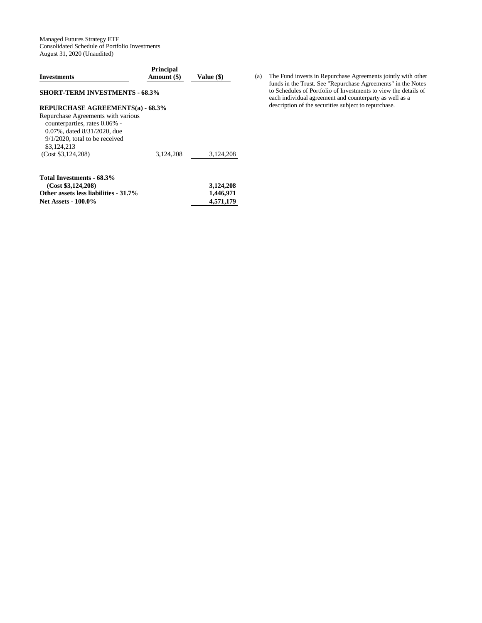Managed Futures Strategy ETF Consolidated Schedule of Portfolio Investments August 31, 2020 (Unaudited)

| <b>Investments</b>                                                                                                                                                                                               | Value (\$) |                                     |
|------------------------------------------------------------------------------------------------------------------------------------------------------------------------------------------------------------------|------------|-------------------------------------|
| <b>SHORT-TERM INVESTMENTS - 68.3%</b>                                                                                                                                                                            |            |                                     |
| REPURCHASE AGREEMENTS(a) - 68.3%<br>Repurchase Agreements with various<br>counterparties, rates 0.06% -<br>0.07%, dated 8/31/2020, due<br>$9/1/2020$ , total to be received<br>\$3,124,213<br>(Cost \$3,124,208) | 3,124,208  | 3,124,208                           |
| Total Investments - 68.3%<br>(Cost \$3,124,208)<br>Other assets less liabilities - 31.7%<br><b>Net Assets - 100.0%</b>                                                                                           |            | 3,124,208<br>1,446,971<br>4,571,179 |

(a) The Fund invests in Repurchase Agreements jointly with other funds in the Trust. See "Repurchase Agreements" in the Notes to Schedules of Portfolio of Investments to view the details of each individual agreement and counterparty as well as a description of the securities subject to repurchase.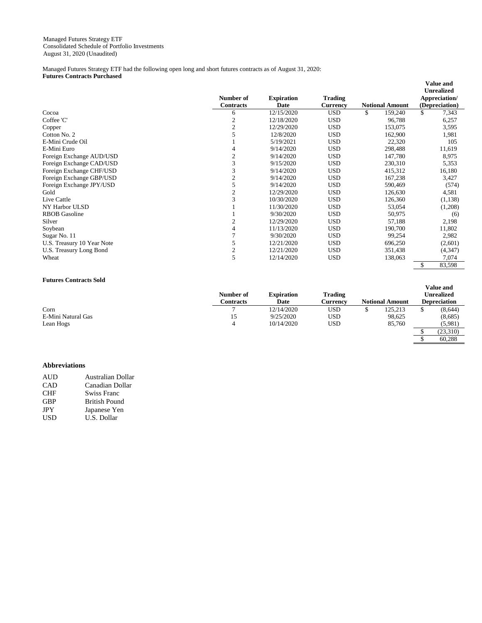Managed Futures Strategy ETF had the following open long and short futures contracts as of August 31, 2020: **Futures Contracts Purchased** 

|                            | Number of<br><b>Contracts</b> | <b>Expiration</b><br>Date | <b>Trading</b><br>Currency | <b>Notional Amount</b> | Value and<br><b>Unrealized</b><br>Appreciation/<br>(Depreciation) |
|----------------------------|-------------------------------|---------------------------|----------------------------|------------------------|-------------------------------------------------------------------|
| Cocoa                      | 6                             | 12/15/2020                | <b>USD</b>                 | \$<br>159,240          | 7,343<br>\$                                                       |
| Coffee 'C'                 | $\mathfrak{2}$                | 12/18/2020                | <b>USD</b>                 | 96,788                 | 6,257                                                             |
| Copper                     | $\overline{c}$                | 12/29/2020                | <b>USD</b>                 | 153,075                | 3,595                                                             |
| Cotton No. 2               | 5                             | 12/8/2020                 | <b>USD</b>                 | 162,900                | 1,981                                                             |
| E-Mini Crude Oil           |                               | 5/19/2021                 | <b>USD</b>                 | 22,320                 | 105                                                               |
| E-Mini Euro                | 4                             | 9/14/2020                 | <b>USD</b>                 | 298,488                | 11,619                                                            |
| Foreign Exchange AUD/USD   | $\overline{c}$                | 9/14/2020                 | <b>USD</b>                 | 147,780                | 8,975                                                             |
| Foreign Exchange CAD/USD   | 3                             | 9/15/2020                 | <b>USD</b>                 | 230,310                | 5,353                                                             |
| Foreign Exchange CHF/USD   | 3                             | 9/14/2020                 | <b>USD</b>                 | 415,312                | 16,180                                                            |
| Foreign Exchange GBP/USD   | $\mathfrak{2}$                | 9/14/2020                 | <b>USD</b>                 | 167,238                | 3,427                                                             |
| Foreign Exchange JPY/USD   | 5                             | 9/14/2020                 | <b>USD</b>                 | 590,469                | (574)                                                             |
| Gold                       | $\mathfrak{2}$                | 12/29/2020                | <b>USD</b>                 | 126,630                | 4,581                                                             |
| Live Cattle                | 3                             | 10/30/2020                | <b>USD</b>                 | 126,360                | (1,138)                                                           |
| NY Harbor ULSD             |                               | 11/30/2020                | <b>USD</b>                 | 53,054                 | (1,208)                                                           |
| <b>RBOB</b> Gasoline       |                               | 9/30/2020                 | <b>USD</b>                 | 50,975                 | (6)                                                               |
| Silver                     | $\mathfrak{2}$                | 12/29/2020                | <b>USD</b>                 | 57,188                 | 2,198                                                             |
| Soybean                    | 4                             | 11/13/2020                | <b>USD</b>                 | 190,700                | 11,802                                                            |
| Sugar No. 11               | 7                             | 9/30/2020                 | <b>USD</b>                 | 99,254                 | 2,982                                                             |
| U.S. Treasury 10 Year Note | 5                             | 12/21/2020                | <b>USD</b>                 | 696,250                | (2,601)                                                           |
| U.S. Treasury Long Bond    | $\mathfrak{2}$                | 12/21/2020                | <b>USD</b>                 | 351,438                | (4, 347)                                                          |
| Wheat                      | 5                             | 12/14/2020                | <b>USD</b>                 | 138,063                | 7,074                                                             |
|                            |                               |                           |                            |                        | \$<br>83,598                                                      |

### **Futures Contracts Sold**

|                    | Number of | Expiration | <b>Trading</b> |                        | <b>Unrealized</b> |
|--------------------|-----------|------------|----------------|------------------------|-------------------|
|                    | Contracts | Date       | ∠urrencv       | <b>Notional Amount</b> | Depreciation      |
| Corn               |           | 12/14/2020 | USD            | 125.213                | (8.644)           |
| E-Mini Natural Gas | 15        | 9/25/2020  | USD            | 98.625                 | (8,685)           |
| Lean Hogs          |           | 10/14/2020 | USD            | 85,760                 | (5,981)           |
|                    |           |            |                |                        | (23,310)          |

**Value and** 

### **Abbreviations**

| <b>AUD</b> | Australian Dollar    |
|------------|----------------------|
| CAD        | Canadian Dollar      |
| <b>CHF</b> | <b>Swiss Franc</b>   |
| <b>GBP</b> | <b>British Pound</b> |
| <b>JPY</b> | Japanese Yen         |
| <b>USD</b> | U.S. Dollar          |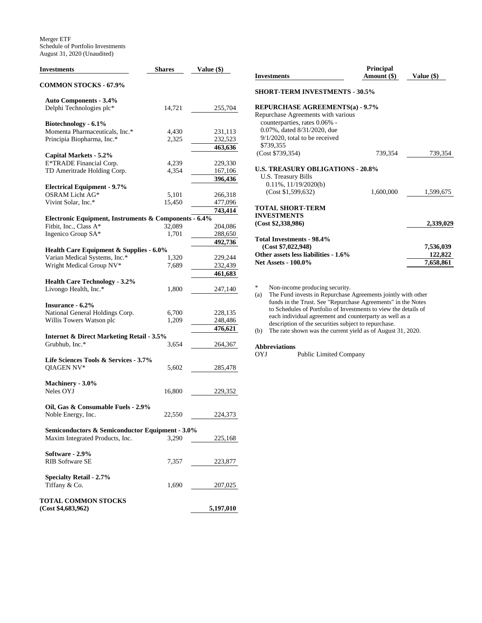Merger ETF Schedule of Portfolio Investments August 31, 2020 (Unaudited)

| <b>Investments</b>                                    | <b>Shares</b> | Value (\$) |  |  |
|-------------------------------------------------------|---------------|------------|--|--|
| <b>COMMON STOCKS - 67.9%</b>                          |               |            |  |  |
| <b>Auto Components - 3.4%</b>                         |               |            |  |  |
| Delphi Technologies plc*                              | 14,721        | 255,704    |  |  |
| Biotechnology - 6.1%                                  |               |            |  |  |
| Momenta Pharmaceuticals, Inc.*                        | 4,430         | 231,113    |  |  |
| Principia Biopharma, Inc.*                            | 2,325         | 232,523    |  |  |
|                                                       |               | 463,636    |  |  |
| Capital Markets - 5.2%                                |               |            |  |  |
| E*TRADE Financial Corp.                               | 4,239         | 229,330    |  |  |
| TD Ameritrade Holding Corp.                           | 4,354         | 167,106    |  |  |
|                                                       |               | 396,436    |  |  |
| <b>Electrical Equipment - 9.7%</b>                    |               |            |  |  |
| OSRAM Licht AG*                                       | 5,101         | 266,318    |  |  |
| Vivint Solar, Inc.*                                   | 15,450        | 477,096    |  |  |
|                                                       |               | 743,414    |  |  |
| Electronic Equipment, Instruments & Components - 6.4% |               |            |  |  |
| Fitbit, Inc., Class A*                                | 32,089        | 204,086    |  |  |
| Ingenico Group SA*                                    | 1,701         | 288,650    |  |  |
|                                                       |               | 492,736    |  |  |
| Health Care Equipment & Supplies - 6.0%               |               |            |  |  |
| Varian Medical Systems, Inc.*                         | 1,320         | 229,244    |  |  |
| Wright Medical Group NV*                              | 7,689         | 232,439    |  |  |
|                                                       |               | 461,683    |  |  |
| <b>Health Care Technology - 3.2%</b>                  |               |            |  |  |
| Livongo Health, Inc.*                                 | 1,800         | 247,140    |  |  |
|                                                       |               |            |  |  |
| <b>Insurance - 6.2%</b>                               |               |            |  |  |
| National General Holdings Corp.                       | 6,700         | 228,135    |  |  |
| Willis Towers Watson plc                              | 1,209         | 248,486    |  |  |
|                                                       |               | 476,621    |  |  |
| <b>Internet &amp; Direct Marketing Retail - 3.5%</b>  |               |            |  |  |
| Grubhub, Inc.*                                        | 3,654         | 264,367    |  |  |
|                                                       |               |            |  |  |
| Life Sciences Tools & Services - 3.7%                 |               |            |  |  |
| QIAGEN NV*                                            | 5,602         | 285,478    |  |  |
|                                                       |               |            |  |  |
| Machinery - 3.0%                                      |               |            |  |  |
| Neles OYJ                                             | 16,800        | 229,352    |  |  |
|                                                       |               |            |  |  |
| Oil, Gas & Consumable Fuels - 2.9%                    |               |            |  |  |
| Noble Energy, Inc.                                    | 22,550        | 224,373    |  |  |
|                                                       |               |            |  |  |
| Semiconductors & Semiconductor Equipment - 3.0%       |               |            |  |  |
| Maxim Integrated Products, Inc.                       | 3,290         | 225,168    |  |  |
|                                                       |               |            |  |  |
| Software - 2.9%                                       |               |            |  |  |
| <b>RIB Software SE</b>                                | 7,357         | 223,877    |  |  |
|                                                       |               |            |  |  |
| Specialty Retail - 2.7%                               |               |            |  |  |
| Tiffany & Co.                                         | 1,690         | 207,025    |  |  |
| <b>TOTAL COMMON STOCKS</b>                            |               |            |  |  |

| (Cost \$4,683,962) | 5,197,010 |
|--------------------|-----------|
|                    |           |

| <b>Investments</b>                                                                                                                                   | Value (\$) |           |  |  |
|------------------------------------------------------------------------------------------------------------------------------------------------------|------------|-----------|--|--|
| <b>SHORT-TERM INVESTMENTS - 30.5%</b>                                                                                                                |            |           |  |  |
| <b>REPURCHASE AGREEMENTS(a) - 9.7%</b>                                                                                                               |            |           |  |  |
| Repurchase Agreements with various<br>counterparties, rates 0.06% -<br>0.07%, dated 8/31/2020, due<br>$9/1/2020$ , total to be received<br>\$739.355 |            |           |  |  |
| (Cost \$739,354)                                                                                                                                     | 739,354    | 739,354   |  |  |
| <b>U.S. TREASURY OBLIGATIONS - 20.8%</b><br>U.S. Treasury Bills<br>$0.11\%$ , $11/19/2020(b)$                                                        |            |           |  |  |
| (Cost \$1,599,632)                                                                                                                                   | 1,600,000  | 1,599,675 |  |  |
| <b>TOTAL SHORT-TERM</b><br><b>INVESTMENTS</b><br>(Cost \$2,338,986)                                                                                  |            | 2,339,029 |  |  |
|                                                                                                                                                      |            |           |  |  |
| Total Investments - 98.4%<br>(Cost \$7,022,948)                                                                                                      |            | 7,536,039 |  |  |
| Other assets less liabilities - 1.6%                                                                                                                 |            | 122,822   |  |  |
| <b>Net Assets - 100.0%</b>                                                                                                                           |            | 7,658,861 |  |  |

\* Non-income producing security.<br>
(a) The Fund invests in Repurchase. The Fund invests in Repurchase Agreements jointly with other funds in the Trust. See "Repurchase Agreements" in the Notes to Schedules of Portfolio of Investments to view the details of each individual agreement and counterparty as well as a description of the securities subject to repurchase.

(b) The rate shown was the current yield as of August 31, 2020.

# **Abbreviations**

Public Limited Company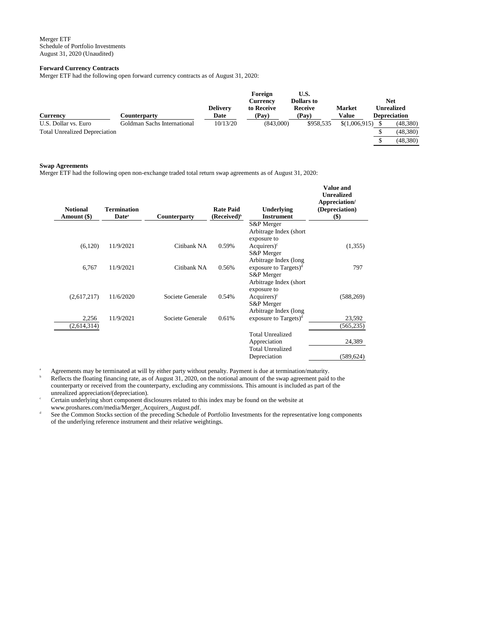### **Forward Currency Contracts**

Merger ETF had the following open forward currency contracts as of August 31, 2020:

| <b>Currency</b>                      | C <b>ounterparty</b>        | <b>Delivery</b><br>Date | Foreign<br><b>Currency</b><br>to Receive<br>(Pay) | U.S.<br><b>Dollars</b> to<br>Receive<br>(Pay) | <b>Market</b><br>Value | <b>Net</b><br>Unrealized<br><b>Depreciation</b> |          |
|--------------------------------------|-----------------------------|-------------------------|---------------------------------------------------|-----------------------------------------------|------------------------|-------------------------------------------------|----------|
| U.S. Dollar vs. Euro                 | Goldman Sachs International | 10/13/20                | (843,000)                                         | \$958.535                                     | \$(1,006,915)          |                                                 | (48,380) |
| <b>Total Unrealized Depreciation</b> |                             |                         |                                                   |                                               |                        |                                                 | (48,380) |
|                                      |                             |                         |                                                   |                                               |                        |                                                 | (48,380) |

#### **Swap Agreements**

Merger ETF had the following open non-exchange traded total return swap agreements as of August 31, 2020:

| <b>Notional</b><br>Amount (\$) | <b>Termination</b><br>Date <sup>a</sup> | <b>Counterparty</b> | <b>Rate Paid</b><br>$(Received)^b$ | Underlying<br><b>Instrument</b>                            | Value and<br><b>Unrealized</b><br>Appreciation/<br>(Depreciation)<br>$($ \$) |
|--------------------------------|-----------------------------------------|---------------------|------------------------------------|------------------------------------------------------------|------------------------------------------------------------------------------|
|                                |                                         |                     |                                    | S&P Merger                                                 |                                                                              |
|                                |                                         |                     |                                    | Arbitrage Index (short)<br>exposure to                     |                                                                              |
| (6,120)                        | 11/9/2021                               | Citibank NA         | 0.59%                              | $Acquires)$ <sup>c</sup>                                   | (1,355)                                                                      |
|                                |                                         |                     |                                    | S&P Merger                                                 |                                                                              |
| 6,767                          | 11/9/2021                               | Citibank NA         | 0.56%                              | Arbitrage Index (long<br>exposure to Targets) <sup>d</sup> | 797                                                                          |
|                                |                                         |                     |                                    | S&P Merger                                                 |                                                                              |
|                                |                                         |                     |                                    | Arbitrage Index (short                                     |                                                                              |
| (2,617,217)                    | 11/6/2020                               | Societe Generale    | 0.54%                              | exposure to<br>$Acquires)$ <sup>c</sup>                    | (588, 269)                                                                   |
|                                |                                         |                     |                                    | S&P Merger                                                 |                                                                              |
|                                |                                         |                     |                                    | Arbitrage Index (long                                      |                                                                              |
| 2,256                          | 11/9/2021                               | Societe Generale    | 0.61%                              | exposure to Targets) $d$                                   | 23,592                                                                       |
| (2,614,314)                    |                                         |                     |                                    |                                                            | (565, 235)                                                                   |
|                                |                                         |                     |                                    | <b>Total Unrealized</b>                                    |                                                                              |
|                                |                                         |                     |                                    | Appreciation                                               | 24,389                                                                       |
|                                |                                         |                     |                                    | <b>Total Unrealized</b>                                    |                                                                              |
|                                |                                         |                     |                                    | Depreciation                                               | (589, 624)                                                                   |

<sup>a</sup> Agreements may be terminated at will by either party without penalty. Payment is due at termination/maturity. Reflects the floating financing rate, as of August 31, 2020, on the notional amount of the swap agreement paid to the counterparty or received from the counterparty, excluding any commissions. This amount is included as part of the unrealized appreciation/(depreciation).

<sup>c</sup> Certain underlying short component disclosures related to this index may be found on the website at www.proshares.com/media/Merger\_Acquirers\_August.pdf.

d See the Common Stocks section of the preceding Schedule of Portfolio Investments for the representative long components of the underlying reference instrument and their relative weightings.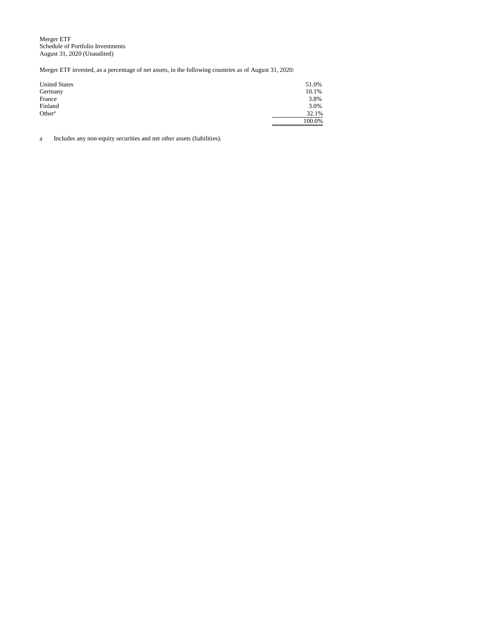Merger ETF Schedule of Portfolio Investments August 31, 2020 (Unaudited)

Merger ETF invested, as a percentage of net assets, in the following countries as of August 31, 2020:

| <b>United States</b> | 51.0%  |
|----------------------|--------|
| Germany              | 10.1%  |
| France               | 3.8%   |
| Finland              | 3.0%   |
| Other <sup>a</sup>   | 32.1%  |
|                      | 100.0% |

a Includes any non-equity securities and net other assets (liabilities).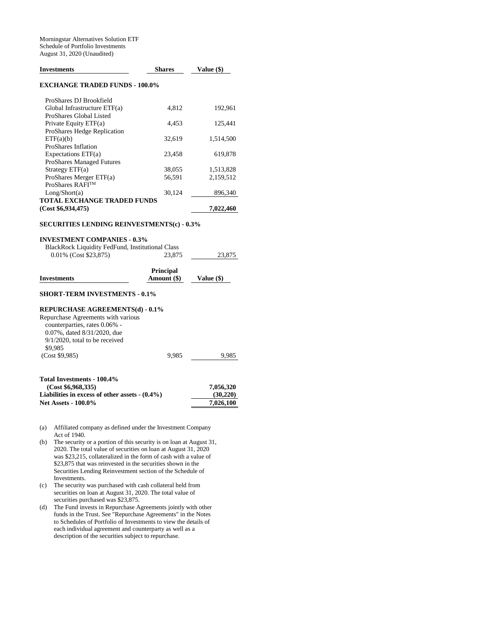| <b>Investments</b>                                      | <b>Shares</b>    | Value (\$) |
|---------------------------------------------------------|------------------|------------|
| <b>EXCHANGE TRADED FUNDS - 100.0%</b>                   |                  |            |
| ProShares DJ Brookfield                                 |                  |            |
| Global Infrastructure ETF(a)                            | 4,812            | 192,961    |
| ProShares Global Listed                                 |                  |            |
| Private Equity ETF(a)                                   | 4,453            | 125,441    |
| ProShares Hedge Replication                             |                  |            |
| ETF(a)(b)                                               | 32,619           | 1,514,500  |
| ProShares Inflation                                     |                  |            |
| Expectations $ETF(a)$                                   | 23,458           | 619,878    |
| <b>ProShares Managed Futures</b>                        |                  |            |
| Strategy $ETF(a)$                                       | 38,055           | 1,513,828  |
| ProShares Merger ETF(a)                                 | 56,591           | 2,159,512  |
| ProShares RAFI <sup>TM</sup>                            |                  |            |
| Long/Short(a)                                           | 30,124           | 896,340    |
| <b>TOTAL EXCHANGE TRADED FUNDS</b>                      |                  |            |
| (Cost \$6,934,475)                                      |                  | 7,022,460  |
| <b>SECURITIES LENDING REINVESTMENTS(c) - 0.3%</b>       |                  |            |
| <b>INVESTMENT COMPANIES - 0.3%</b>                      |                  |            |
| <b>BlackRock Liquidity FedFund, Institutional Class</b> |                  |            |
| 0.01% (Cost \$23,875)                                   | 23,875           | 23,875     |
|                                                         |                  |            |
|                                                         | <b>Principal</b> |            |
| <b>Investments</b>                                      | Amount (\$)      | Value (\$) |
| <b>SHORT-TERM INVESTMENTS - 0.1%</b>                    |                  |            |
|                                                         |                  |            |
| <b>REPURCHASE AGREEMENTS(d) - 0.1%</b>                  |                  |            |
| Repurchase Agreements with various                      |                  |            |
| counterparties, rates 0.06% -                           |                  |            |
| 0.07%, dated 8/31/2020, due                             |                  |            |
| $9/1/2020$ , total to be received                       |                  |            |
| \$9,985                                                 |                  |            |
| (Cost \$9,985)                                          | 9,985            | 9,985      |
|                                                         |                  |            |

| Total Investments - 100.4%                       |           |
|--------------------------------------------------|-----------|
| (Cost \$6.968.335)                               | 7,056,320 |
| Liabilities in excess of other assets $-(0.4\%)$ | (30, 220) |
| <b>Net Assets - 100.0%</b>                       | 7.026.100 |

- (a) Affiliated company as defined under the Investment Company Act of 1940.
- (b) The security or a portion of this security is on loan at August 31, 2020. The total value of securities on loan at August 31, 2020 was \$23,215, collateralized in the form of cash with a value of \$23,875 that was reinvested in the securities shown in the Securities Lending Reinvestment section of the Schedule of Investments.
- (c) The security was purchased with cash collateral held from securities on loan at August 31, 2020. The total value of securities purchased was \$23,875.
- (d) The Fund invests in Repurchase Agreements jointly with other funds in the Trust. See "Repurchase Agreements" in the Notes to Schedules of Portfolio of Investments to view the details of each individual agreement and counterparty as well as a description of the securities subject to repurchase.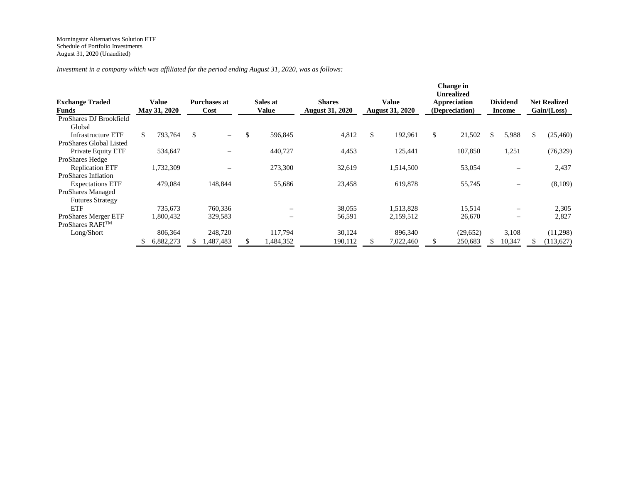*Investment in a company which was affiliated for the period ending August 31, 2020, was as follows:*

| <b>Exchange Traded</b><br><b>Funds</b> | Value<br>May 31, 2020 | <b>Purchases at</b><br>Cost    | Sales at<br>Value        | <b>Shares</b><br><b>August 31, 2020</b> | Value<br><b>August 31, 2020</b> | <b>Change</b> in<br><b>Unrealized</b><br>Appreciation<br>(Depreciation) | <b>Dividend</b><br><b>Income</b> |     | <b>Net Realized</b><br>Gain / (Loss) |
|----------------------------------------|-----------------------|--------------------------------|--------------------------|-----------------------------------------|---------------------------------|-------------------------------------------------------------------------|----------------------------------|-----|--------------------------------------|
| ProShares DJ Brookfield                |                       |                                |                          |                                         |                                 |                                                                         |                                  |     |                                      |
| Global                                 |                       |                                |                          |                                         |                                 |                                                                         |                                  |     |                                      |
| <b>Infrastructure ETF</b>              | \$.<br>793,764        | \$<br>$\overline{\phantom{0}}$ | \$<br>596,845            | 4,812                                   | \$<br>192,961                   | \$<br>21,502                                                            | \$<br>5,988                      | \$. | (25, 460)                            |
| ProShares Global Listed                |                       |                                |                          |                                         |                                 |                                                                         |                                  |     |                                      |
| Private Equity ETF                     | 534,647               |                                | 440,727                  | 4,453                                   | 125,441                         | 107,850                                                                 | 1,251                            |     | (76, 329)                            |
| ProShares Hedge                        |                       |                                |                          |                                         |                                 |                                                                         |                                  |     |                                      |
| <b>Replication ETF</b>                 | 1,732,309             |                                | 273,300                  | 32,619                                  | 1,514,500                       | 53,054                                                                  |                                  |     | 2,437                                |
| ProShares Inflation                    |                       |                                |                          |                                         |                                 |                                                                         |                                  |     |                                      |
| <b>Expectations ETF</b>                | 479,084               | 148,844                        | 55,686                   | 23,458                                  | 619,878                         | 55,745                                                                  |                                  |     | (8,109)                              |
| ProShares Managed                      |                       |                                |                          |                                         |                                 |                                                                         |                                  |     |                                      |
| <b>Futures Strategy</b>                |                       |                                |                          |                                         |                                 |                                                                         |                                  |     |                                      |
| ETF                                    | 735,673               | 760,336                        | $\overline{\phantom{0}}$ | 38,055                                  | 1,513,828                       | 15,514                                                                  |                                  |     | 2,305                                |
| <b>ProShares Merger ETF</b>            | 1,800,432             | 329,583                        |                          | 56,591                                  | 2,159,512                       | 26,670                                                                  |                                  |     | 2,827                                |
| ProShares RAFI™                        |                       |                                |                          |                                         |                                 |                                                                         |                                  |     |                                      |
| Long/Short                             | 806,364               | 248,720                        | 117,794                  | 30,124                                  | 896,340                         | (29,652)                                                                | 3,108                            |     | (11,298)                             |
|                                        | 6,882,273             | .487,483                       | 1,484,352                | 190,112                                 | 7,022,460                       | 250,683                                                                 | 10,347                           |     | (113, 627)                           |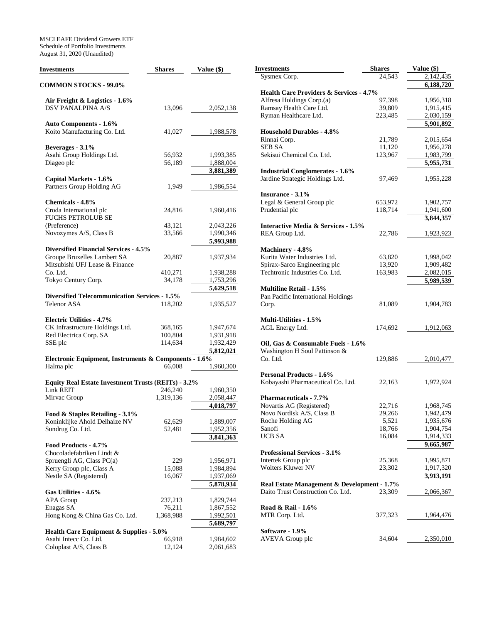MSCI EAFE Dividend Growers ETF Schedule of Portfolio Investments August 31, 2020 (Unaudited)

| Investments                                                                 | <b>Shares</b>      | Value (\$)             |
|-----------------------------------------------------------------------------|--------------------|------------------------|
| <b>COMMON STOCKS - 99.0%</b>                                                |                    |                        |
| Air Freight & Logistics - 1.6%                                              |                    |                        |
| <b>DSV PANALPINA A/S</b>                                                    | 13,096             | 2,052,138              |
|                                                                             |                    |                        |
| <b>Auto Components - 1.6%</b>                                               |                    |                        |
| Koito Manufacturing Co. Ltd.                                                | 41,027             | 1,988,578              |
|                                                                             |                    |                        |
| Beverages - 3.1%                                                            |                    |                        |
| Asahi Group Holdings Ltd.                                                   | 56,932             | 1,993,385              |
| Diageo plc                                                                  | 56,189             | 1,888,004<br>3,881,389 |
| Capital Markets - 1.6%                                                      |                    |                        |
| Partners Group Holding AG                                                   | 1,949              | 1,986,554              |
|                                                                             |                    |                        |
| Chemicals - 4.8%                                                            |                    |                        |
| Croda International plc                                                     | 24,816             | 1,960,416              |
| <b>FUCHS PETROLUB SE</b>                                                    |                    |                        |
| (Preference)                                                                | 43,121             | 2,043,226              |
| Novozymes A/S, Class B                                                      | 33,566             | 1,990,346              |
|                                                                             |                    | 5,993,988              |
| <b>Diversified Financial Services - 4.5%</b><br>Groupe Bruxelles Lambert SA |                    | 1,937,934              |
| Mitsubishi UFJ Lease & Finance                                              | 20,887             |                        |
| Co. Ltd.                                                                    | 410,271            | 1,938,288              |
| Tokyo Century Corp.                                                         | 34,178             | 1,753,296              |
|                                                                             |                    | $\overline{5,629,518}$ |
| <b>Diversified Telecommunication Services - 1.5%</b>                        |                    |                        |
| <b>Telenor ASA</b>                                                          | 118,202            | 1,935,527              |
|                                                                             |                    |                        |
| <b>Electric Utilities - 4.7%</b>                                            |                    |                        |
| CK Infrastructure Holdings Ltd.                                             | 368,165<br>100,804 | 1,947,674              |
| Red Electrica Corp. SA<br>SSE plc                                           | 114,634            | 1,931,918<br>1,932,429 |
|                                                                             |                    | 5,812,021              |
| Electronic Equipment, Instruments & Components - 1.6%                       |                    |                        |
| Halma plc                                                                   | 66,008             | 1,960,300              |
|                                                                             |                    |                        |
| Equity Real Estate Investment Trusts (REITs) - 3.2%                         |                    |                        |
| <b>Link REIT</b>                                                            | 246,240            | 1,960,350              |
| Mirvac Group                                                                | 1,319,136          | 2,058,447              |
|                                                                             |                    | 4,018,797              |
| Food & Staples Retailing - 3.1%                                             |                    |                        |
| Koninklijke Ahold Delhaize NV<br>Sundrug Co. Ltd.                           | 62,629<br>52,481   | 1,889,007<br>1,952,356 |
|                                                                             |                    | 3,841,363              |
| Food Products - 4.7%                                                        |                    |                        |
| Chocoladefabriken Lindt &                                                   |                    |                        |
| Spruengli AG, Class PC(a)                                                   | 229                | 1,956,971              |
| Kerry Group plc, Class A                                                    | 15,088             | 1,984,894              |
| Nestle SA (Registered)                                                      | 16,067             | 1,937,069              |
|                                                                             |                    | 5,878,934              |
| Gas Utilities - 4.6%                                                        |                    |                        |
| <b>APA Group</b>                                                            | 237,213            | 1,829,744              |
| Enagas SA                                                                   | 76,211             | 1,867,552              |
| Hong Kong & China Gas Co. Ltd.                                              | 1,368,988          | 1,992,501<br>5,689,797 |
| <b>Health Care Equipment &amp; Supplies - 5.0%</b>                          |                    |                        |
| Asahi Intecc Co. Ltd.                                                       | 66,918             | 1,984,602              |
| Coloplast A/S, Class B                                                      | 12,124             | 2,061,683              |
|                                                                             |                    |                        |

| Investments                                                    | <b>Shares</b>     | Value (\$)             |
|----------------------------------------------------------------|-------------------|------------------------|
| Sysmex Corp.                                                   | 24,543            | 2,142,435              |
|                                                                |                   | 6,188,720              |
| <b>Health Care Providers &amp; Services - 4.7%</b>             |                   |                        |
| Alfresa Holdings Corp.(a)                                      | 97,398            | 1,956,318              |
| Ramsay Health Care Ltd.<br>Ryman Healthcare Ltd.               | 39,809<br>223,485 | 1,915,415<br>2,030,159 |
|                                                                |                   | 5,901,892              |
| <b>Household Durables - 4.8%</b>                               |                   |                        |
| Rinnai Corp.                                                   | 21,789            | 2,015,654              |
| <b>SEB SA</b>                                                  | 11,120            | 1,956,278              |
| Sekisui Chemical Co. Ltd.                                      | 123,967           | 1,983,799              |
|                                                                |                   | 5,955,731              |
| <b>Industrial Conglomerates - 1.6%</b>                         |                   |                        |
| Jardine Strategic Holdings Ltd.                                | 97,469            | 1,955,228              |
| Insurance - 3.1%                                               |                   |                        |
| Legal & General Group plc                                      | 653,972           | 1,902,757              |
| Prudential plc                                                 | 118,714           | 1,941,600              |
|                                                                |                   | 3,844,357              |
| <b>Interactive Media &amp; Services - 1.5%</b>                 |                   |                        |
| REA Group Ltd.                                                 | 22,786            | 1,923,923              |
|                                                                |                   |                        |
| Machinery - 4.8%                                               |                   |                        |
| Kurita Water Industries Ltd.                                   | 63,820            | 1,998,042              |
| Spirax-Sarco Engineering plc<br>Techtronic Industries Co. Ltd. | 13,920<br>163,983 | 1,909,482<br>2,082,015 |
|                                                                |                   | 5,989,539              |
| <b>Multiline Retail - 1.5%</b>                                 |                   |                        |
| Pan Pacific International Holdings                             |                   |                        |
| Corp.                                                          | 81,089            | 1,904,783              |
|                                                                |                   |                        |
| <b>Multi-Utilities - 1.5%</b>                                  |                   |                        |
| AGL Energy Ltd.                                                | 174,692           | 1,912,063              |
| Oil, Gas & Consumable Fuels - 1.6%                             |                   |                        |
| Washington H Soul Pattinson &                                  |                   |                        |
| Co. Ltd.                                                       | 129,886           | 2,010,477              |
|                                                                |                   |                        |
| <b>Personal Products - 1.6%</b>                                |                   |                        |
| Kobayashi Pharmaceutical Co. Ltd.                              | 22,163            | 1,972,924              |
|                                                                |                   |                        |
| Pharmaceuticals - 7.7%                                         |                   |                        |
| Novartis AG (Registered)<br>Novo Nordisk A/S, Class B          | 22,716            | 1,968,745              |
| Roche Holding AG                                               | 29,266<br>5,521   | 1,942,479<br>1,935,676 |
| Sanofi                                                         | 18,766            | 1,904,754              |
| UCB SA                                                         | 16,084            | 1,914,333              |
|                                                                |                   | 9,665,987              |
| <b>Professional Services - 3.1%</b>                            |                   |                        |
| Intertek Group plc                                             | 25,368            | 1,995,871              |
| <b>Wolters Kluwer NV</b>                                       | 23,302            | 1,917,320              |
|                                                                |                   | 3,913,191              |
| Real Estate Management & Development - 1.7%                    |                   |                        |
| Daito Trust Construction Co. Ltd.                              | 23,309            | 2,066,367              |
| Road & Rail - 1.6%                                             |                   |                        |
| MTR Corp. Ltd.                                                 | 377,323           | 1,964,476              |
|                                                                |                   |                        |
| Software - 1.9%                                                |                   |                        |
| AVEVA Group plc                                                | 34,604            | 2,350,010              |
|                                                                |                   |                        |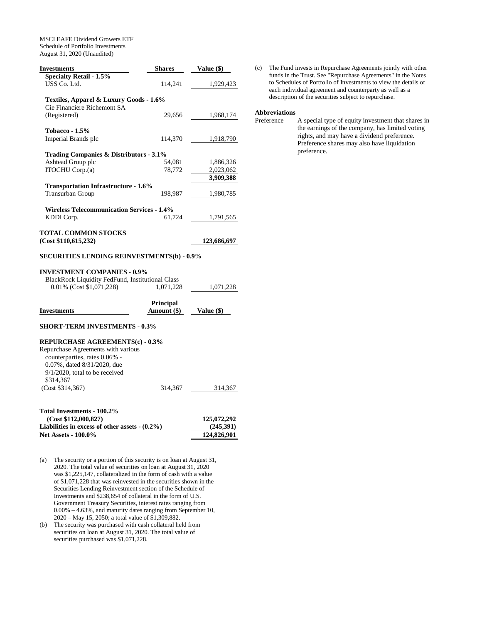MSCI EAFE Dividend Growers ETF Schedule of Portfolio Investments August 31, 2020 (Unaudited)

| <b>Investments</b>                                                                                                                                                      | <b>Shares</b>    | <b>Value (\$)</b>        |
|-------------------------------------------------------------------------------------------------------------------------------------------------------------------------|------------------|--------------------------|
| <b>Specialty Retail - 1.5%</b>                                                                                                                                          |                  |                          |
| USS Co. Ltd.                                                                                                                                                            | 114,241          | 1,929,423                |
|                                                                                                                                                                         |                  |                          |
| Textiles, Apparel & Luxury Goods - 1.6%                                                                                                                                 |                  |                          |
|                                                                                                                                                                         |                  |                          |
| Cie Financiere Richemont SA                                                                                                                                             |                  |                          |
| (Registered)                                                                                                                                                            | 29,656           | 1,968,174                |
|                                                                                                                                                                         |                  |                          |
| <b>Tobacco - 1.5%</b>                                                                                                                                                   |                  |                          |
| Imperial Brands plc                                                                                                                                                     | 114,370          | 1,918,790                |
|                                                                                                                                                                         |                  |                          |
| Trading Companies & Distributors - 3.1%                                                                                                                                 |                  |                          |
| Ashtead Group plc                                                                                                                                                       | 54,081           |                          |
|                                                                                                                                                                         |                  | 1,886,326                |
| ITOCHU Corp.(a)                                                                                                                                                         | 78,772           | 2,023,062                |
|                                                                                                                                                                         |                  | 3,909,388                |
| <b>Transportation Infrastructure - 1.6%</b>                                                                                                                             |                  |                          |
| <b>Transurban Group</b>                                                                                                                                                 | 198,987          | 1,980,785                |
|                                                                                                                                                                         |                  |                          |
| <b>Wireless Telecommunication Services - 1.4%</b>                                                                                                                       |                  |                          |
|                                                                                                                                                                         |                  |                          |
| KDDI Corp.                                                                                                                                                              | 61,724           | 1,791,565                |
|                                                                                                                                                                         |                  |                          |
| <b>TOTAL COMMON STOCKS</b>                                                                                                                                              |                  |                          |
| (Cost \$110,615,232)                                                                                                                                                    |                  | 123,686,697              |
| <b>SECURITIES LENDING REINVESTMENTS(b) - 0.9%</b><br><b>INVESTMENT COMPANIES - 0.9%</b><br>BlackRock Liquidity FedFund, Institutional Class<br>0.01% (Cost \$1,071,228) | 1,071,228        | 1,071,228                |
|                                                                                                                                                                         |                  |                          |
|                                                                                                                                                                         | <b>Principal</b> |                          |
| <b>Investments</b>                                                                                                                                                      | Amount (\$)      | Value (\$)               |
| <b>SHORT-TERM INVESTMENTS - 0.3%</b>                                                                                                                                    |                  |                          |
| REPURCHASE AGREEMENTS(c) - 0.3%                                                                                                                                         |                  |                          |
| Repurchase Agreements with various                                                                                                                                      |                  |                          |
| counterparties, rates 0.06% -                                                                                                                                           |                  |                          |
| 0.07%, dated 8/31/2020, due                                                                                                                                             |                  |                          |
| $9/1/2020$ , total to be received                                                                                                                                       |                  |                          |
|                                                                                                                                                                         |                  |                          |
| \$314,367                                                                                                                                                               |                  |                          |
| (Cost \$314,367)                                                                                                                                                        | 314,367          | 314,367                  |
|                                                                                                                                                                         |                  |                          |
|                                                                                                                                                                         |                  |                          |
| Total Investments - 100.2%                                                                                                                                              |                  |                          |
| (Cost \$112,000,827)<br>Lightlities in suggest of other genets $(0.20/3)$                                                                                               |                  | 125,072,292<br>(245.201) |

- **Liabilities in excess of other assets (0.2%) (245,391) Net Assets - 100.0% 124,826,901**
- (a) The security or a portion of this security is on loan at August 31, 2020. The total value of securities on loan at August 31, 2020 was \$1,225,147, collateralized in the form of cash with a value of \$1,071,228 that was reinvested in the securities shown in the Securities Lending Reinvestment section of the Schedule of Investments and \$238,654 of collateral in the form of U.S. Government Treasury Securities, interest rates ranging from 0.00% – 4.63%, and maturity dates ranging from September 10, 2020 – May 15, 2050; a total value of \$1,309,882.
- (b) The security was purchased with cash collateral held from securities on loan at August 31, 2020. The total value of securities purchased was \$1,071,228.

(c) The Fund invests in Repurchase Agreements jointly with other funds in the Trust. See "Repurchase Agreements" in the Notes to Schedules of Portfolio of Investments to view the details of each individual agreement and counterparty as well as a description of the securities subject to repurchase.

# **Abbreviations**

| Preference | A special type of equity investment that shares in |
|------------|----------------------------------------------------|
|            | the earnings of the company, has limited voting    |
|            | rights, and may have a dividend preference.        |
|            | Preference shares may also have liquidation        |
|            | preference.                                        |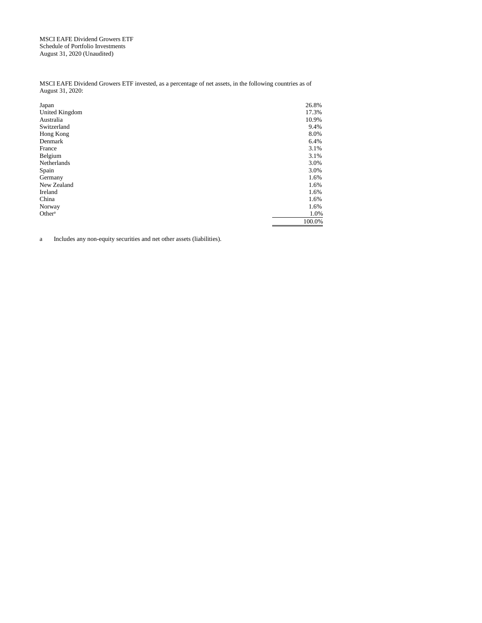MSCI EAFE Dividend Growers ETF Schedule of Portfolio Investments August 31, 2020 (Unaudited)

MSCI EAFE Dividend Growers ETF invested, as a percentage of net assets, in the following countries as of August 31, 2020:

| Japan              | 26.8%  |
|--------------------|--------|
| United Kingdom     | 17.3%  |
| Australia          | 10.9%  |
| Switzerland        | 9.4%   |
| Hong Kong          | 8.0%   |
| Denmark            | 6.4%   |
| France             | 3.1%   |
| Belgium            | 3.1%   |
| Netherlands        | 3.0%   |
| Spain              | 3.0%   |
| Germany            | 1.6%   |
| New Zealand        | 1.6%   |
| Ireland            | 1.6%   |
| China              | 1.6%   |
| Norway             | 1.6%   |
| Other <sup>a</sup> | 1.0%   |
|                    | 100.0% |

a Includes any non-equity securities and net other assets (liabilities).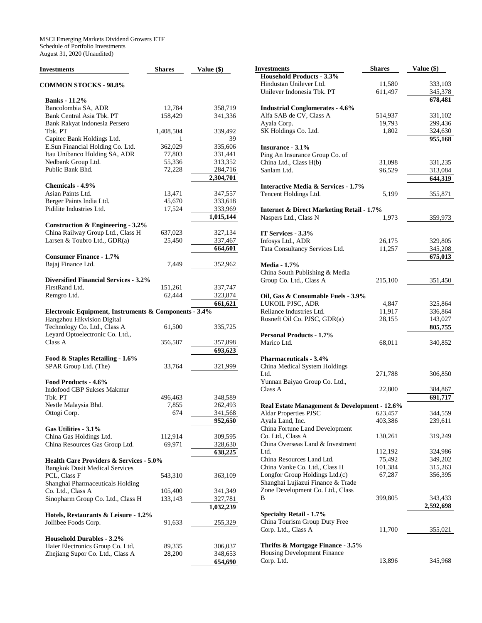MSCI Emerging Markets Dividend Growers ETF Schedule of Portfolio Investments August 31, 2020 (Unaudited)

| <b>Investments</b>                                    | <b>Shares</b>    | Value (\$)         |
|-------------------------------------------------------|------------------|--------------------|
| <b>COMMON STOCKS - 98.8%</b>                          |                  |                    |
| <b>Banks</b> - 11.2%                                  |                  |                    |
| Bancolombia SA, ADR                                   | 12,784           | 358,719            |
| Bank Central Asia Tbk. PT                             | 158,429          | 341,336            |
| Bank Rakyat Indonesia Persero                         |                  |                    |
| Tbk. PT                                               | 1,408,504        | 339,492            |
| Capitec Bank Holdings Ltd.                            | 1                | 39                 |
| E.Sun Financial Holding Co. Ltd.                      | 362,029          | 335,606            |
| Itau Unibanco Holding SA, ADR                         | 77,803           | 331,441            |
| Nedbank Group Ltd.<br>Public Bank Bhd.                | 55,336<br>72,228 | 313,352<br>284,716 |
|                                                       |                  | 2,304,701          |
| Chemicals - 4.9%                                      |                  |                    |
| Asian Paints Ltd.                                     | 13,471           | 347,557            |
| Berger Paints India Ltd.                              | 45,670           | 333,618            |
| Pidilite Industries Ltd.                              | 17,524           | 333,969            |
|                                                       |                  | 1,015,144          |
| Construction & Engineering - 3.2%                     |                  |                    |
| China Railway Group Ltd., Class H                     | 637,023          | 327,134            |
| Larsen & Toubro Ltd., GDR(a)                          | 25,450           | 337,467            |
|                                                       |                  | 664,601            |
| <b>Consumer Finance - 1.7%</b>                        | 7,449            |                    |
| Bajaj Finance Ltd.                                    |                  | 352,962            |
| <b>Diversified Financial Services - 3.2%</b>          |                  |                    |
| FirstRand Ltd.                                        | 151,261          | 337,747            |
| Remgro Ltd.                                           | 62,444           | 323,874            |
|                                                       |                  | 661,621            |
| Electronic Equipment, Instruments & Components - 3.4% |                  |                    |
| Hangzhou Hikvision Digital                            |                  |                    |
| Technology Co. Ltd., Class A                          | 61,500           | 335,725            |
| Leyard Optoelectronic Co. Ltd.,<br>Class A            |                  |                    |
|                                                       | 356,587          | 357,898<br>693,623 |
| Food & Staples Retailing - 1.6%                       |                  |                    |
| SPAR Group Ltd. (The)                                 | 33,764           | 321,999            |
|                                                       |                  |                    |
| Food Products - 4.6%                                  |                  |                    |
| <b>Indofood CBP Sukses Makmur</b>                     |                  |                    |
| Tbk. PT                                               | 496,463          | 348,589            |
| Nestle Malaysia Bhd.                                  | 7,855            | 262,493            |
| Ottogi Corp.                                          | 674              | 341,568            |
|                                                       |                  | 952,650            |
| Gas Utilities - 3.1%<br>China Gas Holdings Ltd.       | 112,914          | 309,595            |
| China Resources Gas Group Ltd.                        | 69,971           | 328,630            |
|                                                       |                  | 638,225            |
| <b>Health Care Providers &amp; Services - 5.0%</b>    |                  |                    |
| <b>Bangkok Dusit Medical Services</b>                 |                  |                    |
| PCL, Class F                                          | 543,310          | 363,109            |
| Shanghai Pharmaceuticals Holding                      |                  |                    |
| Co. Ltd., Class A                                     | 105,400          | 341,349            |
| Sinopharm Group Co. Ltd., Class H                     | 133,143          | 327,781            |
| Hotels, Restaurants & Leisure - 1.2%                  |                  | 1,032,239          |
| Jollibee Foods Corp.                                  | 91,633           | 255,329            |
|                                                       |                  |                    |
| <b>Household Durables - 3.2%</b>                      |                  |                    |
| Haier Electronics Group Co. Ltd.                      | 89,335           | 306,037            |
| Zhejiang Supor Co. Ltd., Class A                      | 28,200           | 348,653            |
|                                                       |                  | 654,690            |

| Investments                                          | <b>Shares</b> | Value (\$) |
|------------------------------------------------------|---------------|------------|
| <b>Household Products - 3.3%</b>                     |               |            |
| Hindustan Unilever Ltd.                              | 11,580        | 333,103    |
| Unilever Indonesia Tbk. PT                           | 611,497       | 345,378    |
|                                                      |               | 678,481    |
| <b>Industrial Conglomerates - 4.6%</b>               |               |            |
| Alfa SAB de CV, Class A                              | 514,937       | 331,102    |
| Ayala Corp.                                          | 19,793        | 299,436    |
| SK Holdings Co. Ltd.                                 | 1,802         | 324,630    |
|                                                      |               | 955,168    |
| Insurance - 3.1%                                     |               |            |
| Ping An Insurance Group Co. of                       |               |            |
| China Ltd., Class H(b)                               | 31,098        | 331,235    |
| Sanlam Ltd.                                          | 96,529        | 313,084    |
|                                                      |               | 644,319    |
| Interactive Media & Services - 1.7%                  |               |            |
|                                                      |               |            |
| Tencent Holdings Ltd.                                | 5,199         | 355,871    |
|                                                      |               |            |
| <b>Internet &amp; Direct Marketing Retail - 1.7%</b> |               |            |
| Naspers Ltd., Class N                                | 1,973         | 359,973    |
|                                                      |               |            |
| IT Services - 3.3%                                   |               |            |
| Infosys Ltd., ADR                                    | 26,175        | 329,805    |
| Tata Consultancy Services Ltd.                       | 11,257        | 345,208    |
|                                                      |               | 675,013    |
| <b>Media - 1.7%</b>                                  |               |            |
| China South Publishing & Media                       |               |            |
| Group Co. Ltd., Class A                              | 215,100       | 351,450    |
|                                                      |               |            |
| Oil, Gas & Consumable Fuels - 3.9%                   |               |            |
| LUKOIL PJSC, ADR                                     | 4,847         | 325,864    |
| Reliance Industries Ltd.                             | 11,917        | 336,864    |
| Rosneft Oil Co. PJSC, GDR(a)                         | 28,155        | 143,027    |
|                                                      |               | 805,755    |
| <b>Personal Products - 1.7%</b>                      |               |            |
| Marico Ltd.                                          | 68,011        | 340,852    |
|                                                      |               |            |
| <b>Pharmaceuticals - 3.4%</b>                        |               |            |
| China Medical System Holdings                        |               |            |
| Ltd.                                                 | 271,788       | 306,850    |
| Yunnan Baiyao Group Co. Ltd.,                        |               |            |
| Class A                                              | 22,800        | 384,867    |
|                                                      |               | 691,717    |
| Real Estate Management & Development - 12.6%         |               |            |
| Aldar Properties PJSC                                | 623,457       | 344,559    |
| Ayala Land, Inc.                                     | 403,386       | 239,611    |
| China Fortune Land Development                       |               |            |
| Co. Ltd., Class A                                    | 130,261       | 319,249    |
| China Overseas Land & Investment                     |               |            |
| Ltd.                                                 | 112,192       | 324,986    |
| China Resources Land Ltd.                            | 75,492        | 349,202    |
| China Vanke Co. Ltd., Class H                        | 101,384       | 315,263    |
| Longfor Group Holdings Ltd.(c)                       | 67,287        | 356,395    |
| Shanghai Lujiazui Finance & Trade                    |               |            |
| Zone Development Co. Ltd., Class                     |               |            |
| В                                                    | 399,805       | 343,433    |
|                                                      |               |            |
|                                                      |               | 2,592,698  |
| <b>Specialty Retail - 1.7%</b>                       |               |            |
| China Tourism Group Duty Free                        |               |            |
| Corp. Ltd., Class A                                  | 11,700        | 355,021    |
|                                                      |               |            |
| Thrifts & Mortgage Finance - 3.5%                    |               |            |
| Housing Development Finance                          |               |            |
| Corp. Ltd.                                           | 13,896        | 345,968    |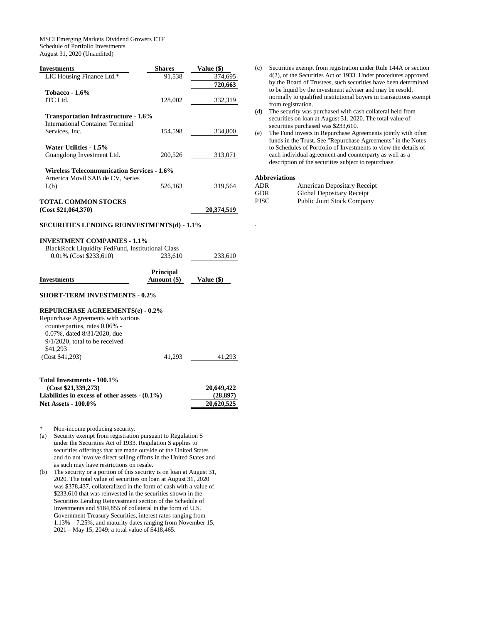MSCI Emerging Markets Dividend Growers ETF Schedule of Portfolio Investments August 31, 2020 (Unaudited)

**Investments** Shares Value (\$)

| LIC Housing Finance Ltd.*                                                         | 91,538           | 374,695      |
|-----------------------------------------------------------------------------------|------------------|--------------|
|                                                                                   |                  | 720,663      |
| <b>Tobacco - 1.6%</b>                                                             |                  |              |
| <b>ITC</b> Ltd.                                                                   | 128,002          | 332,319      |
|                                                                                   |                  |              |
| <b>Transportation Infrastructure - 1.6%</b>                                       |                  |              |
| <b>International Container Terminal</b>                                           |                  |              |
| Services, Inc.                                                                    | 154,598          | 334,800      |
| Water Utilities - 1.5%                                                            |                  |              |
| Guangdong Investment Ltd.                                                         | 200,526          | 313,071      |
|                                                                                   |                  |              |
| <b>Wireless Telecommunication Services - 1.6%</b>                                 |                  |              |
| America Movil SAB de CV, Series                                                   |                  |              |
| L(b)                                                                              | 526,163          | 319,564      |
|                                                                                   |                  |              |
| <b>TOTAL COMMON STOCKS</b>                                                        |                  |              |
| (Cost \$21,064,370)                                                               |                  | 20,374,519   |
| <b>SECURITIES LENDING REINVESTMENTS(d) - 1.1%</b>                                 |                  |              |
|                                                                                   |                  |              |
| <b>INVESTMENT COMPANIES - 1.1%</b>                                                |                  |              |
| <b>BlackRock Liquidity FedFund, Institutional Class</b><br>0.01% (Cost \$233,610) | 233,610          |              |
|                                                                                   |                  | 233,610      |
|                                                                                   | <b>Principal</b> |              |
| <b>Investments</b>                                                                | Amount (\$)      | Value $(\$)$ |
|                                                                                   |                  |              |
| <b>SHORT-TERM INVESTMENTS - 0.2%</b>                                              |                  |              |
|                                                                                   |                  |              |
| <b>REPURCHASE AGREEMENTS(e) - 0.2%</b>                                            |                  |              |
| Repurchase Agreements with various                                                |                  |              |

| Repurchase Agreements with various |  |
|------------------------------------|--|
| counterparties, rates 0.06% -      |  |
| 0.07%, dated 8/31/2020, due        |  |

| $0.0170$ , anten $0.0112020$ , and<br>$9/1/2020$ , total to be received |        |        |
|-------------------------------------------------------------------------|--------|--------|
| \$41,293                                                                |        |        |
| (Cost \$41,293)                                                         | 41.293 | 41.293 |
|                                                                         |        |        |

| Total Investments - 100.1%                       |            |
|--------------------------------------------------|------------|
| (Cost \$21.339.273)                              | 20,649,422 |
| Liabilities in excess of other assets $-(0.1\%)$ | (28.897)   |
| <b>Net Assets - 100.0%</b>                       | 20,620,525 |

Non-income producing security.

- (a) Security exempt from registration pursuant to Regulation S under the Securities Act of 1933. Regulation S applies to securities offerings that are made outside of the United States and do not involve direct selling efforts in the United States and as such may have restrictions on resale.
- (b) The security or a portion of this security is on loan at August 31, 2020. The total value of securities on loan at August 31, 2020 was \$378,437, collateralized in the form of cash with a value of \$233,610 that was reinvested in the securities shown in the Securities Lending Reinvestment section of the Schedule of Investments and \$184,855 of collateral in the form of U.S. Government Treasury Securities, interest rates ranging from 1.13% – 7.25%, and maturity dates ranging from November 15, 2021 – May 15, 2049; a total value of \$418,465.
- (c) Securities exempt from registration under Rule 144A or section 4(2), of the Securities Act of 1933. Under procedures approved by the Board of Trustees, such securities have been determined to be liquid by the investment adviser and may be resold, normally to qualified institutional buyers in transactions exempt from registration.
- (d) The security was purchased with cash collateral held from securities on loan at August 31, 2020. The total value of securities purchased was \$233,610.
- (e) The Fund invests in Repurchase Agreements jointly with other funds in the Trust. See "Repurchase Agreements" in the Notes to Schedules of Portfolio of Investments to view the details of each individual agreement and counterparty as well as a description of the securities subject to repurchase.

#### **Abbreviations**

.

| <b>ADR</b>  | American Depositary Receipt       |
|-------------|-----------------------------------|
| <b>GDR</b>  | Global Depositary Receipt         |
| <b>PJSC</b> | <b>Public Joint Stock Company</b> |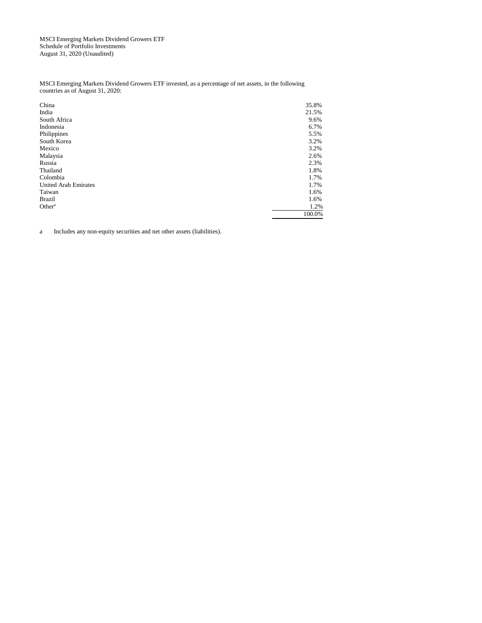MSCI Emerging Markets Dividend Growers ETF Schedule of Portfolio Investments August 31, 2020 (Unaudited)

MSCI Emerging Markets Dividend Growers ETF invested, as a percentage of net assets, in the following countries as of August 31, 2020:

| China                       | 35.8%  |
|-----------------------------|--------|
| India                       | 21.5%  |
| South Africa                | 9.6%   |
| Indonesia                   | 6.7%   |
| Philippines                 | 5.5%   |
| South Korea                 | 3.2%   |
| Mexico                      | 3.2%   |
| Malaysia                    | 2.6%   |
| Russia                      | 2.3%   |
| Thailand                    | 1.8%   |
| Colombia                    | 1.7%   |
| <b>United Arab Emirates</b> | 1.7%   |
| Taiwan                      | 1.6%   |
| <b>Brazil</b>               | 1.6%   |
| Other <sup>a</sup>          | 1.2%   |
|                             | 100.0% |

a Includes any non-equity securities and net other assets (liabilities).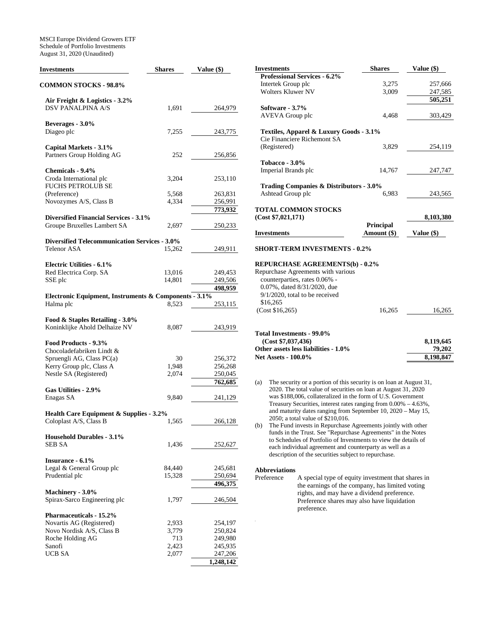MSCI Europe Dividend Growers ETF Schedule of Portfolio Investments August 31, 2020 (Unaudited)

| Investments                                                                  | <b>Shares</b>  | Value (\$)         |
|------------------------------------------------------------------------------|----------------|--------------------|
| <b>COMMON STOCKS - 98.8%</b>                                                 |                |                    |
| Air Freight & Logistics - 3.2%                                               |                |                    |
| <b>DSV PANALPINA A/S</b>                                                     | 1,691          | 264,979            |
|                                                                              |                |                    |
| Beverages - 3.0%<br>Diageo plc                                               |                |                    |
|                                                                              | 7,255          | 243,775            |
| Capital Markets - 3.1%                                                       |                |                    |
| Partners Group Holding AG                                                    | 252            | 256,856            |
| Chemicals - 9.4%                                                             |                |                    |
| Croda International plc                                                      | 3,204          | 253,110            |
| <b>FUCHS PETROLUB SE</b>                                                     |                |                    |
| (Preference)                                                                 | 5,568          | 263,831            |
| Novozymes A/S, Class B                                                       | 4,334          | 256,991<br>773,932 |
| <b>Diversified Financial Services - 3.1%</b>                                 |                |                    |
| Groupe Bruxelles Lambert SA                                                  | 2,697          | 250,233            |
|                                                                              |                |                    |
| <b>Diversified Telecommunication Services - 3.0%</b><br>Telenor ASA          |                |                    |
|                                                                              | 15,262         | 249,911            |
| <b>Electric Utilities - 6.1%</b>                                             |                |                    |
| Red Electrica Corp. SA                                                       | 13,016         | 249,453            |
| SSE plc                                                                      | 14,801         | 249,506            |
| Electronic Equipment, Instruments & Components - 3.1%                        |                | 498,959            |
| Halma plc                                                                    | 8,523          | 253,115            |
|                                                                              |                |                    |
| Food & Staples Retailing - 3.0%                                              |                |                    |
| Koninklijke Ahold Delhaize NV                                                | 8,087          | 243,919            |
| Food Products - 9.3%                                                         |                |                    |
| Chocoladefabriken Lindt &                                                    |                |                    |
| Spruengli AG, Class PC(a)                                                    | 30             | 256,372            |
| Kerry Group plc, Class A<br>Nestle SA (Registered)                           | 1,948<br>2,074 | 256,268<br>250,045 |
|                                                                              |                | 762,685            |
| Gas Utilities - 2.9%                                                         |                |                    |
| Enagas SA                                                                    | 9,840          | 241,129            |
|                                                                              |                |                    |
| <b>Health Care Equipment &amp; Supplies - 3.2%</b><br>Coloplast A/S, Class B | 1,565          | 266,128            |
|                                                                              |                |                    |
| <b>Household Durables - 3.1%</b>                                             |                |                    |
| SEB SA                                                                       | 1,436          | 252,627            |
| Insurance - 6.1%                                                             |                |                    |
| Legal & General Group plc                                                    | 84,440         | 245,681            |
| Prudential plc                                                               | 15,328         | 250,694            |
|                                                                              |                | 496,375            |
| Machinery - 3.0%<br>Spirax-Sarco Engineering plc                             | 1,797          | 246,504            |
|                                                                              |                |                    |
| <b>Pharmaceuticals - 15.2%</b>                                               |                |                    |
| Novartis AG (Registered)                                                     | 2,933          | 254,197            |
| Novo Nordisk A/S, Class B                                                    | 3,779          | 250,824            |
| Roche Holding AG<br>Sanofi                                                   | 713<br>2,423   | 249,980<br>245,935 |
| UCB SA                                                                       | 2,077          | 247,206            |
|                                                                              |                | 1,248,142          |

| <b>Investments</b>                                                                                                                           | <b>Shares</b> | Value (\$) |
|----------------------------------------------------------------------------------------------------------------------------------------------|---------------|------------|
| Professional Services - 6.2%                                                                                                                 |               |            |
| Intertek Group plc                                                                                                                           | 3,275         | 257,666    |
| <b>Wolters Kluwer NV</b>                                                                                                                     | 3,009         | 247,585    |
|                                                                                                                                              |               | 505,251    |
| Software - 3.7%                                                                                                                              |               |            |
| <b>AVEVA</b> Group plc                                                                                                                       | 4,468         | 303,429    |
| Textiles, Apparel & Luxury Goods - 3.1%                                                                                                      |               |            |
| Cie Financiere Richemont SA                                                                                                                  |               |            |
| (Registered)                                                                                                                                 | 3,829         | 254,119    |
| <b>Tobacco - 3.0%</b>                                                                                                                        |               |            |
| Imperial Brands plc                                                                                                                          | 14,767        | 247,747    |
| <b>Trading Companies &amp; Distributors - 3.0%</b>                                                                                           |               |            |
| Ashtead Group plc                                                                                                                            | 6,983         | 243,565    |
|                                                                                                                                              |               |            |
| <b>TOTAL COMMON STOCKS</b><br>(Cost \$7,021,171)                                                                                             |               | 8,103,380  |
|                                                                                                                                              | Principal     |            |
| <b>Investments</b>                                                                                                                           | Amount (\$)   | Value (\$) |
| <b>SHORT-TERM INVESTMENTS - 0.2%</b>                                                                                                         |               |            |
| <b>REPURCHASE AGREEMENTS(b) - 0.2%</b>                                                                                                       |               |            |
| Repurchase Agreements with various<br>counterparties, rates 0.06% -                                                                          |               |            |
| 0.07%, dated 8/31/2020, due                                                                                                                  |               |            |
| $9/1/2020$ , total to be received                                                                                                            |               |            |
| \$16,265                                                                                                                                     |               |            |
| (Cost \$16,265)                                                                                                                              | 16,265        | 16,265     |
|                                                                                                                                              |               |            |
| Total Investments - 99.0%                                                                                                                    |               |            |
| (Cost \$7,037,436)                                                                                                                           |               | 8,119,645  |
| Other assets less liabilities - 1.0%                                                                                                         |               | 79,202     |
| <b>Net Assets - 100.0%</b>                                                                                                                   |               | 8,198,847  |
|                                                                                                                                              |               |            |
| The security or a portion of this security is on loan at August 31,<br>(a)<br>2020. The total value of securities on loan at August 31, 2020 |               |            |

- was \$188,006, collateralized in the form of U.S. Government Treasury Securities, interest rates ranging from 0.00% – 4.63%, and maturity dates ranging from September 10, 2020 – May 15, 2050; a total value of \$210,016.
- (b) The Fund invests in Repurchase Agreements jointly with other funds in the Trust. See "Repurchase Agreements" in the Notes to Schedules of Portfolio of Investments to view the details of each individual agreement and counterparty as well as a description of the securities subject to repurchase.

# **Abbreviations**

A special type of equity investment that shares in the earnings of the company, has limited voting rights, and may have a dividend preference. Preference shares may also have liquidation preference.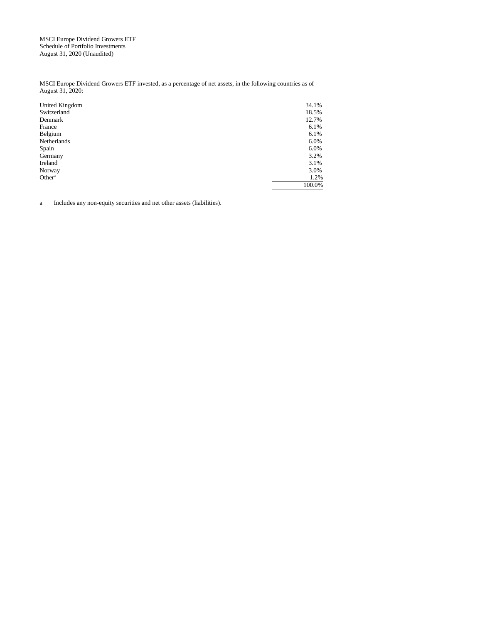MSCI Europe Dividend Growers ETF Schedule of Portfolio Investments August 31, 2020 (Unaudited)

MSCI Europe Dividend Growers ETF invested, as a percentage of net assets, in the following countries as of August 31, 2020:

| United Kingdom     | 34.1%  |
|--------------------|--------|
| Switzerland        | 18.5%  |
| Denmark            | 12.7%  |
| France             | 6.1%   |
| Belgium            | 6.1%   |
| Netherlands        | 6.0%   |
| Spain              | 6.0%   |
| Germany            | 3.2%   |
| Ireland            | 3.1%   |
| Norway             | 3.0%   |
| Other <sup>a</sup> | 1.2%   |
|                    | 100.0% |

a Includes any non-equity securities and net other assets (liabilities).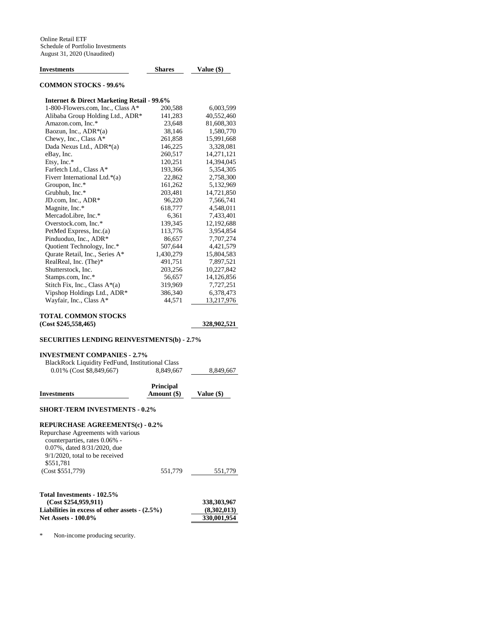| Investments                                           | <b>Shares</b> | Value (\$)  |
|-------------------------------------------------------|---------------|-------------|
| <b>COMMON STOCKS - 99.6%</b>                          |               |             |
| <b>Internet &amp; Direct Marketing Retail - 99.6%</b> |               |             |
| 1-800-Flowers.com, Inc., Class A*                     | 200,588       | 6,003,599   |
| Alibaba Group Holding Ltd., ADR*                      | 141,283       | 40,552,460  |
| Amazon.com, Inc.*                                     | 23,648        | 81,608,303  |
| Baozun, Inc., ADR*(a)                                 | 38,146        | 1,580,770   |
| Chewy, Inc., Class A*                                 | 261,858       | 15,991,668  |
| Dada Nexus Ltd., ADR*(a)                              | 146,225       | 3,328,081   |
| eBay, Inc.                                            | 260,517       | 14,271,121  |
| Etsy, Inc. $*$                                        | 120,251       | 14,394,045  |
| Farfetch Ltd., Class A*                               | 193,366       | 5,354,305   |
| Fiverr International Ltd.*(a)                         | 22,862        | 2,758,300   |
| Groupon, Inc.*                                        | 161,262       | 5,132,969   |
| Grubhub, Inc.*                                        | 203,481       | 14,721,850  |
| JD.com, Inc., ADR*                                    | 96,220        | 7,566,741   |
| Magnite, Inc.*                                        | 618,777       | 4,548,011   |
| MercadoLibre, Inc.*                                   | 6,361         | 7,433,401   |
| Overstock.com, Inc.*                                  | 139,345       | 12,192,688  |
| PetMed Express, Inc.(a)                               | 113,776       | 3,954,854   |
| Pinduoduo, Inc., ADR*                                 | 86,657        | 7,707,274   |
| Quotient Technology, Inc.*                            | 507,644       | 4,421,579   |
| Qurate Retail, Inc., Series A*                        | 1,430,279     | 15,804,583  |
| RealReal, Inc. (The)*                                 | 491,751       | 7,897,521   |
| Shutterstock, Inc.                                    | 203,256       | 10,227,842  |
| Stamps.com, Inc.*                                     | 56,657        | 14,126,856  |
| Stitch Fix, Inc., Class A*(a)                         | 319,969       | 7,727,251   |
| Vipshop Holdings Ltd., ADR*                           | 386,340       | 6,378,473   |
| Wayfair, Inc., Class A*                               | 44,571        | 13,217,976  |
| TOTAL COMMON STOCKS                                   |               |             |
| (Cost \$245,558,465)                                  |               | 328,902,521 |
|                                                       |               |             |
| <b>SECURITIES LENDING REINVESTMENTS(b) - 2.7%</b>     |               |             |
| <b>INVESTMENT COMPANIES - 2.7%</b>                    |               |             |
| BlackRock Liquidity FedFund, Institutional Class      |               |             |
| 0.01% (Cost \$8,849,667)                              | 8,849,667     | 8,849,667   |
|                                                       | Principal     |             |
| Investments                                           | Amount (\$)   | Value (\$)  |
| <b>SHORT-TERM INVESTMENTS - 0.2%</b>                  |               |             |
| <b>REPURCHASE AGREEMENTS(c) - 0.2%</b>                |               |             |
| Repurchase Agreements with various                    |               |             |
| counterparties, rates 0.06% -                         |               |             |
| 0.07%, dated 8/31/2020, due                           |               |             |
| $9/1/2020$ , total to be received                     |               |             |
| \$551,781                                             |               |             |
| (Cost \$551,779)                                      | 551,779       | 551,779     |
|                                                       |               |             |

### **Total Investments - 102.5% (Cost \$254,959,911)** 338,303,967<br>abilities in excess of other assets - (2.5%) (8,302,013) **Liabilities in excess of other assets - (2.5%)** (8,302,013)<br>Net Assets - 100.0% 330,001,954 **Net Assets - 100.0%**

\* Non-income producing security.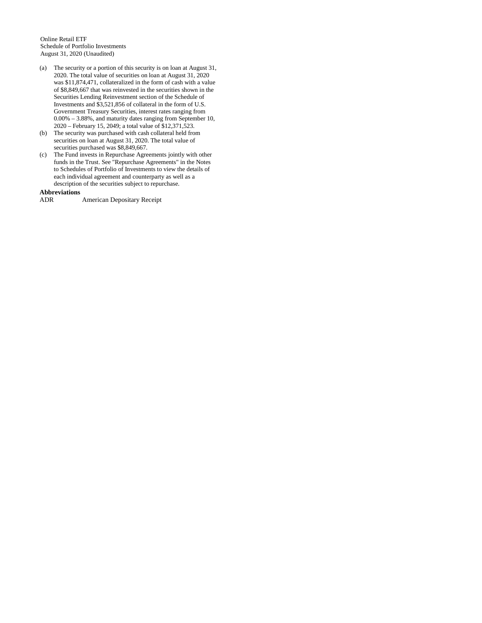Online Retail ETF Schedule of Portfolio Investments August 31, 2020 (Unaudited)

- (a) The security or a portion of this security is on loan at August 31, 2020. The total value of securities on loan at August 31, 2020 was \$11,874,471, collateralized in the form of cash with a value of \$8,849,667 that was reinvested in the securities shown in the Securities Lending Reinvestment section of the Schedule of Investments and \$3,521,856 of collateral in the form of U.S. Government Treasury Securities, interest rates ranging from 0.00% – 3.88%, and maturity dates ranging from September 10, 2020 – February 15, 2049; a total value of \$12,371,523.
- (b) The security was purchased with cash collateral held from securities on loan at August 31, 2020. The total value of securities purchased was \$8,849,667.
- (c) The Fund invests in Repurchase Agreements jointly with other funds in the Trust. See "Repurchase Agreements" in the Notes to Schedules of Portfolio of Investments to view the details of each individual agreement and counterparty as well as a description of the securities subject to repurchase.

**Abbreviations**  American Depositary Receipt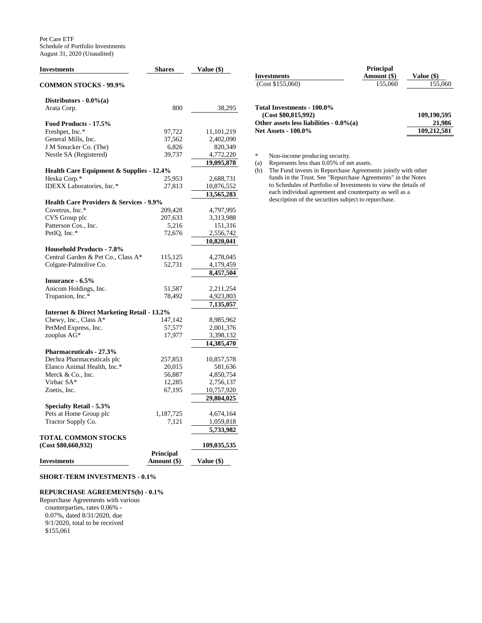| <b>Investments</b>                                    | <b>Shares</b>    | Value (\$)  |
|-------------------------------------------------------|------------------|-------------|
| <b>COMMON STOCKS - 99.9%</b>                          |                  |             |
| Distributors - 0.0%(a)                                |                  |             |
| Arata Corp.                                           | 800              | 38,295      |
| Food Products - 17.5%                                 |                  |             |
| Freshpet, Inc.*                                       | 97,722           | 11,101,219  |
| General Mills, Inc.                                   | 37,562           | 2,402,090   |
| J M Smucker Co. (The)                                 | 6,826            | 820,349     |
| Nestle SA (Registered)                                | 39,737           | 4,772,220   |
|                                                       |                  | 19,095,878  |
| Health Care Equipment & Supplies - 12.4%              |                  |             |
| Heska Corp.*                                          | 25,953           | 2,688,731   |
| IDEXX Laboratories, Inc.*                             | 27,813           | 10,876,552  |
|                                                       |                  | 13,565,283  |
| <b>Health Care Providers &amp; Services - 9.9%</b>    |                  |             |
| Covetrus, Inc.*                                       | 209,428          | 4,797,995   |
| CVS Group plc                                         | 207,633          | 3,313,988   |
| Patterson Cos., Inc.                                  | 5,216            | 151,316     |
| PetIQ, Inc.*                                          | 72,676           | 2,556,742   |
|                                                       |                  | 10,820,041  |
| <b>Household Products - 7.8%</b>                      |                  |             |
| Central Garden & Pet Co., Class A*                    | 115,125          | 4,278,045   |
| Colgate-Palmolive Co.                                 | 52,731           | 4,179,459   |
|                                                       |                  | 8,457,504   |
| Insurance - 6.5%                                      |                  |             |
| Anicom Holdings, Inc.                                 | 51,587           | 2,211,254   |
| Trupanion, Inc.*                                      | 78,492           | 4,923,803   |
|                                                       |                  | 7,135,057   |
| <b>Internet &amp; Direct Marketing Retail - 13.2%</b> |                  |             |
| Chewy, Inc., Class $A^*$                              | 147,142          | 8,985,962   |
| PetMed Express, Inc.                                  | 57,577           | 2,001,376   |
| zooplus AG*                                           | 17,977           | 3,398,132   |
|                                                       |                  | 14,385,470  |
| <b>Pharmaceuticals - 27.3%</b>                        |                  |             |
| Dechra Pharmaceuticals plc                            | 257,853          | 10,857,578  |
| Elanco Animal Health, Inc.*                           | 20,015           | 581,636     |
| Merck & Co., Inc.                                     | 56,887           | 4,850,754   |
| Virbac SA*                                            | 12,285           | 2,756,137   |
| Zoetis, Inc.                                          | 67,195           | 10,757,920  |
|                                                       |                  | 29,804,025  |
| <b>Specialty Retail - 5.3%</b>                        |                  |             |
| Pets at Home Group plc                                | 1,187,725        | 4,674,164   |
| Tractor Supply Co.                                    | 7,121            | 1,059,818   |
|                                                       |                  | 5,733,982   |
| <b>TOTAL COMMON STOCKS</b>                            |                  |             |
| (Cost \$80,660,932)                                   |                  | 109,035,535 |
|                                                       | <b>Principal</b> |             |
| <b>Investments</b>                                    | Amount (\$)      | Value (\$)  |
|                                                       |                  |             |

## **SHORT-TERM INVESTMENTS - 0.1%**

### **REPURCHASE AGREEMENTS(b) - 0.1%**

Repurchase Agreements with various counterparties, rates 0.06% - 0.07%, dated 8/31/2020, due 9/1/2020, total to be received \$155,061

|                                                                                                                                | * * ******** |                                      |
|--------------------------------------------------------------------------------------------------------------------------------|--------------|--------------------------------------|
| <b>Investments</b>                                                                                                             | Amount (\$)  | Value (\$)                           |
| (Cost \$155,060)                                                                                                               | 155,060      | 155,060                              |
| Total Investments - 100.0%<br>(Cost \$80.815.992)<br>Other assets less liabilities - $0.0\%$ (a)<br><b>Net Assets - 100.0%</b> |              | 109,190,595<br>21,986<br>109,212,581 |
|                                                                                                                                |              |                                      |

 **Principal** 

\* Non-income producing security.

(a) Represents less than 0.05% of net assets.

(b) The Fund invests in Repurchase Agreements jointly with other funds in the Trust. See "Repurchase Agreements" in the Notes to Schedules of Portfolio of Investments to view the details of each individual agreement and counterparty as well as a description of the securities subject to repurchase.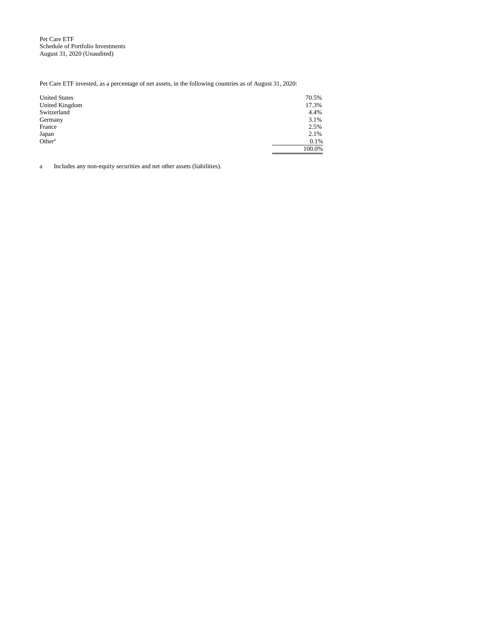Pet Care ETF Schedule of Portfolio Investments August 31, 2020 (Unaudited)

Pet Care ETF invested, as a percentage of net assets, in the following countries as of August 31, 2020:

| <b>United States</b> | 70.5%  |
|----------------------|--------|
| United Kingdom       | 17.3%  |
| Switzerland          | 4.4%   |
| Germany              | 3.1%   |
| France               | 2.5%   |
| Japan                | 2.1%   |
| Other <sup>a</sup>   | 0.1%   |
|                      | 100.0% |

a Includes any non-equity securities and net other assets (liabilities).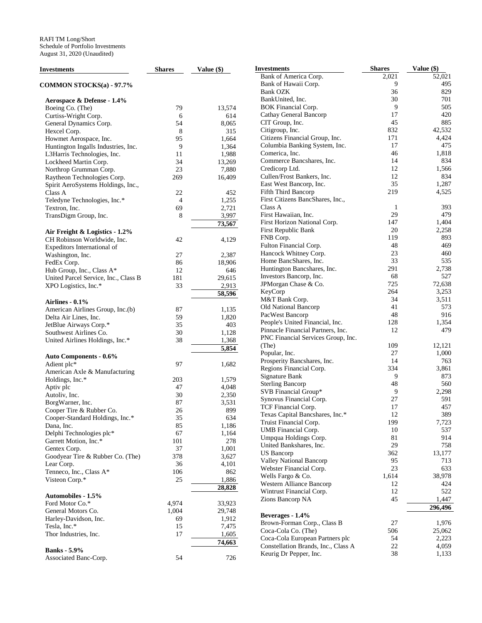| <b>Investments</b>                   | <b>Shares</b>  | Value $(\$)$        | <b>Investments</b>                          | <b>Shares</b> | Value (\$)   |
|--------------------------------------|----------------|---------------------|---------------------------------------------|---------------|--------------|
|                                      |                |                     | Bank of America Corp.                       | 2,021         | 52,021       |
| <b>COMMON STOCKS(a) - 97.7%</b>      |                |                     | Bank of Hawaii Corp.                        | 9             | 495          |
|                                      |                |                     | <b>Bank OZK</b>                             | 36            | 829          |
| Aerospace & Defense - 1.4%           |                |                     | BankUnited, Inc.                            | 30            | 701          |
| Boeing Co. (The)                     | 79             | 13,574              | <b>BOK Financial Corp.</b>                  | 9             | 505          |
| Curtiss-Wright Corp.                 | 6              | 614                 | Cathay General Bancorp                      | 17            | 420          |
| General Dynamics Corp.               | 54             | 8,065               | CIT Group, Inc.                             | 45            | 885          |
| Hexcel Corp.                         | 8              | 315                 | Citigroup, Inc.                             | 832           | 42,532       |
| Howmet Aerospace, Inc.               | 95             | 1,664               | Citizens Financial Group, Inc.              | 171           | 4,424        |
| Huntington Ingalls Industries, Inc.  | 9              | 1,364               | Columbia Banking System, Inc.               | 17            | 475          |
| L3Harris Technologies, Inc.          | 11             | 1,988               | Comerica, Inc.                              | 46            | 1,818        |
| Lockheed Martin Corp.                | 34             | 13,269              | Commerce Bancshares, Inc.                   | 14            | 834          |
| Northrop Grumman Corp.               | 23             | 7,880               | Credicorp Ltd.                              | 12<br>12      | 1,566<br>834 |
| Raytheon Technologies Corp.          | 269            | 16,409              | Cullen/Frost Bankers, Inc.                  | 35            | 1,287        |
| Spirit AeroSystems Holdings, Inc.,   |                |                     | East West Bancorp, Inc.                     |               |              |
| Class A                              | 22             | 452                 | Fifth Third Bancorp                         | 219           | 4,525        |
| Teledyne Technologies, Inc.*         | $\overline{4}$ | 1,255               | First Citizens BancShares, Inc.,<br>Class A |               | 393          |
| Textron, Inc.                        | 69             | 2,721               | First Hawaiian, Inc.                        | -1<br>29      | 479          |
| TransDigm Group, Inc.                | 8              | 3,997               | First Horizon National Corp.                | 147           | 1,404        |
|                                      |                | 73,567              | First Republic Bank                         | 20            | 2,258        |
| Air Freight & Logistics - 1.2%       |                |                     | FNB Corp.                                   | 119           | 893          |
| CH Robinson Worldwide, Inc.          | 42             | 4,129               | Fulton Financial Corp.                      | 48            | 469          |
| Expeditors International of          |                |                     | Hancock Whitney Corp.                       | 23            | 460          |
| Washington, Inc.                     | 27             | 2,387               | Home BancShares, Inc.                       | 33            | 535          |
| FedEx Corp.                          | 86             | 18,906              | Huntington Bancshares, Inc.                 | 291           | 2,738        |
| Hub Group, Inc., Class A*            | 12             | 646                 | Investors Bancorp, Inc.                     | 68            | 527          |
| United Parcel Service, Inc., Class B | 181            | 29,615              | JPMorgan Chase & Co.                        | 725           | 72,638       |
| XPO Logistics, Inc.*                 | 33             | 2,913               | KeyCorp                                     | 264           | 3,253        |
|                                      |                | 58,596              | M&T Bank Corp.                              | 34            | 3,511        |
| Airlines - $0.1\%$                   |                |                     | Old National Bancorp                        | 41            | 573          |
| American Airlines Group, Inc.(b)     | 87             | 1,135               | PacWest Bancorp                             | 48            | 916          |
| Delta Air Lines, Inc.                | 59             | 1,820               | People's United Financial, Inc.             | 128           | 1,354        |
| JetBlue Airways Corp.*               | 35             | 403                 | Pinnacle Financial Partners, Inc.           | 12            | 479          |
| Southwest Airlines Co.               | 30<br>38       | 1,128               | PNC Financial Services Group, Inc.          |               |              |
| United Airlines Holdings, Inc.*      |                | 1,368               | (The)                                       | 109           | 12,121       |
|                                      |                | 5,854               | Popular, Inc.                               | 27            | 1,000        |
| <b>Auto Components - 0.6%</b>        | 97             |                     | Prosperity Bancshares, Inc.                 | 14            | 763          |
| Adient plc*                          |                | 1,682               | Regions Financial Corp.                     | 334           | 3,861        |
| American Axle & Manufacturing        | 203            | 1,579               | Signature Bank                              | 9             | 873          |
| Holdings, Inc.*<br>Aptiv plc         | 47             | 4,048               | <b>Sterling Bancorp</b>                     | 48            | 560          |
| Autoliv, Inc.                        | 30             |                     | SVB Financial Group*                        | 9             | 2,298        |
| BorgWarner, Inc.                     | 87             | 2,350<br>3,531      | Synovus Financial Corp.                     | 27            | 591          |
| Cooper Tire & Rubber Co.             | 26             | 899                 | TCF Financial Corp.                         | 17            | 457          |
| Cooper-Standard Holdings, Inc.*      | 35             | 634                 | Texas Capital Bancshares, Inc.*             | 12            | 389          |
| Dana, Inc.                           | 85             | 1,186               | Truist Financial Corp.                      | 199           | 7,723        |
| Delphi Technologies plc*             | 67             | 1,164               | UMB Financial Corp.                         | 10            | 537          |
| Garrett Motion, Inc.*                | 101            | 278                 | Umpqua Holdings Corp.                       | 81            | 914          |
| Gentex Corp.                         | 37             | 1,001               | United Bankshares, Inc.                     | 29            | 758          |
| Goodyear Tire & Rubber Co. (The)     | 378            | 3,627               | US Bancorp                                  | 362           | 13,177       |
| Lear Corp.                           | 36             | 4,101               | <b>Valley National Bancorp</b>              | 95            | 713          |
| Tenneco, Inc., Class A*              | 106            | 862                 | Webster Financial Corp.                     | $23\,$        | 633          |
| Visteon Corp.*                       | 25             | 1,886               | Wells Fargo & Co.                           | 1,614         | 38,978       |
|                                      |                | 28,828              | Western Alliance Bancorp                    | 12            | 424          |
| Automobiles - 1.5%                   |                |                     | Wintrust Financial Corp.                    | 12            | 522          |
| Ford Motor Co.*                      | 4,974          | 33,923              | Zions Bancorp NA                            | 45            | 1,447        |
| General Motors Co.                   | 1,004          | 29,748              |                                             |               | 296,496      |
| Harley-Davidson, Inc.                | 69             | 1,912               | Beverages - 1.4%                            |               |              |
| Tesla, Inc.*                         | 15             | 7,475               | Brown-Forman Corp., Class B                 | 27            | 1,976        |
| Thor Industries, Inc.                | 17             | 1,605               | Coca-Cola Co. (The)                         | 506           | 25,062       |
|                                      |                | $\overline{74,663}$ | Coca-Cola European Partners plc             | 54            | 2,223        |
| <b>Banks</b> - 5.9%                  |                |                     | Constellation Brands, Inc., Class A         | $22\,$        | 4,059        |
| Associated Banc-Corp.                | 54             | 726                 | Keurig Dr Pepper, Inc.                      | 38            | 1,133        |
|                                      |                |                     |                                             |               |              |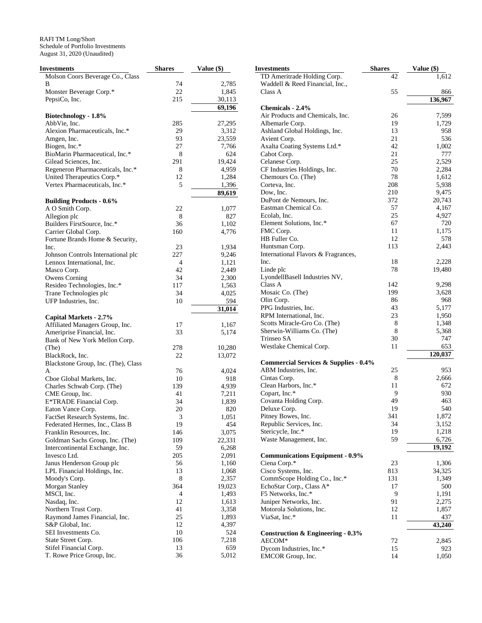| Investments                                        | <b>Shares</b>  | Value (\$)   |
|----------------------------------------------------|----------------|--------------|
| Molson Coors Beverage Co., Class                   |                |              |
| В                                                  | 74             | 2,785        |
| Monster Beverage Corp.*                            | 22             | 1,845        |
| PepsiCo, Inc.                                      | 215            | 30,113       |
|                                                    |                | 69,196       |
| Biotechnology - 1.8%                               |                |              |
| AbbVie, Inc.                                       | 285            | 27,295       |
| Alexion Pharmaceuticals, Inc.*                     | 29             | 3,312        |
| Amgen, Inc.                                        | 93             | 23,559       |
| Biogen, Inc.*                                      | 27             | 7,766        |
| BioMarin Pharmaceutical, Inc.*                     | 8              | 624          |
| Gilead Sciences, Inc.                              | 291            | 19,424       |
| Regeneron Pharmaceuticals, Inc.*                   | 8              | 4,959        |
| United Therapeutics Corp.*                         | 12             | 1,284        |
| Vertex Pharmaceuticals, Inc.*                      | 5              | 1,396        |
|                                                    |                | 89,619       |
| <b>Building Products - 0.6%</b><br>A O Smith Corp. | 22             | 1,077        |
| Allegion plc                                       | 8              | 827          |
| Builders FirstSource, Inc.*                        | 36             | 1,102        |
| Carrier Global Corp.                               | 160            | 4,776        |
| Fortune Brands Home & Security,                    |                |              |
| Inc.                                               | 23             | 1,934        |
| Johnson Controls International plc                 | 227            | 9,246        |
| Lennox International, Inc.                         | $\overline{4}$ | 1,121        |
| Masco Corp.                                        | 42             | 2,449        |
| Owens Corning                                      | 34             | 2,300        |
| Resideo Technologies, Inc.*                        | 117            | 1,563        |
| Trane Technologies plc                             | 34             | 4,025        |
| UFP Industries, Inc.                               | 10             | 594          |
|                                                    |                | 31,014       |
| Capital Markets - 2.7%                             |                |              |
| Affiliated Managers Group, Inc.                    | 17             | 1,167        |
| Ameriprise Financial, Inc.                         | 33             | 5,174        |
| Bank of New York Mellon Corp.                      |                |              |
| (The)                                              | 278            | 10,280       |
| BlackRock, Inc.                                    | 22             | 13,072       |
| Blackstone Group, Inc. (The), Class                |                |              |
| A                                                  | 76             | 4,024        |
| Cboe Global Markets, Inc.                          | 10             | 918          |
| Charles Schwab Corp. (The)                         | 139            | 4,939        |
| CME Group, Inc.                                    | 41             | 7,211        |
| E*TRADE Financial Corp.                            | 34             | 1,839        |
| Eaton Vance Corp.                                  | 20             | 820          |
| FactSet Research Systems, Inc.                     | 3              | 1,051        |
| Federated Hermes, Inc., Class B                    | 19             | 454          |
| Franklin Resources, Inc.                           | 146            | 3,075        |
| Goldman Sachs Group, Inc. (The)                    | 109            | 22,331       |
| Intercontinental Exchange, Inc.                    | 59             | 6,268        |
| Invesco Ltd.                                       | 205            | 2,091        |
| Janus Henderson Group plc                          | 56             | 1,160        |
| LPL Financial Holdings, Inc.                       | 13             | 1,068        |
| Moody's Corp.                                      | 8              | 2,357        |
| <b>Morgan Stanley</b>                              | 364            | 19,023       |
| MSCI, Inc.                                         | 4              | 1,493        |
| Nasdaq, Inc.                                       | 12             | 1,613        |
| Northern Trust Corp.                               | 41             | 3,358        |
| Raymond James Financial, Inc.                      | 25             | 1,893        |
| S&P Global, Inc.                                   | 12<br>10       | 4,397        |
| SEI Investments Co.<br>State Street Corp.          | 106            | 524<br>7,218 |
| Stifel Financial Corp.                             | 13             | 659          |
| T. Rowe Price Group, Inc.                          | 36             | 5,012        |
|                                                    |                |              |

| Investments                                         | <b>Shares</b> | Value (\$)      |
|-----------------------------------------------------|---------------|-----------------|
| TD Ameritrade Holding Corp.                         | 42            | 1,612           |
| Waddell & Reed Financial, Inc.,                     |               |                 |
| Class A                                             | 55            | 866             |
|                                                     |               | 136,967         |
| <b>Chemicals - 2.4%</b>                             |               |                 |
| Air Products and Chemicals, Inc.<br>Albemarle Corp. | 26<br>19      | 7,599<br>1,729  |
| Ashland Global Holdings, Inc.                       | 13            | 958             |
| Avient Corp.                                        | 21            | 536             |
| Axalta Coating Systems Ltd.*                        | 42            | 1,002           |
| Cabot Corp.                                         | 21            | 777             |
| Celanese Corp.                                      | 25            | 2,529           |
| CF Industries Holdings, Inc.                        | 70            | 2,284           |
| Chemours Co. (The)                                  | 78            | 1,612           |
| Corteva, Inc.                                       | 208           | 5,938           |
| Dow, Inc.                                           | 210           | 9,475           |
| DuPont de Nemours, Inc.<br>Eastman Chemical Co.     | 372<br>57     | 20,743<br>4,167 |
| Ecolab, Inc.                                        | 25            | 4,927           |
| Element Solutions, Inc.*                            | 67            | 720             |
| FMC Corp.                                           | 11            | 1,175           |
| HB Fuller Co.                                       | 12            | 578             |
| Huntsman Corp.                                      | 113           | 2,443           |
| International Flavors & Fragrances,                 |               |                 |
| Inc.                                                | 18            | 2,228           |
| Linde plc                                           | 78            | 19,480          |
| LyondellBasell Industries NV,                       |               |                 |
| Class A                                             | 142           | 9,298           |
| Mosaic Co. (The)                                    | 199           | 3,628           |
| Olin Corp.<br>PPG Industries, Inc.                  | 86<br>43      | 968<br>5,177    |
| RPM International, Inc.                             | 23            | 1,950           |
| Scotts Miracle-Gro Co. (The)                        | 8             | 1,348           |
| Sherwin-Williams Co. (The)                          | 8             | 5,368           |
| Trinseo SA                                          | 30            | 747             |
| Westlake Chemical Corp.                             | 11            | 653             |
|                                                     |               | 120,037         |
| <b>Commercial Services &amp; Supplies - 0.4%</b>    |               |                 |
| ABM Industries, Inc.                                | 25            | 953             |
| Cintas Corp.                                        | 8             | 2,666           |
| Clean Harbors, Inc.*                                | 11            | 672             |
| Copart, Inc.*                                       | 9             | 930             |
| Covanta Holding Corp.<br>Deluxe Corp.               | 49<br>19      | 463<br>540      |
| Pitney Bowes, Inc.                                  | 341           | 1,872           |
| Republic Services, Inc.                             | 34            | 3,152           |
| Stericycle, Inc.*                                   | 19            | 1,218           |
| Waste Management, Inc.                              | 59            | 6,726           |
|                                                     |               | 19,192          |
| <b>Communications Equipment - 0.9%</b>              |               |                 |
| Ciena Corp.*                                        | 23            | 1,306           |
| Cisco Systems, Inc.                                 | 813           | 34,325          |
| CommScope Holding Co., Inc.*                        | 131           | 1,349           |
| EchoStar Corp., Class A*                            | 17            | 500             |
| F5 Networks, Inc.*                                  | 9             | 1,191           |
| Juniper Networks, Inc.                              | 91            | 2,275           |
| Motorola Solutions, Inc.<br>ViaSat, Inc.*           | 12<br>11      | 1,857<br>437    |
|                                                     |               | 43,240          |
| <b>Construction &amp; Engineering - 0.3%</b>        |               |                 |
| AECOM*                                              | 72            | 2,845           |
| Dycom Industries, Inc.*                             | 15            | 923             |
| EMCOR Group, Inc.                                   | 14            | 1,050           |
|                                                     |               |                 |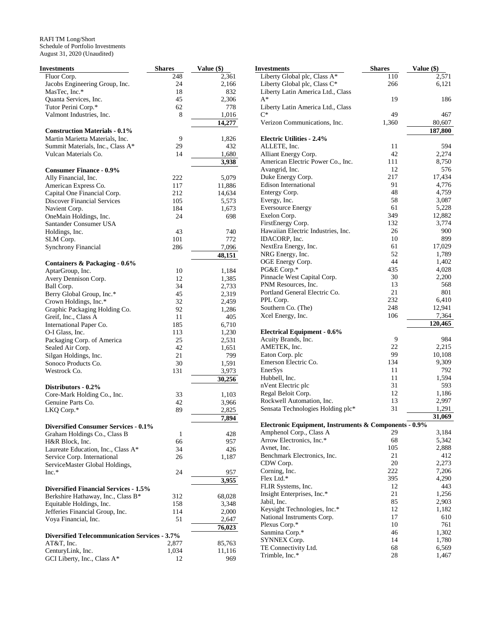| <b>Investments</b>                                   | <b>Shares</b> | Value (\$) |
|------------------------------------------------------|---------------|------------|
| Fluor Corp.                                          | 248           | 2,361      |
| Jacobs Engineering Group, Inc.                       | 24            | 2,166      |
| MasTec, Inc.*                                        | 18            | 832        |
| Quanta Services, Inc.                                | 45            | 2,306      |
| Tutor Perini Corp.*                                  | 62            | 778        |
| Valmont Industries, Inc.                             | 8             | 1,016      |
|                                                      |               |            |
|                                                      |               | 14,277     |
| <b>Construction Materials - 0.1%</b>                 |               |            |
| Martin Marietta Materials, Inc.                      | 9             | 1,826      |
| Summit Materials, Inc., Class A*                     | 29            | 432        |
| Vulcan Materials Co.                                 | 14            | 1,680      |
|                                                      |               | 3,938      |
| <b>Consumer Finance - 0.9%</b>                       |               |            |
| Ally Financial, Inc.                                 | 222           | 5,079      |
| American Express Co.                                 | 117           | 11,886     |
|                                                      | 212           |            |
| Capital One Financial Corp.                          |               | 14,634     |
| <b>Discover Financial Services</b>                   | 105           | 5,573      |
| Navient Corp.                                        | 184           | 1,673      |
| OneMain Holdings, Inc.                               | 24            | 698        |
| Santander Consumer USA                               |               |            |
| Holdings, Inc.                                       | 43            | 740        |
| SLM Corp.                                            | 101           | 772        |
| <b>Synchrony Financial</b>                           | 286           | 7,096      |
|                                                      |               | 48,151     |
| Containers & Packaging - 0.6%                        |               |            |
| AptarGroup, Inc.                                     | 10            | 1,184      |
|                                                      | 12            |            |
| Avery Dennison Corp.                                 |               | 1,385      |
| Ball Corp.                                           | 34            | 2,733      |
| Berry Global Group, Inc.*                            | 45            | 2,319      |
| Crown Holdings, Inc.*                                | 32            | 2,459      |
| Graphic Packaging Holding Co.                        | 92            | 1,286      |
| Greif, Inc., Class A                                 | 11            | 405        |
| International Paper Co.                              | 185           | 6,710      |
| O-I Glass, Inc.                                      | 113           | 1,230      |
| Packaging Corp. of America                           | 25            | 2,531      |
| Sealed Air Corp.                                     | 42            | 1,651      |
| Silgan Holdings, Inc.                                | 21            | 799        |
| Sonoco Products Co.                                  | 30            | 1,591      |
| Westrock Co.                                         | 131           | 3,973      |
|                                                      |               |            |
|                                                      |               | 30,256     |
| Distributors - 0.2%                                  |               |            |
| Core-Mark Holding Co., Inc.                          | 33            | 1,103      |
| Genuine Parts Co.                                    | 42            | 3,966      |
| LKQ Corp.*                                           | 89            | 2,825      |
|                                                      |               | 7,894      |
| <b>Diversified Consumer Services - 0.1%</b>          |               |            |
| Graham Holdings Co., Class B                         | 1             | 428        |
| H&R Block, Inc.                                      | 66            | 957        |
| Laureate Education, Inc., Class A*                   | 34            | 426        |
| Service Corp. International                          | 26            | 1,187      |
| ServiceMaster Global Holdings,                       |               |            |
| $Inc.*$                                              | 24            |            |
|                                                      |               | 957        |
|                                                      |               | 3,955      |
| <b>Diversified Financial Services - 1.5%</b>         |               |            |
| Berkshire Hathaway, Inc., Class B*                   | 312           | 68,028     |
| Equitable Holdings, Inc.                             | 158           | 3,348      |
| Jefferies Financial Group, Inc.                      | 114           | 2,000      |
| Voya Financial, Inc.                                 | 51            | 2,647      |
|                                                      |               | 76,023     |
| <b>Diversified Telecommunication Services - 3.7%</b> |               |            |
| AT&T, Inc.                                           | 2,877         | 85,763     |
|                                                      |               |            |
| CenturyLink, Inc.                                    | 1,034         | 11,116     |
| GCI Liberty, Inc., Class A*                          | 12            | 969        |

| Investments                                                                      | <b>Shares</b> | Value (\$)       |
|----------------------------------------------------------------------------------|---------------|------------------|
| Liberty Global plc, Class A*                                                     | 110           | 2,571            |
| Liberty Global plc, Class C*                                                     | 266           | 6,121            |
| Liberty Latin America Ltd., Class<br>A*                                          | 19            | 186              |
| Liberty Latin America Ltd., Class                                                |               |                  |
| $C^*$                                                                            | 49            | 467              |
| Verizon Communications, Inc.                                                     | 1,360         | 80,607           |
|                                                                                  |               | 187,800          |
| <b>Electric Utilities - 2.4%</b>                                                 |               |                  |
| ALLETE, Inc.                                                                     | 11<br>42      | 594<br>2,274     |
| Alliant Energy Corp.<br>American Electric Power Co., Inc.                        | 111           | 8,750            |
| Avangrid, Inc.                                                                   | 12            | 576              |
| Duke Energy Corp.                                                                | 217           | 17,434           |
| <b>Edison International</b>                                                      | 91            | 4,776            |
| Entergy Corp.                                                                    | 48            | 4,759            |
| Evergy, Inc.<br><b>Eversource Energy</b>                                         | 58<br>61      | 3,087<br>5,228   |
| Exelon Corp.                                                                     | 349           | 12,882           |
| FirstEnergy Corp.                                                                | 132           | 3,774            |
| Hawaiian Electric Industries, Inc.                                               | 26            | 900              |
| IDACORP, Inc.                                                                    | 10            | 899              |
| NextEra Energy, Inc.                                                             | 61            | 17,029           |
| NRG Energy, Inc.                                                                 | 52            | 1,789            |
| OGE Energy Corp.<br>PG&E Corp.*                                                  | 44<br>435     | 1,402<br>4,028   |
| Pinnacle West Capital Corp.                                                      | 30            | 2,200            |
| PNM Resources, Inc.                                                              | 13            | 568              |
| Portland General Electric Co.                                                    | 21            | 801              |
| PPL Corp.                                                                        | 232           | 6,410            |
| Southern Co. (The)                                                               | 248           | 12,941           |
| Xcel Energy, Inc.                                                                | 106           | 7,364<br>120,465 |
| <b>Electrical Equipment - 0.6%</b>                                               |               |                  |
| Acuity Brands, Inc.                                                              | 9             | 984              |
| AMETEK, Inc.                                                                     | 22            | 2,215            |
| Eaton Corp. plc                                                                  | 99            | 10,108           |
| Emerson Electric Co.                                                             | 134<br>11     | 9,309            |
| EnerSys<br>Hubbell, Inc.                                                         | 11            | 792<br>1,594     |
| nVent Electric plc                                                               | 31            | 593              |
| Regal Beloit Corp.                                                               | 12            | 1,186            |
| Rockwell Automation, Inc.                                                        | 13            | 2,997            |
| Sensata Technologies Holding plc*                                                | 31            | 1,291            |
|                                                                                  |               | 31,069           |
| Electronic Equipment, Instruments & Components - 0.9%<br>Amphenol Corp., Class A | 29            | 3,184            |
| Arrow Electronics, Inc.*                                                         | 68            | 5,342            |
| Avnet, Inc.                                                                      | 105           | 2,888            |
| Benchmark Electronics, Inc.                                                      | 21            | 412              |
| CDW Corp.                                                                        | 20            | 2,273            |
| Corning, Inc.<br>Flex Ltd.*                                                      | 222<br>395    | 7,206<br>4,290   |
| FLIR Systems, Inc.                                                               | 12            | 443              |
| Insight Enterprises, Inc.*                                                       | 21            | 1,256            |
| Jabil, Inc.                                                                      | 85            | 2,903            |
| Keysight Technologies, Inc.*                                                     | 12            | 1,182            |
| National Instruments Corp.                                                       | 17            | 610              |
| Plexus Corp.*<br>Sanmina Corp.*                                                  | 10<br>46      | 761<br>1,302     |
| SYNNEX Corp.                                                                     | 14            | 1,780            |
| TE Connectivity Ltd.                                                             | 68            | 6,569            |
| Trimble, Inc.*                                                                   | 28            | 1,467            |
|                                                                                  |               |                  |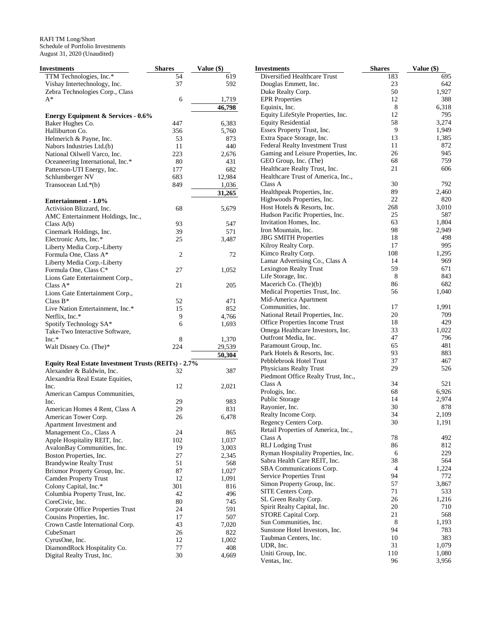| <b>Investments</b>                                  | <b>Shares</b> | Value (\$) |
|-----------------------------------------------------|---------------|------------|
| TTM Technologies, Inc.*                             | 54            | 619        |
| Vishay Intertechnology, Inc.                        | 37            | 592        |
| Zebra Technologies Corp., Class                     |               |            |
| $A^*$                                               | 6             | 1,719      |
|                                                     |               | 46,798     |
| <b>Energy Equipment &amp; Services - 0.6%</b>       |               |            |
| Baker Hughes Co.                                    | 447           | 6,383      |
| Halliburton Co.                                     | 356           | 5,760      |
| Helmerich & Payne, Inc.                             | 53            | 873        |
| Nabors Industries Ltd.(b)                           | 11            | 440        |
| National Oilwell Varco, Inc.                        | 223           | 2,676      |
| Oceaneering International, Inc.*                    | 80            | 431        |
| Patterson-UTI Energy, Inc.                          | 177           | 682        |
| Schlumberger NV                                     | 683           | 12,984     |
| Transocean Ltd.*(b)                                 | 849           | 1,036      |
|                                                     |               | 31,265     |
| Entertainment - 1.0%                                |               |            |
| Activision Blizzard, Inc.                           | 68            | 5,679      |
| AMC Entertainment Holdings, Inc.,                   |               |            |
| Class $A(b)$                                        | 93            | 547        |
| Cinemark Holdings, Inc.                             | 39            | 571        |
| Electronic Arts, Inc.*                              | 25            | 3,487      |
| Liberty Media Corp.-Liberty                         |               |            |
| Formula One, Class A*                               | 2             | 72         |
| Liberty Media Corp.-Liberty                         |               |            |
| Formula One, Class C*                               | 27            | 1,052      |
| Lions Gate Entertainment Corp.,                     |               |            |
| Class $A^*$                                         | 21            | 205        |
| Lions Gate Entertainment Corp.,                     |               |            |
| Class $B^*$                                         | 52            | 471        |
| Live Nation Entertainment, Inc.*                    | 15            | 852        |
| Netflix, Inc.*                                      | 9             | 4,766      |
| Spotify Technology SA*                              | 6             | 1,693      |
| Take-Two Interactive Software,                      |               |            |
| $Inc.*$                                             | 8             | 1,370      |
| Walt Disney Co. (The)*                              | 224           | 29,539     |
|                                                     |               | 50,304     |
| Equity Real Estate Investment Trusts (REITs) - 2.7% |               |            |
| Alexander & Baldwin, Inc.                           | 32            | 387        |
| Alexandria Real Estate Equities,                    |               |            |
| Inc.                                                | 12            | 2,021      |
| American Campus Communities,                        |               |            |
| Inc.                                                | 29            | 983        |
| American Homes 4 Rent, Class A                      | 29            | 831        |
| American Tower Corp.                                | 26            | 6,478      |
| Apartment Investment and                            |               |            |
| Management Co., Class A                             | 24            | 865        |
| Apple Hospitality REIT, Inc.                        | 102           | 1,037      |
| AvalonBay Communities, Inc.                         | 19            | 3,003      |
| Boston Properties, Inc.                             | 27            | 2,345      |
| <b>Brandywine Realty Trust</b>                      | 51            | 568        |
| Brixmor Property Group, Inc.                        | 87            | 1,027      |
| <b>Camden Property Trust</b>                        | 12            | 1,091      |
| Colony Capital, Inc.*                               | 301           | 816        |
| Columbia Property Trust, Inc.                       | 42            | 496        |
| CoreCivic, Inc.                                     | 80            | 745        |
| Corporate Office Properties Trust                   | 24            | 591        |
| Cousins Properties, Inc.                            | 17            | 507        |
| Crown Castle International Corp.                    | 43            | 7,020      |
| CubeSmart                                           | 26            | 822        |
| CyrusOne, Inc.                                      | 12            | 1,002      |
| DiamondRock Hospitality Co.                         | 77            | 408        |
| Digital Realty Trust, Inc.                          | 30            | 4,669      |
|                                                     |               |            |

| <b>Investments</b>                                             | <b>Shares</b> | Value (\$)   |
|----------------------------------------------------------------|---------------|--------------|
| Diversified Healthcare Trust                                   | 183           | 695          |
| Douglas Emmett, Inc.                                           | 23            | 642          |
| Duke Realty Corp.                                              | 50            | 1,927        |
| <b>EPR</b> Properties                                          | 12            | 388          |
| Equinix, Inc.                                                  | 8             | 6,318        |
| Equity LifeStyle Properties, Inc.                              | 12            | 795          |
| <b>Equity Residential</b>                                      | 58            | 3,274        |
| Essex Property Trust, Inc.                                     | 9             | 1,949        |
| Extra Space Storage, Inc.                                      | 13            | 1,385        |
| Federal Realty Investment Trust                                | 11<br>26      | 872<br>945   |
| Gaming and Leisure Properties, Inc.<br>GEO Group, Inc. (The)   | 68            | 759          |
| Healthcare Realty Trust, Inc.                                  | 21            | 606          |
| Healthcare Trust of America, Inc.,                             |               |              |
| Class A                                                        | 30            | 792          |
| Healthpeak Properties, Inc.                                    | 89            | 2,460        |
| Highwoods Properties, Inc.                                     | 22            | 820          |
| Host Hotels & Resorts, Inc.                                    | 268           | 3,010        |
| Hudson Pacific Properties, Inc.                                | 25            | 587          |
| Invitation Homes, Inc.                                         | 63            | 1,804        |
| Iron Mountain, Inc.                                            | 98            | 2,949        |
| <b>JBG SMITH Properties</b>                                    | 18            | 498          |
| Kilroy Realty Corp.                                            | 17            | 995          |
| Kimco Realty Corp.                                             | 108           | 1,295        |
| Lamar Advertising Co., Class A                                 | 14            | 969          |
| <b>Lexington Realty Trust</b>                                  | 59            | 671          |
| Life Storage, Inc.                                             | 8             | 843          |
| Macerich Co. (The)(b)                                          | 86            | 682          |
| Medical Properties Trust, Inc.                                 | 56            | 1,040        |
| Mid-America Apartment                                          | 17            |              |
| Communities, Inc.<br>National Retail Properties, Inc.          | 20            | 1,991<br>709 |
| Office Properties Income Trust                                 | 18            | 429          |
| Omega Healthcare Investors, Inc.                               | 33            | 1,022        |
| Outfront Media, Inc.                                           | 47            | 796          |
| Paramount Group, Inc.                                          | 65            | 481          |
| Park Hotels & Resorts, Inc.                                    | 93            | 883          |
| Pebblebrook Hotel Trust                                        | 37            | 467          |
| Physicians Realty Trust                                        | 29            | 526          |
| Piedmont Office Realty Trust, Inc.,                            |               |              |
| Class A                                                        | 34            | 521          |
| Prologis, Inc.                                                 | 68            | 6,926        |
| Public Storage                                                 | 14            | 2,974        |
| Rayonier, Inc.                                                 | 30            | 878          |
| Realty Income Corp.                                            | 34            | 2.109        |
| Regency Centers Corp.                                          | 30            | 1,191        |
| Retail Properties of America, Inc.,                            |               | 492          |
| Class A                                                        | 78<br>86      | 812          |
| <b>RLJ</b> Lodging Trust<br>Ryman Hospitality Properties, Inc. | 6             | 229          |
| Sabra Health Care REIT, Inc.                                   | 38            | 564          |
| SBA Communications Corp.                                       | 4             | 1,224        |
| Service Properties Trust                                       | 94            | 772          |
| Simon Property Group, Inc.                                     | 57            | 3,867        |
| SITE Centers Corp.                                             | 71            | 533          |
| SL Green Realty Corp.                                          | 26            | 1,216        |
| Spirit Realty Capital, Inc.                                    | 20            | 710          |
| STORE Capital Corp.                                            | 21            | 568          |
| Sun Communities, Inc.                                          | 8             | 1,193        |
| Sunstone Hotel Investors, Inc.                                 | 94            | 783          |
| Taubman Centers, Inc.                                          | 10            | 383          |
| UDR, Inc.                                                      | 31            | 1,079        |
| Uniti Group, Inc.                                              | 110           | 1,080        |
| Ventas, Inc.                                                   | 96            | 3,956        |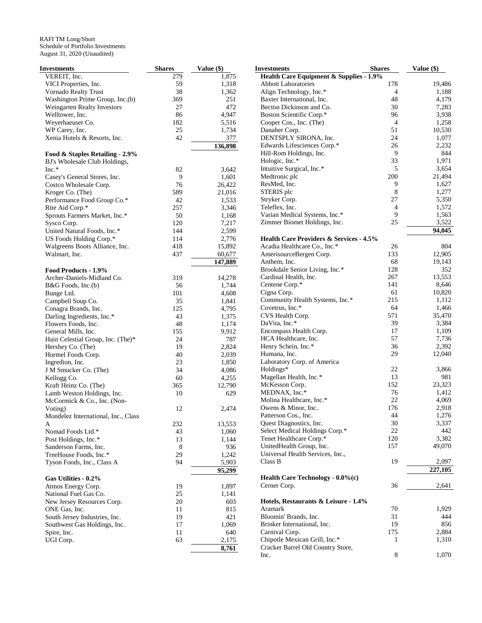| Investments                         | <b>Shares</b> | Value (\$) | <b>Investments</b>                      | <b>Shares</b>  | Value $(\$)$         |
|-------------------------------------|---------------|------------|-----------------------------------------|----------------|----------------------|
| VEREIT, Inc.                        | 279           | 1,875      | Health Care Equipment & Supplies - 1.9% |                |                      |
| VICI Properties, Inc.               | 59            | 1,318      | <b>Abbott Laboratories</b>              | 178            | 19,486               |
| Vornado Realty Trust                | 38            | 1,362      | Align Technology, Inc.*                 | $\overline{4}$ | 1,188                |
| Washington Prime Group, Inc.(b)     | 369           | 251        | Baxter International, Inc.              | 48             | 4,179                |
| Weingarten Realty Investors         | 27            | 472        | Becton Dickinson and Co.                | 30             | 7,283                |
| Welltower, Inc.                     | 86            | 4,947      | Boston Scientific Corp.*                | 96             | 3,938                |
| Weyerhaeuser Co.                    | 182           | 5,516      | Cooper Cos., Inc. (The)                 | $\overline{4}$ | 1,258                |
| WP Carey, Inc.                      | 25            | 1,734      | Danaher Corp.                           | 51             | 10,530               |
| Xenia Hotels & Resorts, Inc.        | 42            | 377        | DENTSPLY SIRONA, Inc.                   | 24             | 1,077                |
|                                     |               |            |                                         | 26             | 2,232                |
|                                     |               | 136,898    | Edwards Lifesciences Corp.*             | 9              | 844                  |
| Food & Staples Retailing - 2.9%     |               |            | Hill-Rom Holdings, Inc.                 |                |                      |
| BJ's Wholesale Club Holdings,       |               |            | Hologic, Inc.*                          | 33             | 1,971                |
| $Inc.*$                             | 82            | 3,642      | Intuitive Surgical, Inc.*               | 5              | 3,654                |
| Casey's General Stores, Inc.        | 9             | 1,601      | Medtronic plc                           | 200            | 21,494               |
| Costco Wholesale Corp.              | 76            | 26,422     | ResMed, Inc.                            | 9              | 1,627                |
| Kroger Co. (The)                    | 589           | 21,016     | STERIS plc                              | $\,$ 8 $\,$    | 1,277                |
| Performance Food Group Co.*         | 42            | 1,533      | Stryker Corp.                           | 27             | 5,350                |
| Rite Aid Corp.*                     | 257           | 3,346      | Teleflex, Inc.                          | $\overline{4}$ | 1,572                |
| Sprouts Farmers Market, Inc.*       | 50            | 1,168      | Varian Medical Systems, Inc.*           | 9              | 1,563                |
| Sysco Corp.                         | 120           | 7,217      | Zimmer Biomet Holdings, Inc.            | 25             | 3,522                |
| United Natural Foods, Inc.*         | 144           | 2,599      |                                         |                | 94,045               |
| US Foods Holding Corp.*             | 114           | 2,776      | Health Care Providers & Services - 4.5% |                |                      |
| Walgreens Boots Alliance, Inc.      | 418           | 15,892     | Acadia Healthcare Co., Inc.*            | 26             | 804                  |
| Walmart, Inc.                       | 437           | 60,677     |                                         | 133            | 12,905               |
|                                     |               |            | AmerisourceBergen Corp.                 |                |                      |
|                                     |               | 147,889    | Anthem, Inc.                            | 68             | 19,143               |
| Food Products - 1.9%                |               |            | Brookdale Senior Living, Inc.*          | 128            | 352                  |
| Archer-Daniels-Midland Co.          | 319           | 14,278     | Cardinal Health, Inc.                   | 267            | 13,553               |
| B&G Foods, Inc.(b)                  | 56            | 1,744      | Centene Corp.*                          | 141            | 8,646                |
| Bunge Ltd.                          | 101           | 4,608      | Cigna Corp.                             | 61             | 10,820               |
| Campbell Soup Co.                   | 35            | 1,841      | Community Health Systems, Inc.*         | 215            | 1,112                |
| Conagra Brands, Inc.                | 125           | 4,795      | Covetrus, Inc.*                         | 64             | 1,466                |
| Darling Ingredients, Inc.*          | 43            | 1,375      | CVS Health Corp.                        | 571            | 35,470               |
| Flowers Foods, Inc.                 | 48            | 1,174      | DaVita, Inc.*                           | 39             | 3,384                |
| General Mills, Inc.                 | 155           | 9,912      | Encompass Health Corp.                  | 17             | 1,109                |
| Hain Celestial Group, Inc. (The)*   | 24            | 787        | HCA Healthcare, Inc.                    | 57             | 7,736                |
| Hershey Co. (The)                   | 19            | 2,824      | Henry Schein, Inc.*                     | 36             | 2,392                |
| Hormel Foods Corp.                  | 40            | 2,039      | Humana, Inc.                            | 29             | 12,040               |
| Ingredion, Inc.                     | 23            | 1,850      | Laboratory Corp. of America             |                |                      |
|                                     | 34            |            | Holdings*                               | 22             | 3,866                |
| J M Smucker Co. (The)               |               | 4,086      |                                         | 13             | 981                  |
| Kellogg Co.                         | 60            | 4,255      | Magellan Health, Inc.*                  |                |                      |
| Kraft Heinz Co. (The)               | 365           | 12,790     | McKesson Corp.                          | 152            | 23,323               |
| Lamb Weston Holdings, Inc.          | 10            | 629        | MEDNAX, Inc.*                           | 76             | 1,412                |
| McCormick & Co., Inc. (Non-         |               |            | Molina Healthcare, Inc.*                | 22             | 4,069                |
| Voting)                             | 12            | 2,474      | Owens & Minor, Inc.                     | 176            | 2,918                |
| Mondelez International, Inc., Class |               |            | Patterson Cos., Inc.                    | 44             | 1,276                |
| A                                   | 232           | 13,553     | Quest Diagnostics, Inc.                 | 30             | 3,337                |
| Nomad Foods Ltd.*                   | 43            | 1,060      | Select Medical Holdings Corp.*          | $22\,$         | 442                  |
| Post Holdings, Inc.*                | 13            | 1,144      | Tenet Healthcare Corp.*                 | 120            | 3,382                |
| Sanderson Farms, Inc.               | 8             | 936        | UnitedHealth Group, Inc.                | 157            | 49,070               |
| TreeHouse Foods, Inc.*              | 29            | 1,242      | Universal Health Services, Inc.,        |                |                      |
| Tyson Foods, Inc., Class A          | 94            | 5,903      | Class B                                 | 19             | 2,097                |
|                                     |               | 95,299     |                                         |                | $\overline{227,105}$ |
|                                     |               |            | Health Care Technology - 0.0%(c)        |                |                      |
| Gas Utilities - 0.2%                |               |            |                                         | 36             | 2,641                |
| Atmos Energy Corp.                  | 19            | 1,897      | Cerner Corp.                            |                |                      |
| National Fuel Gas Co.               | 25            | 1,141      |                                         |                |                      |
| New Jersey Resources Corp.          | 20            | 603        | Hotels, Restaurants & Leisure - 1.4%    |                |                      |
| ONE Gas, Inc.                       | 11            | 815        | Aramark                                 | 70             | 1,929                |
| South Jersey Industries, Inc.       | 19            | 421        | Bloomin' Brands, Inc.                   | 31             | 444                  |
| Southwest Gas Holdings, Inc.        | 17            | 1,069      | Brinker International, Inc.             | 19             | 856                  |
| Spire, Inc.                         | 11            | 640        | Carnival Corp.                          | 175            | 2,884                |
| UGI Corp.                           | 63            | 2,175      | Chipotle Mexican Grill, Inc.*           | $\mathbf{1}$   | 1,310                |
|                                     |               | 8,761      | Cracker Barrel Old Country Store,       |                |                      |
|                                     |               |            | Inc.                                    | 8              | 1,070                |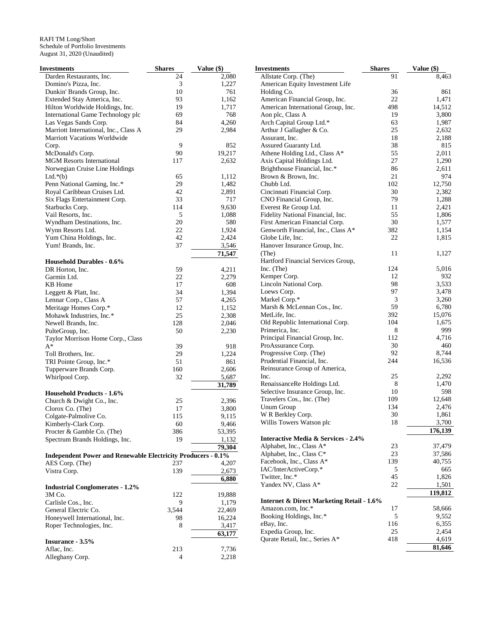| <b>Investments</b>                                                  | <b>Shares</b>  | Value (\$) | <b>Investments</b>                                   | <b>Shares</b> | Value (\$) |
|---------------------------------------------------------------------|----------------|------------|------------------------------------------------------|---------------|------------|
| Darden Restaurants, Inc.                                            | 24             | 2,080      | Allstate Corp. (The)                                 | 91            | 8,463      |
| Domino's Pizza, Inc.                                                | 3              | 1,227      | American Equity Investment Life                      |               |            |
| Dunkin' Brands Group, Inc.                                          | 10             | 761        | Holding Co.                                          | 36            | 861        |
| Extended Stay America, Inc.                                         | 93             | 1,162      | American Financial Group, Inc.                       | 22            | 1,471      |
| Hilton Worldwide Holdings, Inc.                                     | 19             | 1,717      | American International Group, Inc.                   | 498           | 14,512     |
| International Game Technology plc                                   | 69             | 768        | Aon plc, Class A                                     | 19            | 3,800      |
| Las Vegas Sands Corp.                                               | 84             | 4,260      | Arch Capital Group Ltd.*                             | 63            | 1,987      |
| Marriott International, Inc., Class A                               | 29             | 2,984      | Arthur J Gallagher & Co.                             | 25            | 2,632      |
| Marriott Vacations Worldwide                                        |                |            | Assurant, Inc.                                       | 18            | 2,188      |
| Corp.                                                               | 9              | 852        | Assured Guaranty Ltd.                                | 38            | 815        |
| McDonald's Corp.                                                    | 90             | 19,217     | Athene Holding Ltd., Class A*                        | 55            | 2,011      |
| <b>MGM</b> Resorts International                                    | 117            | 2,632      | Axis Capital Holdings Ltd.                           | 27            | 1,290      |
| Norwegian Cruise Line Holdings                                      |                |            | Brighthouse Financial, Inc.*                         | 86            | 2,611      |
| Ltd. $*(b)$                                                         | 65             | 1,112      | Brown & Brown, Inc.                                  | 21            | 974        |
| Penn National Gaming, Inc.*                                         | 29             | 1,482      | Chubb Ltd.                                           | 102           | 12,750     |
|                                                                     |                |            |                                                      |               |            |
| Royal Caribbean Cruises Ltd.                                        | 42             | 2,891      | Cincinnati Financial Corp.                           | 30            | 2,382      |
| Six Flags Entertainment Corp.                                       | 33             | 717        | CNO Financial Group, Inc.                            | 79            | 1,288      |
| Starbucks Corp.                                                     | 114            | 9,630      | Everest Re Group Ltd.                                | 11            | 2,421      |
| Vail Resorts, Inc.                                                  | 5              | 1,088      | Fidelity National Financial, Inc.                    | 55            | 1,806      |
| Wyndham Destinations, Inc.                                          | 20             | 580        | First American Financial Corp.                       | 30            | 1,577      |
| Wynn Resorts Ltd.                                                   | 22             | 1,924      | Genworth Financial, Inc., Class A*                   | 382           | 1,154      |
| Yum China Holdings, Inc.                                            | 42             | 2,424      | Globe Life, Inc.                                     | 22            | 1,815      |
| Yum! Brands, Inc.                                                   | 37             | 3,546      | Hanover Insurance Group, Inc.                        |               |            |
|                                                                     |                | 71,547     | (The)                                                | 11            | 1,127      |
| <b>Household Durables - 0.6%</b>                                    |                |            | Hartford Financial Services Group,                   |               |            |
| DR Horton, Inc.                                                     | 59             | 4,211      | Inc. (The)                                           | 124           | 5,016      |
| Garmin Ltd.                                                         | 22             | 2,279      | Kemper Corp.                                         | 12            | 932        |
| KB Home                                                             | 17             | 608        | Lincoln National Corp.                               | 98            | 3,533      |
| Leggett & Platt, Inc.                                               | 34             | 1,394      | Loews Corp.                                          | 97            | 3,478      |
| Lennar Corp., Class A                                               | 57             | 4,265      | Markel Corp.*                                        | 3             | 3,260      |
| Meritage Homes Corp.*                                               | 12             | 1,152      | Marsh & McLennan Cos., Inc.                          | 59            | 6,780      |
| Mohawk Industries, Inc.*                                            | 25             | 2,308      | MetLife, Inc.                                        | 392           | 15,076     |
| Newell Brands, Inc.                                                 | 128            | 2,046      | Old Republic International Corp.                     | 104           | 1,675      |
|                                                                     | 50             |            | Primerica, Inc.                                      | 8             | 999        |
| PulteGroup, Inc.                                                    |                | 2,230      |                                                      | 112           | 4,716      |
| Taylor Morrison Home Corp., Class                                   |                |            | Principal Financial Group, Inc.                      |               |            |
| $A^*$                                                               | 39             | 918        | ProAssurance Corp.                                   | 30            | 460        |
| Toll Brothers, Inc.                                                 | 29             | 1,224      | Progressive Corp. (The)                              | 92            | 8,744      |
| TRI Pointe Group, Inc.*                                             | 51             | 861        | Prudential Financial, Inc.                           | 244           | 16,536     |
| Tupperware Brands Corp.                                             | 160            | 2,606      | Reinsurance Group of America,                        |               |            |
| Whirlpool Corp.                                                     | 32             | 5,687      | Inc.                                                 | 25            | 2,292      |
|                                                                     |                | 31,789     | RenaissanceRe Holdings Ltd.                          | 8             | 1,470      |
| <b>Household Products - 1.6%</b>                                    |                |            | Selective Insurance Group, Inc.                      | 10            | 598        |
| Church & Dwight Co., Inc.                                           | 25             | 2,396      | Travelers Cos., Inc. (The)                           | 109           | 12,648     |
| Clorox Co. (The)                                                    | 17             | 3,800      | Unum Group                                           | 134           | 2,476      |
| Colgate-Palmolive Co.                                               | 115            | 9,115      | W R Berkley Corp.                                    | 30            | 1,861      |
| Kimberly-Clark Corp.                                                | 60             | 9,466      | Willis Towers Watson plc                             | 18            | 3,700      |
| Procter & Gamble Co. (The)                                          | 386            | 53,395     |                                                      |               | 176,139    |
| Spectrum Brands Holdings, Inc.                                      | 19             | 1,132      | <b>Interactive Media &amp; Services - 2.4%</b>       |               |            |
|                                                                     |                | 79,304     | Alphabet, Inc., Class A*                             | 23            | 37,479     |
| <b>Independent Power and Renewable Electricity Producers - 0.1%</b> |                |            | Alphabet, Inc., Class C*                             | 23            | 37,586     |
|                                                                     |                |            | Facebook, Inc., Class A*                             | 139           | 40,755     |
| AES Corp. (The)                                                     | 237            | 4,207      | IAC/InterActiveCorp.*                                | 5             | 665        |
| Vistra Corp.                                                        | 139            | 2,673      | Twitter, Inc.*                                       | 45            | 1,826      |
|                                                                     |                | 6,880      |                                                      |               |            |
| <b>Industrial Conglomerates - 1.2%</b>                              |                |            | Yandex NV, Class A*                                  | 22            | 1,501      |
| 3M Co.                                                              | 122            | 19,888     |                                                      |               | 119,812    |
| Carlisle Cos., Inc.                                                 | 9              | 1,179      | <b>Internet &amp; Direct Marketing Retail - 1.6%</b> |               |            |
| General Electric Co.                                                | 3,544          | 22,469     | Amazon.com, Inc.*                                    | 17            | 58,666     |
| Honeywell International, Inc.                                       | 98             | 16,224     | Booking Holdings, Inc.*                              | 5             | 9,552      |
| Roper Technologies, Inc.                                            | 8              | 3,417      | eBay, Inc.                                           | 116           | 6,355      |
|                                                                     |                | 63,177     | Expedia Group, Inc.                                  | 25            | 2,454      |
| Insurance - 3.5%                                                    |                |            | Qurate Retail, Inc., Series A*                       | 418           | 4,619      |
| Aflac, Inc.                                                         | 213            | 7,736      |                                                      |               | 81,646     |
| Alleghany Corp.                                                     | $\overline{4}$ | 2,218      |                                                      |               |            |
|                                                                     |                |            |                                                      |               |            |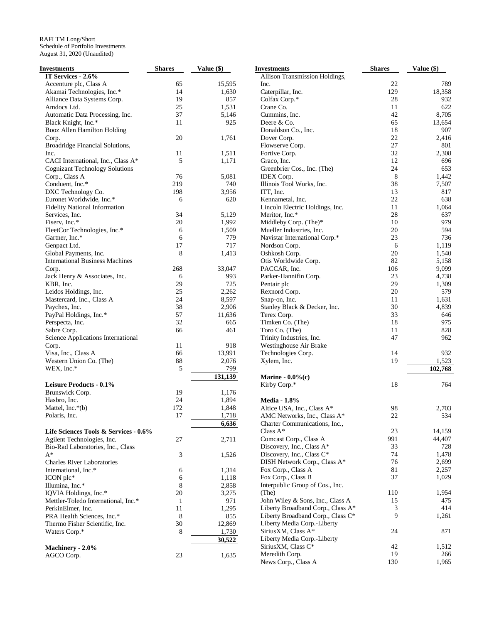| <b>Investments</b>                     | <b>Shares</b> | Value (\$) | <b>Investments</b>                | <b>Shares</b> | Value (\$) |
|----------------------------------------|---------------|------------|-----------------------------------|---------------|------------|
| IT Services - 2.6%                     |               |            | Allison Transmission Holdings,    |               |            |
| Accenture plc, Class A                 | 65            | 15,595     | Inc.                              | 22            | 789        |
| Akamai Technologies, Inc.*             | 14            | 1,630      | Caterpillar, Inc.                 | 129           | 18,358     |
| Alliance Data Systems Corp.            | 19            | 857        | Colfax Corp.*                     | 28            | 932        |
| Amdocs Ltd.                            | 25            | 1,531      | Crane Co.                         | 11            | 622        |
| Automatic Data Processing, Inc.        | 37            | 5,146      | Cummins, Inc.                     | 42            | 8,705      |
| Black Knight, Inc.*                    | 11            | 925        | Deere & Co.                       | 65            | 13,654     |
| Booz Allen Hamilton Holding            |               |            | Donaldson Co., Inc.               | 18            | 907        |
|                                        | 20            | 1,761      | Dover Corp.                       | 22            | 2,416      |
| Corp.                                  |               |            |                                   | 27            | 801        |
| Broadridge Financial Solutions,        |               |            | Flowserve Corp.                   |               |            |
| Inc.                                   | 11            | 1,511      | Fortive Corp.                     | 32            | 2,308      |
| CACI International, Inc., Class A*     | 5             | 1,171      | Graco, Inc.                       | 12            | 696        |
| <b>Cognizant Technology Solutions</b>  |               |            | Greenbrier Cos., Inc. (The)       | 24            | 653        |
| Corp., Class A                         | 76            | 5,081      | IDEX Corp.                        | 8             | 1,442      |
| Conduent, Inc.*                        | 219           | 740        | Illinois Tool Works, Inc.         | 38            | 7,507      |
| DXC Technology Co.                     | 198           | 3,956      | ITT, Inc.                         | 13            | 817        |
| Euronet Worldwide, Inc.*               | 6             | 620        | Kennametal, Inc.                  | 22            | 638        |
| <b>Fidelity National Information</b>   |               |            | Lincoln Electric Holdings, Inc.   | 11            | 1,064      |
| Services, Inc.                         | 34            | 5,129      | Meritor, Inc.*                    | 28            | 637        |
| Fiserv, Inc.*                          | 20            | 1,992      | Middleby Corp. (The)*             | 10            | 979        |
| FleetCor Technologies, Inc.*           | 6             | 1,509      | Mueller Industries, Inc.          | $20\,$        | 594        |
| Gartner, Inc.*                         | 6             | 779        | Navistar International Corp.*     | 23            | 736        |
| Genpact Ltd.                           | 17            | 717        | Nordson Corp.                     | 6             | 1,119      |
| Global Payments, Inc.                  | 8             | 1,413      | Oshkosh Corp.                     | 20            | 1,540      |
| <b>International Business Machines</b> |               |            | Otis Worldwide Corp.              | 82            | 5,158      |
| Corp.                                  | 268           | 33,047     | PACCAR, Inc.                      | 106           | 9,099      |
| Jack Henry & Associates, Inc.          | 6             | 993        | Parker-Hannifin Corp.             | 23            | 4,738      |
| KBR, Inc.                              | 29            | 725        | Pentair plc                       | 29            | 1,309      |
|                                        | 25            |            |                                   | 20            | 579        |
| Leidos Holdings, Inc.                  |               | 2,262      | Rexnord Corp.                     |               |            |
| Mastercard, Inc., Class A              | 24            | 8,597      | Snap-on, Inc.                     | 11            | 1,631      |
| Paychex, Inc.                          | 38            | 2,906      | Stanley Black & Decker, Inc.      | 30            | 4,839      |
| PayPal Holdings, Inc.*                 | 57            | 11,636     | Terex Corp.                       | 33            | 646        |
| Perspecta, Inc.                        | 32            | 665        | Timken Co. (The)                  | 18            | 975        |
| Sabre Corp.                            | 66            | 461        | Toro Co. (The)                    | 11            | 828        |
| Science Applications International     |               |            | Trinity Industries, Inc.          | 47            | 962        |
| Corp.                                  | 11            | 918        | Westinghouse Air Brake            |               |            |
| Visa, Inc., Class A                    | 66            | 13,991     | Technologies Corp.                | 14            | 932        |
| Western Union Co. (The)                | 88            | 2,076      | Xylem, Inc.                       | 19            | 1,523      |
| WEX, Inc.*                             | 5             | 799        |                                   |               | 102,768    |
|                                        |               | 131,139    | Marine - $0.0\%$ (c)              |               |            |
| Leisure Products - 0.1%                |               |            | Kirby Corp.*                      | 18            | 764        |
| Brunswick Corp.                        | 19            | 1,176      |                                   |               |            |
| Hasbro, Inc.                           | 24            | 1,894      | <b>Media - 1.8%</b>               |               |            |
| Mattel, Inc.*(b)                       | 172           | 1,848      | Altice USA, Inc., Class A*        | 98            | 2,703      |
|                                        | 17            | 1,718      |                                   | 22            | 534        |
| Polaris, Inc.                          |               |            | AMC Networks, Inc., Class A*      |               |            |
|                                        |               | 6,636      | Charter Communications, Inc.,     |               |            |
| Life Sciences Tools & Services - 0.6%  |               |            | Class $A^*$                       | 23            | 14,159     |
| Agilent Technologies, Inc.             | 27            | 2,711      | Comcast Corp., Class A            | 991           | 44,407     |
| Bio-Rad Laboratories, Inc., Class      |               |            | Discovery, Inc., Class A*         | 33            | 728        |
| A*                                     | 3             | 1,526      | Discovery, Inc., Class C*         | 74            | 1,478      |
| <b>Charles River Laboratories</b>      |               |            | DISH Network Corp., Class A*      | 76            | 2,699      |
| International, Inc.*                   | 6             | 1,314      | Fox Corp., Class A                | 81            | 2,257      |
| ICON plc*                              | 6             | 1,118      | Fox Corp., Class B                | 37            | 1,029      |
| Illumina, Inc.*                        | 8             | 2,858      | Interpublic Group of Cos., Inc.   |               |            |
| IQVIA Holdings, Inc.*                  | $20\,$        | 3,275      | (The)                             | 110           | 1,954      |
| Mettler-Toledo International, Inc.*    | $\mathbf{1}$  | 971        | John Wiley & Sons, Inc., Class A  | 15            | 475        |
| PerkinElmer, Inc.                      | 11            | 1,295      | Liberty Broadband Corp., Class A* | 3             | 414        |
| PRA Health Sciences, Inc.*             | 8             | 855        | Liberty Broadband Corp., Class C* | 9             | 1,261      |
| Thermo Fisher Scientific, Inc.         | 30            | 12,869     | Liberty Media Corp.-Liberty       |               |            |
| Waters Corp.*                          | 8             | 1,730      | SiriusXM, Class A*                | 24            | 871        |
|                                        |               | 30,522     | Liberty Media Corp.-Liberty       |               |            |
| Machinery - 2.0%                       |               |            | SiriusXM, Class C*                | 42            | 1,512      |
|                                        | 23            | 1,635      | Meredith Corp.                    | 19            | 266        |
| AGCO Corp.                             |               |            | News Corp., Class A               | 130           | 1,965      |
|                                        |               |            |                                   |               |            |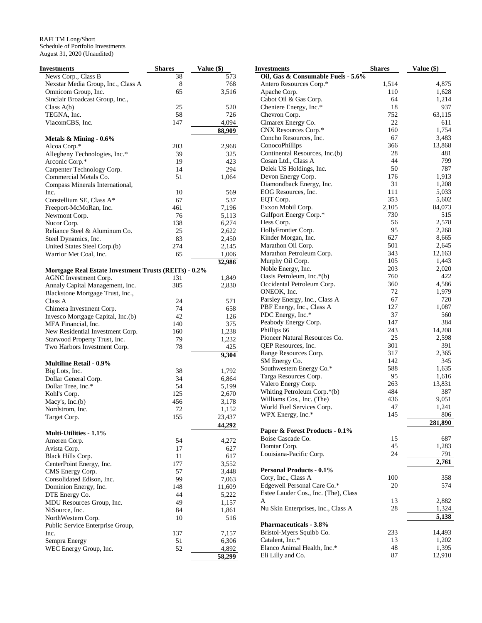| Investments                                                  | <b>Shares</b> | Value (\$)   |
|--------------------------------------------------------------|---------------|--------------|
| News Corp., Class B                                          | 38            | 573          |
| Nexstar Media Group, Inc., Class A                           | 8             | 768          |
| Omnicom Group, Inc.                                          | 65            | 3,516        |
| Sinclair Broadcast Group, Inc.,                              |               |              |
| Class $A(b)$                                                 | 25            | 520          |
| TEGNA, Inc.                                                  | 58            | 726          |
| ViacomCBS, Inc.                                              | 147           | 4,094        |
|                                                              |               | 88,909       |
| Metals $\&$ Mining - 0.6%                                    |               |              |
| Alcoa Corp.*                                                 | 203           | 2,968        |
| Allegheny Technologies, Inc.*                                | 39            | 325          |
| Arconic Corp.*                                               | 19            | 423          |
| Carpenter Technology Corp.                                   | 14            | 294          |
| Commercial Metals Co.                                        | 51            | 1,064        |
| Compass Minerals International,<br>Inc.                      | 10            | 569          |
| Constellium SE, Class A*                                     | 67            | 537          |
| Freeport-McMoRan, Inc.                                       | 461           | 7,196        |
| Newmont Corp.                                                | 76            | 5,113        |
| Nucor Corp.                                                  | 138           | 6,274        |
| Reliance Steel & Aluminum Co.                                | 25            | 2,622        |
| Steel Dynamics, Inc.                                         | 83            | 2,450        |
| United States Steel Corp.(b)                                 | 274           | 2,145        |
| Warrior Met Coal, Inc.                                       | 65            | 1,006        |
|                                                              |               | 32,986       |
| <b>Mortgage Real Estate Investment Trusts (REITs) - 0.2%</b> |               |              |
| AGNC Investment Corp.                                        | 131           | 1,849        |
| Annaly Capital Management, Inc.                              | 385           | 2,830        |
| Blackstone Mortgage Trust, Inc.,                             |               |              |
| Class A                                                      | 24            | 571          |
| Chimera Investment Corp.                                     | 74            | 658          |
| Invesco Mortgage Capital, Inc.(b)                            | 42            | 126          |
| MFA Financial, Inc.                                          | 140           | 375          |
| New Residential Investment Corp.                             | 160           | 1,238        |
| Starwood Property Trust, Inc.                                | 79            | 1,232        |
| Two Harbors Investment Corp.                                 | 78            | 425<br>9,304 |
| <b>Multiline Retail - 0.9%</b>                               |               |              |
| Big Lots, Inc.                                               | 38            | 1,792        |
| Dollar General Corp.                                         | 34            | 6,864        |
| Dollar Tree, Inc.*                                           | 54            | 5,199        |
| Kohl's Corp.                                                 | 125           | 2,670        |
| Macy's, $Inc.(b)$                                            | 456           | 3,178        |
| Nordstrom, Inc.                                              | 72            | 1,152        |
| Target Corp.                                                 | 155           | 23,437       |
|                                                              |               | 44,292       |
| Multi-Utilities - 1.1%                                       |               |              |
| Ameren Corp.                                                 | 54            | 4,272        |
| Avista Corp.                                                 | 17            | 627          |
| Black Hills Corp.                                            | 11            | 617          |
| CenterPoint Energy, Inc.                                     | 177           | 3,552        |
| CMS Energy Corp.                                             | 57            | 3,448        |
| Consolidated Edison, Inc.                                    | 99            | 7,063        |
| Dominion Energy, Inc.                                        | 148           | 11,609       |
| DTE Energy Co.                                               | 44            | 5,222        |
| MDU Resources Group, Inc.                                    | 49            | 1,157        |
| NiSource, Inc.                                               | 84            | 1,861        |
| NorthWestern Corp.<br>Public Service Enterprise Group,       | 10            | 516          |
| Inc.                                                         | 137           | 7,157        |
| Sempra Energy                                                | 51            | 6,306        |
| WEC Energy Group, Inc.                                       | 52            | 4,892        |
|                                                              |               | 58,299       |
|                                                              |               |              |

| Investments                          | <b>Shares</b> | Value (\$) |
|--------------------------------------|---------------|------------|
| Oil, Gas & Consumable Fuels - 5.6%   |               |            |
| Antero Resources Corp.*              | 1,514         | 4,875      |
| Apache Corp.                         | 110           | 1,628      |
| Cabot Oil & Gas Corp.                | 64            | 1,214      |
| Cheniere Energy, Inc.*               | 18            | 937        |
| Chevron Corp.                        | 752           | 63,115     |
| Cimarex Energy Co.                   | 22            | 611        |
| CNX Resources Corp.*                 | 160           | 1,754      |
| Concho Resources, Inc.               | 67            | 3,483      |
| ConocoPhillips                       | 366           | 13,868     |
| Continental Resources, Inc.(b)       | 28            | 481        |
| Cosan Ltd., Class A                  | 44            | 799        |
| Delek US Holdings, Inc.              | 50            | 787        |
| Devon Energy Corp.                   | 176           | 1,913      |
| Diamondback Energy, Inc.             | 31            | 1,208      |
| EOG Resources, Inc.                  | 111           | 5,033      |
| EQT Corp.                            | 353           | 5,602      |
| Exxon Mobil Corp.                    | 2,105         | 84,073     |
| Gulfport Energy Corp.*               | 730           | 515        |
| Hess Corp.                           | 56            | 2,578      |
| HollyFrontier Corp.                  | 95            | 2,268      |
| Kinder Morgan, Inc.                  | 627           | 8,665      |
| Marathon Oil Corp.                   | 501           | 2,645      |
| Marathon Petroleum Corp.             | 343           | 12,163     |
| Murphy Oil Corp.                     | 105           | 1,443      |
| Noble Energy, Inc.                   | 203           | 2,020      |
| Oasis Petroleum, Inc.*(b)            | 760           | 422        |
| Occidental Petroleum Corp.           | 360           | 4,586      |
| ONEOK, Inc.                          | 72            | 1,979      |
| Parsley Energy, Inc., Class A        | 67            | 720        |
| PBF Energy, Inc., Class A            | 127           | 1,087      |
| PDC Energy, Inc.*                    | 37            | 560        |
| Peabody Energy Corp.                 | 147           | 384        |
| Phillips 66                          | 243           | 14,208     |
| Pioneer Natural Resources Co.        | 25            | 2,598      |
| QEP Resources, Inc.                  | 301           | 391        |
| Range Resources Corp.                | 317           | 2,365      |
| SM Energy Co.                        | 142           | 345        |
| Southwestern Energy Co.*             | 588           | 1,635      |
| Targa Resources Corp.                | 95            | 1,616      |
| Valero Energy Corp.                  | 263           | 13,831     |
| Whiting Petroleum Corp.*(b)          | 484           | 387        |
| Williams Cos., Inc. (The)            | 436           | 9,051      |
| World Fuel Services Corp.            | 47            | 1,241      |
| WPX Energy, Inc.*                    | 145           | 806        |
|                                      |               | 281,890    |
| Paper & Forest Products - 0.1%       |               |            |
| Boise Cascade Co.                    | 15            | 687        |
| Domtar Corp.                         | 45            | 1,283      |
| Louisiana-Pacific Corp.              | 24            | 791        |
|                                      |               | 2,761      |
| <b>Personal Products - 0.1%</b>      |               |            |
| Coty, Inc., Class A                  | 100           | 358        |
| Edgewell Personal Care Co.*          | 20            | 574        |
| Estee Lauder Cos., Inc. (The), Class |               |            |
| A                                    | 13            | 2,882      |
| Nu Skin Enterprises, Inc., Class A   | 28            | 1,324      |
|                                      |               | 5,138      |
| <b>Pharmaceuticals - 3.8%</b>        |               |            |
| Bristol-Myers Squibb Co.             | 233           | 14,493     |
| Catalent, Inc.*                      | 13            | 1,202      |
| Elanco Animal Health, Inc.*          | 48            | 1,395      |
| Eli Lilly and Co.                    | 87            | 12,910     |
|                                      |               |            |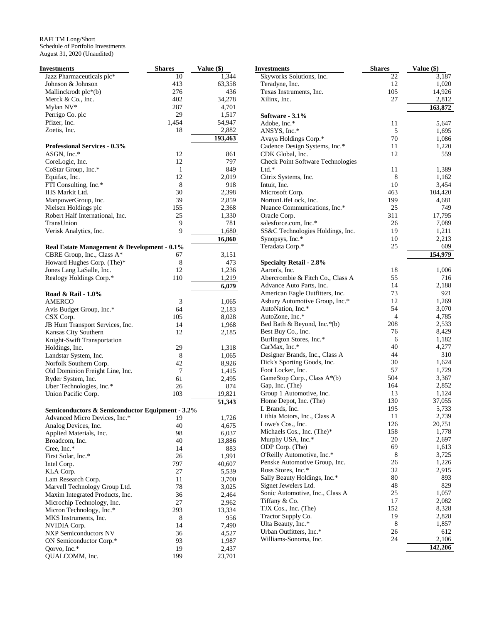| Investments                                               | <b>Shares</b> | Value (\$)     |
|-----------------------------------------------------------|---------------|----------------|
| Jazz Pharmaceuticals plc*                                 | 10            | 1,344          |
| Johnson & Johnson                                         | 413           | 63,358         |
| Mallinckrodt plc*(b)                                      | 276           | 436            |
| Merck & Co., Inc.                                         | 402           | 34,278         |
| Mylan NV*                                                 | 287           | 4,701          |
| Perrigo Co. plc                                           | 29            | 1,517          |
| Pfizer, Inc.                                              | 1,454         | 54,947         |
| Zoetis, Inc.                                              | 18            | 2,882          |
|                                                           |               | 193,463        |
| <b>Professional Services - 0.3%</b>                       |               |                |
| ASGN, Inc.*<br>CoreLogic, Inc.                            | 12<br>12      | 861<br>797     |
|                                                           | 1             |                |
| CoStar Group, Inc.*<br>Equifax, Inc.                      | 12            | 849<br>2,019   |
| FTI Consulting, Inc.*                                     | 8             | 918            |
| IHS Markit Ltd.                                           | 30            | 2,398          |
| ManpowerGroup, Inc.                                       | 39            | 2,859          |
| Nielsen Holdings plc                                      | 155           | 2,368          |
| Robert Half International, Inc.                           | 25            | 1,330          |
| TransUnion                                                | 9             | 781            |
| Verisk Analytics, Inc.                                    | 9             | 1,680          |
|                                                           |               | 16,860         |
| Real Estate Management & Development - 0.1%               |               |                |
| CBRE Group, Inc., Class A*                                | 67            | 3,151          |
| Howard Hughes Corp. (The)*                                | 8             | 473            |
| Jones Lang LaSalle, Inc.                                  | 12            | 1,236          |
| Realogy Holdings Corp.*                                   | 110           | 1,219          |
|                                                           |               | 6,079          |
| Road & Rail - 1.0%                                        |               |                |
| AMERCO                                                    | 3             | 1,065          |
| Avis Budget Group, Inc.*                                  | 64            | 2,183          |
| CSX Corp.                                                 | 105           | 8,028          |
| JB Hunt Transport Services, Inc.                          | 14            | 1,968          |
| Kansas City Southern                                      | 12            | 2,185          |
| Knight-Swift Transportation                               |               |                |
| Holdings, Inc.                                            | 29            | 1,318          |
| Landstar System, Inc.                                     | 8<br>42       | 1,065          |
| Norfolk Southern Corp.<br>Old Dominion Freight Line, Inc. | 7             | 8,926<br>1,415 |
| Ryder System, Inc.                                        | 61            | 2,495          |
| Uber Technologies, Inc.*                                  | 26            | 874            |
| Union Pacific Corp.                                       | 103           | 19,821         |
|                                                           |               | 51,343         |
| Semiconductors & Semiconductor Equipment - 3.2%           |               |                |
| Advanced Micro Devices, Inc.*                             | 19            | 1,726          |
| Analog Devices, Inc.                                      | 40            | 4,675          |
| Applied Materials, Inc.                                   | 98            | 6,037          |
| Broadcom, Inc.                                            | 40            | 13,886         |
| Cree, Inc.*                                               | 14            | 883            |
| First Solar, Inc.*                                        | 26            | 1,991          |
| Intel Corp.                                               | 797           | 40,607         |
| KLA Corp.                                                 | 27            | 5,539          |
| Lam Research Corp.                                        | 11            | 3,700          |
| Marvell Technology Group Ltd.                             | 78            | 3,025          |
| Maxim Integrated Products, Inc.                           | 36            | 2,464          |
| Microchip Technology, Inc.                                | 27            | 2,962          |
| Micron Technology, Inc.*                                  | 293           | 13,334         |
| MKS Instruments, Inc.                                     | 8             | 956            |
| NVIDIA Corp.                                              | 14            | 7,490          |
| <b>NXP Semiconductors NV</b>                              | 36            | 4,527          |
| ON Semiconductor Corp.*                                   | 93            | 1,987          |
| Qorvo, Inc.*                                              | 19            | 2,437          |
| QUALCOMM, Inc.                                            | 199           | 23,701         |

| <b>Investments</b>                                | Shares    | Value (\$)      |
|---------------------------------------------------|-----------|-----------------|
| Skyworks Solutions, Inc.                          | 22        | 3,187           |
| Teradyne, Inc.                                    | 12        | 1,020           |
| Texas Instruments, Inc.                           | 105       | 14,926          |
| Xilinx, Inc.                                      | 27        | 2,812           |
|                                                   |           | 163,872         |
| Software - 3.1%                                   |           |                 |
| Adobe, Inc.*                                      | 11        | 5,647           |
| ANSYS, Inc.*                                      | 5         | 1,695           |
| Avaya Holdings Corp.*                             | 70        | 1,086           |
| Cadence Design Systems, Inc.*                     | 11        | 1,220           |
| CDK Global, Inc.                                  | 12        | 559             |
| <b>Check Point Software Technologies</b><br>Ltd.* | 11        | 1,389           |
| Citrix Systems, Inc.                              | 8         | 1,162           |
| Intuit, Inc.                                      | 10        | 3,454           |
| Microsoft Corp.                                   | 463       | 104,420         |
| NortonLifeLock, Inc.                              | 199       | 4,681           |
| Nuance Communications, Inc.*                      | 25        | 749             |
| Oracle Corp.                                      | 311       | 17,795          |
| salesforce.com, Inc.*                             | 26        | 7,089           |
| SS&C Technologies Holdings, Inc.                  | 19        | 1,211           |
| Synopsys, Inc.*                                   | 10        | 2,213           |
| Teradata Corp.*                                   | 25        | 609             |
|                                                   |           | 154,979         |
| <b>Specialty Retail - 2.8%</b>                    |           |                 |
| Aaron's, Inc.                                     | 18        | 1,006           |
| Abercrombie & Fitch Co., Class A                  | 55        | 716             |
| Advance Auto Parts, Inc.                          | 14        | 2,188           |
| American Eagle Outfitters, Inc.                   | 73        | 921             |
| Asbury Automotive Group, Inc.*                    | 12        | 1,269           |
| AutoNation, Inc.*                                 | 54        | 3,070           |
| AutoZone, Inc.*                                   | 4         | 4,785           |
| Bed Bath & Beyond, Inc.*(b)                       | 208       | 2,533           |
| Best Buy Co., Inc.                                | 76        | 8,429           |
| Burlington Stores, Inc.*                          | 6         | 1,182           |
| CarMax, Inc.*                                     | 40        | 4,277           |
| Designer Brands, Inc., Class A                    | 44        | 310             |
| Dick's Sporting Goods, Inc.                       | 30        | 1,624           |
| Foot Locker, Inc.                                 | 57        | 1,729           |
| GameStop Corp., Class A*(b)                       | 504       | 3,367           |
| Gap, Inc. (The)                                   | 164       | 2,852           |
| Group 1 Automotive, Inc.                          | 13<br>130 | 1,124           |
| Home Depot, Inc. (The)<br>L Brands, Inc.          | 195       | 37,055<br>5,733 |
| Lithia Motors, Inc., Class A                      | 11        | 2,739           |
| Lowe's Cos., Inc.                                 | 126       | 20,751          |
| Michaels Cos., Inc. (The)*                        | 158       | 1,778           |
| Murphy USA, Inc.*                                 | 20        | 2,697           |
| ODP Corp. (The)                                   | 69        | 1,613           |
| O'Reilly Automotive, Inc.*                        | 8         | 3,725           |
| Penske Automotive Group, Inc.                     | 26        | 1,226           |
| Ross Stores, Inc.*                                | 32        | 2,915           |
| Sally Beauty Holdings, Inc.*                      | 80        | 893             |
| Signet Jewelers Ltd.                              | 48        | 829             |
| Sonic Automotive, Inc., Class A                   | 25        | 1,057           |
| Tiffany & Co.                                     | 17        | 2,082           |
| TJX Cos., Inc. (The)                              | 152       | 8,328           |
| Tractor Supply Co.                                | 19        | 2,828           |
| Ulta Beauty, Inc.*                                | 8         | 1,857           |
| Urban Outfitters, Inc.*                           | 26        | 612             |
| Williams-Sonoma, Inc.                             | 24        | 2,106           |
|                                                   |           | 142,206         |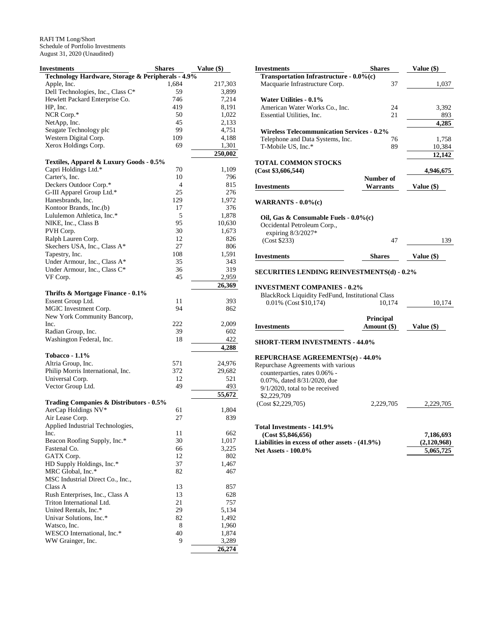| Investments                                       | <b>Shares</b>  | Value (\$) |
|---------------------------------------------------|----------------|------------|
| Technology Hardware, Storage & Peripherals - 4.9% |                |            |
| Apple, Inc.                                       | 1,684          | 217,303    |
| Dell Technologies, Inc., Class C*                 | 59             | 3,899      |
| Hewlett Packard Enterprise Co.                    | 746            | 7,214      |
| HP, Inc.                                          | 419            | 8,191      |
| NCR Corp.*                                        | 50             | 1,022      |
| NetApp, Inc.                                      | 45             | 2,133      |
| Seagate Technology plc                            | 99             | 4,751      |
| Western Digital Corp.                             | 109            | 4,188      |
| Xerox Holdings Corp.                              | 69             | 1,301      |
|                                                   |                | 250,002    |
| Textiles, Apparel & Luxury Goods - 0.5%           |                |            |
| Capri Holdings Ltd.*                              | 70             | 1,109      |
| Carter's, Inc.                                    | 10             | 796        |
| Deckers Outdoor Corp.*                            | $\overline{4}$ | 815        |
| G-III Apparel Group Ltd.*                         | 25             | 276        |
| Hanesbrands, Inc.                                 | 129            | 1,972      |
| Kontoor Brands, Inc.(b)                           | 17             | 376        |
| Lululemon Athletica, Inc.*                        | 5              | 1,878      |
| NIKE, Inc., Class B                               | 95             | 10,630     |
| PVH Corp.                                         | 30             | 1,673      |
| Ralph Lauren Corp.                                | 12             | 826        |
| Skechers USA, Inc., Class A*                      | 27             | 806        |
| Tapestry, Inc.                                    | 108            | 1,591      |
| Under Armour, Inc., Class A*                      | 35             | 343        |
| Under Armour, Inc., Class C*                      | 36             | 319        |
| VF Corp.                                          | 45             | 2,959      |
|                                                   |                | 26,369     |
| Thrifts & Mortgage Finance - 0.1%                 |                |            |
| Essent Group Ltd.                                 | 11             | 393        |
| MGIC Investment Corp.                             | 94             | 862        |
| New York Community Bancorp,                       |                |            |
| Inc.                                              | 222            | 2,009      |
| Radian Group, Inc.                                | 39             | 602        |
| Washington Federal, Inc.                          | 18             | 422        |
|                                                   |                | 4,288      |
| <b>Tobacco - 1.1%</b>                             |                |            |
| Altria Group, Inc.                                | 571            | 24,976     |
| Philip Morris International, Inc.                 | 372            | 29,682     |
| Universal Corp.                                   | 12             | 521        |
| Vector Group Ltd.                                 | 49             | 493        |
|                                                   |                | 55,672     |
| Trading Companies & Distributors - 0.5%           |                |            |
| AerCap Holdings NV*                               | 61             | 1,804      |
| Air Lease Corp.                                   | 27             | 839        |
| Applied Industrial Technologies,                  |                |            |
| Inc.                                              | 11             | 662        |
| Beacon Roofing Supply, Inc.*                      | 30             | 1,017      |
| Fastenal Co.                                      | 66             | 3,225      |
| GATX Corp.                                        | 12             | 802        |
| HD Supply Holdings, Inc.*                         | 37             | 1,467      |
| MRC Global, Inc.*                                 | 82             | 467        |
| MSC Industrial Direct Co., Inc.,                  |                |            |
| Class A                                           | 13             | 857        |
| Rush Enterprises, Inc., Class A                   | 13             | 628        |
| Triton International Ltd.                         | 21             | 757        |
| United Rentals, Inc.*                             | 29             | 5,134      |
| Univar Solutions, Inc.*                           | 82             | 1,492      |
| Watsco, Inc.                                      | 8              | 1,960      |
| WESCO International, Inc.*                        | 40             | 1,874      |
| WW Grainger, Inc.                                 | 9              | 3,289      |
|                                                   |                | 26,274     |

| <b>Investments</b>                                | Shares           | Value (\$)  |
|---------------------------------------------------|------------------|-------------|
| Transportation Infrastructure - 0.0%(c)           |                  |             |
| Macquarie Infrastructure Corp.                    | 37               | 1,037       |
| Water Utilities - 0.1%                            |                  |             |
| American Water Works Co., Inc.                    | 24               | 3,392       |
| Essential Utilities, Inc.                         | 21               | 893         |
|                                                   |                  | 4,285       |
| <b>Wireless Telecommunication Services - 0.2%</b> |                  |             |
| Telephone and Data Systems, Inc.                  | 76               | 1,758       |
| T-Mobile US, Inc.*                                | 89               | 10,384      |
|                                                   |                  | 12,142      |
| <b>TOTAL COMMON STOCKS</b>                        |                  |             |
| (Cost \$3,606,544)                                |                  | 4,946,675   |
|                                                   | Number of        |             |
|                                                   | Warrants         |             |
| <b>Investments</b>                                |                  | Value (\$)  |
| WARRANTS $-0.0\%$ (c)                             |                  |             |
| Oil, Gas & Consumable Fuels - 0.0%(c)             |                  |             |
| Occidental Petroleum Corp.,                       |                  |             |
| expiring 8/3/2027*                                |                  |             |
| (Cost \$233)                                      | 47               | 139         |
|                                                   |                  |             |
| <b>Investments</b>                                | Shares           | Value (\$)  |
| SECURITIES LENDING REINVESTMENTS(d) - 0.2%        |                  |             |
|                                                   |                  |             |
| <b>INVESTMENT COMPANIES - 0.2%</b>                |                  |             |
| BlackRock Liquidity FedFund, Institutional Class  |                  |             |
| 0.01% (Cost \$10,174)                             | 10,174           | 10,174      |
|                                                   |                  |             |
|                                                   | <b>Principal</b> |             |
| <b>Investments</b>                                | Amount (\$)      | Value (\$)  |
| <b>SHORT-TERM INVESTMENTS - 44.0%</b>             |                  |             |
|                                                   |                  |             |
| <b>REPURCHASE AGREEMENTS(e) - 44.0%</b>           |                  |             |
| Repurchase Agreements with various                |                  |             |
| counterparties, rates 0.06% -                     |                  |             |
| 0.07%, dated 8/31/2020, due                       |                  |             |
| $9/1/2020$ , total to be received                 |                  |             |
| \$2,229,709                                       |                  |             |
| (Cost \$2,229,705)                                | 2,229,705        | 2,229,705   |
|                                                   |                  |             |
|                                                   |                  |             |
| Total Investments - 141.9%                        |                  |             |
| (Cost \$5,846,656)                                |                  | 7,186,693   |
| Liabilities in excess of other assets $-(41.9\%)$ |                  | (2,120,968) |
| <b>Net Assets - 100.0%</b>                        |                  | 5,065,725   |
|                                                   |                  |             |
|                                                   |                  |             |
|                                                   |                  |             |
|                                                   |                  |             |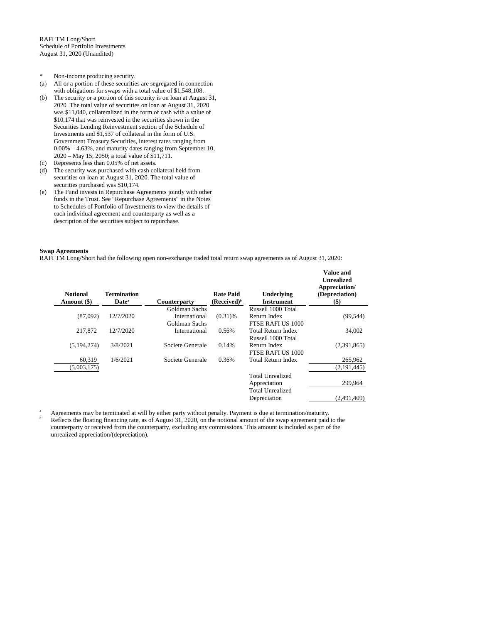- \* Non-income producing security.
- (a) All or a portion of these securities are segregated in connection with obligations for swaps with a total value of \$1,548,108.
- (b) The security or a portion of this security is on loan at August 31, 2020. The total value of securities on loan at August 31, 2020 was \$11,040, collateralized in the form of cash with a value of \$10,174 that was reinvested in the securities shown in the Securities Lending Reinvestment section of the Schedule of Investments and \$1,537 of collateral in the form of U.S. Government Treasury Securities, interest rates ranging from 0.00% – 4.63%, and maturity dates ranging from September 10, 2020 – May 15, 2050; a total value of \$11,711.
- (c) Represents less than 0.05% of net assets.
- (d) The security was purchased with cash collateral held from securities on loan at August 31, 2020. The total value of securities purchased was \$10,174.
- (e) The Fund invests in Repurchase Agreements jointly with other funds in the Trust. See "Repurchase Agreements" in the Notes to Schedules of Portfolio of Investments to view the details of each individual agreement and counterparty as well as a description of the securities subject to repurchase.

### **Swap Agreements**

RAFI TM Long/Short had the following open non-exchange traded total return swap agreements as of August 31, 2020:

| <b>Notional</b><br>Amount (\$) | Termination<br>Date <sup>a</sup> | <b>Counterparty</b> | <b>Rate Paid</b><br>(Received) <sup>b</sup> | <b>Underlying</b><br><b>Instrument</b> | <b>Value and</b><br><b>Unrealized</b><br>Appreciation/<br>(Depreciation)<br>$(\$)$ |
|--------------------------------|----------------------------------|---------------------|---------------------------------------------|----------------------------------------|------------------------------------------------------------------------------------|
|                                |                                  | Goldman Sachs       |                                             | Russell 1000 Total                     |                                                                                    |
| (87,092)                       | 12/7/2020                        | International       | $(0.31)$ %                                  | Return Index                           | (99, 544)                                                                          |
|                                |                                  | Goldman Sachs       |                                             | FTSE RAFI US 1000                      |                                                                                    |
| 217,872                        | 12/7/2020                        | International       | 0.56%                                       | Total Return Index                     | 34,002                                                                             |
|                                |                                  |                     |                                             | Russell 1000 Total                     |                                                                                    |
| (5, 194, 274)                  | 3/8/2021                         | Societe Generale    | 0.14%                                       | Return Index                           | (2,391,865)                                                                        |
|                                |                                  |                     |                                             | FTSE RAFI US 1000                      |                                                                                    |
| 60.319                         | 1/6/2021                         | Societe Generale    | 0.36%                                       | <b>Total Return Index</b>              | 265,962                                                                            |
| (5,003,175)                    |                                  |                     |                                             |                                        | (2,191,445)                                                                        |
|                                |                                  |                     |                                             | Total Unrealized                       |                                                                                    |
|                                |                                  |                     |                                             | Appreciation                           | 299,964                                                                            |
|                                |                                  |                     |                                             | <b>Total Unrealized</b>                |                                                                                    |
|                                |                                  |                     |                                             | Depreciation                           | (2,491,409)                                                                        |

<sup>a</sup> Agreements may be terminated at will by either party without penalty. Payment is due at termination/maturity. Reflects the floating financing rate, as of August 31, 2020, on the notional amount of the swap agreement paid to the counterparty or received from the counterparty, excluding any commissions. This amount is included as part of the unrealized appreciation/(depreciation).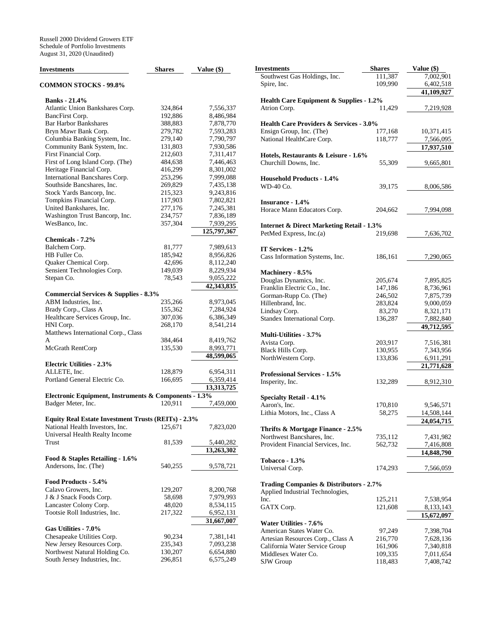| Investments                                                                 | <b>Shares</b>     | Value (\$)              |
|-----------------------------------------------------------------------------|-------------------|-------------------------|
| <b>COMMON STOCKS - 99.8%</b>                                                |                   |                         |
| <b>Banks</b> - 21.4%                                                        |                   |                         |
| Atlantic Union Bankshares Corp.                                             | 324,864           | 7,556,337               |
| BancFirst Corp.                                                             | 192,886           | 8,486,984               |
| <b>Bar Harbor Bankshares</b>                                                | 388,883           | 7,878,770               |
| Bryn Mawr Bank Corp.                                                        | 279,782           | 7,593,283               |
| Columbia Banking System, Inc.                                               | 279,140           | 7,790,797               |
| Community Bank System, Inc.                                                 | 131,803           | 7,930,586               |
| First Financial Corp.                                                       | 212,603           | 7,311,417               |
| First of Long Island Corp. (The)                                            | 484,638           | 7,446,463               |
| Heritage Financial Corp.                                                    | 416,299           | 8,301,002               |
| International Bancshares Corp.                                              | 253,296           | 7,999,088               |
| Southside Bancshares, Inc.                                                  | 269,829           | 7,435,138               |
| Stock Yards Bancorp, Inc.                                                   | 215,323           | 9,243,816               |
| Tompkins Financial Corp.                                                    | 117,903           | 7,802,821               |
| United Bankshares, Inc.                                                     | 277,176           | 7,245,381               |
| Washington Trust Bancorp, Inc.                                              | 234,757           | 7,836,189               |
| WesBanco, Inc.                                                              | 357,304           | 7,939,295               |
|                                                                             |                   | 125,797,367             |
| Chemicals - 7.2%                                                            |                   |                         |
| Balchem Corp.                                                               | 81,777            | 7,989,613               |
| HB Fuller Co.                                                               | 185,942           | 8,956,826               |
| Quaker Chemical Corp.                                                       | 42,696            | 8,112,240               |
| Sensient Technologies Corp.                                                 | 149,039<br>78,543 | 8,229,934               |
| Stepan Co.                                                                  |                   | 9,055,222<br>42,343,835 |
| <b>Commercial Services &amp; Supplies - 8.3%</b>                            |                   |                         |
| ABM Industries, Inc.                                                        | 235,266           | 8,973,045               |
| Brady Corp., Class A                                                        | 155,362           | 7,284,924               |
| Healthcare Services Group, Inc.                                             | 307,036           | 6,386,349               |
| HNI Corp.                                                                   | 268,170           | 8,541,214               |
| Matthews International Corp., Class                                         |                   |                         |
| A                                                                           | 384,464           | 8,419,762               |
| McGrath RentCorp                                                            | 135,530           | 8,993,771               |
|                                                                             |                   | 48,599,065              |
| <b>Electric Utilities - 2.3%</b>                                            |                   |                         |
| ALLETE, Inc.                                                                | 128,879           | 6,954,311               |
| Portland General Electric Co.                                               | 166,695           | 6,359,414               |
|                                                                             |                   | 13,313,725              |
| Electronic Equipment, Instruments & Components - 1.3%<br>Badger Meter, Inc. | 120,911           | 7,459,000               |
|                                                                             |                   |                         |
| Equity Real Estate Investment Trusts (REITs) - 2.3%                         |                   |                         |
| National Health Investors, Inc.<br>Universal Health Realty Income           | 125,671           | 7,823,020               |
| Trust                                                                       | 81,539            | 5,440,282               |
|                                                                             |                   | 13,263,302              |
| Food & Staples Retailing - 1.6%<br>Andersons, Inc. (The)                    | 540,255           | 9,578,721               |
| Food Products - 5.4%                                                        |                   |                         |
| Calavo Growers, Inc.                                                        | 129,207           | 8,200,768               |
| J & J Snack Foods Corp.                                                     | 58,698            | 7,979,993               |
| Lancaster Colony Corp.                                                      | 48,020            | 8,534,115               |
| Tootsie Roll Industries, Inc.                                               | 217,322           | 6,952,131               |
|                                                                             |                   | 31,667,007              |
| Gas Utilities - 7.0%                                                        |                   |                         |
| Chesapeake Utilities Corp.                                                  | 90,234            | 7,381,141               |
| New Jersey Resources Corp.                                                  | 235,343           | 7,093,238               |
| Northwest Natural Holding Co.                                               | 130,207           | 6,654,880               |
| South Jersey Industries, Inc.                                               | 296,851           | 6,575,249               |

| Investments                                          | <b>Shares</b> | Value (\$) |
|------------------------------------------------------|---------------|------------|
| Southwest Gas Holdings, Inc.                         | 111,387       | 7,002,901  |
| Spire, Inc.                                          | 109,990       | 6,402,518  |
|                                                      |               | 41,109,927 |
| Health Care Equipment & Supplies - 1.2%              |               |            |
| Atrion Corp.                                         | 11,429        | 7,219,928  |
|                                                      |               |            |
| <b>Health Care Providers &amp; Services - 3.0%</b>   |               |            |
| Ensign Group, Inc. (The)                             | 177,168       | 10,371,415 |
| National HealthCare Corp.                            | 118,777       | 7,566,095  |
|                                                      |               | 17,937,510 |
| Hotels, Restaurants & Leisure - 1.6%                 |               |            |
| Churchill Downs, Inc.                                | 55,309        | 9,665,801  |
|                                                      |               |            |
| <b>Household Products - 1.4%</b>                     |               |            |
| WD-40 Co.                                            | 39,175        | 8,006,586  |
|                                                      |               |            |
| Insurance - 1.4%                                     |               |            |
| Horace Mann Educators Corp.                          | 204,662       | 7,994,098  |
| <b>Internet &amp; Direct Marketing Retail - 1.3%</b> |               |            |
| PetMed Express, Inc.(a)                              | 219,698       | 7,636,702  |
|                                                      |               |            |
| IT Services - 1.2%                                   |               |            |
| Cass Information Systems, Inc.                       | 186,161       | 7,290,065  |
|                                                      |               |            |
| Machinery - 8.5%                                     |               |            |
| Douglas Dynamics, Inc.                               | 205,674       | 7,895,825  |
| Franklin Electric Co., Inc.                          | 147,186       | 8,736,961  |
| Gorman-Rupp Co. (The)                                | 246,502       | 7,875,739  |
| Hillenbrand, Inc.                                    | 283,824       | 9,000,059  |
| Lindsay Corp.                                        | 83,270        | 8,321,171  |
| Standex International Corp.                          | 136,287       | 7,882,840  |
|                                                      |               | 49,712,595 |
| Multi-Utilities - 3.7%                               |               |            |
| Avista Corp.                                         | 203,917       | 7,516,381  |
| Black Hills Corp.                                    | 130,955       | 7,343,956  |
| NorthWestern Corp.                                   | 133,836       | 6,911,291  |
|                                                      |               | 21,771,628 |
| <b>Professional Services - 1.5%</b>                  |               |            |
| Insperity, Inc.                                      | 132,289       | 8,912,310  |
|                                                      |               |            |
| <b>Specialty Retail - 4.1%</b>                       |               |            |
| Aaron's, Inc.                                        | 170,810       | 9,546,571  |
| Lithia Motors, Inc., Class A                         | 58,275        | 14,508,144 |
|                                                      |               | 24,054,715 |
| Thrifts & Mortgage Finance - 2.5%                    |               |            |
| Northwest Bancshares, Inc.                           | 735,112       | 7,431,982  |
| Provident Financial Services, Inc.                   | 562,732       | 7,416,808  |
|                                                      |               | 14,848,790 |
| <b>Tobacco - 1.3%</b>                                |               |            |
| Universal Corp.                                      | 174,293       | 7,566,059  |
|                                                      |               |            |
| <b>Trading Companies &amp; Distributors - 2.7%</b>   |               |            |
| Applied Industrial Technologies,                     |               |            |
| Inc.                                                 | 125,211       | 7,538,954  |
| GATX Corp.                                           | 121,608       | 8,133,143  |
|                                                      |               | 15,672,097 |
| Water Utilities - 7.6%                               |               |            |
| American States Water Co.                            | 97,249        | 7,398,704  |
| Artesian Resources Corp., Class A                    | 216,770       | 7,628,136  |
| California Water Service Group                       | 161,906       | 7,340,818  |
| Middlesex Water Co.                                  | 109,335       | 7,011,654  |
| SJW Group                                            | 118,483       | 7,408,742  |
|                                                      |               |            |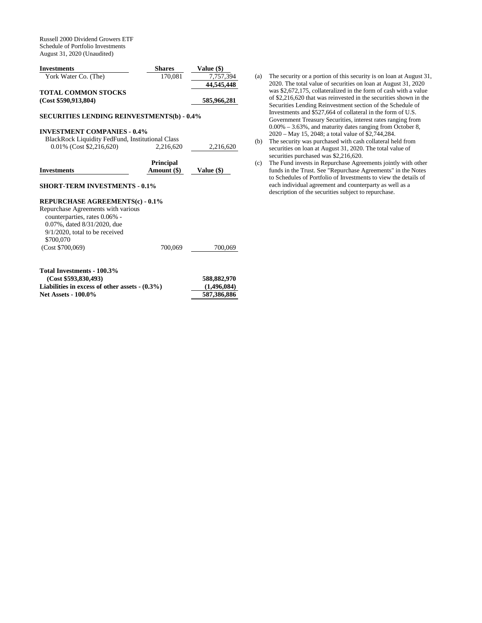Russell 2000 Dividend Growers ETF Schedule of Portfolio Investments August 31, 2020 (Unaudited)

| <b>Investments</b>                                 | <b>Shares</b> | Value (\$)  |
|----------------------------------------------------|---------------|-------------|
| York Water Co. (The)                               | 170.081       | 7.757.394   |
|                                                    |               | 44,545,448  |
| <b>TOTAL COMMON STOCKS</b><br>(Cost \$590,913,804) |               | 585,966,281 |

# **SECURITIES LENDING REINVESTMENTS(b) - 0.4%**

# **INVESTMENT COMPANIES - 0.4%**

| BlackRock Liquidity FedFund, Institutional Class |           |           |
|--------------------------------------------------|-----------|-----------|
| $0.01\%$ (Cost \$2,216,620)                      | 2,216,620 | 2.216.620 |

|                    | <b>Principal</b> |              |
|--------------------|------------------|--------------|
| <b>Investments</b> | Amount (\$)      | Value $(\$)$ |

#### **SHORT-TERM INVESTMENTS - 0.1%**

### **REPURCHASE AGREEMENTS(c) - 0.1%**

Repurchase Agreements with various counterparties, rates 0.06% - 0.07%, dated 8/31/2020, due 9/1/2020, total to be received \$700,070 (Cost \$700,069) 700,069 700,069

| Total Investments - 100.3%                       |             |
|--------------------------------------------------|-------------|
| (Cost \$593.830.493)                             | 588,882,970 |
| Liabilities in excess of other assets $-(0.3\%)$ | (1,496,084) |
| <b>Net Assets - 100.0%</b>                       | 587.386.886 |

- (a) The security or a portion of this security is on loan at August 31, 2020. The total value of securities on loan at August 31, 2020 was \$2,672,175, collateralized in the form of cash with a value of \$2,216,620 that was reinvested in the securities shown in the Securities Lending Reinvestment section of the Schedule of Investments and \$527,664 of collateral in the form of U.S. Government Treasury Securities, interest rates ranging from 0.00% – 3.63%, and maturity dates ranging from October 8, 2020 – May 15, 2048; a total value of \$2,744,284.
- (b) The security was purchased with cash collateral held from securities on loan at August 31, 2020. The total value of securities purchased was \$2,216,620.
- (c) The Fund invests in Repurchase Agreements jointly with other funds in the Trust. See "Repurchase Agreements" in the Notes to Schedules of Portfolio of Investments to view the details of each individual agreement and counterparty as well as a description of the securities subject to repurchase.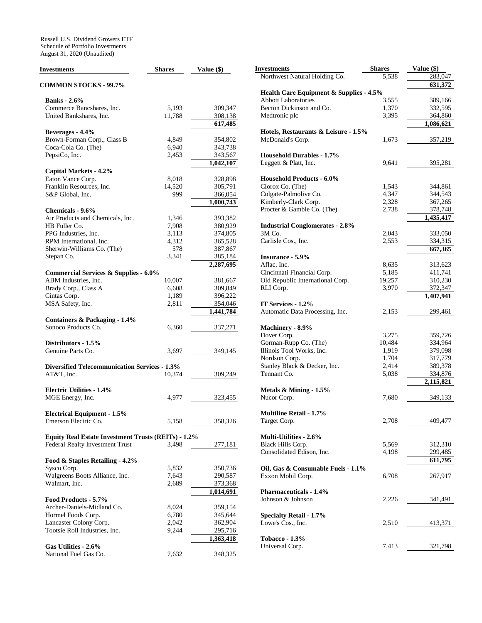Russell U.S. Dividend Growers ETF Schedule of Portfolio Investments August 31, 2020 (Unaudited)

| <b>Investments</b>                                   | <b>Shares</b> | Value (\$)           |
|------------------------------------------------------|---------------|----------------------|
| <b>COMMON STOCKS - 99.7%</b>                         |               |                      |
| <b>Banks</b> - 2.6%                                  |               |                      |
| Commerce Bancshares, Inc.                            | 5,193         | 309,347              |
| United Bankshares, Inc.                              | 11,788        | 308,138              |
|                                                      |               | 617,485              |
| Beverages - 4.4%                                     |               |                      |
| Brown-Forman Corp., Class B                          | 4,849         | 354,802              |
| Coca-Cola Co. (The)                                  | 6,940         | 343,738              |
| PepsiCo, Inc.                                        | 2,453         | 343,567              |
|                                                      |               | 1,042,107            |
| Capital Markets - 4.2%                               |               |                      |
| Eaton Vance Corp.                                    | 8,018         | 328,898              |
| Franklin Resources, Inc.                             | 14,520        | 305,791              |
| S&P Global, Inc.                                     | 999           | 366,054              |
|                                                      |               | 1,000,743            |
| Chemicals - 9.6%                                     |               |                      |
| Air Products and Chemicals, Inc.                     | 1,346         | 393,382              |
| HB Fuller Co.                                        | 7,908         | 380,929              |
| PPG Industries, Inc.                                 | 3,113         | 374,805              |
| RPM International, Inc.                              | 4,312         | 365,528              |
| Sherwin-Williams Co. (The)                           | 578           | 387,867              |
| Stepan Co.                                           | 3,341         | 385,184              |
|                                                      |               | 2,287,695            |
| <b>Commercial Services &amp; Supplies - 6.0%</b>     |               |                      |
| ABM Industries, Inc.                                 | 10,007        | 381,667              |
| Brady Corp., Class A                                 | 6,608         | 309,849              |
| Cintas Corp.                                         | 1,189         | 396,222              |
| MSA Safety, Inc.                                     | 2,811         | 354,046<br>1,441,784 |
| Containers & Packaging - 1.4%                        |               |                      |
| Sonoco Products Co.                                  | 6,360         | 337,271              |
| Distributors - 1.5%                                  |               |                      |
| Genuine Parts Co.                                    | 3,697         | 349,145              |
|                                                      |               |                      |
| <b>Diversified Telecommunication Services - 1.3%</b> |               |                      |
| AT&T, Inc.                                           | 10,374        | 309,249              |
|                                                      |               |                      |
| <b>Electric Utilities - 1.4%</b>                     |               |                      |
| MGE Energy, Inc.                                     | 4,977         | 323,455              |
| <b>Electrical Equipment - 1.5%</b>                   |               |                      |
| Emerson Electric Co.                                 | 5,158         | 358,326              |
|                                                      |               |                      |
| Equity Real Estate Investment Trusts (REITs) - 1.2%  |               |                      |
| Federal Realty Investment Trust                      | 3,498         | 277,181              |
|                                                      |               |                      |
| Food & Staples Retailing - 4.2%                      |               |                      |
| Sysco Corp.                                          | 5,832         | 350,736              |
| Walgreens Boots Alliance, Inc.                       | 7,643         | 290,587              |
| Walmart, Inc.                                        | 2,689         | 373,368              |
| Food Products - 5.7%                                 |               | 1,014,691            |
| Archer-Daniels-Midland Co.                           |               |                      |
|                                                      | 8,024         | 359,154              |
| Hormel Foods Corp.                                   | 6,780         | 345,644              |
| Lancaster Colony Corp.                               | 2,042         | 362,904              |
| Tootsie Roll Industries, Inc.                        | 9,244         | 295,716<br>1,363,418 |
| Gas Utilities - 2.6%                                 |               |                      |
| National Fuel Gas Co.                                | 7,632         | 348,325              |
|                                                      |               |                      |

| Investments                                      | Shares         | Value (\$)                        |
|--------------------------------------------------|----------------|-----------------------------------|
| Northwest Natural Holding Co.                    | 5,538          | 283,047                           |
|                                                  |                | 631,372                           |
| Health Care Equipment & Supplies - 4.5%          |                |                                   |
| <b>Abbott Laboratories</b>                       | 3,555          | 389,166                           |
| Becton Dickinson and Co.                         | 1,370          | 332,595                           |
| Medtronic plc                                    | 3,395          | 364,860                           |
|                                                  |                | 1,086,621                         |
| Hotels, Restaurants & Leisure - 1.5%             |                |                                   |
| McDonald's Corp.                                 | 1,673          | 357,219                           |
|                                                  |                |                                   |
| <b>Household Durables - 1.7%</b>                 |                |                                   |
| Leggett & Platt, Inc.                            | 9,641          | 395,281                           |
|                                                  |                |                                   |
| <b>Household Products - 6.0%</b>                 |                |                                   |
| Clorox Co. (The)                                 | 1,543          | 344,861                           |
| Colgate-Palmolive Co.                            | 4,347          | 344,543                           |
| Kimberly-Clark Corp.                             | 2,328          | 367,265                           |
| Procter & Gamble Co. (The)                       | 2,738          | 378,748                           |
|                                                  |                | 1,435,417                         |
| <b>Industrial Conglomerates - 2.8%</b><br>3M Co. |                |                                   |
| Carlisle Cos., Inc.                              | 2,043<br>2,553 | 333,050<br>334,315                |
|                                                  |                | 667,365                           |
| <b>Insurance - 5.9%</b>                          |                |                                   |
| Aflac, Inc.                                      | 8,635          | 313,623                           |
| Cincinnati Financial Corp.                       | 5,185          | 411,741                           |
| Old Republic International Corp.                 | 19,257         | 310,230                           |
| RLI Corp.                                        | 3,970          | 372,347                           |
|                                                  |                | 1,407,941                         |
| IT Services - 1.2%                               |                |                                   |
| Automatic Data Processing, Inc.                  | 2,153          | 299,461                           |
|                                                  |                |                                   |
| Machinery - 8.9%                                 |                |                                   |
| Dover Corp.                                      | 3,275          | 359,726                           |
| Gorman-Rupp Co. (The)                            | 10,484         | 334,964                           |
| Illinois Tool Works, Inc.                        | 1,919          | 379,098                           |
| Nordson Corp.                                    | 1,704          | 317,779                           |
| Stanley Black & Decker, Inc.<br>Tennant Co.      | 2,414          | 389,378                           |
|                                                  | 5,038          | 334,876<br>$\overline{2,}115,821$ |
| Metals & Mining - 1.5%                           |                |                                   |
| Nucor Corp.                                      | 7,680          | 349,133                           |
|                                                  |                |                                   |
| <b>Multiline Retail - 1.7%</b>                   |                |                                   |
| Target Corp.                                     | 2,708          | 409,477                           |
|                                                  |                |                                   |
| Multi-Utilities - 2.6%                           |                |                                   |
| Black Hills Corp.                                | 5,569          | 312,310                           |
| Consolidated Edison, Inc.                        | 4,198          | 299,485                           |
|                                                  |                | 611,795                           |
| Oil, Gas & Consumable Fuels - 1.1%               |                |                                   |
| Exxon Mobil Corp.                                | 6,708          | 267,917                           |
|                                                  |                |                                   |
| <b>Pharmaceuticals - 1.4%</b>                    |                |                                   |
| Johnson & Johnson                                | 2,226          | 341,491                           |
|                                                  |                |                                   |
| <b>Specialty Retail - 1.7%</b>                   |                |                                   |
| Lowe's Cos., Inc.                                | 2,510          | 413,371                           |
|                                                  |                |                                   |
| <b>Tobacco - 1.3%</b>                            |                |                                   |
| Universal Corp.                                  | 7,413          | 321,798                           |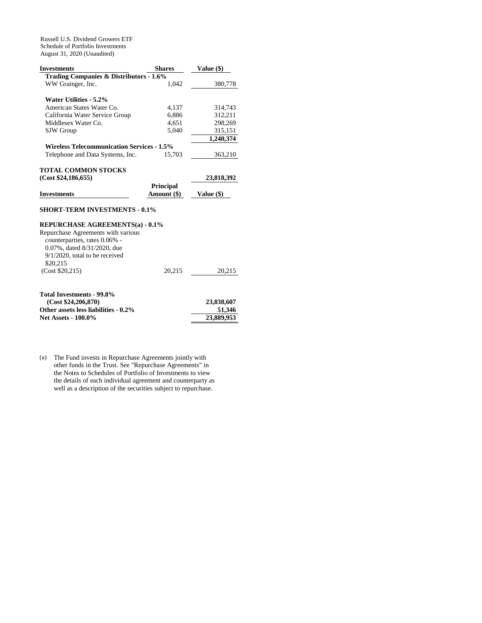Russell U.S. Dividend Growers ETF Schedule of Portfolio Investments August 31, 2020 (Unaudited)

| <b>Investments</b><br><b>Shares</b>                |                  | Value (\$) |  |
|----------------------------------------------------|------------------|------------|--|
| <b>Trading Companies &amp; Distributors - 1.6%</b> |                  |            |  |
| WW Grainger, Inc.                                  | 1,042            | 380,778    |  |
| Water Utilities - 5.2%                             |                  |            |  |
| American States Water Co.                          | 4,137            | 314,743    |  |
| California Water Service Group                     | 6,886            | 312,211    |  |
| Middlesex Water Co.                                | 4,651            | 298,269    |  |
| <b>SJW</b> Group                                   | 5,040            | 315,151    |  |
|                                                    |                  | 1,240,374  |  |
| <b>Wireless Telecommunication Services - 1.5%</b>  |                  |            |  |
| Telephone and Data Systems, Inc.                   | 15,703           | 363,210    |  |
|                                                    |                  |            |  |
| <b>TOTAL COMMON STOCKS</b>                         |                  |            |  |
| (Cost \$24,186,655)                                |                  | 23,818,392 |  |
|                                                    | <b>Principal</b> |            |  |
| <b>Investments</b>                                 | Amount (\$)      | Value (\$) |  |
| <b>SHORT-TERM INVESTMENTS - 0.1%</b>               |                  |            |  |
| <b>REPURCHASE AGREEMENTS(a) - 0.1%</b>             |                  |            |  |
| Repurchase Agreements with various                 |                  |            |  |
| counterparties, rates 0.06% -                      |                  |            |  |
| 0.07%, dated 8/31/2020, due                        |                  |            |  |
| $9/1/2020$ , total to be received                  |                  |            |  |
| \$20,215                                           |                  |            |  |
| (Cost \$20,215)                                    | 20,215           | 20,215     |  |
|                                                    |                  |            |  |
| Total Investments - 99.8%                          |                  |            |  |

| 23,838,607 |
|------------|
| 51,346     |
| 23,889,953 |
|            |

(a) The Fund invests in Repurchase Agreements jointly with other funds in the Trust. See "Repurchase Agreements" in the Notes to Schedules of Portfolio of Investments to view the details of each individual agreement and counterparty as well as a description of the securities subject to repurchase.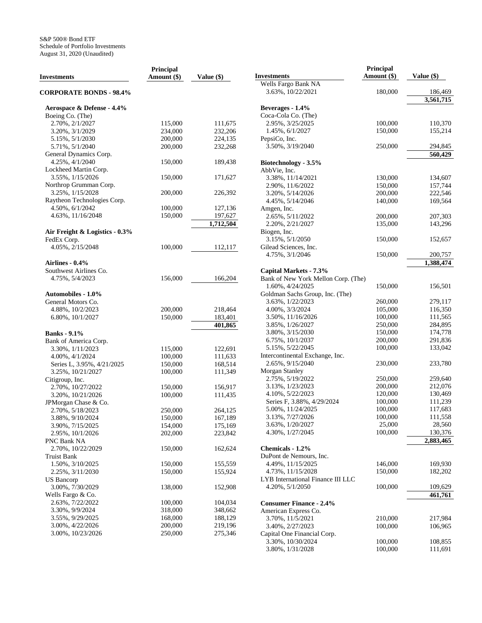|                                | Principal   |            |                                      | Principal   |                      |
|--------------------------------|-------------|------------|--------------------------------------|-------------|----------------------|
| <b>Investments</b>             | Amount (\$) | Value (\$) | <b>Investments</b>                   | Amount (\$) | Value (\$)           |
|                                |             |            | Wells Fargo Bank NA                  |             |                      |
| <b>CORPORATE BONDS - 98.4%</b> |             |            | 3.63%, 10/22/2021                    | 180,000     | 186,469<br>3,561,715 |
| Aerospace & Defense - 4.4%     |             |            | Beverages - 1.4%                     |             |                      |
| Boeing Co. (The)               |             |            | Coca-Cola Co. (The)                  |             |                      |
| 2.70%, 2/1/2027                | 115,000     | 111,675    | 2.95%, 3/25/2025                     | 100,000     | 110,370              |
| 3.20%, 3/1/2029                | 234,000     | 232,206    | 1.45%, 6/1/2027                      | 150,000     | 155,214              |
| 5.15%, $5/1/2030$              | 200,000     | 224,135    | PepsiCo, Inc.                        |             |                      |
| 5.71%, 5/1/2040                | 200,000     | 232,268    | 3.50%, 3/19/2040                     | 250,000     | 294,845              |
| General Dynamics Corp.         |             |            |                                      |             | 560,429              |
| 4.25%, 4/1/2040                | 150,000     | 189,438    | Biotechnology - 3.5%                 |             |                      |
| Lockheed Martin Corp.          |             |            | AbbVie, Inc.                         |             |                      |
| 3.55%, 1/15/2026               | 150,000     | 171,627    | 3.38%, 11/14/2021                    | 130,000     | 134,607              |
| Northrop Grumman Corp.         |             |            | 2.90%, 11/6/2022                     | 150,000     | 157,744              |
| 3.25%, 1/15/2028               | 200,000     | 226,392    |                                      | 200,000     | 222,546              |
| Raytheon Technologies Corp.    |             |            | 3.20%, 5/14/2026<br>4.45%, 5/14/2046 | 140,000     | 169,564              |
| 4.50%, 6/1/2042                | 100,000     | 127,136    | Amgen, Inc.                          |             |                      |
| 4.63%, 11/16/2048              | 150,000     | 197,627    |                                      | 200,000     | 207,303              |
|                                |             | 1,712,504  | 2.65%, 5/11/2022                     |             |                      |
|                                |             |            | 2.20%, 2/21/2027                     | 135,000     | 143,296              |
| Air Freight & Logistics - 0.3% |             |            | Biogen, Inc.                         |             |                      |
| FedEx Corp.                    |             |            | 3.15%, 5/1/2050                      | 150,000     | 152,657              |
| 4.05%, 2/15/2048               | 100,000     | 112,117    | Gilead Sciences, Inc.                |             |                      |
|                                |             |            | 4.75%, $3/1/2046$                    | 150,000     | 200,757              |
| Airlines - 0.4%                |             |            |                                      |             | 1.388.474            |
| Southwest Airlines Co.         |             |            | Capital Markets - 7.3%               |             |                      |
| 4.75%, 5/4/2023                | 156,000     | 166,204    | Bank of New York Mellon Corp. (The)  |             |                      |
|                                |             |            | 1.60%, 4/24/2025                     | 150,000     | 156,501              |
| <b>Automobiles - 1.0%</b>      |             |            | Goldman Sachs Group, Inc. (The)      |             |                      |
| General Motors Co.             |             |            | 3.63%, 1/22/2023                     | 260,000     | 279,117              |
| 4.88%, 10/2/2023               | 200,000     | 218,464    | 4.00%, 3/3/2024                      | 105,000     | 116,350              |
| 6.80%, 10/1/2027               | 150,000     | 183,401    | 3.50%, 11/16/2026                    | 100,000     | 111,565              |
|                                |             | 401,865    | 3.85%, 1/26/2027                     | 250,000     | 284,895              |
| <b>Banks - 9.1%</b>            |             |            | 3.80%, 3/15/2030                     | 150,000     | 174,778              |
| Bank of America Corp.          |             |            | 6.75%, 10/1/2037                     | 200,000     | 291,836              |
| 3.30%, $1/11/2023$             | 115,000     | 122,691    | 5.15%, 5/22/2045                     | 100,000     | 133,042              |
| 4.00%, 4/1/2024                | 100,000     | 111,633    | Intercontinental Exchange, Inc.      |             |                      |
| Series L, 3.95%, 4/21/2025     | 150,000     | 168,514    | 2.65%, 9/15/2040                     | 230,000     | 233,780              |
| 3.25%, 10/21/2027              | 100,000     | 111,349    | <b>Morgan Stanley</b>                |             |                      |
| Citigroup, Inc.                |             |            | 2.75%, 5/19/2022                     | 250,000     | 259,640              |
| 2.70%, 10/27/2022              | 150,000     | 156,917    | 3.13%, 1/23/2023                     | 200,000     | 212,076              |
| 3.20%, 10/21/2026              | 100,000     | 111,435    | 4.10%, 5/22/2023                     | 120,000     | 130,469              |
| JPMorgan Chase & Co.           |             |            | Series F, 3.88%, 4/29/2024           | 100,000     | 111,239              |
| 2.70%, 5/18/2023               | 250,000     | 264.125    | 5.00%, 11/24/2025                    | 100,000     | 117,683              |
| 3.88%, 9/10/2024               | 150,000     | 167,189    | 3.13%, 7/27/2026                     | 100,000     | 111,558              |
| 3.90%, 7/15/2025               | 154,000     | 175,169    | 3.63%, 1/20/2027                     | 25,000      | 28,560               |
| 2.95%, 10/1/2026               | 202,000     | 223,842    | 4.30%, $1/27/2045$                   | 100,000     | 130,376              |
| PNC Bank NA                    |             |            |                                      |             | 2,883,465            |
| 2.70%, 10/22/2029              | 150,000     | 162,624    | Chemicals - 1.2%                     |             |                      |
| <b>Truist Bank</b>             |             |            | DuPont de Nemours, Inc.              |             |                      |
| 1.50%, 3/10/2025               | 150,000     | 155,559    | 4.49%, 11/15/2025                    | 146,000     | 169,930              |
| 2.25%, 3/11/2030               | 150,000     | 155,924    | 4.73%, 11/15/2028                    | 150,000     | 182,202              |
| <b>US</b> Bancorp              |             |            | LYB International Finance III LLC    |             |                      |
| 3.00%, 7/30/2029               | 138,000     | 152,908    | 4.20%, $5/1/2050$                    | 100,000     | 109,629              |
| Wells Fargo & Co.              |             |            |                                      |             | 461,761              |
| 2.63%, 7/22/2022               | 100,000     | 104,034    | <b>Consumer Finance - 2.4%</b>       |             |                      |
| 3.30%, 9/9/2024                | 318,000     | 348,662    | American Express Co.                 |             |                      |
| 3.55%, 9/29/2025               | 168,000     | 188,129    | 3.70%, 11/5/2021                     | 210,000     | 217,984              |
| 3.00%, 4/22/2026               | 200,000     | 219,196    | 3.40%, 2/27/2023                     | 100,000     | 106,965              |
| 3.00%, 10/23/2026              | 250,000     | 275,346    | Capital One Financial Corp.          |             |                      |
|                                |             |            | 3.30%, 10/30/2024                    | 100,000     | 108,855              |
|                                |             |            | 3.80%, $1/31/2028$                   | 100,000     | 111,691              |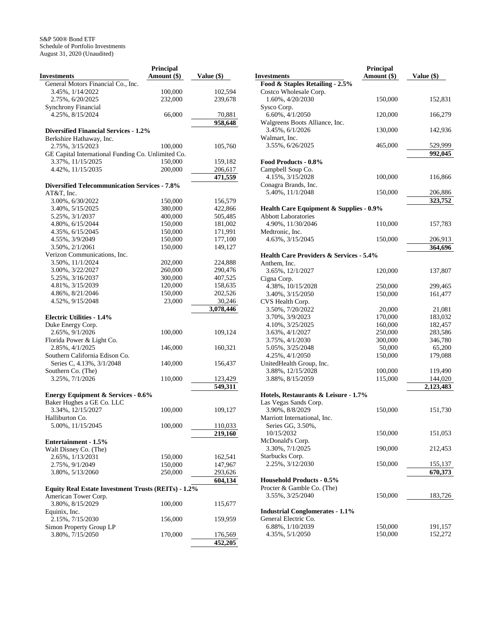|                                                      | Principal     |                    |
|------------------------------------------------------|---------------|--------------------|
| <b>Investments</b>                                   | Amount $(\$)$ | Value (\$)         |
| General Motors Financial Co., Inc.                   |               |                    |
| 3.45%, 1/14/2022                                     |               |                    |
|                                                      | 100,000       | 102,594            |
| 2.75%, 6/20/2025                                     | 232,000       | 239,678            |
| <b>Synchrony Financial</b>                           |               |                    |
| 4.25%, 8/15/2024                                     | 66,000        | 70,881             |
|                                                      |               | 958,648            |
| <b>Diversified Financial Services - 1.2%</b>         |               |                    |
|                                                      |               |                    |
| Berkshire Hathaway, Inc.                             |               |                    |
| 2.75%, 3/15/2023                                     | 100,000       | 105,760            |
| GE Capital International Funding Co. Unlimited Co.   |               |                    |
| 3.37%, 11/15/2025                                    | 150,000       | 159,182            |
| 4.42%, 11/15/2035                                    | 200,000       | 206,617            |
|                                                      |               | 471,559            |
| <b>Diversified Telecommunication Services - 7.8%</b> |               |                    |
| AT&T, Inc.                                           |               |                    |
|                                                      |               |                    |
| 3.00%, 6/30/2022                                     | 150,000       | 156,579            |
| 3.40%, 5/15/2025                                     | 380,000       | 422,866            |
| 5.25%, 3/1/2037                                      | 400,000       | 505,485            |
| 4.80%, 6/15/2044                                     | 150,000       | 181,002            |
| 4.35%, 6/15/2045                                     | 150,000       | 171,991            |
| 4.55%, 3/9/2049                                      | 150,000       | 177,100            |
| 3.50%, 2/1/2061                                      | 150,000       | 149,127            |
|                                                      |               |                    |
| Verizon Communications, Inc.                         |               |                    |
| 3.50%, 11/1/2024                                     | 202,000       | 224,888            |
| 3.00%, 3/22/2027                                     | 260,000       | 290,476            |
| 5.25%, 3/16/2037                                     | 300,000       | 407,525            |
| 4.81%, 3/15/2039                                     | 120,000       | 158,635            |
| 4.86%, 8/21/2046                                     | 150,000       | 202,526            |
| 4.52%, 9/15/2048                                     | 23,000        | 30,246             |
|                                                      |               | 3,078,446          |
| <b>Electric Utilities - 1.4%</b>                     |               |                    |
|                                                      |               |                    |
| Duke Energy Corp.                                    |               |                    |
| 2.65%, 9/1/2026                                      | 100,000       | 109,124            |
| Florida Power & Light Co.                            |               |                    |
| 2.85%, 4/1/2025                                      | 146,000       | 160,321            |
| Southern California Edison Co.                       |               |                    |
| Series C, 4.13%, 3/1/2048                            | 140,000       | 156,437            |
| Southern Co. (The)                                   |               |                    |
| 3.25%, 7/1/2026                                      | 110,000       | 123,429            |
|                                                      |               |                    |
|                                                      |               | 549,311            |
| <b>Energy Equipment &amp; Services - 0.6%</b>        |               |                    |
| Baker Hughes a GE Co. LLC                            |               |                    |
| 3.34%, 12/15/2027                                    | 100,000       | 109,127            |
| Halliburton Co.                                      |               |                    |
| 5.00%, 11/15/2045                                    | 100,000       | 110,033            |
|                                                      |               | 219,160            |
|                                                      |               |                    |
| Entertainment - 1.5%                                 |               |                    |
| Walt Disney Co. (The)                                |               |                    |
| 2.65%, 1/13/2031                                     | 150,000       | 162,541            |
| 2.75%, 9/1/2049                                      | 150,000       | 147,967            |
| 3.80%, 5/13/2060                                     | 250,000       | 293,626            |
|                                                      |               | 604,134            |
|                                                      |               |                    |
| Equity Real Estate Investment Trusts (REITs) - 1.2%  |               |                    |
| American Tower Corp.                                 |               |                    |
| 3.80%, 8/15/2029                                     | 100,000       | 115,677            |
| Equinix, Inc.                                        |               |                    |
| 2.15%, 7/15/2030                                     | 156,000       | 159,959            |
| Simon Property Group LP                              |               |                    |
|                                                      |               |                    |
|                                                      |               |                    |
| 3.80%, 7/15/2050                                     | 170,000       | 176,569<br>452,205 |

|                                                    | Principal   |            |
|----------------------------------------------------|-------------|------------|
| <b>Investments</b>                                 | Amount (\$) | Value (\$) |
| Food & Staples Retailing - 2.5%                    |             |            |
| Costco Wholesale Corp.                             |             |            |
| 1.60%, 4/20/2030                                   | 150,000     | 152,831    |
| Sysco Corp.                                        |             |            |
| 6.60%, 4/1/2050                                    | 120,000     | 166,279    |
| Walgreens Boots Alliance, Inc.                     |             |            |
| 3.45%, 6/1/2026                                    | 130,000     | 142,936    |
| Walmart, Inc.                                      |             |            |
| 3.55%, 6/26/2025                                   | 465,000     | 529,999    |
|                                                    |             | 992,045    |
| Food Products - 0.8%                               |             |            |
| Campbell Soup Co.                                  |             |            |
| 4.15%, 3/15/2028                                   | 100,000     | 116,866    |
| Conagra Brands, Inc.                               |             |            |
| 5.40%, 11/1/2048                                   | 150,000     | 206,886    |
|                                                    |             | 323,752    |
| Health Care Equipment & Supplies - 0.9%            |             |            |
| <b>Abbott Laboratories</b>                         |             |            |
| 4.90%, 11/30/2046                                  | 110,000     | 157,783    |
| Medtronic, Inc.                                    |             |            |
| 4.63%, 3/15/2045                                   | 150,000     | 206,913    |
|                                                    |             | 364,696    |
| <b>Health Care Providers &amp; Services - 5.4%</b> |             |            |
| Anthem, Inc.                                       |             |            |
| 3.65%, 12/1/2027                                   | 120,000     | 137,807    |
| Cigna Corp.                                        |             |            |
| 4.38%, 10/15/2028                                  | 250,000     | 299,465    |
| 3.40%, 3/15/2050                                   | 150,000     | 161,477    |
| CVS Health Corp.                                   |             |            |
| 3.50%, 7/20/2022                                   | 20,000      | 21,081     |
| 3.70%, 3/9/2023                                    | 170,000     | 183,032    |
| 4.10%, 3/25/2025                                   | 160,000     | 182,457    |
| 3.63%, 4/1/2027                                    | 250,000     | 283,586    |
| 3.75%, 4/1/2030                                    | 300,000     | 346,780    |
| 5.05%, 3/25/2048                                   | 50,000      | 65,200     |
| 4.25%, 4/1/2050<br>UnitedHealth Group, Inc.        | 150,000     | 179,088    |
| 3.88%, 12/15/2028                                  | 100,000     | 119,490    |
| 3.88%, 8/15/2059                                   | 115,000     | 144,020    |
|                                                    |             | 2,123,483  |
| Hotels, Restaurants & Leisure - 1.7%               |             |            |
| Las Vegas Sands Corp.                              |             |            |
| 3.90%, 8/8/2029                                    | 150,000     | 151,730    |
| Marriott International, Inc.                       |             |            |
| Series GG, 3.50%,                                  |             |            |
| 10/15/2032                                         | 150,000     | 151,053    |
| McDonald's Corp.                                   |             |            |
| 3.30%, 7/1/2025                                    | 190,000     | 212,453    |
| Starbucks Corp.                                    |             |            |
| 2.25%, 3/12/2030                                   | 150,000     | 155,137    |
|                                                    |             | 670,373    |
| <b>Household Products - 0.5%</b>                   |             |            |
| Procter & Gamble Co. (The)                         |             |            |
| 3.55%, 3/25/2040                                   | 150,000     | 183,726    |
|                                                    |             |            |
| <b>Industrial Conglomerates - 1.1%</b>             |             |            |
| General Electric Co.                               |             |            |
| 6.88%, 1/10/2039                                   | 150,000     | 191,157    |
| 4.35%, 5/1/2050                                    | 150,000     | 152,272    |
|                                                    |             |            |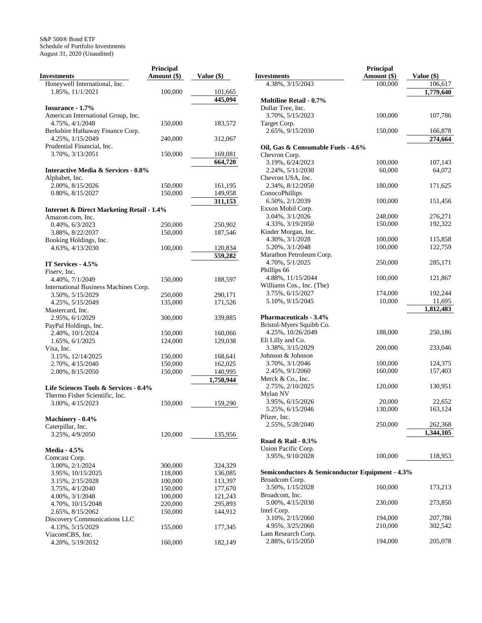|                                                      | <b>Principal</b> |            |
|------------------------------------------------------|------------------|------------|
| <b>Investments</b>                                   | Amount (\$)      | Value (\$) |
| Honeywell International, Inc.                        |                  |            |
| 1.85%, 11/1/2021                                     | 100,000          | 101,665    |
|                                                      |                  | 445,094    |
| <b>Insurance - 1.7%</b>                              |                  |            |
| American International Group, Inc.                   |                  |            |
| 4.75%, 4/1/2048                                      | 150,000          | 183,572    |
| Berkshire Hathaway Finance Corp.                     |                  |            |
| 4.25%, 1/15/2049                                     | 240,000          | 312,067    |
| Prudential Financial, Inc.                           |                  |            |
| 3.70%, 3/13/2051                                     | 150,000          | 169,081    |
|                                                      |                  | 664,720    |
| <b>Interactive Media &amp; Services - 0.8%</b>       |                  |            |
| Alphabet, Inc.                                       |                  |            |
| 2.00%, 8/15/2026                                     | 150,000          | 161,195    |
| 0.80%, 8/15/2027                                     | 150,000          | 149,958    |
|                                                      |                  | 311,153    |
|                                                      |                  |            |
| <b>Internet &amp; Direct Marketing Retail - 1.4%</b> |                  |            |
| Amazon.com, Inc.                                     |                  |            |
| 0.40%, 6/3/2023                                      | 250,000          | 250,902    |
| 3.88%, 8/22/2037                                     | 150,000          | 187,546    |
| Booking Holdings, Inc.                               |                  |            |
| 4.63%, 4/13/2030                                     | 100,000          | 120,834    |
|                                                      |                  | 559,282    |
| IT Services - 4.5%                                   |                  |            |
| Fiserv, Inc.                                         |                  |            |
| 4.40%, 7/1/2049                                      | 150,000          | 188,597    |
| International Business Machines Corp.                |                  |            |
| 3.50%, 5/15/2029                                     | 250,000          | 290,171    |
| 4.25%, 5/15/2049                                     | 135,000          | 171,526    |
| Mastercard, Inc.                                     |                  |            |
| 2.95%, 6/1/2029                                      | 300,000          | 339,885    |
| PayPal Holdings, Inc.                                |                  |            |
| 2.40%, 10/1/2024                                     | 150,000          | 160,066    |
| 1.65%, 6/1/2025                                      | 124,000          | 129,038    |
| Visa, Inc.                                           |                  |            |
| 3.15%, 12/14/2025                                    | 150,000          | 168,641    |
| 2.70%, 4/15/2040                                     | 150,000          | 162,025    |
| 2.00%, 8/15/2050                                     | 150,000          | 140,995    |
|                                                      |                  | 1,750,944  |
| Life Sciences Tools & Services - 0.4%                |                  |            |
| Thermo Fisher Scientific, Inc.                       |                  |            |
| 3.00%, 4/15/2023                                     | 150,000          | 159,290    |
|                                                      |                  |            |
| Machinery - 0.4%                                     |                  |            |
| Caterpillar, Inc.                                    |                  |            |
| 3.25%, 4/9/2050                                      | 120,000          | 135,956    |
|                                                      |                  |            |
| <b>Media - 4.5%</b>                                  |                  |            |
| Comcast Corp.                                        |                  |            |
| 3.00%, 2/1/2024                                      | 300,000          | 324,329    |
| 3.95%, 10/15/2025                                    | 118,000          | 136,085    |
| 3.15%, 2/15/2028                                     | 100,000          | 113,397    |
| 3.75%, 4/1/2040                                      | 150,000          | 177,670    |
| 4.00%, 3/1/2048                                      | 100,000          | 121,243    |
| 4.70%, 10/15/2048                                    | 220,000          | 295,893    |
| 2.65%, 8/15/2062                                     | 150,000          | 144,912    |
| Discovery Communications LLC                         |                  |            |
| 4.13%, 5/15/2029                                     | 155,000          | 177,345    |
| ViacomCBS, Inc.                                      |                  |            |
| 4.20%, 5/19/2032                                     | 160,000          | 182,149    |
|                                                      |                  |            |

|                                                 | Principal   |            |
|-------------------------------------------------|-------------|------------|
| <b>Investments</b>                              | Amount (\$) | Value (\$) |
| 4.38%, 3/15/2043                                | 100,000     | 106,617    |
|                                                 |             | 1,779,640  |
| <b>Multiline Retail - 0.7%</b>                  |             |            |
| Dollar Tree, Inc.                               |             |            |
| 3.70%, 5/15/2023                                | 100,000     | 107,786    |
| Target Corp.                                    |             |            |
| 2.65%, 9/15/2030                                | 150,000     | 166,878    |
|                                                 |             | 274,664    |
| Oil, Gas & Consumable Fuels - 4.6%              |             |            |
| Chevron Corp.                                   |             |            |
| 3.19%, 6/24/2023                                | 100,000     | 107,143    |
| 2.24%, 5/11/2030                                | 60,000      | 64,072     |
| Chevron USA, Inc.                               |             |            |
| 2.34%, 8/12/2050                                | 180,000     | 171,625    |
| ConocoPhillips                                  |             |            |
| 6.50%, 2/1/2039                                 | 100,000     | 151,456    |
| Exxon Mobil Corp.                               |             |            |
| 3.04%, 3/1/2026                                 | 248,000     | 276,271    |
| 4.33%, 3/19/2050                                | 150,000     | 192,322    |
| Kinder Morgan, Inc.                             |             |            |
| 4.30%, 3/1/2028                                 | 100,000     | 115,858    |
| 5.20%, 3/1/2048                                 | 100,000     | 122,759    |
| Marathon Petroleum Corp.                        |             |            |
| 4.70%, 5/1/2025                                 | 250,000     | 285,171    |
| Phillips 66                                     |             |            |
| 4.88%, 11/15/2044                               | 100,000     | 121,867    |
|                                                 |             |            |
| Williams Cos., Inc. (The)                       |             |            |
| 3.75%, 6/15/2027                                | 174,000     | 192,244    |
| 5.10%, 9/15/2045                                | 10,000      | 11,695     |
|                                                 |             | 1,812,483  |
| <b>Pharmaceuticals - 3.4%</b>                   |             |            |
| Bristol-Myers Squibb Co.                        |             |            |
| 4.25%, 10/26/2049                               | 188,000     | 250,186    |
| Eli Lilly and Co.                               |             |            |
| 3.38%, 3/15/2029                                | 200,000     | 233,046    |
| Johnson & Johnson                               |             |            |
| 3.70%, 3/1/2046                                 | 100,000     | 124,375    |
| 2.45%, 9/1/2060                                 | 160,000     | 157,403    |
| Merck & Co., Inc.                               |             |            |
| 2.75%, 2/10/2025                                | 120,000     | 130,951    |
| Mylan NV                                        |             |            |
| 3.95%, 6/15/2026                                | 20,000      | 22,652     |
| 5.25%, 6/15/2046                                | 130,000     | 163,124    |
| Pfizer, Inc.                                    |             |            |
| 2.55%, 5/28/2040                                | 250,000     | 262,368    |
|                                                 |             | 1,344,105  |
| Road & Rail - 0.3%                              |             |            |
| Union Pacific Corp.                             |             |            |
| 3.95%, 9/10/2028                                | 100,000     | 118,953    |
|                                                 |             |            |
| Semiconductors & Semiconductor Equipment - 4.3% |             |            |
| Broadcom Corp.                                  |             |            |
| 3.50%, 1/15/2028                                | 160,000     | 173,213    |
| Broadcom, Inc.                                  |             |            |
| 5.00%, 4/15/2030                                | 230,000     | 273,850    |
| Intel Corp.                                     |             |            |
| 3.10%, 2/15/2060                                | 194,000     | 207,786    |
| 4.95%, 3/25/2060                                | 210,000     | 302,542    |
|                                                 |             |            |
| Lam Research Corp.                              |             |            |
| 2.88%, 6/15/2050                                | 194,000     | 205,078    |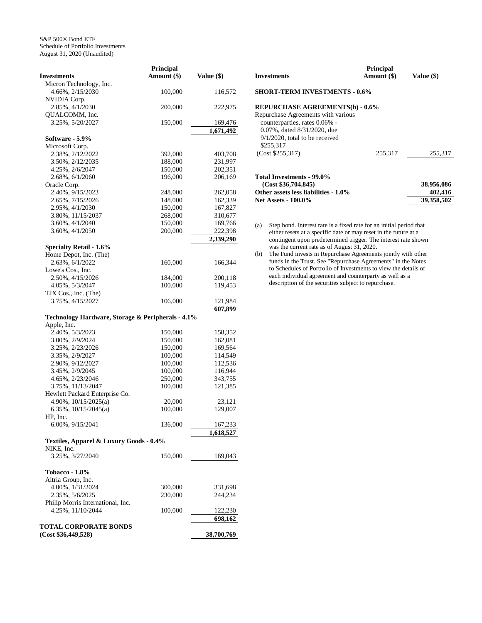|                                                   | Principal     |            |
|---------------------------------------------------|---------------|------------|
| <b>Investments</b>                                | Amount $(\$)$ | Value (\$) |
| Micron Technology, Inc.                           |               |            |
| 4.66%, 2/15/2030                                  | 100,000       | 116,572    |
| NVIDIA Corp.                                      |               |            |
| 2.85%, 4/1/2030                                   | 200,000       | 222,975    |
| OUALCOMM, Inc.                                    |               |            |
| 3.25%, 5/20/2027                                  | 150,000       | 169,476    |
|                                                   |               | 1,671,492  |
| Software - 5.9%                                   |               |            |
| Microsoft Corp.                                   |               |            |
| 2.38%, 2/12/2022                                  | 392,000       | 403,708    |
| 3.50%, 2/12/2035                                  | 188,000       | 231,997    |
| 4.25%, 2/6/2047                                   | 150,000       | 202,351    |
| 2.68%, 6/1/2060                                   | 196,000       | 206,169    |
| Oracle Corp.                                      |               |            |
| 2.40%, 9/15/2023                                  | 248,000       | 262,058    |
| 2.65%, 7/15/2026                                  | 148,000       | 162,339    |
| 2.95%, 4/1/2030                                   | 150,000       | 167,827    |
| 3.80%, 11/15/2037                                 | 268,000       | 310,677    |
| 3.60%, 4/1/2040                                   | 150,000       | 169,766    |
| 3.60%, 4/1/2050                                   | 200,000       | 222,398    |
|                                                   |               | 2,339,290  |
|                                                   |               |            |
| <b>Specialty Retail - 1.6%</b>                    |               |            |
| Home Depot, Inc. (The)<br>2.63%, 6/1/2022         |               |            |
|                                                   | 160,000       | 166,344    |
| Lowe's Cos., Inc.                                 |               |            |
| 2.50%, 4/15/2026                                  | 184,000       | 200,118    |
| 4.05%, 5/3/2047                                   | 100,000       | 119,453    |
| TJX Cos., Inc. (The)                              |               |            |
| 3.75%, 4/15/2027                                  | 106,000       | 121,984    |
|                                                   |               | 607,899    |
| Technology Hardware, Storage & Peripherals - 4.1% |               |            |
| Apple, Inc.                                       |               |            |
| 2.40%, 5/3/2023                                   | 150,000       | 158,352    |
| 3.00%, 2/9/2024                                   | 150,000       | 162,081    |
| 3.25%, 2/23/2026                                  | 150,000       | 169,564    |
| 3.35%, 2/9/2027                                   | 100,000       | 114,549    |
| 2.90%, 9/12/2027                                  | 100,000       | 112,536    |
| 3.45%, 2/9/2045                                   | 100,000       | 116,944    |
| 4.65%, 2/23/2046                                  | 250,000       | 343,755    |
| 3.75%, 11/13/2047                                 | 100,000       | 121,385    |
| Hewlett Packard Enterprise Co.                    |               |            |
| 4.90%, 10/15/2025(a)                              | 20,000        | 23,121     |
| 6.35%, $10/15/2045(a)$                            | 100,000       | 129,007    |
| HP, Inc.                                          |               |            |
| $6.00\%$ , $9/15/2041$                            | 136,000       | 167,233    |
|                                                   |               | 1,618,527  |
| Textiles, Apparel & Luxury Goods - 0.4%           |               |            |
| NIKE, Inc.                                        |               |            |
| 3.25%, 3/27/2040                                  | 150,000       | 169,043    |
|                                                   |               |            |
| <b>Tobacco - 1.8%</b>                             |               |            |
| Altria Group, Inc.                                |               |            |
| 4.00%, 1/31/2024                                  | 300,000       |            |
| 2.35%, 5/6/2025                                   |               | 331,698    |
|                                                   | 230,000       | 244,234    |
| Philip Morris International, Inc.                 |               |            |
| 4.25%, 11/10/2044                                 | 100,000       | 122,230    |
|                                                   |               | 698,162    |
| <b>TOTAL CORPORATE BONDS</b>                      |               |            |
| (Cost \$36,449,528)                               |               | 38,700,769 |

| <b>Investments</b>                                           | <b>Principal</b><br>Amount (\$) | Value (\$) |
|--------------------------------------------------------------|---------------------------------|------------|
| <b>SHORT-TERM INVESTMENTS - 0.6%</b>                         |                                 |            |
| <b>REPURCHASE AGREEMENTS(b) - 0.6%</b>                       |                                 |            |
| Repurchase Agreements with various                           |                                 |            |
| counterparties, rates 0.06% -<br>0.07%, dated 8/31/2020, due |                                 |            |
| $9/1/2020$ , total to be received                            |                                 |            |
| \$255,317                                                    |                                 |            |
| (Cost \$255,317)                                             | 255,317                         | 255,317    |
| Total Investments - 99.0%                                    |                                 |            |
| (Cost \$36,704,845)                                          |                                 | 38,956,086 |
| Other assets less liabilities - 1.0%                         |                                 | 402,416    |
| <b>Net Assets - 100.0%</b>                                   |                                 | 39,358,502 |

(a) Step bond. Interest rate is a fixed rate for an initial period that either resets at a specific date or may reset in the future at a contingent upon predetermined trigger. The interest rate shown was the current rate as of August 31, 2020.

(b) The Fund invests in Repurchase Agreements jointly with other funds in the Trust. See "Repurchase Agreements" in the Notes to Schedules of Portfolio of Investments to view the details of each individual agreement and counterparty as well as a description of the securities subject to repurchase.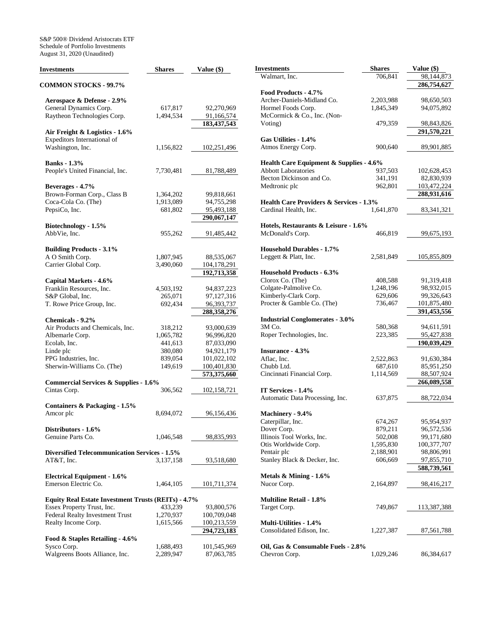S&P 500® Dividend Aristocrats ETF Schedule of Portfolio Investments August 31, 2020 (Unaudited)

| <b>Investments</b>                                   | <b>Shares</b> | Value (\$)                | <b>Investments</b>                           |
|------------------------------------------------------|---------------|---------------------------|----------------------------------------------|
|                                                      |               |                           | Walmart, Inc.                                |
| <b>COMMON STOCKS - 99.7%</b>                         |               |                           | Food Products - 4.7%                         |
| Aerospace & Defense - 2.9%                           |               |                           | Archer-Daniels-Midland C                     |
| General Dynamics Corp.                               | 617,817       | 92,270,969                | Hormel Foods Corp.                           |
| Raytheon Technologies Corp.                          | 1,494,534     | 91,166,574                | McCormick & Co., Inc. (N                     |
|                                                      |               | 183,437,543               | Voting)                                      |
| Air Freight & Logistics - 1.6%                       |               |                           |                                              |
| Expeditors International of                          |               |                           | Gas Utilities - 1.4%                         |
| Washington, Inc.                                     | 1,156,822     | 102,251,496               | Atmos Energy Corp.                           |
|                                                      |               |                           |                                              |
| <b>Banks</b> - 1.3%                                  |               |                           | <b>Health Care Equipment</b>                 |
| People's United Financial, Inc.                      | 7,730,481     | 81,788,489                | <b>Abbott Laboratories</b>                   |
|                                                      |               |                           | Becton Dickinson and Co.                     |
| Beverages - 4.7%                                     |               |                           | Medtronic plc                                |
| Brown-Forman Corp., Class B                          | 1,364,202     | 99,818,661                |                                              |
| Coca-Cola Co. (The)                                  | 1,913,089     | 94,755,298                | <b>Health Care Providers &amp;</b>           |
| PepsiCo, Inc.                                        | 681,802       | 95,493,188<br>290,067,147 | Cardinal Health, Inc.                        |
|                                                      |               |                           |                                              |
| Biotechnology - 1.5%<br>AbbVie, Inc.                 |               |                           | Hotels, Restaurants & Lo<br>McDonald's Corp. |
|                                                      | 955,262       | 91,485,442                |                                              |
| <b>Building Products - 3.1%</b>                      |               |                           | <b>Household Durables - 1.7</b>              |
| A O Smith Corp.                                      | 1,807,945     | 88,535,067                | Leggett & Platt, Inc.                        |
| Carrier Global Corp.                                 | 3,490,060     | 104,178,291               |                                              |
|                                                      |               | 192,713,358               | <b>Household Products - 6.3</b>              |
| Capital Markets - 4.6%                               |               |                           | Clorox Co. (The)                             |
| Franklin Resources, Inc.                             | 4,503,192     | 94,837,223                | Colgate-Palmolive Co.                        |
| S&P Global, Inc.                                     | 265,071       | 97,127,316                | Kimberly-Clark Corp.                         |
| T. Rowe Price Group, Inc.                            | 692,434       | 96,393,737                | Procter & Gamble Co. (Th                     |
|                                                      |               | 288,358,276               |                                              |
| Chemicals - 9.2%                                     |               |                           | <b>Industrial Conglomerate</b>               |
| Air Products and Chemicals, Inc.                     | 318,212       | 93,000,639                | 3M Co.                                       |
| Albemarle Corp.                                      | 1,065,782     | 96,996,820                | Roper Technologies, Inc.                     |
| Ecolab, Inc.                                         | 441,613       | 87,033,090                |                                              |
| Linde plc                                            | 380,080       | 94,921,179                | Insurance - 4.3%                             |
| PPG Industries, Inc.                                 | 839,054       | 101,022,102               | Aflac, Inc.                                  |
| Sherwin-Williams Co. (The)                           | 149,619       | 100,401,830               | Chubb Ltd.                                   |
|                                                      |               | 573,375,660               | Cincinnati Financial Corp.                   |
| <b>Commercial Services &amp; Supplies - 1.6%</b>     |               |                           |                                              |
| Cintas Corp.                                         | 306,562       | 102,158,721               | IT Services - 1.4%                           |
|                                                      |               |                           | Automatic Data Processing                    |
| Containers & Packaging - 1.5%                        |               |                           |                                              |
| Amcor plc                                            | 8,694,072     | 96,156,436                | Machinerv - 9.4%                             |
|                                                      |               |                           | Caterpillar, Inc.                            |
| Distributors - 1.6%                                  |               |                           | Dover Corp.                                  |
| Genuine Parts Co.                                    | 1,046,548     | 98,835,993                | Illinois Tool Works, Inc.                    |
|                                                      |               |                           | Otis Worldwide Corp.                         |
| <b>Diversified Telecommunication Services - 1.5%</b> |               |                           | Pentair plc<br>Stanley Black & Decker, I     |
| AT&T, Inc.                                           | 3,137,158     | 93,518,680                |                                              |
| <b>Electrical Equipment - 1.6%</b>                   |               |                           | Metals & Mining - 1.6%                       |
| Emerson Electric Co.                                 | 1,464,105     | 101,711,374               | Nucor Corp.                                  |
|                                                      |               |                           |                                              |
| Equity Real Estate Investment Trusts (REITs) - 4.7%  |               |                           | <b>Multiline Retail - 1.8%</b>               |
| Essex Property Trust, Inc.                           | 433,239       | 93,800,576                | Target Corp.                                 |
| Federal Realty Investment Trust                      | 1,270,937     | 100,709,048               |                                              |
| Realty Income Corp.                                  | 1,615,566     | 100,213,559               | Multi-Utilities - 1.4%                       |
|                                                      |               | 294,723,183               | Consolidated Edison, Inc.                    |
| Food & Staples Retailing - 4.6%                      |               |                           |                                              |
| Sysco Corp.                                          | 1,688,493     | 101,545,969               | Oil, Gas & Consumable 1                      |
| Walgreens Boots Alliance, Inc.                       | 2,289,947     | 87,063,785                | Chevron Corp.                                |

| Investments                                        | <b>Shares</b> | Value (\$)   |
|----------------------------------------------------|---------------|--------------|
| Walmart, Inc.                                      | 706,841       | 98,144,873   |
|                                                    |               | 286,754,627  |
| Food Products - 4.7%                               |               |              |
| Archer-Daniels-Midland Co.                         | 2,203,988     | 98,650,503   |
| Hormel Foods Corp.                                 | 1,845,349     | 94,075,892   |
| McCormick & Co., Inc. (Non-                        |               |              |
| Voting)                                            | 479,359       | 98,843,826   |
|                                                    |               | 291,570,221  |
| Gas Utilities - 1.4%                               |               |              |
| Atmos Energy Corp.                                 | 900,640       | 89,901,885   |
|                                                    |               |              |
| Health Care Equipment & Supplies - 4.6%            |               |              |
| <b>Abbott Laboratories</b>                         | 937,503       | 102,628,453  |
| Becton Dickinson and Co.                           | 341,191       | 82,830,939   |
| Medtronic plc                                      | 962,801       | 103,472,224  |
|                                                    |               | 288,931,616  |
| <b>Health Care Providers &amp; Services - 1.3%</b> |               |              |
| Cardinal Health, Inc.                              | 1,641,870     | 83, 341, 321 |
|                                                    |               |              |
| Hotels, Restaurants & Leisure - 1.6%               |               |              |
| McDonald's Corp.                                   | 466,819       | 99,675,193   |
|                                                    |               |              |
| <b>Household Durables - 1.7%</b>                   |               |              |
| Leggett & Platt, Inc.                              | 2,581,849     | 105,855,809  |
|                                                    |               |              |
| <b>Household Products - 6.3%</b>                   |               |              |
| Clorox Co. (The)                                   | 408,588       | 91,319,418   |
| Colgate-Palmolive Co.                              | 1,248,196     | 98,932,015   |
| Kimberly-Clark Corp.                               | 629,606       | 99,326,643   |
| Procter & Gamble Co. (The)                         | 736,467       | 101,875,480  |
|                                                    |               | 391,453,556  |
| <b>Industrial Conglomerates - 3.0%</b>             |               |              |
| 3M Co.                                             | 580,368       | 94,611,591   |
| Roper Technologies, Inc.                           | 223,385       | 95,427,838   |
|                                                    |               | 190,039,429  |
| Insurance - 4.3%                                   |               |              |
| Aflac, Inc.                                        | 2,522,863     | 91,630,384   |
| Chubb Ltd.                                         | 687,610       | 85,951,250   |
| Cincinnati Financial Corp.                         | 1,114,569     | 88,507,924   |
|                                                    |               | 266,089,558  |
| IT Services - 1.4%                                 |               |              |
| Automatic Data Processing, Inc.                    | 637,875       | 88,722,034   |
|                                                    |               |              |
| Machinery - 9.4%                                   |               |              |
| Caterpillar, Inc.                                  | 674,267       | 95,954,937   |
| Dover Corp.                                        | 879,211       | 96,572,536   |
| Illinois Tool Works, Inc.                          | 502,008       | 99,171,680   |
| Otis Worldwide Corp.                               | 1,595,830     | 100,377,707  |
| Pentair plc                                        | 2,188,901     | 98,806,991   |
| Stanley Black & Decker, Inc.                       | 606,669       | 97,855,710   |
|                                                    |               | 588,739,561  |
| Metals $\&$ Mining - 1.6%                          |               |              |
| Nucor Corp.                                        | 2,164,897     | 98,416,217   |
|                                                    |               |              |
| <b>Multiline Retail - 1.8%</b>                     |               |              |
| Target Corp.                                       | 749,867       | 113,387,388  |
|                                                    |               |              |
| <b>Multi-Utilities - 1.4%</b>                      |               |              |
| Consolidated Edison, Inc.                          | 1,227,387     | 87,561,788   |
|                                                    |               |              |
| Oil, Gas & Consumable Fuels - 2.8%                 |               |              |
| Chevron Corp.                                      | 1,029,246     | 86,384,617   |
|                                                    |               |              |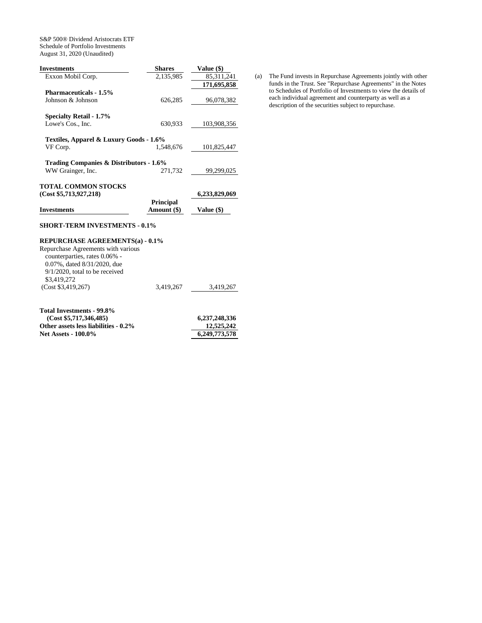S&P 500® Dividend Aristocrats ETF Schedule of Portfolio Investments August 31, 2020 (Unaudited)

| <b>Shares</b>                           | Value (\$)                    |
|-----------------------------------------|-------------------------------|
| 2,135,985                               | 85,311,241                    |
|                                         | 171,695,858                   |
|                                         |                               |
| 626.285                                 | 96,078,382                    |
|                                         |                               |
| 630,933                                 | 103,908,356                   |
| Textiles, Apparel & Luxury Goods - 1.6% | 101,825,447                   |
|                                         |                               |
| Trading Companies & Distributors - 1.6% |                               |
| 271,732                                 | 99,299,025                    |
|                                         |                               |
|                                         | 6,233,829,069                 |
| Amount (\$)                             | Value (\$)                    |
|                                         | 1.548.676<br><b>Principal</b> |

# **SHORT-TERM INVESTMENTS - 0.1%**

### **REPURCHASE AGREEMENTS(a) - 0.1%**

| Repurchase Agreements with various |           |           |
|------------------------------------|-----------|-----------|
| counterparties, rates 0.06% -      |           |           |
| 0.07%, dated 8/31/2020, due        |           |           |
| $9/1/2020$ , total to be received  |           |           |
| \$3,419,272                        |           |           |
| (Cost \$3,419,267)                 | 3.419.267 | 3.419.267 |
|                                    |           |           |

| Total Investments - 99.8%            |               |
|--------------------------------------|---------------|
| (Cost \$5,717,346,485)               | 6,237,248,336 |
| Other assets less liabilities - 0.2% | 12,525,242    |
| <b>Net Assets - 100.0%</b>           | 6,249,773,578 |

(a) The Fund invests in Repurchase Agreements jointly with other funds in the Trust. See "Repurchase Agreements" in the Notes to Schedules of Portfolio of Investments to view the details of each individual agreement and counterparty as well as a description of the securities subject to repurchase.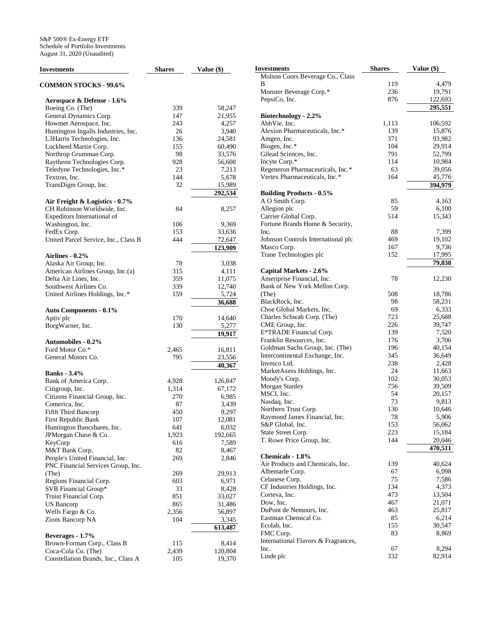| <b>Investments</b>                                 | <b>Shares</b> | Value (\$) |
|----------------------------------------------------|---------------|------------|
| <b>COMMON STOCKS - 99.6%</b>                       |               |            |
| Aerospace & Defense - 1.6%                         |               |            |
| Boeing Co. (The)                                   | 339           | 58,247     |
| General Dynamics Corp.                             | 147           | 21,955     |
| Howmet Aerospace, Inc.                             | 243           | 4,257      |
| Huntington Ingalls Industries, Inc.                | 26            | 3,940      |
| L3Harris Technologies, Inc.                        | 136           | 24,581     |
| Lockheed Martin Corp.                              | 155           | 60,490     |
| Northrop Grumman Corp.                             | 98            | 33,576     |
| Raytheon Technologies Corp.                        | 928           | 56,608     |
| Teledyne Technologies, Inc.*                       | 23            | 7,213      |
| Textron, Inc.                                      | 144           | 5,678      |
| TransDigm Group, Inc.                              | 32            | 15,989     |
|                                                    |               | 292,534    |
| Air Freight & Logistics - 0.7%                     |               |            |
| CH Robinson Worldwide, Inc.                        | 84            | 8,257      |
| Expeditors International of                        |               |            |
| Washington, Inc.                                   | 106           | 9,369      |
| FedEx Corp.                                        | 153           | 33,636     |
| United Parcel Service, Inc., Class B               | 444           | 72,647     |
|                                                    |               | 123,909    |
| Airlines - 0.2%                                    |               |            |
|                                                    | 78            |            |
| Alaska Air Group, Inc.                             |               | 3,038      |
| American Airlines Group, Inc.(a)                   | 315           | 4,111      |
| Delta Air Lines, Inc.                              | 359           | 11,075     |
| Southwest Airlines Co.                             | 339           | 12,740     |
| United Airlines Holdings, Inc.*                    | 159           | 5,724      |
|                                                    |               | 36,688     |
| <b>Auto Components - 0.1%</b>                      |               |            |
| Aptiv plc                                          | 170           | 14,640     |
| BorgWarner, Inc.                                   | 130           | 5,277      |
|                                                    |               | 19,917     |
| <b>Automobiles - 0.2%</b>                          |               |            |
| Ford Motor Co.*                                    | 2,465         | 16,811     |
| General Motors Co.                                 | 795           | 23,556     |
|                                                    |               | 40,367     |
| <b>Banks</b> - 3.4%                                |               |            |
| Bank of America Corp.                              | 4,928         | 126,847    |
| Citigroup, Inc.                                    | 1,314         | 67,172     |
| Citizens Financial Group, Inc.                     | 270           | 6,985      |
| Comerica, Inc.                                     | 87            | 3,439      |
| Fifth Third Bancorp                                | 450           | 9,297      |
| First Republic Bank                                | 107           | 12,081     |
| Huntington Bancshares, Inc.                        | 641           | 6,032      |
| JPMorgan Chase & Co.                               | 1,923         | 192,665    |
| KeyCorp                                            | 616           | 7,589      |
| M&T Bank Corp.                                     | 82            | 8,467      |
| People's United Financial, Inc.                    | 269           | 2,846      |
| PNC Financial Services Group, Inc.                 |               |            |
| (The)                                              | 269           | 29,913     |
| Regions Financial Corp.                            | 603           | 6,971      |
| SVB Financial Group*                               | 33            | 8,428      |
| Truist Financial Corp.                             | 851           | 33,027     |
| US Bancorp                                         | 865           | 31,486     |
| Wells Fargo & Co.                                  | 2,356         | 56,897     |
| Zions Bancorp NA                                   | 104           | 3,345      |
|                                                    |               | 613,487    |
|                                                    |               |            |
| Beverages - 1.7%                                   |               | 8,414      |
| Brown-Forman Corp., Class B<br>Coca-Cola Co. (The) | 115           | 120,804    |
|                                                    | 2,439         |            |
| Constellation Brands, Inc., Class A                | 105           | 19,370     |

| Investments                                         | <b>Shares</b> | Value (\$)       |
|-----------------------------------------------------|---------------|------------------|
| Molson Coors Beverage Co., Class                    |               |                  |
| В                                                   | 119           | 4,479            |
| Monster Beverage Corp.*                             | 236           | 19,791           |
| PepsiCo, Inc.                                       | 876           | 122,693          |
|                                                     |               | 295,551          |
| Biotechnology - 2.2%                                |               |                  |
| AbbVie, Inc.<br>Alexion Pharmaceuticals, Inc.*      | 1,113         | 106,592          |
| Amgen, Inc.                                         | 139<br>371    | 15,876<br>93,982 |
| Biogen, Inc.*                                       | 104           | 29,914           |
| Gilead Sciences, Inc.                               | 791           | 52,799           |
| Incyte Corp.*                                       | 114           | 10,984           |
| Regeneron Pharmaceuticals, Inc.*                    | 63            | 39,056           |
| Vertex Pharmaceuticals, Inc.*                       | 164           | 45,776           |
|                                                     |               | 394,979          |
| <b>Building Products - 0.5%</b>                     |               |                  |
| A O Smith Corp.                                     | 85            | 4,163            |
| Allegion plc                                        | 59            | 6,100            |
| Carrier Global Corp.                                | 514           | 15,343           |
| Fortune Brands Home & Security,                     |               |                  |
| Inc.                                                | 88            | 7,399            |
| Johnson Controls International plc                  | 469           | 19,102           |
| Masco Corp.<br>Trane Technologies plc               | 167<br>152    | 9,736<br>17,995  |
|                                                     |               | 79,838           |
| Capital Markets - 2.6%                              |               |                  |
| Ameriprise Financial, Inc.                          | 78            | 12,230           |
| Bank of New York Mellon Corp.                       |               |                  |
| (The)                                               | 508           | 18,786           |
| BlackRock, Inc.                                     | 98            | 58,231           |
| Cboe Global Markets, Inc.                           | 69            | 6,333            |
| Charles Schwab Corp. (The)                          | 723           | 25,688           |
| CME Group, Inc.                                     | 226           | 39,747           |
| E*TRADE Financial Corp.                             | 139           | 7,520            |
| Franklin Resources, Inc.                            | 176           | 3,706            |
| Goldman Sachs Group, Inc. (The)                     | 196           | 40,154           |
| Intercontinental Exchange, Inc.<br>Invesco Ltd.     | 345<br>238    | 36,649<br>2,428  |
| MarketAxess Holdings, Inc.                          | 24            | 11,663           |
| Moody's Corp.                                       | 102           | 30,053           |
| Morgan Stanley                                      | 756           | 39,509           |
| MSCI, Inc.                                          | 54            | 20,157           |
| Nasdaq, Inc.                                        | 73            | 9,813            |
| Northern Trust Corp.                                | 130           | 10,646           |
| Raymond James Financial, Inc.                       | 78            | 5,906            |
| S&P Global, Inc.                                    | 153           | 56,062           |
| State Street Corp.                                  | 223           | 15,184           |
| T. Rowe Price Group, Inc.                           | 144           | 20,046           |
|                                                     |               | 470,511          |
| <b>Chemicals - 1.8%</b>                             |               |                  |
| Air Products and Chemicals, Inc.<br>Albemarle Corp. | 139<br>67     | 40,624<br>6,098  |
| Celanese Corp.                                      | 75            | 7,586            |
| CF Industries Holdings, Inc.                        | 134           | 4,373            |
| Corteva, Inc.                                       | 473           | 13,504           |
| Dow, Inc.                                           | 467           | 21,071           |
| DuPont de Nemours, Inc.                             | 463           | 25,817           |
| Eastman Chemical Co.                                | 85            | 6,214            |
| Ecolab, Inc.                                        | 155           | 30,547           |
| FMC Corp.                                           | 83            | 8,869            |
| International Flavors & Fragrances,                 |               |                  |
| Inc.                                                | 67            | 8,294            |
| Linde plc                                           | 332           | 82,914           |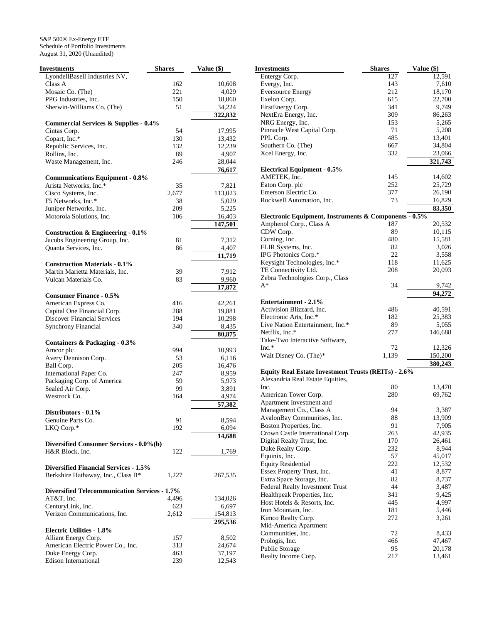| <b>Investments</b>                                   | <b>Shares</b> | Value (\$) |
|------------------------------------------------------|---------------|------------|
| LyondellBasell Industries NV,                        |               |            |
| Class A                                              | 162           | 10,608     |
| Mosaic Co. (The)                                     | 221           | 4,029      |
| PPG Industries, Inc.                                 | 150           | 18,060     |
| Sherwin-Williams Co. (The)                           | 51            | 34,224     |
|                                                      |               | 322,832    |
| <b>Commercial Services &amp; Supplies - 0.4%</b>     |               |            |
| Cintas Corp.                                         | 54            | 17,995     |
| Copart, Inc.*                                        | 130           | 13,432     |
| Republic Services, Inc.                              | 132           | 12,239     |
| Rollins, Inc.                                        | 89            | 4,907      |
| Waste Management, Inc.                               | 246           | 28,044     |
|                                                      |               | 76,617     |
| <b>Communications Equipment - 0.8%</b>               |               |            |
| Arista Networks, Inc.*                               | 35            | 7,821      |
| Cisco Systems, Inc.                                  | 2,677         | 113,023    |
| F5 Networks, Inc.*                                   | 38            | 5,029      |
| Juniper Networks, Inc.                               | 209           | 5,225      |
| Motorola Solutions, Inc.                             | 106           | 16,403     |
|                                                      |               | 147,501    |
| <b>Construction &amp; Engineering - 0.1%</b>         |               |            |
| Jacobs Engineering Group, Inc.                       | 81            | 7,312      |
| Quanta Services, Inc.                                | 86            | 4,407      |
|                                                      |               | 11,719     |
| <b>Construction Materials - 0.1%</b>                 |               |            |
| Martin Marietta Materials, Inc.                      | 39            | 7,912      |
| Vulcan Materials Co.                                 | 83            | 9,960      |
|                                                      |               | 17,872     |
| <b>Consumer Finance - 0.5%</b>                       |               |            |
| American Express Co.                                 | 416           | 42,261     |
| Capital One Financial Corp.                          | 288           | 19,881     |
| <b>Discover Financial Services</b>                   | 194           | 10,298     |
| <b>Synchrony Financial</b>                           | 340           | 8,435      |
|                                                      |               | 80,875     |
| Containers & Packaging - 0.3%                        |               |            |
| Amcor plc                                            | 994           | 10,993     |
| Avery Dennison Corp.                                 | 53            | 6,116      |
| Ball Corp.                                           | 205           | 16,476     |
| International Paper Co.                              | 247           | 8,959      |
| Packaging Corp. of America                           | 59            | 5,973      |
| Sealed Air Corp.                                     | 99            | 3,891      |
| Westrock Co.                                         | 164           | 4,974      |
|                                                      |               | 57,382     |
| Distributors - 0.1%                                  |               |            |
| Genuine Parts Co.                                    | 91            | 8,594      |
| LKQ Corp.*                                           | 192           | 6,094      |
|                                                      |               | 14,688     |
| Diversified Consumer Services - 0.0%(b)              |               |            |
| H&R Block, Inc.                                      | 122           | 1,769      |
| <b>Diversified Financial Services - 1.5%</b>         |               |            |
| Berkshire Hathaway, Inc., Class B*                   | 1,227         | 267,535    |
|                                                      |               |            |
| <b>Diversified Telecommunication Services - 1.7%</b> |               |            |
| AT&T, Inc.                                           | 4.496         | 134,026    |
| CenturyLink, Inc.                                    | 623           | 6,697      |
| Verizon Communications, Inc.                         | 2,612         | 154,813    |
|                                                      |               | 295,536    |
| <b>Electric Utilities - 1.8%</b>                     |               |            |
| Alliant Energy Corp.                                 | 157           | 8,502      |
| American Electric Power Co., Inc.                    | 313           | 24,674     |
| Duke Energy Corp.                                    | 463           | 37,197     |
| <b>Edison International</b>                          | 239           | 12,543     |
|                                                      |               |            |

| Investments                                           | <b>Shares</b> | Value (\$)         |
|-------------------------------------------------------|---------------|--------------------|
| Entergy Corp.                                         | 127           | 12,591             |
| Evergy, Inc.                                          | 143           | 7,610              |
| <b>Eversource Energy</b>                              | 212           | 18,170             |
| Exelon Corp.                                          | 615           | 22,700             |
| FirstEnergy Corp.                                     | 341           | 9,749              |
| NextEra Energy, Inc.                                  | 309           | 86,263             |
| NRG Energy, Inc.                                      | 153           | 5,265              |
| Pinnacle West Capital Corp.                           | 71            | 5,208              |
| PPL Corp.                                             | 485           | 13,401             |
| Southern Co. (The)                                    | 667           | 34,804             |
| Xcel Energy, Inc.                                     | 332           | 23,066             |
|                                                       |               | 321,743            |
| <b>Electrical Equipment - 0.5%</b>                    |               |                    |
| AMETEK, Inc.                                          | 145           | 14,602             |
| Eaton Corp. plc                                       | 252           | 25,729             |
| Emerson Electric Co.                                  | 377           | 26,190             |
| Rockwell Automation, Inc.                             | 73            | 16,829             |
|                                                       |               | 83,350             |
| Electronic Equipment, Instruments & Components - 0.5% |               |                    |
| Amphenol Corp., Class A                               | 187           | 20,532             |
| CDW Corp.                                             | 89            | 10,115             |
| Corning, Inc.                                         | 480           | 15,581             |
| FLIR Systems, Inc.                                    | 82            | 3,026              |
| IPG Photonics Corp.*                                  | 22            | 3,558              |
| Keysight Technologies, Inc.*                          | 118           | 11,625             |
| TE Connectivity Ltd.                                  | 208           | 20,093             |
| Zebra Technologies Corp., Class                       |               |                    |
| $A^*$                                                 | 34            |                    |
|                                                       |               | 9,742<br>94.272    |
| <b>Entertainment - 2.1%</b>                           |               |                    |
| Activision Blizzard, Inc.                             | 486           | 40,591             |
| Electronic Arts, Inc.*                                | 182           | 25,383             |
| Live Nation Entertainment, Inc.*                      | 89            | 5,055              |
| Netflix, Inc.*                                        | 277           |                    |
| Take-Two Interactive Software,                        |               | 146,688            |
| $Inc.*$                                               | 72            | 12,326             |
| Walt Disney Co. (The)*                                | 1,139         |                    |
|                                                       |               | 150,200<br>380,243 |
| Equity Real Estate Investment Trusts (REITs) - 2.6%   |               |                    |
| Alexandria Real Estate Equities,                      |               |                    |
| Inc.                                                  | 80            | 13,470             |
| American Tower Corp.                                  | 280           | 69,762             |
| Apartment Investment and                              |               |                    |
| Management Co., Class A                               | 94            | 3,387              |
| AvalonBay Communities, Inc.                           | 88            | 13,909             |
| Boston Properties, Inc.                               | 91            | 7,905              |
| Crown Castle International Corp.                      | 263           | 42,935             |
| Digital Realty Trust, Inc.                            | 170           | 26,461             |
|                                                       | 232           | 8,944              |
| Duke Realty Corp.                                     |               |                    |
| Equinix, Inc.                                         | 57            | 45,017             |
| <b>Equity Residential</b>                             | 222           | 12,532             |
| Essex Property Trust, Inc.                            | 41            | 8,877              |
| Extra Space Storage, Inc.                             | 82            | 8,737              |
| Federal Realty Investment Trust                       | 44            | 3,487              |
| Healthpeak Properties, Inc.                           | 341           | 9,425              |
| Host Hotels & Resorts, Inc.                           | 445           | 4,997              |
| Iron Mountain, Inc.                                   | 181           | 5,446              |
| Kimco Realty Corp.                                    | 272           | 3,261              |
| Mid-America Apartment                                 |               |                    |
| Communities, Inc.                                     | 72            | 8,433              |
| Prologis, Inc.                                        | 466           | 47,467             |
| Public Storage                                        | 95            | 20,178             |
| Realty Income Corp.                                   | 217           | 13,461             |
|                                                       |               |                    |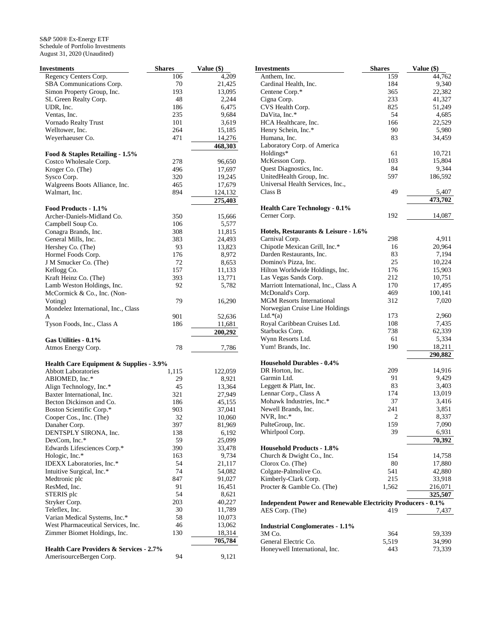| Investments                                        | <b>Shares</b> | Value (\$) |
|----------------------------------------------------|---------------|------------|
| Regency Centers Corp.                              | 106           | 4,209      |
| SBA Communications Corp.                           | 70            | 21,425     |
| Simon Property Group, Inc.                         | 193           | 13,095     |
| SL Green Realty Corp.                              | 48            | 2,244      |
| UDR, Inc.                                          | 186           | 6,475      |
| Ventas, Inc.                                       | 235           | 9,684      |
| Vornado Realty Trust                               | 101           | 3,619      |
| Welltower, Inc.                                    | 264           | 15,185     |
| Weyerhaeuser Co.                                   | 471           | 14,276     |
|                                                    |               | 468,303    |
| Food & Staples Retailing - 1.5%                    |               |            |
|                                                    |               |            |
| Costco Wholesale Corp.                             | 278           | 96,650     |
| Kroger Co. (The)                                   | 496           | 17,697     |
| Sysco Corp.                                        | 320           | 19,245     |
| Walgreens Boots Alliance, Inc.                     | 465           | 17,679     |
| Walmart, Inc.                                      | 894           | 124,132    |
|                                                    |               | 275,403    |
| Food Products - 1.1%                               |               |            |
| Archer-Daniels-Midland Co.                         | 350           | 15,666     |
| Campbell Soup Co.                                  | 106           | 5,577      |
| Conagra Brands, Inc.                               | 308           | 11,815     |
| General Mills, Inc.                                | 383           | 24,493     |
| Hershey Co. (The)                                  | 93            | 13,823     |
| Hormel Foods Corp.                                 | 176           | 8,972      |
| J M Smucker Co. (The)                              | 72            | 8,653      |
| Kellogg Co.                                        | 157           | 11,133     |
| Kraft Heinz Co. (The)                              | 393           | 13,771     |
| Lamb Weston Holdings, Inc.                         | 92            | 5,782      |
| McCormick & Co., Inc. (Non-                        |               |            |
| Voting)                                            | 79            | 16,290     |
| Mondelez International, Inc., Class                |               |            |
|                                                    |               |            |
| A                                                  | 901           | 52,636     |
| Tyson Foods, Inc., Class A                         | 186           | 11,681     |
|                                                    |               | 200,292    |
| Gas Utilities - 0.1%                               |               |            |
| Atmos Energy Corp.                                 | 78            | 7,786      |
|                                                    |               |            |
| Health Care Equipment & Supplies - 3.9%            |               |            |
| <b>Abbott Laboratories</b>                         | 1,115         | 122,059    |
| ABIOMED, Inc.*                                     | 29            | 8,921      |
| Align Technology, Inc.*                            | 45            | 13,364     |
| Baxter International, Inc.                         | 321           | 27,949     |
| Becton Dickinson and Co.                           | 186           | 45,155     |
| Boston Scientific Corp.*                           | 903           | 37,041     |
| Cooper Cos., Inc. (The)                            | 32            | 10,060     |
| Danaher Corp.                                      | 397           | 81,969     |
| DENTSPLY SIRONA, Inc.                              | 138           | 6,192      |
| DexCom, Inc.*                                      | 59            | 25,099     |
| Edwards Lifesciences Corp.*                        | 390           | 33,478     |
| Hologic, Inc.*                                     | 163           | 9,734      |
| IDEXX Laboratories, Inc.*                          | 54            | 21,117     |
| Intuitive Surgical, Inc.*                          | 74            | 54,082     |
|                                                    |               |            |
| Medtronic plc                                      | 847           | 91,027     |
| ResMed, Inc.                                       | 91            | 16,451     |
| STERIS plc                                         | 54            | 8,621      |
| Stryker Corp.                                      | 203           | 40,227     |
| Teleflex, Inc.                                     | 30            | 11,789     |
| Varian Medical Systems, Inc.*                      | 58            | 10,073     |
| West Pharmaceutical Services, Inc.                 | 46            | 13,062     |
| Zimmer Biomet Holdings, Inc.                       | 130           | 18,314     |
|                                                    |               | 705,784    |
| <b>Health Care Providers &amp; Services - 2.7%</b> |               |            |
| AmerisourceBergen Corp.                            | 94            | 9,121      |
|                                                    |               |            |

|                         | <b>Investments</b>                                                  | <b>Shares</b>  | Value (\$) |
|-------------------------|---------------------------------------------------------------------|----------------|------------|
| 9                       | Anthem, Inc.                                                        | 159            | 44,762     |
| 5                       | Cardinal Health, Inc.                                               | 184            | 9,340      |
| 5                       | Centene Corp.*                                                      | 365            | 22,382     |
| 4                       | Cigna Corp.                                                         | 233            | 41,327     |
| 5                       | CVS Health Corp.                                                    | 825            | 51,249     |
| 4                       | DaVita, Inc.*                                                       | 54             | 4,685      |
| 9                       | HCA Healthcare, Inc.                                                | 166            | 22,529     |
| 5                       | Henry Schein, Inc.*                                                 | 90             | 5,980      |
|                         | Humana, Inc.                                                        | 83             | 34,459     |
| $\frac{6}{3}$           | Laboratory Corp. of America                                         |                |            |
|                         | Holdings*                                                           | 61             | 10,721     |
| $\mathbf{0}$            | McKesson Corp.                                                      | 103            | 15,804     |
| 7                       | Quest Diagnostics, Inc.                                             | 84             | 9,344      |
| 5                       | UnitedHealth Group, Inc.                                            | 597            | 186,592    |
|                         | Universal Health Services, Inc.,                                    |                |            |
| $\frac{9}{3}$           | Class B                                                             | 49             | 5,407      |
|                         |                                                                     |                | 473,702    |
|                         | <b>Health Care Technology - 0.1%</b>                                |                |            |
| б                       | Cerner Corp.                                                        | 192            | 14,087     |
| 7                       |                                                                     |                |            |
|                         | Hotels, Restaurants & Leisure - 1.6%                                |                |            |
|                         | Carnival Corp.                                                      | 298            | 4,911      |
|                         | Chipotle Mexican Grill, Inc.*                                       | 16             | 20,964     |
|                         | Darden Restaurants, Inc.                                            | 83             | 7,194      |
| 53323                   | Domino's Pizza, Inc.                                                | 25             | 10,224     |
| 3                       | Hilton Worldwide Holdings, Inc.                                     | 176            | 15,903     |
| 1                       | Las Vegas Sands Corp.                                               | 212            | 10,751     |
| $\overline{\mathbf{c}}$ | Marriott International, Inc., Class A                               | 170            | 17,495     |
|                         | McDonald's Corp.                                                    | 469            | 100,141    |
| 0                       | <b>MGM</b> Resorts International                                    | 312            | 7,020      |
|                         | Norwegian Cruise Line Holdings                                      |                |            |
| б                       | Ltd. $*(a)$                                                         | 173            | 2,960      |
|                         | Royal Caribbean Cruises Ltd.                                        | 108            | 7,435      |
| $\frac{1}{2}$           | Starbucks Corp.                                                     | 738            | 62,339     |
|                         | Wynn Resorts Ltd.                                                   | 61             | 5,334      |
|                         | Yum! Brands, Inc.                                                   | 190            | 18,211     |
| б                       |                                                                     |                | 290,882    |
|                         | <b>Household Durables - 0.4%</b>                                    |                |            |
| 9                       | DR Horton, Inc.                                                     | 209            | 14,916     |
| 1                       | Garmin Ltd.                                                         | 91             | 9,429      |
| 4                       | Leggett & Platt, Inc.                                               | 83             | 3,403      |
| 9                       | Lennar Corp., Class A                                               | 174            | 13,019     |
| 5                       | Mohawk Industries, Inc.*                                            | 37             | 3,416      |
| 1                       | Newell Brands, Inc.                                                 | 241            | 3,851      |
| $\boldsymbol{0}$        | NVR, Inc.*                                                          | $\overline{2}$ | 8,337      |
| 9                       | PulteGroup, Inc.                                                    | 159            | 7,090      |
|                         | Whirlpool Corp.                                                     | 39             | 6,931      |
| $\overline{9}$          |                                                                     |                | 70,392     |
| 8                       | <b>Household Products - 1.8%</b>                                    |                |            |
| 4                       | Church & Dwight Co., Inc.                                           | 154            | 14,758     |
| 7                       | Clorox Co. (The)                                                    | 80             | 17,880     |
|                         | Colgate-Palmolive Co.                                               | 541            | 42,880     |
| 2<br>7                  | Kimberly-Clark Corp.                                                | 215            | 33,918     |
| 1                       | Procter & Gamble Co. (The)                                          | 1,562          | 216,071    |
| 1                       |                                                                     |                | 325,507    |
| 7                       | <b>Independent Power and Renewable Electricity Producers - 0.1%</b> |                |            |
| 9                       | AES Corp. (The)                                                     | 419            | 7,437      |
|                         |                                                                     |                |            |
| $\frac{3}{4}$           | <b>Industrial Conglomerates - 1.1%</b>                              |                |            |
|                         | 3M Co.                                                              | 364            | 59,339     |
|                         | General Electric Co.                                                | 5,519          | 34,990     |
|                         | Honeywell International, Inc.                                       | 443            | 73,339     |
| 1                       |                                                                     |                |            |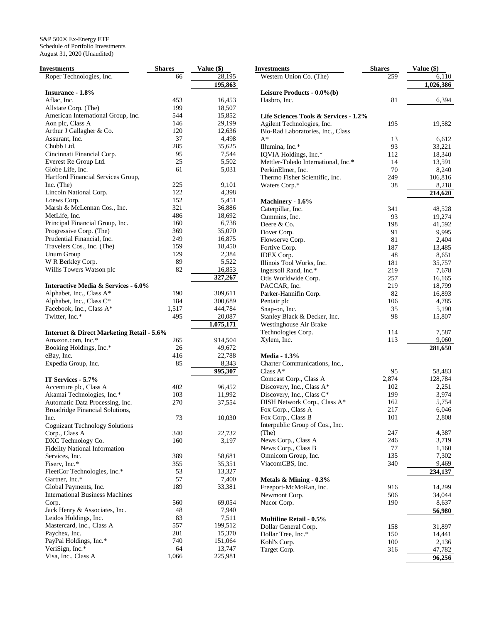| <b>Investments</b>                                   | <b>Shares</b> | Value (\$)    |
|------------------------------------------------------|---------------|---------------|
| Roper Technologies, Inc.                             | 66            | 28,195        |
|                                                      |               | 195,863       |
| <b>Insurance - 1.8%</b>                              |               |               |
| Aflac, Inc.                                          | 453           | 16,453        |
| Allstate Corp. (The)                                 | 199           | 18,507        |
| American International Group, Inc.                   | 544           | 15,852        |
| Aon plc, Class A                                     | 146           | 29,199        |
| Arthur J Gallagher & Co.                             | 120           | 12,636        |
| Assurant, Inc.                                       | 37            | 4,498         |
| Chubb Ltd.                                           | 285           | 35,625        |
| Cincinnati Financial Corp.                           | 95            | 7,544         |
| Everest Re Group Ltd.                                | 25            | 5,502         |
| Globe Life, Inc.                                     | 61            | 5,031         |
| Hartford Financial Services Group,                   |               |               |
|                                                      | 225           | 9,101         |
| $Inc.$ (The)                                         | 122           |               |
| Lincoln National Corp.                               |               | 4,398         |
| Loews Corp.                                          | 152           | 5,451         |
| Marsh & McLennan Cos., Inc.                          | 321           | 36,886        |
| MetLife, Inc.                                        | 486           | 18,692        |
| Principal Financial Group, Inc.                      | 160           | 6,738         |
| Progressive Corp. (The)                              | 369           | 35,070        |
| Prudential Financial, Inc.                           | 249           | 16,875        |
| Travelers Cos., Inc. (The)                           | 159           | 18,450        |
| Unum Group                                           | 129           | 2,384         |
| W R Berkley Corp.                                    | 89            | 5,522         |
| Willis Towers Watson plc                             | 82            | <u>16,853</u> |
|                                                      |               | 327,267       |
| <b>Interactive Media &amp; Services - 6.0%</b>       |               |               |
| Alphabet, Inc., Class A*                             | 190           | 309,611       |
| Alphabet, Inc., Class C*                             | 184           | 300,689       |
| Facebook, Inc., Class A*                             | 1,517         | 444,784       |
| Twitter, Inc.*                                       | 495           | 20,087        |
|                                                      |               | 1,075,171     |
| <b>Internet &amp; Direct Marketing Retail - 5.6%</b> |               |               |
| Amazon.com, Inc.*                                    | 265           | 914,504       |
| Booking Holdings, Inc.*                              | 26            | 49,672        |
| eBay, Inc.                                           | 416           | 22,788        |
| Expedia Group, Inc.                                  | 85            | 8,343         |
|                                                      |               |               |
|                                                      |               | 995,307       |
| IT Services - 5.7%                                   |               |               |
| Accenture plc, Class A                               | 402           | 96,452        |
| Akamai Technologies, Inc.*                           | 103           | 11,992        |
| Automatic Data Processing, Inc.                      | 270           | 37,554        |
| Broadridge Financial Solutions,                      |               |               |
| Inc.                                                 | 73            | 10,030        |
| <b>Cognizant Technology Solutions</b>                |               |               |
| Corp., Class A                                       | 340           | 22,732        |
| DXC Technology Co.                                   | 160           | 3,197         |
| <b>Fidelity National Information</b>                 |               |               |
| Services, Inc.                                       | 389           | 58,681        |
| Fiserv, Inc.*                                        | 355           | 35,351        |
| FleetCor Technologies, Inc.*                         | 53            | 13,327        |
| Gartner, Inc.*                                       | 57            | 7,400         |
| Global Payments, Inc.                                | 189           | 33,381        |
| <b>International Business Machines</b>               |               |               |
| Corp.                                                | 560           | 69,054        |
| Jack Henry & Associates, Inc.                        | 48            | 7,940         |
| Leidos Holdings, Inc.                                | 83            | 7,511         |
| Mastercard, Inc., Class A                            | 557           | 199,512       |
|                                                      | 201           |               |
| Paychex, Inc.                                        |               | 15,370        |
| PayPal Holdings, Inc.*                               | 740           | 151,064       |
| VeriSign, Inc.*                                      | 64            | 13,747        |
| Visa, Inc., Class A                                  | 1,066         | 225,981       |
|                                                      |               |               |

| <b>Investments</b>                                  | <b>Shares</b> | Value (\$)       |
|-----------------------------------------------------|---------------|------------------|
| Western Union Co. (The)                             | 259           | 6,110            |
|                                                     |               | 1,026,386        |
| Leisure Products - 0.0%(b)                          |               |                  |
| Hasbro, Inc.                                        | 81            | 6,394            |
|                                                     |               |                  |
| Life Sciences Tools & Services - 1.2%               |               |                  |
| Agilent Technologies, Inc.                          | 195           | 19,582           |
| Bio-Rad Laboratories, Inc., Class                   |               |                  |
| $A^*$                                               | 13            | 6,612            |
| Illumina, Inc.*                                     | 93            | 33,221           |
| IQVIA Holdings, Inc.*                               | 112           | 18,340           |
| Mettler-Toledo International, Inc.*                 | 14            | 13,591           |
| PerkinElmer, Inc.                                   | 70            | 8,240            |
| Thermo Fisher Scientific, Inc.                      | 249           | 106,816          |
| Waters Corp.*                                       | 38            | 8,218            |
|                                                     |               | 214,620          |
| Machinery - 1.6%                                    |               |                  |
| Caterpillar, Inc.                                   | 341           | 48,528           |
| Cummins, Inc.                                       | 93            | 19,274           |
| Deere & Co.                                         | 198           | 41,592           |
| Dover Corp.                                         | 91            | 9,995            |
| Flowserve Corp.                                     | 81            | 2,404            |
| Fortive Corp.                                       | 187           | 13,485           |
| <b>IDEX</b> Corp.                                   | 48            | 8,651            |
| Illinois Tool Works, Inc.                           | 181           | 35,757           |
| Ingersoll Rand, Inc.*                               | 219           | 7,678            |
| Otis Worldwide Corp.                                | 257           | 16,165           |
| PACCAR, Inc.                                        | 219           | 18,799           |
| Parker-Hannifin Corp.                               | 82            | 16,893           |
| Pentair plc                                         | 106           | 4,785            |
| Snap-on, Inc.                                       | 35            | 5,190            |
| Stanley Black & Decker, Inc.                        | 98            | 15,807           |
| Westinghouse Air Brake                              |               |                  |
| Technologies Corp.                                  | 114           | 7,587            |
| Xylem, Inc.                                         | 113           | 9,060            |
|                                                     |               | 281,650          |
| <b>Media - 1.3%</b>                                 |               |                  |
| Charter Communications, Inc.,<br>Class $A^*$        |               |                  |
|                                                     | 95<br>2,874   | 58,483           |
| Comcast Corp., Class A<br>Discovery, Inc., Class A* | 102           | 128,784<br>2,251 |
| Discovery, Inc., Class C*                           | 199           |                  |
| DISH Network Corp., Class A*                        | 162           | 3,974<br>5,754   |
| Fox Corp., Class A                                  | 217           | 6,046            |
| Fox Corp., Class B                                  | 101           | 2,808            |
| Interpublic Group of Cos., Inc.                     |               |                  |
| (The)                                               | 247           | 4,387            |
| News Corp., Class A                                 | 246           | 3,719            |
| News Corp., Class B                                 | 77            | 1,160            |
| Omnicom Group, Inc.                                 | 135           | 7,302            |
| ViacomCBS, Inc.                                     | 340           | 9,469            |
|                                                     |               | 234,137          |
| Metals $&$ Mining - 0.3%                            |               |                  |
| Freeport-McMoRan, Inc.                              | 916           | 14,299           |
| Newmont Corp.                                       | 506           | 34,044           |
| Nucor Corp.                                         | 190           | 8,637            |
|                                                     |               | 56,980           |
| <b>Multiline Retail - 0.5%</b>                      |               |                  |
| Dollar General Corp.                                | 158           | 31,897           |
| Dollar Tree, Inc.*                                  | 150           | 14,441           |
| Kohl's Corp.                                        | 100           | 2,136            |
| Target Corp.                                        | 316           | 47,782           |
|                                                     |               | 96,256           |
|                                                     |               |                  |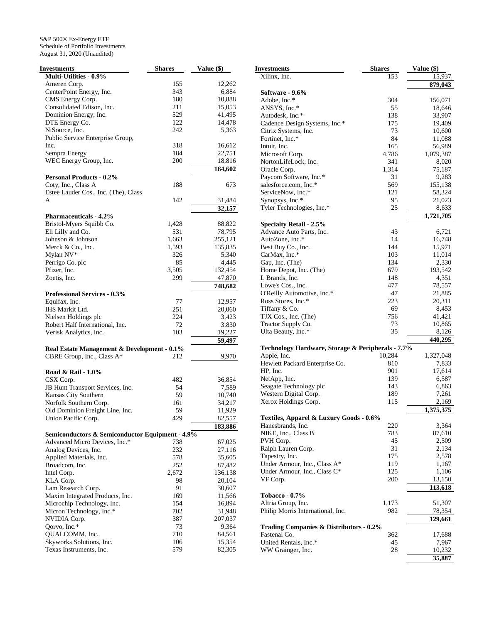| <b>Investments</b>                                     | <b>Shares</b> | Value (\$) |
|--------------------------------------------------------|---------------|------------|
| Multi-Utilities - 0.9%                                 |               |            |
| Ameren Corp.                                           | 155           | 12,262     |
| CenterPoint Energy, Inc.                               | 343           | 6,884      |
| CMS Energy Corp.                                       | 180           | 10,888     |
| Consolidated Edison, Inc.                              | 211           | 15,053     |
| Dominion Energy, Inc.                                  | 529           | 41,495     |
| DTE Energy Co.                                         | 122           | 14,478     |
| NiSource, Inc.                                         | 242           | 5,363      |
| Public Service Enterprise Group,                       |               |            |
| Inc.                                                   | 318           | 16,612     |
| Sempra Energy                                          | 184           | 22,751     |
| WEC Energy Group, Inc.                                 | 200           | 18,816     |
|                                                        |               | 164,602    |
| <b>Personal Products - 0.2%</b>                        |               |            |
| Coty, Inc., Class A                                    | 188           | 673        |
| Estee Lauder Cos., Inc. (The), Class                   |               |            |
| A                                                      | 142           | 31,484     |
|                                                        |               | 32,157     |
| <b>Pharmaceuticals - 4.2%</b>                          |               |            |
| Bristol-Myers Squibb Co.                               | 1,428         | 88,822     |
| Eli Lilly and Co.                                      | 531           | 78,795     |
| Johnson & Johnson                                      | 1,663         | 255,121    |
| Merck & Co., Inc.                                      | 1,593         | 135,835    |
| Mylan NV*                                              | 326           | 5,340      |
| Perrigo Co. plc                                        | 85            | 4,445      |
| Pfizer, Inc.                                           | 3,505         | 132,454    |
| Zoetis, Inc.                                           | 299           | 47,870     |
|                                                        |               | 748,682    |
| <b>Professional Services - 0.3%</b>                    |               |            |
| Equifax, Inc.                                          | 77            | 12,957     |
| IHS Markit Ltd.                                        | 251           | 20,060     |
| Nielsen Holdings plc                                   | 224           | 3,423      |
| Robert Half International, Inc.                        | 72            | 3,830      |
| Verisk Analytics, Inc.                                 | 103           | 19,227     |
|                                                        |               | 59,497     |
| Real Estate Management & Development - 0.1%            |               |            |
| CBRE Group, Inc., Class A*                             | 212           | 9,970      |
|                                                        |               |            |
| Road & Rail - 1.0%                                     |               |            |
|                                                        | 482           | 36,854     |
| CSX Corp.                                              | 54            |            |
| JB Hunt Transport Services, Inc.                       |               | 7,589      |
| Kansas City Southern                                   | 59            | 10,740     |
| Norfolk Southern Corp.                                 | 161           | 34,217     |
| Old Dominion Freight Line, Inc.<br>Union Pacific Corp. | 59<br>429     | 11,929     |
|                                                        |               | 82,557     |
|                                                        |               | 183,886    |
| Semiconductors & Semiconductor Equipment - 4.9%        |               |            |
| Advanced Micro Devices, Inc.*                          | 738           | 67,025     |
| Analog Devices, Inc.                                   | 232           | 27,116     |
| Applied Materials, Inc.                                | 578           | 35,605     |
| Broadcom, Inc.                                         | 252           | 87,482     |
| Intel Corp.                                            | 2,672         | 136,138    |
| KLA Corp.                                              | 98            | 20,104     |
| Lam Research Corp.                                     | 91            | 30,607     |
| Maxim Integrated Products, Inc.                        | 169           | 11,566     |
| Microchip Technology, Inc.                             | 154           | 16,894     |
| Micron Technology, Inc.*                               | 702           | 31,948     |
| NVIDIA Corp.                                           | 387           | 207,037    |
| Qorvo, Inc.*                                           | 73            | 9,364      |
| QUALCOMM, Inc.                                         | 710           | 84,561     |
| Skyworks Solutions, Inc.                               | 106           | 15,354     |
| Texas Instruments, Inc.                                | 579           | 82,305     |

| <b>Investments</b>                                 | <b>Shares</b> | Value (\$)      |
|----------------------------------------------------|---------------|-----------------|
| Xilinx, Inc.                                       | 153           | 15,937          |
|                                                    |               | 879,043         |
| Software - 9.6%                                    |               |                 |
| Adobe, Inc.*                                       | 304           | 156,071         |
| ANSYS, Inc.*                                       | 55            | 18,646          |
| Autodesk, Inc.*                                    | 138           | 33,907          |
| Cadence Design Systems, Inc.*                      | 175           | 19,409          |
| Citrix Systems, Inc.                               | 73            | 10,600          |
| Fortinet, Inc.*                                    | 84            | 11,088          |
| Intuit, Inc.                                       | 165<br>4,786  | 56,989          |
| Microsoft Corp.                                    |               | 1,079,387       |
| NortonLifeLock, Inc.<br>Oracle Corp.               | 341<br>1,314  | 8,020           |
| Paycom Software, Inc.*                             | 31            | 75,187<br>9,283 |
| salesforce.com, Inc.*                              | 569           | 155,138         |
| ServiceNow, Inc.*                                  | 121           | 58,324          |
| Synopsys, Inc.*                                    | 95            | 21,023          |
| Tyler Technologies, Inc.*                          | 25            | 8,633           |
|                                                    |               | 1,721,705       |
| <b>Specialty Retail - 2.5%</b>                     |               |                 |
| Advance Auto Parts, Inc.                           | 43            | 6,721           |
| AutoZone, Inc.*                                    | 14            | 16,748          |
| Best Buy Co., Inc.                                 | 144           | 15,971          |
| CarMax, Inc.*                                      | 103           | 11,014          |
| Gap, Inc. (The)                                    | 134           | 2,330           |
| Home Depot, Inc. (The)                             | 679           | 193,542         |
| L Brands, Inc.                                     | 148           | 4,351           |
| Lowe's Cos., Inc.                                  | 477           | 78,557          |
| O'Reilly Automotive, Inc.*                         | 47            | 21,885          |
| Ross Stores, Inc.*                                 | 223           | 20,311          |
| Tiffany & Co.                                      | 69            | 8,453           |
| TJX Cos., Inc. (The)                               | 756           | 41,421          |
| Tractor Supply Co.                                 | 73            | 10,865          |
| Ulta Beauty, Inc.*                                 | 35            | 8,126           |
|                                                    |               | 440,295         |
| Technology Hardware, Storage & Peripherals - 7.7%  |               |                 |
| Apple, Inc.                                        | 10,284        | 1,327,048       |
| Hewlett Packard Enterprise Co.                     | 810           | 7,833           |
| HP, Inc.                                           | 901           | 17,614          |
| NetApp, Inc.                                       | 139           | 6,587           |
| Seagate Technology plc                             | 143           | 6,863           |
| Western Digital Corp.                              | 189           | 7,261           |
| Xerox Holdings Corp.                               | 115           | 2,169           |
|                                                    |               | 1,375,375       |
| Textiles, Apparel & Luxury Goods - 0.6%            |               |                 |
| Hanesbrands, Inc.                                  | 220           | 3,364           |
| NIKE, Inc., Class B                                | 783           | 87,610          |
| PVH Corp.                                          | 45            | 2,509           |
| Ralph Lauren Corp.                                 | 31            | 2,134           |
| Tapestry, Inc.                                     | 175           | 2,578           |
| Under Armour, Inc., Class A*                       | 119           | 1,167           |
| Under Armour, Inc., Class C*                       | 125           | 1,106           |
| VF Corp.                                           | 200           | 13,150          |
|                                                    |               | 113,618         |
| <b>Tobacco - 0.7%</b>                              |               |                 |
| Altria Group, Inc.                                 | 1,173         | 51,307          |
| Philip Morris International, Inc.                  | 982           | 78,354          |
|                                                    |               | 129,661         |
| <b>Trading Companies &amp; Distributors - 0.2%</b> |               |                 |
| Fastenal Co.                                       | 362           | 17,688          |
| United Rentals, Inc.*                              | 45            | 7,967           |
| WW Grainger, Inc.                                  | 28            | 10,232          |
|                                                    |               | 35,887          |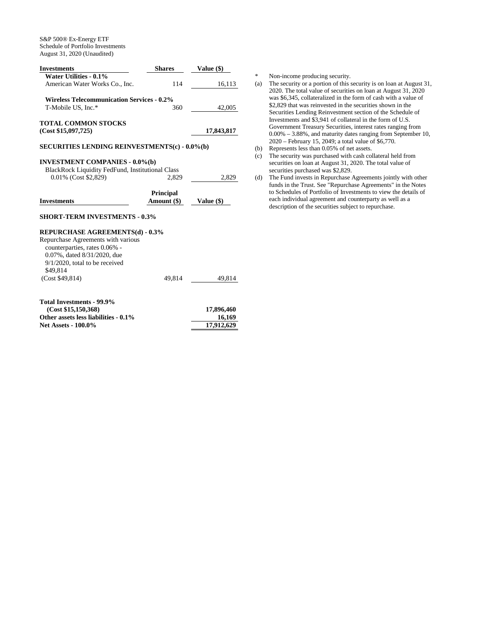| <b>Investments</b>                                   | <b>Shares</b>    | <b>Value</b> (\$) |
|------------------------------------------------------|------------------|-------------------|
| <b>Water Utilities - 0.1%</b>                        |                  |                   |
| American Water Works Co., Inc.                       | 114              | 16,113            |
| <b>Wireless Telecommunication Services - 0.2%</b>    |                  |                   |
| T-Mobile US, Inc.*                                   | 360              | 42,005            |
| <b>TOTAL COMMON STOCKS</b>                           |                  |                   |
| (Cost \$15,097,725)                                  |                  | 17,843,817        |
| <b>SECURITIES LENDING REINVESTMENTS(c) - 0.0%(b)</b> |                  |                   |
| <b>INVESTMENT COMPANIES - 0.0%(b)</b>                |                  |                   |
| BlackRock Liquidity FedFund, Institutional Class     |                  |                   |
| 0.01% (Cost \$2,829)                                 | 2,829            | 2,829             |
|                                                      | <b>Principal</b> |                   |
| <b>Investments</b>                                   | Amount (\$)      | Value (\$)        |
| <b>SHORT-TERM INVESTMENTS - 0.3%</b>                 |                  |                   |
| <b>REPURCHASE AGREEMENTS(d) - 0.3%</b>               |                  |                   |
| Repurchase Agreements with various                   |                  |                   |
| counterparties, rates 0.06% -                        |                  |                   |
| 0.07%, dated 8/31/2020, due                          |                  |                   |
| $9/1/2020$ , total to be received                    |                  |                   |
| \$49,814                                             |                  |                   |
| (Cost \$49,814)                                      | 49,814           | 49,814            |
|                                                      |                  |                   |
| <b>Total Investments - 99.9%</b>                     |                  |                   |
| (Cost \$15,150,368)                                  |                  | 17,896,460        |
| Other assets less liabilities - 0.1%                 |                  | 16,169            |
| <b>Net Assets - 100.0%</b>                           |                  | 17,912,629        |

\* Non-income producing security.<br>(a) The security or a portion of this s

- The security or a portion of this security is on loan at August 31, 2020. The total value of securities on loan at August 31, 2020 was \$6,345, collateralized in the form of cash with a value of \$2,829 that was reinvested in the securities shown in the Securities Lending Reinvestment section of the Schedule of Investments and \$3,941 of collateral in the form of U.S. Government Treasury Securities, interest rates ranging from 0.00% – 3.88%, and maturity dates ranging from September 10, 2020 – February 15, 2049; a total value of \$6,770.
- (b) Represents less than 0.05% of net assets.
- (c) The security was purchased with cash collateral held from securities on loan at August 31, 2020. The total value of securities purchased was \$2,829.
- (d) The Fund invests in Repurchase Agreements jointly with other funds in the Trust. See "Repurchase Agreements" in the Notes to Schedules of Portfolio of Investments to view the details of each individual agreement and counterparty as well as a description of the securities subject to repurchase.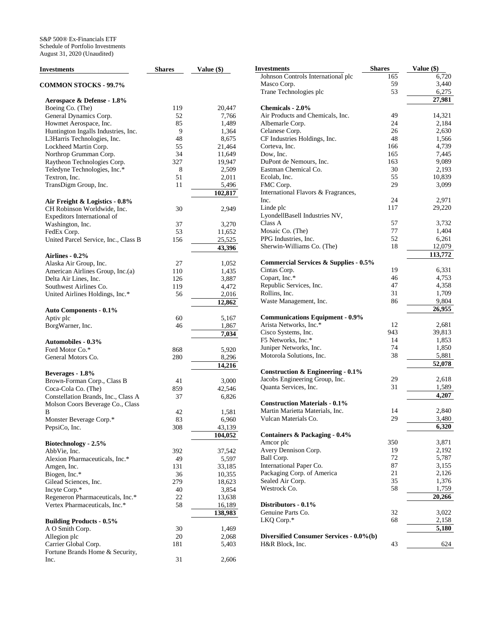| Investments                              | <b>Shares</b> | Value $(\$)$ | <b>Investments</b>                               | <b>Shares</b> | Value (\$) |
|------------------------------------------|---------------|--------------|--------------------------------------------------|---------------|------------|
|                                          |               |              | Johnson Controls International plc               | 165           | 6,720      |
| <b>COMMON STOCKS - 99.7%</b>             |               |              | Masco Corp.                                      | 59            | 3,440      |
|                                          |               |              | Trane Technologies plc                           | 53            | 6,275      |
| Aerospace & Defense - 1.8%               |               |              |                                                  |               | 27,981     |
| Boeing Co. (The)                         | 119           | 20,447       | Chemicals - 2.0%                                 |               |            |
| General Dynamics Corp.                   | 52            | 7,766        | Air Products and Chemicals, Inc.                 | 49            | 14,321     |
| Howmet Aerospace, Inc.                   | 85            | 1,489        | Albemarle Corp.                                  | 24            | 2,184      |
| Huntington Ingalls Industries, Inc.      | 9             | 1,364        | Celanese Corp.                                   | 26            | 2,630      |
| L3Harris Technologies, Inc.              | 48            | 8,675        | CF Industries Holdings, Inc.                     | 48            | 1,566      |
| Lockheed Martin Corp.                    | 55            | 21,464       | Corteva, Inc.                                    | 166           | 4,739      |
| Northrop Grumman Corp.                   | 34            | 11.649       | Dow, Inc.                                        | 165           | 7,445      |
| Raytheon Technologies Corp.              | 327           | 19,947       | DuPont de Nemours, Inc.                          | 163           | 9,089      |
| Teledyne Technologies, Inc.*             | 8             | 2,509        | Eastman Chemical Co.                             | 30            | 2,193      |
| Textron, Inc.                            | 51            | 2,011        | Ecolab, Inc.                                     | 55            | 10,839     |
| TransDigm Group, Inc.                    | 11            | 5,496        | FMC Corp.                                        | 29            | 3,099      |
|                                          |               | 102,817      | International Flavors & Fragrances,              |               |            |
|                                          |               |              | Inc.                                             | 24            | 2,971      |
| Air Freight & Logistics - 0.8%           |               |              | Linde plc                                        | 117           | 29,220     |
| CH Robinson Worldwide, Inc.              | 30            | 2,949        | LyondellBasell Industries NV,                    |               |            |
| Expeditors International of              |               |              | Class A                                          | 57            | 3,732      |
| Washington, Inc.                         | 37            | 3,270        | Mosaic Co. (The)                                 | 77            | 1,404      |
| FedEx Corp.                              | 53            | 11,652       | PPG Industries, Inc.                             | 52            | 6,261      |
| United Parcel Service, Inc., Class B     | 156           | 25,525       |                                                  | 18            |            |
|                                          |               | 43,396       | Sherwin-Williams Co. (The)                       |               | 12,079     |
| Airlines - 0.2%                          |               |              |                                                  |               | 113,772    |
| Alaska Air Group, Inc.                   | 27            | 1,052        | <b>Commercial Services &amp; Supplies - 0.5%</b> |               |            |
| American Airlines Group, Inc.(a)         | 110           | 1,435        | Cintas Corp.                                     | 19            | 6,331      |
| Delta Air Lines, Inc.                    | 126           | 3,887        | Copart, Inc.*                                    | 46            | 4,753      |
| Southwest Airlines Co.                   | 119           | 4,472        | Republic Services, Inc.                          | 47            | 4,358      |
| United Airlines Holdings, Inc.*          | 56            | 2,016        | Rollins, Inc.                                    | 31            | 1,709      |
|                                          |               | 12,862       | Waste Management, Inc.                           | 86            | 9,804      |
| <b>Auto Components - 0.1%</b>            |               |              |                                                  |               | 26,955     |
| Aptiv plc                                | 60            | 5,167        | <b>Communications Equipment - 0.9%</b>           |               |            |
| BorgWarner, Inc.                         | 46            | 1,867        | Arista Networks, Inc.*                           | 12            | 2,681      |
|                                          |               | 7,034        | Cisco Systems, Inc.                              | 943           | 39,813     |
| <b>Automobiles - 0.3%</b>                |               |              | F5 Networks, Inc.*                               | 14            | 1,853      |
| Ford Motor Co.*                          | 868           | 5,920        | Juniper Networks, Inc.                           | 74            | 1,850      |
| General Motors Co.                       | 280           | 8,296        | Motorola Solutions, Inc.                         | 38            | 5,881      |
|                                          |               | 14,216       |                                                  |               | 52,078     |
| Beverages - 1.8%                         |               |              | Construction & Engineering - 0.1%                |               |            |
| Brown-Forman Corp., Class B              | 41            | 3,000        | Jacobs Engineering Group, Inc.                   | 29            | 2,618      |
| Coca-Cola Co. (The)                      | 859           | 42,546       | Quanta Services, Inc.                            | 31            | 1,589      |
| Constellation Brands, Inc., Class A      | 37            | 6,826        |                                                  |               | 4,207      |
| Molson Coors Beverage Co., Class         |               |              | <b>Construction Materials - 0.1%</b>             |               |            |
| В                                        | 42            | 1,581        | Martin Marietta Materials, Inc.                  | 14            | 2,840      |
|                                          | 83            | 6,960        | Vulcan Materials Co.                             | 29            | 3,480      |
| Monster Beverage Corp.*<br>PepsiCo, Inc. | 308           |              |                                                  |               | 6,320      |
|                                          |               | 43,139       |                                                  |               |            |
|                                          |               | 104,052      | Containers & Packaging - 0.4%                    |               |            |
| Biotechnology - 2.5%                     |               |              | Amcor plc                                        | 350           | 3,871      |
| AbbVie, Inc.                             | 392           | 37,542       | Avery Dennison Corp.                             | 19            | 2,192      |
| Alexion Pharmaceuticals, Inc.*           | 49            | 5,597        | Ball Corp.                                       | 72            | 5,787      |
| Amgen, Inc.                              | 131           | 33,185       | International Paper Co.                          | 87            | 3,155      |
| Biogen, Inc.*                            | 36            | 10,355       | Packaging Corp. of America                       | 21            | 2,126      |
| Gilead Sciences, Inc.                    | 279           | 18,623       | Sealed Air Corp.                                 | 35            | 1,376      |
| Incyte Corp.*                            | 40            | 3,854        | Westrock Co.                                     | 58            | 1,759      |
| Regeneron Pharmaceuticals, Inc.*         | 22            | 13,638       |                                                  |               | 20,266     |
| Vertex Pharmaceuticals, Inc.*            | 58            | 16,189       | Distributors - 0.1%                              |               |            |
|                                          |               | 138,983      | Genuine Parts Co.                                | 32            | 3,022      |
| <b>Building Products - 0.5%</b>          |               |              | LKQ Corp.*                                       | 68            | 2,158      |
| A O Smith Corp.                          | 30            | 1,469        |                                                  |               | 5,180      |
| Allegion plc                             | 20            | 2,068        | Diversified Consumer Services - 0.0%(b)          |               |            |
| Carrier Global Corp.                     | 181           | 5,403        | H&R Block, Inc.                                  | 43            | 624        |
| Fortune Brands Home & Security,          |               |              |                                                  |               |            |
| Inc.                                     | $31\,$        | 2,606        |                                                  |               |            |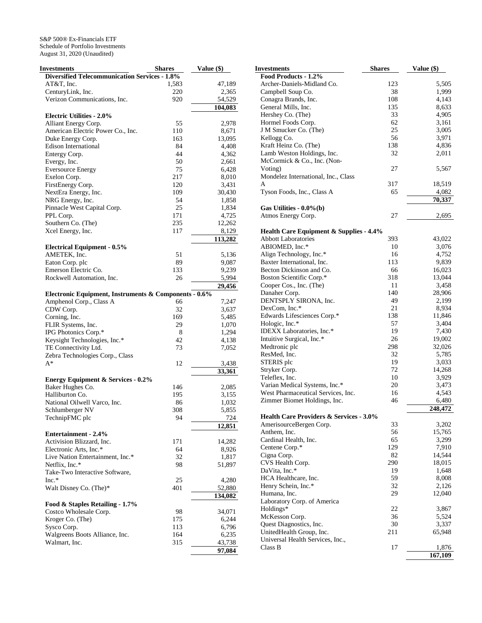| Investments                                           | <b>Shares</b> | Value (\$) |
|-------------------------------------------------------|---------------|------------|
| <b>Diversified Telecommunication Services - 1.8%</b>  |               |            |
| AT&T, Inc.                                            | 1,583         | 47,189     |
| CenturyLink, Inc.                                     | 220           | 2,365      |
| Verizon Communications, Inc.                          | 920           | 54,529     |
|                                                       |               | 104,083    |
|                                                       |               |            |
| <b>Electric Utilities - 2.0%</b>                      |               |            |
| Alliant Energy Corp.                                  | 55            | 2,978      |
| American Electric Power Co., Inc.                     | 110           | 8,671      |
| Duke Energy Corp.                                     | 163           | 13,095     |
| <b>Edison International</b>                           | 84            | 4,408      |
| Entergy Corp.                                         | 44            | 4,362      |
| Evergy, Inc.                                          | 50            | 2,661      |
| <b>Eversource Energy</b>                              | 75            | 6,428      |
| Exelon Corp.                                          | 217           | 8,010      |
| FirstEnergy Corp.                                     | 120           | 3,431      |
| NextEra Energy, Inc.                                  | 109           | 30,430     |
| NRG Energy, Inc.                                      | 54            | 1,858      |
| Pinnacle West Capital Corp.                           | 25            | 1,834      |
| PPL Corp.                                             | 171           | 4,725      |
| Southern Co. (The)                                    | 235           |            |
|                                                       |               | 12,262     |
| Xcel Energy, Inc.                                     | 117           | 8,129      |
|                                                       |               | 113,282    |
| <b>Electrical Equipment - 0.5%</b>                    |               |            |
| AMETEK, Inc.                                          | 51            | 5,136      |
| Eaton Corp. plc                                       | 89            | 9,087      |
| Emerson Electric Co.                                  | 133           | 9,239      |
| Rockwell Automation, Inc.                             | 26            | 5,994      |
|                                                       |               | 29,456     |
| Electronic Equipment, Instruments & Components - 0.6% |               |            |
| Amphenol Corp., Class A                               | 66            | 7,247      |
| CDW Corp.                                             | 32            | 3,637      |
| Corning, Inc.                                         | 169           | 5,485      |
| FLIR Systems, Inc.                                    | 29            | 1,070      |
| IPG Photonics Corp.*                                  | 8             | 1,294      |
| Keysight Technologies, Inc.*                          | 42            | 4,138      |
|                                                       | 73            |            |
| TE Connectivity Ltd.                                  |               | 7,052      |
| Zebra Technologies Corp., Class<br>A*                 |               |            |
|                                                       | 12            | 3,438      |
|                                                       |               | 33,361     |
| <b>Energy Equipment &amp; Services - 0.2%</b>         |               |            |
| Baker Hughes Co.                                      | 146           | 2,085      |
| Halliburton Co.                                       | 195           | 3,155      |
| National Oilwell Varco, Inc.                          | 86            | 1,032      |
| Schlumberger NV                                       | 308           | 5,855      |
| TechnipFMC plc                                        | 94            | 724        |
|                                                       |               | 12,851     |
| <b>Entertainment - 2.4%</b>                           |               |            |
| Activision Blizzard, Inc.                             | 171           | 14,282     |
| Electronic Arts, Inc.*                                | 64            | 8,926      |
| Live Nation Entertainment, Inc.*                      | 32            | 1,817      |
| Netflix, Inc.*                                        | 98            | 51,897     |
| Take-Two Interactive Software,                        |               |            |
| $Inc.*$                                               | 25            | 4,280      |
|                                                       |               |            |
| Walt Disney Co. (The)*                                | 401           | 52,880     |
|                                                       |               | 134,082    |
| Food & Staples Retailing - 1.7%                       |               |            |
| Costco Wholesale Corp.                                | 98            | 34,071     |
| Kroger Co. (The)                                      | 175           | 6,244      |
| Sysco Corp.                                           | 113           | 6,796      |
| Walgreens Boots Alliance, Inc.                        | 164           | 6,235      |
| Walmart, Inc.                                         | 315           | 43,738     |
|                                                       |               | 97,084     |

| <b>Investments</b>                                        | <b>Shares</b> | Value (\$)      |
|-----------------------------------------------------------|---------------|-----------------|
| Food Products - 1.2%                                      |               |                 |
| Archer-Daniels-Midland Co.                                | 123           | 5,505           |
| Campbell Soup Co.                                         | 38            | 1,999           |
| Conagra Brands, Inc.                                      | 108           | 4,143           |
| General Mills, Inc.                                       | 135           | 8,633           |
| Hershey Co. (The)                                         | 33            | 4,905           |
| Hormel Foods Corp.                                        | 62            | 3,161           |
| J M Smucker Co. (The)                                     | 25            | 3,005           |
| Kellogg Co.                                               | 56            | 3,971           |
| Kraft Heinz Co. (The)                                     | 138           | 4,836           |
| Lamb Weston Holdings, Inc.<br>McCormick & Co., Inc. (Non- | 32            | 2,011           |
| Voting)<br>Mondelez International, Inc., Class            | 27            | 5,567           |
| A                                                         | 317           | 18,519          |
| Tyson Foods, Inc., Class A                                | 65            | 4,082           |
|                                                           |               | 70,337          |
| Gas Utilities - $0.0\%$ (b)                               |               |                 |
| Atmos Energy Corp.                                        | 27            | 2,695           |
| <b>Health Care Equipment &amp; Supplies - 4.4%</b>        |               |                 |
| <b>Abbott Laboratories</b>                                | 393           | 43,022          |
| ABIOMED, Inc.*                                            | 10            | 3,076           |
| Align Technology, Inc.*                                   | 16            | 4,752           |
| Baxter International, Inc.                                | 113           | 9,839           |
| Becton Dickinson and Co.                                  | 66            | 16,023          |
| Boston Scientific Corp.*                                  | 318           | 13,044          |
| Cooper Cos., Inc. (The)                                   | 11            | 3,458           |
| Danaher Corp.                                             | 140           | 28,906          |
| DENTSPLY SIRONA, Inc.                                     | 49            | 2,199           |
| DexCom, Inc.*                                             | 21<br>138     | 8,934           |
| Edwards Lifesciences Corp.*<br>Hologic, Inc.*             | 57            | 11,846<br>3,404 |
| IDEXX Laboratories, Inc.*                                 | 19            | 7,430           |
| Intuitive Surgical, Inc.*                                 | 26            | 19,002          |
| Medtronic plc                                             | 298           | 32,026          |
| ResMed, Inc.                                              | 32            | 5,785           |
| STERIS plc                                                | 19            | 3,033           |
| Stryker Corp.                                             | 72            | 14,268          |
| Teleflex, Inc.                                            | 10            | 3,929           |
| Varian Medical Systems, Inc.*                             | 20            | 3,473           |
| West Pharmaceutical Services, Inc.                        | 16            | 4,543           |
| Zimmer Biomet Holdings, Inc.                              | 46            | 6,480           |
| Health Care Providers & Services - 3.0%                   |               | 248,472         |
| AmerisourceBergen Corp.                                   | 33            | 3,202           |
| Anthem, Inc.                                              | 56            | 15,765          |
| Cardinal Health, Inc.                                     | 65            | 3,299           |
| Centene Corp.*                                            | 129           | 7,910           |
| Cigna Corp.                                               | 82            | 14,544          |
| CVS Health Corp.                                          | 290           | 18,015          |
| DaVita, Inc.*                                             | 19            | 1,648           |
| HCA Healthcare, Inc.                                      | 59            | 8,008           |
| Henry Schein, Inc.*                                       | 32            | 2,126           |
| Humana, Inc.                                              | 29            | 12,040          |
| Laboratory Corp. of America                               |               |                 |
| Holdings*                                                 | 22            | 3,867           |
| McKesson Corp.                                            | 36            | 5,524           |
| Quest Diagnostics, Inc.                                   | 30            | 3,337           |
| UnitedHealth Group, Inc.                                  | 211           | 65,948          |
| Universal Health Services, Inc.,<br>Class B               | 17            | 1,876           |
|                                                           |               | 167,109         |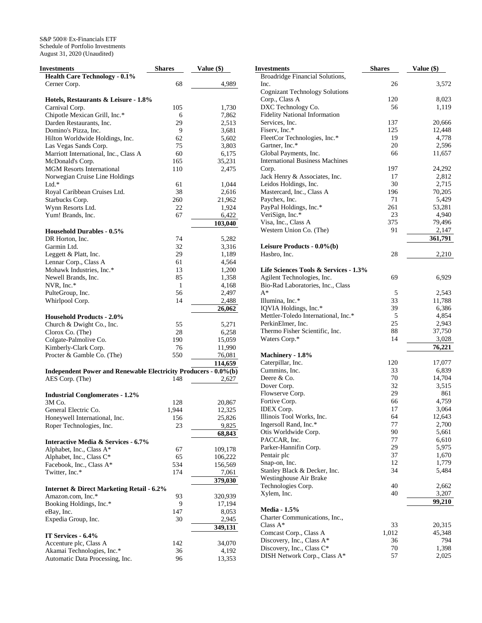| Investments                                                     | <b>Shares</b> | <b>Value (\$)</b> |
|-----------------------------------------------------------------|---------------|-------------------|
| <b>Health Care Technology - 0.1%</b>                            |               |                   |
| Cerner Corp.                                                    | 68            | 4,989             |
|                                                                 |               |                   |
| Hotels, Restaurants & Leisure - 1.8%                            |               |                   |
| Carnival Corp.                                                  | 105           | 1,730             |
| Chipotle Mexican Grill, Inc.*                                   | 6             | 7,862             |
| Darden Restaurants, Inc.                                        | 29            | 2,513             |
| Domino's Pizza, Inc.                                            | 9             | 3,681             |
| Hilton Worldwide Holdings, Inc.                                 | 62            | 5,602             |
| Las Vegas Sands Corp.                                           | 75            | 3,803             |
| Marriott International, Inc., Class A                           | 60            | 6,175             |
| McDonald's Corp.                                                | 165           | 35,231            |
| <b>MGM</b> Resorts International                                | 110           | 2,475             |
| Norwegian Cruise Line Holdings                                  |               |                   |
| $Ltd.*$                                                         | 61            | 1,044             |
| Royal Caribbean Cruises Ltd.                                    | 38            | 2,616             |
| Starbucks Corp.                                                 | 260           | 21,962            |
| Wynn Resorts Ltd.                                               | 22            | 1,924             |
| Yum! Brands, Inc.                                               | 67            | 6,422             |
|                                                                 |               | 103,040           |
| <b>Household Durables - 0.5%</b>                                |               |                   |
| DR Horton, Inc.                                                 | 74            | 5,282             |
| Garmin Ltd.                                                     | 32            | 3,316             |
| Leggett & Platt, Inc.                                           | 29            | 1,189             |
| Lennar Corp., Class A                                           | 61            | 4,564             |
| Mohawk Industries, Inc.*                                        | 13            | 1,200             |
| Newell Brands, Inc.                                             | 85            | 1,358             |
| NVR, Inc.*                                                      | 1             | 4,168             |
| PulteGroup, Inc.                                                | 56            | 2,497             |
| Whirlpool Corp.                                                 | 14            | 2,488             |
|                                                                 |               | 26,062            |
| <b>Household Products - 2.0%</b>                                |               |                   |
| Church & Dwight Co., Inc.                                       | 55            | 5,271             |
| Clorox Co. (The)                                                | 28            | 6,258             |
| Colgate-Palmolive Co.                                           | 190           | 15,059            |
| Kimberly-Clark Corp.                                            | 76            | 11,990            |
| Procter & Gamble Co. (The)                                      | 550           | 76,081            |
|                                                                 |               | 114,659           |
| Independent Power and Renewable Electricity Producers - 0.0%(b) |               |                   |
| AES Corp. (The)                                                 | 148           | 2,627             |
|                                                                 |               |                   |
| <b>Industrial Conglomerates - 1.2%</b>                          |               |                   |
| 3M Co.                                                          | 128           | 20,867            |
| General Electric Co.                                            | 1,944         | 12,325            |
| Honeywell International, Inc.                                   | 156           | 25,826            |
| Roper Technologies, Inc.                                        | 23            | 9,825             |
|                                                                 |               | 68,843            |
| <b>Interactive Media &amp; Services - 6.7%</b>                  |               |                   |
| Alphabet, Inc., Class A*                                        | 67            | 109,178           |
| Alphabet, Inc., Class C*                                        | 65            | 106,222           |
| Facebook, Inc., Class A*                                        | 534           | 156,569           |
| Twitter, Inc.*                                                  | 174           | 7,061             |
|                                                                 |               | 379,030           |
| <b>Internet &amp; Direct Marketing Retail - 6.2%</b>            |               |                   |
| Amazon.com, Inc.*                                               | 93            | 320,939           |
| Booking Holdings, Inc.*                                         | 9             | 17,194            |
| eBay, Inc.                                                      | 147           | 8,053             |
| Expedia Group, Inc.                                             | 30            | 2,945             |
|                                                                 |               | 349,131           |
|                                                                 |               |                   |
| IT Services - 6.4%                                              |               |                   |
| Accenture plc, Class A                                          | 142<br>36     | 34,070            |
| Akamai Technologies, Inc.*                                      |               | 4,192             |
| Automatic Data Processing, Inc.                                 | 96            | 13,353            |

| Investments                            | <b>Shares</b> | Value (\$)      |
|----------------------------------------|---------------|-----------------|
| Broadridge Financial Solutions,        |               |                 |
| Inc.                                   | 26            | 3,572           |
| <b>Cognizant Technology Solutions</b>  |               |                 |
| Corp., Class A                         | 120           | 8,023           |
| DXC Technology Co.                     | 56            | 1,119           |
| <b>Fidelity National Information</b>   |               |                 |
| Services, Inc.                         | 137           | 20,666          |
| Fiserv, Inc.*                          | 125           | 12,448          |
| FleetCor Technologies, Inc.*           | 19            | 4,778           |
| Gartner, Inc.*                         | 20            | 2,596           |
| Global Payments, Inc.                  | 66            | 11,657          |
| <b>International Business Machines</b> |               |                 |
| Corp.<br>Jack Henry & Associates, Inc. | 197<br>17     | 24,292<br>2,812 |
| Leidos Holdings, Inc.                  | 30            | 2,715           |
| Mastercard, Inc., Class A              | 196           | 70,205          |
| Paychex, Inc.                          | 71            | 5,429           |
| PayPal Holdings, Inc.*                 | 261           | 53,281          |
| VeriSign, Inc.*                        | 23            | 4,940           |
| Visa, Inc., Class A                    | 375           | 79,496          |
| Western Union Co. (The)                | 91            | 2,147           |
|                                        |               | 361,791         |
| Leisure Products - 0.0%(b)             |               |                 |
| Hasbro, Inc.                           | 28            | 2,210           |
|                                        |               |                 |
| Life Sciences Tools & Services - 1.3%  |               |                 |
| Agilent Technologies, Inc.             | 69            | 6,929           |
| Bio-Rad Laboratories, Inc., Class      |               |                 |
| $A^*$                                  | 5             | 2,543           |
| Illumina, Inc.*                        | 33            | 11,788          |
| IQVIA Holdings, Inc.*                  | 39            | 6,386           |
| Mettler-Toledo International, Inc.*    | 5             | 4,854           |
| PerkinElmer, Inc.                      | 25            | 2,943           |
| Thermo Fisher Scientific, Inc.         | 88            | 37,750          |
| Waters Corp.*                          | 14            | 3,028           |
|                                        |               | 76,221          |
| Machinery - 1.8%                       |               |                 |
| Caterpillar, Inc.                      | 120           | 17,077          |
| Cummins, Inc.                          | 33            | 6,839           |
| Deere & Co.                            | 70            | 14,704          |
| Dover Corp.                            | 32            | 3,515           |
| Flowserve Corp.                        | 29            | 861             |
| Fortive Corp.                          | 66            | 4,759           |
| <b>IDEX Corp.</b>                      | 17            | 3,064           |
| Illinois Tool Works, Inc.              | 64            | 12,643          |
| Ingersoll Rand, Inc.*                  | 77            | 2,700           |
| Otis Worldwide Corp.                   | 90            | 5,661           |
| PACCAR, Inc.                           | 77            | 6,610           |
| Parker-Hannifin Corp.                  | 29            | 5,975           |
| Pentair plc<br>Snap-on, Inc.           | 37            | 1,670           |
| Stanley Black & Decker, Inc.           | 12<br>34      | 1,779           |
| Westinghouse Air Brake                 |               | 5,484           |
| Technologies Corp.                     | 40            | 2,662           |
| Xylem, Inc.                            | 40            | 3,207           |
|                                        |               | 99,210          |
| <b>Media - 1.5%</b>                    |               |                 |
| Charter Communications, Inc.,          |               |                 |
| Class $A^*$                            | 33            | 20,315          |
| Comcast Corp., Class A                 | 1,012         | 45,348          |
| Discovery, Inc., Class A*              | 36            | 794             |
| Discovery, Inc., Class C*              | 70            | 1,398           |
| DISH Network Corp., Class A*           | 57            | 2,025           |
|                                        |               |                 |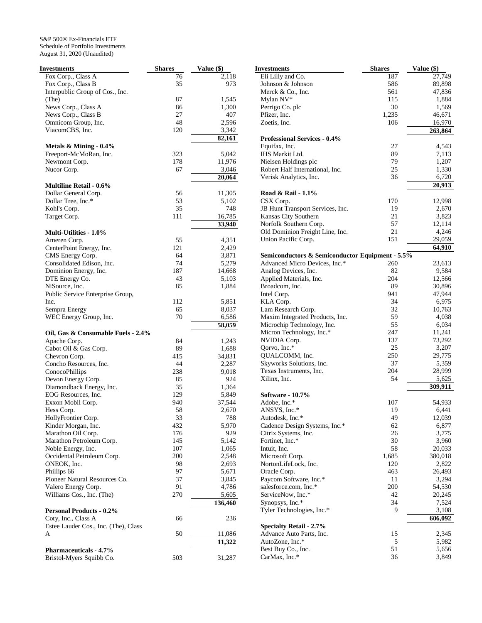| <b>Investments</b>                           | <b>Shares</b> | Value (\$)     | <b>Investn</b>   |
|----------------------------------------------|---------------|----------------|------------------|
| Fox Corp., Class A                           | 76            | 2,118          | Eli Li           |
| Fox Corp., Class B                           | 35            | 973            | Johns            |
| Interpublic Group of Cos., Inc.              |               |                | Merck            |
| (The)                                        | 87            | 1,545          | Mylar            |
| News Corp., Class A                          | 86            | 1,300          | Perrig           |
| News Corp., Class B                          | 27            | 407            | Pfizer           |
| Omnicom Group, Inc.                          | 48            | 2,596          | Zoetis           |
| ViacomCBS, Inc.                              | 120           | 3,342          |                  |
|                                              |               | 82,161         | Profe            |
| Metals $&$ Mining - 0.4%                     |               |                | Equifa           |
| Freeport-McMoRan, Inc.                       | 323           | 5,042          | <b>IHS</b> M     |
| Newmont Corp.                                | 178           | 11,976         | Nielse           |
| Nucor Corp.                                  | 67            | 3,046          | Rober            |
|                                              |               | 20,064         | Verisl           |
| <b>Multiline Retail - 0.6%</b>               |               |                |                  |
| Dollar General Corp.                         | 56            | 11,305         | Road             |
| Dollar Tree, Inc.*                           | 53            | 5,102          | CSX <sup>(</sup> |
| Kohl's Corp.                                 | 35<br>111     | 748<br>16,785  | JB Hu<br>Kansa   |
| Target Corp.                                 |               |                | Norfo            |
| <b>Multi-Utilities - 1.0%</b>                |               | 33,940         | Old D            |
|                                              |               |                | Union            |
| Ameren Corp.                                 | 55<br>121     | 4,351          |                  |
| CenterPoint Energy, Inc.<br>CMS Energy Corp. | 64            | 2,429          | Semio            |
| Consolidated Edison, Inc.                    | 74            | 3,871<br>5,279 | Advar            |
| Dominion Energy, Inc.                        | 187           | 14,668         | Analo            |
| DTE Energy Co.                               | 43            | 5,103          | Appli            |
| NiSource, Inc.                               | 85            | 1,884          | <b>Broad</b>     |
| Public Service Enterprise Group,             |               |                | Intel C          |
| Inc.                                         | 112           | 5,851          | KLA              |
| Sempra Energy                                | 65            | 8,037          | Lam F            |
| WEC Energy Group, Inc.                       | 70            | 6,586          | Maxir            |
|                                              |               | 58,059         | Micro            |
| Oil, Gas & Consumable Fuels - 2.4%           |               |                | Micro            |
| Apache Corp.                                 | 84            | 1,243          | NVID             |
| Cabot Oil & Gas Corp.                        | 89            | 1,688          | Qorvo            |
| Chevron Corp.                                | 415           | 34,831         | QUAI             |
| Concho Resources, Inc.                       | 44            | 2,287          | <b>Skyw</b>      |
| ConocoPhillips                               | 238           | 9,018          | Texas            |
| Devon Energy Corp.                           | 85            | 924            | Xilinx           |
| Diamondback Energy, Inc.                     | 35            | 1,364          |                  |
| EOG Resources, Inc.                          | 129           | 5,849          | Softw            |
| Exxon Mobil Corp.                            | 940           | 37,544         | Adobe            |
| Hess Corp.                                   | 58            | 2,670          | <b>ANSY</b>      |
| HollyFrontier Corp.                          | 33            | 788            | Autod            |
| Kinder Morgan, Inc.                          | 432           | 5,970          | Caden            |
| Marathon Oil Corp.                           | 176           | 929            | Citrix           |
| Marathon Petroleum Corp.                     | 145           | 5,142          | Fortin           |
| Noble Energy, Inc.                           | 107           | 1,065          | Intuit,          |
| Occidental Petroleum Corp.                   | 200           | 2,548          | Micro            |
| ONEOK, Inc.                                  | 98            | 2,693          | <b>Norto</b>     |
| Phillips 66                                  | 97            | 5,671          | Oracle           |
| Pioneer Natural Resources Co.                | 37            | 3,845          | Payco            |
| Valero Energy Corp.                          | 91            | 4,786          | salesf           |
| Williams Cos., Inc. (The)                    | 270           | 5,605          | Servic           |
|                                              |               | 136,460        | Synop            |
| <b>Personal Products - 0.2%</b>              |               |                | Tyler            |
| Coty, Inc., Class A                          | 66            | 236            |                  |
| Estee Lauder Cos., Inc. (The), Class         |               |                | <b>Specia</b>    |
| A                                            | 50            | 11,086         | Advar            |
|                                              |               | 11,322         | AutoZ            |
| <b>Pharmaceuticals - 4.7%</b>                |               |                | <b>Best E</b>    |
| Bristol-Myers Squibb Co.                     | 503           | 31,287         | CarM             |

| Investments                                     | <b>Shares</b> | Value (\$) |
|-------------------------------------------------|---------------|------------|
| Eli Lilly and Co.                               | 187           | 27,749     |
| Johnson & Johnson                               | 586           | 89,898     |
| Merck & Co., Inc.                               | 561           | 47,836     |
| Mylan NV*                                       | 115           | 1,884      |
| Perrigo Co. plc                                 | 30            | 1,569      |
| Pfizer, Inc.                                    | 1,235         | 46,671     |
| Zoetis, Inc.                                    | 106           | 16,970     |
|                                                 |               | 263,864    |
| <b>Professional Services - 0.4%</b>             |               |            |
| Equifax, Inc.                                   | 27            | 4,543      |
| IHS Markit Ltd.                                 | 89            | 7,113      |
| Nielsen Holdings plc                            | 79            | 1,207      |
| Robert Half International, Inc.                 | 25            | 1,330      |
| Verisk Analytics, Inc.                          | 36            | 6,720      |
|                                                 |               | 20,913     |
| Road & Rail - 1.1%                              |               |            |
| CSX Corp.                                       | 170           | 12,998     |
| JB Hunt Transport Services, Inc.                | 19            | 2,670      |
| Kansas City Southern                            | 21            | 3,823      |
| Norfolk Southern Corp.                          | 57            | 12,114     |
| Old Dominion Freight Line, Inc.                 | 21            | 4,246      |
| Union Pacific Corp.                             | 151           | 29,059     |
|                                                 |               | 64,910     |
| Semiconductors & Semiconductor Equipment - 5.5% |               |            |
| Advanced Micro Devices, Inc.*                   | 260           | 23,613     |
| Analog Devices, Inc.                            | 82            | 9,584      |
| Applied Materials, Inc.                         | 204           | 12,566     |
| Broadcom, Inc.                                  | 89            | 30,896     |
| Intel Corp.                                     | 941           | 47,944     |
| KLA Corp.                                       | 34            | 6,975      |
| Lam Research Corp.                              | 32            | 10,763     |
| Maxim Integrated Products, Inc.                 | 59            | 4,038      |
| Microchip Technology, Inc.                      | 55            | 6,034      |
| Micron Technology, Inc.*                        | 247           | 11,241     |
| NVIDIA Corp.                                    | 137           | 73,292     |
| Qorvo, Inc.*                                    | 25            | 3,207      |
| QUALCOMM, Inc.                                  | 250           | 29,775     |
| Skyworks Solutions, Inc.                        | 37            | 5,359      |
| Texas Instruments, Inc.                         | 204           | 28,999     |
| Xilinx, Inc.                                    | 54            | 5,625      |
|                                                 |               | 309,911    |
| Software - 10.7%                                |               |            |
| Adobe, Inc.*                                    | 107           | 54,933     |
| ANSYS, Inc.*                                    | 19            | 6,441      |
| Autodesk, Inc.*                                 | 49            | 12,039     |
| Cadence Design Systems, Inc.*                   | 62            | 6,877      |
| Citrix Systems, Inc.                            | 26            | 3,775      |
| Fortinet, Inc.*                                 | 30            | 3,960      |
| Intuit, Inc.                                    | 58            | 20,033     |
| Microsoft Corp.                                 | 1,685         | 380,018    |
| NortonLifeLock, Inc.                            | 120           | 2,822      |
| Oracle Corp.                                    | 463           | 26,493     |
| Paycom Software, Inc.*                          | 11            | 3,294      |
| salesforce.com, Inc.*                           | 200           | 54,530     |
| ServiceNow, Inc.*                               | 42            | 20,245     |
| Synopsys, Inc.*                                 | 34            | 7,524      |
| Tyler Technologies, Inc.*                       | 9             | 3,108      |
|                                                 |               | 606,092    |
| <b>Specialty Retail - 2.7%</b>                  |               |            |
| Advance Auto Parts, Inc.                        | 15            | 2,345      |
| AutoZone, Inc.*                                 | 5             | 5,982      |
| Best Buy Co., Inc.                              | 51            | 5,656      |
| CarMax, Inc.*                                   | 36            | 3,849      |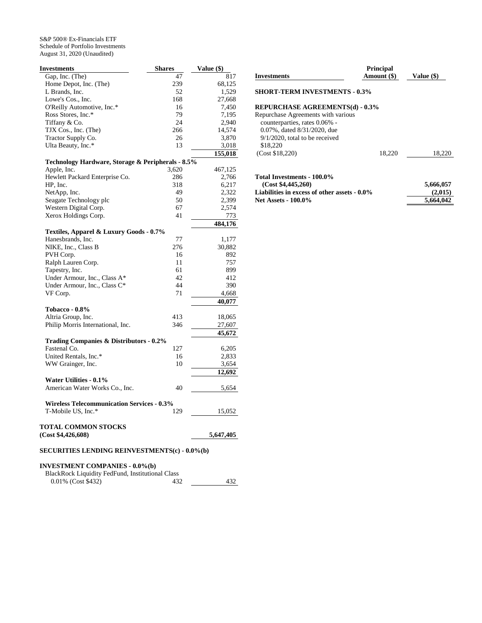| <b>Investments</b>                                           | <b>Shares</b> | Value (\$) |
|--------------------------------------------------------------|---------------|------------|
| Gap, Inc. (The)                                              | 47            | 817        |
| Home Depot, Inc. (The)                                       | 239           | 68,125     |
| L Brands, Inc.                                               | 52            | 1,529      |
| Lowe's Cos., Inc.                                            | 168           | 27,668     |
| O'Reilly Automotive, Inc.*                                   | 16            | 7,450      |
| Ross Stores, Inc.*                                           | 79            | 7,195      |
| Tiffany & Co.                                                | 24            | 2,940      |
| TJX Cos., Inc. (The)                                         | 266           | 14,574     |
| Tractor Supply Co.                                           | 26            | 3,870      |
| Ulta Beauty, Inc.*                                           | 13            | 3,018      |
|                                                              |               | 155,018    |
| Technology Hardware, Storage & Peripherals - 8.5%            |               |            |
| Apple, Inc.                                                  | 3,620         | 467,125    |
| Hewlett Packard Enterprise Co.                               | 286           | 2,766      |
| HP, Inc.                                                     | 318           | 6,217      |
| NetApp, Inc.                                                 | 49            | 2,322      |
| Seagate Technology plc                                       | 50            | 2,399      |
| Western Digital Corp.                                        | 67            | 2,574      |
| Xerox Holdings Corp.                                         | 41            | 773        |
|                                                              |               | 484,176    |
|                                                              |               |            |
| Textiles, Apparel & Luxury Goods - 0.7%<br>Hanesbrands, Inc. | 77            | 1,177      |
| NIKE, Inc., Class B                                          | 276           | 30,882     |
| PVH Corp.                                                    | 16            | 892        |
| Ralph Lauren Corp.                                           | 11            | 757        |
| Tapestry, Inc.                                               | 61            | 899        |
| Under Armour, Inc., Class A*                                 | 42            | 412        |
| Under Armour, Inc., Class C*                                 | 44            | 390        |
| VF Corp.                                                     | 71            | 4,668      |
|                                                              |               |            |
|                                                              |               | 40,077     |
| Tobacco - 0.8%                                               |               |            |
| Altria Group, Inc.                                           | 413<br>346    | 18,065     |
| Philip Morris International, Inc.                            |               | 27,607     |
|                                                              |               | 45,672     |
| Trading Companies & Distributors - 0.2%                      |               |            |
| Fastenal Co.                                                 | 127           | 6,205      |
| United Rentals, Inc.*                                        | 16            | 2,833      |
| WW Grainger, Inc.                                            | 10            | 3,654      |
|                                                              |               | 12,692     |
| <b>Water Utilities - 0.1%</b>                                |               |            |
| American Water Works Co., Inc.                               | 40            | 5,654      |
| <b>Wireless Telecommunication Services - 0.3%</b>            |               |            |
| T-Mobile US, Inc.*                                           | 129           | 15,052     |
| <b>TOTAL COMMON STOCKS</b>                                   |               |            |
| (Cost \$4,426,608)                                           |               | 5,647,405  |
| <b>SECURITIES LENDING REINVESTMENTS(c) - 0.0%(b)</b>         |               |            |
|                                                              |               |            |

# **INVESTMENT COMPANIES - 0.0%(b)**

| BlackRock Liquidity FedFund, Institutional Class |     |     |
|--------------------------------------------------|-----|-----|
| 0.01% (Cost \$432)                               | 432 | 432 |

| <b>Investments</b>                                                                                                                                                                | <b>Principal</b><br>Amount (\$) | Value (\$) |
|-----------------------------------------------------------------------------------------------------------------------------------------------------------------------------------|---------------------------------|------------|
| <b>SHORT-TERM INVESTMENTS - 0.3%</b>                                                                                                                                              |                                 |            |
| <b>REPURCHASE AGREEMENTS(d) - 0.3%</b><br>Repurchase Agreements with various<br>counterparties, rates 0.06% -<br>0.07%, dated 8/31/2020, due<br>$9/1/2020$ , total to be received |                                 |            |
| \$18,220<br>(Cost \$18.220)                                                                                                                                                       | 18.220                          | 18,220     |
| Total Investments - 100.0%<br>(Cost \$4,445,260)                                                                                                                                  |                                 | 5,666,057  |

**Liabilities in excess of other assets - 0.0% (2,015) Net Assets - 100.0% 5,664,042**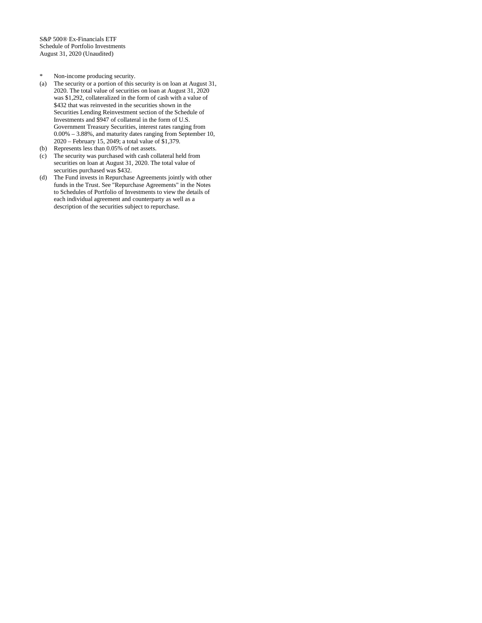- \* Non-income producing security.
- (a) The security or a portion of this security is on loan at August 31, 2020. The total value of securities on loan at August 31, 2020 was \$1,292, collateralized in the form of cash with a value of \$432 that was reinvested in the securities shown in the Securities Lending Reinvestment section of the Schedule of Investments and \$947 of collateral in the form of U.S. Government Treasury Securities, interest rates ranging from 0.00% – 3.88%, and maturity dates ranging from September 10, 2020 – February 15, 2049; a total value of \$1,379.
- (b) Represents less than 0.05% of net assets.
- (c) The security was purchased with cash collateral held from securities on loan at August 31, 2020. The total value of securities purchased was \$432.
- (d) The Fund invests in Repurchase Agreements jointly with other funds in the Trust. See "Repurchase Agreements" in the Notes to Schedules of Portfolio of Investments to view the details of each individual agreement and counterparty as well as a description of the securities subject to repurchase.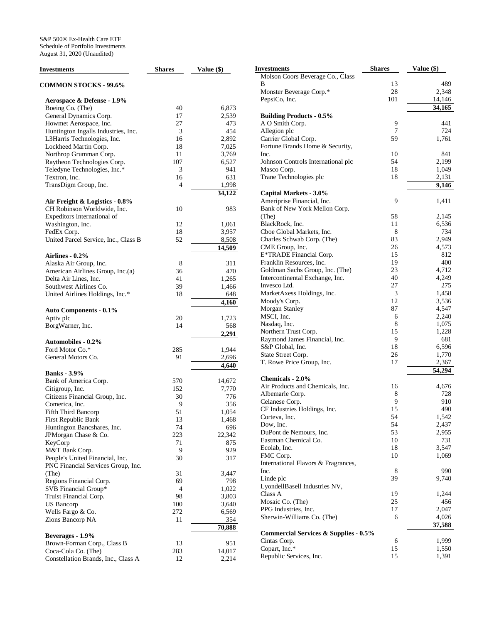| <b>Investments</b>                           | <b>Shares</b> | Value (\$)      |
|----------------------------------------------|---------------|-----------------|
| <b>COMMON STOCKS - 99.6%</b>                 |               |                 |
| Aerospace & Defense - 1.9%                   |               |                 |
| Boeing Co. (The)                             | 40            | 6,873           |
| General Dynamics Corp.                       | 17            | 2,539           |
| Howmet Aerospace, Inc.                       | 27            | 473             |
| Huntington Ingalls Industries, Inc.          | 3             | 454             |
| L3Harris Technologies, Inc.                  | 16            | 2,892           |
| Lockheed Martin Corp.                        | 18            | 7,025           |
| Northrop Grumman Corp.                       | 11            | 3,769           |
| Raytheon Technologies Corp.                  | 107           | 6,527           |
| Teledyne Technologies, Inc.*                 | 3             | 941             |
| Textron, Inc.                                | 16            | 631             |
| TransDigm Group, Inc.                        | 4             | 1,998<br>34,122 |
| Air Freight & Logistics - 0.8%               |               |                 |
| CH Robinson Worldwide, Inc.                  | 10            | 983             |
| Expeditors International of                  |               |                 |
| Washington, Inc.                             | 12            | 1,061           |
| FedEx Corp.                                  | 18            | 3,957           |
| United Parcel Service, Inc., Class B         | 52            | 8,508           |
|                                              |               | 14,509          |
| Airlines - 0.2%                              |               |                 |
| Alaska Air Group, Inc.                       | 8             | 311             |
| American Airlines Group, Inc.(a)             | 36            | 470             |
| Delta Air Lines, Inc.                        | 41            | 1,265           |
| Southwest Airlines Co.                       | 39            | 1,466           |
| United Airlines Holdings, Inc.*              | 18            | 648             |
| <b>Auto Components - 0.1%</b>                |               | 4,160           |
| Aptiv plc                                    | 20            | 1,723           |
| BorgWarner, Inc.                             | 14            | 568             |
|                                              |               | 2,291           |
| <b>Automobiles - 0.2%</b><br>Ford Motor Co.* | 285           | 1,944           |
| General Motors Co.                           | 91            | 2,696           |
|                                              |               | 4,640           |
| <b>Banks</b> - 3.9%                          |               |                 |
| Bank of America Corp.                        | 570           | 14,672          |
| Citigroup, Inc.                              | 152           | 7,770           |
| Citizens Financial Group, Inc.               | 30            | 776             |
| Comerica, Inc.                               | 9             | 356             |
| Fifth Third Bancorp                          | 51            | 1,054           |
| First Republic Bank                          | 13            | 1,468           |
| Huntington Bancshares, Inc.                  | 74            | 696             |
| JPMorgan Chase & Co.                         | 223           | 22,342          |
| KeyCorp                                      | 71            | 875             |
| M&T Bank Corp.                               | 9             | 929             |
| People's United Financial, Inc.              | 30            | 317             |
| PNC Financial Services Group, Inc.           |               |                 |
| (The)                                        | 31            | 3,447           |
| Regions Financial Corp.                      | 69            | 798             |
| SVB Financial Group*                         | 4             | 1,022           |
| Truist Financial Corp.                       | 98            | 3,803           |
| <b>US Bancorp</b>                            | 100           | 3,640           |
| Wells Fargo & Co.                            | 272           | 6,569           |
| Zions Bancorp NA                             | 11            | 354<br>70,888   |
| Beverages - 1.9%                             |               |                 |
| Brown-Forman Corp., Class B                  | 13            | 951             |
| Coca-Cola Co. (The)                          | 283           | 14,017          |
| Constellation Brands, Inc., Class A          | 12            | 2,214           |

| Investments                                             | <b>Shares</b> | Value (\$)           |
|---------------------------------------------------------|---------------|----------------------|
| Molson Coors Beverage Co., Class                        |               |                      |
| В                                                       | 13            | 489                  |
| Monster Beverage Corp.*                                 | 28            | 2,348                |
| PepsiCo, Inc.                                           | 101           | 14,146               |
|                                                         |               | 34,165               |
| <b>Building Products - 0.5%</b>                         |               |                      |
| A O Smith Corp.                                         | 9             | 441                  |
| Allegion plc                                            | 7             | 724                  |
| Carrier Global Corp.<br>Fortune Brands Home & Security, | 59            | 1,761                |
| Inc.                                                    | 10            | 841                  |
| Johnson Controls International plc                      | 54            | 2,199                |
| Masco Corp.                                             | 18            | 1,049                |
| Trane Technologies plc                                  | 18            | 2,131                |
|                                                         |               | 9,146                |
| Capital Markets - 3.0%                                  |               |                      |
| Ameriprise Financial, Inc.                              | 9             | 1,411                |
| Bank of New York Mellon Corp.                           |               |                      |
| (The)                                                   | 58            | 2,145                |
| BlackRock, Inc.                                         | 11            | 6,536                |
| Cboe Global Markets, Inc.                               | 8             | 734                  |
| Charles Schwab Corp. (The)                              | 83            | 2,949                |
| CME Group, Inc.                                         | 26            | 4,573                |
| E*TRADE Financial Corp.                                 | 15            | 812                  |
| Franklin Resources, Inc.                                | 19            | 400                  |
| Goldman Sachs Group, Inc. (The)                         | 23            | 4,712                |
| Intercontinental Exchange, Inc.                         | 40            | 4,249                |
| Invesco Ltd.                                            | 27            | 275                  |
| MarketAxess Holdings, Inc.                              | 3             | 1,458                |
| Moody's Corp.                                           | 12            | 3,536                |
| <b>Morgan Stanley</b>                                   | 87            | 4,547                |
| MSCI, Inc.                                              | 6             | 2,240                |
| Nasdaq, Inc.                                            | 8<br>15       | 1,075<br>1,228       |
| Northern Trust Corp.<br>Raymond James Financial, Inc.   | 9             | 681                  |
| S&P Global, Inc.                                        | 18            | 6,596                |
| State Street Corp.                                      | 26            | 1,770                |
| T. Rowe Price Group, Inc.                               | 17            | 2,367                |
|                                                         |               | $\overline{5}$ 4,294 |
| Chemicals - 2.0%                                        |               |                      |
| Air Products and Chemicals, Inc.                        | 16            | 4,676                |
| Albemarle Corp.                                         | 8             | 728                  |
| Celanese Corp.                                          | 9             | 910                  |
| CF Industries Holdings, Inc.                            | 15            | 490                  |
| Corteva, Inc.                                           | 54            | 1,542                |
| Dow, Inc.                                               | 54            | 2,437                |
| DuPont de Nemours, Inc.                                 | 53            | 2,955                |
| Eastman Chemical Co.                                    | 10            | 731                  |
| Ecolab, Inc.                                            | 18            | 3,547                |
| FMC Corp.                                               | 10            | 1,069                |
| International Flavors & Fragrances,                     |               |                      |
| Inc.                                                    | 8<br>39       | 990<br>9,740         |
| Linde plc                                               |               |                      |
| LyondellBasell Industries NV,<br>Class A                | 19            | 1,244                |
| Mosaic Co. (The)                                        | 25            | 456                  |
| PPG Industries, Inc.                                    | 17            | 2,047                |
| Sherwin-Williams Co. (The)                              | 6             | 4,026                |
|                                                         |               | 37,588               |
| <b>Commercial Services &amp; Supplies - 0.5%</b>        |               |                      |
| Cintas Corp.                                            | 6             | 1,999                |
| Copart, Inc.*                                           | 15            | 1,550                |
| Republic Services, Inc.                                 | 15            | 1,391                |
|                                                         |               |                      |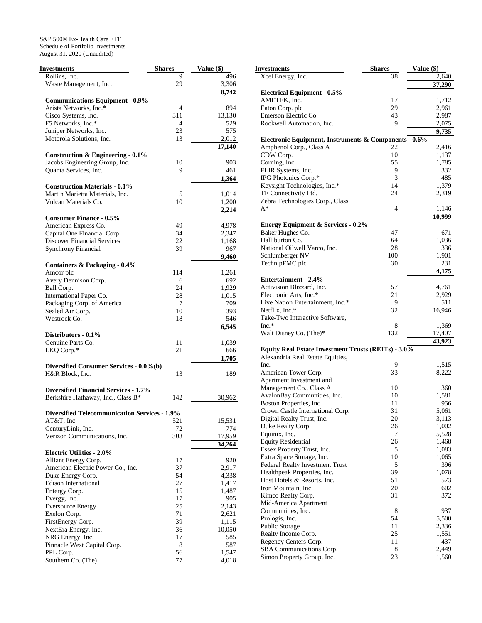| Investments                                          | <b>Shares</b> | Value (\$) |
|------------------------------------------------------|---------------|------------|
| Rollins, Inc.                                        | 9             | 496        |
| Waste Management, Inc.                               | 29            | 3,306      |
|                                                      |               | 8,742      |
|                                                      |               |            |
| <b>Communications Equipment - 0.9%</b>               |               |            |
| Arista Networks, Inc.*                               | 4             | 894        |
| Cisco Systems, Inc.                                  | 311           | 13,130     |
| F5 Networks, Inc.*                                   | 4             | 529        |
| Juniper Networks, Inc.                               | 23            | 575        |
| Motorola Solutions, Inc.                             | 13            | 2,012      |
|                                                      |               | 17,140     |
| <b>Construction &amp; Engineering - 0.1%</b>         |               |            |
|                                                      |               |            |
| Jacobs Engineering Group, Inc.                       | 10            | 903        |
| Quanta Services, Inc.                                | 9             | 461        |
|                                                      |               | 1,364      |
| <b>Construction Materials - 0.1%</b>                 |               |            |
| Martin Marietta Materials, Inc.                      | 5             | 1,014      |
| Vulcan Materials Co.                                 | 10            | 1,200      |
|                                                      |               | 2,214      |
|                                                      |               |            |
| <b>Consumer Finance - 0.5%</b>                       |               |            |
| American Express Co.                                 | 49            | 4,978      |
| Capital One Financial Corp.                          | 34            | 2,347      |
| <b>Discover Financial Services</b>                   | 22            | 1,168      |
| <b>Synchrony Financial</b>                           | 39            | 967        |
|                                                      |               | 9,460      |
| Containers & Packaging - 0.4%                        |               |            |
|                                                      |               |            |
| Amcor plc                                            | 114           | 1,261      |
| Avery Dennison Corp.                                 | 6             | 692        |
| Ball Corp.                                           | 24            | 1,929      |
| International Paper Co.                              | 28            | 1,015      |
| Packaging Corp. of America                           | 7             | 709        |
| Sealed Air Corp.                                     | 10            | 393        |
| Westrock Co.                                         | 18            | 546        |
|                                                      |               |            |
|                                                      |               | 6,545      |
| Distributors - 0.1%                                  |               |            |
| Genuine Parts Co.                                    | 11            | 1,039      |
| LKQ Corp.*                                           | 21            | 666        |
|                                                      |               | 1,705      |
| Diversified Consumer Services - 0.0%(b)              |               |            |
| H&R Block, Inc.                                      |               |            |
|                                                      | 13            | 189        |
|                                                      |               |            |
| <b>Diversified Financial Services - 1.7%</b>         |               |            |
| Berkshire Hathaway, Inc., Class B*                   | 142           | 30,962     |
|                                                      |               |            |
| <b>Diversified Telecommunication Services - 1.9%</b> |               |            |
| AT&T, Inc.                                           | 521           | 15,531     |
|                                                      |               |            |
| CenturyLink, Inc.                                    | 72            | 774        |
| Verizon Communications, Inc.                         | 303           | 17,959     |
|                                                      |               | 34,264     |
| <b>Electric Utilities - 2.0%</b>                     |               |            |
| Alliant Energy Corp.                                 | 17            | 920        |
| American Electric Power Co., Inc.                    | 37            | 2,917      |
| Duke Energy Corp.                                    | 54            | 4,338      |
|                                                      |               |            |
| Edison International                                 | 27            | 1,417      |
| Entergy Corp.                                        | 15            | 1,487      |
| Evergy, Inc.                                         | 17            | 905        |
| <b>Eversource Energy</b>                             | 25            | 2,143      |
| Exelon Corp.                                         | 71            | 2,621      |
| FirstEnergy Corp.                                    | 39            | 1,115      |
| NextEra Energy, Inc.                                 | 36            | 10,050     |
|                                                      |               |            |
| NRG Energy, Inc.                                     | 17            | 585        |
| Pinnacle West Capital Corp.                          | 8             | 587        |
| PPL Corp.                                            | 56            | 1,547      |
| Southern Co. (The)                                   | 77            | 4,018      |

| Investments                                                                      | <b>Shares</b> | Value (\$)   |
|----------------------------------------------------------------------------------|---------------|--------------|
| Xcel Energy, Inc.                                                                | 38            | 2,640        |
|                                                                                  |               | 37,290       |
| <b>Electrical Equipment - 0.5%</b>                                               |               |              |
| AMETEK, Inc.                                                                     | 17            | 1,712        |
| Eaton Corp. plc                                                                  | 29            | 2,961        |
| Emerson Electric Co.                                                             | 43            | 2,987        |
| Rockwell Automation, Inc.                                                        | 9             | 2,075        |
|                                                                                  |               | 9,735        |
| Electronic Equipment, Instruments & Components - 0.6%<br>Amphenol Corp., Class A | 22            | 2,416        |
| CDW Corp.                                                                        | 10            | 1,137        |
| Corning, Inc.                                                                    | 55            | 1,785        |
| FLIR Systems, Inc.                                                               | 9             | 332          |
| IPG Photonics Corp.*                                                             | 3             | 485          |
| Keysight Technologies, Inc.*                                                     | 14            | 1,379        |
| TE Connectivity Ltd.                                                             | 24            | 2,319        |
| Zebra Technologies Corp., Class                                                  |               |              |
| A*                                                                               | 4             | 1,146        |
|                                                                                  |               | 10,999       |
| <b>Energy Equipment &amp; Services - 0.2%</b>                                    |               |              |
| Baker Hughes Co.                                                                 | 47            | 671          |
| Halliburton Co.                                                                  | 64            | 1,036        |
| National Oilwell Varco, Inc.                                                     | 28            | 336          |
| Schlumberger NV                                                                  | 100           | 1,901        |
| TechnipFMC plc                                                                   | 30            | 231          |
| <b>Entertainment - 2.4%</b>                                                      |               | 4,175        |
| Activision Blizzard, Inc.                                                        | 57            | 4,761        |
| Electronic Arts, Inc.*                                                           | 21            | 2,929        |
| Live Nation Entertainment, Inc.*                                                 | 9             | 511          |
| Netflix, Inc.*                                                                   | 32            | 16,946       |
| Take-Two Interactive Software,                                                   |               |              |
| $Inc.*$                                                                          | 8             | 1,369        |
| Walt Disney Co. (The)*                                                           | 132           | 17,407       |
|                                                                                  |               | 43,923       |
| Equity Real Estate Investment Trusts (REITs) - 3.0%                              |               |              |
| Alexandria Real Estate Equities,                                                 |               |              |
| Inc.                                                                             | 9             | 1,515        |
| American Tower Corp.                                                             | 33            | 8,222        |
| Apartment Investment and                                                         |               |              |
| Management Co., Class A<br>AvalonBay Communities, Inc.                           | 10<br>10      | 360<br>1,581 |
| Boston Properties, Inc.                                                          | 11            | 956          |
| Crown Castle International Corp.                                                 | 31            | 5,061        |
| Digital Realty Trust, Inc.                                                       | 20            | 3,113        |
| Duke Realty Corp.                                                                | 26            | 1,002        |
| Equinix, Inc.                                                                    | 7             | 5,528        |
| <b>Equity Residential</b>                                                        | 26            | 1,468        |
| Essex Property Trust, Inc.                                                       | 5             | 1,083        |
| Extra Space Storage, Inc.                                                        | 10            | 1,065        |
| Federal Realty Investment Trust                                                  | 5             | 396          |
| Healthpeak Properties, Inc.                                                      | 39            | 1,078        |
| Host Hotels & Resorts, Inc.                                                      | 51            | 573          |
| Iron Mountain, Inc.                                                              | 20            | 602          |
| Kimco Realty Corp.                                                               | 31            | 372          |
| Mid-America Apartment                                                            |               |              |
| Communities, Inc.                                                                | 8             | 937          |
| Prologis, Inc.                                                                   | 54            | 5,500        |
| Public Storage                                                                   | 11            | 2,336        |
| Realty Income Corp.                                                              | 25            | 1,551        |
| Regency Centers Corp.<br>SBA Communications Corp.                                | 11<br>8       | 437<br>2,449 |
| Simon Property Group, Inc.                                                       | 23            | 1,560        |
|                                                                                  |               |              |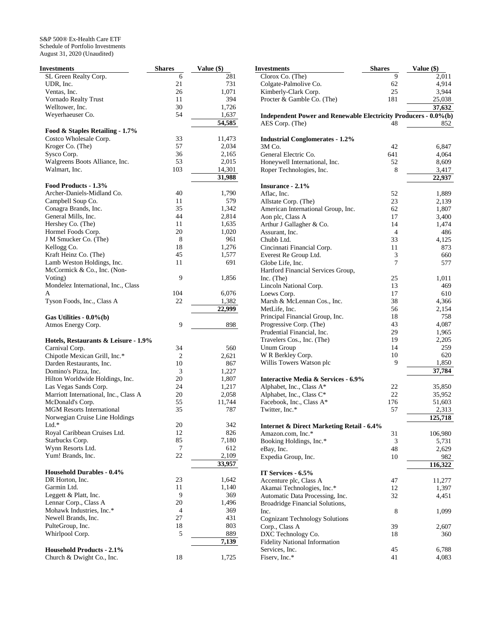| Investments                                            | <b>Shares</b> | Value (\$) |
|--------------------------------------------------------|---------------|------------|
| SL Green Realty Corp.                                  | 6             | 281        |
| UDR, Inc.                                              | 21            | 731        |
| Ventas, Inc.                                           | 26            | 1,071      |
| Vornado Realty Trust                                   | 11            | 394        |
| Welltower, Inc.                                        | 30            | 1,726      |
| Weyerhaeuser Co.                                       | 54            | 1,637      |
|                                                        |               | 54,585     |
| Food & Staples Retailing - 1.7%                        |               |            |
| Costco Wholesale Corp.                                 | 33            | 11,473     |
| Kroger Co. (The)                                       | 57            | 2,034      |
| Sysco Corp.                                            | 36            | 2,165      |
| Walgreens Boots Alliance, Inc.                         | 53            | 2,015      |
| Walmart, Inc.                                          | 103           | 14,301     |
|                                                        |               | 31,988     |
| Food Products - 1.3%                                   |               |            |
| Archer-Daniels-Midland Co.                             | 40            | 1,790      |
| Campbell Soup Co.                                      | 11            | 579        |
| Conagra Brands, Inc.                                   | 35            | 1,342      |
| General Mills, Inc.                                    | 44            | 2,814      |
| Hershey Co. (The)                                      | 11            | 1,635      |
| Hormel Foods Corp.                                     | 20            | 1,020      |
| J M Smucker Co. (The)                                  | 8             | 961        |
|                                                        | 18            |            |
| Kellogg Co.                                            |               | 1,276      |
| Kraft Heinz Co. (The)                                  | 45            | 1,577      |
| Lamb Weston Holdings, Inc.                             | 11            | 691        |
| McCormick & Co., Inc. (Non-                            |               |            |
| Voting)                                                | 9             | 1,856      |
| Mondelez International, Inc., Class                    |               |            |
| A                                                      | 104           | 6,076      |
| Tyson Foods, Inc., Class A                             | 22            | 1,382      |
|                                                        |               | 22,999     |
| Gas Utilities - $0.0\%$ (b)                            |               |            |
| Atmos Energy Corp.                                     | 9             | 898        |
|                                                        |               |            |
| Hotels, Restaurants & Leisure - 1.9%<br>Carnival Corp. | 34            | 560        |
|                                                        |               |            |
| Chipotle Mexican Grill, Inc.*                          | 2             | 2,621      |
| Darden Restaurants, Inc.                               | 10            | 867        |
| Domino's Pizza, Inc.                                   | 3             | 1,227      |
| Hilton Worldwide Holdings, Inc.                        | 20            | 1,807      |
| Las Vegas Sands Corp.                                  | 24            | 1,217      |
| Marriott International, Inc., Class A                  | 20            | 2,058      |
| McDonald's Corp.                                       | 55            | 11,744     |
| <b>MGM Resorts International</b>                       | 35            | 787        |
| Norwegian Cruise Line Holdings                         |               |            |
| $Ltd.*$                                                | 20            | 342        |
| Royal Caribbean Cruises Ltd.                           | 12            | 826        |
| Starbucks Corp.                                        | 85            | 7,180      |
| Wynn Resorts Ltd.                                      | 7             | 612        |
| Yum! Brands, Inc.                                      | 22            | 2,109      |
|                                                        |               | 33,957     |
| <b>Household Durables - 0.4%</b>                       |               |            |
| DR Horton, Inc.                                        | 23            | 1,642      |
| Garmin Ltd.                                            | 11            | 1,140      |
| Leggett & Platt, Inc.                                  | 9             | 369        |
| Lennar Corp., Class A                                  | 20            | 1,496      |
|                                                        |               |            |
| Mohawk Industries, Inc.*                               | 4             | 369        |
| Newell Brands, Inc.                                    | 27            | 431        |
| PulteGroup, Inc.                                       | 18            | 803        |
| Whirlpool Corp.                                        | 5             | 889        |
|                                                        |               | 7,139      |
| <b>Household Products - 2.1%</b>                       |               |            |
| Church & Dwight Co., Inc.                              | 18            | 1,725      |

| Investments                                                     | <b>Shares</b> | Value (\$) |
|-----------------------------------------------------------------|---------------|------------|
| Clorox Co. (The)                                                | 9             | 2,011      |
| Colgate-Palmolive Co.                                           | 62            | 4,914      |
| Kimberly-Clark Corp.                                            | 25            | 3,944      |
| Procter & Gamble Co. (The)                                      | 181           | 25,038     |
|                                                                 |               | 37,632     |
|                                                                 |               |            |
| Independent Power and Renewable Electricity Producers - 0.0%(b) |               |            |
| AES Corp. (The)                                                 | 48            | 852        |
|                                                                 |               |            |
| <b>Industrial Conglomerates - 1.2%</b>                          |               |            |
| 3M Co.                                                          | 42            | 6,847      |
| General Electric Co.                                            | 641           | 4,064      |
| Honeywell International, Inc.                                   | 52            | 8,609      |
| Roper Technologies, Inc.                                        | 8             | 3,417      |
|                                                                 |               | 22,937     |
| Insurance - 2.1%                                                |               |            |
| Aflac, Inc.                                                     | 52            | 1,889      |
| Allstate Corp. (The)                                            | 23            | 2,139      |
| American International Group, Inc.                              | 62            | 1,807      |
| Aon plc, Class A                                                | 17            | 3,400      |
| Arthur J Gallagher & Co.                                        | 14            | 1,474      |
| Assurant, Inc.                                                  | 4             | 486        |
| Chubb Ltd.                                                      | 33            | 4,125      |
| Cincinnati Financial Corp.                                      | 11            | 873        |
| Everest Re Group Ltd.                                           | 3             | 660        |
| Globe Life, Inc.                                                | 7             | 577        |
| Hartford Financial Services Group,                              |               |            |
| Inc. (The)                                                      | 25            | 1,011      |
| Lincoln National Corp.                                          | 13            | 469        |
| Loews Corp.                                                     | 17            | 610        |
| Marsh & McLennan Cos., Inc.                                     | 38            | 4,366      |
| MetLife, Inc.                                                   | 56            | 2,154      |
|                                                                 |               |            |
| Principal Financial Group, Inc.                                 | 18            | 758        |
| Progressive Corp. (The)                                         | 43            | 4,087      |
| Prudential Financial, Inc.                                      | 29            | 1,965      |
| Travelers Cos., Inc. (The)                                      | 19            | 2,205      |
| Unum Group                                                      | 14            | 259        |
| W R Berkley Corp.                                               | 10            | 620        |
| Willis Towers Watson plc                                        | 9             | 1,850      |
|                                                                 |               | 37,784     |
| <b>Interactive Media &amp; Services - 6.9%</b>                  |               |            |
| Alphabet, Inc., Class A*                                        | 22            | 35,850     |
| Alphabet, Inc., Class C*                                        | 22            | 35,952     |
| Facebook, Inc., Class A*                                        | 176           | 51,603     |
| Twitter, Inc.*                                                  | 57            | 2,313      |
|                                                                 |               | 125,718    |
| <b>Internet &amp; Direct Marketing Retail - 6.4%</b>            |               |            |
| Amazon.com, Inc.*                                               | 31            | 106,980    |
| Booking Holdings, Inc.*                                         | 3             | 5,731      |
| eBay, Inc.                                                      | 48            | 2,629      |
| Expedia Group, Inc.                                             | 10            | 982        |
|                                                                 |               | 116,322    |
| IT Services - 6.5%                                              |               |            |
| Accenture plc, Class A                                          | 47            | 11,277     |
| Akamai Technologies, Inc.*                                      | 12            | 1,397      |
| Automatic Data Processing, Inc.                                 | 32            | 4,451      |
| Broadridge Financial Solutions,                                 |               |            |
| Inc.                                                            | 8             | 1,099      |
| <b>Cognizant Technology Solutions</b>                           |               |            |
| Corp., Class A                                                  | 39            | 2,607      |
| DXC Technology Co.                                              | 18            | 360        |
| <b>Fidelity National Information</b>                            |               |            |
| Services, Inc.                                                  | 45            | 6,788      |
| Fiserv, Inc.*                                                   | 41            | 4,083      |
|                                                                 |               |            |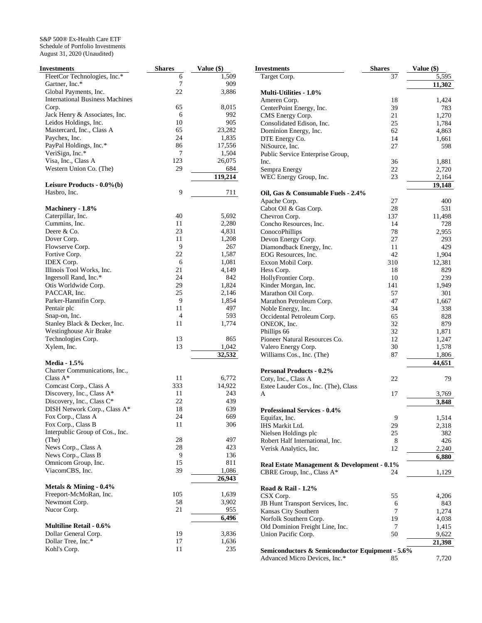| Investments                            | <b>Shares</b>  | Value (\$) |
|----------------------------------------|----------------|------------|
| FleetCor Technologies, Inc.*           | 6              | 1,509      |
| Gartner, Inc.*                         | 7              | 909        |
| Global Payments, Inc.                  | 22             | 3,886      |
| <b>International Business Machines</b> |                |            |
| Corp.                                  | 65             | 8,015      |
| Jack Henry & Associates, Inc.          | 6              | 992        |
| Leidos Holdings, Inc.                  | 10             | 905        |
| Mastercard, Inc., Class A              | 65             | 23,282     |
| Paychex, Inc.                          | 24             | 1,835      |
| PayPal Holdings, Inc.*                 | 86             | 17,556     |
|                                        |                |            |
| VeriSign, Inc.*                        | 7              | 1,504      |
| Visa, Inc., Class A                    | 123            | 26,075     |
| Western Union Co. (The)                | 29             | 684        |
|                                        |                | 119,214    |
| Leisure Products - $0.0\%$ (b)         |                |            |
| Hasbro, Inc.                           | 9              | 711        |
|                                        |                |            |
| Machinery - 1.8%                       |                |            |
| Caterpillar, Inc.                      | 40             | 5,692      |
| Cummins, Inc.                          | 11             | 2,280      |
| Deere & Co.                            | 23             | 4,831      |
| Dover Corp.                            | 11             | 1,208      |
| Flowserve Corp.                        | 9              | 267        |
| Fortive Corp.                          | 22             | 1,587      |
| IDEX Corp.                             | 6              | 1,081      |
| Illinois Tool Works, Inc.              | 21             | 4,149      |
| Ingersoll Rand, Inc.*                  | 24             |            |
|                                        |                | 842        |
| Otis Worldwide Corp.                   | 29             | 1,824      |
| PACCAR, Inc.                           | 25             | 2,146      |
| Parker-Hannifin Corp.                  | 9              | 1,854      |
| Pentair plc                            | 11             | 497        |
| Snap-on, Inc.                          | $\overline{4}$ | 593        |
| Stanley Black & Decker, Inc.           | 11             | 1,774      |
| Westinghouse Air Brake                 |                |            |
| Technologies Corp.                     | 13             | 865        |
| Xylem, Inc.                            | 13             | 1,042      |
|                                        |                | 32,532     |
| <b>Media - 1.5%</b>                    |                |            |
| Charter Communications, Inc.,          |                |            |
| Class $A^*$                            | 11             | 6,772      |
| Comcast Corp., Class A                 | 333            | 14,922     |
| Discovery, Inc., Class A*              | 11             | 243        |
| Discovery, Inc., Class C*              | 22             | 439        |
|                                        |                |            |
| DISH Network Corp., Class A*           | 18             | 639        |
| Fox Corp., Class A                     | 24             | 669        |
| Fox Corp., Class B                     | 11             | 306        |
| Interpublic Group of Cos., Inc.        |                |            |
| (The)                                  | 28             | 497        |
| News Corp., Class A                    | 28             | 423        |
| News Corp., Class B                    | 9              | 136        |
| Omnicom Group, Inc.                    | 15             | 811        |
| ViacomCBS, Inc.                        | 39             | 1,086      |
|                                        |                | 26,943     |
| Metals $&$ Mining - 0.4%               |                |            |
| Freeport-McMoRan, Inc.                 | 105            | 1,639      |
| Newmont Corp.                          | 58             | 3,902      |
| Nucor Corp.                            | 21             | 955        |
|                                        |                |            |
|                                        |                | 6,496      |
| <b>Multiline Retail - 0.6%</b>         |                |            |
| Dollar General Corp.                   | 19             | 3,836      |
| Dollar Tree, Inc.*                     | 17             | 1,636      |
| Kohl's Corp.                           | 11             | 235        |

| <b>Investments</b>                              | <b>Shares</b> | Value (\$) |
|-------------------------------------------------|---------------|------------|
| Target Corp.                                    | 37            | 5,595      |
|                                                 |               | 11,302     |
| <b>Multi-Utilities - 1.0%</b>                   |               |            |
| Ameren Corp.                                    | 18            | 1,424      |
| CenterPoint Energy, Inc.                        | 39            | 783        |
| CMS Energy Corp.                                | 21            | 1,270      |
| Consolidated Edison, Inc.                       | 25            | 1,784      |
| Dominion Energy, Inc.                           | 62            | 4,863      |
| DTE Energy Co.                                  | 14            | 1,661      |
| NiSource, Inc.                                  | 27            | 598        |
| Public Service Enterprise Group,                |               |            |
| Inc.                                            | 36            | 1,881      |
| Sempra Energy                                   | 22            | 2,720      |
| WEC Energy Group, Inc.                          | 23            | 2,164      |
|                                                 |               | 19,148     |
| Oil, Gas & Consumable Fuels - 2.4%              |               |            |
| Apache Corp.                                    | 27            | 400        |
| Cabot Oil & Gas Corp.                           | 28            | 531        |
| Chevron Corp.                                   | 137           | 11,498     |
| Concho Resources, Inc.                          | 14            | 728        |
| ConocoPhillips                                  | 78            | 2,955      |
| Devon Energy Corp.                              | 27            | 293        |
| Diamondback Energy, Inc.                        | 11            | 429        |
| EOG Resources, Inc.                             | 42            | 1,904      |
| Exxon Mobil Corp.                               | 310           | 12,381     |
| Hess Corp.                                      | 18            | 829        |
| HollyFrontier Corp.                             | 10            | 239        |
| Kinder Morgan, Inc.                             | 141           | 1,949      |
| Marathon Oil Corp.                              | 57            | 301        |
| Marathon Petroleum Corp.                        | 47<br>34      | 1,667      |
| Noble Energy, Inc.                              |               | 338        |
| Occidental Petroleum Corp.<br>ONEOK, Inc.       | 65<br>32      | 828<br>879 |
| Phillips 66                                     | 32            | 1,871      |
| Pioneer Natural Resources Co.                   | 12            | 1,247      |
| Valero Energy Corp.                             | 30            | 1,578      |
| Williams Cos., Inc. (The)                       | 87            | 1,806      |
|                                                 |               | 44,651     |
| <b>Personal Products - 0.2%</b>                 |               |            |
| Coty, Inc., Class A                             | 22            | 79         |
| Estee Lauder Cos., Inc. (The), Class            |               |            |
| A                                               | 17            | 3,769      |
|                                                 |               | 3,848      |
| <b>Professional Services - 0.4%</b>             |               |            |
| Equifax, Inc.                                   | 9             | 1,514      |
| IHS Markit Ltd.                                 | 29            | 2,318      |
| Nielsen Holdings plc                            | 25            | 382        |
| Robert Half International, Inc.                 | 8             | 426        |
| Verisk Analytics, Inc.                          | 12            | 2,240      |
|                                                 |               | 6,880      |
| Real Estate Management & Development - 0.1%     |               |            |
| CBRE Group, Inc., Class A*                      | 24            | 1,129      |
|                                                 |               |            |
| Road & Rail - 1.2%                              |               |            |
| CSX Corp.                                       | 55            | 4,206      |
| JB Hunt Transport Services, Inc.                | 6             | 843        |
| Kansas City Southern                            | 7             | 1,274      |
| Norfolk Southern Corp.                          | 19            | 4,038      |
| Old Dominion Freight Line, Inc.                 | 7             | 1,415      |
| Union Pacific Corp.                             | 50            | 9,622      |
|                                                 |               | 21,398     |
| Semiconductors & Semiconductor Equipment - 5.6% |               |            |
| Advanced Micro Devices, Inc.*                   | 85            | 7,720      |
|                                                 |               |            |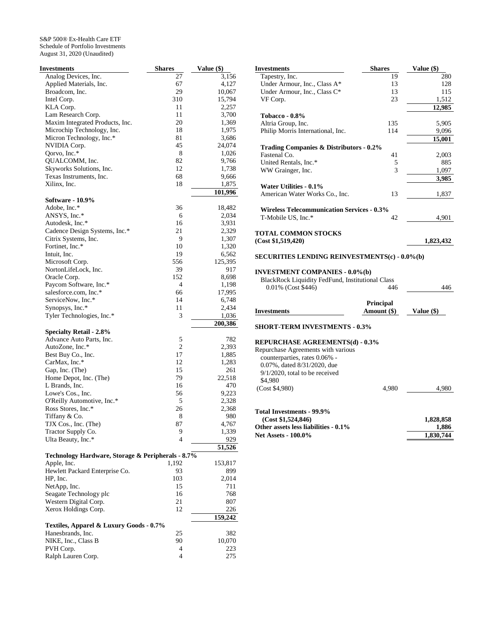| Investments                                       | <b>Shares</b>  | Value (\$) |
|---------------------------------------------------|----------------|------------|
| Analog Devices, Inc.                              | 27             | 3,156      |
| Applied Materials, Inc.                           | 67             | 4,127      |
| Broadcom, Inc.                                    | 29             | 10,067     |
| Intel Corp.                                       | 310            | 15,794     |
| KLA Corp.                                         | 11             | 2,257      |
| Lam Research Corp.                                | 11             | 3,700      |
| Maxim Integrated Products, Inc.                   | 20             | 1,369      |
| Microchip Technology, Inc.                        | 18             | 1,975      |
| Micron Technology, Inc.*                          | 81             | 3,686      |
| NVIDIA Corp.                                      | 45             | 24,074     |
| Qorvo, Inc.*                                      | 8              | 1,026      |
| QUALCOMM, Inc.                                    | 82             | 9,766      |
| Skyworks Solutions, Inc.                          | 12             | 1,738      |
| Texas Instruments, Inc.                           | 68             | 9,666      |
| Xilinx, Inc.                                      | 18             | 1,875      |
| <b>Software - 10.9%</b>                           |                | 101,996    |
| Adobe, Inc.*                                      | 36             | 18,482     |
| ANSYS, Inc.*                                      | 6              | 2,034      |
| Autodesk, Inc.*                                   | 16             | 3,931      |
| Cadence Design Systems, Inc.*                     | 21             | 2,329      |
| Citrix Systems, Inc.                              | 9              | 1,307      |
| Fortinet, Inc.*                                   | 10             | 1,320      |
| Intuit, Inc.                                      | 19             | 6,562      |
| Microsoft Corp.                                   | 556            | 125,395    |
| NortonLifeLock, Inc.                              | 39             | 917        |
| Oracle Corp.                                      | 152            | 8,698      |
| Paycom Software, Inc.*                            | 4              | 1,198      |
| salesforce.com, Inc.*                             | 66             | 17,995     |
| ServiceNow, Inc.*                                 | 14             | 6,748      |
| Synopsys, Inc.*                                   | 11             | 2,434      |
| Tyler Technologies, Inc.*                         | 3              | 1,036      |
|                                                   |                | 200,386    |
| <b>Specialty Retail - 2.8%</b>                    |                |            |
| Advance Auto Parts, Inc.                          | 5              | 782        |
| AutoZone, Inc.*                                   | $\overline{c}$ | 2,393      |
| Best Buy Co., Inc.                                | 17             | 1,885      |
| CarMax, Inc.*                                     | 12             | 1,283      |
| Gap, Inc. (The)                                   | 15             | 261        |
| Home Depot, Inc. (The)                            | 79             | 22,518     |
| L Brands, Inc.                                    | 16             | 470        |
| Lowe's Cos., Inc.                                 | 56             | 9,223      |
| O'Reilly Automotive, Inc.*                        | 5              | 2,328      |
| Ross Stores, Inc.*                                | 26             | 2,368      |
| Tiffany & Co.                                     | 8              | 980        |
| TJX Cos., Inc. (The)                              | 87             | 4,767      |
| Tractor Supply Co.                                | 9              | 1,339      |
| Ulta Beauty, Inc.*                                | 4              | 929        |
| Technology Hardware, Storage & Peripherals - 8.7% |                | 51,526     |
| Apple, Inc.                                       | 1,192          | 153,817    |
| Hewlett Packard Enterprise Co.                    | 93             | 899        |
| HP, Inc.                                          | 103            | 2,014      |
| NetApp, Inc.                                      | 15             | 711        |
| Seagate Technology plc                            | 16             | 768        |
| Western Digital Corp.                             | 21             | 807        |
| Xerox Holdings Corp.                              | 12             | 226        |
|                                                   |                | 159,242    |
| Textiles, Apparel & Luxury Goods - 0.7%           |                |            |
| Hanesbrands, Inc.                                 | 25             | 382        |
| NIKE, Inc., Class B                               | 90             | 10,070     |
| PVH Corp.                                         | 4              | 223        |
| Ralph Lauren Corp.                                | 4              | 275        |

| <b>Investments</b>                                      | <b>Shares</b> | Value (\$) |
|---------------------------------------------------------|---------------|------------|
| Tapestry, Inc.                                          | 19            | 280        |
| Under Armour, Inc., Class A*                            | 13            | 128        |
| Under Armour, Inc., Class C*                            | 13            | 115        |
| VF Corp.                                                | 23            | 1,512      |
|                                                         |               | 12,985     |
| Tobacco - 0.8%                                          |               |            |
| Altria Group, Inc.                                      | 135           | 5,905      |
| Philip Morris International, Inc.                       | 114           | 9,096      |
|                                                         |               | 15,001     |
| <b>Trading Companies &amp; Distributors - 0.2%</b>      |               |            |
| Fastenal Co.                                            | 41            | 2,003      |
| United Rentals, Inc.*                                   | 5             | 885        |
| WW Grainger, Inc.                                       | $\mathcal{E}$ | 1,097      |
|                                                         |               | 3,985      |
| Water Utilities - 0.1%                                  |               |            |
| American Water Works Co., Inc.                          | 13            | 1,837      |
|                                                         |               |            |
| <b>Wireless Telecommunication Services - 0.3%</b>       |               |            |
| T-Mobile US, Inc.*                                      | 42            | 4,901      |
|                                                         |               |            |
| <b>TOTAL COMMON STOCKS</b>                              |               |            |
| (Cost \$1,519,420)                                      |               | 1,823,432  |
|                                                         |               |            |
| <b>SECURITIES LENDING REINVESTMENTS(c) - 0.0%(b)</b>    |               |            |
|                                                         |               |            |
| <b>INVESTMENT COMPANIES - 0.0%(b)</b>                   |               |            |
| <b>BlackRock Liquidity FedFund, Institutional Class</b> |               |            |
| 0.01% (Cost \$446)                                      | 446           | 446        |
|                                                         |               |            |
|                                                         | Principal     |            |
| <b>Investments</b>                                      | Amount (\$)   | Value (\$) |
|                                                         |               |            |
| <b>SHORT-TERM INVESTMENTS - 0.3%</b>                    |               |            |
|                                                         |               |            |
| <b>REPURCHASE AGREEMENTS(d) - 0.3%</b>                  |               |            |
| Repurchase Agreements with various                      |               |            |

| <u>KEI UKUHADE AUKEEMEN 1960/ - 0.970</u> |       |           |
|-------------------------------------------|-------|-----------|
| Repurchase Agreements with various        |       |           |
| counterparties, rates 0.06% -             |       |           |
| 0.07%, dated 8/31/2020, due               |       |           |
| $9/1/2020$ , total to be received         |       |           |
| \$4.980                                   |       |           |
| (Cost \$4.980)                            | 4.980 | 4.980     |
|                                           |       |           |
| Total Investments - 99.9%                 |       |           |
| (Cost \$1,524,846)                        |       | 1,828,858 |
| Other assets less liabilities - 0.1%      |       | 1,886     |
| <b>Net Assets - 100.0%</b>                |       | 1,830,744 |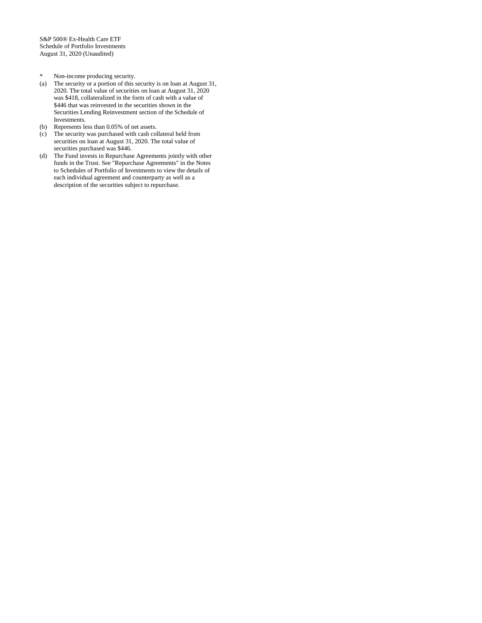- 
- \* Non-income producing security.<br>
(a) The security or a portion of this s (a) The security or a portion of this security is on loan at August 31, 2020. The total value of securities on loan at August 31, 2020 was \$418, collateralized in the form of cash with a value of \$446 that was reinvested in the securities shown in the Securities Lending Reinvestment section of the Schedule of Investments.
- (b) Represents less than 0.05% of net assets.
- (c) The security was purchased with cash collateral held from securities on loan at August 31, 2020. The total value of securities purchased was \$446.
- (d) The Fund invests in Repurchase Agreements jointly with other funds in the Trust. See "Repurchase Agreements" in the Notes to Schedules of Portfolio of Investments to view the details of each individual agreement and counterparty as well as a description of the securities subject to repurchase.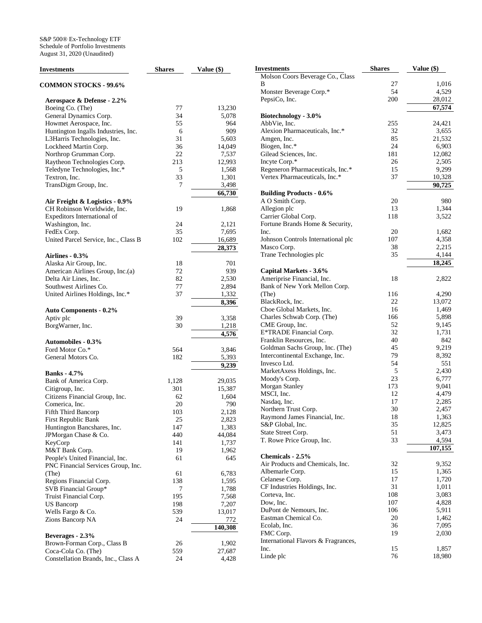| <b>Investments</b>                                                    | <b>Shares</b> | Value (\$)      |
|-----------------------------------------------------------------------|---------------|-----------------|
| <b>COMMON STOCKS - 99.6%</b>                                          |               |                 |
| Aerospace & Defense - 2.2%                                            |               |                 |
| Boeing Co. (The)                                                      | 77            | 13,230          |
| General Dynamics Corp.                                                | 34            | 5,078           |
| Howmet Aerospace, Inc.                                                | 55            | 964             |
| Huntington Ingalls Industries, Inc.                                   | 6             | 909             |
| L3Harris Technologies, Inc.                                           | 31            | 5,603           |
| Lockheed Martin Corp.                                                 | 36            | 14,049          |
| Northrop Grumman Corp.                                                | 22            | 7,537           |
| Raytheon Technologies Corp.                                           | 213           | 12,993          |
| Teledyne Technologies, Inc.*                                          | 5             | 1,568           |
| Textron, Inc.                                                         | 33            | 1,301           |
| TransDigm Group, Inc.                                                 | 7             | 3,498<br>66,730 |
| Air Freight & Logistics - 0.9%                                        |               |                 |
| CH Robinson Worldwide, Inc.                                           | 19            | 1,868           |
| Expeditors International of                                           |               |                 |
| Washington, Inc.                                                      | 24            | 2,121           |
| FedEx Corp.                                                           | 35            | 7,695           |
| United Parcel Service, Inc., Class B                                  | 102           | 16,689          |
|                                                                       |               | 28,373          |
| Airlines - 0.3%                                                       |               |                 |
| Alaska Air Group, Inc.                                                | 18            | 701             |
| American Airlines Group, Inc.(a)                                      | 72            | 939             |
| Delta Air Lines, Inc.                                                 | 82            | 2,530           |
| Southwest Airlines Co.                                                | 77            | 2,894           |
| United Airlines Holdings, Inc.*                                       | 37            | 1,332           |
| <b>Auto Components - 0.2%</b>                                         |               | 8,396           |
| Aptiv plc                                                             | 39            | 3,358           |
| BorgWarner, Inc.                                                      | 30            | 1,218           |
|                                                                       |               | 4,576           |
| <b>Automobiles - 0.3%</b>                                             |               |                 |
| Ford Motor Co.*                                                       | 564           | 3,846           |
| General Motors Co.                                                    | 182           | 5,393           |
| <b>Banks</b> - 4.7%                                                   |               | 9,239           |
| Bank of America Corp.                                                 | 1,128         | 29,035          |
| Citigroup, Inc.                                                       | 301           | 15,387          |
| Citizens Financial Group, Inc.                                        | 62            | 1,604           |
| Comerica, Inc.                                                        | 20            | 790             |
| Fifth Third Bancorp                                                   | 103           | 2,128           |
| First Republic Bank                                                   | 25            | 2,823           |
| Huntington Bancshares, Inc.                                           | 147           | 1,383           |
| JPMorgan Chase & Co.                                                  | 440           | 44,084          |
| KeyCorp                                                               | 141           | 1,737           |
| M&T Bank Corp.                                                        | 19            | 1,962           |
| People's United Financial, Inc.<br>PNC Financial Services Group, Inc. | 61            | 645             |
| (The)                                                                 | 61            | 6,783           |
| Regions Financial Corp.                                               | 138           | 1,595           |
| SVB Financial Group*                                                  | 7             | 1,788           |
| Truist Financial Corp.                                                | 195           | 7,568           |
| US Bancorp                                                            | 198           | 7,207           |
| Wells Fargo & Co.                                                     | 539           | 13,017          |
| Zions Bancorp NA                                                      | 24            | 772<br>140,308  |
| Beverages - 2.3%                                                      |               |                 |
| Brown-Forman Corp., Class B                                           | 26            | 1,902           |
| Coca-Cola Co. (The)                                                   | 559           | 27,687          |
| Constellation Brands, Inc., Class A                                   | 24            | 4,428           |
|                                                                       |               |                 |

| Investments                          | <b>Shares</b> | Value (\$) |
|--------------------------------------|---------------|------------|
| Molson Coors Beverage Co., Class     |               |            |
| В                                    | 27            | 1,016      |
| Monster Beverage Corp.*              | 54            | 4,529      |
| PepsiCo, Inc.                        | 200           | 28,012     |
|                                      |               | 67.574     |
| Biotechnology - 3.0%                 |               |            |
| AbbVie, Inc.                         | 255           | 24,421     |
| Alexion Pharmaceuticals, Inc.*       | 32            | 3,655      |
| Amgen, Inc.                          | 85            | 21,532     |
| Biogen, Inc.*                        | 24            | 6,903      |
| Gilead Sciences, Inc.                | 181           | 12,082     |
| Incyte Corp.*                        | 26            | 2,505      |
| Regeneron Pharmaceuticals, Inc.*     | 15            | 9,299      |
| Vertex Pharmaceuticals, Inc.*        | 37            | 10,328     |
|                                      |               | 90,725     |
| <b>Building Products - 0.6%</b>      |               |            |
| A O Smith Corp.                      | 20            | 980        |
| Allegion plc                         | 13            | 1,344      |
| Carrier Global Corp.                 | 118           | 3,522      |
| Fortune Brands Home & Security,      |               |            |
| Inc.                                 | 20            | 1,682      |
| Johnson Controls International plc   | 107           | 4,358      |
| Masco Corp.                          | 38            | 2,215      |
| Trane Technologies plc               | 35            | 4,144      |
|                                      |               | 18,245     |
| Capital Markets - 3.6%               |               |            |
| Ameriprise Financial, Inc.           | 18            | 2,822      |
| Bank of New York Mellon Corp.        |               |            |
| (The)                                | 116           | 4,290      |
| BlackRock, Inc.                      | 22            | 13,072     |
| Cboe Global Markets, Inc.            | 16            | 1,469      |
| Charles Schwab Corp. (The)           | 166           | 5,898      |
| CME Group, Inc.                      | 52            | 9,145      |
| E*TRADE Financial Corp.              | 32            | 1,731      |
| Franklin Resources, Inc.             | 40            | 842        |
| Goldman Sachs Group, Inc. (The)      | 45            | 9,219      |
| Intercontinental Exchange, Inc.      | 79            | 8,392      |
| Invesco Ltd.                         | 54            | 551        |
| MarketAxess Holdings, Inc.           | 5             | 2,430      |
| Moody's Corp.                        | 23            | 6,777      |
| Morgan Stanley                       | 173           | 9,041      |
| MSCI, Inc.                           | 12            | 4,479      |
| Nasdaq, Inc.                         | 17            | 2,285      |
| Northern Trust Corp.                 | 30            | 2,457      |
| Raymond James Financial, Inc.        | 18            | 1,363      |
| S&P Global, Inc.                     | 35            | 12,825     |
| State Street Corp.                   | 51            | 3,473      |
| T. Rowe Price Group, Inc.            | 33            | 4,594      |
|                                      |               | 107,155    |
| Chemicals - 2.5%                     |               |            |
| Air Products and Chemicals, Inc.     | 32            | 9,352      |
| Albemarle Corp.                      | 15            | 1,365      |
| Celanese Corp.                       | 17            | 1,720      |
| CF Industries Holdings, Inc.         | 31            | 1,011      |
| Corteva, Inc.                        | 108<br>107    | 3,083      |
| Dow, Inc.<br>DuPont de Nemours, Inc. |               | 4,828      |
| Eastman Chemical Co.                 | 106           | 5,911      |
|                                      | 20            | 1,462      |
| Ecolab, Inc.<br>FMC Corp.            | 36<br>19      | 7,095      |
| International Flavors & Fragrances,  |               | 2,030      |
| Inc.                                 | 15            | 1,857      |
| Linde plc                            | 76            | 18,980     |
|                                      |               |            |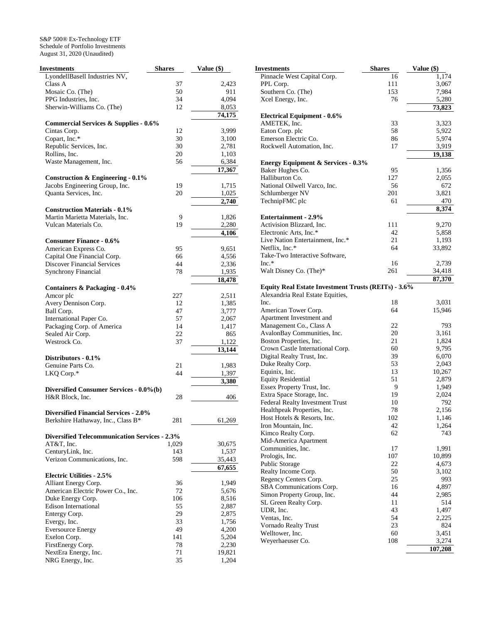| Investments                                          | <b>Shares</b> | Value (\$) |
|------------------------------------------------------|---------------|------------|
| LyondellBasell Industries NV,                        |               |            |
| Class A                                              | 37            | 2,423      |
| Mosaic Co. (The)                                     | 50            | 911        |
| PPG Industries, Inc.                                 | 34            | 4,094      |
| Sherwin-Williams Co. (The)                           | 12            | 8,053      |
|                                                      |               | 74,175     |
| Commercial Services & Supplies - 0.6%                |               |            |
| Cintas Corp.                                         | 12            | 3,999      |
| Copart, Inc.*                                        | 30            | 3,100      |
| Republic Services, Inc.                              | 30            | 2,781      |
| Rollins, Inc.                                        | 20            | 1,103      |
| Waste Management, Inc.                               | 56            | 6,384      |
|                                                      |               | 17,367     |
| Construction & Engineering $-0.1\%$                  |               |            |
| Jacobs Engineering Group, Inc.                       | 19            | 1,715      |
| Quanta Services, Inc.                                | 20            | 1,025      |
|                                                      |               | 2,740      |
| <b>Construction Materials - 0.1%</b>                 |               |            |
| Martin Marietta Materials, Inc.                      | 9             | 1,826      |
| Vulcan Materials Co.                                 | 19            | 2,280      |
|                                                      |               | 4,106      |
| <b>Consumer Finance - 0.6%</b>                       |               |            |
| American Express Co.                                 | 95            | 9,651      |
| Capital One Financial Corp.                          | 66            | 4,556      |
| <b>Discover Financial Services</b>                   | 44            | 2,336      |
| <b>Synchrony Financial</b>                           | 78            | 1,935      |
|                                                      |               | 18,478     |
| Containers & Packaging - 0.4%                        |               |            |
| Amcor plc                                            | 227           | 2,511      |
| Avery Dennison Corp.                                 | 12            | 1,385      |
| Ball Corp.                                           | 47            | 3,777      |
| International Paper Co.                              | 57            | 2,067      |
| Packaging Corp. of America                           | 14            | 1,417      |
| Sealed Air Corp.                                     | 22            | 865        |
| Westrock Co.                                         | 37            | 1,122      |
|                                                      |               | 13,144     |
| Distributors - 0.1%                                  |               |            |
| Genuine Parts Co.                                    | 21            | 1,983      |
| LKQ Corp.*                                           | 44            | 1,397      |
|                                                      |               | 3,380      |
| Diversified Consumer Services - 0.0%(b)              |               |            |
| H&R Block, Inc.                                      | 28            | 406        |
|                                                      |               |            |
| <b>Diversified Financial Services - 2.0%</b>         |               |            |
| Berkshire Hathaway, Inc., Class B*                   | 281           | 61,269     |
|                                                      |               |            |
| <b>Diversified Telecommunication Services - 2.3%</b> |               |            |
| AT&T, Inc.                                           | 1,029         | 30,675     |
| CenturyLink, Inc.                                    | 143           | 1,537      |
| Verizon Communications, Inc.                         | 598           | 35,443     |
|                                                      |               | 67,655     |
| <b>Electric Utilities - 2.5%</b>                     |               |            |
| Alliant Energy Corp.                                 | 36            | 1,949      |
| American Electric Power Co., Inc.                    | 72            | 5,676      |
| Duke Energy Corp.                                    | 106           | 8,516      |
| <b>Edison International</b>                          | 55            | 2,887      |
| Entergy Corp.                                        | 29            | 2,875      |
| Evergy, Inc.                                         | 33            | 1,756      |
| <b>Eversource Energy</b>                             | 49            | 4,200      |
| Exelon Corp.                                         | 141           | 5,204      |
| FirstEnergy Corp.                                    | 78<br>71      | 2,230      |
| NextEra Energy, Inc.                                 |               | 19,821     |
| NRG Energy, Inc.                                     | 35            | 1,204      |

| Investments                                         | <b>Shares</b> | Value (\$)       |
|-----------------------------------------------------|---------------|------------------|
| Pinnacle West Capital Corp.                         | 16            | 1,174            |
| PPL Corp.                                           | 111           | 3,067            |
| Southern Co. (The)                                  | 153           | 7,984            |
| Xcel Energy, Inc.                                   | 76            | 5,280            |
|                                                     |               | 73,823           |
| <b>Electrical Equipment - 0.6%</b>                  |               |                  |
| AMETEK, Inc.                                        | 33            | 3,323            |
| Eaton Corp. plc                                     | 58            | 5,922            |
| Emerson Electric Co.                                | 86            | 5,974            |
| Rockwell Automation, Inc.                           | 17            | 3,919            |
|                                                     |               | 19,138           |
| <b>Energy Equipment &amp; Services - 0.3%</b>       |               |                  |
| Baker Hughes Co.                                    | 95            | 1,356            |
| Halliburton Co.                                     | 127           | 2,055            |
| National Oilwell Varco, Inc.                        | 56            | 672              |
| Schlumberger NV                                     | 201           | 3,821            |
| TechnipFMC plc                                      | 61            | 470              |
| <b>Entertainment - 2.9%</b>                         |               | 8,374            |
| Activision Blizzard, Inc.                           |               |                  |
|                                                     | 111           | 9,270            |
| Electronic Arts, Inc.*                              | 42            | 5,858            |
| Live Nation Entertainment, Inc.*                    | 21            | 1,193            |
| Netflix, Inc.*<br>Take-Two Interactive Software,    | 64            | 33,892           |
| $Inc.*$                                             | 16            |                  |
| Walt Disney Co. (The)*                              | 261           | 2,739            |
|                                                     |               | 34,418<br>87,370 |
| Equity Real Estate Investment Trusts (REITs) - 3.6% |               |                  |
| Alexandria Real Estate Equities,                    |               |                  |
| Inc.                                                | 18            | 3,031            |
| American Tower Corp.                                | 64            | 15,946           |
| Apartment Investment and                            |               |                  |
| Management Co., Class A                             | 22            | 793              |
| AvalonBay Communities, Inc.                         | 20            | 3,161            |
| Boston Properties, Inc.                             | 21            | 1,824            |
| Crown Castle International Corp.                    | 60            | 9,795            |
| Digital Realty Trust, Inc.                          | 39            | 6,070            |
| Duke Realty Corp.                                   | 53            | 2,043            |
| Equinix, Inc.                                       | 13            | 10,267           |
| <b>Equity Residential</b>                           | 51            | 2,879            |
| Essex Property Trust, Inc.                          | 9             | 1,949            |
| Extra Space Storage, Inc.                           | 19            | 2,024            |
| Federal Realty Investment Trust                     | 10            | 792              |
| Healthpeak Properties, Inc.                         | 78            | 2,156            |
| Host Hotels & Resorts, Inc.                         | 102           | 1,146            |
| Iron Mountain, Inc.                                 | 42            | 1,264            |
| Kimco Realty Corp.                                  | 62            | 743              |
| Mid-America Apartment                               |               |                  |
| Communities, Inc.                                   | 17            | 1,991            |
| Prologis, Inc.                                      | 107           | 10,899           |
| Public Storage                                      | 22            | 4,673            |
| Realty Income Corp.                                 | 50            | 3,102            |
| Regency Centers Corp.                               | 25            | 993              |
| SBA Communications Corp.                            | 16            | 4,897            |
| Simon Property Group, Inc.                          | 44            | 2,985            |
| SL Green Realty Corp.                               | 11            | 514              |
| UDR, Inc.                                           | 43            | 1,497            |
| Ventas, Inc.                                        | 54            | 2,225            |
| Vornado Realty Trust                                | 23            | 824              |
| Welltower, Inc.                                     | 60            | 3,451            |
| Weyerhaeuser Co.                                    | 108           | 3,274            |
|                                                     |               | 107,208          |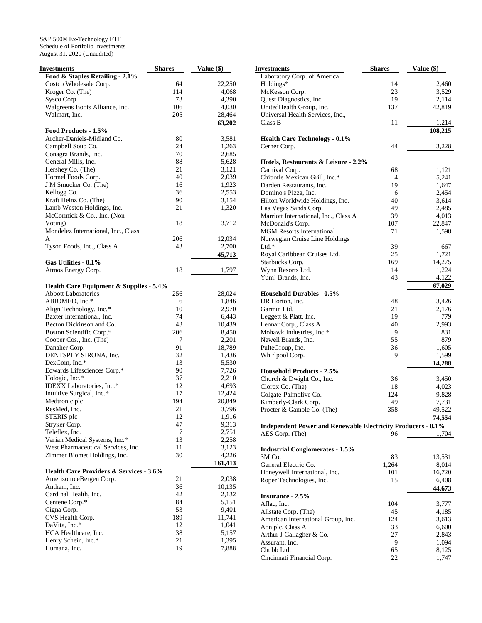S&P 500® Ex-Technology ETF Schedule of Portfolio Investments August 31, 2020 (Unaudited)

| Investments                                                                      | <b>Shares</b> | Value (\$)     |
|----------------------------------------------------------------------------------|---------------|----------------|
| Food & Staples Retailing - 2.1%                                                  |               |                |
| Costco Wholesale Corp.                                                           | 64            | 22,250         |
| Kroger Co. (The)                                                                 | 114           | 4,068          |
| Sysco Corp.                                                                      | 73            | 4,390          |
| Walgreens Boots Alliance, Inc.                                                   | 106           | 4,030          |
| Walmart, Inc.                                                                    | 205           | 28,464         |
|                                                                                  |               | 63,202         |
| Food Products - 1.5%                                                             |               |                |
| Archer-Daniels-Midland Co.                                                       | 80            | 3,581          |
| Campbell Soup Co.                                                                | 24            | 1,263          |
| Conagra Brands, Inc.                                                             | 70            | 2,685          |
| General Mills, Inc.                                                              | 88            | 5,628          |
| Hershey Co. (The)                                                                | 21            | 3,121          |
| Hormel Foods Corp.                                                               | 40            | 2,039          |
| J M Smucker Co. (The)                                                            | 16            | 1,923          |
| Kellogg Co.                                                                      | 36            | 2,553          |
| Kraft Heinz Co. (The)                                                            | 90            | 3,154          |
| Lamb Weston Holdings, Inc.                                                       | 21            | 1,320          |
| McCormick & Co., Inc. (Non-                                                      |               |                |
| Voting)                                                                          | 18            | 3,712          |
| Mondelez International, Inc., Class                                              |               |                |
| A                                                                                | 206           | 12,034         |
| Tyson Foods, Inc., Class A                                                       | 43            | 2,700          |
|                                                                                  |               | 45,713         |
| Gas Utilities - 0.1%                                                             |               |                |
| Atmos Energy Corp.                                                               | 18            | 1,797          |
|                                                                                  |               |                |
| <b>Health Care Equipment &amp; Supplies - 5.4%</b><br><b>Abbott Laboratories</b> |               | 28,024         |
| ABIOMED, Inc.*                                                                   | 256           |                |
| Align Technology, Inc.*                                                          | 6<br>10       | 1,846<br>2,970 |
| Baxter International, Inc.                                                       | 74            | 6,443          |
| Becton Dickinson and Co.                                                         | 43            | 10,439         |
| Boston Scientific Corp.*                                                         | 206           | 8,450          |
| Cooper Cos., Inc. (The)                                                          | 7             | 2,201          |
| Danaher Corp.                                                                    | 91            | 18,789         |
| DENTSPLY SIRONA, Inc.                                                            | 32            | 1,436          |
| DexCom, Inc.*                                                                    | 13            | 5,530          |
| Edwards Lifesciences Corp.*                                                      | 90            | 7,726          |
| Hologic, Inc.*                                                                   | 37            | 2,210          |
| IDEXX Laboratories, Inc.*                                                        | 12            | 4,693          |
| Intuitive Surgical, Inc.*                                                        | 17            | 12,424         |
| Medtronic plc                                                                    | 194           | 20,849         |
| ResMed, Inc.                                                                     | 21            | 3,796          |
| STERIS plc                                                                       | 12            | 1,916          |
| Stryker Corp.                                                                    | 47            | 9,313          |
| Teleflex, Inc.                                                                   | 7             | 2,751          |
| Varian Medical Systems, Inc.*                                                    | 13            | 2,258          |
| West Pharmaceutical Services, Inc.                                               | 11            | 3,123          |
| Zimmer Biomet Holdings, Inc.                                                     | 30            | 4,226          |
|                                                                                  |               | 161,413        |
| <b>Health Care Providers &amp; Services - 3.6%</b>                               |               |                |
| AmerisourceBergen Corp.                                                          | 21            | 2,038          |
| Anthem, Inc.                                                                     | 36            | 10,135         |
| Cardinal Health, Inc.                                                            | 42            | 2,132          |
| Centene Corp.*                                                                   | 84            | 5,151          |
| Cigna Corp.                                                                      | 53            | 9,401          |
| CVS Health Corp.                                                                 | 189           | 11,741         |
| DaVita, Inc.*                                                                    | 12            | 1,041          |
| HCA Healthcare, Inc.                                                             | 38            | 5,157          |
| Henry Schein, Inc.*                                                              | 21            | 1,395          |
| Humana, Inc.                                                                     | 19            | 7,888          |

| Investments                                                         | Shares         | Value (\$)      |
|---------------------------------------------------------------------|----------------|-----------------|
| Laboratory Corp. of America                                         |                |                 |
| Holdings*                                                           | 14             | 2,460           |
| McKesson Corp.                                                      | 23             | 3,529           |
| Quest Diagnostics, Inc.                                             | 19             | 2,114           |
| UnitedHealth Group, Inc.                                            | 137            | 42,819          |
| Universal Health Services, Inc.,                                    |                |                 |
| Class B                                                             | 11             | 1,214           |
|                                                                     |                | 108,215         |
| <b>Health Care Technology - 0.1%</b>                                |                |                 |
| Cerner Corp.                                                        | 44             | 3,228           |
| Hotels, Restaurants & Leisure - 2.2%                                |                |                 |
| Carnival Corp.                                                      | 68             | 1,121           |
| Chipotle Mexican Grill, Inc.*                                       | $\overline{4}$ | 5,241           |
| Darden Restaurants, Inc.                                            | 19             | 1,647           |
| Domino's Pizza, Inc.                                                | 6              | 2,454           |
| Hilton Worldwide Holdings, Inc.                                     | 40             | 3,614           |
| Las Vegas Sands Corp.                                               | 49             | 2,485           |
| Marriott International, Inc., Class A                               | 39             | 4,013           |
| McDonald's Corp.                                                    | 107            | 22,847          |
| <b>MGM Resorts International</b>                                    | 71             | 1,598           |
| Norwegian Cruise Line Holdings                                      |                |                 |
| $Ltd.*$                                                             | 39             | 667             |
| Royal Caribbean Cruises Ltd.                                        | 25             | 1,721           |
| Starbucks Corp.                                                     | 169            | 14,275          |
| Wynn Resorts Ltd.                                                   | 14             | 1,224           |
| Yum! Brands, Inc.                                                   | 43             | 4,122           |
|                                                                     |                | 67,029          |
| <b>Household Durables - 0.5%</b>                                    |                |                 |
| DR Horton, Inc.                                                     | 48             | 3,426           |
| Garmin Ltd.                                                         | 21             | 2,176           |
| Leggett & Platt, Inc.                                               | 19             | 779             |
| Lennar Corp., Class A                                               | 40             | 2,993           |
| Mohawk Industries, Inc.*<br>Newell Brands, Inc.                     | 9<br>55        | 831<br>879      |
| PulteGroup, Inc.                                                    | 36             |                 |
| Whirlpool Corp.                                                     | 9              | 1,605<br>1,599  |
|                                                                     |                | 14,288          |
| <b>Household Products - 2.5%</b>                                    |                |                 |
| Church & Dwight Co., Inc.                                           | 36             | 3,450           |
| Clorox Co. (The)                                                    | 18             | 4,023           |
| Colgate-Palmolive Co.                                               | 124            | 9,828           |
| Kimberly-Clark Corp.                                                | 49             | 7,731           |
| Procter & Gamble Co. (The)                                          | 358            | 49,522          |
|                                                                     |                | 74,554          |
| <b>Independent Power and Renewable Electricity Producers - 0.1%</b> |                |                 |
| AES Corp. (The)                                                     | 96             | 1,704           |
|                                                                     |                |                 |
| <b>Industrial Conglomerates - 1.5%</b>                              |                |                 |
| 3M Co.<br>General Electric Co.                                      | 83<br>1,264    | 13,531<br>8,014 |
| Honeywell International, Inc.                                       | 101            | 16,720          |
| Roper Technologies, Inc.                                            | 15             | 6,408           |
|                                                                     |                | 44,673          |
| <b>Insurance - 2.5%</b>                                             |                |                 |
| Aflac, Inc.                                                         | 104            | 3,777           |
| Allstate Corp. (The)                                                | 45             | 4,185           |
| American International Group, Inc.                                  | 124            | 3,613           |
| Aon plc, Class A                                                    | 33             | 6,600           |
| Arthur J Gallagher & Co.                                            | 27             | 2,843           |
| Assurant, Inc.                                                      | 9              | 1,094           |
| Chubb Ltd.                                                          | 65             | 8,125           |
| Cincinnati Financial Corp.                                          | 22             | 1,747           |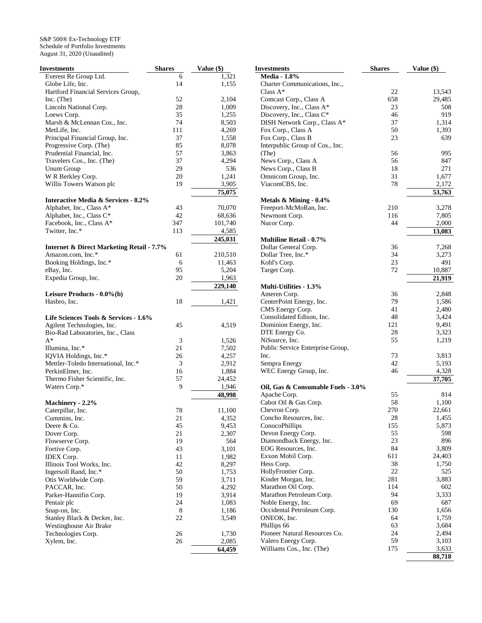S&P 500® Ex-Technology ETF Schedule of Portfolio Investments August 31, 2020 (Unaudited)

| Investments                                          | <b>Shares</b> | Value (\$)      |
|------------------------------------------------------|---------------|-----------------|
| Everest Re Group Ltd.                                | 6             | 1,321           |
| Globe Life, Inc.                                     | 14            | 1,155           |
| Hartford Financial Services Group,                   |               |                 |
| Inc. (The)                                           | 52            | 2,104           |
| Lincoln National Corp.                               | 28            | 1,009           |
| Loews Corp.                                          | 35            | 1,255           |
| Marsh & McLennan Cos., Inc.                          | 74            | 8,503           |
| MetLife, Inc.                                        | 111           | 4,269           |
| Principal Financial Group, Inc.                      | 37            | 1,558           |
| Progressive Corp. (The)                              | 85            | 8,078           |
| Prudential Financial, Inc.                           | 57            | 3,863           |
| Travelers Cos., Inc. (The)                           | 37            | 4,294           |
| Unum Group                                           | 29            | 536             |
| W R Berkley Corp.                                    | 20            | 1,241           |
| Willis Towers Watson plc                             | 19            | 3,905           |
|                                                      |               | 75,075          |
| <b>Interactive Media &amp; Services - 8.2%</b>       |               |                 |
| Alphabet, Inc., Class A*                             | 43            | 70,070          |
| Alphabet, Inc., Class C*                             | 42            | 68,636          |
| Facebook, Inc., Class A*                             | 347           | 101,740         |
| Twitter, Inc.*                                       | 113           | 4,585           |
|                                                      |               | 245,031         |
|                                                      |               |                 |
| <b>Internet &amp; Direct Marketing Retail - 7.7%</b> | 61            |                 |
| Amazon.com, Inc.*<br>Booking Holdings, Inc.*         | 6             | 210,510         |
|                                                      |               | 11,463<br>5,204 |
| eBay, Inc.                                           | 95<br>20      |                 |
| Expedia Group, Inc.                                  |               | 1,963           |
|                                                      |               | 229,140         |
| Leisure Products - 0.0%(b)                           |               |                 |
| Hasbro, Inc.                                         | 18            | 1,421           |
|                                                      |               |                 |
| Life Sciences Tools & Services - 1.6%                |               |                 |
| Agilent Technologies, Inc.                           | 45            | 4,519           |
| Bio-Rad Laboratories, Inc., Class                    |               |                 |
| $A^*$                                                | 3             | 1,526           |
| Illumina, Inc.*                                      | 21            | 7,502           |
| IQVIA Holdings, Inc.*                                | 26            | 4,257           |
| Mettler-Toledo International, Inc.*                  | 3             | 2,912           |
| PerkinElmer, Inc.                                    | 16            | 1,884           |
| Thermo Fisher Scientific, Inc.                       | 57            | 24,452          |
| Waters Corp.*                                        | 9             | 1,946           |
|                                                      |               | 48,998          |
| Machinery - 2.2%                                     |               |                 |
| Caterpillar, Inc.                                    | 78            | 11,100          |
| Cummins, Inc.                                        | 21            | 4,352           |
| Deere & Co.                                          | 45            | 9,453           |
| Dover Corp.                                          | 21            | 2,307           |
| Flowserve Corp.                                      | 19            | 564             |
| Fortive Corp.                                        | 43            | 3,101           |
| <b>IDEX</b> Corp.                                    | 11            | 1,982           |
| Illinois Tool Works, Inc.                            | 42            | 8,297           |
| Ingersoll Rand, Inc.*                                | 50            | 1,753           |
| Otis Worldwide Corp.                                 | 59            | 3,711           |
| PACCAR, Inc.                                         | 50            | 4,292           |
| Parker-Hannifin Corp.                                | 19            | 3,914           |
| Pentair plc                                          | 24            | 1,083           |
| Snap-on, Inc.                                        | 8             | 1,186           |
| Stanley Black & Decker, Inc.                         | 22            | 3,549           |
| Westinghouse Air Brake                               |               |                 |
| Technologies Corp.                                   | 26            | 1,730           |
| Xylem, Inc.                                          | 26            | 2,085           |
|                                                      |               | 64,459          |

| Investments                        | Shares    | Value (\$)   |
|------------------------------------|-----------|--------------|
| <b>Media - 1.8%</b>                |           |              |
| Charter Communications, Inc.,      |           |              |
| $Class A*$                         | 22        | 13,543       |
| Comcast Corp., Class A             | 658       | 29,485       |
| Discovery, Inc., Class A*          | 23        | 508          |
| Discovery, Inc., Class C*          | 46        | 919          |
| DISH Network Corp., Class A*       | 37        | 1,314        |
| Fox Corp., Class A                 | 50        | 1,393        |
| Fox Corp., Class B                 | 23        | 639          |
| Interpublic Group of Cos., Inc.    |           |              |
| (The)                              | 56        | 995          |
| News Corp., Class A                | 56        | 847          |
| News Corp., Class B                | 18        | 271          |
| Omnicom Group, Inc.                | 31        | 1,677        |
| ViacomCBS, Inc.                    | 78        | 2,172        |
|                                    |           |              |
|                                    |           | 53,763       |
| Metals $&$ Mining - 0.4%           |           |              |
| Freeport-McMoRan, Inc.             | 210       | 3,278        |
| Newmont Corp.                      | 116       | 7,805        |
| Nucor Corp.                        | 44        | 2,000        |
|                                    |           | 13,083       |
| <b>Multiline Retail - 0.7%</b>     |           |              |
| Dollar General Corp.               | 36        | 7,268        |
| Dollar Tree, Inc.*                 | 34        | 3,273        |
| Kohl's Corp.                       | 23        | 491          |
| Target Corp.                       | 72        | 10,887       |
|                                    |           | 21,919       |
| <b>Multi-Utilities - 1.3%</b>      |           |              |
| Ameren Corp.                       | 36        | 2,848        |
| CenterPoint Energy, Inc.           | 79        | 1,586        |
| CMS Energy Corp.                   | 41        | 2,480        |
| Consolidated Edison, Inc.          | 48        | 3,424        |
| Dominion Energy, Inc.              | 121       | 9,491        |
| DTE Energy Co.                     | 28        | 3,323        |
| NiSource, Inc.                     | 55        | 1,219        |
| Public Service Enterprise Group,   |           |              |
| Inc.                               | 73        | 3,813        |
| Sempra Energy                      | 42        | 5,193        |
| WEC Energy Group, Inc.             | 46        | 4,328        |
|                                    |           | 37,705       |
| Oil, Gas & Consumable Fuels - 3.0% |           |              |
| Apache Corp.                       | 55        | 814          |
| Cabot Oil & Gas Corp.              | 58        | 1,100        |
| Chevron Corp.                      | 270       | 22,661       |
| Concho Resources, Inc.             |           |              |
| ConocoPhillips                     | 28<br>155 | 1,455        |
|                                    | 55        | 5,873<br>598 |
| Devon Energy Corp.                 |           |              |
| Diamondback Energy, Inc.           | 23        | 896          |
| EOG Resources, Inc.                | 84        | 3,809        |
| Exxon Mobil Corp.                  | 611       | 24,403       |
| Hess Corp.                         | 38        | 1,750        |
| HollyFrontier Corp.                | 22        | 525          |
| Kinder Morgan, Inc.                | 281       | 3,883        |
| Marathon Oil Corp.                 | 114       | 602          |
| Marathon Petroleum Corp.           | 94        | 3,333        |
| Noble Energy, Inc.                 | 69        | 687          |
| Occidental Petroleum Corp.         | 130       | 1,656        |
| ONEOK, Inc.                        | 64        | 1,759        |
| Phillips 66                        | 63        | 3,684        |
| Pioneer Natural Resources Co.      | 24        | 2,494        |
| Valero Energy Corp.                | 59        | 3,103        |
| Williams Cos., Inc. (The)          | 175       | 3,633        |
|                                    |           | 88,718       |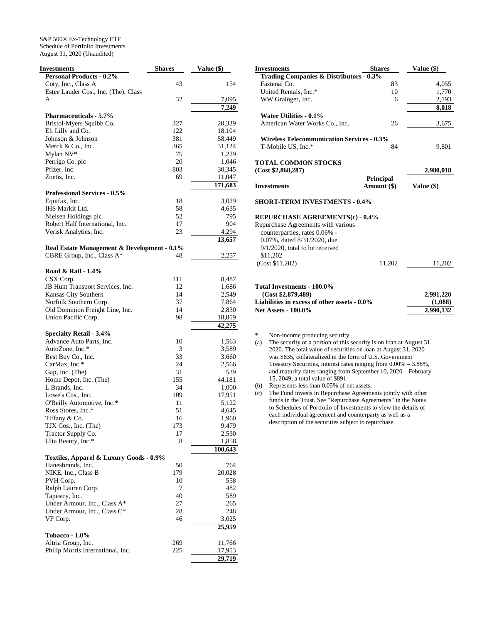S&P 500® Ex-Technology ETF Schedule of Portfolio Investments August 31, 2020 (Unaudited)

| Investments                                                  | <b>Shares</b> | Value (\$)     |
|--------------------------------------------------------------|---------------|----------------|
| <b>Personal Products - 0.2%</b>                              |               |                |
| Coty, Inc., Class A                                          | 43            | 154            |
| Estee Lauder Cos., Inc. (The), Class                         |               |                |
| A                                                            | 32            | 7,095          |
|                                                              |               | 7,249          |
| <b>Pharmaceuticals - 5.7%</b>                                |               |                |
| Bristol-Myers Squibb Co.                                     | 327           | 20,339         |
| Eli Lilly and Co.                                            | 122           | 18,104         |
| Johnson & Johnson                                            | 381           | 58,449         |
| Merck & Co., Inc.                                            | 365           | 31,124         |
| Mylan NV*                                                    | 75            | 1,229          |
| Perrigo Co. plc                                              | 20            | 1,046          |
| Pfizer, Inc.                                                 | 803           | 30,345         |
| Zoetis, Inc.                                                 | 69            | 11,047         |
|                                                              |               | 171,683        |
| <b>Professional Services - 0.5%</b>                          |               |                |
| Equifax, Inc.                                                | 18            | 3,029          |
| IHS Markit Ltd.                                              | 58            | 4,635          |
| Nielsen Holdings plc                                         | 52            | 795            |
| Robert Half International, Inc.                              | 17            | 904            |
| Verisk Analytics, Inc.                                       | 23            | 4,294          |
|                                                              |               | 13,657         |
| Real Estate Management & Development - 0.1%                  |               |                |
| CBRE Group, Inc., Class A*                                   | 48            | 2,257          |
|                                                              |               |                |
| Road & Rail - 1.4%                                           |               |                |
| CSX Corp.                                                    | 111           | 8,487          |
| JB Hunt Transport Services, Inc.                             | 12            | 1,686          |
| Kansas City Southern                                         | 14            | 2,549          |
| Norfolk Southern Corp.                                       | 37            | 7,864          |
| Old Dominion Freight Line, Inc.                              | 14            | 2,830          |
| Union Pacific Corp.                                          | 98            | 18,859         |
|                                                              |               | 42,275         |
| <b>Specialty Retail - 3.4%</b>                               |               |                |
| Advance Auto Parts, Inc.                                     | 10            | 1,563          |
| AutoZone, Inc.*                                              | 3             | 3,589          |
| Best Buy Co., Inc.                                           | 33            | 3,660          |
| CarMax, Inc.*                                                | 24            | 2,566          |
| Gap, Inc. (The)                                              | 31            | 539            |
| Home Depot, Inc. (The)                                       | 155           | 44,181         |
| L Brands, Inc.                                               | 34            | 1,000          |
| Lowe's Cos., Inc.                                            | 109           | 17,951         |
| O'Reilly Automotive, Inc.*<br>Ross Stores, Inc.*             | 11            | 5,122          |
|                                                              | 51            | 4,645<br>1,960 |
| Tiffany & Co.                                                | 16            |                |
| TJX Cos., Inc. (The)                                         | 173<br>17     | 9,479<br>2,530 |
| Tractor Supply Co.<br>Ulta Beauty, Inc.*                     | 8             | 1,858          |
|                                                              |               | 100,643        |
|                                                              |               |                |
| Textiles, Apparel & Luxury Goods - 0.9%<br>Hanesbrands, Inc. | 50            | 764            |
| NIKE, Inc., Class B                                          | 179           | 20,028         |
| PVH Corp.                                                    | 10            | 558            |
| Ralph Lauren Corp.                                           | 7             | 482            |
| Tapestry, Inc.                                               | 40            | 589            |
| Under Armour, Inc., Class A*                                 | 27            | 265            |
| Under Armour, Inc., Class C*                                 | 28            | 248            |
| VF Corp.                                                     | 46            | 3,025          |
|                                                              |               | 25,959         |
| Tobacco - 1.0%                                               |               |                |
| Altria Group, Inc.                                           | 269           | 11,766         |
| Philip Morris International, Inc.                            | 225           | 17,953         |
|                                                              |               | 29,719         |
|                                                              |               |                |

| Fastenal Co.<br>83<br>4,055<br>10<br>United Rentals, Inc.*<br>1,770<br>WW Grainger, Inc.<br>2,193<br>6<br>8,018<br>Water Utilities - 0.1%<br>American Water Works Co., Inc.<br>26<br>3,675<br><b>Wireless Telecommunication Services - 0.3%</b><br>84<br>T-Mobile US, Inc.*<br>9,801<br><b>TOTAL COMMON STOCKS</b><br>(Cost \$2,868,287)<br>2,980,018<br><b>Principal</b><br>Amount (\$)<br><b>Investments</b><br>Value $(\$)$<br><b>SHORT-TERM INVESTMENTS - 0.4%</b><br><b>REPURCHASE AGREEMENTS(c) - 0.4%</b><br>Repurchase Agreements with various<br>counterparties, rates 0.06% -<br>0.07%, dated 8/31/2020, due<br>$9/1/2020$ , total to be received<br>\$11,202<br>(Cost \$11,202)<br>11,202<br>11,202<br>Total Investments - 100.0%<br>(Cost \$2,879,489)<br>2,991,220<br>Liabilities in excess of other assets - 0.0%<br>(1,088)<br>2,990,132<br><b>Net Assets - 100.0%</b> | Trading Companies & Distributors - 0.3% |  |
|---------------------------------------------------------------------------------------------------------------------------------------------------------------------------------------------------------------------------------------------------------------------------------------------------------------------------------------------------------------------------------------------------------------------------------------------------------------------------------------------------------------------------------------------------------------------------------------------------------------------------------------------------------------------------------------------------------------------------------------------------------------------------------------------------------------------------------------------------------------------------------------|-----------------------------------------|--|
|                                                                                                                                                                                                                                                                                                                                                                                                                                                                                                                                                                                                                                                                                                                                                                                                                                                                                       |                                         |  |
|                                                                                                                                                                                                                                                                                                                                                                                                                                                                                                                                                                                                                                                                                                                                                                                                                                                                                       |                                         |  |
|                                                                                                                                                                                                                                                                                                                                                                                                                                                                                                                                                                                                                                                                                                                                                                                                                                                                                       |                                         |  |
|                                                                                                                                                                                                                                                                                                                                                                                                                                                                                                                                                                                                                                                                                                                                                                                                                                                                                       |                                         |  |
|                                                                                                                                                                                                                                                                                                                                                                                                                                                                                                                                                                                                                                                                                                                                                                                                                                                                                       |                                         |  |
|                                                                                                                                                                                                                                                                                                                                                                                                                                                                                                                                                                                                                                                                                                                                                                                                                                                                                       |                                         |  |
|                                                                                                                                                                                                                                                                                                                                                                                                                                                                                                                                                                                                                                                                                                                                                                                                                                                                                       |                                         |  |
|                                                                                                                                                                                                                                                                                                                                                                                                                                                                                                                                                                                                                                                                                                                                                                                                                                                                                       |                                         |  |
|                                                                                                                                                                                                                                                                                                                                                                                                                                                                                                                                                                                                                                                                                                                                                                                                                                                                                       |                                         |  |
|                                                                                                                                                                                                                                                                                                                                                                                                                                                                                                                                                                                                                                                                                                                                                                                                                                                                                       |                                         |  |
|                                                                                                                                                                                                                                                                                                                                                                                                                                                                                                                                                                                                                                                                                                                                                                                                                                                                                       |                                         |  |
|                                                                                                                                                                                                                                                                                                                                                                                                                                                                                                                                                                                                                                                                                                                                                                                                                                                                                       |                                         |  |
|                                                                                                                                                                                                                                                                                                                                                                                                                                                                                                                                                                                                                                                                                                                                                                                                                                                                                       |                                         |  |
|                                                                                                                                                                                                                                                                                                                                                                                                                                                                                                                                                                                                                                                                                                                                                                                                                                                                                       |                                         |  |
|                                                                                                                                                                                                                                                                                                                                                                                                                                                                                                                                                                                                                                                                                                                                                                                                                                                                                       |                                         |  |
|                                                                                                                                                                                                                                                                                                                                                                                                                                                                                                                                                                                                                                                                                                                                                                                                                                                                                       |                                         |  |
|                                                                                                                                                                                                                                                                                                                                                                                                                                                                                                                                                                                                                                                                                                                                                                                                                                                                                       |                                         |  |
|                                                                                                                                                                                                                                                                                                                                                                                                                                                                                                                                                                                                                                                                                                                                                                                                                                                                                       |                                         |  |
|                                                                                                                                                                                                                                                                                                                                                                                                                                                                                                                                                                                                                                                                                                                                                                                                                                                                                       |                                         |  |
|                                                                                                                                                                                                                                                                                                                                                                                                                                                                                                                                                                                                                                                                                                                                                                                                                                                                                       |                                         |  |
|                                                                                                                                                                                                                                                                                                                                                                                                                                                                                                                                                                                                                                                                                                                                                                                                                                                                                       |                                         |  |
|                                                                                                                                                                                                                                                                                                                                                                                                                                                                                                                                                                                                                                                                                                                                                                                                                                                                                       |                                         |  |
|                                                                                                                                                                                                                                                                                                                                                                                                                                                                                                                                                                                                                                                                                                                                                                                                                                                                                       |                                         |  |
|                                                                                                                                                                                                                                                                                                                                                                                                                                                                                                                                                                                                                                                                                                                                                                                                                                                                                       |                                         |  |
|                                                                                                                                                                                                                                                                                                                                                                                                                                                                                                                                                                                                                                                                                                                                                                                                                                                                                       |                                         |  |

**Investments** Shares Value (\$)

\* Non-income producing security.

(a) The security or a portion of this security is on loan at August 31, 2020. The total value of securities on loan at August 31, 2020 was \$835, collateralized in the form of U.S. Government Treasury Securities, interest rates ranging from 0.00% – 3.88%, and maturity dates ranging from September 10, 2020 – February 15, 2049; a total value of \$891.

(b) Represents less than 0.05% of net assets.

(c) The Fund invests in Repurchase Agreements jointly with other funds in the Trust. See "Repurchase Agreements" in the Notes to Schedules of Portfolio of Investments to view the details of each individual agreement and counterparty as well as a description of the securities subject to repurchase.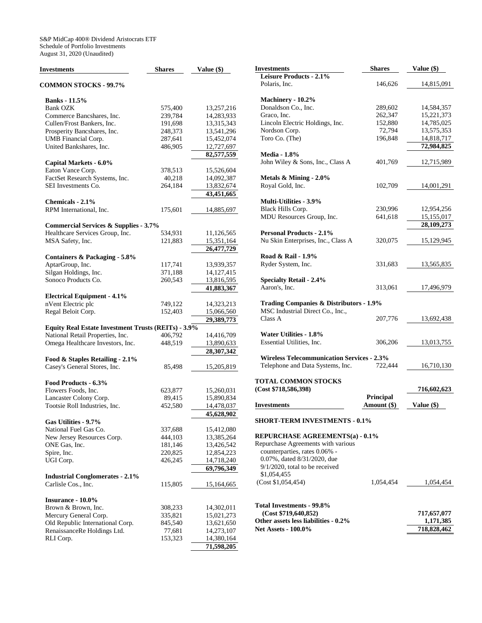| <b>Investments</b>                                         | <b>Shares</b> | Value (\$) |
|------------------------------------------------------------|---------------|------------|
| <b>COMMON STOCKS - 99.7%</b>                               |               |            |
| <b>Banks</b> - 11.5%                                       |               |            |
| <b>Bank OZK</b>                                            | 575,400       | 13,257,216 |
| Commerce Bancshares, Inc.                                  | 239,784       | 14,283,933 |
| Cullen/Frost Bankers, Inc.                                 | 191,698       | 13,315,343 |
| Prosperity Bancshares, Inc.                                | 248,373       | 13,541,296 |
| UMB Financial Corp.                                        | 287,641       | 15,452,074 |
| United Bankshares, Inc.                                    | 486,905       | 12,727,697 |
|                                                            |               | 82,577,559 |
| Capital Markets - 6.0%                                     |               |            |
| Eaton Vance Corp.                                          | 378,513       | 15,526,604 |
| FactSet Research Systems, Inc.                             | 40,218        | 14,092,387 |
| SEI Investments Co.                                        | 264,184       | 13,832,674 |
|                                                            |               | 43,451,665 |
| Chemicals - 2.1%                                           |               |            |
| RPM International, Inc.                                    | 175,601       | 14,885,697 |
|                                                            |               |            |
| <b>Commercial Services &amp; Supplies - 3.7%</b>           |               |            |
| Healthcare Services Group, Inc.                            | 534,931       | 11,126,565 |
| MSA Safety, Inc.                                           | 121,883       | 15,351,164 |
|                                                            |               | 26,477,729 |
| Containers & Packaging - 5.8%                              |               |            |
| AptarGroup, Inc.                                           | 117,741       | 13,939,357 |
| Silgan Holdings, Inc.                                      | 371,188       | 14,127,415 |
| Sonoco Products Co.                                        | 260,543       | 13,816,595 |
|                                                            |               | 41,883,367 |
| <b>Electrical Equipment - 4.1%</b>                         |               |            |
| nVent Electric plc                                         | 749,122       | 14,323,213 |
| Regal Beloit Corp.                                         | 152,403       | 15,066,560 |
|                                                            |               | 29,389,773 |
| <b>Equity Real Estate Investment Trusts (REITs) - 3.9%</b> |               |            |
| National Retail Properties, Inc.                           | 406,792       | 14,416,709 |
| Omega Healthcare Investors, Inc.                           | 448,519       | 13,890,633 |
|                                                            |               | 28,307,342 |
| Food & Staples Retailing - 2.1%                            |               |            |
| Casey's General Stores, Inc.                               | 85,498        | 15,205,819 |
|                                                            |               |            |
| Food Products - 6.3%                                       |               |            |
| Flowers Foods, Inc.                                        | 623,877       | 15,260,031 |
| Lancaster Colony Corp.                                     | 89,415        | 15,890,834 |
| Tootsie Roll Industries, Inc.                              | 452,580       | 14,478,037 |
|                                                            |               | 45,628,902 |
| Gas Utilities - 9.7%                                       |               |            |
| National Fuel Gas Co.                                      | 337,688       | 15,412,080 |
| New Jersey Resources Corp.                                 | 444,103       | 13,385,264 |
| ONE Gas, Inc.                                              | 181,146       | 13,426,542 |
| Spire, Inc.                                                | 220,825       | 12,854,223 |
| UGI Corp.                                                  | 426,245       | 14,718,240 |
|                                                            |               | 69,796,349 |
| <b>Industrial Conglomerates - 2.1%</b>                     |               |            |
| Carlisle Cos., Inc.                                        | 115,805       | 15,164,665 |
|                                                            |               |            |
| Insurance - 10.0%                                          |               |            |
| Brown & Brown, Inc.                                        | 308,233       | 14,302,011 |
| Mercury General Corp.                                      | 335,821       | 15,021,273 |
| Old Republic International Corp.                           | 845,540       | 13,621,650 |
| RenaissanceRe Holdings Ltd.                                | 77,681        | 14,273,107 |
| RLI Corp.                                                  | 153,323       | 14,380,164 |
|                                                            |               | 71,598,205 |

| <b>Investments</b>                                | <b>Shares</b> | Value $(\$)$ |
|---------------------------------------------------|---------------|--------------|
| Leisure Products - 2.1%                           |               |              |
| Polaris, Inc.                                     | 146,626       | 14,815,091   |
| Machinery - 10.2%                                 |               |              |
| Donaldson Co., Inc.                               | 289,602       | 14,584,357   |
| Graco, Inc.                                       | 262,347       | 15,221,373   |
| Lincoln Electric Holdings, Inc.                   | 152,880       | 14,785,025   |
| Nordson Corp.                                     | 72,794        | 13,575,353   |
| Toro Co. (The)                                    | 196,848       | 14,818,717   |
|                                                   |               | 72,984,825   |
| <b>Media - 1.8%</b>                               |               |              |
| John Wiley & Sons, Inc., Class A                  | 401,769       | 12,715,989   |
|                                                   |               |              |
| Metals $\&$ Mining - 2.0%                         |               |              |
| Royal Gold, Inc.                                  | 102,709       | 14,001,291   |
| <b>Multi-Utilities - 3.9%</b>                     |               |              |
| Black Hills Corp.                                 | 230,996       | 12,954,256   |
| MDU Resources Group, Inc.                         | 641,618       | 15,155,017   |
|                                                   |               | 28,109,273   |
| <b>Personal Products - 2.1%</b>                   |               |              |
| Nu Skin Enterprises, Inc., Class A                | 320,075       | 15,129,945   |
|                                                   |               |              |
| Road & Rail - 1.9%                                |               |              |
| Ryder System, Inc.                                | 331,683       | 13,565,835   |
| <b>Specialty Retail - 2.4%</b>                    |               |              |
| Aaron's, Inc.                                     | 313,061       | 17,496,979   |
|                                                   |               |              |
| Trading Companies & Distributors - 1.9%           |               |              |
| MSC Industrial Direct Co., Inc.,                  |               |              |
| Class A                                           | 207,776       | 13,692,438   |
|                                                   |               |              |
| Water Utilities - 1.8%                            |               |              |
| Essential Utilities, Inc.                         | 306,206       | 13,013,755   |
| <b>Wireless Telecommunication Services - 2.3%</b> |               |              |
| Telephone and Data Systems, Inc.                  | 722,444       | 16,710,130   |
|                                                   |               |              |
| <b>TOTAL COMMON STOCKS</b>                        |               |              |
| (Cost \$718,586,398)                              |               | 716,602,623  |
|                                                   | Principal     |              |
| <b>Investments</b>                                | Amount (\$)   | Value (\$)   |
| <b>SHORT-TERM INVESTMENTS - 0.1%</b>              |               |              |
|                                                   |               |              |
| REPURCHASE AGREEMENTS(a) - 0.1%                   |               |              |
| Repurchase Agreements with various                |               |              |
| counterparties, rates 0.06% -                     |               |              |
| 0.07%, dated 8/31/2020, due                       |               |              |
| $9/1/2020$ , total to be received                 |               |              |
| \$1,054,455                                       |               |              |
| (Cost \$1,054,454)                                | 1,054,454     | 1,054,454    |
|                                                   |               |              |
| Total Investments - 99.8%                         |               |              |
| (Cost \$719, 640, 852)                            |               | 717,657,077  |
| Other assets less liabilities - 0.2%              |               | 1,171,385    |
| <b>Net Assets - 100.0%</b>                        |               | 718,828,462  |
|                                                   |               |              |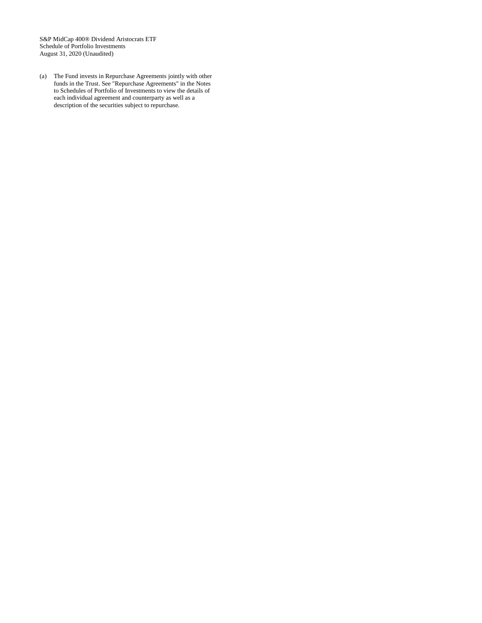S&P MidCap 400® Dividend Aristocrats ETF Schedule of Portfolio Investments August 31, 2020 (Unaudited)

(a) The Fund invests in Repurchase Agreements jointly with other funds in the Trust. See "Repurchase Agreements" in the Notes to Schedules of Portfolio of Investments to view the details of each individual agreement and counterparty as well as a description of the securities subject to repurchase.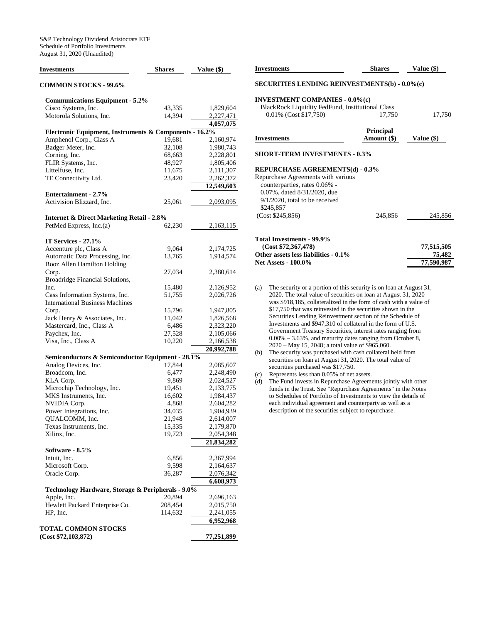| Investments                                            | <b>Shares</b> | Value (\$) |
|--------------------------------------------------------|---------------|------------|
| <b>COMMON STOCKS - 99.6%</b>                           |               |            |
| <b>Communications Equipment - 5.2%</b>                 |               |            |
| Cisco Systems, Inc.                                    | 43,335        | 1,829,604  |
| Motorola Solutions, Inc.                               | 14,394        | 2,227,471  |
|                                                        |               | 4,057,075  |
| Electronic Equipment, Instruments & Components - 16.2% |               |            |
| Amphenol Corp., Class A                                | 19,681        | 2,160,974  |
| Badger Meter, Inc.                                     | 32,108        | 1,980,743  |
| Corning, Inc.                                          | 68,663        | 2,228,801  |
| FLIR Systems, Inc.                                     | 48,927        | 1,805,406  |
| Littelfuse, Inc.                                       | 11,675        | 2,111,307  |
| TE Connectivity Ltd.                                   | 23,420        | 2,262,372  |
|                                                        |               |            |
| <b>Entertainment - 2.7%</b>                            |               | 12,549,603 |
| Activision Blizzard, Inc.                              | 25,061        | 2,093,095  |
|                                                        |               |            |
| <b>Internet &amp; Direct Marketing Retail - 2.8%</b>   |               |            |
| PetMed Express, Inc.(a)                                | 62,230        | 2,163,115  |
| IT Services - 27.1%                                    |               |            |
|                                                        |               |            |
| Accenture plc, Class A                                 | 9,064         | 2,174,725  |
| Automatic Data Processing, Inc.                        | 13,765        | 1,914,574  |
| Booz Allen Hamilton Holding                            |               |            |
| Corp.                                                  | 27,034        | 2,380,614  |
| Broadridge Financial Solutions,                        |               |            |
| Inc.                                                   | 15,480        | 2,126,952  |
| Cass Information Systems, Inc.                         | 51,755        | 2,026,726  |
| <b>International Business Machines</b>                 |               |            |
| Corp.                                                  | 15,796        | 1,947,805  |
| Jack Henry & Associates, Inc.                          | 11,042        | 1,826,568  |
| Mastercard, Inc., Class A                              | 6,486         | 2,323,220  |
| Paychex, Inc.                                          | 27,528        | 2,105,066  |
| Visa, Inc., Class A                                    | 10,220        | 2,166,538  |
|                                                        |               | 20,992,788 |
| Semiconductors & Semiconductor Equipment - 28.1%       |               |            |
| Analog Devices, Inc.                                   | 17,844        | 2,085,607  |
| Broadcom, Inc.                                         | 6,477         | 2,248,490  |
| KLA Corp.                                              | 9,869         | 2,024,527  |
| Microchip Technology, Inc.                             | 19,451        | 2,133,775  |
| MKS Instruments, Inc.                                  | 16,602        | 1,984,437  |
| NVIDIA Corp.                                           | 4,868         | 2,604,282  |
| Power Integrations, Inc.                               | 34,035        | 1,904,939  |
| QUALCOMM, Inc.                                         | 21,948        | 2,614,007  |
| Texas Instruments, Inc.                                | 15,335        | 2,179,870  |
| Xilinx, Inc.                                           | 19,723        | 2,054,348  |
|                                                        |               | 21,834,282 |
| Software - 8.5%                                        |               |            |
| Intuit, Inc.                                           | 6,856         | 2,367,994  |
| Microsoft Corp.                                        | 9,598         | 2,164,637  |
| Oracle Corp.                                           | 36,287        | 2,076,342  |
|                                                        |               | 6,608,973  |
| Technology Hardware, Storage & Peripherals - 9.0%      |               |            |
| Apple, Inc.                                            | 20,894        | 2,696,163  |
| Hewlett Packard Enterprise Co.                         | 208,454       | 2,015,750  |
| HP, Inc.                                               | 114,632       | 2,241,055  |
|                                                        |               | 6,952,968  |
| <b>TOTAL COMMON STOCKS</b><br>(Cost \$72,103,872)      |               | 77,251,899 |
|                                                        |               |            |

| <b>Investments</b>                                                             | <b>Shares</b>                                        | Value (\$) |  |  |
|--------------------------------------------------------------------------------|------------------------------------------------------|------------|--|--|
|                                                                                | <b>SECURITIES LENDING REINVESTMENTS(b) - 0.0%(c)</b> |            |  |  |
| <b>INVESTMENT COMPANIES - 0.0%(c)</b>                                          |                                                      |            |  |  |
| BlackRock Liquidity FedFund, Institutional Class                               |                                                      |            |  |  |
| 0.01% (Cost \$17,750)                                                          | 17,750                                               | 17,750     |  |  |
|                                                                                | <b>Principal</b>                                     |            |  |  |
| <b>Investments</b>                                                             | Amount (\$)                                          | Value (\$) |  |  |
| <b>SHORT-TERM INVESTMENTS - 0.3%</b><br><b>REPURCHASE AGREEMENTS(d) - 0.3%</b> |                                                      |            |  |  |
| Repurchase Agreements with various<br>counterparties, rates 0.06% -            |                                                      |            |  |  |
| 0.07%, dated 8/31/2020, due                                                    |                                                      |            |  |  |
| $9/1/2020$ , total to be received                                              |                                                      |            |  |  |
| \$245,857                                                                      |                                                      |            |  |  |
| (Cost \$245,856)                                                               | 245,856                                              | 245,856    |  |  |
| Total Investments - 99.9%                                                      |                                                      |            |  |  |

Other assets less liabilities - 0.1% 75,482<br>Net Assets - 100.0% 77,590,987

| (a) | The security or a portion of this security is on loan at August 31, |
|-----|---------------------------------------------------------------------|
|     | 2020. The total value of securities on loan at August 31, 2020      |
|     | was \$918,185, collateralized in the form of cash with a value of   |
|     | \$17,750 that was reinvested in the securities shown in the         |
|     | Securities Lending Reinvestment section of the Schedule of          |
|     | Investments and \$947,310 of collateral in the form of U.S.         |
|     | Government Treasury Securities, interest rates ranging from         |
|     | $0.00\% - 3.63\%$ , and maturity dates ranging from October 8,      |
|     | 2020 – May 15, 2048; a total value of \$965,060.                    |
|     |                                                                     |

- (b) The security was purchased with cash collateral held from securities on loan at August 31, 2020. The total value of securities purchased was \$17,750.
- (c) Represents less than 0.05% of net assets.

**Net Assets - 100.0%** 

(d) The Fund invests in Repurchase Agreements jointly with other funds in the Trust. See "Repurchase Agreements" in the Notes to Schedules of Portfolio of Investments to view the details of each individual agreement and counterparty as well as a description of the securities subject to repurchase.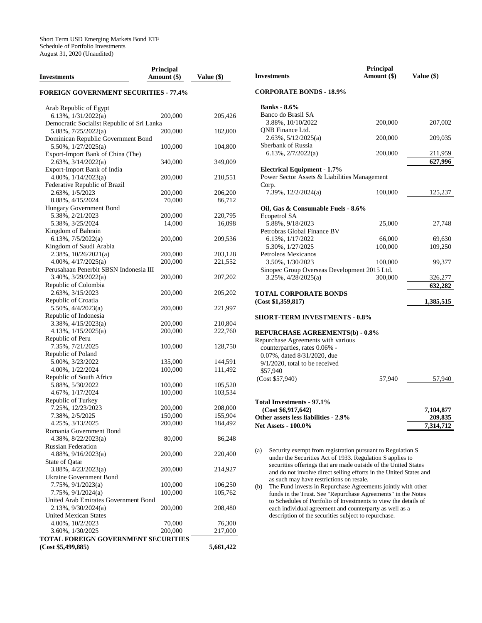| Investments                                               | <b>Principal</b><br>Amount (\$) | Value (\$) |
|-----------------------------------------------------------|---------------------------------|------------|
| <b>FOREIGN GOVERNMENT SECURITIES - 77.4%</b>              |                                 |            |
| Arab Republic of Egypt<br>6.13%, $1/31/2022(a)$           |                                 |            |
| Democratic Socialist Republic of Sri Lanka                | 200,000                         | 205,426    |
| 5.88%, 7/25/2022(a)                                       | 200,000                         | 182,000    |
| Dominican Republic Government Bond<br>5.50%, 1/27/2025(a) | 100,000                         | 104,800    |
| Export-Import Bank of China (The)                         |                                 |            |
| 2.63%, 3/14/2022(a)<br>Export-Import Bank of India        | 340,000                         | 349,009    |
| 4.00%, 1/14/2023(a)                                       | 200,000                         | 210,551    |
| Federative Republic of Brazil                             |                                 |            |
| 2.63%, 1/5/2023                                           | 200,000                         | 206,200    |
| 8.88%, 4/15/2024                                          | 70,000                          | 86,712     |
| Hungary Government Bond                                   |                                 |            |
| 5.38%, 2/21/2023                                          | 200,000                         | 220,795    |
| 5.38%, 3/25/2024                                          | 14,000                          | 16,098     |
| Kingdom of Bahrain                                        |                                 |            |
| $6.13\%, \frac{7}{5}/2022(a)$                             | 200,000                         | 209,536    |
| Kingdom of Saudi Arabia                                   |                                 |            |
| 2.38%, 10/26/2021(a)                                      | 200,000                         | 203,128    |
| $4.00\%$ , $4/17/2025(a)$                                 | 200,000                         | 221,552    |
| Perusahaan Penerbit SBSN Indonesia III                    |                                 |            |
| $3.40\%$ , $3/29/2022(a)$                                 | 200,000                         | 207,202    |
| Republic of Colombia                                      |                                 |            |
| 2.63%, 3/15/2023                                          | 200,000                         | 205,202    |
| Republic of Croatia                                       |                                 |            |
| $5.50\%, \frac{4}{4}{2023(a)}$                            | 200,000                         | 221,997    |
| Republic of Indonesia                                     |                                 |            |
| $3.38\%, \frac{4}{15/2023(a)}$                            | 200,000                         | 210,804    |
| 4.13%, 1/15/2025(a)                                       | 200,000                         | 222,760    |
| Republic of Peru                                          |                                 |            |
| 7.35%, 7/21/2025                                          | 100,000                         | 128,750    |
| Republic of Poland                                        |                                 |            |
| 5.00%, 3/23/2022                                          | 135,000                         | 144,591    |
| 4.00%, 1/22/2024                                          | 100,000                         | 111,492    |
| Republic of South Africa                                  |                                 |            |
| 5.88%, 5/30/2022                                          | 100,000                         | 105,520    |
| 4.67%, 1/17/2024                                          | 100,000                         | 103,534    |
| Republic of Turkey                                        |                                 |            |
| 7.25%, 12/23/2023                                         | 200,000                         | 208,000    |
| 7.38%, 2/5/2025                                           | 150,000                         | 155,904    |
| 4.25%, 3/13/2025                                          | 200,000                         | 184,492    |
| Romania Government Bond                                   |                                 |            |
| $4.38\%, 8/22/2023(a)$                                    | 80,000                          | 86,248     |
| <b>Russian Federation</b>                                 |                                 |            |
| 4.88%, 9/16/2023(a)                                       | 200,000                         | 220,400    |
| State of Qatar                                            |                                 |            |
| 3.88%, 4/23/2023(a)                                       | 200,000                         | 214,927    |
| Ukraine Government Bond                                   |                                 |            |
| 7.75%, 9/1/2023(a)                                        | 100,000                         | 106,250    |
| 7.75%, 9/1/2024(a)                                        | 100,000                         | 105,762    |
| United Arab Emirates Government Bond                      |                                 |            |
| $2.13\%, 9/30/2024(a)$                                    | 200,000                         | 208,480    |
| <b>United Mexican States</b>                              |                                 |            |
| 4.00%, 10/2/2023                                          | 70,000                          | 76,300     |
| 3.60%, 1/30/2025                                          | 200,000                         | 217,000    |
| TOTAL FOREIGN GOVERNMENT SECURITIES                       |                                 |            |
| (Cost \$5,499,885)                                        |                                 | 5,661,422  |
|                                                           |                                 |            |

|     | <b>Investments</b>                                                                                                      | Principal<br>Amount $(\$)$ | Value $(\$)$ |  |  |
|-----|-------------------------------------------------------------------------------------------------------------------------|----------------------------|--------------|--|--|
|     | <b>CORPORATE BONDS - 18.9%</b>                                                                                          |                            |              |  |  |
|     | <b>Banks</b> - 8.6%                                                                                                     |                            |              |  |  |
|     | Banco do Brasil SA                                                                                                      |                            |              |  |  |
|     | 3.88%, 10/10/2022                                                                                                       | 200,000                    | 207,002      |  |  |
|     | <b>QNB</b> Finance Ltd.                                                                                                 |                            |              |  |  |
|     | $2.63\%, 5/12/2025(a)$                                                                                                  | 200,000                    | 209,035      |  |  |
|     | Sberbank of Russia                                                                                                      |                            |              |  |  |
|     | $6.13\%, \frac{2}{7}{2022(a)}$                                                                                          | 200,000                    | 211,959      |  |  |
|     |                                                                                                                         |                            | 627,996      |  |  |
|     | <b>Electrical Equipment - 1.7%</b>                                                                                      |                            |              |  |  |
|     | Power Sector Assets & Liabilities Management                                                                            |                            |              |  |  |
|     | Corp.                                                                                                                   |                            |              |  |  |
|     | 7.39%, $12/2/2024(a)$                                                                                                   | 100,000                    | 125,237      |  |  |
|     |                                                                                                                         |                            |              |  |  |
|     | Oil, Gas & Consumable Fuels - 8.6%                                                                                      |                            |              |  |  |
|     | Ecopetrol SA                                                                                                            |                            |              |  |  |
|     | 5.88%, 9/18/2023                                                                                                        | 25,000                     | 27,748       |  |  |
|     | Petrobras Global Finance BV                                                                                             |                            |              |  |  |
|     | 6.13%, 1/17/2022                                                                                                        | 66,000                     | 69,630       |  |  |
|     | 5.30%, 1/27/2025                                                                                                        | 100,000                    | 109,250      |  |  |
|     | Petroleos Mexicanos                                                                                                     |                            |              |  |  |
|     | 3.50%, 1/30/2023                                                                                                        | 100,000                    | 99,377       |  |  |
|     | Sinopec Group Overseas Development 2015 Ltd.                                                                            |                            |              |  |  |
|     | $3.25\%$ , $4/28/2025(a)$                                                                                               | 300,000                    | 326,277      |  |  |
|     |                                                                                                                         |                            | 632,282      |  |  |
|     | TOTAL CORPORATE BONDS                                                                                                   |                            |              |  |  |
|     | (Cost \$1,359,817)                                                                                                      |                            | 1,385,515    |  |  |
|     | <b>SHORT-TERM INVESTMENTS - 0.8%</b>                                                                                    |                            |              |  |  |
|     |                                                                                                                         |                            |              |  |  |
|     | <b>REPURCHASE AGREEMENTS(b) - 0.8%</b>                                                                                  |                            |              |  |  |
|     | Repurchase Agreements with various                                                                                      |                            |              |  |  |
|     | counterparties, rates 0.06% -                                                                                           |                            |              |  |  |
|     | 0.07%, dated 8/31/2020, due                                                                                             |                            |              |  |  |
|     | $9/1/2020$ , total to be received<br>\$57,940                                                                           |                            |              |  |  |
|     | (Cost \$57,940)                                                                                                         |                            |              |  |  |
|     |                                                                                                                         | 57,940                     | 57,940       |  |  |
|     |                                                                                                                         |                            |              |  |  |
|     | Total Investments - 97.1%                                                                                               |                            |              |  |  |
|     | (Cost \$6,917,642)                                                                                                      |                            | 7,104,877    |  |  |
|     | Other assets less liabilities - 2.9%                                                                                    |                            | 209,835      |  |  |
|     | <b>Net Assets - 100.0%</b>                                                                                              |                            | 7,314,712    |  |  |
|     |                                                                                                                         |                            |              |  |  |
|     |                                                                                                                         |                            |              |  |  |
|     |                                                                                                                         |                            |              |  |  |
| (a) | Security exempt from registration pursuant to Regulation S<br>under the Securities Act of 1933. Regulation S applies to |                            |              |  |  |
|     | securities offerings that are made outside of the United States                                                         |                            |              |  |  |
|     | and do not involve direct selling efforts in the United States and                                                      |                            |              |  |  |
|     | as such may have restrictions on resale.                                                                                |                            |              |  |  |
| (b) | The Fund invests in Repurchase Agreements jointly with other                                                            |                            |              |  |  |
|     | funds in the Trust. See "Repurchase Agreements" in the Notes                                                            |                            |              |  |  |
|     | to Schedules of Portfolio of Investments to view the details of                                                         |                            |              |  |  |
|     | each individual agreement and counterparty as well as a                                                                 |                            |              |  |  |
|     | description of the securities subject to repurchase.                                                                    |                            |              |  |  |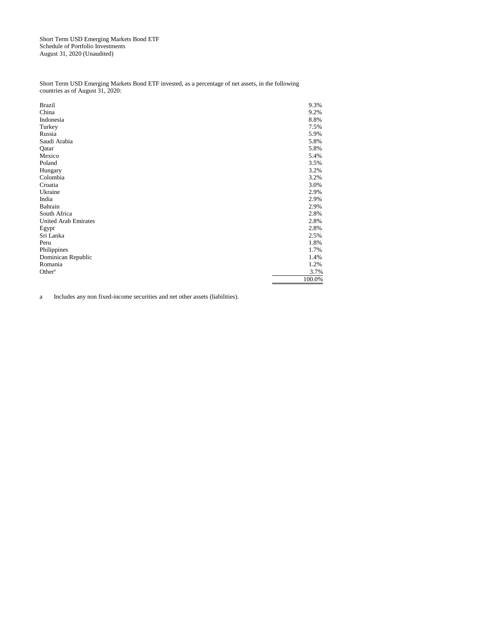Short Term USD Emerging Markets Bond ETF Schedule of Portfolio Investments August 31, 2020 (Unaudited)

Short Term USD Emerging Markets Bond ETF invested, as a percentage of net assets, in the following countries as of August 31, 2020:

| <b>Brazil</b>               | 9.3%   |
|-----------------------------|--------|
| China                       | 9.2%   |
| Indonesia                   | 8.8%   |
| Turkey                      | 7.5%   |
| Russia                      | 5.9%   |
| Saudi Arabia                | 5.8%   |
| Qatar                       | 5.8%   |
| Mexico                      | 5.4%   |
| Poland                      | 3.5%   |
| Hungary                     | 3.2%   |
| Colombia                    | 3.2%   |
| Croatia                     | 3.0%   |
| Ukraine                     | 2.9%   |
| India                       | 2.9%   |
| Bahrain                     | 2.9%   |
| South Africa                | 2.8%   |
| <b>United Arab Emirates</b> | 2.8%   |
| Egypt                       | 2.8%   |
| Sri Lanka                   | 2.5%   |
| Peru                        | 1.8%   |
| Philippines                 | 1.7%   |
| Dominican Republic          | 1.4%   |
| Romania                     | 1.2%   |
| Other <sup>a</sup>          | 3.7%   |
|                             | 100.0% |

a Includes any non fixed-income securities and net other assets (liabilities).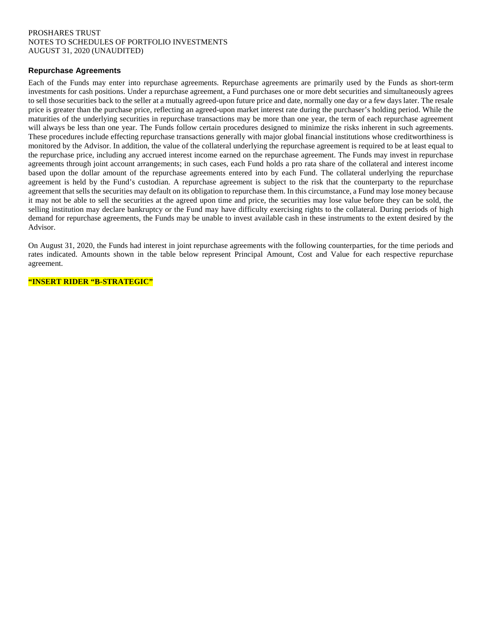## PROSHARES TRUST NOTES TO SCHEDULES OF PORTFOLIO INVESTMENTS AUGUST 31, 2020 (UNAUDITED)

## **Repurchase Agreements**

Each of the Funds may enter into repurchase agreements. Repurchase agreements are primarily used by the Funds as short-term investments for cash positions. Under a repurchase agreement, a Fund purchases one or more debt securities and simultaneously agrees to sell those securities back to the seller at a mutually agreed-upon future price and date, normally one day or a few days later. The resale price is greater than the purchase price, reflecting an agreed-upon market interest rate during the purchaser's holding period. While the maturities of the underlying securities in repurchase transactions may be more than one year, the term of each repurchase agreement will always be less than one year. The Funds follow certain procedures designed to minimize the risks inherent in such agreements. These procedures include effecting repurchase transactions generally with major global financial institutions whose creditworthiness is monitored by the Advisor. In addition, the value of the collateral underlying the repurchase agreement is required to be at least equal to the repurchase price, including any accrued interest income earned on the repurchase agreement. The Funds may invest in repurchase agreements through joint account arrangements; in such cases, each Fund holds a pro rata share of the collateral and interest income based upon the dollar amount of the repurchase agreements entered into by each Fund. The collateral underlying the repurchase agreement is held by the Fund's custodian. A repurchase agreement is subject to the risk that the counterparty to the repurchase agreement that sells the securities may default on its obligation to repurchase them. In this circumstance, a Fund may lose money because it may not be able to sell the securities at the agreed upon time and price, the securities may lose value before they can be sold, the selling institution may declare bankruptcy or the Fund may have difficulty exercising rights to the collateral. During periods of high demand for repurchase agreements, the Funds may be unable to invest available cash in these instruments to the extent desired by the Advisor.

On August 31, 2020, the Funds had interest in joint repurchase agreements with the following counterparties, for the time periods and rates indicated. Amounts shown in the table below represent Principal Amount, Cost and Value for each respective repurchase agreement.

**"INSERT RIDER "B-STRATEGIC"**